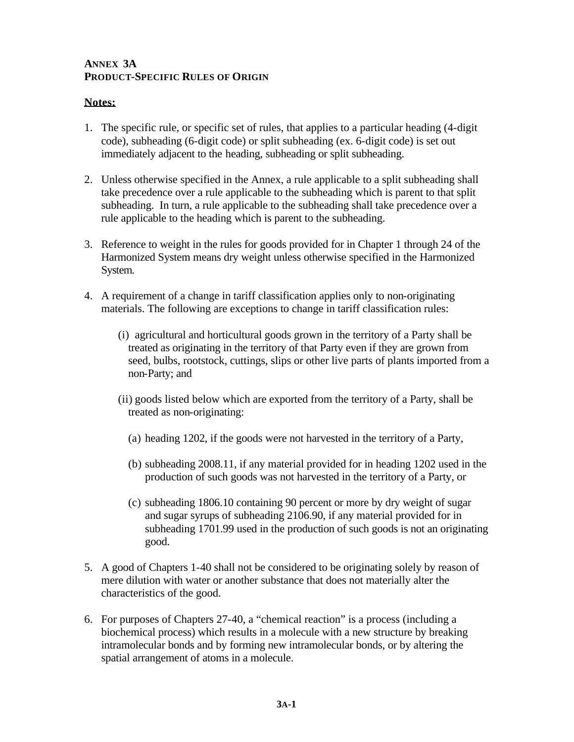## **ANNEX 3A PRODUCT-SPECIFIC RULES OF ORIGIN**

## **Notes:**

- 1. The specific rule, or specific set of rules, that applies to a particular heading (4-digit code), subheading (6-digit code) or split subheading (ex. 6-digit code) is set out immediately adjacent to the heading, subheading or split subheading.
- 2. Unless otherwise specified in the Annex, a rule applicable to a split subheading shall take precedence over a rule applicable to the subheading which is parent to that split subheading. In turn, a rule applicable to the subheading shall take precedence over a rule applicable to the heading which is parent to the subheading.
- 3. Reference to weight in the rules for goods provided for in Chapter 1 through 24 of the Harmonized System means dry weight unless otherwise specified in the Harmonized System.
- 4. A requirement of a change in tariff classification applies only to non-originating materials. The following are exceptions to change in tariff classification rules:
	- (i) agricultural and horticultural goods grown in the territory of a Party shall be treated as originating in the territory of that Party even if they are grown from seed, bulbs, rootstock, cuttings, slips or other live parts of plants imported from a non-Party; and
	- (ii) goods listed below which are exported from the territory of a Party, shall be treated as non-originating:
		- (a) heading 1202, if the goods were not harvested in the territory of a Party,
		- (b) subheading 2008.11, if any material provided for in heading 1202 used in the production of such goods was not harvested in the territory of a Party, or
		- (c) subheading 1806.10 containing 90 percent or more by dry weight of sugar and sugar syrups of subheading 2106.90, if any material provided for in subheading 1701.99 used in the production of such goods is not an originating good.
- 5. A good of Chapters 1-40 shall not be considered to be originating solely by reason of mere dilution with water or another substance that does not materially alter the characteristics of the good.
- 6. For purposes of Chapters 27-40, a "chemical reaction" is a process (including a biochemical process) which results in a molecule with a new structure by breaking intramolecular bonds and by forming new intramolecular bonds, or by altering the spatial arrangement of atoms in a molecule.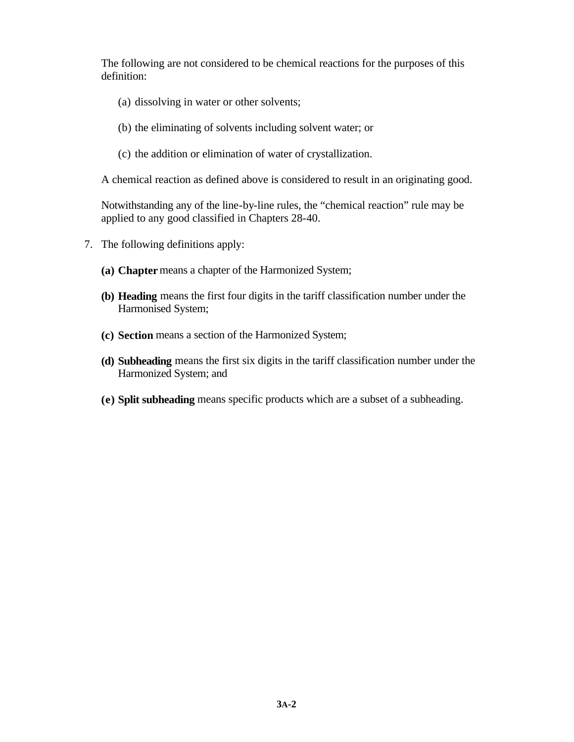The following are not considered to be chemical reactions for the purposes of this definition:

- (a) dissolving in water or other solvents;
- (b) the eliminating of solvents including solvent water; or
- (c) the addition or elimination of water of crystallization.

A chemical reaction as defined above is considered to result in an originating good.

Notwithstanding any of the line-by-line rules, the "chemical reaction" rule may be applied to any good classified in Chapters 28-40.

- 7. The following definitions apply:
	- **(a) Chapter** means a chapter of the Harmonized System;
	- **(b) Heading** means the first four digits in the tariff classification number under the Harmonised System;
	- **(c) Section** means a section of the Harmonized System;
	- **(d) Subheading** means the first six digits in the tariff classification number under the Harmonized System; and
	- **(e) Split subheading** means specific products which are a subset of a subheading.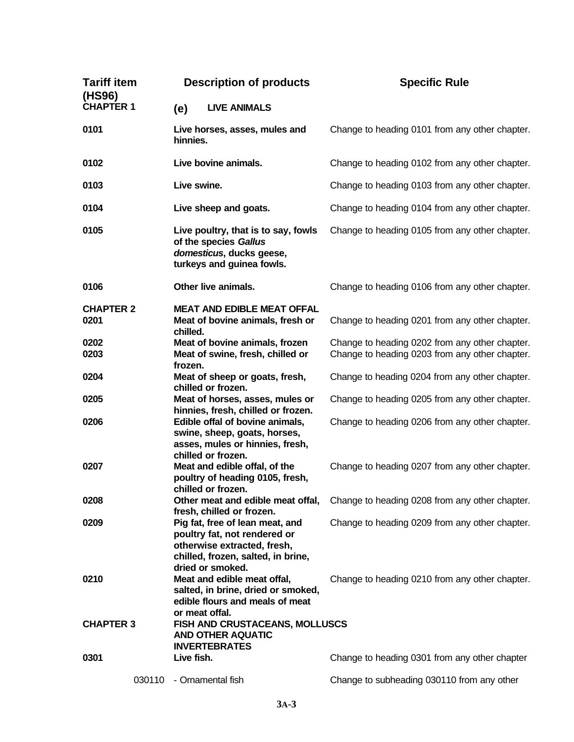| <b>Tariff item</b><br>(HS96) | <b>Description of products</b>                                                                                                                           | <b>Specific Rule</b>                           |  |
|------------------------------|----------------------------------------------------------------------------------------------------------------------------------------------------------|------------------------------------------------|--|
| <b>CHAPTER 1</b>             | <b>LIVE ANIMALS</b><br>(e)                                                                                                                               |                                                |  |
| 0101                         | Live horses, asses, mules and<br>hinnies.                                                                                                                | Change to heading 0101 from any other chapter. |  |
| 0102                         | Live bovine animals.                                                                                                                                     | Change to heading 0102 from any other chapter. |  |
| 0103                         | Live swine.                                                                                                                                              | Change to heading 0103 from any other chapter. |  |
| 0104                         | Live sheep and goats.                                                                                                                                    | Change to heading 0104 from any other chapter. |  |
| 0105                         | Live poultry, that is to say, fowls<br>of the species Gallus<br>domesticus, ducks geese,<br>turkeys and guinea fowls.                                    | Change to heading 0105 from any other chapter. |  |
| 0106                         | Other live animals.                                                                                                                                      | Change to heading 0106 from any other chapter. |  |
| <b>CHAPTER 2</b><br>0201     | <b>MEAT AND EDIBLE MEAT OFFAL</b><br>Meat of bovine animals, fresh or<br>chilled.                                                                        | Change to heading 0201 from any other chapter. |  |
| 0202                         | Meat of bovine animals, frozen                                                                                                                           | Change to heading 0202 from any other chapter. |  |
| 0203                         | Meat of swine, fresh, chilled or<br>frozen.                                                                                                              | Change to heading 0203 from any other chapter. |  |
| 0204                         | Meat of sheep or goats, fresh,<br>chilled or frozen.                                                                                                     | Change to heading 0204 from any other chapter. |  |
| 0205                         | Meat of horses, asses, mules or                                                                                                                          | Change to heading 0205 from any other chapter. |  |
| 0206                         | hinnies, fresh, chilled or frozen.<br>Edible offal of bovine animals,                                                                                    | Change to heading 0206 from any other chapter. |  |
|                              | swine, sheep, goats, horses,<br>asses, mules or hinnies, fresh,<br>chilled or frozen.                                                                    |                                                |  |
| 0207                         | Meat and edible offal, of the<br>poultry of heading 0105, fresh,<br>chilled or frozen.                                                                   | Change to heading 0207 from any other chapter. |  |
| 0208                         | Other meat and edible meat offal,<br>fresh, chilled or frozen.                                                                                           | Change to heading 0208 from any other chapter. |  |
| 0209                         | Pig fat, free of lean meat, and<br>poultry fat, not rendered or<br>otherwise extracted, fresh,<br>chilled, frozen, salted, in brine,<br>dried or smoked. | Change to heading 0209 from any other chapter. |  |
| 0210                         | Meat and edible meat offal,<br>salted, in brine, dried or smoked,<br>edible flours and meals of meat<br>or meat offal.                                   | Change to heading 0210 from any other chapter. |  |
| <b>CHAPTER 3</b>             | FISH AND CRUSTACEANS, MOLLUSCS<br><b>AND OTHER AQUATIC</b><br><b>INVERTEBRATES</b>                                                                       |                                                |  |
| 0301                         | Live fish.                                                                                                                                               | Change to heading 0301 from any other chapter  |  |
| 030110                       | - Ornamental fish                                                                                                                                        | Change to subheading 030110 from any other     |  |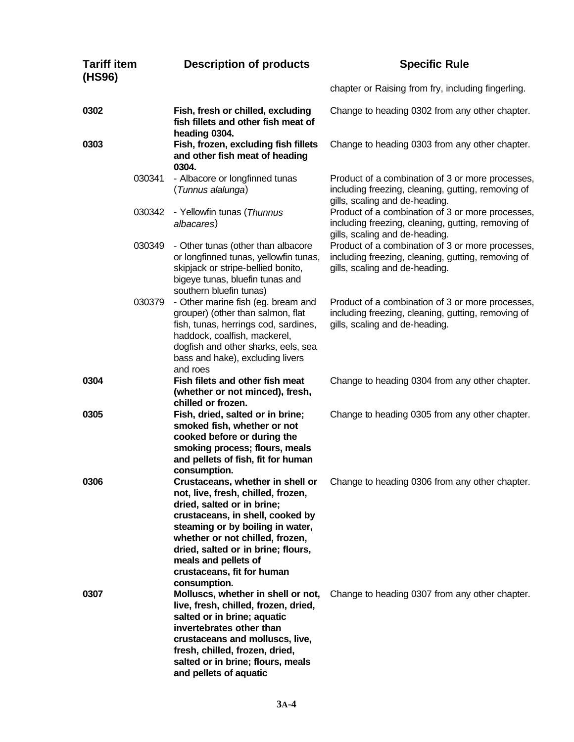| <b>Tariff item</b><br>(HS96) |        | <b>Description of products</b>                                                                                                                                                                                                                                                                                              | <b>Specific Rule</b>                                                                                                                     |  |
|------------------------------|--------|-----------------------------------------------------------------------------------------------------------------------------------------------------------------------------------------------------------------------------------------------------------------------------------------------------------------------------|------------------------------------------------------------------------------------------------------------------------------------------|--|
|                              |        |                                                                                                                                                                                                                                                                                                                             | chapter or Raising from fry, including fingerling.                                                                                       |  |
| 0302                         |        | Fish, fresh or chilled, excluding<br>fish fillets and other fish meat of<br>heading 0304.                                                                                                                                                                                                                                   | Change to heading 0302 from any other chapter.                                                                                           |  |
| 0303                         |        | Fish, frozen, excluding fish fillets<br>and other fish meat of heading<br>0304.                                                                                                                                                                                                                                             | Change to heading 0303 from any other chapter.                                                                                           |  |
|                              | 030341 | - Albacore or longfinned tunas<br>(Tunnus alalunga)                                                                                                                                                                                                                                                                         | Product of a combination of 3 or more processes,<br>including freezing, cleaning, gutting, removing of<br>gills, scaling and de-heading. |  |
|                              | 030342 | - Yellowfin tunas (Thunnus<br>albacares)                                                                                                                                                                                                                                                                                    | Product of a combination of 3 or more processes,<br>including freezing, cleaning, gutting, removing of<br>gills, scaling and de-heading. |  |
|                              | 030349 | - Other tunas (other than albacore<br>or longfinned tunas, yellowfin tunas,<br>skipjack or stripe-bellied bonito,<br>bigeye tunas, bluefin tunas and<br>southern bluefin tunas)                                                                                                                                             | Product of a combination of 3 or more processes,<br>including freezing, cleaning, gutting, removing of<br>gills, scaling and de-heading. |  |
|                              | 030379 | - Other marine fish (eg. bream and<br>grouper) (other than salmon, flat<br>fish, tunas, herrings cod, sardines,<br>haddock, coalfish, mackerel,<br>dogfish and other sharks, eels, sea<br>bass and hake), excluding livers<br>and roes                                                                                      | Product of a combination of 3 or more processes,<br>including freezing, cleaning, gutting, removing of<br>gills, scaling and de-heading. |  |
| 0304                         |        | Fish filets and other fish meat<br>(whether or not minced), fresh,<br>chilled or frozen.                                                                                                                                                                                                                                    | Change to heading 0304 from any other chapter.                                                                                           |  |
| 0305                         |        | Fish, dried, salted or in brine;<br>smoked fish, whether or not<br>cooked before or during the<br>smoking process; flours, meals<br>and pellets of fish, fit for human<br>consumption.                                                                                                                                      | Change to heading 0305 from any other chapter.                                                                                           |  |
| 0306                         |        | Crustaceans, whether in shell or<br>not, live, fresh, chilled, frozen,<br>dried, salted or in brine;<br>crustaceans, in shell, cooked by<br>steaming or by boiling in water,<br>whether or not chilled, frozen,<br>dried, salted or in brine; flours,<br>meals and pellets of<br>crustaceans, fit for human<br>consumption. | Change to heading 0306 from any other chapter.                                                                                           |  |
| 0307                         |        | Molluscs, whether in shell or not,<br>live, fresh, chilled, frozen, dried,<br>salted or in brine; aquatic<br>invertebrates other than<br>crustaceans and molluscs, live,<br>fresh, chilled, frozen, dried,<br>salted or in brine; flours, meals<br>and pellets of aquatic                                                   | Change to heading 0307 from any other chapter.                                                                                           |  |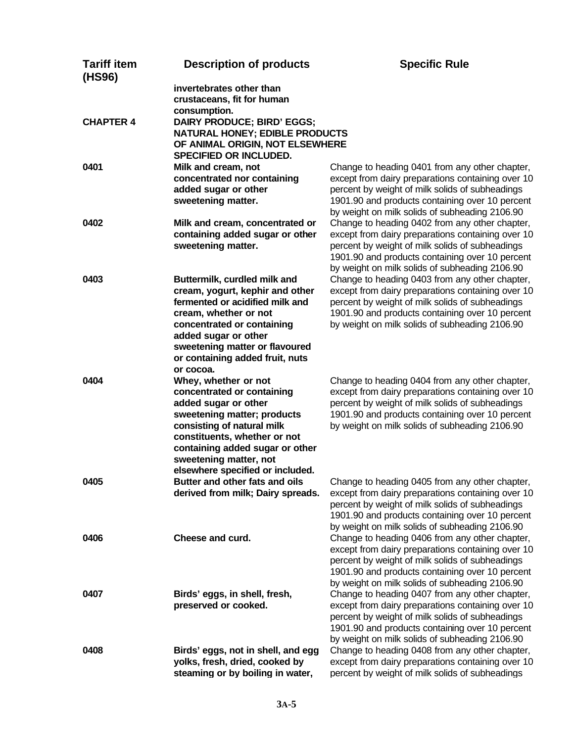| <b>Tariff item</b><br>(HS96) | <b>Description of products</b>        | <b>Specific Rule</b>                              |
|------------------------------|---------------------------------------|---------------------------------------------------|
|                              | invertebrates other than              |                                                   |
|                              | crustaceans, fit for human            |                                                   |
|                              | consumption.                          |                                                   |
| <b>CHAPTER 4</b>             | DAIRY PRODUCE; BIRD' EGGS;            |                                                   |
|                              | <b>NATURAL HONEY; EDIBLE PRODUCTS</b> |                                                   |
|                              | OF ANIMAL ORIGIN, NOT ELSEWHERE       |                                                   |
|                              | SPECIFIED OR INCLUDED.                |                                                   |
| 0401                         | Milk and cream, not                   | Change to heading 0401 from any other chapter,    |
|                              | concentrated nor containing           | except from dairy preparations containing over 10 |
|                              | added sugar or other                  | percent by weight of milk solids of subheadings   |
|                              | sweetening matter.                    | 1901.90 and products containing over 10 percent   |
|                              |                                       | by weight on milk solids of subheading 2106.90    |
| 0402                         | Milk and cream, concentrated or       | Change to heading 0402 from any other chapter,    |
|                              | containing added sugar or other       | except from dairy preparations containing over 10 |
|                              | sweetening matter.                    | percent by weight of milk solids of subheadings   |
|                              |                                       | 1901.90 and products containing over 10 percent   |
|                              |                                       | by weight on milk solids of subheading 2106.90    |
| 0403                         | Buttermilk, curdled milk and          | Change to heading 0403 from any other chapter,    |
|                              | cream, yogurt, kephir and other       | except from dairy preparations containing over 10 |
|                              | fermented or acidified milk and       | percent by weight of milk solids of subheadings   |
|                              | cream, whether or not                 | 1901.90 and products containing over 10 percent   |
|                              | concentrated or containing            | by weight on milk solids of subheading 2106.90    |
|                              | added sugar or other                  |                                                   |
|                              | sweetening matter or flavoured        |                                                   |
|                              | or containing added fruit, nuts       |                                                   |
|                              | or cocoa.                             |                                                   |
| 0404                         | Whey, whether or not                  | Change to heading 0404 from any other chapter,    |
|                              | concentrated or containing            | except from dairy preparations containing over 10 |
|                              | added sugar or other                  | percent by weight of milk solids of subheadings   |
|                              | sweetening matter; products           | 1901.90 and products containing over 10 percent   |
|                              | consisting of natural milk            | by weight on milk solids of subheading 2106.90    |
|                              | constituents, whether or not          |                                                   |
|                              | containing added sugar or other       |                                                   |
|                              | sweetening matter, not                |                                                   |
|                              | elsewhere specified or included.      |                                                   |
| 0405                         | Butter and other fats and oils        | Change to heading 0405 from any other chapter,    |
|                              | derived from milk; Dairy spreads.     | except from dairy preparations containing over 10 |
|                              |                                       | percent by weight of milk solids of subheadings   |
|                              |                                       | 1901.90 and products containing over 10 percent   |
|                              |                                       | by weight on milk solids of subheading 2106.90    |
| 0406                         | Cheese and curd.                      | Change to heading 0406 from any other chapter,    |
|                              |                                       | except from dairy preparations containing over 10 |
|                              |                                       | percent by weight of milk solids of subheadings   |
|                              |                                       | 1901.90 and products containing over 10 percent   |
|                              |                                       | by weight on milk solids of subheading 2106.90    |
| 0407                         | Birds' eggs, in shell, fresh,         | Change to heading 0407 from any other chapter,    |
|                              | preserved or cooked.                  | except from dairy preparations containing over 10 |
|                              |                                       | percent by weight of milk solids of subheadings   |
|                              |                                       | 1901.90 and products containing over 10 percent   |
|                              |                                       | by weight on milk solids of subheading 2106.90    |
| 0408                         | Birds' eggs, not in shell, and egg    | Change to heading 0408 from any other chapter,    |
|                              | yolks, fresh, dried, cooked by        | except from dairy preparations containing over 10 |
|                              | steaming or by boiling in water,      | percent by weight of milk solids of subheadings   |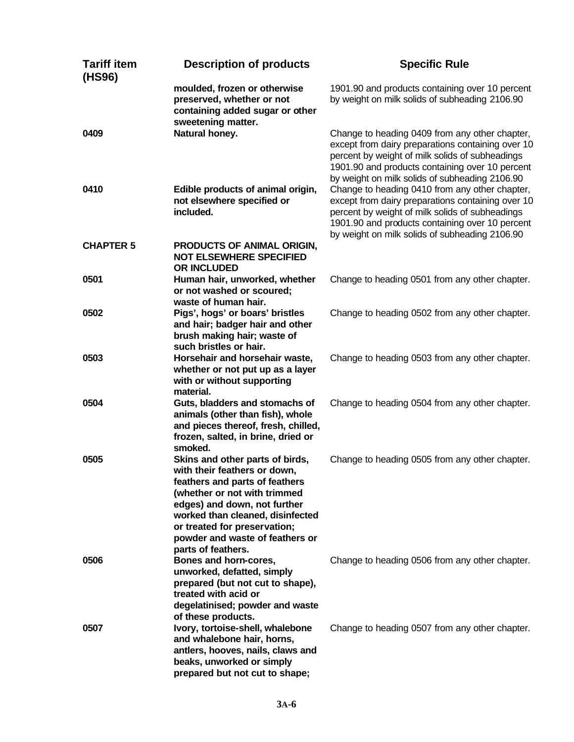| <b>Tariff item</b><br>(HS96) | <b>Description of products</b>                                                                                                                                                                                                                                                                 | <b>Specific Rule</b>                                                                                                                                                                                                                                        |
|------------------------------|------------------------------------------------------------------------------------------------------------------------------------------------------------------------------------------------------------------------------------------------------------------------------------------------|-------------------------------------------------------------------------------------------------------------------------------------------------------------------------------------------------------------------------------------------------------------|
|                              | moulded, frozen or otherwise<br>preserved, whether or not<br>containing added sugar or other<br>sweetening matter.                                                                                                                                                                             | 1901.90 and products containing over 10 percent<br>by weight on milk solids of subheading 2106.90                                                                                                                                                           |
| 0409                         | Natural honey.                                                                                                                                                                                                                                                                                 | Change to heading 0409 from any other chapter,<br>except from dairy preparations containing over 10<br>percent by weight of milk solids of subheadings<br>1901.90 and products containing over 10 percent<br>by weight on milk solids of subheading 2106.90 |
| 0410                         | Edible products of animal origin,<br>not elsewhere specified or<br>included.                                                                                                                                                                                                                   | Change to heading 0410 from any other chapter,<br>except from dairy preparations containing over 10<br>percent by weight of milk solids of subheadings<br>1901.90 and products containing over 10 percent<br>by weight on milk solids of subheading 2106.90 |
| <b>CHAPTER 5</b>             | PRODUCTS OF ANIMAL ORIGIN,<br><b>NOT ELSEWHERE SPECIFIED</b><br><b>OR INCLUDED</b>                                                                                                                                                                                                             |                                                                                                                                                                                                                                                             |
| 0501                         | Human hair, unworked, whether<br>or not washed or scoured;<br>waste of human hair.                                                                                                                                                                                                             | Change to heading 0501 from any other chapter.                                                                                                                                                                                                              |
| 0502                         | Pigs', hogs' or boars' bristles<br>and hair; badger hair and other<br>brush making hair; waste of<br>such bristles or hair.                                                                                                                                                                    | Change to heading 0502 from any other chapter.                                                                                                                                                                                                              |
| 0503                         | Horsehair and horsehair waste,<br>whether or not put up as a layer<br>with or without supporting<br>material.                                                                                                                                                                                  | Change to heading 0503 from any other chapter.                                                                                                                                                                                                              |
| 0504                         | Guts, bladders and stomachs of<br>animals (other than fish), whole<br>and pieces thereof, fresh, chilled,<br>frozen, salted, in brine, dried or<br>smoked.                                                                                                                                     | Change to heading 0504 from any other chapter.                                                                                                                                                                                                              |
| 0505                         | Skins and other parts of birds,<br>with their feathers or down,<br>feathers and parts of feathers<br>(whether or not with trimmed<br>edges) and down, not further<br>worked than cleaned, disinfected<br>or treated for preservation;<br>powder and waste of feathers or<br>parts of feathers. | Change to heading 0505 from any other chapter.                                                                                                                                                                                                              |
| 0506                         | Bones and horn-cores,<br>unworked, defatted, simply<br>prepared (but not cut to shape),<br>treated with acid or<br>degelatinised; powder and waste<br>of these products.                                                                                                                       | Change to heading 0506 from any other chapter.                                                                                                                                                                                                              |
| 0507                         | Ivory, tortoise-shell, whalebone<br>and whalebone hair, horns,<br>antlers, hooves, nails, claws and<br>beaks, unworked or simply<br>prepared but not cut to shape;                                                                                                                             | Change to heading 0507 from any other chapter.                                                                                                                                                                                                              |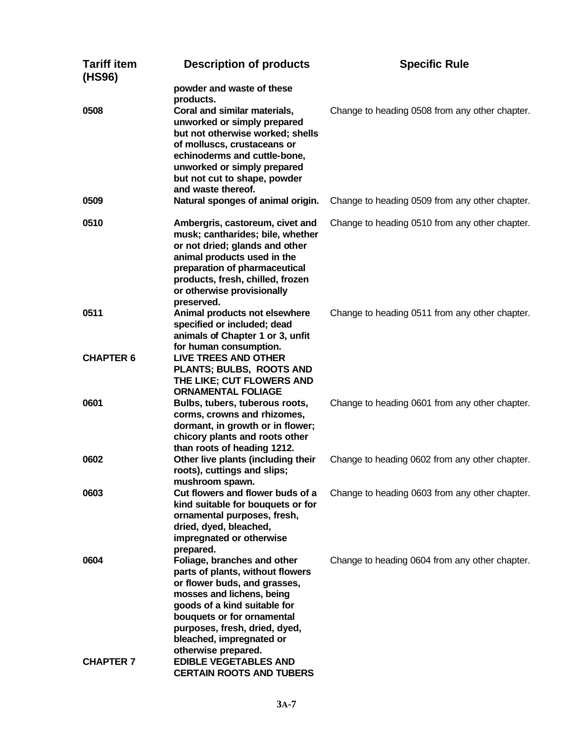| <b>Tariff item</b><br>(HS96) | <b>Description of products</b>                                                                                                                                                                                                                                                                                                                    | <b>Specific Rule</b>                           |
|------------------------------|---------------------------------------------------------------------------------------------------------------------------------------------------------------------------------------------------------------------------------------------------------------------------------------------------------------------------------------------------|------------------------------------------------|
| 0508                         | powder and waste of these<br>products.<br>Coral and similar materials,<br>unworked or simply prepared<br>but not otherwise worked; shells<br>of molluscs, crustaceans or<br>echinoderms and cuttle-bone,<br>unworked or simply prepared<br>but not cut to shape, powder<br>and waste thereof.                                                     | Change to heading 0508 from any other chapter. |
| 0509                         | Natural sponges of animal origin.                                                                                                                                                                                                                                                                                                                 | Change to heading 0509 from any other chapter. |
| 0510                         | Ambergris, castoreum, civet and<br>musk; cantharides; bile, whether<br>or not dried; glands and other<br>animal products used in the<br>preparation of pharmaceutical<br>products, fresh, chilled, frozen<br>or otherwise provisionally<br>preserved.                                                                                             | Change to heading 0510 from any other chapter. |
| 0511<br><b>CHAPTER 6</b>     | Animal products not elsewhere<br>specified or included; dead<br>animals of Chapter 1 or 3, unfit<br>for human consumption.<br><b>LIVE TREES AND OTHER</b>                                                                                                                                                                                         | Change to heading 0511 from any other chapter. |
|                              | PLANTS; BULBS, ROOTS AND<br>THE LIKE; CUT FLOWERS AND                                                                                                                                                                                                                                                                                             |                                                |
| 0601                         | <b>ORNAMENTAL FOLIAGE</b><br>Bulbs, tubers, tuberous roots,<br>corms, crowns and rhizomes,<br>dormant, in growth or in flower;<br>chicory plants and roots other<br>than roots of heading 1212.                                                                                                                                                   | Change to heading 0601 from any other chapter. |
| 0602                         | Other live plants (including their<br>roots), cuttings and slips;<br>mushroom spawn.                                                                                                                                                                                                                                                              | Change to heading 0602 from any other chapter. |
| 0603                         | Cut flowers and flower buds of a<br>kind suitable for bouquets or for<br>ornamental purposes, fresh,<br>dried, dyed, bleached,<br>impregnated or otherwise<br>prepared.                                                                                                                                                                           | Change to heading 0603 from any other chapter. |
| 0604<br><b>CHAPTER 7</b>     | Foliage, branches and other<br>parts of plants, without flowers<br>or flower buds, and grasses,<br>mosses and lichens, being<br>goods of a kind suitable for<br>bouquets or for ornamental<br>purposes, fresh, dried, dyed,<br>bleached, impregnated or<br>otherwise prepared.<br><b>EDIBLE VEGETABLES AND</b><br><b>CERTAIN ROOTS AND TUBERS</b> | Change to heading 0604 from any other chapter. |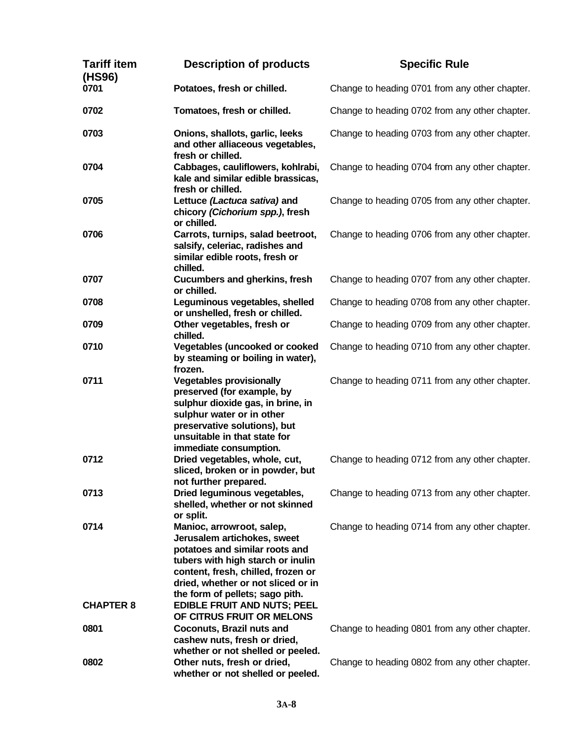| <b>Tariff item</b><br>(HS96) | <b>Description of products</b>                                                                                                                                                                                                                                                       | <b>Specific Rule</b>                           |
|------------------------------|--------------------------------------------------------------------------------------------------------------------------------------------------------------------------------------------------------------------------------------------------------------------------------------|------------------------------------------------|
| 0701                         | Potatoes, fresh or chilled.                                                                                                                                                                                                                                                          | Change to heading 0701 from any other chapter. |
| 0702                         | Tomatoes, fresh or chilled.                                                                                                                                                                                                                                                          | Change to heading 0702 from any other chapter. |
| 0703                         | Onions, shallots, garlic, leeks<br>and other alliaceous vegetables,<br>fresh or chilled.                                                                                                                                                                                             | Change to heading 0703 from any other chapter. |
| 0704                         | Cabbages, cauliflowers, kohlrabi,<br>kale and similar edible brassicas,<br>fresh or chilled.                                                                                                                                                                                         | Change to heading 0704 from any other chapter. |
| 0705                         | Lettuce (Lactuca sativa) and<br>chicory (Cichorium spp.), fresh<br>or chilled.                                                                                                                                                                                                       | Change to heading 0705 from any other chapter. |
| 0706                         | Carrots, turnips, salad beetroot,<br>salsify, celeriac, radishes and<br>similar edible roots, fresh or<br>chilled.                                                                                                                                                                   | Change to heading 0706 from any other chapter. |
| 0707                         | <b>Cucumbers and gherkins, fresh</b><br>or chilled.                                                                                                                                                                                                                                  | Change to heading 0707 from any other chapter. |
| 0708                         | Leguminous vegetables, shelled<br>or unshelled, fresh or chilled.                                                                                                                                                                                                                    | Change to heading 0708 from any other chapter. |
| 0709                         | Other vegetables, fresh or<br>chilled.                                                                                                                                                                                                                                               | Change to heading 0709 from any other chapter. |
| 0710                         | <b>Vegetables (uncooked or cooked</b><br>by steaming or boiling in water),<br>frozen.                                                                                                                                                                                                | Change to heading 0710 from any other chapter. |
| 0711                         | <b>Vegetables provisionally</b><br>preserved (for example, by<br>sulphur dioxide gas, in brine, in<br>sulphur water or in other<br>preservative solutions), but<br>unsuitable in that state for<br>immediate consumption.                                                            | Change to heading 0711 from any other chapter. |
| 0712                         | Dried vegetables, whole, cut,<br>sliced, broken or in powder, but<br>not further prepared.                                                                                                                                                                                           | Change to heading 0712 from any other chapter. |
| 0713                         | Dried leguminous vegetables,<br>shelled, whether or not skinned<br>or split.                                                                                                                                                                                                         | Change to heading 0713 from any other chapter. |
| 0714<br><b>CHAPTER 8</b>     | Manioc, arrowroot, salep,<br>Jerusalem artichokes, sweet<br>potatoes and similar roots and<br>tubers with high starch or inulin<br>content, fresh, chilled, frozen or<br>dried, whether or not sliced or in<br>the form of pellets; sago pith.<br><b>EDIBLE FRUIT AND NUTS; PEEL</b> | Change to heading 0714 from any other chapter. |
| 0801                         | OF CITRUS FRUIT OR MELONS<br><b>Coconuts, Brazil nuts and</b><br>cashew nuts, fresh or dried,                                                                                                                                                                                        | Change to heading 0801 from any other chapter. |
| 0802                         | whether or not shelled or peeled.<br>Other nuts, fresh or dried,<br>whether or not shelled or peeled.                                                                                                                                                                                | Change to heading 0802 from any other chapter. |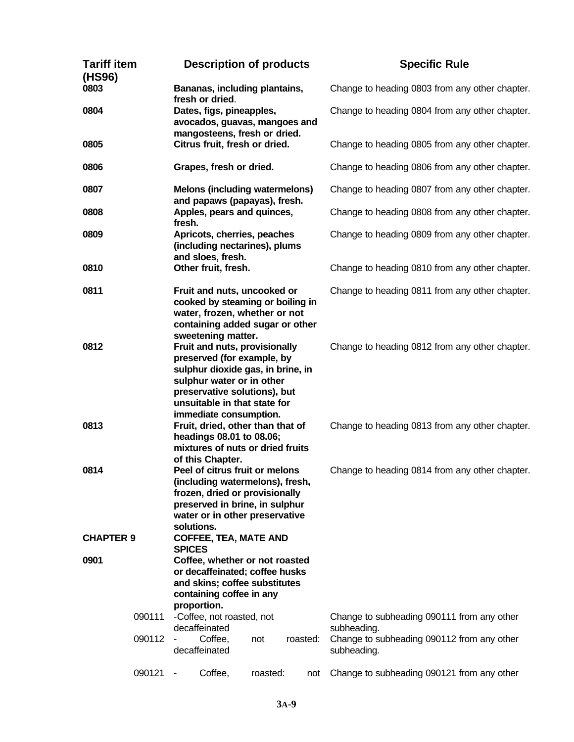| <b>Tariff item</b><br>(HS96) |        | <b>Description of products</b>                                                                                                                                                                            |                                                                                                                                                                                               |          | <b>Specific Rule</b>                           |                                                           |
|------------------------------|--------|-----------------------------------------------------------------------------------------------------------------------------------------------------------------------------------------------------------|-----------------------------------------------------------------------------------------------------------------------------------------------------------------------------------------------|----------|------------------------------------------------|-----------------------------------------------------------|
| 0803                         |        | Bananas, including plantains,<br>fresh or dried.                                                                                                                                                          |                                                                                                                                                                                               |          | Change to heading 0803 from any other chapter. |                                                           |
| 0804                         |        | Dates, figs, pineapples,<br>avocados, guavas, mangoes and<br>mangosteens, fresh or dried.                                                                                                                 |                                                                                                                                                                                               |          | Change to heading 0804 from any other chapter. |                                                           |
| 0805                         |        |                                                                                                                                                                                                           | Citrus fruit, fresh or dried.                                                                                                                                                                 |          |                                                | Change to heading 0805 from any other chapter.            |
| 0806                         |        |                                                                                                                                                                                                           | Grapes, fresh or dried.                                                                                                                                                                       |          |                                                | Change to heading 0806 from any other chapter.            |
| 0807                         |        |                                                                                                                                                                                                           | <b>Melons (including watermelons)</b><br>and papaws (papayas), fresh.                                                                                                                         |          |                                                | Change to heading 0807 from any other chapter.            |
| 0808                         |        | fresh.                                                                                                                                                                                                    | Apples, pears and quinces,                                                                                                                                                                    |          |                                                | Change to heading 0808 from any other chapter.            |
| 0809                         |        |                                                                                                                                                                                                           | Apricots, cherries, peaches<br>(including nectarines), plums<br>and sloes, fresh.                                                                                                             |          |                                                | Change to heading 0809 from any other chapter.            |
| 0810                         |        |                                                                                                                                                                                                           | Other fruit, fresh.                                                                                                                                                                           |          |                                                | Change to heading 0810 from any other chapter.            |
| 0811                         |        |                                                                                                                                                                                                           | Fruit and nuts, uncooked or<br>cooked by steaming or boiling in<br>water, frozen, whether or not<br>containing added sugar or other<br>sweetening matter.                                     |          |                                                | Change to heading 0811 from any other chapter.            |
| 0812                         |        |                                                                                                                                                                                                           | Fruit and nuts, provisionally<br>preserved (for example, by<br>sulphur dioxide gas, in brine, in<br>sulphur water or in other<br>preservative solutions), but<br>unsuitable in that state for |          |                                                | Change to heading 0812 from any other chapter.            |
| 0813                         |        | immediate consumption.<br>Fruit, dried, other than that of<br>headings 08.01 to 08.06;<br>mixtures of nuts or dried fruits                                                                                |                                                                                                                                                                                               |          | Change to heading 0813 from any other chapter. |                                                           |
| 0814                         |        | of this Chapter.<br>Peel of citrus fruit or melons<br>(including watermelons), fresh,<br>frozen, dried or provisionally<br>preserved in brine, in sulphur<br>water or in other preservative<br>solutions. |                                                                                                                                                                                               |          | Change to heading 0814 from any other chapter. |                                                           |
| <b>CHAPTER 9</b>             |        | <b>SPICES</b>                                                                                                                                                                                             | <b>COFFEE, TEA, MATE AND</b>                                                                                                                                                                  |          |                                                |                                                           |
| 0901                         |        |                                                                                                                                                                                                           | Coffee, whether or not roasted<br>or decaffeinated; coffee husks<br>and skins; coffee substitutes<br>containing coffee in any<br>proportion.                                                  |          |                                                |                                                           |
|                              | 090111 |                                                                                                                                                                                                           | -Coffee, not roasted, not<br>decaffeinated                                                                                                                                                    |          |                                                | Change to subheading 090111 from any other<br>subheading. |
|                              | 090112 |                                                                                                                                                                                                           | Coffee,<br>decaffeinated                                                                                                                                                                      | not      | roasted:                                       | Change to subheading 090112 from any other<br>subheading. |
|                              | 090121 |                                                                                                                                                                                                           | Coffee,                                                                                                                                                                                       | roasted: | not                                            | Change to subheading 090121 from any other                |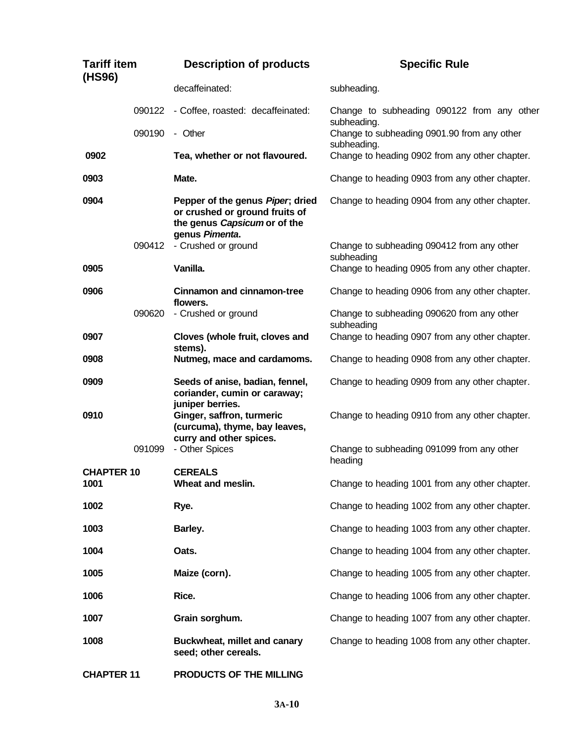| <b>Tariff item</b><br>(HS96) |        | <b>Description of products</b>                                                                                       | <b>Specific Rule</b>                                       |  |
|------------------------------|--------|----------------------------------------------------------------------------------------------------------------------|------------------------------------------------------------|--|
|                              |        | decaffeinated:                                                                                                       | subheading.                                                |  |
|                              | 090122 | - Coffee, roasted: decaffeinated:                                                                                    | Change to subheading 090122 from any other<br>subheading.  |  |
|                              | 090190 | - Other                                                                                                              | Change to subheading 0901.90 from any other<br>subheading. |  |
| 0902                         |        | Tea, whether or not flavoured.                                                                                       | Change to heading 0902 from any other chapter.             |  |
| 0903                         |        | Mate.                                                                                                                | Change to heading 0903 from any other chapter.             |  |
| 0904                         |        | Pepper of the genus Piper; dried<br>or crushed or ground fruits of<br>the genus Capsicum or of the<br>genus Pimenta. | Change to heading 0904 from any other chapter.             |  |
|                              | 090412 | - Crushed or ground                                                                                                  | Change to subheading 090412 from any other<br>subheading   |  |
| 0905                         |        | Vanilla.                                                                                                             | Change to heading 0905 from any other chapter.             |  |
| 0906                         |        | <b>Cinnamon and cinnamon-tree</b><br>flowers.                                                                        | Change to heading 0906 from any other chapter.             |  |
|                              | 090620 | - Crushed or ground                                                                                                  | Change to subheading 090620 from any other<br>subheading   |  |
| 0907                         |        | Cloves (whole fruit, cloves and<br>stems).                                                                           | Change to heading 0907 from any other chapter.             |  |
| 0908                         |        | Nutmeg, mace and cardamoms.                                                                                          | Change to heading 0908 from any other chapter.             |  |
| 0909                         |        | Seeds of anise, badian, fennel,<br>coriander, cumin or caraway;<br>juniper berries.                                  | Change to heading 0909 from any other chapter.             |  |
| 0910                         |        | Ginger, saffron, turmeric<br>(curcuma), thyme, bay leaves,<br>curry and other spices.                                | Change to heading 0910 from any other chapter.             |  |
|                              | 091099 | - Other Spices                                                                                                       | Change to subheading 091099 from any other<br>heading      |  |
| <b>CHAPTER 10</b><br>1001    |        | <b>CEREALS</b><br>Wheat and meslin.                                                                                  | Change to heading 1001 from any other chapter.             |  |
| 1002                         |        | Rye.                                                                                                                 | Change to heading 1002 from any other chapter.             |  |
| 1003                         |        | Barley.                                                                                                              | Change to heading 1003 from any other chapter.             |  |
| 1004                         |        | Oats.                                                                                                                | Change to heading 1004 from any other chapter.             |  |
| 1005                         |        | Maize (corn).                                                                                                        | Change to heading 1005 from any other chapter.             |  |
| 1006                         |        | Rice.                                                                                                                | Change to heading 1006 from any other chapter.             |  |
| 1007                         |        | Grain sorghum.                                                                                                       | Change to heading 1007 from any other chapter.             |  |
| 1008                         |        | Buckwheat, millet and canary<br>seed; other cereals.                                                                 | Change to heading 1008 from any other chapter.             |  |
| <b>CHAPTER 11</b>            |        | PRODUCTS OF THE MILLING                                                                                              |                                                            |  |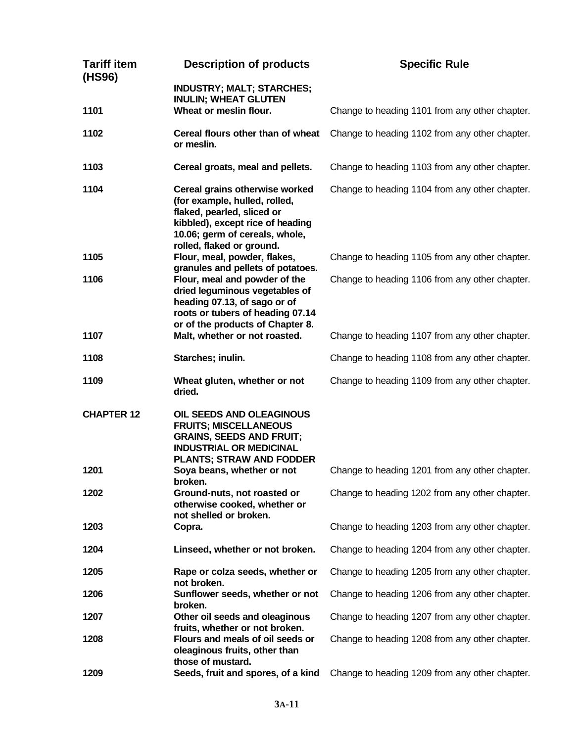| <b>Tariff item</b><br>(HS96) | <b>Description of products</b>                                                                                                                                                                   | <b>Specific Rule</b>                           |
|------------------------------|--------------------------------------------------------------------------------------------------------------------------------------------------------------------------------------------------|------------------------------------------------|
|                              | <b>INDUSTRY; MALT; STARCHES;</b><br><b>INULIN; WHEAT GLUTEN</b>                                                                                                                                  |                                                |
| 1101                         | Wheat or meslin flour.                                                                                                                                                                           | Change to heading 1101 from any other chapter. |
| 1102                         | Cereal flours other than of wheat<br>or meslin.                                                                                                                                                  | Change to heading 1102 from any other chapter. |
| 1103                         | Cereal groats, meal and pellets.                                                                                                                                                                 | Change to heading 1103 from any other chapter. |
| 1104                         | Cereal grains otherwise worked<br>(for example, hulled, rolled,<br>flaked, pearled, sliced or<br>kibbled), except rice of heading<br>10.06; germ of cereals, whole,<br>rolled, flaked or ground. | Change to heading 1104 from any other chapter. |
| 1105                         | Flour, meal, powder, flakes,<br>granules and pellets of potatoes.                                                                                                                                | Change to heading 1105 from any other chapter. |
| 1106                         | Flour, meal and powder of the<br>dried leguminous vegetables of<br>heading 07.13, of sago or of<br>roots or tubers of heading 07.14                                                              | Change to heading 1106 from any other chapter. |
| 1107                         | or of the products of Chapter 8.<br>Malt, whether or not roasted.                                                                                                                                | Change to heading 1107 from any other chapter. |
| 1108                         | Starches; inulin.                                                                                                                                                                                | Change to heading 1108 from any other chapter. |
| 1109                         | Wheat gluten, whether or not<br>dried.                                                                                                                                                           | Change to heading 1109 from any other chapter. |
| <b>CHAPTER 12</b>            | OIL SEEDS AND OLEAGINOUS<br><b>FRUITS; MISCELLANEOUS</b><br><b>GRAINS, SEEDS AND FRUIT;</b><br><b>INDUSTRIAL OR MEDICINAL</b><br><b>PLANTS; STRAW AND FODDER</b>                                 |                                                |
| 1201                         | Soya beans, whether or not<br>broken.                                                                                                                                                            | Change to heading 1201 from any other chapter. |
| 1202                         | Ground-nuts, not roasted or<br>otherwise cooked, whether or<br>not shelled or broken.                                                                                                            | Change to heading 1202 from any other chapter. |
| 1203                         | Copra.                                                                                                                                                                                           | Change to heading 1203 from any other chapter. |
| 1204                         | Linseed, whether or not broken.                                                                                                                                                                  | Change to heading 1204 from any other chapter. |
| 1205                         | Rape or colza seeds, whether or<br>not broken.                                                                                                                                                   | Change to heading 1205 from any other chapter. |
| 1206                         | Sunflower seeds, whether or not<br>broken.                                                                                                                                                       | Change to heading 1206 from any other chapter. |
| 1207                         | Other oil seeds and oleaginous<br>fruits, whether or not broken.                                                                                                                                 | Change to heading 1207 from any other chapter. |
| 1208                         | Flours and meals of oil seeds or<br>oleaginous fruits, other than<br>those of mustard.                                                                                                           | Change to heading 1208 from any other chapter. |
| 1209                         | Seeds, fruit and spores, of a kind                                                                                                                                                               | Change to heading 1209 from any other chapter. |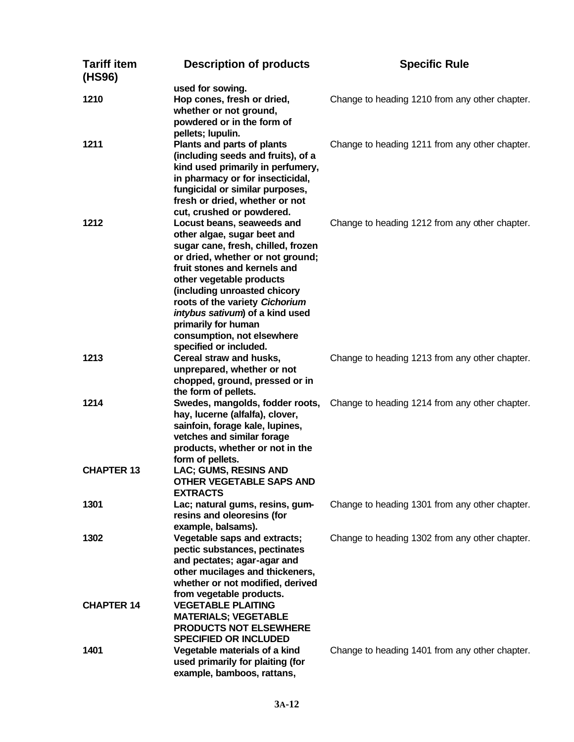| <b>Tariff item</b><br>(HS96) | <b>Description of products</b>                                                                                                                                                                                                                                                                                                                                                      | <b>Specific Rule</b>                           |
|------------------------------|-------------------------------------------------------------------------------------------------------------------------------------------------------------------------------------------------------------------------------------------------------------------------------------------------------------------------------------------------------------------------------------|------------------------------------------------|
| 1210                         | used for sowing.<br>Hop cones, fresh or dried,<br>whether or not ground,<br>powdered or in the form of<br>pellets; lupulin.                                                                                                                                                                                                                                                         | Change to heading 1210 from any other chapter. |
| 1211                         | Plants and parts of plants<br>(including seeds and fruits), of a<br>kind used primarily in perfumery,<br>in pharmacy or for insecticidal,<br>fungicidal or similar purposes,<br>fresh or dried, whether or not<br>cut, crushed or powdered.                                                                                                                                         | Change to heading 1211 from any other chapter. |
| 1212                         | Locust beans, seaweeds and<br>other algae, sugar beet and<br>sugar cane, fresh, chilled, frozen<br>or dried, whether or not ground;<br>fruit stones and kernels and<br>other vegetable products<br>(including unroasted chicory<br>roots of the variety Cichorium<br>intybus sativum) of a kind used<br>primarily for human<br>consumption, not elsewhere<br>specified or included. | Change to heading 1212 from any other chapter. |
| 1213                         | Cereal straw and husks,<br>unprepared, whether or not<br>chopped, ground, pressed or in<br>the form of pellets.                                                                                                                                                                                                                                                                     | Change to heading 1213 from any other chapter. |
| 1214                         | Swedes, mangolds, fodder roots,<br>hay, lucerne (alfalfa), clover,<br>sainfoin, forage kale, lupines,<br>vetches and similar forage<br>products, whether or not in the<br>form of pellets.                                                                                                                                                                                          | Change to heading 1214 from any other chapter. |
| <b>CHAPTER 13</b>            | LAC; GUMS, RESINS AND<br><b>OTHER VEGETABLE SAPS AND</b><br><b>EXTRACTS</b>                                                                                                                                                                                                                                                                                                         |                                                |
| 1301                         | Lac; natural gums, resins, gum-<br>resins and oleoresins (for<br>example, balsams).                                                                                                                                                                                                                                                                                                 | Change to heading 1301 from any other chapter. |
| 1302                         | Vegetable saps and extracts;<br>pectic substances, pectinates<br>and pectates; agar-agar and<br>other mucilages and thickeners,<br>whether or not modified, derived<br>from vegetable products.                                                                                                                                                                                     | Change to heading 1302 from any other chapter. |
| <b>CHAPTER 14</b>            | <b>VEGETABLE PLAITING</b><br><b>MATERIALS; VEGETABLE</b><br><b>PRODUCTS NOT ELSEWHERE</b><br><b>SPECIFIED OR INCLUDED</b>                                                                                                                                                                                                                                                           |                                                |
| 1401                         | Vegetable materials of a kind<br>used primarily for plaiting (for<br>example, bamboos, rattans,                                                                                                                                                                                                                                                                                     | Change to heading 1401 from any other chapter. |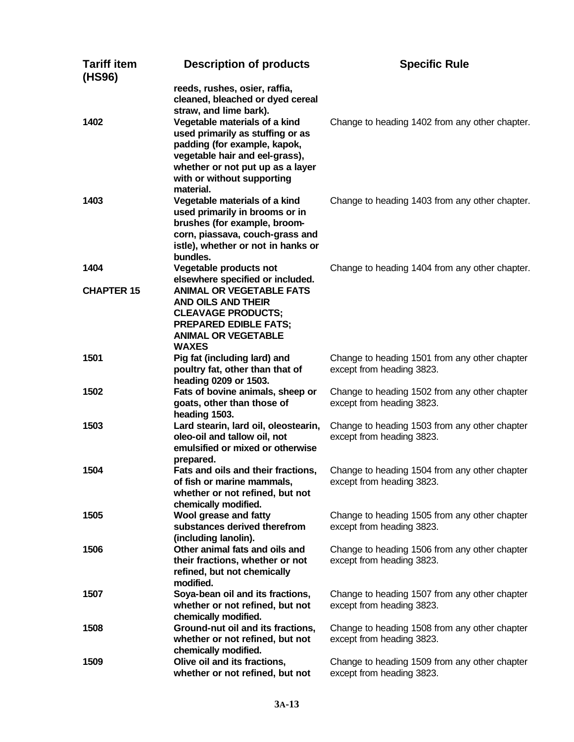| <b>Tariff item</b><br>(HS96) | <b>Description of products</b>                                                                                                                                           | <b>Specific Rule</b>                                                       |
|------------------------------|--------------------------------------------------------------------------------------------------------------------------------------------------------------------------|----------------------------------------------------------------------------|
|                              | reeds, rushes, osier, raffia,<br>cleaned, bleached or dyed cereal<br>straw, and lime bark).                                                                              |                                                                            |
| 1402                         | Vegetable materials of a kind<br>used primarily as stuffing or as<br>padding (for example, kapok,<br>vegetable hair and eel-grass),<br>whether or not put up as a layer  | Change to heading 1402 from any other chapter.                             |
|                              | with or without supporting<br>material.                                                                                                                                  |                                                                            |
| 1403                         | Vegetable materials of a kind<br>used primarily in brooms or in<br>brushes (for example, broom-<br>corn, piassava, couch-grass and<br>istle), whether or not in hanks or | Change to heading 1403 from any other chapter.                             |
| 1404                         | bundles.<br>Vegetable products not                                                                                                                                       | Change to heading 1404 from any other chapter.                             |
| <b>CHAPTER 15</b>            | elsewhere specified or included.<br><b>ANIMAL OR VEGETABLE FATS</b><br>AND OILS AND THEIR                                                                                |                                                                            |
|                              | <b>CLEAVAGE PRODUCTS;</b><br><b>PREPARED EDIBLE FATS;</b><br><b>ANIMAL OR VEGETABLE</b><br><b>WAXES</b>                                                                  |                                                                            |
| 1501                         | Pig fat (including lard) and<br>poultry fat, other than that of<br>heading 0209 or 1503.                                                                                 | Change to heading 1501 from any other chapter<br>except from heading 3823. |
| 1502                         | Fats of bovine animals, sheep or<br>goats, other than those of                                                                                                           | Change to heading 1502 from any other chapter<br>except from heading 3823. |
| 1503                         | heading 1503.<br>Lard stearin, lard oil, oleostearin,<br>oleo-oil and tallow oil, not<br>emulsified or mixed or otherwise<br>prepared.                                   | Change to heading 1503 from any other chapter<br>except from heading 3823. |
| 1504                         | Fats and oils and their fractions,<br>of fish or marine mammals,<br>whether or not refined, but not<br>chemically modified.                                              | Change to heading 1504 from any other chapter<br>except from heading 3823. |
| 1505                         | Wool grease and fatty<br>substances derived therefrom<br>(including lanolin).                                                                                            | Change to heading 1505 from any other chapter<br>except from heading 3823. |
| 1506                         | Other animal fats and oils and<br>their fractions, whether or not<br>refined, but not chemically<br>modified.                                                            | Change to heading 1506 from any other chapter<br>except from heading 3823. |
| 1507                         | Soya-bean oil and its fractions,<br>whether or not refined, but not<br>chemically modified.                                                                              | Change to heading 1507 from any other chapter<br>except from heading 3823. |
| 1508                         | Ground-nut oil and its fractions,<br>whether or not refined, but not<br>chemically modified.                                                                             | Change to heading 1508 from any other chapter<br>except from heading 3823. |
| 1509                         | Olive oil and its fractions,<br>whether or not refined, but not                                                                                                          | Change to heading 1509 from any other chapter<br>except from heading 3823. |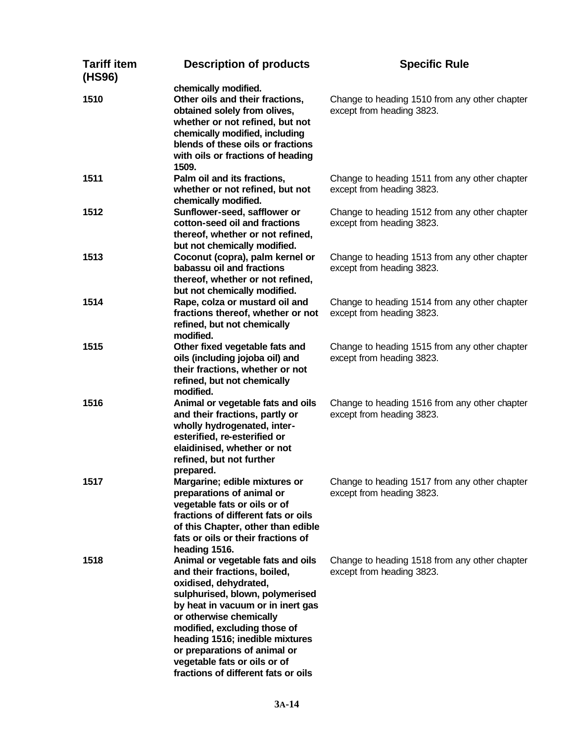| <b>Tariff item</b><br>(HS96) | <b>Description of products</b>                                                                                                                                                                                                                                                                                                                                          | <b>Specific Rule</b>                                                       |
|------------------------------|-------------------------------------------------------------------------------------------------------------------------------------------------------------------------------------------------------------------------------------------------------------------------------------------------------------------------------------------------------------------------|----------------------------------------------------------------------------|
| 1510                         | chemically modified.<br>Other oils and their fractions,<br>obtained solely from olives,<br>whether or not refined, but not<br>chemically modified, including<br>blends of these oils or fractions<br>with oils or fractions of heading<br>1509.                                                                                                                         | Change to heading 1510 from any other chapter<br>except from heading 3823. |
| 1511                         | Palm oil and its fractions,<br>whether or not refined, but not<br>chemically modified.                                                                                                                                                                                                                                                                                  | Change to heading 1511 from any other chapter<br>except from heading 3823. |
| 1512                         | Sunflower-seed, safflower or<br>cotton-seed oil and fractions<br>thereof, whether or not refined,<br>but not chemically modified.                                                                                                                                                                                                                                       | Change to heading 1512 from any other chapter<br>except from heading 3823. |
| 1513                         | Coconut (copra), palm kernel or<br>babassu oil and fractions<br>thereof, whether or not refined,<br>but not chemically modified.                                                                                                                                                                                                                                        | Change to heading 1513 from any other chapter<br>except from heading 3823. |
| 1514                         | Rape, colza or mustard oil and<br>fractions thereof, whether or not<br>refined, but not chemically<br>modified.                                                                                                                                                                                                                                                         | Change to heading 1514 from any other chapter<br>except from heading 3823. |
| 1515                         | Other fixed vegetable fats and<br>oils (including jojoba oil) and<br>their fractions, whether or not<br>refined, but not chemically<br>modified.                                                                                                                                                                                                                        | Change to heading 1515 from any other chapter<br>except from heading 3823. |
| 1516                         | Animal or vegetable fats and oils<br>and their fractions, partly or<br>wholly hydrogenated, inter-<br>esterified, re-esterified or<br>elaidinised, whether or not<br>refined, but not further<br>prepared.                                                                                                                                                              | Change to heading 1516 from any other chapter<br>except from heading 3823. |
| 1517                         | Margarine; edible mixtures or<br>preparations of animal or<br>vegetable fats or oils or of<br>fractions of different fats or oils<br>of this Chapter, other than edible<br>fats or oils or their fractions of<br>heading 1516.                                                                                                                                          | Change to heading 1517 from any other chapter<br>except from heading 3823. |
| 1518                         | Animal or vegetable fats and oils<br>and their fractions, boiled,<br>oxidised, dehydrated,<br>sulphurised, blown, polymerised<br>by heat in vacuum or in inert gas<br>or otherwise chemically<br>modified, excluding those of<br>heading 1516; inedible mixtures<br>or preparations of animal or<br>vegetable fats or oils or of<br>fractions of different fats or oils | Change to heading 1518 from any other chapter<br>except from heading 3823. |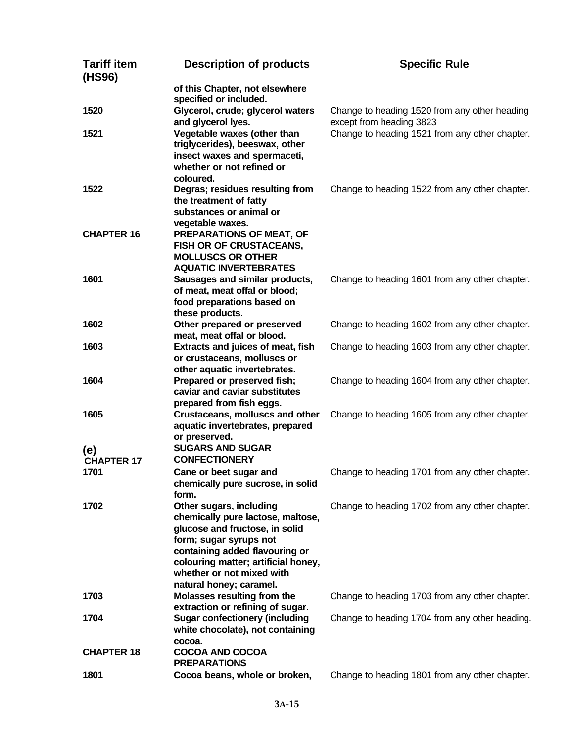| <b>Tariff item</b><br>(HS96) | <b>Description of products</b>                                            | <b>Specific Rule</b>                                                       |
|------------------------------|---------------------------------------------------------------------------|----------------------------------------------------------------------------|
|                              | of this Chapter, not elsewhere<br>specified or included.                  |                                                                            |
| 1520                         | Glycerol, crude; glycerol waters                                          | Change to heading 1520 from any other heading                              |
| 1521                         | and glycerol lyes.<br>Vegetable waxes (other than                         | except from heading 3823<br>Change to heading 1521 from any other chapter. |
|                              | triglycerides), beeswax, other                                            |                                                                            |
|                              | insect waxes and spermaceti,                                              |                                                                            |
|                              | whether or not refined or                                                 |                                                                            |
|                              | coloured.                                                                 |                                                                            |
| 1522                         | Degras; residues resulting from                                           | Change to heading 1522 from any other chapter.                             |
|                              | the treatment of fatty<br>substances or animal or                         |                                                                            |
|                              | vegetable waxes.                                                          |                                                                            |
| <b>CHAPTER 16</b>            | PREPARATIONS OF MEAT, OF                                                  |                                                                            |
|                              | <b>FISH OR OF CRUSTACEANS,</b>                                            |                                                                            |
|                              | <b>MOLLUSCS OR OTHER</b>                                                  |                                                                            |
|                              | <b>AQUATIC INVERTEBRATES</b>                                              |                                                                            |
| 1601                         | Sausages and similar products,<br>of meat, meat offal or blood;           | Change to heading 1601 from any other chapter.                             |
|                              | food preparations based on                                                |                                                                            |
|                              | these products.                                                           |                                                                            |
| 1602                         | Other prepared or preserved                                               | Change to heading 1602 from any other chapter.                             |
|                              | meat, meat offal or blood.                                                |                                                                            |
| 1603                         | Extracts and juices of meat, fish                                         | Change to heading 1603 from any other chapter.                             |
|                              | or crustaceans, molluscs or<br>other aquatic invertebrates.               |                                                                            |
| 1604                         | Prepared or preserved fish;                                               | Change to heading 1604 from any other chapter.                             |
|                              | caviar and caviar substitutes                                             |                                                                            |
|                              | prepared from fish eggs.                                                  |                                                                            |
| 1605                         | Crustaceans, molluscs and other                                           | Change to heading 1605 from any other chapter.                             |
|                              | aquatic invertebrates, prepared                                           |                                                                            |
|                              | or preserved.<br><b>SUGARS AND SUGAR</b>                                  |                                                                            |
| (e)<br><b>CHAPTER 17</b>     | <b>CONFECTIONERY</b>                                                      |                                                                            |
| 1701                         | Cane or beet sugar and                                                    | Change to heading 1701 from any other chapter.                             |
|                              | chemically pure sucrose, in solid                                         |                                                                            |
|                              | form.                                                                     |                                                                            |
| 1702                         | Other sugars, including                                                   | Change to heading 1702 from any other chapter.                             |
|                              | chemically pure lactose, maltose,                                         |                                                                            |
|                              | glucose and fructose, in solid<br>form; sugar syrups not                  |                                                                            |
|                              | containing added flavouring or                                            |                                                                            |
|                              | colouring matter; artificial honey,                                       |                                                                            |
|                              | whether or not mixed with                                                 |                                                                            |
|                              | natural honey; caramel.                                                   |                                                                            |
| 1703                         | Molasses resulting from the                                               | Change to heading 1703 from any other chapter.                             |
| 1704                         | extraction or refining of sugar.<br><b>Sugar confectionery (including</b> | Change to heading 1704 from any other heading.                             |
|                              | white chocolate), not containing                                          |                                                                            |
|                              | cocoa.                                                                    |                                                                            |
| <b>CHAPTER 18</b>            | <b>COCOA AND COCOA</b>                                                    |                                                                            |
|                              | <b>PREPARATIONS</b>                                                       |                                                                            |
| 1801                         | Cocoa beans, whole or broken,                                             | Change to heading 1801 from any other chapter.                             |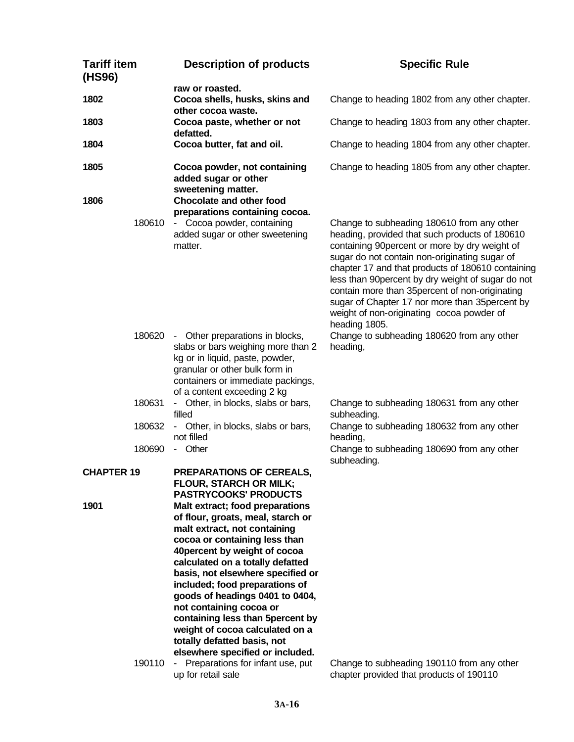| <b>Tariff item</b><br>(HS96) |        | <b>Description of products</b>                                                                                                                                                                                                                                                                                                                                                                                                                                                                                                | <b>Specific Rule</b>                                                                                                                                                                                                                                                                                                                                                                                                                                                         |
|------------------------------|--------|-------------------------------------------------------------------------------------------------------------------------------------------------------------------------------------------------------------------------------------------------------------------------------------------------------------------------------------------------------------------------------------------------------------------------------------------------------------------------------------------------------------------------------|------------------------------------------------------------------------------------------------------------------------------------------------------------------------------------------------------------------------------------------------------------------------------------------------------------------------------------------------------------------------------------------------------------------------------------------------------------------------------|
| 1802                         |        | raw or roasted.<br>Cocoa shells, husks, skins and<br>other cocoa waste.                                                                                                                                                                                                                                                                                                                                                                                                                                                       | Change to heading 1802 from any other chapter.                                                                                                                                                                                                                                                                                                                                                                                                                               |
| 1803                         |        | Cocoa paste, whether or not<br>defatted.                                                                                                                                                                                                                                                                                                                                                                                                                                                                                      | Change to heading 1803 from any other chapter.                                                                                                                                                                                                                                                                                                                                                                                                                               |
| 1804                         |        | Cocoa butter, fat and oil.                                                                                                                                                                                                                                                                                                                                                                                                                                                                                                    | Change to heading 1804 from any other chapter.                                                                                                                                                                                                                                                                                                                                                                                                                               |
| 1805                         |        | Cocoa powder, not containing<br>added sugar or other<br>sweetening matter.                                                                                                                                                                                                                                                                                                                                                                                                                                                    | Change to heading 1805 from any other chapter.                                                                                                                                                                                                                                                                                                                                                                                                                               |
| 1806                         | 180610 | Chocolate and other food<br>preparations containing cocoa.<br>- Cocoa powder, containing<br>added sugar or other sweetening<br>matter.                                                                                                                                                                                                                                                                                                                                                                                        | Change to subheading 180610 from any other<br>heading, provided that such products of 180610<br>containing 90percent or more by dry weight of<br>sugar do not contain non-originating sugar of<br>chapter 17 and that products of 180610 containing<br>less than 90percent by dry weight of sugar do not<br>contain more than 35 percent of non-originating<br>sugar of Chapter 17 nor more than 35 percent by<br>weight of non-originating cocoa powder of<br>heading 1805. |
|                              |        | 180620 - Other preparations in blocks,<br>slabs or bars weighing more than 2<br>kg or in liquid, paste, powder,<br>granular or other bulk form in<br>containers or immediate packings,<br>of a content exceeding 2 kg                                                                                                                                                                                                                                                                                                         | Change to subheading 180620 from any other<br>heading,                                                                                                                                                                                                                                                                                                                                                                                                                       |
|                              | 180631 | - Other, in blocks, slabs or bars,<br>filled                                                                                                                                                                                                                                                                                                                                                                                                                                                                                  | Change to subheading 180631 from any other<br>subheading.                                                                                                                                                                                                                                                                                                                                                                                                                    |
|                              | 180632 | - Other, in blocks, slabs or bars,<br>not filled                                                                                                                                                                                                                                                                                                                                                                                                                                                                              | Change to subheading 180632 from any other<br>heading,                                                                                                                                                                                                                                                                                                                                                                                                                       |
|                              | 180690 | - Other                                                                                                                                                                                                                                                                                                                                                                                                                                                                                                                       | Change to subheading 180690 from any other<br>subheading.                                                                                                                                                                                                                                                                                                                                                                                                                    |
| <b>CHAPTER 19</b>            |        | PREPARATIONS OF CEREALS,<br><b>FLOUR, STARCH OR MILK;</b><br><b>PASTRYCOOKS' PRODUCTS</b>                                                                                                                                                                                                                                                                                                                                                                                                                                     |                                                                                                                                                                                                                                                                                                                                                                                                                                                                              |
| 1901                         | 190110 | Malt extract; food preparations<br>of flour, groats, meal, starch or<br>malt extract, not containing<br>cocoa or containing less than<br>40 percent by weight of cocoa<br>calculated on a totally defatted<br>basis, not elsewhere specified or<br>included; food preparations of<br>goods of headings 0401 to 0404,<br>not containing cocoa or<br>containing less than 5percent by<br>weight of cocoa calculated on a<br>totally defatted basis, not<br>elsewhere specified or included.<br>Preparations for infant use, put | Change to subheading 190110 from any other                                                                                                                                                                                                                                                                                                                                                                                                                                   |
|                              |        | up for retail sale                                                                                                                                                                                                                                                                                                                                                                                                                                                                                                            | chapter provided that products of 190110                                                                                                                                                                                                                                                                                                                                                                                                                                     |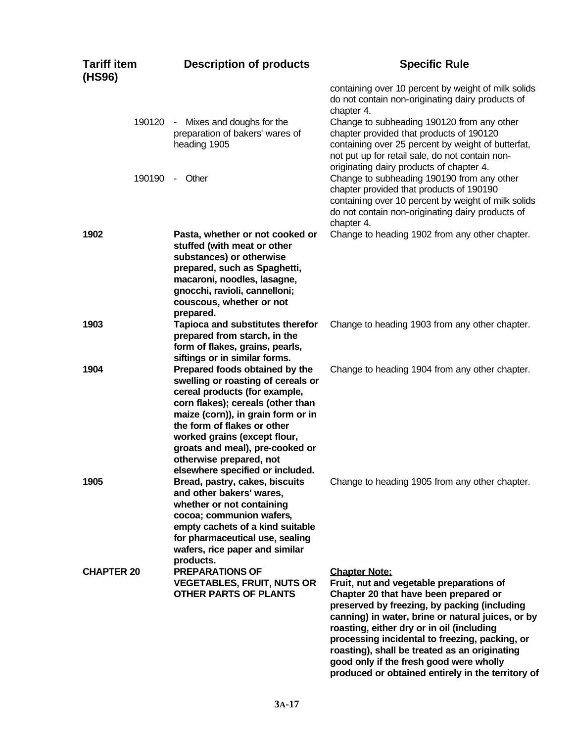| <b>Tariff item</b><br>(HS96) | <b>Description of products</b>                                                                                                                                                                                                                                                                                                                    | <b>Specific Rule</b>                                                                                                                                                                                                                                                                                                                                                                                                                                           |
|------------------------------|---------------------------------------------------------------------------------------------------------------------------------------------------------------------------------------------------------------------------------------------------------------------------------------------------------------------------------------------------|----------------------------------------------------------------------------------------------------------------------------------------------------------------------------------------------------------------------------------------------------------------------------------------------------------------------------------------------------------------------------------------------------------------------------------------------------------------|
|                              |                                                                                                                                                                                                                                                                                                                                                   | containing over 10 percent by weight of milk solids<br>do not contain non-originating dairy products of<br>chapter 4.                                                                                                                                                                                                                                                                                                                                          |
| 190120                       | - Mixes and doughs for the<br>preparation of bakers' wares of<br>heading 1905                                                                                                                                                                                                                                                                     | Change to subheading 190120 from any other<br>chapter provided that products of 190120<br>containing over 25 percent by weight of butterfat,<br>not put up for retail sale, do not contain non-<br>originating dairy products of chapter 4.                                                                                                                                                                                                                    |
| 190190                       | - Other                                                                                                                                                                                                                                                                                                                                           | Change to subheading 190190 from any other<br>chapter provided that products of 190190<br>containing over 10 percent by weight of milk solids<br>do not contain non-originating dairy products of<br>chapter 4.                                                                                                                                                                                                                                                |
| 1902                         | Pasta, whether or not cooked or<br>stuffed (with meat or other<br>substances) or otherwise<br>prepared, such as Spaghetti,<br>macaroni, noodles, lasagne,<br>gnocchi, ravioli, cannelloni;<br>couscous, whether or not<br>prepared.                                                                                                               | Change to heading 1902 from any other chapter.                                                                                                                                                                                                                                                                                                                                                                                                                 |
| 1903                         | Tapioca and substitutes therefor<br>prepared from starch, in the<br>form of flakes, grains, pearls,<br>siftings or in similar forms.                                                                                                                                                                                                              | Change to heading 1903 from any other chapter.                                                                                                                                                                                                                                                                                                                                                                                                                 |
| 1904                         | Prepared foods obtained by the<br>swelling or roasting of cereals or<br>cereal products (for example,<br>corn flakes); cereals (other than<br>maize (corn)), in grain form or in<br>the form of flakes or other<br>worked grains (except flour,<br>groats and meal), pre-cooked or<br>otherwise prepared, not<br>elsewhere specified or included. | Change to heading 1904 from any other chapter.                                                                                                                                                                                                                                                                                                                                                                                                                 |
| 1905                         | Bread, pastry, cakes, biscuits<br>and other bakers' wares,<br>whether or not containing<br>cocoa; communion wafers,<br>empty cachets of a kind suitable<br>for pharmaceutical use, sealing<br>wafers, rice paper and similar<br>products.                                                                                                         | Change to heading 1905 from any other chapter.                                                                                                                                                                                                                                                                                                                                                                                                                 |
| <b>CHAPTER 20</b>            | <b>PREPARATIONS OF</b><br><b>VEGETABLES, FRUIT, NUTS OR</b><br><b>OTHER PARTS OF PLANTS</b>                                                                                                                                                                                                                                                       | <b>Chapter Note:</b><br>Fruit, nut and vegetable preparations of<br>Chapter 20 that have been prepared or<br>preserved by freezing, by packing (including<br>canning) in water, brine or natural juices, or by<br>roasting, either dry or in oil (including<br>processing incidental to freezing, packing, or<br>roasting), shall be treated as an originating<br>good only if the fresh good were wholly<br>produced or obtained entirely in the territory of |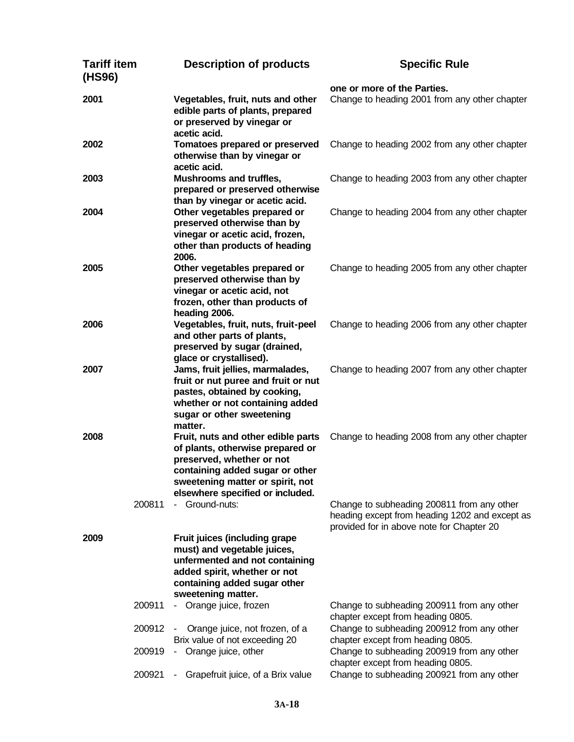| <b>Tariff item</b><br>(HS96) |                  | <b>Description of products</b>                                                                                                                                                                                 | <b>Specific Rule</b>                                                                                                                      |
|------------------------------|------------------|----------------------------------------------------------------------------------------------------------------------------------------------------------------------------------------------------------------|-------------------------------------------------------------------------------------------------------------------------------------------|
|                              |                  |                                                                                                                                                                                                                | one or more of the Parties.                                                                                                               |
| 2001                         |                  | Vegetables, fruit, nuts and other<br>edible parts of plants, prepared<br>or preserved by vinegar or<br>acetic acid.                                                                                            | Change to heading 2001 from any other chapter                                                                                             |
| 2002                         |                  | Tomatoes prepared or preserved<br>otherwise than by vinegar or<br>acetic acid.                                                                                                                                 | Change to heading 2002 from any other chapter                                                                                             |
| 2003                         |                  | Mushrooms and truffles,<br>prepared or preserved otherwise<br>than by vinegar or acetic acid.                                                                                                                  | Change to heading 2003 from any other chapter                                                                                             |
| 2004                         |                  | Other vegetables prepared or<br>preserved otherwise than by<br>vinegar or acetic acid, frozen,<br>other than products of heading<br>2006.                                                                      | Change to heading 2004 from any other chapter                                                                                             |
| 2005                         |                  | Other vegetables prepared or<br>preserved otherwise than by<br>vinegar or acetic acid, not<br>frozen, other than products of<br>heading 2006.                                                                  | Change to heading 2005 from any other chapter                                                                                             |
| 2006                         |                  | Vegetables, fruit, nuts, fruit-peel<br>and other parts of plants,<br>preserved by sugar (drained,<br>glace or crystallised).                                                                                   | Change to heading 2006 from any other chapter                                                                                             |
| 2007                         |                  | Jams, fruit jellies, marmalades,<br>fruit or nut puree and fruit or nut<br>pastes, obtained by cooking,<br>whether or not containing added<br>sugar or other sweetening<br>matter.                             | Change to heading 2007 from any other chapter                                                                                             |
| 2008                         |                  | Fruit, nuts and other edible parts<br>of plants, otherwise prepared or<br>preserved, whether or not<br>containing added sugar or other<br>sweetening matter or spirit, not<br>elsewhere specified or included. | Change to heading 2008 from any other chapter                                                                                             |
|                              | 200811           | - Ground-nuts:                                                                                                                                                                                                 | Change to subheading 200811 from any other<br>heading except from heading 1202 and except as<br>provided for in above note for Chapter 20 |
| 2009                         |                  | Fruit juices (including grape<br>must) and vegetable juices,<br>unfermented and not containing<br>added spirit, whether or not<br>containing added sugar other<br>sweetening matter.                           |                                                                                                                                           |
|                              | 200911           | Orange juice, frozen<br>$\sim$ $-$                                                                                                                                                                             | Change to subheading 200911 from any other<br>chapter except from heading 0805.                                                           |
|                              | 200912           | Orange juice, not frozen, of a<br>Brix value of not exceeding 20                                                                                                                                               | Change to subheading 200912 from any other<br>chapter except from heading 0805.                                                           |
|                              | 200919<br>200921 | Orange juice, other<br>$\sim$<br>Grapefruit juice, of a Brix value<br>$\sim$                                                                                                                                   | Change to subheading 200919 from any other<br>chapter except from heading 0805.<br>Change to subheading 200921 from any other             |
|                              |                  |                                                                                                                                                                                                                |                                                                                                                                           |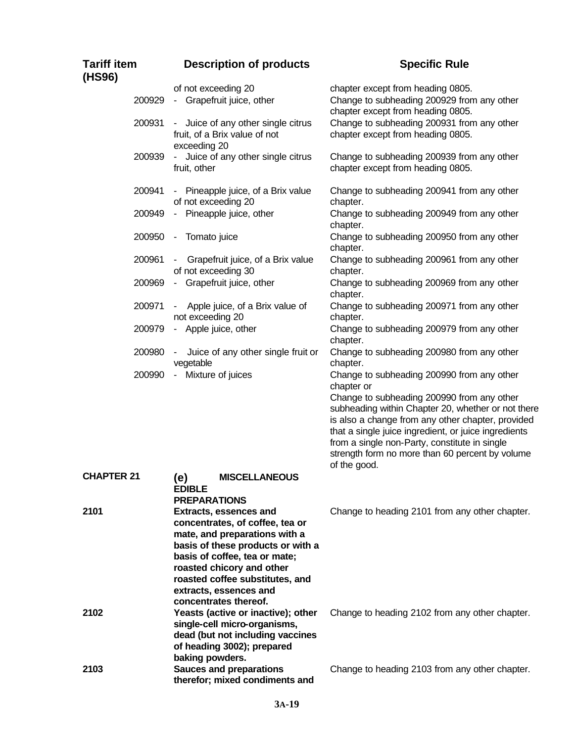| <b>Tariff item</b><br>(HS96) | <b>Description of products</b>                                                                                                                                                                                                                                                             | <b>Specific Rule</b>                                                                                                                                                                                                                                                                                                                                                                          |
|------------------------------|--------------------------------------------------------------------------------------------------------------------------------------------------------------------------------------------------------------------------------------------------------------------------------------------|-----------------------------------------------------------------------------------------------------------------------------------------------------------------------------------------------------------------------------------------------------------------------------------------------------------------------------------------------------------------------------------------------|
| 200929                       | of not exceeding 20<br>- Grapefruit juice, other                                                                                                                                                                                                                                           | chapter except from heading 0805.<br>Change to subheading 200929 from any other<br>chapter except from heading 0805.                                                                                                                                                                                                                                                                          |
| 200931                       | - Juice of any other single citrus<br>fruit, of a Brix value of not<br>exceeding 20                                                                                                                                                                                                        | Change to subheading 200931 from any other<br>chapter except from heading 0805.                                                                                                                                                                                                                                                                                                               |
| 200939                       | Juice of any other single citrus<br>fruit, other                                                                                                                                                                                                                                           | Change to subheading 200939 from any other<br>chapter except from heading 0805.                                                                                                                                                                                                                                                                                                               |
| 200941                       | - Pineapple juice, of a Brix value<br>of not exceeding 20                                                                                                                                                                                                                                  | Change to subheading 200941 from any other<br>chapter.                                                                                                                                                                                                                                                                                                                                        |
| 200949                       | Pineapple juice, other<br>$\sim$                                                                                                                                                                                                                                                           | Change to subheading 200949 from any other<br>chapter.                                                                                                                                                                                                                                                                                                                                        |
| 200950                       | Tomato juice<br>$\sim$                                                                                                                                                                                                                                                                     | Change to subheading 200950 from any other<br>chapter.                                                                                                                                                                                                                                                                                                                                        |
| 200961                       | Grapefruit juice, of a Brix value<br>of not exceeding 30                                                                                                                                                                                                                                   | Change to subheading 200961 from any other<br>chapter.                                                                                                                                                                                                                                                                                                                                        |
| 200969                       | - Grapefruit juice, other                                                                                                                                                                                                                                                                  | Change to subheading 200969 from any other<br>chapter.                                                                                                                                                                                                                                                                                                                                        |
| 200971                       | Apple juice, of a Brix value of<br>not exceeding 20                                                                                                                                                                                                                                        | Change to subheading 200971 from any other<br>chapter.                                                                                                                                                                                                                                                                                                                                        |
| 200979                       | - Apple juice, other                                                                                                                                                                                                                                                                       | Change to subheading 200979 from any other<br>chapter.                                                                                                                                                                                                                                                                                                                                        |
| 200980                       | - Juice of any other single fruit or<br>vegetable                                                                                                                                                                                                                                          | Change to subheading 200980 from any other<br>chapter.                                                                                                                                                                                                                                                                                                                                        |
| 200990                       | Mixture of juices<br>$\sim$                                                                                                                                                                                                                                                                | Change to subheading 200990 from any other<br>chapter or<br>Change to subheading 200990 from any other<br>subheading within Chapter 20, whether or not there<br>is also a change from any other chapter, provided<br>that a single juice ingredient, or juice ingredients<br>from a single non-Party, constitute in single<br>strength form no more than 60 percent by volume<br>of the good. |
| <b>CHAPTER 21</b>            | (e)<br><b>MISCELLANEOUS</b><br><b>EDIBLE</b><br><b>PREPARATIONS</b>                                                                                                                                                                                                                        |                                                                                                                                                                                                                                                                                                                                                                                               |
| 2101                         | <b>Extracts, essences and</b><br>concentrates, of coffee, tea or<br>mate, and preparations with a<br>basis of these products or with a<br>basis of coffee, tea or mate;<br>roasted chicory and other<br>roasted coffee substitutes, and<br>extracts, essences and<br>concentrates thereof. | Change to heading 2101 from any other chapter.                                                                                                                                                                                                                                                                                                                                                |
| 2102                         | Yeasts (active or inactive); other<br>single-cell micro-organisms,<br>dead (but not including vaccines<br>of heading 3002); prepared<br>baking powders.                                                                                                                                    | Change to heading 2102 from any other chapter.                                                                                                                                                                                                                                                                                                                                                |
| 2103                         | <b>Sauces and preparations</b><br>therefor; mixed condiments and                                                                                                                                                                                                                           | Change to heading 2103 from any other chapter.                                                                                                                                                                                                                                                                                                                                                |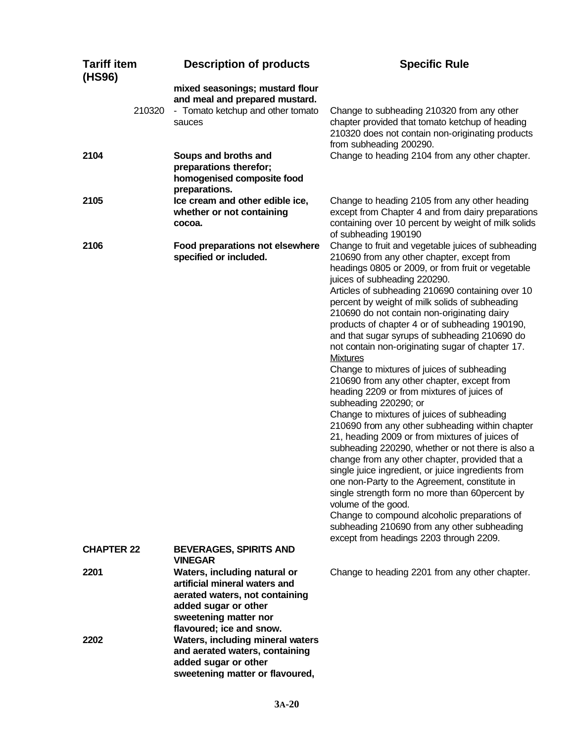| <b>Tariff item</b><br>(HS96) |        | <b>Description of products</b>                                                                                                                                               | <b>Specific Rule</b>                                                                                                                                                                                                                                                                                                                                                                                                                                                                                                                                                                                                                                                                                                                                                                                                                                                                                                                                                                                                                                                                                                                                                                                                                                                         |
|------------------------------|--------|------------------------------------------------------------------------------------------------------------------------------------------------------------------------------|------------------------------------------------------------------------------------------------------------------------------------------------------------------------------------------------------------------------------------------------------------------------------------------------------------------------------------------------------------------------------------------------------------------------------------------------------------------------------------------------------------------------------------------------------------------------------------------------------------------------------------------------------------------------------------------------------------------------------------------------------------------------------------------------------------------------------------------------------------------------------------------------------------------------------------------------------------------------------------------------------------------------------------------------------------------------------------------------------------------------------------------------------------------------------------------------------------------------------------------------------------------------------|
|                              | 210320 | mixed seasonings; mustard flour<br>and meal and prepared mustard.<br>- Tomato ketchup and other tomato<br>sauces                                                             | Change to subheading 210320 from any other<br>chapter provided that tomato ketchup of heading<br>210320 does not contain non-originating products<br>from subheading 200290.                                                                                                                                                                                                                                                                                                                                                                                                                                                                                                                                                                                                                                                                                                                                                                                                                                                                                                                                                                                                                                                                                                 |
| 2104                         |        | Soups and broths and<br>preparations therefor;<br>homogenised composite food<br>preparations.                                                                                | Change to heading 2104 from any other chapter.                                                                                                                                                                                                                                                                                                                                                                                                                                                                                                                                                                                                                                                                                                                                                                                                                                                                                                                                                                                                                                                                                                                                                                                                                               |
| 2105                         |        | Ice cream and other edible ice,<br>whether or not containing<br>cocoa.                                                                                                       | Change to heading 2105 from any other heading<br>except from Chapter 4 and from dairy preparations<br>containing over 10 percent by weight of milk solids<br>of subheading 190190                                                                                                                                                                                                                                                                                                                                                                                                                                                                                                                                                                                                                                                                                                                                                                                                                                                                                                                                                                                                                                                                                            |
| 2106                         |        | Food preparations not elsewhere<br>specified or included.                                                                                                                    | Change to fruit and vegetable juices of subheading<br>210690 from any other chapter, except from<br>headings 0805 or 2009, or from fruit or vegetable<br>juices of subheading 220290.<br>Articles of subheading 210690 containing over 10<br>percent by weight of milk solids of subheading<br>210690 do not contain non-originating dairy<br>products of chapter 4 or of subheading 190190,<br>and that sugar syrups of subheading 210690 do<br>not contain non-originating sugar of chapter 17.<br><b>Mixtures</b><br>Change to mixtures of juices of subheading<br>210690 from any other chapter, except from<br>heading 2209 or from mixtures of juices of<br>subheading 220290; or<br>Change to mixtures of juices of subheading<br>210690 from any other subheading within chapter<br>21, heading 2009 or from mixtures of juices of<br>subheading 220290, whether or not there is also a<br>change from any other chapter, provided that a<br>single juice ingredient, or juice ingredients from<br>one non-Party to the Agreement, constitute in<br>single strength form no more than 60 percent by<br>volume of the good.<br>Change to compound alcoholic preparations of<br>subheading 210690 from any other subheading<br>except from headings 2203 through 2209. |
| <b>CHAPTER 22</b>            |        | <b>BEVERAGES, SPIRITS AND</b><br><b>VINEGAR</b>                                                                                                                              |                                                                                                                                                                                                                                                                                                                                                                                                                                                                                                                                                                                                                                                                                                                                                                                                                                                                                                                                                                                                                                                                                                                                                                                                                                                                              |
| 2201                         |        | Waters, including natural or<br>artificial mineral waters and<br>aerated waters, not containing<br>added sugar or other<br>sweetening matter nor<br>flavoured; ice and snow. | Change to heading 2201 from any other chapter.                                                                                                                                                                                                                                                                                                                                                                                                                                                                                                                                                                                                                                                                                                                                                                                                                                                                                                                                                                                                                                                                                                                                                                                                                               |
| 2202                         |        | <b>Waters, including mineral waters</b><br>and aerated waters, containing<br>added sugar or other<br>sweetening matter or flavoured,                                         |                                                                                                                                                                                                                                                                                                                                                                                                                                                                                                                                                                                                                                                                                                                                                                                                                                                                                                                                                                                                                                                                                                                                                                                                                                                                              |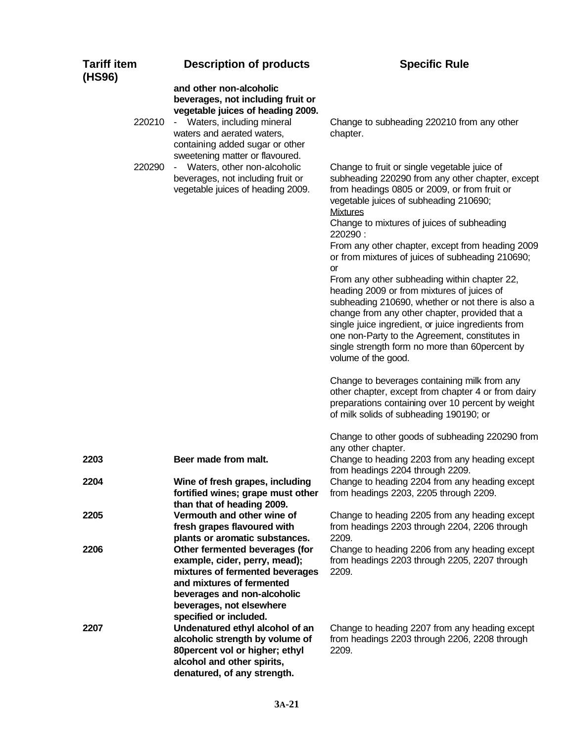| <b>Tariff item</b><br>(HS96) | <b>Description of products</b>                                                                                                                                                                                          | <b>Specific Rule</b>                                                                                                                                                                                                                                                                                                               |
|------------------------------|-------------------------------------------------------------------------------------------------------------------------------------------------------------------------------------------------------------------------|------------------------------------------------------------------------------------------------------------------------------------------------------------------------------------------------------------------------------------------------------------------------------------------------------------------------------------|
| 220210                       | and other non-alcoholic<br>beverages, not including fruit or<br>vegetable juices of heading 2009.<br>- Waters, including mineral<br>waters and aerated waters,<br>containing added sugar or other                       | Change to subheading 220210 from any other<br>chapter.                                                                                                                                                                                                                                                                             |
| 220290                       | sweetening matter or flavoured.<br>- Waters, other non-alcoholic<br>beverages, not including fruit or<br>vegetable juices of heading 2009.                                                                              | Change to fruit or single vegetable juice of<br>subheading 220290 from any other chapter, except<br>from headings 0805 or 2009, or from fruit or<br>vegetable juices of subheading 210690;<br><b>Mixtures</b><br>Change to mixtures of juices of subheading                                                                        |
|                              |                                                                                                                                                                                                                         | 220290:<br>From any other chapter, except from heading 2009<br>or from mixtures of juices of subheading 210690;<br>or<br>From any other subheading within chapter 22,                                                                                                                                                              |
|                              |                                                                                                                                                                                                                         | heading 2009 or from mixtures of juices of<br>subheading 210690, whether or not there is also a<br>change from any other chapter, provided that a<br>single juice ingredient, or juice ingredients from<br>one non-Party to the Agreement, constitutes in<br>single strength form no more than 60percent by<br>volume of the good. |
|                              |                                                                                                                                                                                                                         | Change to beverages containing milk from any<br>other chapter, except from chapter 4 or from dairy<br>preparations containing over 10 percent by weight<br>of milk solids of subheading 190190; or                                                                                                                                 |
|                              |                                                                                                                                                                                                                         | Change to other goods of subheading 220290 from<br>any other chapter.                                                                                                                                                                                                                                                              |
| 2203                         | Beer made from malt.                                                                                                                                                                                                    | Change to heading 2203 from any heading except<br>from headings 2204 through 2209.                                                                                                                                                                                                                                                 |
| 2204                         | Wine of fresh grapes, including<br>fortified wines; grape must other<br>than that of heading 2009.                                                                                                                      | Change to heading 2204 from any heading except<br>from headings 2203, 2205 through 2209.                                                                                                                                                                                                                                           |
| 2205                         | Vermouth and other wine of<br>fresh grapes flavoured with                                                                                                                                                               | Change to heading 2205 from any heading except<br>from headings 2203 through 2204, 2206 through<br>2209.                                                                                                                                                                                                                           |
| 2206                         | plants or aromatic substances.<br>Other fermented beverages (for<br>example, cider, perry, mead);<br>mixtures of fermented beverages<br>and mixtures of fermented<br>beverages and non-alcoholic                        | Change to heading 2206 from any heading except<br>from headings 2203 through 2205, 2207 through<br>2209.                                                                                                                                                                                                                           |
| 2207                         | beverages, not elsewhere<br>specified or included.<br>Undenatured ethyl alcohol of an<br>alcoholic strength by volume of<br>80percent vol or higher; ethyl<br>alcohol and other spirits,<br>denatured, of any strength. | Change to heading 2207 from any heading except<br>from headings 2203 through 2206, 2208 through<br>2209.                                                                                                                                                                                                                           |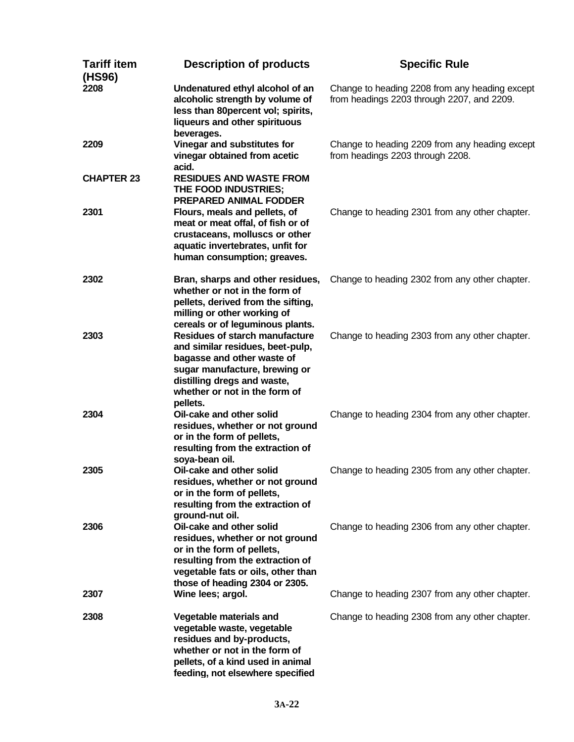| <b>Tariff item</b><br>(HS96) | <b>Description of products</b>                                                                                                                                                                                       | <b>Specific Rule</b>                                                                         |
|------------------------------|----------------------------------------------------------------------------------------------------------------------------------------------------------------------------------------------------------------------|----------------------------------------------------------------------------------------------|
| 2208                         | Undenatured ethyl alcohol of an<br>alcoholic strength by volume of<br>less than 80percent vol; spirits,<br>liqueurs and other spirituous<br>beverages.                                                               | Change to heading 2208 from any heading except<br>from headings 2203 through 2207, and 2209. |
| 2209                         | Vinegar and substitutes for<br>vinegar obtained from acetic<br>acid.                                                                                                                                                 | Change to heading 2209 from any heading except<br>from headings 2203 through 2208.           |
| <b>CHAPTER 23</b>            | <b>RESIDUES AND WASTE FROM</b><br>THE FOOD INDUSTRIES;<br><b>PREPARED ANIMAL FODDER</b>                                                                                                                              |                                                                                              |
| 2301                         | Flours, meals and pellets, of<br>meat or meat offal, of fish or of<br>crustaceans, molluscs or other<br>aquatic invertebrates, unfit for<br>human consumption; greaves.                                              | Change to heading 2301 from any other chapter.                                               |
| 2302                         | Bran, sharps and other residues,<br>whether or not in the form of<br>pellets, derived from the sifting,<br>milling or other working of<br>cereals or of leguminous plants.                                           | Change to heading 2302 from any other chapter.                                               |
| 2303                         | <b>Residues of starch manufacture</b><br>and similar residues, beet-pulp,<br>bagasse and other waste of<br>sugar manufacture, brewing or<br>distilling dregs and waste,<br>whether or not in the form of<br>pellets. | Change to heading 2303 from any other chapter.                                               |
| 2304                         | Oil-cake and other solid<br>residues, whether or not ground<br>or in the form of pellets,<br>resulting from the extraction of<br>soya-bean oil.                                                                      | Change to heading 2304 from any other chapter.                                               |
| 2305                         | Oil-cake and other solid<br>residues, whether or not ground<br>or in the form of pellets,<br>resulting from the extraction of<br>ground-nut oil.                                                                     | Change to heading 2305 from any other chapter.                                               |
| 2306                         | Oil-cake and other solid<br>residues, whether or not ground<br>or in the form of pellets,<br>resulting from the extraction of<br>vegetable fats or oils, other than<br>those of heading 2304 or 2305.                | Change to heading 2306 from any other chapter.                                               |
| 2307                         | Wine lees; argol.                                                                                                                                                                                                    | Change to heading 2307 from any other chapter.                                               |
| 2308                         | Vegetable materials and<br>vegetable waste, vegetable<br>residues and by-products,<br>whether or not in the form of<br>pellets, of a kind used in animal<br>feeding, not elsewhere specified                         | Change to heading 2308 from any other chapter.                                               |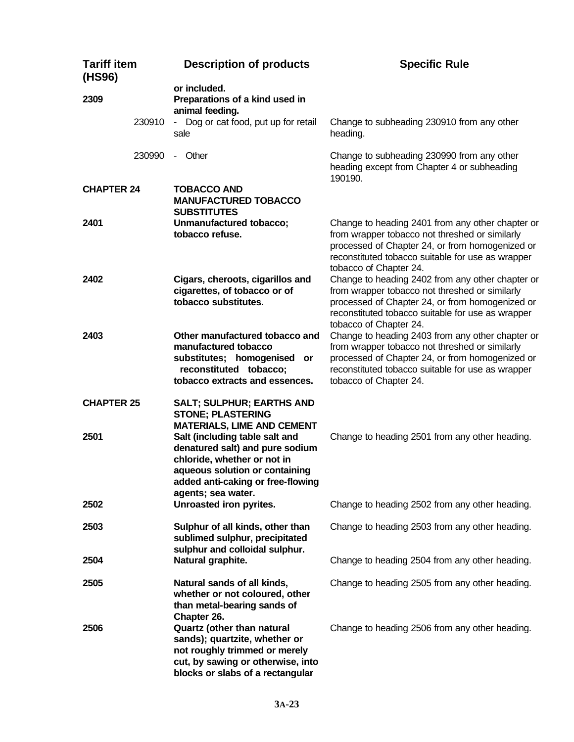| <b>Tariff item</b><br>(HS96) |        | <b>Description of products</b>                                                                                                                                                                | <b>Specific Rule</b>                                                                                                                                                                                                                 |
|------------------------------|--------|-----------------------------------------------------------------------------------------------------------------------------------------------------------------------------------------------|--------------------------------------------------------------------------------------------------------------------------------------------------------------------------------------------------------------------------------------|
| 2309                         |        | or included.<br>Preparations of a kind used in<br>animal feeding.                                                                                                                             |                                                                                                                                                                                                                                      |
|                              | 230910 | - Dog or cat food, put up for retail<br>sale                                                                                                                                                  | Change to subheading 230910 from any other<br>heading.                                                                                                                                                                               |
|                              | 230990 | - Other                                                                                                                                                                                       | Change to subheading 230990 from any other<br>heading except from Chapter 4 or subheading<br>190190.                                                                                                                                 |
| <b>CHAPTER 24</b>            |        | <b>TOBACCO AND</b><br><b>MANUFACTURED TOBACCO</b><br><b>SUBSTITUTES</b>                                                                                                                       |                                                                                                                                                                                                                                      |
| 2401                         |        | Unmanufactured tobacco;<br>tobacco refuse.                                                                                                                                                    | Change to heading 2401 from any other chapter or<br>from wrapper tobacco not threshed or similarly<br>processed of Chapter 24, or from homogenized or<br>reconstituted tobacco suitable for use as wrapper<br>tobacco of Chapter 24. |
| 2402                         |        | Cigars, cheroots, cigarillos and<br>cigarettes, of tobacco or of<br>tobacco substitutes.                                                                                                      | Change to heading 2402 from any other chapter or<br>from wrapper tobacco not threshed or similarly<br>processed of Chapter 24, or from homogenized or<br>reconstituted tobacco suitable for use as wrapper<br>tobacco of Chapter 24. |
| 2403                         |        | Other manufactured tobacco and<br>manufactured tobacco<br>substitutes; homogenised or<br>reconstituted tobacco;<br>tobacco extracts and essences.                                             | Change to heading 2403 from any other chapter or<br>from wrapper tobacco not threshed or similarly<br>processed of Chapter 24, or from homogenized or<br>reconstituted tobacco suitable for use as wrapper<br>tobacco of Chapter 24. |
| <b>CHAPTER 25</b>            |        | <b>SALT; SULPHUR; EARTHS AND</b><br><b>STONE; PLASTERING</b><br><b>MATERIALS, LIME AND CEMENT</b>                                                                                             |                                                                                                                                                                                                                                      |
| 2501                         |        | Salt (including table salt and<br>denatured salt) and pure sodium<br>chloride, whether or not in<br>aqueous solution or containing<br>added anti-caking or free-flowing<br>agents; sea water. | Change to heading 2501 from any other heading.                                                                                                                                                                                       |
| 2502                         |        | Unroasted iron pyrites.                                                                                                                                                                       | Change to heading 2502 from any other heading.                                                                                                                                                                                       |
| 2503                         |        | Sulphur of all kinds, other than<br>sublimed sulphur, precipitated<br>sulphur and colloidal sulphur.                                                                                          | Change to heading 2503 from any other heading.                                                                                                                                                                                       |
| 2504                         |        | Natural graphite.                                                                                                                                                                             | Change to heading 2504 from any other heading.                                                                                                                                                                                       |
| 2505                         |        | Natural sands of all kinds,<br>whether or not coloured, other<br>than metal-bearing sands of<br>Chapter 26.                                                                                   | Change to heading 2505 from any other heading.                                                                                                                                                                                       |
| 2506                         |        | Quartz (other than natural<br>sands); quartzite, whether or<br>not roughly trimmed or merely<br>cut, by sawing or otherwise, into<br>blocks or slabs of a rectangular                         | Change to heading 2506 from any other heading.                                                                                                                                                                                       |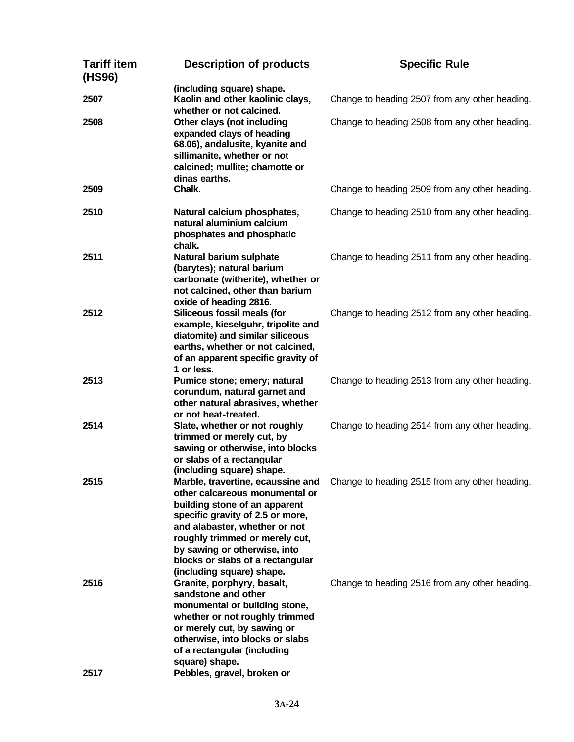| <b>Tariff item</b><br>(HS96) | <b>Description of products</b>                                                                                                                                                                                                                                                                               | <b>Specific Rule</b>                           |
|------------------------------|--------------------------------------------------------------------------------------------------------------------------------------------------------------------------------------------------------------------------------------------------------------------------------------------------------------|------------------------------------------------|
| 2507                         | (including square) shape.<br>Kaolin and other kaolinic clays,<br>whether or not calcined.                                                                                                                                                                                                                    | Change to heading 2507 from any other heading. |
| 2508                         | Other clays (not including<br>expanded clays of heading<br>68.06), andalusite, kyanite and<br>sillimanite, whether or not<br>calcined; mullite; chamotte or<br>dinas earths.                                                                                                                                 | Change to heading 2508 from any other heading. |
| 2509                         | Chalk.                                                                                                                                                                                                                                                                                                       | Change to heading 2509 from any other heading. |
| 2510                         | Natural calcium phosphates,<br>natural aluminium calcium<br>phosphates and phosphatic<br>chalk.                                                                                                                                                                                                              | Change to heading 2510 from any other heading. |
| 2511                         | Natural barium sulphate<br>(barytes); natural barium<br>carbonate (witherite), whether or<br>not calcined, other than barium<br>oxide of heading 2816.                                                                                                                                                       | Change to heading 2511 from any other heading. |
| 2512                         | Siliceous fossil meals (for<br>example, kieselguhr, tripolite and<br>diatomite) and similar siliceous<br>earths, whether or not calcined,<br>of an apparent specific gravity of<br>1 or less.                                                                                                                | Change to heading 2512 from any other heading. |
| 2513                         | Pumice stone; emery; natural<br>corundum, natural garnet and<br>other natural abrasives, whether<br>or not heat-treated.                                                                                                                                                                                     | Change to heading 2513 from any other heading. |
| 2514                         | Slate, whether or not roughly<br>trimmed or merely cut, by<br>sawing or otherwise, into blocks<br>or slabs of a rectangular<br>(including square) shape.                                                                                                                                                     | Change to heading 2514 from any other heading. |
| 2515                         | Marble, travertine, ecaussine and<br>other calcareous monumental or<br>building stone of an apparent<br>specific gravity of 2.5 or more,<br>and alabaster, whether or not<br>roughly trimmed or merely cut,<br>by sawing or otherwise, into<br>blocks or slabs of a rectangular<br>(including square) shape. | Change to heading 2515 from any other heading. |
| 2516<br>2517                 | Granite, porphyry, basalt,<br>sandstone and other<br>monumental or building stone,<br>whether or not roughly trimmed<br>or merely cut, by sawing or<br>otherwise, into blocks or slabs<br>of a rectangular (including<br>square) shape.<br>Pebbles, gravel, broken or                                        | Change to heading 2516 from any other heading. |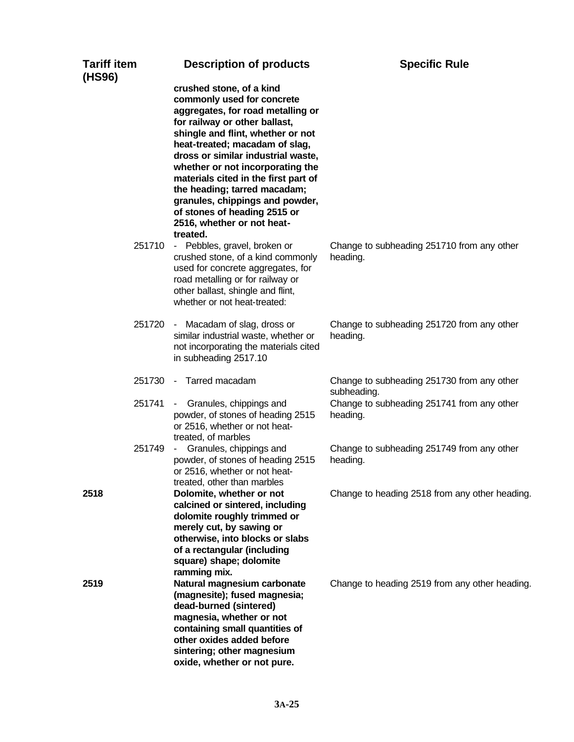| <b>Tariff item</b><br>(HS96) | <b>Description of products</b>                                                                                                                                                                                                                                                                                                                                                                                                                                     | <b>Specific Rule</b>                                      |
|------------------------------|--------------------------------------------------------------------------------------------------------------------------------------------------------------------------------------------------------------------------------------------------------------------------------------------------------------------------------------------------------------------------------------------------------------------------------------------------------------------|-----------------------------------------------------------|
|                              | crushed stone, of a kind<br>commonly used for concrete<br>aggregates, for road metalling or<br>for railway or other ballast,<br>shingle and flint, whether or not<br>heat-treated; macadam of slag,<br>dross or similar industrial waste,<br>whether or not incorporating the<br>materials cited in the first part of<br>the heading; tarred macadam;<br>granules, chippings and powder,<br>of stones of heading 2515 or<br>2516, whether or not heat-<br>treated. |                                                           |
| 251710                       | - Pebbles, gravel, broken or<br>crushed stone, of a kind commonly<br>used for concrete aggregates, for<br>road metalling or for railway or<br>other ballast, shingle and flint,<br>whether or not heat-treated:                                                                                                                                                                                                                                                    | Change to subheading 251710 from any other<br>heading.    |
| 251720                       | - Macadam of slag, dross or<br>similar industrial waste, whether or<br>not incorporating the materials cited<br>in subheading 2517.10                                                                                                                                                                                                                                                                                                                              | Change to subheading 251720 from any other<br>heading.    |
| 251730                       | - Tarred macadam                                                                                                                                                                                                                                                                                                                                                                                                                                                   | Change to subheading 251730 from any other<br>subheading. |
| 251741                       | - Granules, chippings and<br>powder, of stones of heading 2515<br>or 2516, whether or not heat-<br>treated, of marbles                                                                                                                                                                                                                                                                                                                                             | Change to subheading 251741 from any other<br>heading.    |
| 251749                       | Granules, chippings and<br>$\sim$<br>powder, of stones of heading 2515<br>or 2516, whether or not heat-<br>treated, other than marbles                                                                                                                                                                                                                                                                                                                             | Change to subheading 251749 from any other<br>heading.    |
| 2518                         | Dolomite, whether or not<br>calcined or sintered, including<br>dolomite roughly trimmed or<br>merely cut, by sawing or<br>otherwise, into blocks or slabs<br>of a rectangular (including<br>square) shape; dolomite<br>ramming mix.                                                                                                                                                                                                                                | Change to heading 2518 from any other heading.            |
| 2519                         | Natural magnesium carbonate<br>(magnesite); fused magnesia;<br>dead-burned (sintered)<br>magnesia, whether or not<br>containing small quantities of<br>other oxides added before<br>sintering; other magnesium<br>oxide, whether or not pure.                                                                                                                                                                                                                      | Change to heading 2519 from any other heading.            |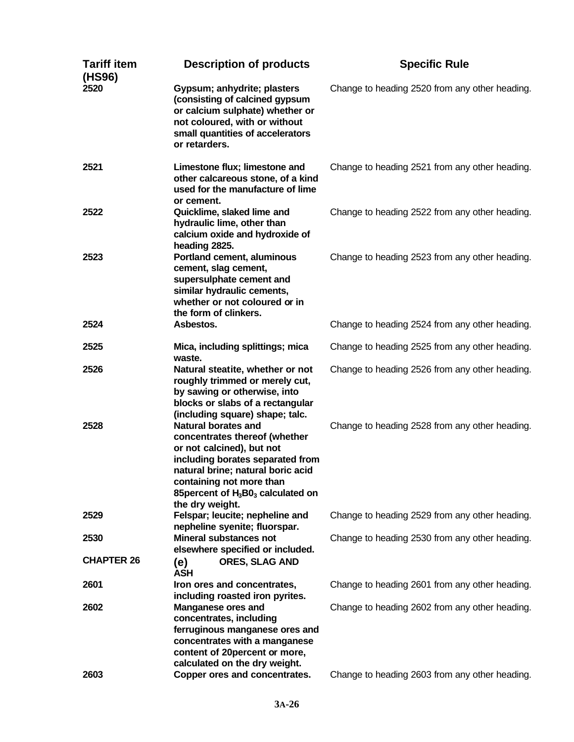| <b>Tariff item</b><br>(HS96) | <b>Description of products</b>                                                                                                                                                                                                                            | <b>Specific Rule</b>                           |
|------------------------------|-----------------------------------------------------------------------------------------------------------------------------------------------------------------------------------------------------------------------------------------------------------|------------------------------------------------|
| 2520                         | Gypsum; anhydrite; plasters<br>(consisting of calcined gypsum<br>or calcium sulphate) whether or<br>not coloured, with or without<br>small quantities of accelerators<br>or retarders.                                                                    | Change to heading 2520 from any other heading. |
| 2521                         | Limestone flux; limestone and<br>other calcareous stone, of a kind<br>used for the manufacture of lime<br>or cement.                                                                                                                                      | Change to heading 2521 from any other heading. |
| 2522                         | Quicklime, slaked lime and<br>hydraulic lime, other than<br>calcium oxide and hydroxide of<br>heading 2825.                                                                                                                                               | Change to heading 2522 from any other heading. |
| 2523                         | Portland cement, aluminous<br>cement, slag cement,<br>supersulphate cement and<br>similar hydraulic cements,<br>whether or not coloured or in<br>the form of clinkers.                                                                                    | Change to heading 2523 from any other heading. |
| 2524                         | Asbestos.                                                                                                                                                                                                                                                 | Change to heading 2524 from any other heading. |
| 2525                         | Mica, including splittings; mica                                                                                                                                                                                                                          | Change to heading 2525 from any other heading. |
| 2526                         | waste.<br>Natural steatite, whether or not<br>roughly trimmed or merely cut,<br>by sawing or otherwise, into<br>blocks or slabs of a rectangular<br>(including square) shape; talc.                                                                       | Change to heading 2526 from any other heading. |
| 2528                         | <b>Natural borates and</b><br>concentrates thereof (whether<br>or not calcined), but not<br>including borates separated from<br>natural brine; natural boric acid<br>containing not more than<br>85 percent of $H_3B0_3$ calculated on<br>the dry weight. | Change to heading 2528 from any other heading. |
| 2529                         | Felspar; leucite; nepheline and<br>nepheline syenite; fluorspar.                                                                                                                                                                                          | Change to heading 2529 from any other heading. |
| 2530                         | <b>Mineral substances not</b><br>elsewhere specified or included.                                                                                                                                                                                         | Change to heading 2530 from any other heading. |
| <b>CHAPTER 26</b>            | <b>ORES, SLAG AND</b><br>(e)<br><b>ASH</b>                                                                                                                                                                                                                |                                                |
| 2601                         | Iron ores and concentrates,<br>including roasted iron pyrites.                                                                                                                                                                                            | Change to heading 2601 from any other heading. |
| 2602                         | <b>Manganese ores and</b><br>concentrates, including<br>ferruginous manganese ores and<br>concentrates with a manganese<br>content of 20 percent or more,<br>calculated on the dry weight.                                                                | Change to heading 2602 from any other heading. |
| 2603                         | Copper ores and concentrates.                                                                                                                                                                                                                             | Change to heading 2603 from any other heading. |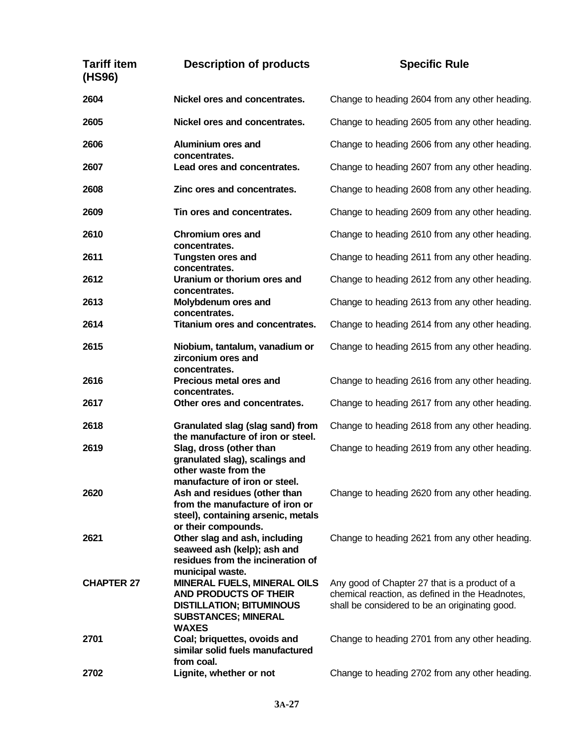## **Tariff item (HS96) Description of products Specific Rule 2604 Nickel ores and concentrates.** Change to heading 2604 from any other heading. **2605 Nickel ores and concentrates.** Change to heading 2605 from any other heading. **2606 Aluminium ores and concentrates.** Change to heading 2606 from any other heading. **2607 Lead ores and concentrates.** Change to heading 2607 from any other heading. **2608 Zinc ores and concentrates.** Change to heading 2608 from any other heading. **2609 Tin ores and concentrates.** Change to heading 2609 from any other heading. **2610 Chromium ores and concentrates.** Change to heading 2610 from any other heading. **2611 Tungsten ores and concentrates.** Change to heading 2611 from any other heading. **2612 Uranium or thorium ores and concentrates.** Change to heading 2612 from any other heading. **2613 Molybdenum ores and concentrates.** Change to heading 2613 from any other heading. **2614 Titanium ores and concentrates.** Change to heading 2614 from any other heading. **2615 Niobium, tantalum, vanadium or zirconium ores and concentrates.** Change to heading 2615 from any other heading. **2616 Precious metal ores and concentrates.** Change to heading 2616 from any other heading. **2617 Other ores and concentrates.** Change to heading 2617 from any other heading. **2618 Granulated slag (slag sand) from the manufacture of iron or steel.** Change to heading 2618 from any other heading. **2619 Slag, dross (other than granulated slag), scalings and other waste from the manufacture of iron or steel.** Change to heading 2619 from any other heading. **2620 Ash and residues (other than from the manufacture of iron or steel), containing arsenic, metals or their compounds.** Change to heading 2620 from any other heading. **2621 Other slag and ash, including seaweed ash (kelp); ash and residues from the incineration of municipal waste.** Change to heading 2621 from any other heading. **CHAPTER 27 MINERAL FUELS, MINERAL OILS AND PRODUCTS OF THEIR DISTILLATION; BITUMINOUS SUBSTANCES; MINERAL WAXES** Any good of Chapter 27 that is a product of a chemical reaction, as defined in the Headnotes, shall be considered to be an originating good. **2701 Coal; briquettes, ovoids and similar solid fuels manufactured from coal.** Change to heading 2701 from any other heading. **2702 Lignite, whether or not** Change to heading 2702 from any other heading.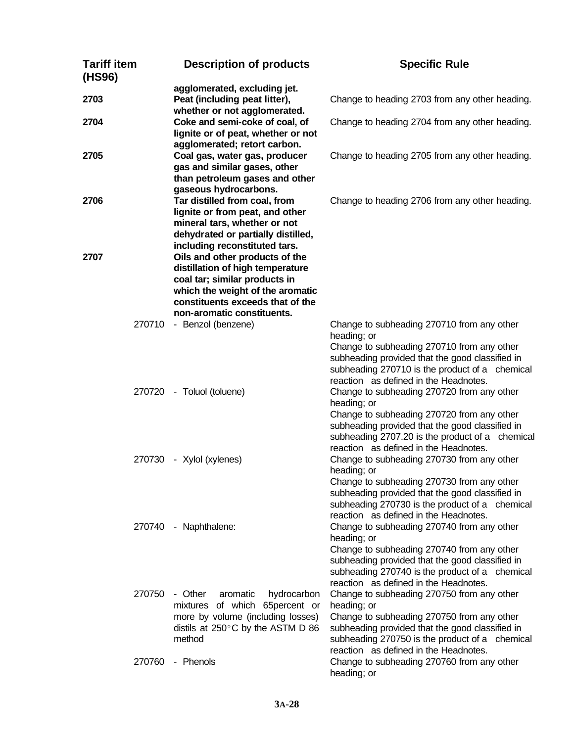| <b>Tariff item</b><br>(HS96) | <b>Description of products</b>                                                                                                                                                                            | <b>Specific Rule</b>                                                                                                                                                                                                                                   |
|------------------------------|-----------------------------------------------------------------------------------------------------------------------------------------------------------------------------------------------------------|--------------------------------------------------------------------------------------------------------------------------------------------------------------------------------------------------------------------------------------------------------|
| 2703                         | agglomerated, excluding jet.<br>Peat (including peat litter),<br>whether or not agglomerated.                                                                                                             | Change to heading 2703 from any other heading.                                                                                                                                                                                                         |
| 2704                         | Coke and semi-coke of coal, of<br>lignite or of peat, whether or not                                                                                                                                      | Change to heading 2704 from any other heading.                                                                                                                                                                                                         |
| 2705                         | agglomerated; retort carbon.<br>Coal gas, water gas, producer<br>gas and similar gases, other<br>than petroleum gases and other<br>gaseous hydrocarbons.                                                  | Change to heading 2705 from any other heading.                                                                                                                                                                                                         |
| 2706                         | Tar distilled from coal, from<br>lignite or from peat, and other<br>mineral tars, whether or not<br>dehydrated or partially distilled,<br>including reconstituted tars.                                   | Change to heading 2706 from any other heading.                                                                                                                                                                                                         |
| 2707                         | Oils and other products of the<br>distillation of high temperature<br>coal tar; similar products in<br>which the weight of the aromatic<br>constituents exceeds that of the<br>non-aromatic constituents. |                                                                                                                                                                                                                                                        |
| 270710                       | - Benzol (benzene)                                                                                                                                                                                        | Change to subheading 270710 from any other<br>heading; or<br>Change to subheading 270710 from any other<br>subheading provided that the good classified in<br>subheading 270710 is the product of a chemical<br>reaction as defined in the Headnotes.  |
|                              | 270720 - Toluol (toluene)                                                                                                                                                                                 | Change to subheading 270720 from any other<br>heading; or<br>Change to subheading 270720 from any other<br>subheading provided that the good classified in<br>subheading 2707.20 is the product of a chemical<br>reaction as defined in the Headnotes. |
|                              | 270730 - Xylol (xylenes)                                                                                                                                                                                  | Change to subheading 270730 from any other<br>heading; or<br>Change to subheading 270730 from any other<br>subheading provided that the good classified in<br>subheading 270730 is the product of a chemical<br>reaction as defined in the Headnotes.  |
| 270740                       | - Naphthalene:                                                                                                                                                                                            | Change to subheading 270740 from any other<br>heading; or<br>Change to subheading 270740 from any other<br>subheading provided that the good classified in<br>subheading 270740 is the product of a chemical<br>reaction as defined in the Headnotes.  |
| 270750                       | - Other<br>aromatic<br>hydrocarbon<br>mixtures of which 65percent or<br>more by volume (including losses)<br>distils at 250°C by the ASTM D 86<br>method                                                  | Change to subheading 270750 from any other<br>heading; or<br>Change to subheading 270750 from any other<br>subheading provided that the good classified in<br>subheading 270750 is the product of a chemical<br>reaction as defined in the Headnotes.  |
| 270760                       | - Phenols                                                                                                                                                                                                 | Change to subheading 270760 from any other<br>heading; or                                                                                                                                                                                              |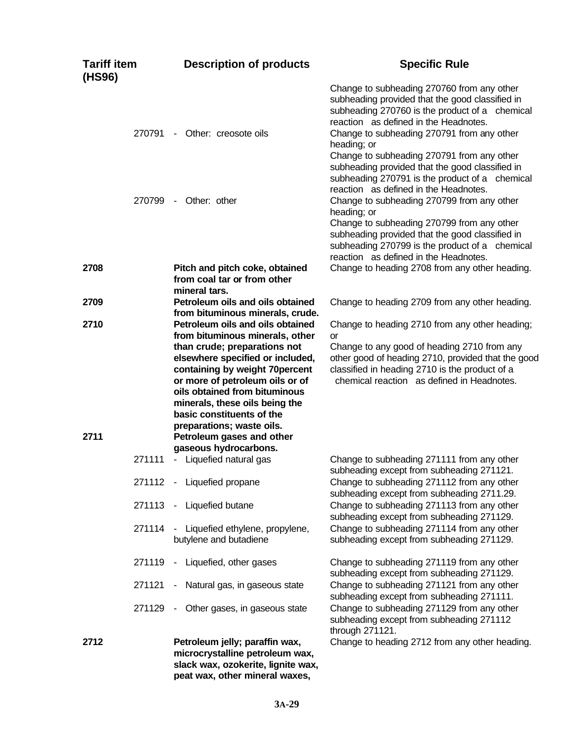| <b>Tariff item</b><br>(HS96) |        | <b>Description of products</b>                                                                                                                                                                                                     | <b>Specific Rule</b>                                                                                                                                                                                                                                                                                                                                                                                     |
|------------------------------|--------|------------------------------------------------------------------------------------------------------------------------------------------------------------------------------------------------------------------------------------|----------------------------------------------------------------------------------------------------------------------------------------------------------------------------------------------------------------------------------------------------------------------------------------------------------------------------------------------------------------------------------------------------------|
|                              | 270791 | Other: creosote oils<br>$\sim$                                                                                                                                                                                                     | Change to subheading 270760 from any other<br>subheading provided that the good classified in<br>subheading 270760 is the product of a chemical<br>reaction as defined in the Headnotes.<br>Change to subheading 270791 from any other<br>heading; or<br>Change to subheading 270791 from any other<br>subheading provided that the good classified in<br>subheading 270791 is the product of a chemical |
|                              | 270799 | Other: other<br>$\sim$                                                                                                                                                                                                             | reaction as defined in the Headnotes.<br>Change to subheading 270799 from any other<br>heading; or<br>Change to subheading 270799 from any other<br>subheading provided that the good classified in<br>subheading 270799 is the product of a chemical<br>reaction as defined in the Headnotes.                                                                                                           |
| 2708                         |        | Pitch and pitch coke, obtained<br>from coal tar or from other<br>mineral tars.                                                                                                                                                     | Change to heading 2708 from any other heading.                                                                                                                                                                                                                                                                                                                                                           |
| 2709                         |        | Petroleum oils and oils obtained<br>from bituminous minerals, crude.                                                                                                                                                               | Change to heading 2709 from any other heading.                                                                                                                                                                                                                                                                                                                                                           |
| 2710                         |        | Petroleum oils and oils obtained<br>from bituminous minerals, other<br>than crude; preparations not                                                                                                                                | Change to heading 2710 from any other heading;<br>or<br>Change to any good of heading 2710 from any                                                                                                                                                                                                                                                                                                      |
|                              |        | elsewhere specified or included,<br>containing by weight 70percent<br>or more of petroleum oils or of<br>oils obtained from bituminous<br>minerals, these oils being the<br>basic constituents of the<br>preparations; waste oils. | other good of heading 2710, provided that the good<br>classified in heading 2710 is the product of a<br>chemical reaction as defined in Headnotes.                                                                                                                                                                                                                                                       |
| 2711                         |        | Petroleum gases and other<br>gaseous hydrocarbons.                                                                                                                                                                                 |                                                                                                                                                                                                                                                                                                                                                                                                          |
|                              | 271111 | - Liquefied natural gas                                                                                                                                                                                                            | Change to subheading 271111 from any other<br>subheading except from subheading 271121.                                                                                                                                                                                                                                                                                                                  |
|                              |        | 271112 - Liquefied propane                                                                                                                                                                                                         | Change to subheading 271112 from any other<br>subheading except from subheading 2711.29.                                                                                                                                                                                                                                                                                                                 |
|                              | 271113 | Liquefied butane<br>$\blacksquare$                                                                                                                                                                                                 | Change to subheading 271113 from any other<br>subheading except from subheading 271129.                                                                                                                                                                                                                                                                                                                  |
|                              | 271114 | Liquefied ethylene, propylene,<br>butylene and butadiene                                                                                                                                                                           | Change to subheading 271114 from any other<br>subheading except from subheading 271129.                                                                                                                                                                                                                                                                                                                  |
|                              | 271119 | - Liquefied, other gases                                                                                                                                                                                                           | Change to subheading 271119 from any other<br>subheading except from subheading 271129.                                                                                                                                                                                                                                                                                                                  |
|                              | 271121 | Natural gas, in gaseous state                                                                                                                                                                                                      | Change to subheading 271121 from any other<br>subheading except from subheading 271111.                                                                                                                                                                                                                                                                                                                  |
|                              | 271129 | Other gases, in gaseous state                                                                                                                                                                                                      | Change to subheading 271129 from any other<br>subheading except from subheading 271112<br>through 271121.                                                                                                                                                                                                                                                                                                |
| 2712                         |        | Petroleum jelly; paraffin wax,<br>microcrystalline petroleum wax,<br>slack wax, ozokerite, lignite wax,<br>peat wax, other mineral waxes,                                                                                          | Change to heading 2712 from any other heading.                                                                                                                                                                                                                                                                                                                                                           |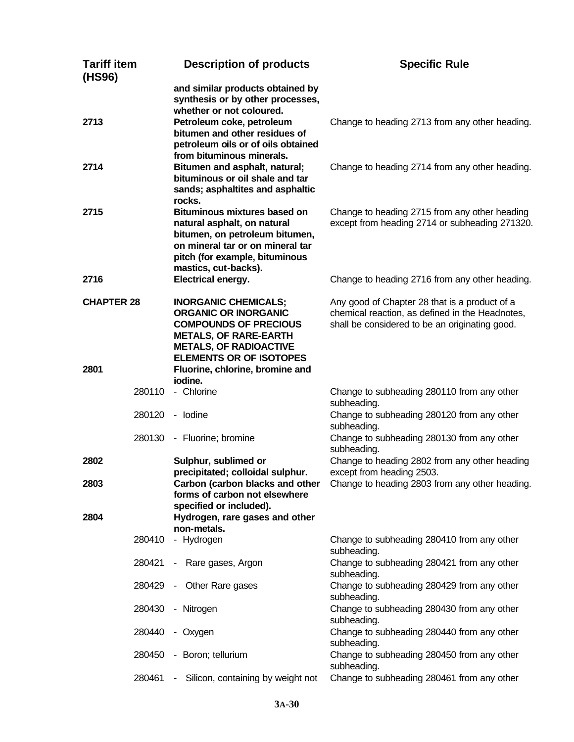| <b>Tariff item</b><br>(HS96) |        | <b>Description of products</b>                                                                                                                                                                     | <b>Specific Rule</b>                                                                                                                               |
|------------------------------|--------|----------------------------------------------------------------------------------------------------------------------------------------------------------------------------------------------------|----------------------------------------------------------------------------------------------------------------------------------------------------|
| 2713                         |        | and similar products obtained by<br>synthesis or by other processes,<br>whether or not coloured.<br>Petroleum coke, petroleum                                                                      | Change to heading 2713 from any other heading.                                                                                                     |
|                              |        | bitumen and other residues of<br>petroleum oils or of oils obtained<br>from bituminous minerals.                                                                                                   |                                                                                                                                                    |
| 2714                         |        | Bitumen and asphalt, natural;<br>bituminous or oil shale and tar<br>sands; asphaltites and asphaltic<br>rocks.                                                                                     | Change to heading 2714 from any other heading.                                                                                                     |
| 2715                         |        | <b>Bituminous mixtures based on</b><br>natural asphalt, on natural<br>bitumen, on petroleum bitumen,<br>on mineral tar or on mineral tar<br>pitch (for example, bituminous<br>mastics, cut-backs). | Change to heading 2715 from any other heading<br>except from heading 2714 or subheading 271320.                                                    |
| 2716                         |        | <b>Electrical energy.</b>                                                                                                                                                                          | Change to heading 2716 from any other heading.                                                                                                     |
| <b>CHAPTER 28</b>            |        | <b>INORGANIC CHEMICALS;</b><br><b>ORGANIC OR INORGANIC</b><br><b>COMPOUNDS OF PRECIOUS</b><br><b>METALS, OF RARE-EARTH</b><br><b>METALS, OF RADIOACTIVE</b><br><b>ELEMENTS OR OF ISOTOPES</b>      | Any good of Chapter 28 that is a product of a<br>chemical reaction, as defined in the Headnotes,<br>shall be considered to be an originating good. |
| 2801                         |        | Fluorine, chlorine, bromine and<br>iodine.                                                                                                                                                         |                                                                                                                                                    |
|                              | 280110 | - Chlorine                                                                                                                                                                                         | Change to subheading 280110 from any other<br>subheading.                                                                                          |
|                              | 280120 | - Iodine                                                                                                                                                                                           | Change to subheading 280120 from any other<br>subheading.                                                                                          |
|                              | 280130 | - Fluorine; bromine                                                                                                                                                                                | Change to subheading 280130 from any other<br>subheading.                                                                                          |
| 2802                         |        | Sulphur, sublimed or<br>precipitated; colloidal sulphur.                                                                                                                                           | Change to heading 2802 from any other heading<br>except from heading 2503.                                                                         |
| 2803                         |        | Carbon (carbon blacks and other<br>forms of carbon not elsewhere<br>specified or included).                                                                                                        | Change to heading 2803 from any other heading.                                                                                                     |
| 2804                         |        | Hydrogen, rare gases and other<br>non-metals.                                                                                                                                                      |                                                                                                                                                    |
|                              | 280410 | - Hydrogen                                                                                                                                                                                         | Change to subheading 280410 from any other<br>subheading.                                                                                          |
|                              | 280421 | - Rare gases, Argon                                                                                                                                                                                | Change to subheading 280421 from any other<br>subheading.                                                                                          |
|                              | 280429 | Other Rare gases<br>$\sim$                                                                                                                                                                         | Change to subheading 280429 from any other<br>subheading.                                                                                          |
|                              | 280430 | - Nitrogen                                                                                                                                                                                         | Change to subheading 280430 from any other<br>subheading.                                                                                          |
|                              | 280440 | - Oxygen                                                                                                                                                                                           | Change to subheading 280440 from any other<br>subheading.                                                                                          |
|                              | 280450 | - Boron; tellurium                                                                                                                                                                                 | Change to subheading 280450 from any other<br>subheading.                                                                                          |
|                              | 280461 | Silicon, containing by weight not<br>$\blacksquare$                                                                                                                                                | Change to subheading 280461 from any other                                                                                                         |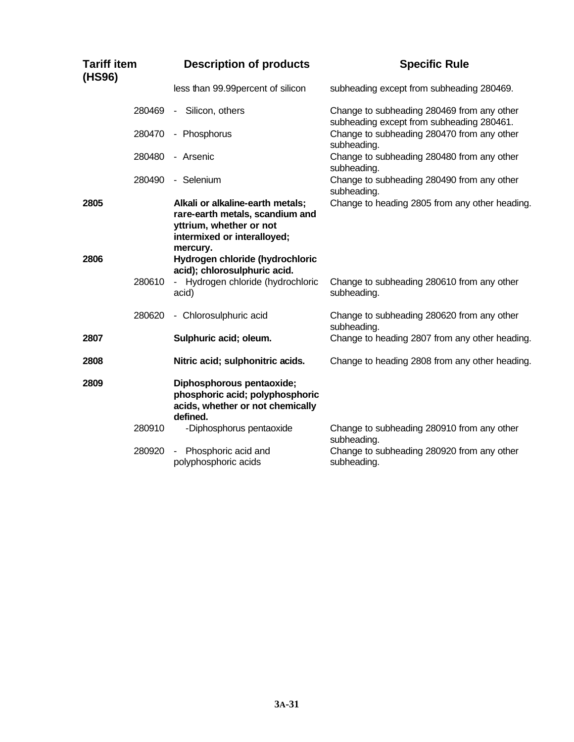| <b>Tariff item</b><br>(HS96) | <b>Description of products</b>                                                                                                            | <b>Specific Rule</b>                                                                    |
|------------------------------|-------------------------------------------------------------------------------------------------------------------------------------------|-----------------------------------------------------------------------------------------|
|                              | less than 99.99 percent of silicon                                                                                                        | subheading except from subheading 280469.                                               |
| 280469                       | Silicon, others<br>$\sim$                                                                                                                 | Change to subheading 280469 from any other<br>subheading except from subheading 280461. |
| 280470                       | - Phosphorus                                                                                                                              | Change to subheading 280470 from any other<br>subheading.                               |
| 280480                       | - Arsenic                                                                                                                                 | Change to subheading 280480 from any other<br>subheading.                               |
| 280490                       | - Selenium                                                                                                                                | Change to subheading 280490 from any other<br>subheading.                               |
| 2805                         | Alkali or alkaline-earth metals;<br>rare-earth metals, scandium and<br>yttrium, whether or not<br>intermixed or interalloyed;<br>mercury. | Change to heading 2805 from any other heading.                                          |
| 2806                         | Hydrogen chloride (hydrochloric<br>acid); chlorosulphuric acid.                                                                           |                                                                                         |
| 280610                       | - Hydrogen chloride (hydrochloric<br>acid)                                                                                                | Change to subheading 280610 from any other<br>subheading.                               |
| 280620                       | - Chlorosulphuric acid                                                                                                                    | Change to subheading 280620 from any other<br>subheading.                               |
| 2807                         | Sulphuric acid; oleum.                                                                                                                    | Change to heading 2807 from any other heading.                                          |
| 2808                         | Nitric acid; sulphonitric acids.                                                                                                          | Change to heading 2808 from any other heading.                                          |
| 2809                         | Diphosphorous pentaoxide;<br>phosphoric acid; polyphosphoric<br>acids, whether or not chemically<br>defined.                              |                                                                                         |
| 280910                       | -Diphosphorus pentaoxide                                                                                                                  | Change to subheading 280910 from any other<br>subheading.                               |
| 280920                       | Phosphoric acid and<br>polyphosphoric acids                                                                                               | Change to subheading 280920 from any other<br>subheading.                               |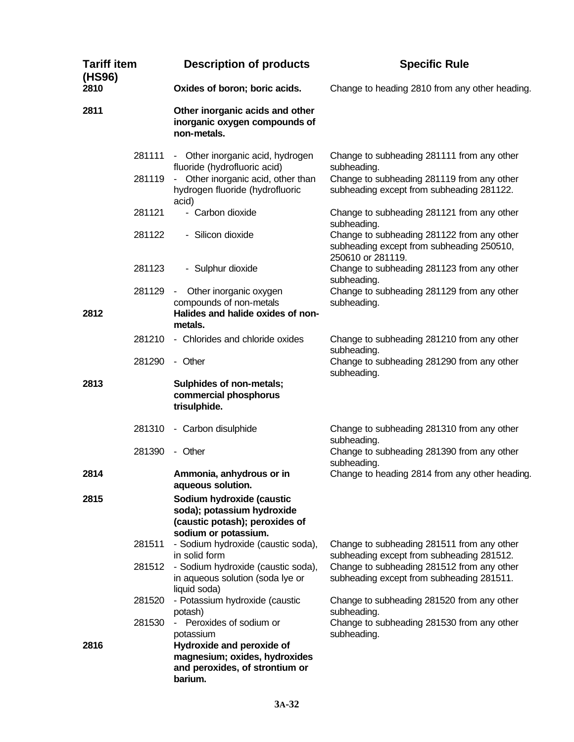| <b>Tariff item</b><br>(HS96) |        | <b>Description of products</b>                                                                                    | <b>Specific Rule</b>                                                                                         |
|------------------------------|--------|-------------------------------------------------------------------------------------------------------------------|--------------------------------------------------------------------------------------------------------------|
| 2810                         |        | Oxides of boron; boric acids.                                                                                     | Change to heading 2810 from any other heading.                                                               |
| 2811                         |        | Other inorganic acids and other<br>inorganic oxygen compounds of<br>non-metals.                                   |                                                                                                              |
|                              | 281111 | - Other inorganic acid, hydrogen<br>fluoride (hydrofluoric acid)                                                  | Change to subheading 281111 from any other<br>subheading.                                                    |
|                              | 281119 | - Other inorganic acid, other than<br>hydrogen fluoride (hydrofluoric<br>acid)                                    | Change to subheading 281119 from any other<br>subheading except from subheading 281122.                      |
|                              | 281121 | - Carbon dioxide                                                                                                  | Change to subheading 281121 from any other<br>subheading.                                                    |
|                              | 281122 | - Silicon dioxide                                                                                                 | Change to subheading 281122 from any other<br>subheading except from subheading 250510,<br>250610 or 281119. |
|                              | 281123 | - Sulphur dioxide                                                                                                 | Change to subheading 281123 from any other<br>subheading.                                                    |
| 2812                         | 281129 | Other inorganic oxygen<br>$\sim 100$<br>compounds of non-metals<br>Halides and halide oxides of non-              | Change to subheading 281129 from any other<br>subheading.                                                    |
|                              |        | metals.                                                                                                           |                                                                                                              |
|                              | 281210 | - Chlorides and chloride oxides                                                                                   | Change to subheading 281210 from any other<br>subheading.                                                    |
|                              | 281290 | - Other                                                                                                           | Change to subheading 281290 from any other<br>subheading.                                                    |
| 2813                         |        | Sulphides of non-metals;<br>commercial phosphorus<br>trisulphide.                                                 |                                                                                                              |
|                              | 281310 | - Carbon disulphide                                                                                               | Change to subheading 281310 from any other<br>subheading.                                                    |
|                              | 281390 | - Other                                                                                                           | Change to subheading 281390 from any other<br>subheading.                                                    |
| 2814                         |        | Ammonia, anhydrous or in<br>aqueous solution.                                                                     | Change to heading 2814 from any other heading.                                                               |
| 2815                         |        | Sodium hydroxide (caustic<br>soda); potassium hydroxide<br>(caustic potash); peroxides of<br>sodium or potassium. |                                                                                                              |
|                              | 281511 | - Sodium hydroxide (caustic soda),<br>in solid form                                                               | Change to subheading 281511 from any other<br>subheading except from subheading 281512.                      |
|                              | 281512 | - Sodium hydroxide (caustic soda),<br>in aqueous solution (soda lye or<br>liquid soda)                            | Change to subheading 281512 from any other<br>subheading except from subheading 281511.                      |
|                              | 281520 | - Potassium hydroxide (caustic<br>potash)                                                                         | Change to subheading 281520 from any other<br>subheading.                                                    |
|                              | 281530 | Peroxides of sodium or<br>$\sim$ 10 $\pm$<br>potassium                                                            | Change to subheading 281530 from any other<br>subheading.                                                    |
| 2816                         |        | Hydroxide and peroxide of<br>magnesium; oxides, hydroxides<br>and peroxides, of strontium or<br>barium.           |                                                                                                              |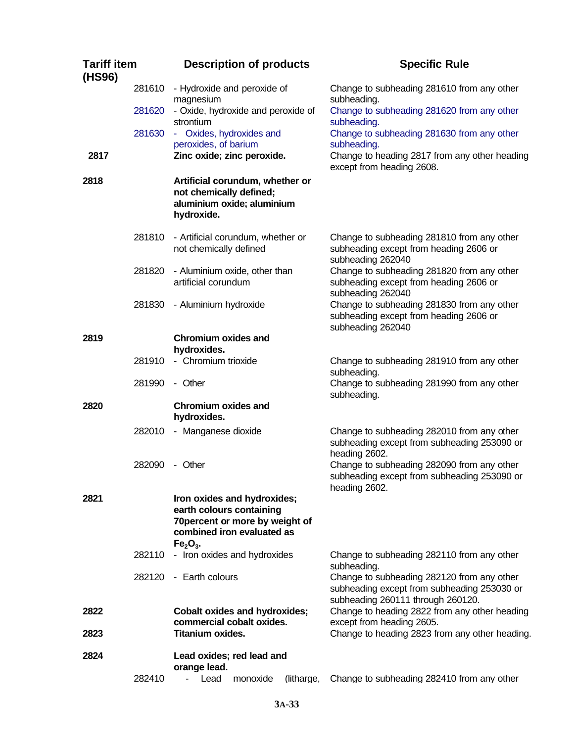| <b>Tariff item</b><br>(HS96) |        | <b>Description of products</b>                                                                                                        | <b>Specific Rule</b>                                                                                                           |
|------------------------------|--------|---------------------------------------------------------------------------------------------------------------------------------------|--------------------------------------------------------------------------------------------------------------------------------|
|                              | 281610 | - Hydroxide and peroxide of<br>magnesium                                                                                              | Change to subheading 281610 from any other<br>subheading.                                                                      |
|                              | 281620 | - Oxide, hydroxide and peroxide of<br>strontium                                                                                       | Change to subheading 281620 from any other<br>subheading.                                                                      |
|                              | 281630 | - Oxides, hydroxides and<br>peroxides, of barium                                                                                      | Change to subheading 281630 from any other<br>subheading.                                                                      |
| 2817                         |        | Zinc oxide; zinc peroxide.                                                                                                            | Change to heading 2817 from any other heading<br>except from heading 2608.                                                     |
| 2818                         |        | Artificial corundum, whether or<br>not chemically defined;<br>aluminium oxide; aluminium<br>hydroxide.                                |                                                                                                                                |
|                              | 281810 | - Artificial corundum, whether or<br>not chemically defined                                                                           | Change to subheading 281810 from any other<br>subheading except from heading 2606 or<br>subheading 262040                      |
|                              | 281820 | - Aluminium oxide, other than<br>artificial corundum                                                                                  | Change to subheading 281820 from any other<br>subheading except from heading 2606 or<br>subheading 262040                      |
|                              | 281830 | - Aluminium hydroxide                                                                                                                 | Change to subheading 281830 from any other<br>subheading except from heading 2606 or<br>subheading 262040                      |
| 2819                         |        | <b>Chromium oxides and</b><br>hydroxides.                                                                                             |                                                                                                                                |
|                              | 281910 | - Chromium trioxide                                                                                                                   | Change to subheading 281910 from any other<br>subheading.                                                                      |
|                              | 281990 | - Other                                                                                                                               | Change to subheading 281990 from any other<br>subheading.                                                                      |
| 2820                         |        | <b>Chromium oxides and</b><br>hydroxides.                                                                                             |                                                                                                                                |
|                              | 282010 | - Manganese dioxide                                                                                                                   | Change to subheading 282010 from any other<br>subheading except from subheading 253090 or<br>heading 2602.                     |
|                              | 282090 | - Other                                                                                                                               | Change to subheading 282090 from any other<br>subheading except from subheading 253090 or<br>heading 2602.                     |
| 2821                         |        | Iron oxides and hydroxides;<br>earth colours containing<br>70 percent or more by weight of<br>combined iron evaluated as<br>$Fe2O3$ . |                                                                                                                                |
|                              | 282110 | - Iron oxides and hydroxides                                                                                                          | Change to subheading 282110 from any other<br>subheading.                                                                      |
|                              |        | 282120 - Earth colours                                                                                                                | Change to subheading 282120 from any other<br>subheading except from subheading 253030 or<br>subheading 260111 through 260120. |
| 2822<br>2823                 |        | <b>Cobalt oxides and hydroxides;</b><br>commercial cobalt oxides.<br>Titanium oxides.                                                 | Change to heading 2822 from any other heading<br>except from heading 2605.<br>Change to heading 2823 from any other heading.   |
| 2824                         |        | Lead oxides; red lead and                                                                                                             |                                                                                                                                |
|                              |        | orange lead.                                                                                                                          |                                                                                                                                |
|                              | 282410 | Lead<br>monoxide<br>÷.<br>(litharge,                                                                                                  | Change to subheading 282410 from any other                                                                                     |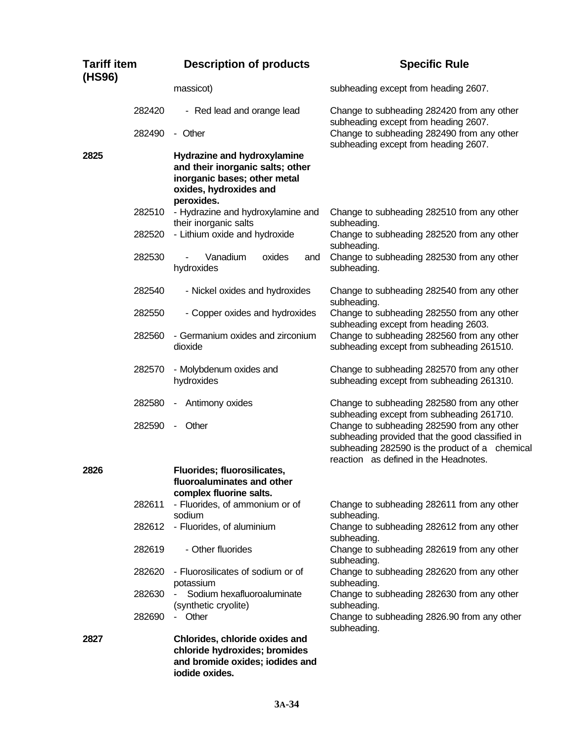| <b>Tariff item</b><br>(HS96) |                  | <b>Description of products</b>                                                                                                          | <b>Specific Rule</b>                                                                                                                                                                     |
|------------------------------|------------------|-----------------------------------------------------------------------------------------------------------------------------------------|------------------------------------------------------------------------------------------------------------------------------------------------------------------------------------------|
|                              |                  | massicot)                                                                                                                               | subheading except from heading 2607.                                                                                                                                                     |
|                              | 282420<br>282490 | - Red lead and orange lead<br>- Other                                                                                                   | Change to subheading 282420 from any other<br>subheading except from heading 2607.<br>Change to subheading 282490 from any other                                                         |
| 2825                         |                  | Hydrazine and hydroxylamine<br>and their inorganic salts; other<br>inorganic bases; other metal<br>oxides, hydroxides and<br>peroxides. | subheading except from heading 2607.                                                                                                                                                     |
|                              | 282510           | - Hydrazine and hydroxylamine and<br>their inorganic salts                                                                              | Change to subheading 282510 from any other<br>subheading.                                                                                                                                |
|                              | 282520           | - Lithium oxide and hydroxide                                                                                                           | Change to subheading 282520 from any other<br>subheading.                                                                                                                                |
|                              | 282530           | Vanadium<br>oxides<br>and<br>hydroxides                                                                                                 | Change to subheading 282530 from any other<br>subheading.                                                                                                                                |
|                              | 282540           | - Nickel oxides and hydroxides                                                                                                          | Change to subheading 282540 from any other<br>subheading.                                                                                                                                |
|                              | 282550           | - Copper oxides and hydroxides                                                                                                          | Change to subheading 282550 from any other<br>subheading except from heading 2603.                                                                                                       |
|                              | 282560           | - Germanium oxides and zirconium<br>dioxide                                                                                             | Change to subheading 282560 from any other<br>subheading except from subheading 261510.                                                                                                  |
|                              | 282570           | - Molybdenum oxides and<br>hydroxides                                                                                                   | Change to subheading 282570 from any other<br>subheading except from subheading 261310.                                                                                                  |
|                              | 282580           | Antimony oxides<br>-                                                                                                                    | Change to subheading 282580 from any other<br>subheading except from subheading 261710.                                                                                                  |
|                              | 282590           | Other<br>$\overline{\phantom{a}}$                                                                                                       | Change to subheading 282590 from any other<br>subheading provided that the good classified in<br>subheading 282590 is the product of a chemical<br>reaction as defined in the Headnotes. |
| 2826                         |                  | Fluorides; fluorosilicates,<br>fluoroaluminates and other<br>complex fluorine salts.                                                    |                                                                                                                                                                                          |
|                              | 282611           | - Fluorides, of ammonium or of<br>sodium                                                                                                | Change to subheading 282611 from any other<br>subheading.                                                                                                                                |
|                              | 282612           | - Fluorides, of aluminium                                                                                                               | Change to subheading 282612 from any other<br>subheading.                                                                                                                                |
|                              | 282619           | - Other fluorides                                                                                                                       | Change to subheading 282619 from any other<br>subheading.                                                                                                                                |
|                              | 282620           | - Fluorosilicates of sodium or of<br>potassium                                                                                          | Change to subheading 282620 from any other<br>subheading.                                                                                                                                |
|                              | 282630           | Sodium hexafluoroaluminate<br>(synthetic cryolite)                                                                                      | Change to subheading 282630 from any other<br>subheading.                                                                                                                                |
|                              | 282690           | Other<br>$\sim$                                                                                                                         | Change to subheading 2826.90 from any other<br>subheading.                                                                                                                               |
| 2827                         |                  | Chlorides, chloride oxides and<br>chloride hydroxides; bromides<br>and bromide oxides; iodides and<br>iodide oxides.                    |                                                                                                                                                                                          |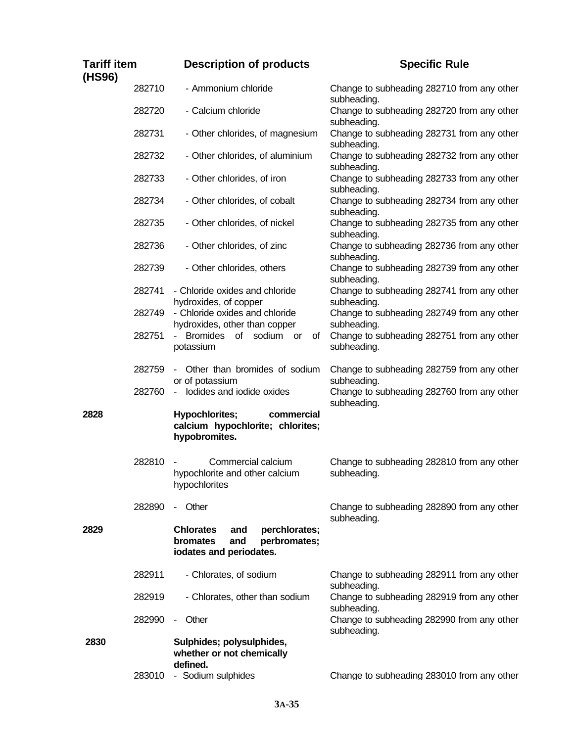| <b>Tariff item</b><br>(HS96) |        | <b>Description of products</b>                                                                         | <b>Specific Rule</b>                                      |
|------------------------------|--------|--------------------------------------------------------------------------------------------------------|-----------------------------------------------------------|
|                              | 282710 | - Ammonium chloride                                                                                    | Change to subheading 282710 from any other<br>subheading. |
|                              | 282720 | - Calcium chloride                                                                                     | Change to subheading 282720 from any other<br>subheading. |
|                              | 282731 | - Other chlorides, of magnesium                                                                        | Change to subheading 282731 from any other<br>subheading. |
|                              | 282732 | - Other chlorides, of aluminium                                                                        | Change to subheading 282732 from any other<br>subheading. |
|                              | 282733 | - Other chlorides, of iron                                                                             | Change to subheading 282733 from any other<br>subheading. |
|                              | 282734 | - Other chlorides, of cobalt                                                                           | Change to subheading 282734 from any other<br>subheading. |
|                              | 282735 | - Other chlorides, of nickel                                                                           | Change to subheading 282735 from any other<br>subheading. |
|                              | 282736 | - Other chlorides, of zinc                                                                             | Change to subheading 282736 from any other<br>subheading. |
|                              | 282739 | - Other chlorides, others                                                                              | Change to subheading 282739 from any other<br>subheading. |
|                              | 282741 | - Chloride oxides and chloride<br>hydroxides, of copper                                                | Change to subheading 282741 from any other<br>subheading. |
|                              | 282749 | - Chloride oxides and chloride<br>hydroxides, other than copper                                        | Change to subheading 282749 from any other<br>subheading. |
|                              | 282751 | Bromides of sodium or<br>οf<br>$\sim$<br>potassium                                                     | Change to subheading 282751 from any other<br>subheading. |
|                              | 282759 | Other than bromides of sodium<br>or of potassium                                                       | Change to subheading 282759 from any other<br>subheading. |
|                              | 282760 | - lodides and iodide oxides                                                                            | Change to subheading 282760 from any other<br>subheading. |
| 2828                         |        | <b>Hypochlorites;</b><br>commercial<br>calcium hypochlorite; chlorites;<br>hypobromites.               |                                                           |
|                              | 282810 | Commercial calcium<br>hypochlorite and other calcium<br>hypochlorites                                  | Change to subheading 282810 from any other<br>subheading. |
|                              | 282890 | - Other                                                                                                | Change to subheading 282890 from any other<br>subheading. |
| 2829                         |        | perchlorates;<br><b>Chlorates</b><br>and<br>bromates<br>perbromates;<br>and<br>iodates and periodates. |                                                           |
|                              | 282911 | - Chlorates, of sodium                                                                                 | Change to subheading 282911 from any other<br>subheading. |
|                              | 282919 | - Chlorates, other than sodium                                                                         | Change to subheading 282919 from any other<br>subheading. |
|                              | 282990 | - Other                                                                                                | Change to subheading 282990 from any other<br>subheading. |
| 2830                         |        | Sulphides; polysulphides,<br>whether or not chemically<br>defined.                                     |                                                           |
|                              | 283010 | - Sodium sulphides                                                                                     | Change to subheading 283010 from any other                |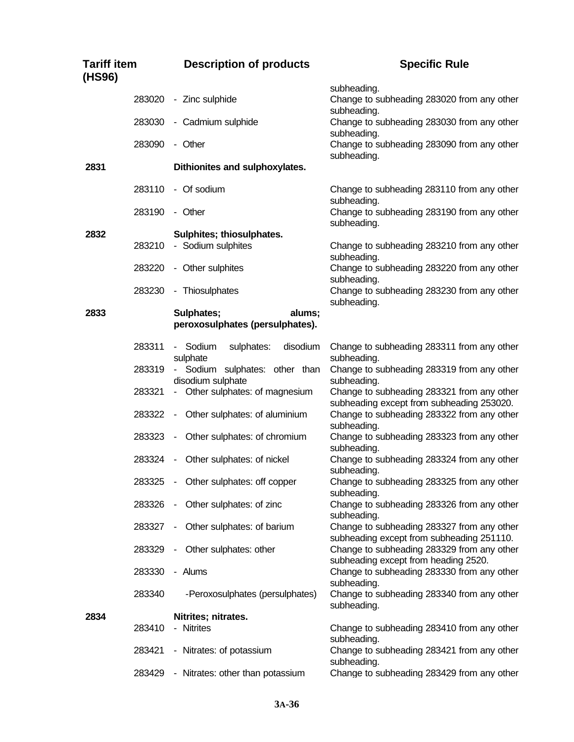| <b>Tariff item</b><br>(HS96) |        | <b>Description of products</b>                          | <b>Specific Rule</b>                                                                    |
|------------------------------|--------|---------------------------------------------------------|-----------------------------------------------------------------------------------------|
|                              | 283020 | - Zinc sulphide                                         | subheading.<br>Change to subheading 283020 from any other                               |
|                              | 283030 | - Cadmium sulphide                                      | subheading.<br>Change to subheading 283030 from any other<br>subheading.                |
|                              | 283090 | - Other                                                 | Change to subheading 283090 from any other<br>subheading.                               |
| 2831                         |        | Dithionites and sulphoxylates.                          |                                                                                         |
|                              | 283110 | - Of sodium                                             | Change to subheading 283110 from any other<br>subheading.                               |
|                              | 283190 | - Other                                                 | Change to subheading 283190 from any other<br>subheading.                               |
| 2832                         |        | Sulphites; thiosulphates.                               |                                                                                         |
|                              | 283210 | - Sodium sulphites                                      | Change to subheading 283210 from any other<br>subheading.                               |
|                              | 283220 | - Other sulphites                                       | Change to subheading 283220 from any other<br>subheading.                               |
|                              | 283230 | - Thiosulphates                                         | Change to subheading 283230 from any other<br>subheading.                               |
| 2833                         |        | Sulphates;<br>alums;<br>peroxosulphates (persulphates). |                                                                                         |
|                              | 283311 | - Sodium<br>sulphates:<br>disodium<br>sulphate          | Change to subheading 283311 from any other<br>subheading.                               |
|                              | 283319 | - Sodium sulphates: other than<br>disodium sulphate     | Change to subheading 283319 from any other<br>subheading.                               |
|                              | 283321 | - Other sulphates: of magnesium                         | Change to subheading 283321 from any other<br>subheading except from subheading 253020. |
|                              | 283322 | Other sulphates: of aluminium<br>$\sim$                 | Change to subheading 283322 from any other<br>subheading.                               |
|                              | 283323 | Other sulphates: of chromium<br>$\sim$                  | Change to subheading 283323 from any other<br>subheading.                               |
|                              | 283324 | Other sulphates: of nickel<br>$\sim$                    | Change to subheading 283324 from any other<br>subheading.                               |
|                              |        | 283325 - Other sulphates: off copper                    | Change to subheading 283325 from any other<br>subheading.                               |
|                              | 283326 | Other sulphates: of zinc<br>$\sim$                      | Change to subheading 283326 from any other<br>subheading.                               |
|                              | 283327 | Other sulphates: of barium<br>$\sim$                    | Change to subheading 283327 from any other<br>subheading except from subheading 251110. |
|                              | 283329 | Other sulphates: other<br>$\sim$                        | Change to subheading 283329 from any other<br>subheading except from heading 2520.      |
|                              | 283330 | - Alums                                                 | Change to subheading 283330 from any other<br>subheading.                               |
|                              | 283340 | -Peroxosulphates (persulphates)                         | Change to subheading 283340 from any other<br>subheading.                               |
| 2834                         |        | Nitrites; nitrates.                                     |                                                                                         |
|                              | 283410 | - Nitrites                                              | Change to subheading 283410 from any other<br>subheading.                               |
|                              | 283421 | - Nitrates: of potassium                                | Change to subheading 283421 from any other<br>subheading.                               |
|                              | 283429 | - Nitrates: other than potassium                        | Change to subheading 283429 from any other                                              |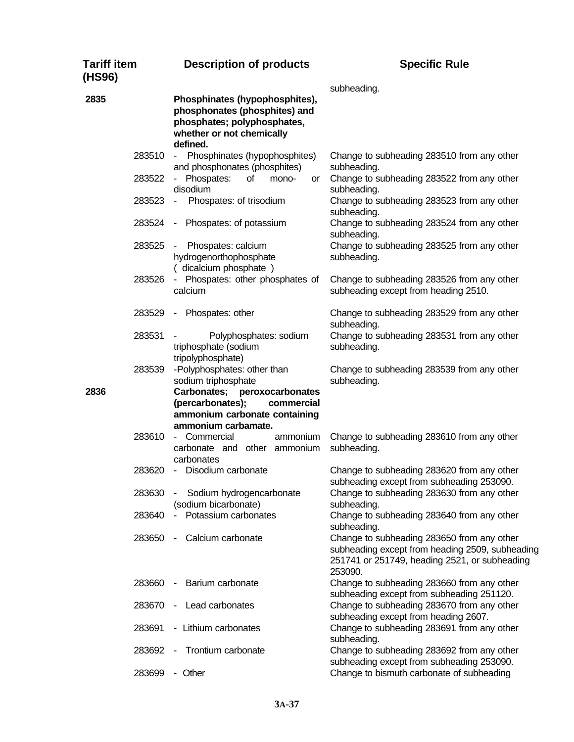| Tariff item<br>(HS96) | <b>Description of products</b>                                                                                                          | <b>Specific Rule</b>                                                                                                                                      |
|-----------------------|-----------------------------------------------------------------------------------------------------------------------------------------|-----------------------------------------------------------------------------------------------------------------------------------------------------------|
| 2835                  | Phosphinates (hypophosphites),<br>phosphonates (phosphites) and<br>phosphates; polyphosphates,<br>whether or not chemically<br>defined. | subheading.                                                                                                                                               |
| 283510                | Phosphinates (hypophosphites)<br>$\sim$ 10 $\pm$<br>and phosphonates (phosphites)                                                       | Change to subheading 283510 from any other<br>subheading.                                                                                                 |
| 283522                | Phospates:<br>0f<br>mono-<br>or<br>disodium                                                                                             | Change to subheading 283522 from any other<br>subheading.                                                                                                 |
| 283523                | Phospates: of trisodium<br>$\sim$                                                                                                       | Change to subheading 283523 from any other<br>subheading.                                                                                                 |
| 283524                | Phospates: of potassium<br>$\sim$                                                                                                       | Change to subheading 283524 from any other<br>subheading.                                                                                                 |
| 283525                | Phospates: calcium<br>hydrogenorthophosphate<br>(dicalcium phosphate)                                                                   | Change to subheading 283525 from any other<br>subheading.                                                                                                 |
| 283526                | Phospates: other phosphates of<br>calcium                                                                                               | Change to subheading 283526 from any other<br>subheading except from heading 2510.                                                                        |
| 283529                | Phospates: other<br>$\blacksquare$                                                                                                      | Change to subheading 283529 from any other<br>subheading.                                                                                                 |
| 283531                | Polyphosphates: sodium<br>triphosphate (sodium<br>tripolyphosphate)                                                                     | Change to subheading 283531 from any other<br>subheading.                                                                                                 |
| 283539                | -Polyphosphates: other than<br>sodium triphosphate                                                                                      | Change to subheading 283539 from any other<br>subheading.                                                                                                 |
| 2836                  | Carbonates; peroxocarbonates<br>(percarbonates);<br>commercial<br>ammonium carbonate containing<br>ammonium carbamate.                  |                                                                                                                                                           |
| 283610                | - Commercial<br>ammonium<br>carbonate and other ammonium<br>carbonates                                                                  | Change to subheading 283610 from any other<br>subheading.                                                                                                 |
| 283620                | Disodium carbonate                                                                                                                      | Change to subheading 283620 from any other<br>subheading except from subheading 253090.                                                                   |
| 283630                | Sodium hydrogencarbonate<br>(sodium bicarbonate)                                                                                        | Change to subheading 283630 from any other<br>subheading.                                                                                                 |
| 283640                | Potassium carbonates<br>$\sim$                                                                                                          | Change to subheading 283640 from any other<br>subheading.                                                                                                 |
| 283650                | Calcium carbonate<br>$\sim$                                                                                                             | Change to subheading 283650 from any other<br>subheading except from heading 2509, subheading<br>251741 or 251749, heading 2521, or subheading<br>253090. |
| 283660                | Barium carbonate<br>$\sim$                                                                                                              | Change to subheading 283660 from any other<br>subheading except from subheading 251120.                                                                   |
| 283670                | Lead carbonates<br>$\sim$                                                                                                               | Change to subheading 283670 from any other<br>subheading except from heading 2607.                                                                        |
| 283691                | - Lithium carbonates                                                                                                                    | Change to subheading 283691 from any other<br>subheading.                                                                                                 |
| 283692                | Trontium carbonate<br>$\blacksquare$                                                                                                    | Change to subheading 283692 from any other<br>subheading except from subheading 253090.                                                                   |
| 283699                | - Other                                                                                                                                 | Change to bismuth carbonate of subheading                                                                                                                 |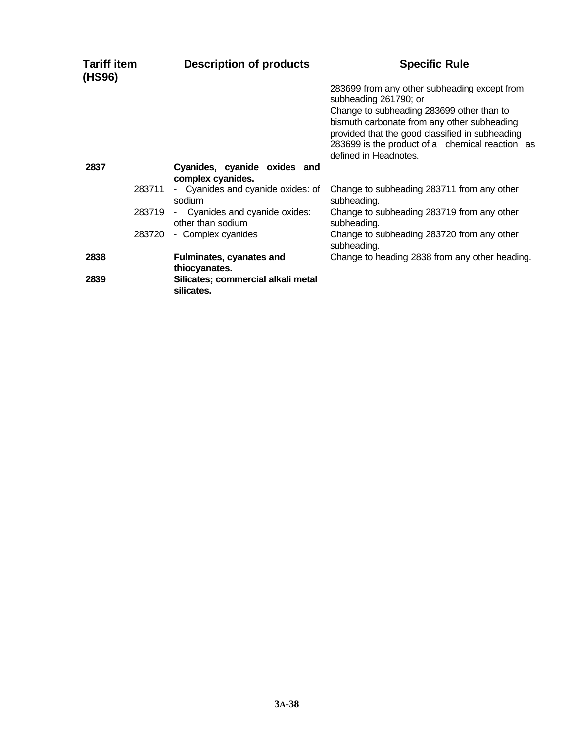| <b>Tariff item</b><br>(HS96) |        | <b>Description of products</b>                      | <b>Specific Rule</b>                                                                                                                                                                                                                                                                             |
|------------------------------|--------|-----------------------------------------------------|--------------------------------------------------------------------------------------------------------------------------------------------------------------------------------------------------------------------------------------------------------------------------------------------------|
|                              |        |                                                     | 283699 from any other subheading except from<br>subheading 261790; or<br>Change to subheading 283699 other than to<br>bismuth carbonate from any other subheading<br>provided that the good classified in subheading<br>283699 is the product of a chemical reaction as<br>defined in Headnotes. |
| 2837                         |        | Cyanides, cyanide oxides and<br>complex cyanides.   |                                                                                                                                                                                                                                                                                                  |
|                              | 283711 | - Cyanides and cyanide oxides: of<br>sodium         | Change to subheading 283711 from any other<br>subheading.                                                                                                                                                                                                                                        |
|                              | 283719 | - Cyanides and cyanide oxides:<br>other than sodium | Change to subheading 283719 from any other<br>subheading.                                                                                                                                                                                                                                        |
|                              | 283720 | - Complex cyanides                                  | Change to subheading 283720 from any other<br>subheading.                                                                                                                                                                                                                                        |
| 2838                         |        | <b>Fulminates, cyanates and</b><br>thiocyanates.    | Change to heading 2838 from any other heading.                                                                                                                                                                                                                                                   |
| 2839                         |        | Silicates; commercial alkali metal<br>silicates.    |                                                                                                                                                                                                                                                                                                  |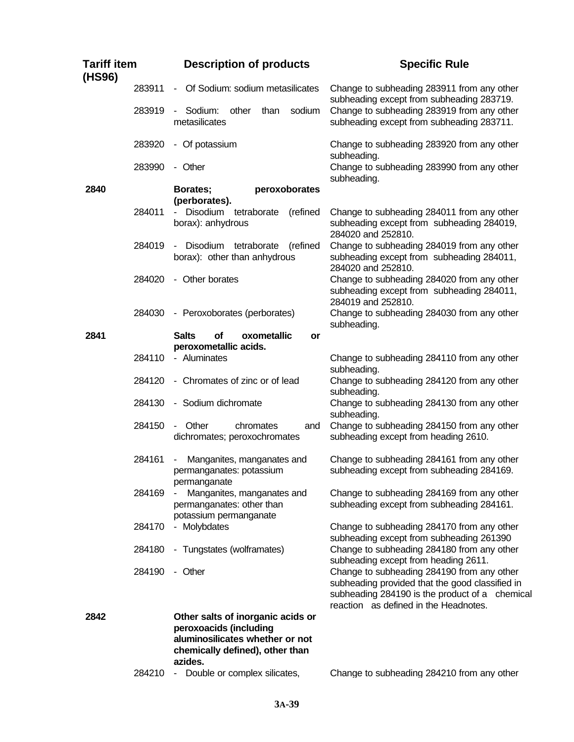| <b>Tariff item</b><br>(HS96) |        | <b>Description of products</b>                                                                                                               | <b>Specific Rule</b>                                                                                                                                                                     |
|------------------------------|--------|----------------------------------------------------------------------------------------------------------------------------------------------|------------------------------------------------------------------------------------------------------------------------------------------------------------------------------------------|
|                              | 283911 | Of Sodium: sodium metasilicates<br>$\blacksquare$                                                                                            | Change to subheading 283911 from any other<br>subheading except from subheading 283719.                                                                                                  |
|                              | 283919 | sodium<br>Sodium:<br>other<br>than<br>metasilicates                                                                                          | Change to subheading 283919 from any other<br>subheading except from subheading 283711.                                                                                                  |
|                              | 283920 | - Of potassium                                                                                                                               | Change to subheading 283920 from any other<br>subheading.                                                                                                                                |
|                              | 283990 | - Other                                                                                                                                      | Change to subheading 283990 from any other<br>subheading.                                                                                                                                |
| 2840                         |        | Borates;<br>peroxoborates<br>(perborates).                                                                                                   |                                                                                                                                                                                          |
|                              | 284011 | Disodium tetraborate<br>(refined<br>$\sim$                                                                                                   | Change to subheading 284011 from any other                                                                                                                                               |
|                              |        | borax): anhydrous                                                                                                                            | subheading except from subheading 284019,<br>284020 and 252810.                                                                                                                          |
|                              | 284019 | Disodium<br>tetraborate<br>(refined<br>$\frac{1}{2}$<br>borax): other than anhydrous                                                         | Change to subheading 284019 from any other<br>subheading except from subheading 284011,<br>284020 and 252810.                                                                            |
|                              | 284020 | - Other borates                                                                                                                              | Change to subheading 284020 from any other<br>subheading except from subheading 284011,<br>284019 and 252810.                                                                            |
|                              | 284030 | - Peroxoborates (perborates)                                                                                                                 | Change to subheading 284030 from any other<br>subheading.                                                                                                                                |
| 2841                         |        | <b>Salts</b><br><b>of</b><br>oxometallic<br>or                                                                                               |                                                                                                                                                                                          |
|                              | 284110 | peroxometallic acids.<br>- Aluminates                                                                                                        | Change to subheading 284110 from any other                                                                                                                                               |
|                              |        |                                                                                                                                              | subheading.                                                                                                                                                                              |
|                              | 284120 | - Chromates of zinc or of lead                                                                                                               | Change to subheading 284120 from any other<br>subheading.                                                                                                                                |
|                              | 284130 | - Sodium dichromate                                                                                                                          | Change to subheading 284130 from any other<br>subheading.                                                                                                                                |
|                              | 284150 | - Other<br>chromates<br>and<br>dichromates; peroxochromates                                                                                  | Change to subheading 284150 from any other<br>subheading except from heading 2610.                                                                                                       |
|                              | 284161 | Manganites, manganates and<br>permanganates: potassium<br>permanganate                                                                       | Change to subheading 284161 from any other<br>subheading except from subheading 284169.                                                                                                  |
|                              | 284169 | Manganites, manganates and<br>permanganates: other than                                                                                      | Change to subheading 284169 from any other<br>subheading except from subheading 284161.                                                                                                  |
|                              |        | potassium permanganate                                                                                                                       |                                                                                                                                                                                          |
|                              | 284170 | - Molybdates                                                                                                                                 | Change to subheading 284170 from any other<br>subheading except from subheading 261390                                                                                                   |
|                              | 284180 | - Tungstates (wolframates)                                                                                                                   | Change to subheading 284180 from any other<br>subheading except from heading 2611.                                                                                                       |
|                              | 284190 | - Other                                                                                                                                      | Change to subheading 284190 from any other<br>subheading provided that the good classified in<br>subheading 284190 is the product of a chemical<br>reaction as defined in the Headnotes. |
| 2842                         |        | Other salts of inorganic acids or<br>peroxoacids (including<br>aluminosilicates whether or not<br>chemically defined), other than<br>azides. |                                                                                                                                                                                          |
|                              | 284210 | Double or complex silicates,<br>$\sim$ $-$                                                                                                   | Change to subheading 284210 from any other                                                                                                                                               |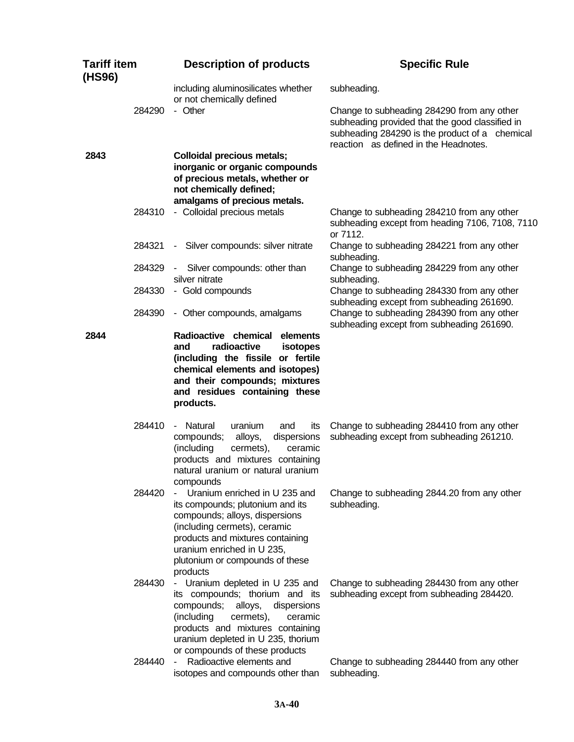| <b>Tariff item</b><br>(HS96) |        | <b>Description of products</b>                                                                                                                                                                                                                              | <b>Specific Rule</b>                                                                                                                                                                     |
|------------------------------|--------|-------------------------------------------------------------------------------------------------------------------------------------------------------------------------------------------------------------------------------------------------------------|------------------------------------------------------------------------------------------------------------------------------------------------------------------------------------------|
|                              |        | including aluminosilicates whether<br>or not chemically defined                                                                                                                                                                                             | subheading.                                                                                                                                                                              |
|                              | 284290 | - Other                                                                                                                                                                                                                                                     | Change to subheading 284290 from any other<br>subheading provided that the good classified in<br>subheading 284290 is the product of a chemical<br>reaction as defined in the Headnotes. |
| 2843                         |        | <b>Colloidal precious metals;</b><br>inorganic or organic compounds<br>of precious metals, whether or<br>not chemically defined;<br>amalgams of precious metals.                                                                                            |                                                                                                                                                                                          |
|                              | 284310 | - Colloidal precious metals                                                                                                                                                                                                                                 | Change to subheading 284210 from any other<br>subheading except from heading 7106, 7108, 7110<br>or 7112.                                                                                |
|                              | 284321 | - Silver compounds: silver nitrate                                                                                                                                                                                                                          | Change to subheading 284221 from any other<br>subheading.                                                                                                                                |
|                              | 284329 | Silver compounds: other than<br>$\blacksquare$<br>silver nitrate                                                                                                                                                                                            | Change to subheading 284229 from any other<br>subheading.                                                                                                                                |
|                              | 284330 | - Gold compounds                                                                                                                                                                                                                                            | Change to subheading 284330 from any other<br>subheading except from subheading 261690.                                                                                                  |
|                              | 284390 | - Other compounds, amalgams                                                                                                                                                                                                                                 | Change to subheading 284390 from any other<br>subheading except from subheading 261690.                                                                                                  |
| 2844                         |        | Radioactive chemical<br>elements<br>radioactive<br>and<br>isotopes<br>(including the fissile or fertile<br>chemical elements and isotopes)<br>and their compounds; mixtures<br>and residues containing these<br>products.                                   |                                                                                                                                                                                          |
|                              | 284410 | Natural<br>uranium<br>and<br>its<br>$\sim$<br>compounds;<br>alloys,<br>dispersions<br>(including<br>cermets),<br>ceramic<br>products and mixtures containing<br>natural uranium or natural uranium<br>compounds                                             | Change to subheading 284410 from any other<br>subheading except from subheading 261210.                                                                                                  |
|                              | 284420 | Uranium enriched in U 235 and<br>its compounds; plutonium and its<br>compounds; alloys, dispersions<br>(including cermets), ceramic<br>products and mixtures containing<br>uranium enriched in U 235,<br>plutonium or compounds of these<br>products        | Change to subheading 2844.20 from any other<br>subheading.                                                                                                                               |
|                              | 284430 | - Uranium depleted in U 235 and<br>its compounds; thorium and its<br>compounds;<br>alloys,<br>dispersions<br>(including<br>cermets),<br>ceramic<br>products and mixtures containing<br>uranium depleted in U 235, thorium<br>or compounds of these products | Change to subheading 284430 from any other<br>subheading except from subheading 284420.                                                                                                  |
|                              | 284440 | Radioactive elements and<br>isotopes and compounds other than                                                                                                                                                                                               | Change to subheading 284440 from any other<br>subheading.                                                                                                                                |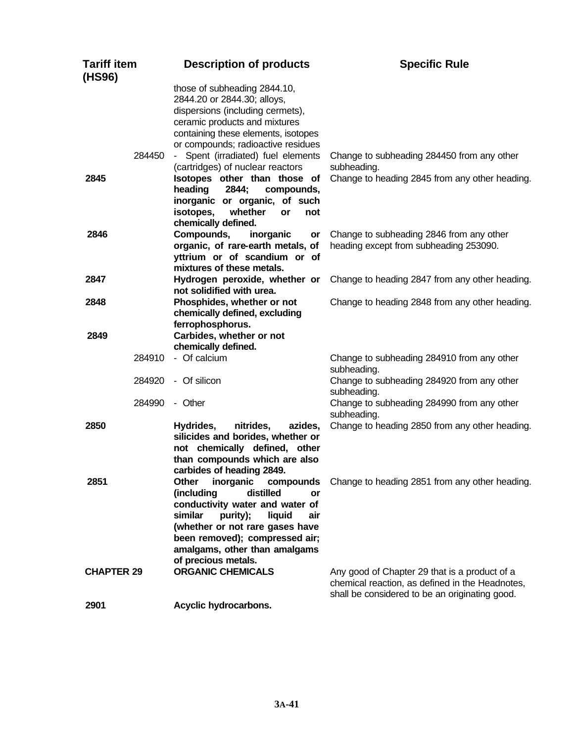| <b>Tariff item</b><br>(HS96) |        | <b>Description of products</b>                                                                                                                                                                                                                                           | <b>Specific Rule</b>                                                                                                                               |
|------------------------------|--------|--------------------------------------------------------------------------------------------------------------------------------------------------------------------------------------------------------------------------------------------------------------------------|----------------------------------------------------------------------------------------------------------------------------------------------------|
|                              |        | those of subheading 2844.10,<br>2844.20 or 2844.30; alloys,<br>dispersions (including cermets),<br>ceramic products and mixtures<br>containing these elements, isotopes<br>or compounds; radioactive residues                                                            |                                                                                                                                                    |
|                              | 284450 | - Spent (irradiated) fuel elements<br>(cartridges) of nuclear reactors                                                                                                                                                                                                   | Change to subheading 284450 from any other<br>subheading.                                                                                          |
| 2845                         |        | Isotopes other than those of<br>heading<br>2844;<br>compounds,<br>inorganic or organic, of such<br>isotopes,<br>whether<br>or<br>not<br>chemically defined.                                                                                                              | Change to heading 2845 from any other heading.                                                                                                     |
| 2846                         |        | Compounds,<br>inorganic<br>or<br>organic, of rare-earth metals, of<br>yttrium or of scandium or of<br>mixtures of these metals.                                                                                                                                          | Change to subheading 2846 from any other<br>heading except from subheading 253090.                                                                 |
| 2847                         |        | Hydrogen peroxide, whether or<br>not solidified with urea.                                                                                                                                                                                                               | Change to heading 2847 from any other heading.                                                                                                     |
| 2848                         |        | Phosphides, whether or not<br>chemically defined, excluding<br>ferrophosphorus.                                                                                                                                                                                          | Change to heading 2848 from any other heading.                                                                                                     |
| 2849                         |        | Carbides, whether or not<br>chemically defined.                                                                                                                                                                                                                          |                                                                                                                                                    |
|                              | 284910 | - Of calcium                                                                                                                                                                                                                                                             | Change to subheading 284910 from any other<br>subheading.                                                                                          |
|                              | 284920 | - Of silicon                                                                                                                                                                                                                                                             | Change to subheading 284920 from any other<br>subheading.                                                                                          |
|                              | 284990 | - Other                                                                                                                                                                                                                                                                  | Change to subheading 284990 from any other<br>subheading.                                                                                          |
| 2850                         |        | Hydrides,<br>nitrides,<br>azides,<br>silicides and borides, whether or<br>not chemically defined, other<br>than compounds which are also<br>carbides of heading 2849.                                                                                                    | Change to heading 2850 from any other heading.                                                                                                     |
| 2851                         |        | Other<br>inorganic<br>compounds<br>distilled<br>(including<br>or<br>conductivity water and water of<br>similar<br>purity);<br>liquid<br>air<br>(whether or not rare gases have<br>been removed); compressed air;<br>amalgams, other than amalgams<br>of precious metals. | Change to heading 2851 from any other heading.                                                                                                     |
| <b>CHAPTER 29</b>            |        | <b>ORGANIC CHEMICALS</b>                                                                                                                                                                                                                                                 | Any good of Chapter 29 that is a product of a<br>chemical reaction, as defined in the Headnotes,<br>shall be considered to be an originating good. |
| 2901                         |        | Acyclic hydrocarbons.                                                                                                                                                                                                                                                    |                                                                                                                                                    |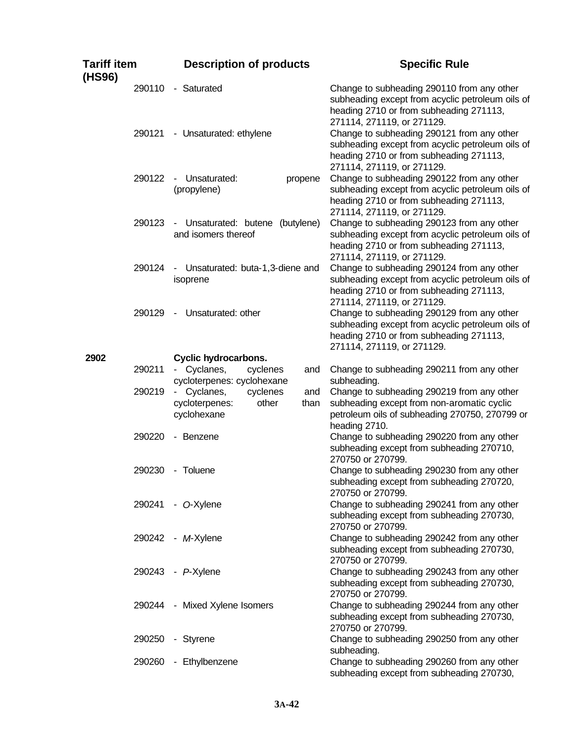| <b>Tariff item</b><br>(HS96) | <b>Description of products</b>                                                           | <b>Specific Rule</b>                                                                                                                                                    |
|------------------------------|------------------------------------------------------------------------------------------|-------------------------------------------------------------------------------------------------------------------------------------------------------------------------|
| 290110                       | - Saturated                                                                              | Change to subheading 290110 from any other<br>subheading except from acyclic petroleum oils of<br>heading 2710 or from subheading 271113,<br>271114, 271119, or 271129. |
| 290121                       | - Unsaturated: ethylene                                                                  | Change to subheading 290121 from any other<br>subheading except from acyclic petroleum oils of<br>heading 2710 or from subheading 271113,<br>271114, 271119, or 271129. |
| 290122                       | Unsaturated:<br>propene<br>$\blacksquare$<br>(propylene)                                 | Change to subheading 290122 from any other<br>subheading except from acyclic petroleum oils of<br>heading 2710 or from subheading 271113,<br>271114, 271119, or 271129. |
| 290123                       | Unsaturated: butene (butylene)<br>and isomers thereof                                    | Change to subheading 290123 from any other<br>subheading except from acyclic petroleum oils of<br>heading 2710 or from subheading 271113,<br>271114, 271119, or 271129. |
| 290124                       | Unsaturated: buta-1,3-diene and<br>۰<br>isoprene                                         | Change to subheading 290124 from any other<br>subheading except from acyclic petroleum oils of<br>heading 2710 or from subheading 271113,<br>271114, 271119, or 271129. |
| 290129                       | Unsaturated: other<br>$\blacksquare$                                                     | Change to subheading 290129 from any other<br>subheading except from acyclic petroleum oils of<br>heading 2710 or from subheading 271113,<br>271114, 271119, or 271129. |
| 2902                         | <b>Cyclic hydrocarbons.</b>                                                              |                                                                                                                                                                         |
| 290211                       | Cyclanes,<br>cyclenes<br>and<br>$\sim$<br>cycloterpenes: cyclohexane                     | Change to subheading 290211 from any other<br>subheading.                                                                                                               |
| 290219                       | Cyclanes,<br>cyclenes<br>and<br>$\sim$<br>cycloterpenes:<br>other<br>than<br>cyclohexane | Change to subheading 290219 from any other<br>subheading except from non-aromatic cyclic<br>petroleum oils of subheading 270750, 270799 or<br>heading 2710.             |
| 290220                       | - Benzene                                                                                | Change to subheading 290220 from any other<br>subheading except from subheading 270710,<br>270750 or 270799.                                                            |
| 290230                       | - Toluene                                                                                | Change to subheading 290230 from any other<br>subheading except from subheading 270720,<br>270750 or 270799.                                                            |
|                              | 290241 - O-Xylene                                                                        | Change to subheading 290241 from any other<br>subheading except from subheading 270730,<br>270750 or 270799.                                                            |
|                              | 290242 - M-Xylene                                                                        | Change to subheading 290242 from any other<br>subheading except from subheading 270730,<br>270750 or 270799.                                                            |
|                              | 290243 - P-Xylene                                                                        | Change to subheading 290243 from any other<br>subheading except from subheading 270730,<br>270750 or 270799.                                                            |
|                              | 290244 - Mixed Xylene Isomers                                                            | Change to subheading 290244 from any other<br>subheading except from subheading 270730,<br>270750 or 270799.                                                            |
| 290250                       | - Styrene                                                                                | Change to subheading 290250 from any other<br>subheading.                                                                                                               |
| 290260                       | - Ethylbenzene                                                                           | Change to subheading 290260 from any other<br>subheading except from subheading 270730,                                                                                 |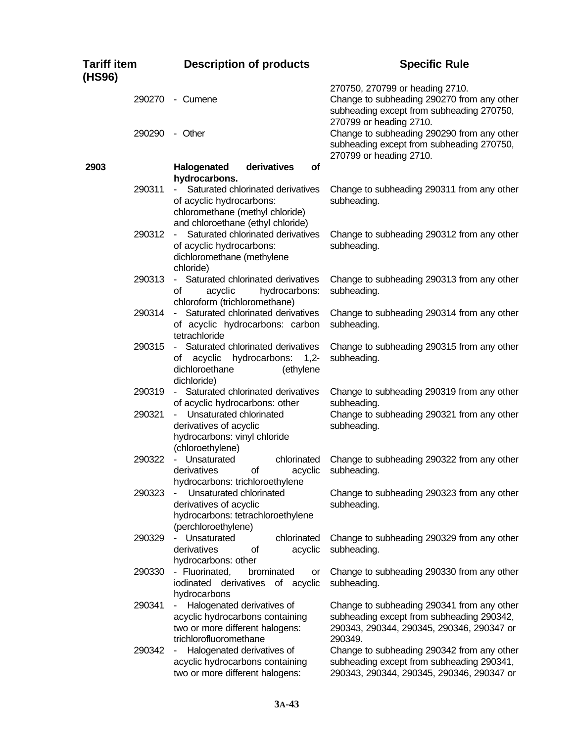| Tariff item<br>(HS96) | <b>Description of products</b>                                                                                                                          | <b>Specific Rule</b>                                                                                                                                  |
|-----------------------|---------------------------------------------------------------------------------------------------------------------------------------------------------|-------------------------------------------------------------------------------------------------------------------------------------------------------|
| 290270                | - Cumene                                                                                                                                                | 270750, 270799 or heading 2710.<br>Change to subheading 290270 from any other<br>subheading except from subheading 270750,<br>270799 or heading 2710. |
| 290290                | - Other                                                                                                                                                 | Change to subheading 290290 from any other<br>subheading except from subheading 270750,<br>270799 or heading 2710.                                    |
| 2903                  | derivatives<br>Halogenated<br><b>of</b>                                                                                                                 |                                                                                                                                                       |
| 290311                | hydrocarbons.<br>Saturated chlorinated derivatives<br>$\sim$<br>of acyclic hydrocarbons:<br>chloromethane (methyl chloride)                             | Change to subheading 290311 from any other<br>subheading.                                                                                             |
| 290312                | and chloroethane (ethyl chloride)<br>Saturated chlorinated derivatives<br>$\sim$<br>of acyclic hydrocarbons:<br>dichloromethane (methylene<br>chloride) | Change to subheading 290312 from any other<br>subheading.                                                                                             |
| 290313                | - Saturated chlorinated derivatives<br>acyclic<br>hydrocarbons:<br>οf<br>chloroform (trichloromethane)                                                  | Change to subheading 290313 from any other<br>subheading.                                                                                             |
| 290314                | - Saturated chlorinated derivatives<br>of acyclic hydrocarbons: carbon<br>tetrachloride                                                                 | Change to subheading 290314 from any other<br>subheading.                                                                                             |
| 290315                | - Saturated chlorinated derivatives<br>hydrocarbons:<br>acyclic<br>$1,2-$<br>of<br>dichloroethane<br>(ethylene<br>dichloride)                           | Change to subheading 290315 from any other<br>subheading.                                                                                             |
| 290319                | - Saturated chlorinated derivatives<br>of acyclic hydrocarbons: other                                                                                   | Change to subheading 290319 from any other<br>subheading.                                                                                             |
| 290321                | Unsaturated chlorinated<br>$\sim$<br>derivatives of acyclic<br>hydrocarbons: vinyl chloride<br>(chloroethylene)                                         | Change to subheading 290321 from any other<br>subheading.                                                                                             |
| 290322                | - Unsaturated<br>chlorinated<br>derivatives<br>οf<br>acyclic<br>hydrocarbons: trichloroethylene                                                         | Change to subheading 290322 from any other<br>subheading.                                                                                             |
| 290323                | Unsaturated chlorinated<br>derivatives of acyclic<br>hydrocarbons: tetrachloroethylene<br>(perchloroethylene)                                           | Change to subheading 290323 from any other<br>subheading.                                                                                             |
| 290329                | chlorinated<br>Unsaturated<br>derivatives<br>of<br>acyclic<br>hydrocarbons: other                                                                       | Change to subheading 290329 from any other<br>subheading.                                                                                             |
| 290330                | - Fluorinated,<br>brominated<br>or<br>iodinated derivatives<br>of acyclic<br>hydrocarbons                                                               | Change to subheading 290330 from any other<br>subheading.                                                                                             |
| 290341                | Halogenated derivatives of<br>acyclic hydrocarbons containing<br>two or more different halogens:<br>trichlorofluoromethane                              | Change to subheading 290341 from any other<br>subheading except from subheading 290342,<br>290343, 290344, 290345, 290346, 290347 or<br>290349.       |
| 290342                | Halogenated derivatives of<br>٠<br>acyclic hydrocarbons containing<br>two or more different halogens:                                                   | Change to subheading 290342 from any other<br>subheading except from subheading 290341,<br>290343, 290344, 290345, 290346, 290347 or                  |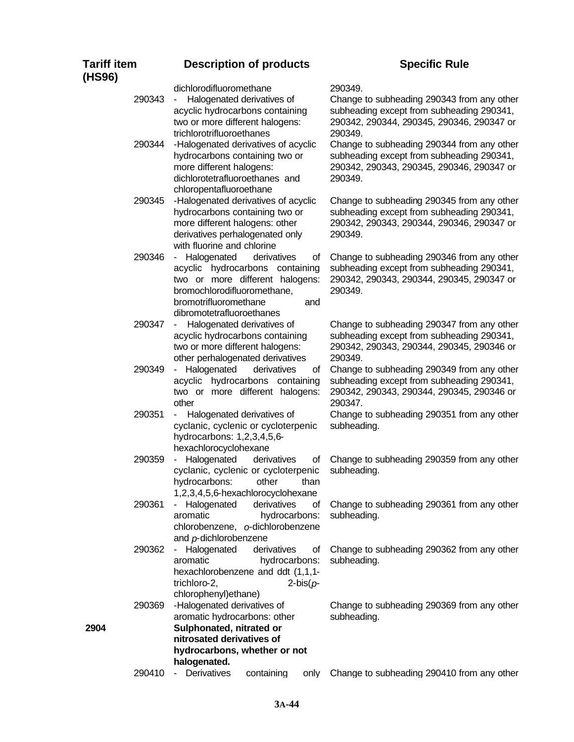## 290343 - Halogenated derivatives of acyclic hydrocarbons containing two or more different halogens: trichlorotrifluoroethanes Change to subheading 290343 from any other subheading except from subheading 290341, 290342, 290344, 290345, 290346, 290347 or 290349. 290344 -Halogenated derivatives of acyclic hydrocarbons containing two or more different halogens: dichlorotetrafluoroethanes and chloropentafluoroethane Change to subheading 290344 from any other subheading except from subheading 290341, 290342, 290343, 290345, 290346, 290347 or 290349. 290345 -Halogenated derivatives of acyclic hydrocarbons containing two or more different halogens: other derivatives perhalogenated only with fluorine and chlorine Change to subheading 290345 from any other subheading except from subheading 290341, 290342, 290343, 290344, 290346, 290347 or 290349. 290346 - Halogenated derivatives of acyclic hydrocarbons containing two or more different halogens: bromochlorodifluoromethane, bromotrifluoromethane and dibromotetrafluoroethanes Change to subheading 290346 from any other subheading except from subheading 290341, 290342, 290343, 290344, 290345, 290347 or 290349. 290347 - Halogenated derivatives of acyclic hydrocarbons containing two or more different halogens: other perhalogenated derivatives Change to subheading 290347 from any other subheading except from subheading 290341, 290342, 290343, 290344, 290345, 290346 or 290349. 290349 - Halogenated derivatives of acyclic hydrocarbons containing two or more different halogens: other Change to subheading 290349 from any other subheading except from subheading 290341, 290342, 290343, 290344, 290345, 290346 or 290347. 290351 - Halogenated derivatives of cyclanic, cyclenic or cycloterpenic hydrocarbons: 1,2,3,4,5,6 hexachlorocyclohexane Change to subheading 290351 from any other subheading. 290359 - Halogenated derivatives of cyclanic, cyclenic or cycloterpenic hydrocarbons: other than 1,2,3,4,5,6-hexachlorocyclohexane Change to subheading 290359 from any other subheading. 290361 - Halogenated derivatives of aromatic hydrocarbons: chlorobenzene, *o*-dichlorobenzene and *p*-dichlorobenzene Change to subheading 290361 from any other subheading. 290362 - Halogenated derivatives of aromatic hydrocarbons: hexachlorobenzene and ddt (1,1,1 trichloro-2, 2-bis(*p*chlorophenyl)ethane) Change to subheading 290362 from any other subheading. 290369 -Halogenated derivatives of aromatic hydrocarbons: other Change to subheading 290369 from any other subheading. **2904 Sulphonated, nitrated or nitrosated derivatives of hydrocarbons, whether or not**

**Description of products Specific Rule** 

dichlorodifluoromethane 290349.

**halogenated.**

**Tariff item (HS96)**

290410 - Derivatives containing only Change to subheading 290410 from any other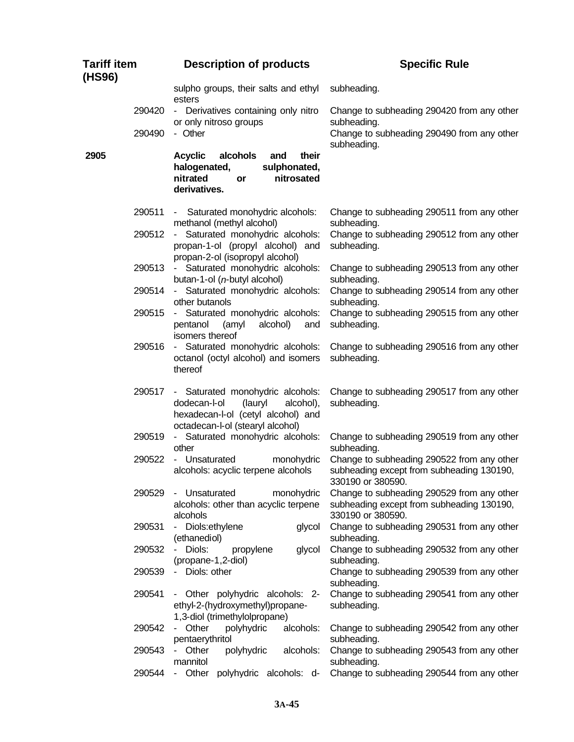| <b>Tariff item</b><br>(HS96) |        | <b>Description of products</b>                                                                                                                     | <b>Specific Rule</b>                                                                                         |
|------------------------------|--------|----------------------------------------------------------------------------------------------------------------------------------------------------|--------------------------------------------------------------------------------------------------------------|
|                              |        | sulpho groups, their salts and ethyl<br>esters                                                                                                     | subheading.                                                                                                  |
|                              | 290420 | - Derivatives containing only nitro                                                                                                                | Change to subheading 290420 from any other                                                                   |
|                              | 290490 | or only nitroso groups<br>- Other                                                                                                                  | subheading.<br>Change to subheading 290490 from any other<br>subheading.                                     |
| 2905                         |        | alcohols<br><b>Acyclic</b><br>and<br>their<br>halogenated,<br>sulphonated,<br>nitrated<br>nitrosated<br>or<br>derivatives.                         |                                                                                                              |
|                              | 290511 | Saturated monohydric alcohols:<br>methanol (methyl alcohol)                                                                                        | Change to subheading 290511 from any other<br>subheading.                                                    |
|                              | 290512 | - Saturated monohydric alcohols:<br>propan-1-ol (propyl alcohol) and<br>propan-2-ol (isopropyl alcohol)                                            | Change to subheading 290512 from any other<br>subheading.                                                    |
|                              | 290513 | - Saturated monohydric alcohols:<br>butan-1-ol ( $n$ -butyl alcohol)                                                                               | Change to subheading 290513 from any other<br>subheading.                                                    |
|                              | 290514 | - Saturated monohydric alcohols:<br>other butanols                                                                                                 | Change to subheading 290514 from any other<br>subheading.                                                    |
|                              | 290515 | - Saturated monohydric alcohols:<br>alcohol)<br>pentanol<br>(amyl<br>and<br>isomers thereof                                                        | Change to subheading 290515 from any other<br>subheading.                                                    |
|                              | 290516 | - Saturated monohydric alcohols:<br>octanol (octyl alcohol) and isomers<br>thereof                                                                 | Change to subheading 290516 from any other<br>subheading.                                                    |
|                              | 290517 | - Saturated monohydric alcohols:<br>dodecan-l-ol<br>(lauryl<br>alcohol),<br>hexadecan-l-ol (cetyl alcohol) and<br>octadecan-l-ol (stearyl alcohol) | Change to subheading 290517 from any other<br>subheading.                                                    |
|                              | 290519 | - Saturated monohydric alcohols:<br>other                                                                                                          | Change to subheading 290519 from any other<br>subheading.                                                    |
|                              | 290522 | - Unsaturated<br>monohydric<br>alcohols: acyclic terpene alcohols                                                                                  | Change to subheading 290522 from any other<br>subheading except from subheading 130190,<br>330190 or 380590. |
|                              | 290529 | - Unsaturated<br>monohydric<br>alcohols: other than acyclic terpene<br>alcohols                                                                    | Change to subheading 290529 from any other<br>subheading except from subheading 130190,<br>330190 or 380590. |
|                              | 290531 | Diols:ethylene<br>glycol<br>(ethanediol)                                                                                                           | Change to subheading 290531 from any other<br>subheading.                                                    |
|                              | 290532 | - Diols:<br>propylene<br>glycol<br>(propane-1,2-diol)                                                                                              | Change to subheading 290532 from any other<br>subheading.                                                    |
|                              | 290539 | - Diols: other                                                                                                                                     | Change to subheading 290539 from any other<br>subheading.                                                    |
|                              | 290541 | - Other polyhydric alcohols: 2-<br>ethyl-2-(hydroxymethyl)propane-<br>1,3-diol (trimethylolpropane)                                                | Change to subheading 290541 from any other<br>subheading.                                                    |
|                              | 290542 | - Other<br>polyhydric<br>alcohols:<br>pentaerythritol                                                                                              | Change to subheading 290542 from any other<br>subheading.                                                    |
|                              | 290543 | polyhydric<br>- Other<br>alcohols:<br>mannitol                                                                                                     | Change to subheading 290543 from any other<br>subheading.                                                    |
|                              | 290544 | - Other<br>polyhydric alcohols: d-                                                                                                                 | Change to subheading 290544 from any other                                                                   |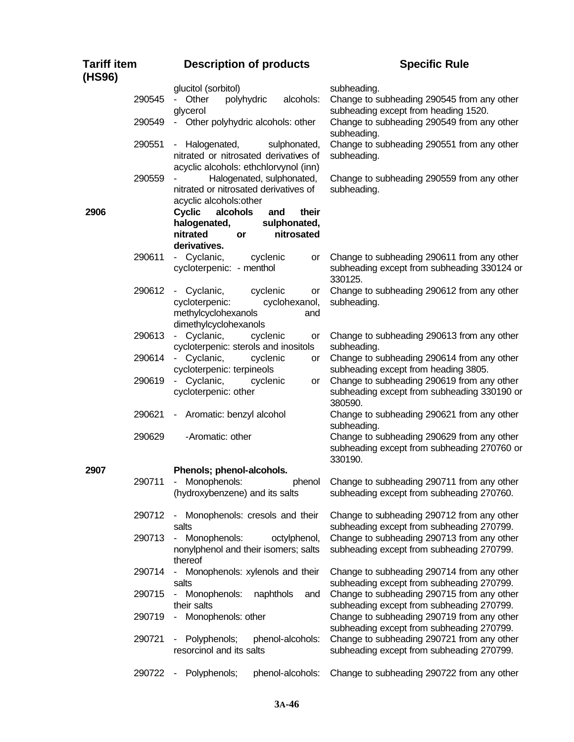| <b>Tariff item</b><br>(HS96) |        | <b>Description of products</b>                                                                                                                       | <b>Specific Rule</b>                                                                                 |
|------------------------------|--------|------------------------------------------------------------------------------------------------------------------------------------------------------|------------------------------------------------------------------------------------------------------|
|                              | 290545 | glucitol (sorbitol)<br>- Other<br>alcohols:<br>polyhydric<br>glycerol                                                                                | subheading.<br>Change to subheading 290545 from any other<br>subheading except from heading 1520.    |
|                              | 290549 | - Other polyhydric alcohols: other                                                                                                                   | Change to subheading 290549 from any other<br>subheading.                                            |
|                              | 290551 | - Halogenated,<br>sulphonated,<br>nitrated or nitrosated derivatives of<br>acyclic alcohols: ethchlorvynol (inn)                                     | Change to subheading 290551 from any other<br>subheading.                                            |
|                              | 290559 | Halogenated, sulphonated,<br>nitrated or nitrosated derivatives of                                                                                   | Change to subheading 290559 from any other<br>subheading.                                            |
| 2906                         |        | acyclic alcohols: other<br><b>Cyclic</b><br>alcohols<br>their<br>and<br>halogenated,<br>sulphonated,<br>nitrated<br>nitrosated<br>or<br>derivatives. |                                                                                                      |
|                              | 290611 | - Cyclanic,<br>cyclenic<br>or<br>cycloterpenic: - menthol                                                                                            | Change to subheading 290611 from any other<br>subheading except from subheading 330124 or<br>330125. |
|                              | 290612 | - Cyclanic,<br>cyclenic<br>or<br>cycloterpenic:<br>cyclohexanol,<br>methylcyclohexanols<br>and<br>dimethylcyclohexanols                              | Change to subheading 290612 from any other<br>subheading.                                            |
|                              | 290613 | - Cyclanic,<br>cyclenic<br>or<br>cycloterpenic: sterols and inositols                                                                                | Change to subheading 290613 from any other<br>subheading.                                            |
|                              | 290614 | Cyclanic,<br>cyclenic<br>$\sim$<br>or<br>cycloterpenic: terpineols                                                                                   | Change to subheading 290614 from any other<br>subheading except from heading 3805.                   |
|                              | 290619 | Cyclanic,<br>cyclenic<br>$\sim$<br>or<br>cycloterpenic: other                                                                                        | Change to subheading 290619 from any other<br>subheading except from subheading 330190 or<br>380590. |
|                              | 290621 | - Aromatic: benzyl alcohol                                                                                                                           | Change to subheading 290621 from any other<br>subheading.                                            |
|                              | 290629 | -Aromatic: other                                                                                                                                     | Change to subheading 290629 from any other<br>subheading except from subheading 270760 or<br>330190. |
| 2907                         | 290711 | Phenols; phenol-alcohols.<br>Monophenols:<br>phenol<br>$\sim$<br>(hydroxybenzene) and its salts                                                      | Change to subheading 290711 from any other<br>subheading except from subheading 270760.              |
|                              | 290712 | - Monophenols: cresols and their<br>salts                                                                                                            | Change to subheading 290712 from any other<br>subheading except from subheading 270799.              |
|                              | 290713 | - Monophenols:<br>octylphenol,<br>nonylphenol and their isomers; salts<br>thereof                                                                    | Change to subheading 290713 from any other<br>subheading except from subheading 270799.              |
|                              | 290714 | - Monophenols: xylenols and their<br>salts                                                                                                           | Change to subheading 290714 from any other<br>subheading except from subheading 270799.              |
|                              | 290715 | Monophenols:<br>naphthols<br>and<br>$\sim$<br>their salts                                                                                            | Change to subheading 290715 from any other<br>subheading except from subheading 270799.              |
|                              | 290719 | - Monophenols: other                                                                                                                                 | Change to subheading 290719 from any other<br>subheading except from subheading 270799.              |
|                              | 290721 | Polyphenols;<br>phenol-alcohols:<br>resorcinol and its salts                                                                                         | Change to subheading 290721 from any other<br>subheading except from subheading 270799.              |
|                              |        | 290722 - Polyphenols;<br>phenol-alcohols:                                                                                                            | Change to subheading 290722 from any other                                                           |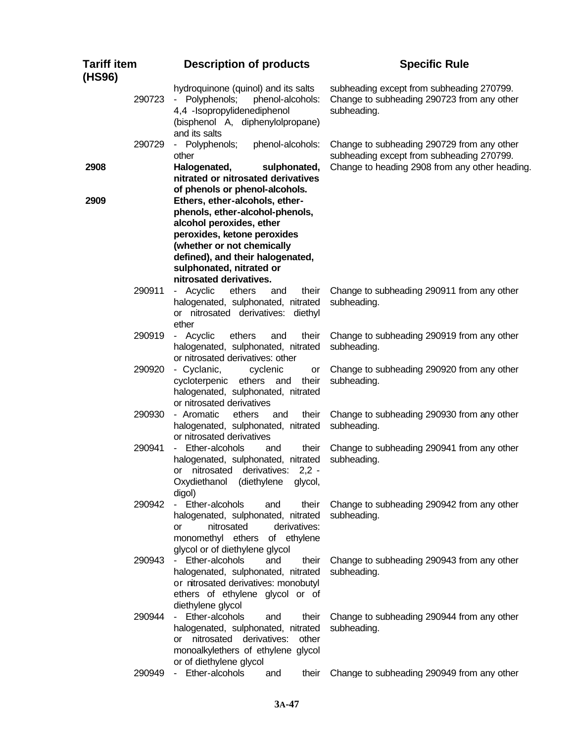| <b>Tariff item</b><br>(HS96) | <b>Description of products</b>                                                                                                                                                                                                                        | <b>Specific Rule</b>                                                                                   |
|------------------------------|-------------------------------------------------------------------------------------------------------------------------------------------------------------------------------------------------------------------------------------------------------|--------------------------------------------------------------------------------------------------------|
| 290723                       | hydroquinone (quinol) and its salts<br>Polyphenols;<br>phenol-alcohols:<br>$\sim$<br>4,4 - Isopropylidenediphenol<br>(bisphenol A, diphenylolpropane)<br>and its salts                                                                                | subheading except from subheading 270799.<br>Change to subheading 290723 from any other<br>subheading. |
| 290729                       | - Polyphenols;<br>phenol-alcohols:<br>other                                                                                                                                                                                                           | Change to subheading 290729 from any other<br>subheading except from subheading 270799.                |
| 2908                         | Halogenated,<br>sulphonated,<br>nitrated or nitrosated derivatives<br>of phenols or phenol-alcohols.                                                                                                                                                  | Change to heading 2908 from any other heading.                                                         |
| 2909                         | Ethers, ether-alcohols, ether-<br>phenols, ether-alcohol-phenols,<br>alcohol peroxides, ether<br>peroxides, ketone peroxides<br>(whether or not chemically<br>defined), and their halogenated,<br>sulphonated, nitrated or<br>nitrosated derivatives. |                                                                                                        |
| 290911                       | - Acyclic<br>ethers<br>and<br>their<br>halogenated, sulphonated, nitrated<br>or nitrosated derivatives:<br>diethyl<br>ether                                                                                                                           | Change to subheading 290911 from any other<br>subheading.                                              |
| 290919                       | ethers<br>- Acyclic<br>and<br>their<br>halogenated, sulphonated, nitrated<br>or nitrosated derivatives: other                                                                                                                                         | Change to subheading 290919 from any other<br>subheading.                                              |
| 290920                       | - Cyclanic,<br>cyclenic<br>or<br>ethers<br>cycloterpenic<br>and<br>their<br>halogenated, sulphonated, nitrated<br>or nitrosated derivatives                                                                                                           | Change to subheading 290920 from any other<br>subheading.                                              |
| 290930                       | - Aromatic<br>ethers<br>and<br>their<br>halogenated, sulphonated, nitrated<br>or nitrosated derivatives                                                                                                                                               | Change to subheading 290930 from any other<br>subheading.                                              |
| 290941                       | - Ether-alcohols<br>and<br>their<br>halogenated, sulphonated, nitrated<br>nitrosated derivatives:<br>$2,2 -$<br>or<br>Oxydiethanol<br>(diethylene<br>glycol,<br>digol)                                                                                | Change to subheading 290941 from any other<br>subheading.                                              |
| 290942                       | - Ether-alcohols<br>and<br>their<br>halogenated, sulphonated, nitrated<br>nitrosated<br>derivatives:<br>or<br>monomethyl ethers<br>of ethylene<br>glycol or of diethylene glycol                                                                      | Change to subheading 290942 from any other<br>subheading.                                              |
| 290943                       | - Ether-alcohols<br>and<br>their<br>halogenated, sulphonated, nitrated<br>or nitrosated derivatives: monobutyl<br>ethers of ethylene glycol or of<br>diethylene glycol                                                                                | Change to subheading 290943 from any other<br>subheading.                                              |
| 290944                       | - Ether-alcohols<br>and<br>their<br>halogenated, sulphonated, nitrated<br>nitrosated<br>derivatives:<br>other<br>or<br>monoalkylethers of ethylene glycol<br>or of diethylene glycol                                                                  | Change to subheading 290944 from any other<br>subheading.                                              |
| 290949                       | Ether-alcohols<br>and<br>their<br>$\sim$                                                                                                                                                                                                              | Change to subheading 290949 from any other                                                             |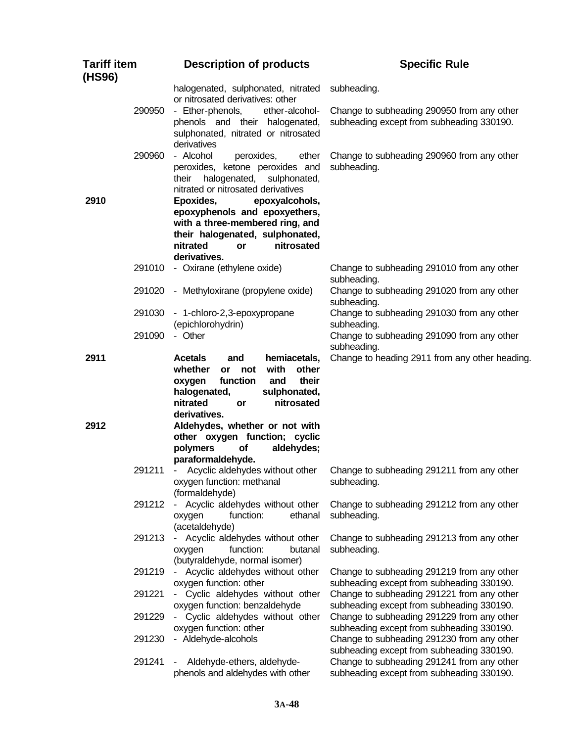| <b>Tariff item</b><br>(HS96) |        | <b>Description of products</b>                                                                                                                                                                       | <b>Specific Rule</b>                                                                    |
|------------------------------|--------|------------------------------------------------------------------------------------------------------------------------------------------------------------------------------------------------------|-----------------------------------------------------------------------------------------|
|                              |        | halogenated, sulphonated, nitrated<br>or nitrosated derivatives: other                                                                                                                               | subheading.                                                                             |
|                              | 290950 | - Ether-phenols,<br>ether-alcohol-<br>phenols and their halogenated,<br>sulphonated, nitrated or nitrosated<br>derivatives                                                                           | Change to subheading 290950 from any other<br>subheading except from subheading 330190. |
|                              | 290960 | - Alcohol<br>peroxides,<br>ether<br>peroxides, ketone peroxides and<br>halogenated,<br>sulphonated,<br>their<br>nitrated or nitrosated derivatives                                                   | Change to subheading 290960 from any other<br>subheading.                               |
| 2910                         |        | Epoxides,<br>epoxyalcohols,<br>epoxyphenols and epoxyethers,<br>with a three-membered ring, and<br>their halogenated, sulphonated,<br>nitrated<br>nitrosated<br>or<br>derivatives.                   |                                                                                         |
|                              | 291010 | - Oxirane (ethylene oxide)                                                                                                                                                                           | Change to subheading 291010 from any other<br>subheading.                               |
|                              | 291020 | - Methyloxirane (propylene oxide)                                                                                                                                                                    | Change to subheading 291020 from any other<br>subheading.                               |
|                              | 291030 | - 1-chloro-2,3-epoxypropane<br>(epichlorohydrin)                                                                                                                                                     | Change to subheading 291030 from any other<br>subheading.                               |
|                              | 291090 | - Other                                                                                                                                                                                              | Change to subheading 291090 from any other<br>subheading.                               |
| 2911                         |        | <b>Acetals</b><br>hemiacetals,<br>and<br>whether<br>with<br>other<br>or<br>not<br>function<br>and<br>their<br>oxygen<br>halogenated,<br>sulphonated,<br>nitrated<br>nitrosated<br>or<br>derivatives. | Change to heading 2911 from any other heading.                                          |
| 2912                         |        | Aldehydes, whether or not with<br>other oxygen function; cyclic<br>aldehydes;<br>polymers<br>of<br>paraformaldehyde.                                                                                 |                                                                                         |
|                              | 291211 | Acyclic aldehydes without other<br>- 1<br>oxygen function: methanal<br>(formaldehyde)                                                                                                                | Change to subheading 291211 from any other<br>subheading.                               |
|                              | 291212 | Acyclic aldehydes without other<br>function:<br>oxygen<br>ethanal<br>(acetaldehyde)                                                                                                                  | Change to subheading 291212 from any other<br>subheading.                               |
|                              | 291213 | Acyclic aldehydes without other<br>function:<br>oxygen<br>butanal<br>(butyraldehyde, normal isomer)                                                                                                  | Change to subheading 291213 from any other<br>subheading.                               |
|                              | 291219 | Acyclic aldehydes without other<br>oxygen function: other                                                                                                                                            | Change to subheading 291219 from any other<br>subheading except from subheading 330190. |
|                              | 291221 | Cyclic aldehydes without other<br>oxygen function: benzaldehyde                                                                                                                                      | Change to subheading 291221 from any other<br>subheading except from subheading 330190. |
|                              | 291229 | Cyclic aldehydes without other<br>oxygen function: other                                                                                                                                             | Change to subheading 291229 from any other<br>subheading except from subheading 330190. |
|                              | 291230 | - Aldehyde-alcohols                                                                                                                                                                                  | Change to subheading 291230 from any other<br>subheading except from subheading 330190. |
|                              | 291241 | Aldehyde-ethers, aldehyde-<br>-<br>phenols and aldehydes with other                                                                                                                                  | Change to subheading 291241 from any other<br>subheading except from subheading 330190. |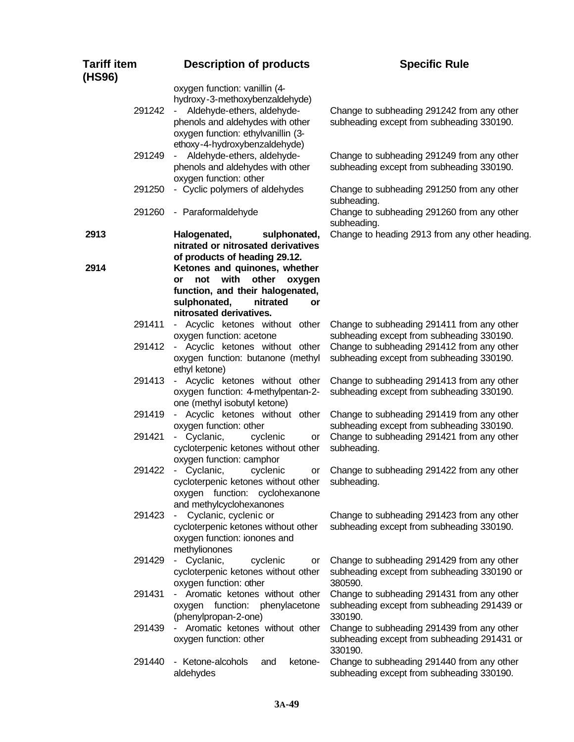| <b>Tariff item</b><br>(HS96) | <b>Description of products</b>                                                                                                                                                                                     | <b>Specific Rule</b>                                                                                 |
|------------------------------|--------------------------------------------------------------------------------------------------------------------------------------------------------------------------------------------------------------------|------------------------------------------------------------------------------------------------------|
| 291242                       | oxygen function: vanillin (4-<br>hydroxy-3-methoxybenzaldehyde)<br>Aldehyde-ethers, aldehyde-<br>$\sim$<br>phenols and aldehydes with other<br>oxygen function: ethylvanillin (3-<br>ethoxy-4-hydroxybenzaldehyde) | Change to subheading 291242 from any other<br>subheading except from subheading 330190.              |
| 291249                       | Aldehyde-ethers, aldehyde-<br>$\sim 10$<br>phenols and aldehydes with other<br>oxygen function: other                                                                                                              | Change to subheading 291249 from any other<br>subheading except from subheading 330190.              |
| 291250                       | - Cyclic polymers of aldehydes                                                                                                                                                                                     | Change to subheading 291250 from any other<br>subheading.                                            |
| 291260                       | - Paraformaldehyde                                                                                                                                                                                                 | Change to subheading 291260 from any other<br>subheading.                                            |
| 2913                         | Halogenated,<br>sulphonated,<br>nitrated or nitrosated derivatives<br>of products of heading 29.12.                                                                                                                | Change to heading 2913 from any other heading.                                                       |
| 2914                         | Ketones and quinones, whether<br>not with<br>other<br>oxygen<br>or<br>function, and their halogenated,<br>sulphonated,<br>nitrated<br>or<br>nitrosated derivatives.                                                |                                                                                                      |
| 291411                       | - Acyclic ketones without other<br>oxygen function: acetone                                                                                                                                                        | Change to subheading 291411 from any other<br>subheading except from subheading 330190.              |
| 291412                       | - Acyclic ketones without other<br>oxygen function: butanone (methyl<br>ethyl ketone)                                                                                                                              | Change to subheading 291412 from any other<br>subheading except from subheading 330190.              |
| 291413                       | - Acyclic ketones without other<br>oxygen function: 4-methylpentan-2-<br>one (methyl isobutyl ketone)                                                                                                              | Change to subheading 291413 from any other<br>subheading except from subheading 330190.              |
| 291419                       | - Acyclic ketones without other<br>oxygen function: other                                                                                                                                                          | Change to subheading 291419 from any other<br>subheading except from subheading 330190.              |
| 291421                       | Cyclanic,<br>cyclenic<br>or<br>cycloterpenic ketones without other<br>oxygen function: camphor                                                                                                                     | Change to subheading 291421 from any other<br>subheading.                                            |
| 291422                       | - Cyclanic,<br>cyclenic<br>or<br>cycloterpenic ketones without other<br>oxygen function: cyclohexanone<br>and methylcyclohexanones                                                                                 | Change to subheading 291422 from any other<br>subheading.                                            |
| 291423                       | Cyclanic, cyclenic or<br>cycloterpenic ketones without other<br>oxygen function: ionones and<br>methylionones                                                                                                      | Change to subheading 291423 from any other<br>subheading except from subheading 330190.              |
| 291429                       | - Cyclanic,<br>cyclenic<br>or<br>cycloterpenic ketones without other<br>oxygen function: other                                                                                                                     | Change to subheading 291429 from any other<br>subheading except from subheading 330190 or<br>380590. |
| 291431                       | - Aromatic ketones without other<br>oxygen function: phenylacetone<br>(phenylpropan-2-one)                                                                                                                         | Change to subheading 291431 from any other<br>subheading except from subheading 291439 or<br>330190. |
| 291439                       | - Aromatic ketones without other<br>oxygen function: other                                                                                                                                                         | Change to subheading 291439 from any other<br>subheading except from subheading 291431 or<br>330190. |
| 291440                       | - Ketone-alcohols<br>ketone-<br>and<br>aldehydes                                                                                                                                                                   | Change to subheading 291440 from any other<br>subheading except from subheading 330190.              |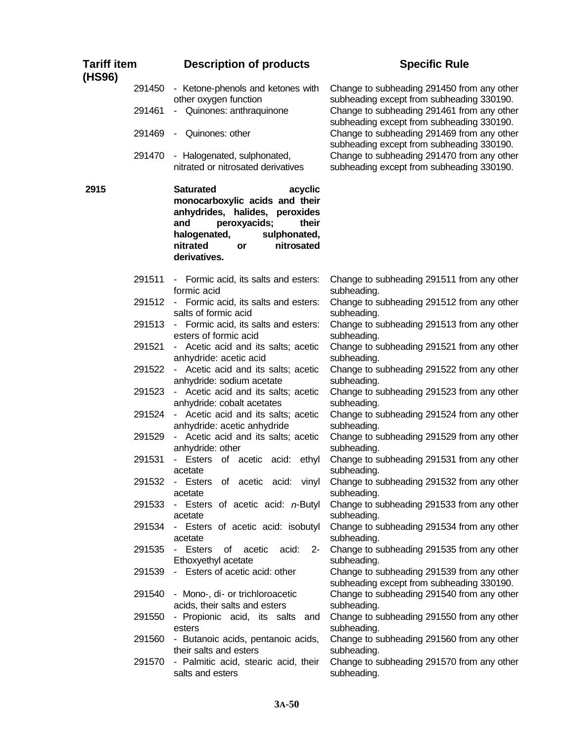| <b>Tariff item</b><br>(HS96) |                  | <b>Description of products</b>                                                                                                                                                                                  | <b>Specific Rule</b>                                                                                                                  |
|------------------------------|------------------|-----------------------------------------------------------------------------------------------------------------------------------------------------------------------------------------------------------------|---------------------------------------------------------------------------------------------------------------------------------------|
|                              | 291450<br>291461 | - Ketone-phenols and ketones with<br>other oxygen function<br>- Quinones: anthraquinone                                                                                                                         | Change to subheading 291450 from any other<br>subheading except from subheading 330190.<br>Change to subheading 291461 from any other |
|                              | 291469           | - Quinones: other                                                                                                                                                                                               | subheading except from subheading 330190.<br>Change to subheading 291469 from any other<br>subheading except from subheading 330190.  |
|                              | 291470           | - Halogenated, sulphonated,<br>nitrated or nitrosated derivatives                                                                                                                                               | Change to subheading 291470 from any other<br>subheading except from subheading 330190.                                               |
| 2915                         |                  | <b>Saturated</b><br>acyclic<br>monocarboxylic acids and their<br>anhydrides, halides, peroxides<br>and<br>peroxyacids;<br>their<br>halogenated,<br>sulphonated,<br>nitrosated<br>nitrated<br>or<br>derivatives. |                                                                                                                                       |
|                              | 291511           | - Formic acid, its salts and esters:<br>formic acid                                                                                                                                                             | Change to subheading 291511 from any other<br>subheading.                                                                             |
|                              | 291512           | - Formic acid, its salts and esters:<br>salts of formic acid                                                                                                                                                    | Change to subheading 291512 from any other<br>subheading.                                                                             |
|                              | 291513           | - Formic acid, its salts and esters:<br>esters of formic acid                                                                                                                                                   | Change to subheading 291513 from any other<br>subheading.                                                                             |
|                              | 291521           | - Acetic acid and its salts; acetic<br>anhydride: acetic acid                                                                                                                                                   | Change to subheading 291521 from any other<br>subheading.                                                                             |
|                              | 291522           | - Acetic acid and its salts; acetic<br>anhydride: sodium acetate                                                                                                                                                | Change to subheading 291522 from any other<br>subheading.                                                                             |
|                              | 291523           | - Acetic acid and its salts; acetic<br>anhydride: cobalt acetates                                                                                                                                               | Change to subheading 291523 from any other<br>subheading.                                                                             |
|                              | 291524           | - Acetic acid and its salts; acetic<br>anhydride: acetic anhydride                                                                                                                                              | Change to subheading 291524 from any other<br>subheading.                                                                             |
|                              | 291529           | - Acetic acid and its salts; acetic<br>anhydride: other                                                                                                                                                         | Change to subheading 291529 from any other<br>subheading.                                                                             |
|                              | 291531           | - Esters of acetic acid:<br>ethyl<br>acetate                                                                                                                                                                    | Change to subheading 291531 from any other<br>subheading.                                                                             |
|                              | 291532           | - Esters of acetic acid: vinyl<br>acetate                                                                                                                                                                       | Change to subheading 291532 from any other<br>subheading.                                                                             |
|                              | 291533           | - Esters of acetic acid: $n$ -Butyl<br>acetate                                                                                                                                                                  | Change to subheading 291533 from any other<br>subheading.                                                                             |
|                              | 291534           | - Esters of acetic acid: isobutyl<br>acetate                                                                                                                                                                    | Change to subheading 291534 from any other<br>subheading.                                                                             |
|                              | 291535           | - Esters<br>of<br>acetic<br>acid:<br>$2 -$<br>Ethoxyethyl acetate                                                                                                                                               | Change to subheading 291535 from any other<br>subheading.                                                                             |
|                              | 291539           | - Esters of acetic acid: other                                                                                                                                                                                  | Change to subheading 291539 from any other<br>subheading except from subheading 330190.                                               |
|                              | 291540           | - Mono-, di- or trichloroacetic<br>acids, their salts and esters                                                                                                                                                | Change to subheading 291540 from any other<br>subheading.                                                                             |
|                              | 291550           | - Propionic acid, its salts and<br>esters                                                                                                                                                                       | Change to subheading 291550 from any other<br>subheading.                                                                             |
|                              | 291560           | - Butanoic acids, pentanoic acids,<br>their salts and esters                                                                                                                                                    | Change to subheading 291560 from any other<br>subheading.                                                                             |
|                              | 291570           | - Palmitic acid, stearic acid, their<br>salts and esters                                                                                                                                                        | Change to subheading 291570 from any other<br>subheading.                                                                             |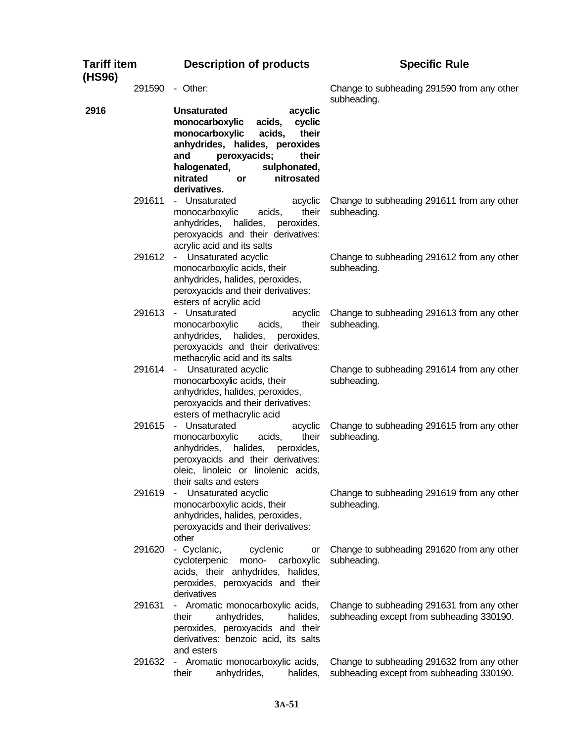| <b>Tariff item</b><br>(HS96) | <b>Description of products</b>                                                                                                                                                                                                                             | <b>Specific Rule</b>                                                                    |  |
|------------------------------|------------------------------------------------------------------------------------------------------------------------------------------------------------------------------------------------------------------------------------------------------------|-----------------------------------------------------------------------------------------|--|
| 291590                       | - Other:                                                                                                                                                                                                                                                   | Change to subheading 291590 from any other<br>subheading.                               |  |
| 2916                         | <b>Unsaturated</b><br>acyclic<br>monocarboxylic<br>acids,<br>cyclic<br>monocarboxylic<br>acids,<br>their<br>anhydrides, halides, peroxides<br>peroxyacids;<br>their<br>and<br>halogenated,<br>sulphonated,<br>nitrosated<br>nitrated<br>or<br>derivatives. |                                                                                         |  |
| 291611                       | - Unsaturated<br>acyclic<br>their<br>monocarboxylic<br>acids,<br>anhydrides,<br>halides, peroxides,<br>peroxyacids and their derivatives:<br>acrylic acid and its salts                                                                                    | Change to subheading 291611 from any other<br>subheading.                               |  |
| 291612                       | - Unsaturated acyclic<br>monocarboxylic acids, their<br>anhydrides, halides, peroxides,<br>peroxyacids and their derivatives:<br>esters of acrylic acid                                                                                                    | Change to subheading 291612 from any other<br>subheading.                               |  |
| 291613                       | - Unsaturated<br>acyclic<br>their<br>monocarboxylic<br>acids,<br>halides, peroxides,<br>anhydrides,<br>peroxyacids and their derivatives:<br>methacrylic acid and its salts                                                                                | Change to subheading 291613 from any other<br>subheading.                               |  |
| 291614                       | - Unsaturated acyclic<br>monocarboxylic acids, their<br>anhydrides, halides, peroxides,<br>peroxyacids and their derivatives:<br>esters of methacrylic acid                                                                                                | Change to subheading 291614 from any other<br>subheading.                               |  |
| 291615                       | - Unsaturated<br>acyclic<br>their<br>monocarboxylic<br>acids,<br>anhydrides, halides, peroxides,<br>peroxyacids and their derivatives:<br>oleic, linoleic or linolenic acids,<br>their salts and esters                                                    | Change to subheading 291615 from any other<br>subheading.                               |  |
| 291619                       | Unsaturated acyclic<br>$\sim$<br>monocarboxylic acids, their<br>anhydrides, halides, peroxides,<br>peroxyacids and their derivatives:<br>other                                                                                                             | Change to subheading 291619 from any other<br>subheading.                               |  |
| 291620                       | - Cyclanic,<br>cyclenic<br>or<br>cycloterpenic<br>mono-<br>carboxylic<br>acids, their anhydrides, halides,<br>peroxides, peroxyacids and their<br>derivatives                                                                                              | Change to subheading 291620 from any other<br>subheading.                               |  |
| 291631                       | - Aromatic monocarboxylic acids,<br>anhydrides,<br>their<br>halides,<br>peroxides, peroxyacids and their<br>derivatives: benzoic acid, its salts<br>and esters                                                                                             | Change to subheading 291631 from any other<br>subheading except from subheading 330190. |  |
| 291632                       | - Aromatic monocarboxylic acids,<br>anhydrides,<br>their<br>halides,                                                                                                                                                                                       | Change to subheading 291632 from any other<br>subheading except from subheading 330190. |  |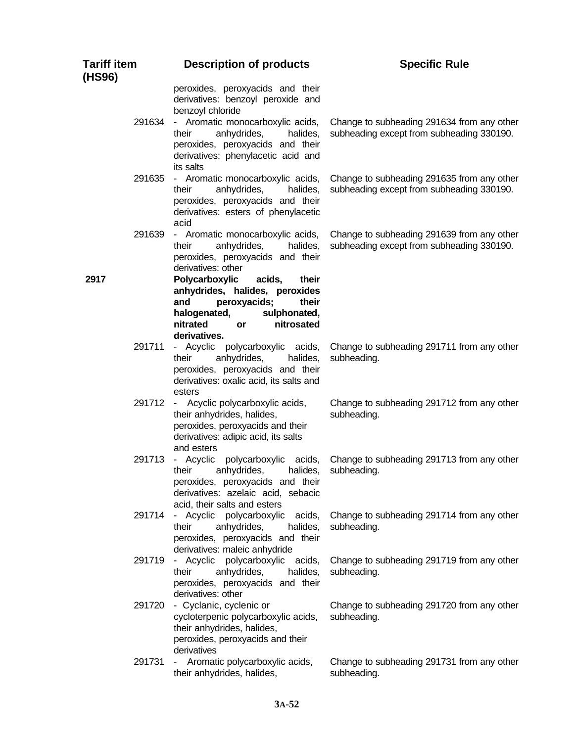| <b>Tariff item</b><br>(HS96) | <b>Description of products</b>                                                                                                                                                      | <b>Specific Rule</b>                                                                    |
|------------------------------|-------------------------------------------------------------------------------------------------------------------------------------------------------------------------------------|-----------------------------------------------------------------------------------------|
| 291634                       | peroxides, peroxyacids and their<br>derivatives: benzoyl peroxide and<br>benzoyl chloride<br>- Aromatic monocarboxylic acids,                                                       | Change to subheading 291634 from any other                                              |
|                              | anhydrides,<br>their<br>halides,<br>peroxides, peroxyacids and their<br>derivatives: phenylacetic acid and<br>its salts                                                             | subheading except from subheading 330190.                                               |
| 291635                       | - Aromatic monocarboxylic acids,<br>anhydrides,<br>their<br>halides,<br>peroxides, peroxyacids and their<br>derivatives: esters of phenylacetic<br>acid                             | Change to subheading 291635 from any other<br>subheading except from subheading 330190. |
| 291639                       | - Aromatic monocarboxylic acids,<br>anhydrides,<br>their<br>halides,<br>peroxides, peroxyacids and their<br>derivatives: other                                                      | Change to subheading 291639 from any other<br>subheading except from subheading 330190. |
| 2917                         | Polycarboxylic<br>acids,<br>their<br>anhydrides, halides, peroxides<br>peroxyacids;<br>their<br>and<br>halogenated,<br>sulphonated,<br>nitrated<br>nitrosated<br>or<br>derivatives. |                                                                                         |
| 291711                       | - Acyclic polycarboxylic acids,<br>anhydrides,<br>their<br>halides,<br>peroxides, peroxyacids and their<br>derivatives: oxalic acid, its salts and<br>esters                        | Change to subheading 291711 from any other<br>subheading.                               |
| 291712                       | - Acyclic polycarboxylic acids,<br>their anhydrides, halides,<br>peroxides, peroxyacids and their<br>derivatives: adipic acid, its salts<br>and esters                              | Change to subheading 291712 from any other<br>subheading.                               |
| 291713                       | - Acyclic<br>polycarboxylic<br>acids,<br>anhydrides,<br>their<br>halides.<br>peroxides, peroxyacids and their<br>derivatives: azelaic acid, sebacic<br>acid, their salts and esters | Change to subheading 291713 from any other<br>subheading.                               |
| 291714                       | polycarboxylic<br>- Acyclic<br>acids,<br>their<br>anhydrides,<br>halides,<br>peroxides, peroxyacids and their<br>derivatives: maleic anhydride                                      | Change to subheading 291714 from any other<br>subheading.                               |
| 291719                       | polycarboxylic acids,<br>- Acyclic<br>anhydrides,<br>their<br>halides,<br>peroxides, peroxyacids and their<br>derivatives: other                                                    | Change to subheading 291719 from any other<br>subheading.                               |
| 291720                       | - Cyclanic, cyclenic or<br>cycloterpenic polycarboxylic acids,<br>their anhydrides, halides,<br>peroxides, peroxyacids and their<br>derivatives                                     | Change to subheading 291720 from any other<br>subheading.                               |
| 291731                       | Aromatic polycarboxylic acids,<br>their anhydrides, halides,                                                                                                                        | Change to subheading 291731 from any other<br>subheading.                               |

**3A-52**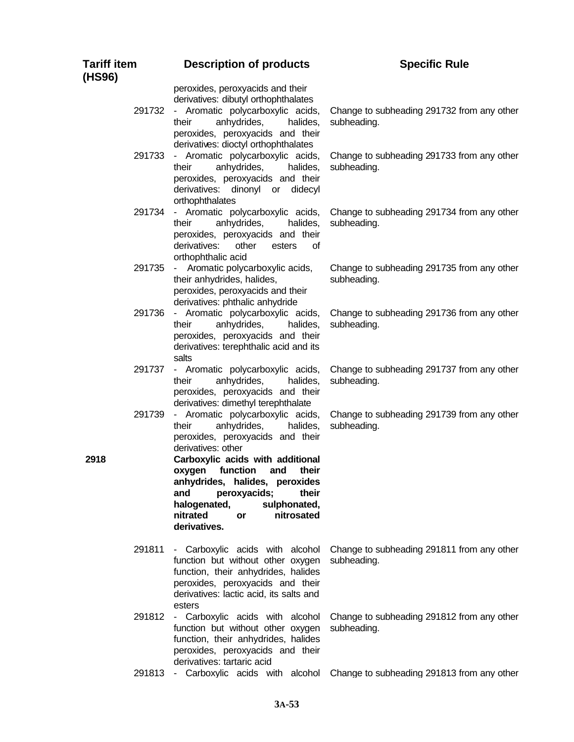| <b>Tariff item</b><br>(HS96) | <b>Description of products</b>                                                                                                                                                                                                                                                                                                                             | <b>Specific Rule</b>                                      |
|------------------------------|------------------------------------------------------------------------------------------------------------------------------------------------------------------------------------------------------------------------------------------------------------------------------------------------------------------------------------------------------------|-----------------------------------------------------------|
| 291732                       | peroxides, peroxyacids and their<br>derivatives: dibutyl orthophthalates<br>- Aromatic polycarboxylic acids,<br>anhydrides,<br>their<br>halides,<br>peroxides, peroxyacids and their                                                                                                                                                                       | Change to subheading 291732 from any other<br>subheading. |
| 291733                       | derivatives: dioctyl orthophthalates<br>- Aromatic polycarboxylic acids,<br>their<br>anhydrides,<br>halides,<br>peroxides, peroxyacids and their<br>dinonyl or didecyl<br>derivatives:<br>orthophthalates                                                                                                                                                  | Change to subheading 291733 from any other<br>subheading. |
| 291734                       | - Aromatic polycarboxylic acids,<br>their<br>anhydrides,<br>halides,<br>peroxides, peroxyacids and their<br>derivatives:<br>other<br>esters<br>οf<br>orthophthalic acid                                                                                                                                                                                    | Change to subheading 291734 from any other<br>subheading. |
| 291735                       | - Aromatic polycarboxylic acids,<br>their anhydrides, halides,<br>peroxides, peroxyacids and their<br>derivatives: phthalic anhydride                                                                                                                                                                                                                      | Change to subheading 291735 from any other<br>subheading. |
| 291736                       | - Aromatic polycarboxylic acids,<br>their<br>anhydrides,<br>halides,<br>peroxides, peroxyacids and their<br>derivatives: terephthalic acid and its<br>salts                                                                                                                                                                                                | Change to subheading 291736 from any other<br>subheading. |
| 291737                       | - Aromatic polycarboxylic acids,<br>anhydrides,<br>their<br>halides,<br>peroxides, peroxyacids and their<br>derivatives: dimethyl terephthalate                                                                                                                                                                                                            | Change to subheading 291737 from any other<br>subheading. |
| 291739<br>2918               | - Aromatic polycarboxylic acids,<br>their<br>anhydrides,<br>halides,<br>peroxides, peroxyacids and their<br>derivatives: other<br>Carboxylic acids with additional<br>function<br>oxygen<br>and<br>their<br>anhydrides, halides, peroxides<br>peroxyacids;<br>their<br>and<br>halogenated,<br>sulphonated,<br>nitrated<br>nitrosated<br>or<br>derivatives. | Change to subheading 291739 from any other<br>subheading. |
| 291811                       | - Carboxylic acids with alcohol<br>function but without other oxygen<br>function, their anhydrides, halides<br>peroxides, peroxyacids and their<br>derivatives: lactic acid, its salts and<br>esters                                                                                                                                                       | Change to subheading 291811 from any other<br>subheading. |
| 291812                       | - Carboxylic acids with alcohol<br>function but without other oxygen<br>function, their anhydrides, halides<br>peroxides, peroxyacids and their                                                                                                                                                                                                            | Change to subheading 291812 from any other<br>subheading. |

derivatives: tartaric acid 291813 - Carboxylic acids with alcohol Change to subheading 291813 from any other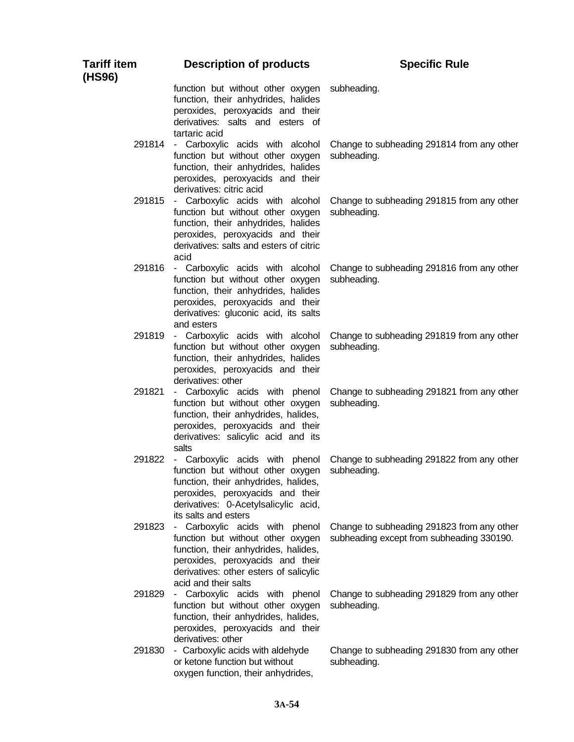| <b>Tariff item</b><br>(HS96) | <b>Description of products</b>                                                                                                                                                                                    | <b>Specific Rule</b>                                                                    |
|------------------------------|-------------------------------------------------------------------------------------------------------------------------------------------------------------------------------------------------------------------|-----------------------------------------------------------------------------------------|
|                              | function but without other oxygen<br>function, their anhydrides, halides<br>peroxides, peroxyacids and their<br>derivatives: salts and esters of<br>tartaric acid                                                 | subheading.                                                                             |
|                              | 291814 - Carboxylic acids with alcohol<br>function but without other oxygen<br>function, their anhydrides, halides<br>peroxides, peroxyacids and their<br>derivatives: citric acid                                | Change to subheading 291814 from any other<br>subheading.                               |
|                              | 291815 - Carboxylic acids with alcohol<br>function but without other oxygen<br>function, their anhydrides, halides<br>peroxides, peroxyacids and their<br>derivatives: salts and esters of citric<br>acid         | Change to subheading 291815 from any other<br>subheading.                               |
|                              | 291816 - Carboxylic acids with alcohol<br>function but without other oxygen<br>function, their anhydrides, halides<br>peroxides, peroxyacids and their<br>derivatives: gluconic acid, its salts<br>and esters     | Change to subheading 291816 from any other<br>subheading.                               |
|                              | 291819 - Carboxylic acids with alcohol<br>function but without other oxygen<br>function, their anhydrides, halides<br>peroxides, peroxyacids and their<br>derivatives: other                                      | Change to subheading 291819 from any other<br>subheading.                               |
| 291821                       | - Carboxylic acids with phenol<br>function but without other oxygen<br>function, their anhydrides, halides,<br>peroxides, peroxyacids and their<br>derivatives: salicylic acid and its<br>salts                   | Change to subheading 291821 from any other<br>subheading.                               |
| 291822                       | - Carboxylic acids with phenol<br>function but without other oxygen<br>function, their anhydrides, halides,<br>peroxides, peroxyacids and their<br>derivatives: 0-Acetylsalicylic acid,<br>its salts and esters   | Change to subheading 291822 from any other<br>subheading.                               |
| 291823                       | - Carboxylic acids with phenol<br>function but without other oxygen<br>function, their anhydrides, halides,<br>peroxides, peroxyacids and their<br>derivatives: other esters of salicylic<br>acid and their salts | Change to subheading 291823 from any other<br>subheading except from subheading 330190. |
| 291829                       | - Carboxylic acids with phenol<br>function but without other oxygen<br>function, their anhydrides, halides,<br>peroxides, peroxyacids and their<br>derivatives: other                                             | Change to subheading 291829 from any other<br>subheading.                               |
| 291830                       | - Carboxylic acids with aldehyde<br>or ketone function but without<br>oxygen function, their anhydrides,                                                                                                          | Change to subheading 291830 from any other<br>subheading.                               |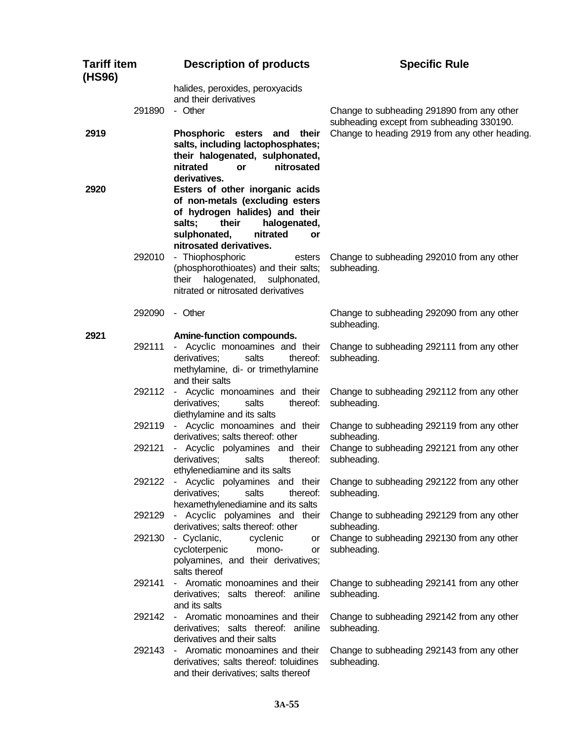| <b>Tariff item</b><br>(HS96) |        | <b>Description of products</b>                                                                                                                                            | <b>Specific Rule</b>                                                                    |
|------------------------------|--------|---------------------------------------------------------------------------------------------------------------------------------------------------------------------------|-----------------------------------------------------------------------------------------|
|                              | 291890 | halides, peroxides, peroxyacids<br>and their derivatives<br>- Other                                                                                                       | Change to subheading 291890 from any other<br>subheading except from subheading 330190. |
| 2919                         |        | Phosphoric esters and their<br>salts, including lactophosphates;<br>their halogenated, sulphonated,<br>nitrated<br>nitrosated<br><b>or</b><br>derivatives.                | Change to heading 2919 from any other heading.                                          |
| 2920                         |        | Esters of other inorganic acids<br>of non-metals (excluding esters<br>of hydrogen halides) and their<br>their<br>halogenated,<br>salts;<br>sulphonated,<br>nitrated<br>or |                                                                                         |
|                              | 292010 | nitrosated derivatives.<br>- Thiophosphoric<br>esters<br>(phosphorothioates) and their salts;<br>halogenated, sulphonated,<br>their<br>nitrated or nitrosated derivatives | Change to subheading 292010 from any other<br>subheading.                               |
|                              | 292090 | - Other                                                                                                                                                                   | Change to subheading 292090 from any other<br>subheading.                               |
| 2921                         | 292111 | Amine-function compounds.<br>- Acyclic monoamines and their<br>derivatives;<br>salts<br>thereof:<br>methylamine, di- or trimethylamine<br>and their salts                 | Change to subheading 292111 from any other<br>subheading.                               |
|                              |        | 292112 - Acyclic monoamines and their<br>derivatives;<br>salts<br>thereof:<br>diethylamine and its salts                                                                  | Change to subheading 292112 from any other<br>subheading.                               |
|                              |        | 292119 - Acyclic monoamines and their<br>derivatives; salts thereof: other                                                                                                | Change to subheading 292119 from any other<br>subheading.                               |
|                              | 292121 | - Acyclic polyamines and their<br>derivatives;<br>salts<br>thereof:<br>ethylenediamine and its salts                                                                      | Change to subheading 292121 from any other<br>subheading.                               |
|                              |        | 292122 - Acyclic polyamines and their<br>derivatives;<br>salts<br>thereof:<br>hexamethylenediamine and its salts                                                          | Change to subheading 292122 from any other<br>subheading.                               |
|                              |        | 292129 - Acyclic polyamines and their<br>derivatives; salts thereof: other                                                                                                | Change to subheading 292129 from any other<br>subheading.                               |
|                              | 292130 | - Cyclanic,<br>cyclenic<br>or<br>cycloterpenic<br>mono-<br>or<br>polyamines, and their derivatives;<br>salts thereof                                                      | Change to subheading 292130 from any other<br>subheading.                               |
|                              | 292141 | - Aromatic monoamines and their<br>derivatives; salts thereof: aniline<br>and its salts                                                                                   | Change to subheading 292141 from any other<br>subheading.                               |
|                              |        | 292142 - Aromatic monoamines and their<br>derivatives; salts thereof: aniline<br>derivatives and their salts                                                              | Change to subheading 292142 from any other<br>subheading.                               |
|                              | 292143 | - Aromatic monoamines and their<br>derivatives; salts thereof: toluidines<br>and their derivatives; salts thereof                                                         | Change to subheading 292143 from any other<br>subheading.                               |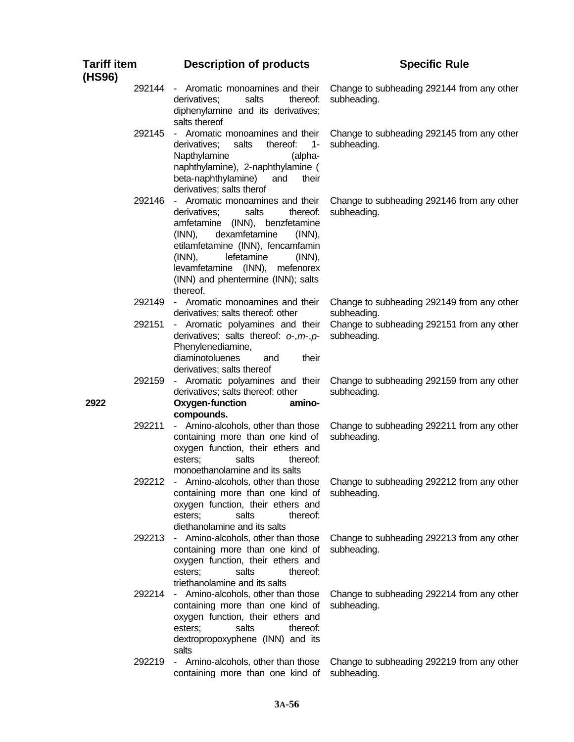| <b>Tariff item</b><br>(HS96) |        | <b>Description of products</b>                                                                                                                                                                                                                                                                                        | <b>Specific Rule</b>                                      |
|------------------------------|--------|-----------------------------------------------------------------------------------------------------------------------------------------------------------------------------------------------------------------------------------------------------------------------------------------------------------------------|-----------------------------------------------------------|
|                              | 292144 | - Aromatic monoamines and their<br>salts<br>derivatives;<br>thereof:<br>diphenylamine and its derivatives;<br>salts thereof                                                                                                                                                                                           | Change to subheading 292144 from any other<br>subheading. |
|                              | 292145 | - Aromatic monoamines and their<br>$1 -$<br>derivatives;<br>salts<br>thereof:<br>Napthylamine<br>(alpha-<br>naphthylamine), 2-naphthylamine (<br>beta-naphthylamine)<br>and<br>their<br>derivatives; salts therof                                                                                                     | Change to subheading 292145 from any other<br>subheading. |
|                              | 292146 | - Aromatic monoamines and their<br>derivatives;<br>salts<br>thereof:<br>amfetamine (INN), benzfetamine<br>dexamfetamine<br>$(INN)$ ,<br>$(INN)$ ,<br>etilamfetamine (INN), fencamfamin<br>$(INN)$ ,<br>lefetamine<br>$(INN)$ ,<br>levamfetamine (INN),<br>mefenorex<br>(INN) and phentermine (INN); salts<br>thereof. | Change to subheading 292146 from any other<br>subheading. |
|                              | 292149 | - Aromatic monoamines and their<br>derivatives; salts thereof: other                                                                                                                                                                                                                                                  | Change to subheading 292149 from any other<br>subheading. |
|                              | 292151 | - Aromatic polyamines and their<br>derivatives; salts thereof: $\sigma$ , $m$ , $p$ -<br>Phenylenediamine,<br>diaminotoluenes<br>their<br>and<br>derivatives; salts thereof                                                                                                                                           | Change to subheading 292151 from any other<br>subheading. |
| 2922                         | 292159 | - Aromatic polyamines and their<br>derivatives; salts thereof: other<br>Oxygen-function<br>amino-<br>compounds.                                                                                                                                                                                                       | Change to subheading 292159 from any other<br>subheading. |
|                              | 292211 | - Amino-alcohols, other than those<br>containing more than one kind of<br>oxygen function, their ethers and<br>salts<br>esters;<br>thereof:<br>monoethanolamine and its salts                                                                                                                                         | Change to subheading 292211 from any other<br>subheading. |
|                              | 292212 | - Amino-alcohols, other than those<br>containing more than one kind of<br>oxygen function, their ethers and<br>salts<br>esters;<br>thereof:<br>diethanolamine and its salts                                                                                                                                           | Change to subheading 292212 from any other<br>subheading. |
|                              | 292213 | - Amino-alcohols, other than those<br>containing more than one kind of<br>oxygen function, their ethers and<br>salts<br>esters;<br>thereof:<br>triethanolamine and its salts                                                                                                                                          | Change to subheading 292213 from any other<br>subheading. |
|                              | 292214 | - Amino-alcohols, other than those<br>containing more than one kind of<br>oxygen function, their ethers and<br>salts<br>thereof:<br>esters;<br>dextropropoxyphene (INN) and its<br>salts                                                                                                                              | Change to subheading 292214 from any other<br>subheading. |
|                              | 292219 | - Amino-alcohols, other than those<br>containing more than one kind of                                                                                                                                                                                                                                                | Change to subheading 292219 from any other<br>subheading. |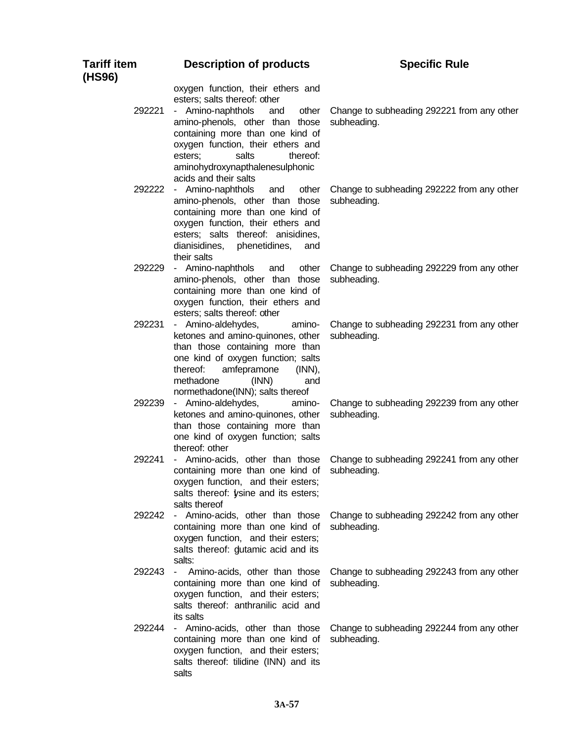| <b>Tariff item</b><br>(HS96) | <b>Description of products</b>                                                                                                                                                                                                                                                        | <b>Specific Rule</b>                                      |
|------------------------------|---------------------------------------------------------------------------------------------------------------------------------------------------------------------------------------------------------------------------------------------------------------------------------------|-----------------------------------------------------------|
| 292221                       | oxygen function, their ethers and<br>esters; salts thereof: other<br>- Amino-naphthols<br>and<br>other<br>amino-phenols, other than those<br>containing more than one kind of<br>oxygen function, their ethers and<br>salts<br>esters;<br>thereof:<br>aminohydroxynapthalenesulphonic | Change to subheading 292221 from any other<br>subheading. |
| 292222                       | acids and their salts<br>- Amino-naphthols<br>other<br>and<br>amino-phenols, other than those<br>containing more than one kind of<br>oxygen function, their ethers and<br>esters; salts thereof: anisidines,<br>dianisidines, phenetidines,<br>and<br>their salts                     | Change to subheading 292222 from any other<br>subheading. |
| 292229                       | - Amino-naphthols<br>other<br>and<br>amino-phenols, other than those<br>containing more than one kind of<br>oxygen function, their ethers and<br>esters; salts thereof: other                                                                                                         | Change to subheading 292229 from any other<br>subheading. |
| 292231                       | - Amino-aldehydes,<br>amino-<br>ketones and amino-quinones, other<br>than those containing more than<br>one kind of oxygen function; salts<br>amfepramone<br>thereof:<br>$(INN)$ ,<br>methadone<br>(INN)<br>and<br>normethadone(INN); salts thereof                                   | Change to subheading 292231 from any other<br>subheading. |
| 292239                       | - Amino-aldehydes,<br>amino-<br>ketones and amino-quinones, other<br>than those containing more than<br>one kind of oxygen function; salts<br>thereof: other                                                                                                                          | Change to subheading 292239 from any other<br>subheading. |
| 292241                       | - Amino-acids, other than those<br>containing more than one kind of<br>oxygen function, and their esters;<br>salts thereof: ysine and its esters;<br>salts thereof                                                                                                                    | Change to subheading 292241 from any other<br>subheading. |
|                              | 292242 - Amino-acids, other than those<br>containing more than one kind of<br>oxygen function, and their esters;<br>salts thereof: dutamic acid and its<br>salts:                                                                                                                     | Change to subheading 292242 from any other<br>subheading. |
| 292243                       | Amino-acids, other than those<br>$\sim$<br>containing more than one kind of<br>oxygen function, and their esters;<br>salts thereof: anthranilic acid and<br>its salts                                                                                                                 | Change to subheading 292243 from any other<br>subheading. |
| 292244                       | - Amino-acids, other than those<br>containing more than one kind of<br>oxygen function, and their esters;<br>salts thereof: tilidine (INN) and its<br>salts                                                                                                                           | Change to subheading 292244 from any other<br>subheading. |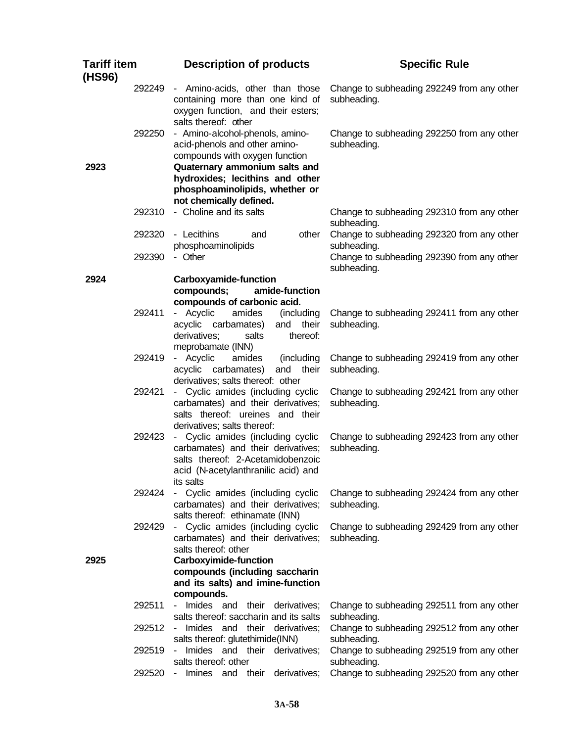| <b>Tariff item</b><br>(HS96) |        | <b>Description of products</b>                                                                                                                                                                                                      | <b>Specific Rule</b>                                      |
|------------------------------|--------|-------------------------------------------------------------------------------------------------------------------------------------------------------------------------------------------------------------------------------------|-----------------------------------------------------------|
|                              |        | 292249 - Amino-acids, other than those<br>containing more than one kind of<br>oxygen function, and their esters;<br>salts thereof: other                                                                                            | Change to subheading 292249 from any other<br>subheading. |
| 2923                         | 292250 | - Amino-alcohol-phenols, amino-<br>acid-phenols and other amino-<br>compounds with oxygen function<br>Quaternary ammonium salts and<br>hydroxides; lecithins and other<br>phosphoaminolipids, whether or<br>not chemically defined. | Change to subheading 292250 from any other<br>subheading. |
|                              | 292310 | - Choline and its salts                                                                                                                                                                                                             | Change to subheading 292310 from any other<br>subheading. |
|                              | 292320 | - Lecithins<br>other<br>and<br>phosphoaminolipids                                                                                                                                                                                   | Change to subheading 292320 from any other<br>subheading. |
|                              | 292390 | - Other                                                                                                                                                                                                                             | Change to subheading 292390 from any other<br>subheading. |
| 2924                         |        | Carboxyamide-function<br>compounds;<br>amide-function<br>compounds of carbonic acid.                                                                                                                                                |                                                           |
|                              | 292411 | - Acyclic<br>amides<br>(including<br>and their<br>acyclic carbamates)<br>thereof:<br>derivatives;<br>salts<br>meprobamate (INN)                                                                                                     | Change to subheading 292411 from any other<br>subheading. |
|                              | 292419 | - Acyclic<br>amides<br>(including<br>acyclic carbamates)<br>and their<br>derivatives; salts thereof: other                                                                                                                          | Change to subheading 292419 from any other<br>subheading. |
|                              | 292421 | - Cyclic amides (including cyclic<br>carbamates) and their derivatives;<br>salts thereof: ureines and their<br>derivatives; salts thereof:                                                                                          | Change to subheading 292421 from any other<br>subheading. |
|                              | 292423 | - Cyclic amides (including cyclic<br>carbamates) and their derivatives;<br>salts thereof: 2-Acetamidobenzoic<br>acid (N-acetylanthranilic acid) and<br>its salts                                                                    | Change to subheading 292423 from any other<br>subheading. |
|                              | 292424 | - Cyclic amides (including cyclic<br>carbamates) and their derivatives;<br>salts thereof: ethinamate (INN)                                                                                                                          | Change to subheading 292424 from any other<br>subheading. |
| 2925                         | 292429 | - Cyclic amides (including cyclic<br>carbamates) and their derivatives;<br>salts thereof: other<br><b>Carboxyimide-function</b>                                                                                                     | Change to subheading 292429 from any other<br>subheading. |
|                              |        | compounds (including saccharin<br>and its salts) and imine-function<br>compounds.                                                                                                                                                   |                                                           |
|                              | 292511 | - Imides and their derivatives;<br>salts thereof: saccharin and its salts                                                                                                                                                           | Change to subheading 292511 from any other<br>subheading. |
|                              | 292512 | Imides and their derivatives;<br>salts thereof: glutethimide(INN)                                                                                                                                                                   | Change to subheading 292512 from any other<br>subheading. |
|                              | 292519 | Imides and their derivatives;<br>salts thereof: other                                                                                                                                                                               | Change to subheading 292519 from any other<br>subheading. |
|                              | 292520 | Imines and their derivatives;<br>$\sim$                                                                                                                                                                                             | Change to subheading 292520 from any other                |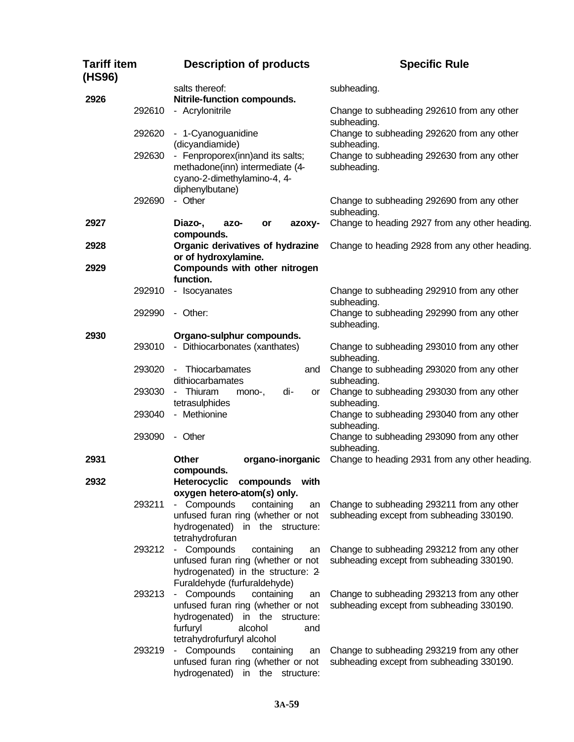| Tariff item<br>(HS96) |        | <b>Description of products</b>                                                                                                                       | <b>Specific Rule</b>                                                                    |
|-----------------------|--------|------------------------------------------------------------------------------------------------------------------------------------------------------|-----------------------------------------------------------------------------------------|
|                       |        | salts thereof:                                                                                                                                       | subheading.                                                                             |
| 2926                  |        | Nitrile-function compounds.                                                                                                                          |                                                                                         |
|                       | 292610 | - Acrylonitrile                                                                                                                                      | Change to subheading 292610 from any other<br>subheading.                               |
|                       | 292620 | - 1-Cyanoguanidine<br>(dicyandiamide)                                                                                                                | Change to subheading 292620 from any other<br>subheading.                               |
|                       | 292630 | - Fenproporex(inn) and its salts;<br>methadone(inn) intermediate (4-<br>cyano-2-dimethylamino-4, 4-<br>diphenylbutane)                               | Change to subheading 292630 from any other<br>subheading.                               |
|                       | 292690 | - Other                                                                                                                                              | Change to subheading 292690 from any other<br>subheading.                               |
| 2927                  |        | Diazo-,<br>azo-<br>or<br>azoxy-<br>compounds.                                                                                                        | Change to heading 2927 from any other heading.                                          |
| 2928                  |        | Organic derivatives of hydrazine<br>or of hydroxylamine.                                                                                             | Change to heading 2928 from any other heading.                                          |
| 2929                  |        | Compounds with other nitrogen                                                                                                                        |                                                                                         |
|                       | 292910 | function.<br>- Isocyanates                                                                                                                           | Change to subheading 292910 from any other<br>subheading.                               |
|                       | 292990 | - Other:                                                                                                                                             | Change to subheading 292990 from any other<br>subheading.                               |
| 2930                  |        | Organo-sulphur compounds.                                                                                                                            |                                                                                         |
|                       | 293010 | - Dithiocarbonates (xanthates)                                                                                                                       | Change to subheading 293010 from any other<br>subheading.                               |
|                       | 293020 | - Thiocarbamates<br>and<br>dithiocarbamates                                                                                                          | Change to subheading 293020 from any other<br>subheading.                               |
|                       | 293030 | Thiuram<br>di-<br>mono-,<br>or<br>$\sim$<br>tetrasulphides                                                                                           | Change to subheading 293030 from any other<br>subheading.                               |
|                       | 293040 | - Methionine                                                                                                                                         | Change to subheading 293040 from any other<br>subheading.                               |
|                       | 293090 | - Other                                                                                                                                              | Change to subheading 293090 from any other<br>subheading.                               |
| 2931                  |        | Other<br>organo-inorganic<br>compounds.                                                                                                              | Change to heading 2931 from any other heading.                                          |
| 2932                  |        | <b>Heterocyclic</b><br>compounds<br>with<br>oxygen hetero-atom(s) only.                                                                              |                                                                                         |
|                       | 293211 | - Compounds<br>containing<br>an<br>unfused furan ring (whether or not<br>hydrogenated)<br>in the structure:<br>tetrahydrofuran                       | Change to subheading 293211 from any other<br>subheading except from subheading 330190. |
|                       | 293212 | - Compounds<br>containing<br>an<br>unfused furan ring (whether or not<br>hydrogenated) in the structure: 2<br>Furaldehyde (furfuraldehyde)           | Change to subheading 293212 from any other<br>subheading except from subheading 330190. |
|                       | 293213 | Compounds<br>containing<br>$\sim$<br>an<br>unfused furan ring (whether or not<br>hydrogenated)<br>in the<br>structure:<br>furfuryl<br>alcohol<br>and | Change to subheading 293213 from any other<br>subheading except from subheading 330190. |
|                       | 293219 | tetrahydrofurfuryl alcohol<br>- Compounds<br>containing<br>an<br>unfused furan ring (whether or not<br>hydrogenated)<br>in<br>the<br>structure:      | Change to subheading 293219 from any other<br>subheading except from subheading 330190. |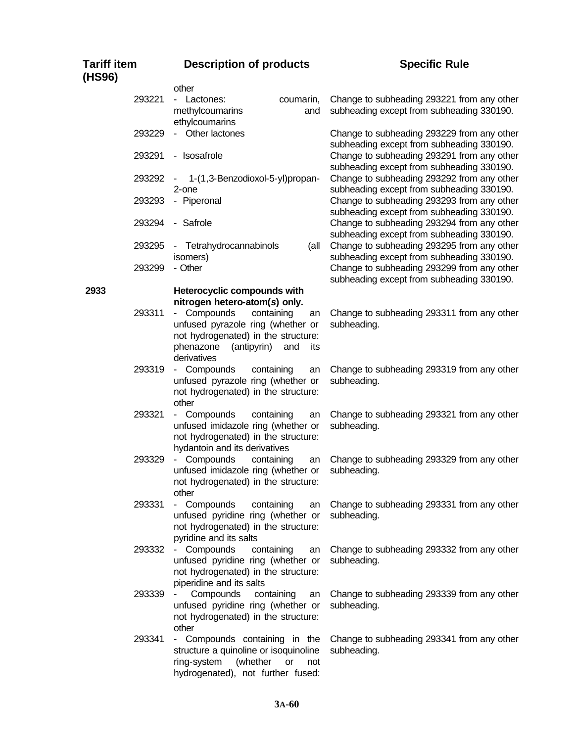| Tariff item<br>(HS96) | <b>Description of products</b>                                                                                                                                                                                        | <b>Specific Rule</b>                                                                    |
|-----------------------|-----------------------------------------------------------------------------------------------------------------------------------------------------------------------------------------------------------------------|-----------------------------------------------------------------------------------------|
|                       | other                                                                                                                                                                                                                 |                                                                                         |
| 293221                | - Lactones:<br>coumarin,<br>methylcoumarins<br>and                                                                                                                                                                    | Change to subheading 293221 from any other<br>subheading except from subheading 330190. |
| 293229                | ethylcoumarins<br>- Other lactones                                                                                                                                                                                    | Change to subheading 293229 from any other<br>subheading except from subheading 330190. |
| 293291                | - Isosafrole                                                                                                                                                                                                          | Change to subheading 293291 from any other<br>subheading except from subheading 330190. |
| 293292                | 1-(1,3-Benzodioxol-5-yl)propan-<br>2-one                                                                                                                                                                              | Change to subheading 293292 from any other<br>subheading except from subheading 330190. |
| 293293                | - Piperonal                                                                                                                                                                                                           | Change to subheading 293293 from any other<br>subheading except from subheading 330190. |
| 293294                | - Safrole                                                                                                                                                                                                             | Change to subheading 293294 from any other<br>subheading except from subheading 330190. |
| 293295                | - Tetrahydrocannabinols<br>(all<br>isomers)                                                                                                                                                                           | Change to subheading 293295 from any other<br>subheading except from subheading 330190. |
| 293299                | - Other                                                                                                                                                                                                               | Change to subheading 293299 from any other<br>subheading except from subheading 330190. |
| 2933<br>293311        | Heterocyclic compounds with<br>nitrogen hetero-atom(s) only.<br>- Compounds<br>containing<br>an<br>unfused pyrazole ring (whether or<br>not hydrogenated) in the structure:<br>phenazone<br>(antipyrin)<br>and<br>its | Change to subheading 293311 from any other<br>subheading.                               |
| 293319                | derivatives<br>- Compounds<br>containing<br>an<br>unfused pyrazole ring (whether or<br>not hydrogenated) in the structure:                                                                                            | Change to subheading 293319 from any other<br>subheading.                               |
| 293321                | other<br>- Compounds<br>containing<br>an<br>unfused imidazole ring (whether or<br>not hydrogenated) in the structure:<br>hydantoin and its derivatives                                                                | Change to subheading 293321 from any other<br>subheading.                               |
| 293329                | Compounds<br>containing<br>an<br>unfused imidazole ring (whether or<br>not hydrogenated) in the structure:<br>other                                                                                                   | Change to subheading 293329 from any other<br>subheading.                               |
| 293331                | - Compounds<br>containing<br>an<br>unfused pyridine ring (whether or<br>not hydrogenated) in the structure:<br>pyridine and its salts                                                                                 | Change to subheading 293331 from any other<br>subheading.                               |
| 293332                | - Compounds<br>containing<br>an<br>unfused pyridine ring (whether or<br>not hydrogenated) in the structure:<br>piperidine and its salts                                                                               | Change to subheading 293332 from any other<br>subheading.                               |
| 293339                | Compounds<br>containing<br>an<br>unfused pyridine ring (whether or<br>not hydrogenated) in the structure:<br>other                                                                                                    | Change to subheading 293339 from any other<br>subheading.                               |
| 293341                | - Compounds containing in the<br>structure a quinoline or isoquinoline<br>ring-system<br>(whether<br><b>or</b><br>not<br>hydrogenated), not further fused:                                                            | Change to subheading 293341 from any other<br>subheading.                               |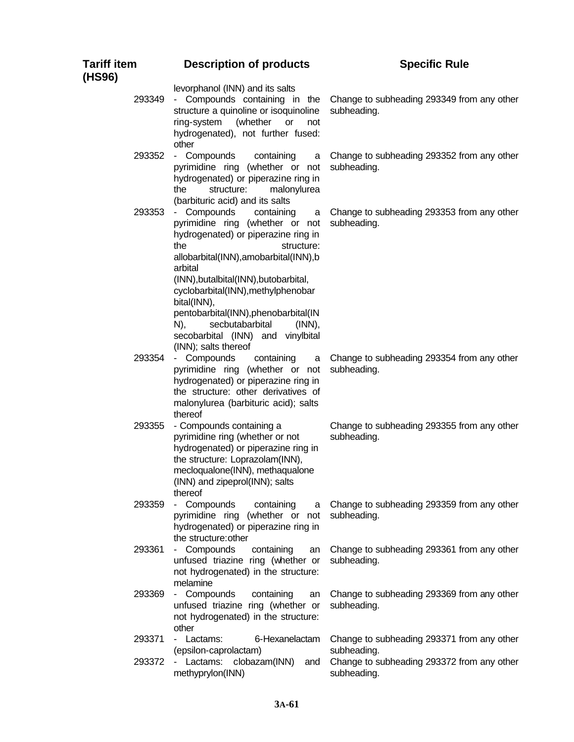| Tariff item<br>(HS96) | <b>Description of products</b>                                                                                                                                                                                                                                                                                                                                                                        | <b>Specific Rule</b>                                                     |
|-----------------------|-------------------------------------------------------------------------------------------------------------------------------------------------------------------------------------------------------------------------------------------------------------------------------------------------------------------------------------------------------------------------------------------------------|--------------------------------------------------------------------------|
| 293349                | levorphanol (INN) and its salts<br>- Compounds containing in the<br>structure a quinoline or isoquinoline<br>ring-system<br>(whether<br><b>or</b><br>not<br>hydrogenated), not further fused:<br>other                                                                                                                                                                                                | Change to subheading 293349 from any other<br>subheading.                |
| 293352                | - Compounds<br>containing<br>a<br>pyrimidine ring (whether or not<br>hydrogenated) or piperazine ring in<br>structure:<br>malonylurea<br>the<br>(barbituric acid) and its salts                                                                                                                                                                                                                       | Change to subheading 293352 from any other<br>subheading.                |
| 293353                | - Compounds<br>containing<br>a<br>pyrimidine ring (whether or not<br>hydrogenated) or piperazine ring in<br>the<br>structure:<br>allobarbital(INN), amobarbital(INN), b<br>arbital<br>(INN), butalbital (INN), butobarbital,<br>cyclobarbital(INN), methylphenobar<br>bital(INN),<br>pentobarbital(INN), phenobarbital(IN<br>N),<br>secbutabarbital<br>$(INN)$ ,<br>secobarbital (INN) and vinylbital | Change to subheading 293353 from any other<br>subheading.                |
| 293354                | (INN); salts thereof<br>- Compounds<br>containing<br>a<br>pyrimidine ring (whether or not<br>hydrogenated) or piperazine ring in<br>the structure: other derivatives of<br>malonylurea (barbituric acid); salts                                                                                                                                                                                       | Change to subheading 293354 from any other<br>subheading.                |
| 293355                | thereof<br>- Compounds containing a<br>pyrimidine ring (whether or not<br>hydrogenated) or piperazine ring in<br>the structure: Loprazolam(INN),<br>mecloqualone(INN), methaqualone<br>(INN) and zipeprol(INN); salts<br>thereof                                                                                                                                                                      | Change to subheading 293355 from any other<br>subheading.                |
| 293359                | - Compounds<br>containing<br>a<br>pyrimidine ring (whether or not<br>hydrogenated) or piperazine ring in<br>the structure: other                                                                                                                                                                                                                                                                      | Change to subheading 293359 from any other<br>subheading.                |
| 293361                | - Compounds<br>containing<br>an<br>unfused triazine ring (whether or<br>not hydrogenated) in the structure:<br>melamine                                                                                                                                                                                                                                                                               | Change to subheading 293361 from any other<br>subheading.                |
| 293369                | - Compounds<br>containing<br>an<br>unfused triazine ring (whether or<br>not hydrogenated) in the structure:<br>other                                                                                                                                                                                                                                                                                  | Change to subheading 293369 from any other<br>subheading.                |
| 293371                | - Lactams:<br>6-Hexanelactam                                                                                                                                                                                                                                                                                                                                                                          | Change to subheading 293371 from any other                               |
| 293372                | (epsilon-caprolactam)<br>- Lactams: clobazam(INN)<br>and<br>methyprylon(INN)                                                                                                                                                                                                                                                                                                                          | subheading.<br>Change to subheading 293372 from any other<br>subheading. |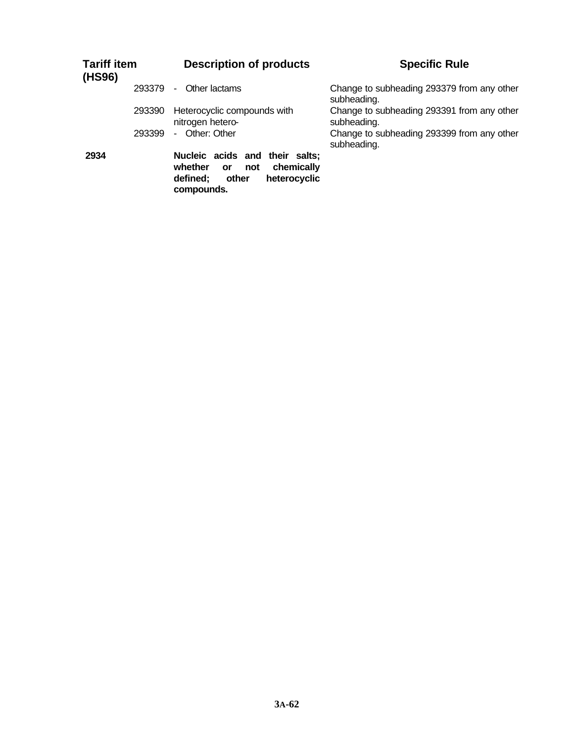| <b>Tariff item</b><br>(HS96) | <b>Description of products</b>                                                                                                 | <b>Specific Rule</b>                                      |
|------------------------------|--------------------------------------------------------------------------------------------------------------------------------|-----------------------------------------------------------|
| 293379                       | Other lactams<br>٠                                                                                                             | Change to subheading 293379 from any other<br>subheading. |
| 293390                       | Heterocyclic compounds with<br>nitrogen hetero-                                                                                | Change to subheading 293391 from any other<br>subheading. |
| 293399                       | Other: Other<br>$\mathbf{r}$                                                                                                   | Change to subheading 293399 from any other<br>subheading. |
| 2934                         | Nucleic acids and their salts;<br>chemically<br>whether<br>not<br><b>or</b><br>defined;<br>other<br>heterocyclic<br>compounds. |                                                           |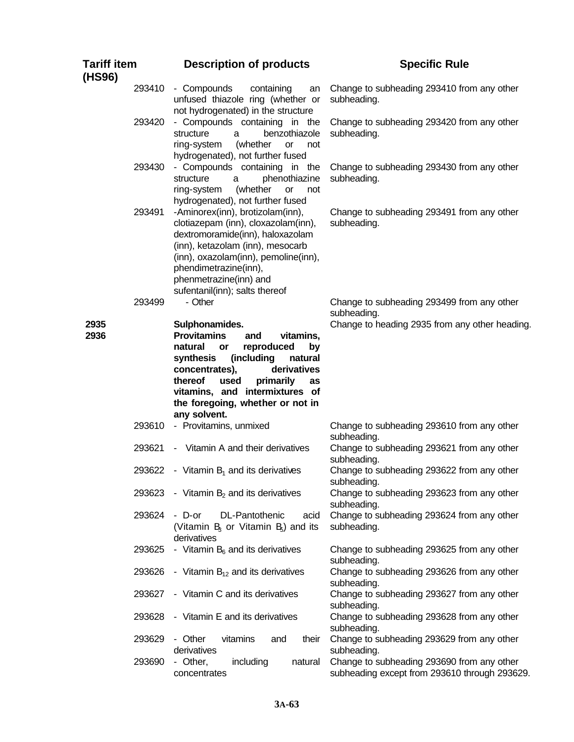| <b>Tariff item</b><br>(HS96) |        | <b>Description of products</b>                                                                                                                                                                                                                                                                          | <b>Specific Rule</b>                                                                        |
|------------------------------|--------|---------------------------------------------------------------------------------------------------------------------------------------------------------------------------------------------------------------------------------------------------------------------------------------------------------|---------------------------------------------------------------------------------------------|
|                              | 293410 | - Compounds<br>containing<br>an<br>unfused thiazole ring (whether or<br>not hydrogenated) in the structure                                                                                                                                                                                              | Change to subheading 293410 from any other<br>subheading.                                   |
|                              | 293420 | - Compounds containing in the<br>structure<br>benzothiazole<br>a<br>(whether<br>ring-system<br>or<br>not<br>hydrogenated), not further fused                                                                                                                                                            | Change to subheading 293420 from any other<br>subheading.                                   |
|                              | 293430 | - Compounds containing in the<br>phenothiazine<br>structure<br>a<br>(whether<br>ring-system<br><b>or</b><br>not<br>hydrogenated), not further fused                                                                                                                                                     | Change to subheading 293430 from any other<br>subheading.                                   |
|                              | 293491 | -Aminorex(inn), brotizolam(inn),<br>clotiazepam (inn), cloxazolam(inn),<br>dextromoramide(inn), haloxazolam<br>(inn), ketazolam (inn), mesocarb<br>(inn), oxazolam(inn), pemoline(inn),<br>phendimetrazine(inn),<br>phenmetrazine(inn) and<br>sufentanil(inn); salts thereof                            | Change to subheading 293491 from any other<br>subheading.                                   |
|                              | 293499 | - Other                                                                                                                                                                                                                                                                                                 | Change to subheading 293499 from any other<br>subheading.                                   |
| 2935<br>2936                 |        | Sulphonamides.<br><b>Provitamins</b><br>vitamins,<br>and<br>natural<br>reproduced<br><b>or</b><br>by<br>synthesis<br>(including<br>natural<br>derivatives<br>concentrates),<br>thereof<br>primarily<br>used<br>as<br>vitamins, and intermixtures of<br>the foregoing, whether or not in<br>any solvent. | Change to heading 2935 from any other heading.                                              |
|                              | 293610 | - Provitamins, unmixed                                                                                                                                                                                                                                                                                  | Change to subheading 293610 from any other<br>subheading.                                   |
|                              | 293621 | - Vitamin A and their derivatives                                                                                                                                                                                                                                                                       | Change to subheading 293621 from any other<br>subheading.                                   |
|                              | 293622 | - Vitamin $B_1$ and its derivatives                                                                                                                                                                                                                                                                     | Change to subheading 293622 from any other<br>subheading.                                   |
|                              | 293623 | - Vitamin $B_2$ and its derivatives                                                                                                                                                                                                                                                                     | Change to subheading 293623 from any other<br>subheading.                                   |
|                              | 293624 | DL-Pantothenic<br>- D-or<br>acid<br>(Vitamin B <sub>3</sub> or Vitamin B <sub>3</sub> ) and its<br>derivatives                                                                                                                                                                                          | Change to subheading 293624 from any other<br>subheading.                                   |
|                              | 293625 | - Vitamin $B_6$ and its derivatives                                                                                                                                                                                                                                                                     | Change to subheading 293625 from any other<br>subheading.                                   |
|                              | 293626 | - Vitamin $B_{12}$ and its derivatives                                                                                                                                                                                                                                                                  | Change to subheading 293626 from any other<br>subheading.                                   |
|                              | 293627 | - Vitamin C and its derivatives                                                                                                                                                                                                                                                                         | Change to subheading 293627 from any other<br>subheading.                                   |
|                              | 293628 | - Vitamin E and its derivatives                                                                                                                                                                                                                                                                         | Change to subheading 293628 from any other<br>subheading.                                   |
|                              | 293629 | - Other<br>vitamins<br>their<br>and<br>derivatives                                                                                                                                                                                                                                                      | Change to subheading 293629 from any other<br>subheading.                                   |
|                              | 293690 | - Other,<br>including<br>natural<br>concentrates                                                                                                                                                                                                                                                        | Change to subheading 293690 from any other<br>subheading except from 293610 through 293629. |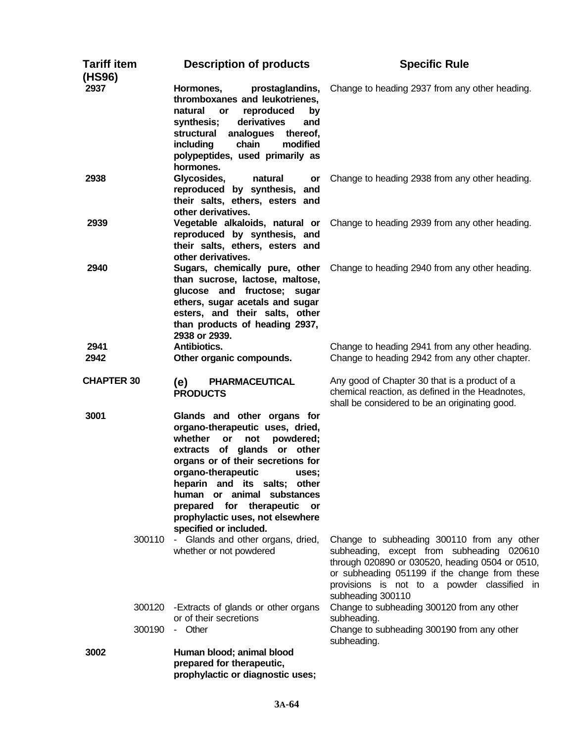| <b>Tariff item</b><br>(HS96) | <b>Description of products</b>                                                                                                                                                                                                                                                                                                                                           | <b>Specific Rule</b>                                                                                                                                                                                                                                            |
|------------------------------|--------------------------------------------------------------------------------------------------------------------------------------------------------------------------------------------------------------------------------------------------------------------------------------------------------------------------------------------------------------------------|-----------------------------------------------------------------------------------------------------------------------------------------------------------------------------------------------------------------------------------------------------------------|
| 2937                         | Hormones,<br>prostaglandins,<br>thromboxanes and leukotrienes,<br>natural<br>reproduced<br>or<br>by<br>synthesis;<br>derivatives<br>and<br>analogues<br>structural<br>thereof,<br>chain<br>modified<br>including<br>polypeptides, used primarily as<br>hormones.                                                                                                         | Change to heading 2937 from any other heading.                                                                                                                                                                                                                  |
| 2938                         | Glycosides,<br>natural<br>or<br>reproduced by synthesis, and<br>their salts, ethers, esters and<br>other derivatives.                                                                                                                                                                                                                                                    | Change to heading 2938 from any other heading.                                                                                                                                                                                                                  |
| 2939                         | Vegetable alkaloids, natural or<br>reproduced by synthesis, and<br>their salts, ethers, esters and<br>other derivatives.                                                                                                                                                                                                                                                 | Change to heading 2939 from any other heading.                                                                                                                                                                                                                  |
| 2940                         | Sugars, chemically pure, other<br>than sucrose, lactose, maltose,<br>glucose and fructose; sugar<br>ethers, sugar acetals and sugar<br>esters, and their salts, other<br>than products of heading 2937,<br>2938 or 2939.                                                                                                                                                 | Change to heading 2940 from any other heading.                                                                                                                                                                                                                  |
| 2941<br>2942                 | Antibiotics.<br>Other organic compounds.                                                                                                                                                                                                                                                                                                                                 | Change to heading 2941 from any other heading.<br>Change to heading 2942 from any other chapter.                                                                                                                                                                |
| <b>CHAPTER 30</b>            | <b>PHARMACEUTICAL</b><br>(e)<br><b>PRODUCTS</b>                                                                                                                                                                                                                                                                                                                          | Any good of Chapter 30 that is a product of a<br>chemical reaction, as defined in the Headnotes,<br>shall be considered to be an originating good.                                                                                                              |
| 3001                         | Glands and other organs for<br>organo-therapeutic uses, dried,<br>whether<br>powdered;<br><b>or</b><br>not<br>extracts of glands or other<br>organs or of their secretions for<br>organo-therapeutic<br>uses:<br>heparin and its salts; other<br>human or animal substances<br>prepared for therapeutic or<br>prophylactic uses, not elsewhere<br>specified or included. |                                                                                                                                                                                                                                                                 |
|                              | 300110 - Glands and other organs, dried,<br>whether or not powdered                                                                                                                                                                                                                                                                                                      | Change to subheading 300110 from any other<br>subheading, except from subheading 020610<br>through 020890 or 030520, heading 0504 or 0510,<br>or subheading 051199 if the change from these<br>provisions is not to a powder classified in<br>subheading 300110 |
| 300120                       | -Extracts of glands or other organs<br>or of their secretions                                                                                                                                                                                                                                                                                                            | Change to subheading 300120 from any other<br>subheading.                                                                                                                                                                                                       |
| 300190                       | - Other                                                                                                                                                                                                                                                                                                                                                                  | Change to subheading 300190 from any other<br>subheading.                                                                                                                                                                                                       |
| 3002                         | Human blood; animal blood<br>prepared for therapeutic,<br>prophylactic or diagnostic uses;                                                                                                                                                                                                                                                                               |                                                                                                                                                                                                                                                                 |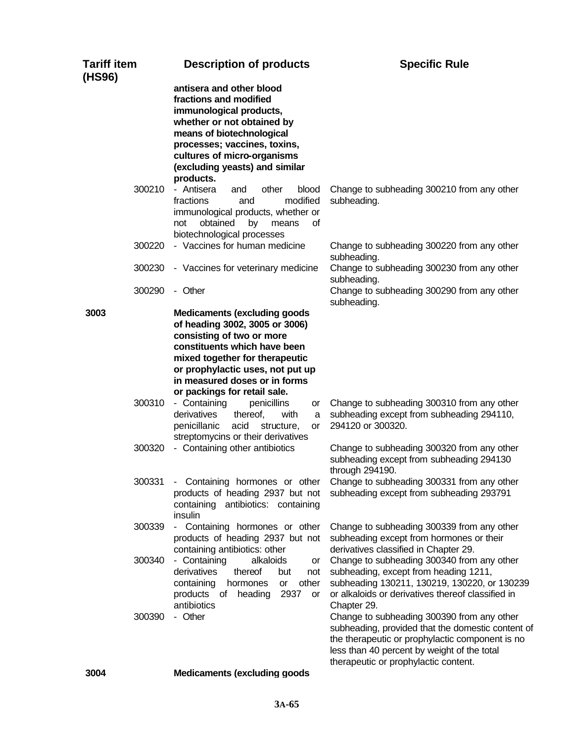| <b>Tariff item</b><br>(HS96) | <b>Description of products</b>                                                                                                                                                                                                                         | <b>Specific Rule</b>                                                                                                                                                                                                                      |
|------------------------------|--------------------------------------------------------------------------------------------------------------------------------------------------------------------------------------------------------------------------------------------------------|-------------------------------------------------------------------------------------------------------------------------------------------------------------------------------------------------------------------------------------------|
|                              | antisera and other blood<br>fractions and modified<br>immunological products,<br>whether or not obtained by<br>means of biotechnological<br>processes; vaccines, toxins,<br>cultures of micro-organisms<br>(excluding yeasts) and similar<br>products. |                                                                                                                                                                                                                                           |
| 300210                       | - Antisera<br>other<br>and<br>blood<br>fractions<br>modified<br>and<br>immunological products, whether or<br>obtained<br>οf<br>not<br>by<br>means<br>biotechnological processes                                                                        | Change to subheading 300210 from any other<br>subheading.                                                                                                                                                                                 |
| 300220                       | - Vaccines for human medicine                                                                                                                                                                                                                          | Change to subheading 300220 from any other<br>subheading.                                                                                                                                                                                 |
| 300230                       | - Vaccines for veterinary medicine                                                                                                                                                                                                                     | Change to subheading 300230 from any other<br>subheading.                                                                                                                                                                                 |
| 300290<br>3003               | - Other<br><b>Medicaments (excluding goods)</b>                                                                                                                                                                                                        | Change to subheading 300290 from any other<br>subheading.                                                                                                                                                                                 |
|                              | of heading 3002, 3005 or 3006)<br>consisting of two or more<br>constituents which have been<br>mixed together for therapeutic<br>or prophylactic uses, not put up<br>in measured doses or in forms<br>or packings for retail sale.                     |                                                                                                                                                                                                                                           |
| 300310                       | - Containing<br>penicillins<br>or<br>derivatives<br>thereof,<br>with<br>a<br>penicillanic<br>acid<br>structure,<br>or<br>streptomycins or their derivatives                                                                                            | Change to subheading 300310 from any other<br>subheading except from subheading 294110,<br>294120 or 300320.                                                                                                                              |
| 300320                       | - Containing other antibiotics                                                                                                                                                                                                                         | Change to subheading 300320 from any other<br>subheading except from subheading 294130<br>through 294190.                                                                                                                                 |
| 300331                       | - Containing hormones or other<br>products of heading 2937 but not<br>containing antibiotics: containing<br>insulin                                                                                                                                    | Change to subheading 300331 from any other<br>subheading except from subheading 293791                                                                                                                                                    |
| 300339                       | - Containing hormones or other<br>products of heading 2937 but not<br>containing antibiotics: other                                                                                                                                                    | Change to subheading 300339 from any other<br>subheading except from hormones or their<br>derivatives classified in Chapter 29.                                                                                                           |
| 300340                       | - Containing<br>alkaloids<br>or<br>derivatives<br>thereof<br>but<br>not<br>other<br>containing<br>hormones<br>or<br>products of heading<br>2937<br>or<br>antibiotics                                                                                   | Change to subheading 300340 from any other<br>subheading, except from heading 1211,<br>subheading 130211, 130219, 130220, or 130239<br>or alkaloids or derivatives thereof classified in<br>Chapter 29.                                   |
| 300390                       | - Other                                                                                                                                                                                                                                                | Change to subheading 300390 from any other<br>subheading, provided that the domestic content of<br>the therapeutic or prophylactic component is no<br>less than 40 percent by weight of the total<br>therapeutic or prophylactic content. |
| 3004                         | <b>Medicaments (excluding goods</b>                                                                                                                                                                                                                    |                                                                                                                                                                                                                                           |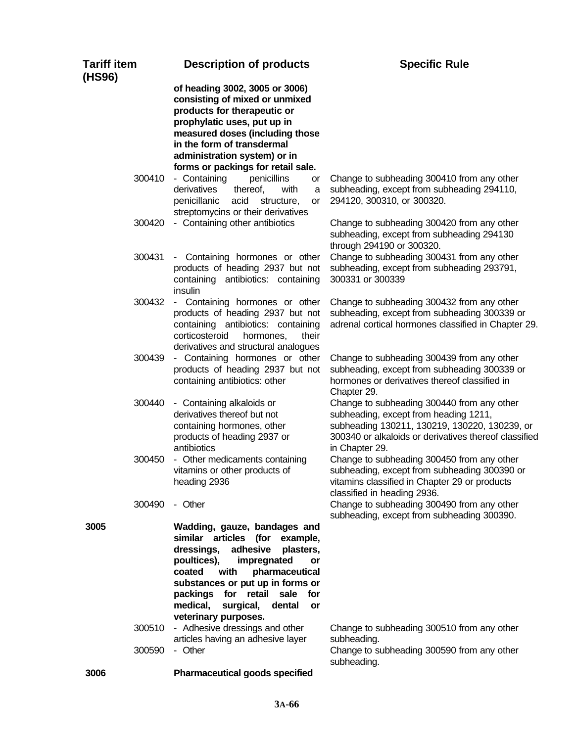| <b>Tariff item</b><br>(HS96) | <b>Description of products</b>                                                                                                                                                                                                                                                                                     | <b>Specific Rule</b>                                                                                                                                                                                            |
|------------------------------|--------------------------------------------------------------------------------------------------------------------------------------------------------------------------------------------------------------------------------------------------------------------------------------------------------------------|-----------------------------------------------------------------------------------------------------------------------------------------------------------------------------------------------------------------|
|                              | of heading 3002, 3005 or 3006)<br>consisting of mixed or unmixed<br>products for therapeutic or<br>prophylatic uses, put up in<br>measured doses (including those<br>in the form of transdermal<br>administration system) or in<br>forms or packings for retail sale.                                              |                                                                                                                                                                                                                 |
| 300410                       | - Containing<br>penicillins<br>or<br>derivatives<br>thereof,<br>with<br>a<br>penicillanic<br>acid structure,<br>or<br>streptomycins or their derivatives                                                                                                                                                           | Change to subheading 300410 from any other<br>subheading, except from subheading 294110,<br>294120, 300310, or 300320.                                                                                          |
| 300420                       | - Containing other antibiotics                                                                                                                                                                                                                                                                                     | Change to subheading 300420 from any other<br>subheading, except from subheading 294130<br>through 294190 or 300320.                                                                                            |
| 300431                       | - Containing hormones or other<br>products of heading 2937 but not<br>containing antibiotics: containing<br>insulin                                                                                                                                                                                                | Change to subheading 300431 from any other<br>subheading, except from subheading 293791,<br>300331 or 300339                                                                                                    |
| 300432                       | - Containing hormones or other<br>products of heading 2937 but not<br>containing antibiotics: containing<br>corticosteroid<br>hormones,<br>their<br>derivatives and structural analogues                                                                                                                           | Change to subheading 300432 from any other<br>subheading, except from subheading 300339 or<br>adrenal cortical hormones classified in Chapter 29.                                                               |
| 300439                       | - Containing hormones or other<br>products of heading 2937 but not<br>containing antibiotics: other                                                                                                                                                                                                                | Change to subheading 300439 from any other<br>subheading, except from subheading 300339 or<br>hormones or derivatives thereof classified in<br>Chapter 29.                                                      |
| 300440                       | - Containing alkaloids or<br>derivatives thereof but not<br>containing hormones, other<br>products of heading 2937 or<br>antibiotics                                                                                                                                                                               | Change to subheading 300440 from any other<br>subheading, except from heading 1211,<br>subheading 130211, 130219, 130220, 130239, or<br>300340 or alkaloids or derivatives thereof classified<br>in Chapter 29. |
| 300450                       | - Other medicaments containing<br>vitamins or other products of<br>heading 2936                                                                                                                                                                                                                                    | Change to subheading 300450 from any other<br>subheading, except from subheading 300390 or<br>vitamins classified in Chapter 29 or products<br>classified in heading 2936.                                      |
| 300490                       | - Other                                                                                                                                                                                                                                                                                                            | Change to subheading 300490 from any other<br>subheading, except from subheading 300390.                                                                                                                        |
| 3005                         | Wadding, gauze, bandages and<br>similar articles (for example,<br>adhesive<br>dressings,<br>plasters,<br>poultices),<br>impregnated<br>or<br>coated<br>with<br>pharmaceutical<br>substances or put up in forms or<br>packings for retail sale for<br>medical,<br>dental<br>surgical,<br>or<br>veterinary purposes. |                                                                                                                                                                                                                 |
| 300510<br>300590             | - Adhesive dressings and other<br>articles having an adhesive layer<br>- Other                                                                                                                                                                                                                                     | Change to subheading 300510 from any other<br>subheading.<br>Change to subheading 300590 from any other                                                                                                         |
| 3006                         | <b>Pharmaceutical goods specified</b>                                                                                                                                                                                                                                                                              | subheading.                                                                                                                                                                                                     |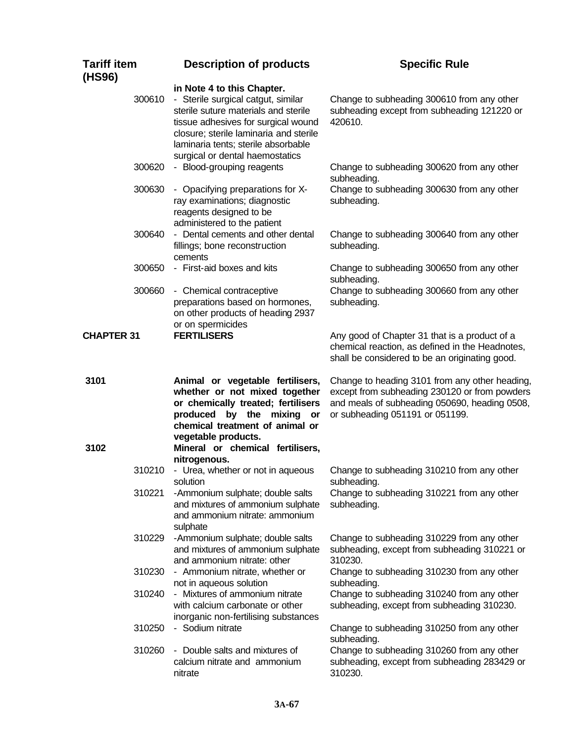| <b>Tariff item</b><br>(HS96) | <b>Description of products</b>                                                                                                                                                                                                                                      | <b>Specific Rule</b>                                                                                                                                                                |
|------------------------------|---------------------------------------------------------------------------------------------------------------------------------------------------------------------------------------------------------------------------------------------------------------------|-------------------------------------------------------------------------------------------------------------------------------------------------------------------------------------|
| 300610                       | in Note 4 to this Chapter.<br>- Sterile surgical catgut, similar<br>sterile suture materials and sterile<br>tissue adhesives for surgical wound<br>closure; sterile laminaria and sterile<br>laminaria tents; sterile absorbable<br>surgical or dental haemostatics | Change to subheading 300610 from any other<br>subheading except from subheading 121220 or<br>420610.                                                                                |
| 300620                       | - Blood-grouping reagents                                                                                                                                                                                                                                           | Change to subheading 300620 from any other<br>subheading.                                                                                                                           |
| 300630                       | - Opacifying preparations for X-<br>ray examinations; diagnostic<br>reagents designed to be<br>administered to the patient                                                                                                                                          | Change to subheading 300630 from any other<br>subheading.                                                                                                                           |
| 300640                       | - Dental cements and other dental<br>fillings; bone reconstruction<br>cements                                                                                                                                                                                       | Change to subheading 300640 from any other<br>subheading.                                                                                                                           |
| 300650                       | - First-aid boxes and kits                                                                                                                                                                                                                                          | Change to subheading 300650 from any other<br>subheading.                                                                                                                           |
| 300660                       | - Chemical contraceptive<br>preparations based on hormones,<br>on other products of heading 2937<br>or on spermicides                                                                                                                                               | Change to subheading 300660 from any other<br>subheading.                                                                                                                           |
| <b>CHAPTER 31</b>            | <b>FERTILISERS</b>                                                                                                                                                                                                                                                  | Any good of Chapter 31 that is a product of a<br>chemical reaction, as defined in the Headnotes,<br>shall be considered to be an originating good.                                  |
| 3101<br>3102                 | Animal or vegetable fertilisers,<br>whether or not mixed together<br>or chemically treated; fertilisers<br>produced by the mixing or<br>chemical treatment of animal or<br>vegetable products.<br>Mineral or chemical fertilisers,                                  | Change to heading 3101 from any other heading,<br>except from subheading 230120 or from powders<br>and meals of subheading 050690, heading 0508,<br>or subheading 051191 or 051199. |
| 310210                       | nitrogenous.<br>- Urea, whether or not in aqueous                                                                                                                                                                                                                   | Change to subheading 310210 from any other                                                                                                                                          |
|                              | solution                                                                                                                                                                                                                                                            | subheading.                                                                                                                                                                         |
| 310221                       | -Ammonium sulphate; double salts<br>and mixtures of ammonium sulphate<br>and ammonium nitrate: ammonium<br>sulphate                                                                                                                                                 | Change to subheading 310221 from any other<br>subheading.                                                                                                                           |
| 310229                       | -Ammonium sulphate; double salts<br>and mixtures of ammonium sulphate<br>and ammonium nitrate: other                                                                                                                                                                | Change to subheading 310229 from any other<br>subheading, except from subheading 310221 or<br>310230.                                                                               |
|                              | 310230 - Ammonium nitrate, whether or<br>not in aqueous solution                                                                                                                                                                                                    | Change to subheading 310230 from any other<br>subheading.                                                                                                                           |
| 310240                       | - Mixtures of ammonium nitrate<br>with calcium carbonate or other<br>inorganic non-fertilising substances                                                                                                                                                           | Change to subheading 310240 from any other<br>subheading, except from subheading 310230.                                                                                            |
| 310250                       | - Sodium nitrate                                                                                                                                                                                                                                                    | Change to subheading 310250 from any other<br>subheading.                                                                                                                           |
| 310260                       | - Double salts and mixtures of<br>calcium nitrate and ammonium<br>nitrate                                                                                                                                                                                           | Change to subheading 310260 from any other<br>subheading, except from subheading 283429 or<br>310230.                                                                               |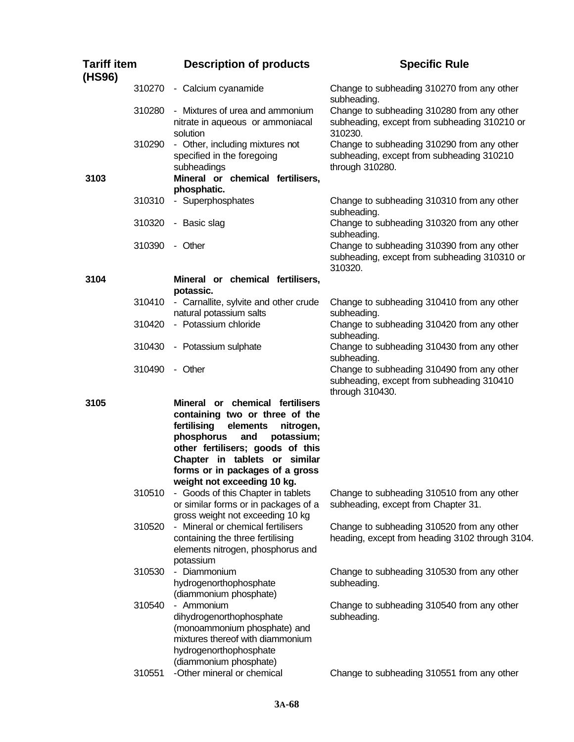| <b>Tariff item</b><br>(HS96) |        | <b>Description of products</b>                                                                                                                                                                                                                                                      | <b>Specific Rule</b>                                                                                       |
|------------------------------|--------|-------------------------------------------------------------------------------------------------------------------------------------------------------------------------------------------------------------------------------------------------------------------------------------|------------------------------------------------------------------------------------------------------------|
|                              | 310270 | - Calcium cyanamide                                                                                                                                                                                                                                                                 | Change to subheading 310270 from any other<br>subheading.                                                  |
|                              | 310280 | - Mixtures of urea and ammonium<br>nitrate in aqueous or ammoniacal<br>solution                                                                                                                                                                                                     | Change to subheading 310280 from any other<br>subheading, except from subheading 310210 or<br>310230.      |
| 3103                         | 310290 | - Other, including mixtures not<br>specified in the foregoing<br>subheadings<br>Mineral or chemical fertilisers,                                                                                                                                                                    | Change to subheading 310290 from any other<br>subheading, except from subheading 310210<br>through 310280. |
|                              |        | phosphatic.                                                                                                                                                                                                                                                                         |                                                                                                            |
|                              | 310310 | - Superphosphates                                                                                                                                                                                                                                                                   | Change to subheading 310310 from any other<br>subheading.                                                  |
|                              | 310320 | - Basic slag                                                                                                                                                                                                                                                                        | Change to subheading 310320 from any other<br>subheading.                                                  |
|                              | 310390 | - Other                                                                                                                                                                                                                                                                             | Change to subheading 310390 from any other<br>subheading, except from subheading 310310 or<br>310320.      |
| 3104                         |        | Mineral or chemical fertilisers,<br>potassic.                                                                                                                                                                                                                                       |                                                                                                            |
|                              | 310410 | - Carnallite, sylvite and other crude<br>natural potassium salts                                                                                                                                                                                                                    | Change to subheading 310410 from any other<br>subheading.                                                  |
|                              | 310420 | - Potassium chloride                                                                                                                                                                                                                                                                | Change to subheading 310420 from any other<br>subheading.                                                  |
|                              | 310430 | - Potassium sulphate                                                                                                                                                                                                                                                                | Change to subheading 310430 from any other<br>subheading.                                                  |
|                              | 310490 | - Other                                                                                                                                                                                                                                                                             | Change to subheading 310490 from any other<br>subheading, except from subheading 310410<br>through 310430. |
| 3105                         |        | Mineral or chemical fertilisers<br>containing two or three of the<br>fertilising<br>elements<br>nitrogen,<br>phosphorus<br>potassium;<br>and<br>other fertilisers; goods of this<br>Chapter in tablets or similar<br>forms or in packages of a gross<br>weight not exceeding 10 kg. |                                                                                                            |
|                              | 310510 | - Goods of this Chapter in tablets<br>or similar forms or in packages of a<br>gross weight not exceeding 10 kg                                                                                                                                                                      | Change to subheading 310510 from any other<br>subheading, except from Chapter 31.                          |
|                              | 310520 | - Mineral or chemical fertilisers<br>containing the three fertilising<br>elements nitrogen, phosphorus and<br>potassium                                                                                                                                                             | Change to subheading 310520 from any other<br>heading, except from heading 3102 through 3104.              |
|                              | 310530 | - Diammonium<br>hydrogenorthophosphate<br>(diammonium phosphate)                                                                                                                                                                                                                    | Change to subheading 310530 from any other<br>subheading.                                                  |
|                              | 310540 | - Ammonium<br>dihydrogenorthophosphate<br>(monoammonium phosphate) and<br>mixtures thereof with diammonium<br>hydrogenorthophosphate<br>(diammonium phosphate)                                                                                                                      | Change to subheading 310540 from any other<br>subheading.                                                  |
|                              | 310551 | -Other mineral or chemical                                                                                                                                                                                                                                                          | Change to subheading 310551 from any other                                                                 |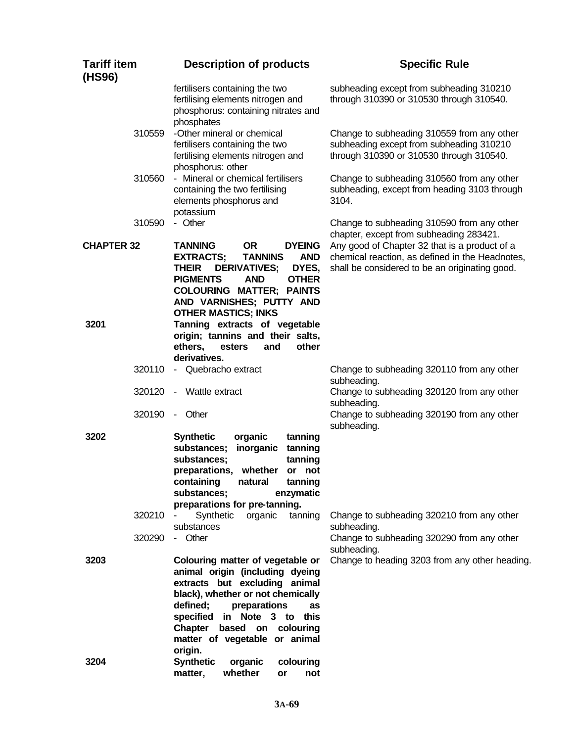| <b>Tariff item</b><br>(HS96) | <b>Description of products</b>                                                                                                                                                                                                                                                          | <b>Specific Rule</b>                                                                                                                   |
|------------------------------|-----------------------------------------------------------------------------------------------------------------------------------------------------------------------------------------------------------------------------------------------------------------------------------------|----------------------------------------------------------------------------------------------------------------------------------------|
|                              | fertilisers containing the two<br>fertilising elements nitrogen and<br>phosphorus: containing nitrates and<br>phosphates                                                                                                                                                                | subheading except from subheading 310210<br>through 310390 or 310530 through 310540.                                                   |
| 310559                       | -Other mineral or chemical<br>fertilisers containing the two<br>fertilising elements nitrogen and<br>phosphorus: other                                                                                                                                                                  | Change to subheading 310559 from any other<br>subheading except from subheading 310210<br>through 310390 or 310530 through 310540.     |
| 310560                       | - Mineral or chemical fertilisers<br>containing the two fertilising<br>elements phosphorus and<br>potassium                                                                                                                                                                             | Change to subheading 310560 from any other<br>subheading, except from heading 3103 through<br>3104.                                    |
| 310590<br><b>CHAPTER 32</b>  | - Other<br><b>OR</b><br><b>DYEING</b><br><b>TANNING</b>                                                                                                                                                                                                                                 | Change to subheading 310590 from any other<br>chapter, except from subheading 283421.<br>Any good of Chapter 32 that is a product of a |
|                              | <b>TANNINS</b><br><b>EXTRACTS;</b><br><b>AND</b><br><b>DERIVATIVES;</b><br><b>THEIR</b><br>DYES,<br><b>PIGMENTS</b><br><b>AND</b><br><b>OTHER</b><br><b>COLOURING MATTER; PAINTS</b><br>AND VARNISHES; PUTTY AND<br><b>OTHER MASTICS; INKS</b>                                          | chemical reaction, as defined in the Headnotes,<br>shall be considered to be an originating good.                                      |
| 3201                         | Tanning extracts of vegetable<br>origin; tannins and their salts,<br>ethers,<br>other<br>esters<br>and<br>derivatives.                                                                                                                                                                  |                                                                                                                                        |
| 320110                       | - Quebracho extract                                                                                                                                                                                                                                                                     | Change to subheading 320110 from any other<br>subheading.                                                                              |
| 320120                       | - Wattle extract                                                                                                                                                                                                                                                                        | Change to subheading 320120 from any other<br>subheading.                                                                              |
| 320190                       | - Other                                                                                                                                                                                                                                                                                 | Change to subheading 320190 from any other<br>subheading.                                                                              |
| 3202                         | organic<br><b>Synthetic</b><br>tanning<br>inorganic<br>substances;<br>tanning<br>substances;<br>tanning<br>preparations, whether<br>or not<br>containing<br>natural<br>tanning<br>substances;<br>enzymatic<br>preparations for pre-tanning.                                             |                                                                                                                                        |
| 320210                       | Synthetic<br>organic<br>tanning<br>substances                                                                                                                                                                                                                                           | Change to subheading 320210 from any other<br>subheading.                                                                              |
| 320290                       | - Other                                                                                                                                                                                                                                                                                 | Change to subheading 320290 from any other<br>subheading.                                                                              |
| 3203                         | Colouring matter of vegetable or<br>animal origin (including dyeing<br>extracts but excluding animal<br>black), whether or not chemically<br>defined;<br>preparations<br>as<br>specified in Note 3 to this<br>Chapter<br>based on colouring<br>matter of vegetable or animal<br>origin. | Change to heading 3203 from any other heading.                                                                                         |
| 3204                         | <b>Synthetic</b><br>organic<br>colouring<br>whether<br>matter,<br>not<br>or                                                                                                                                                                                                             |                                                                                                                                        |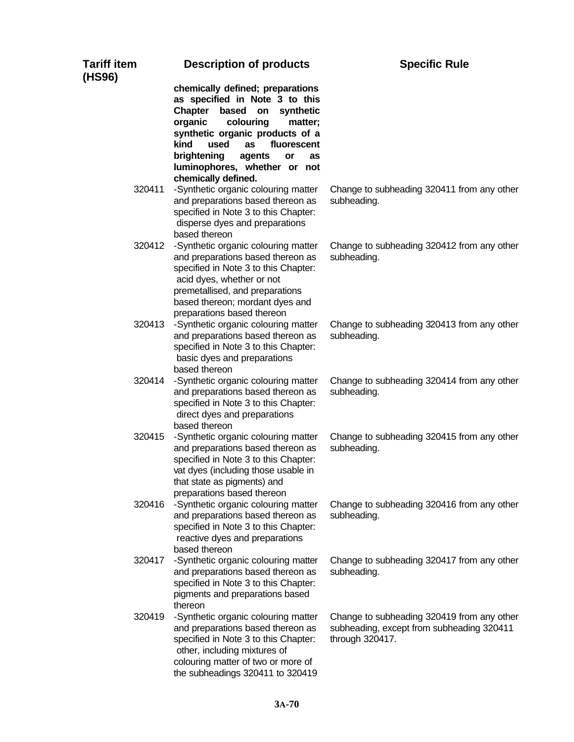| <b>Tariff item</b><br>(HS96) | <b>Description of products</b>                                                                                                                                                                                                                                                                | <b>Specific Rule</b>                                                                                       |
|------------------------------|-----------------------------------------------------------------------------------------------------------------------------------------------------------------------------------------------------------------------------------------------------------------------------------------------|------------------------------------------------------------------------------------------------------------|
|                              | chemically defined; preparations<br>as specified in Note 3 to this<br><b>Chapter</b><br>based on<br>synthetic<br>organic<br>colouring<br>matter;<br>synthetic organic products of a<br>kind<br>used<br>as<br>fluorescent<br>brightening<br>agents<br>or<br>as<br>luminophores, whether or not |                                                                                                            |
|                              | chemically defined.                                                                                                                                                                                                                                                                           |                                                                                                            |
| 320411                       | -Synthetic organic colouring matter<br>and preparations based thereon as<br>specified in Note 3 to this Chapter:<br>disperse dyes and preparations<br>based thereon                                                                                                                           | Change to subheading 320411 from any other<br>subheading.                                                  |
| 320412                       | -Synthetic organic colouring matter<br>and preparations based thereon as<br>specified in Note 3 to this Chapter:<br>acid dyes, whether or not<br>premetallised, and preparations<br>based thereon; mordant dyes and<br>preparations based thereon                                             | Change to subheading 320412 from any other<br>subheading.                                                  |
| 320413                       | -Synthetic organic colouring matter<br>and preparations based thereon as<br>specified in Note 3 to this Chapter:<br>basic dyes and preparations<br>based thereon                                                                                                                              | Change to subheading 320413 from any other<br>subheading.                                                  |
| 320414                       | -Synthetic organic colouring matter<br>and preparations based thereon as<br>specified in Note 3 to this Chapter:<br>direct dyes and preparations<br>based thereon                                                                                                                             | Change to subheading 320414 from any other<br>subheading.                                                  |
| 320415                       | -Synthetic organic colouring matter<br>and preparations based thereon as<br>specified in Note 3 to this Chapter:<br>vat dyes (including those usable in<br>that state as pigments) and<br>preparations based thereon                                                                          | Change to subheading 320415 from any other<br>subheading.                                                  |
| 320416                       | -Synthetic organic colouring matter<br>and preparations based thereon as<br>specified in Note 3 to this Chapter:<br>reactive dyes and preparations<br>based thereon                                                                                                                           | Change to subheading 320416 from any other<br>subheading.                                                  |
| 320417                       | -Synthetic organic colouring matter<br>and preparations based thereon as<br>specified in Note 3 to this Chapter:<br>pigments and preparations based<br>thereon                                                                                                                                | Change to subheading 320417 from any other<br>subheading.                                                  |
| 320419                       | -Synthetic organic colouring matter<br>and preparations based thereon as<br>specified in Note 3 to this Chapter:<br>other, including mixtures of<br>colouring matter of two or more of<br>the subheadings 320411 to 320419                                                                    | Change to subheading 320419 from any other<br>subheading, except from subheading 320411<br>through 320417. |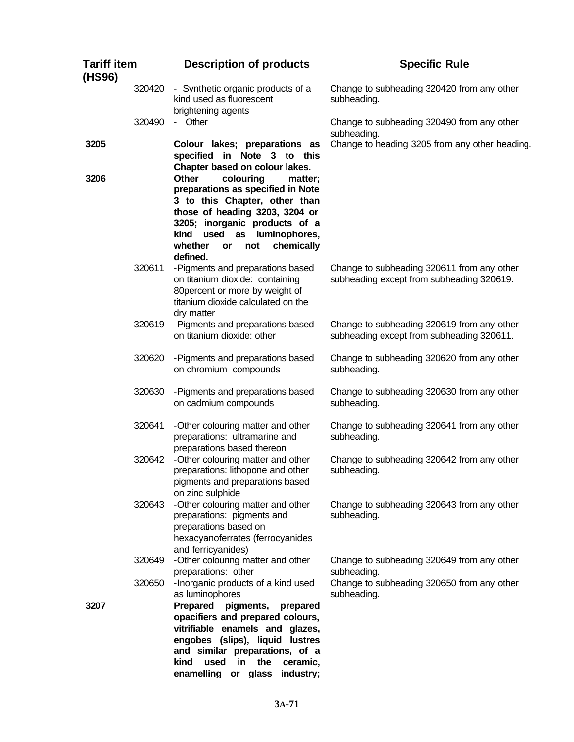| <b>Tariff item</b><br>(HS96) |        | <b>Description of products</b>                                                                                                                                                                                                                                      | <b>Specific Rule</b>                                                                    |
|------------------------------|--------|---------------------------------------------------------------------------------------------------------------------------------------------------------------------------------------------------------------------------------------------------------------------|-----------------------------------------------------------------------------------------|
|                              | 320420 | - Synthetic organic products of a<br>kind used as fluorescent<br>brightening agents                                                                                                                                                                                 | Change to subheading 320420 from any other<br>subheading.                               |
|                              | 320490 | - Other                                                                                                                                                                                                                                                             | Change to subheading 320490 from any other<br>subheading.                               |
| 3205                         |        | Colour lakes; preparations as<br>specified in Note 3 to this<br>Chapter based on colour lakes.                                                                                                                                                                      | Change to heading 3205 from any other heading.                                          |
| 3206                         |        | <b>Other</b><br>colouring<br>matter;<br>preparations as specified in Note<br>3 to this Chapter, other than<br>those of heading 3203, 3204 or<br>3205; inorganic products of a<br>used<br>as luminophores,<br>kind<br>chemically<br>whether<br>or<br>not<br>defined. |                                                                                         |
|                              | 320611 | -Pigments and preparations based<br>on titanium dioxide: containing<br>80percent or more by weight of<br>titanium dioxide calculated on the<br>dry matter                                                                                                           | Change to subheading 320611 from any other<br>subheading except from subheading 320619. |
|                              | 320619 | -Pigments and preparations based<br>on titanium dioxide: other                                                                                                                                                                                                      | Change to subheading 320619 from any other<br>subheading except from subheading 320611. |
|                              | 320620 | -Pigments and preparations based<br>on chromium compounds                                                                                                                                                                                                           | Change to subheading 320620 from any other<br>subheading.                               |
|                              | 320630 | -Pigments and preparations based<br>on cadmium compounds                                                                                                                                                                                                            | Change to subheading 320630 from any other<br>subheading.                               |
|                              | 320641 | -Other colouring matter and other<br>preparations: ultramarine and<br>preparations based thereon                                                                                                                                                                    | Change to subheading 320641 from any other<br>subheading.                               |
|                              | 320642 | -Other colouring matter and other<br>preparations: lithopone and other<br>pigments and preparations based<br>on zinc sulphide                                                                                                                                       | Change to subheading 320642 from any other<br>subheading.                               |
|                              | 320643 | -Other colouring matter and other<br>preparations: pigments and<br>preparations based on<br>hexacyanoferrates (ferrocyanides<br>and ferricyanides)                                                                                                                  | Change to subheading 320643 from any other<br>subheading.                               |
|                              | 320649 | -Other colouring matter and other<br>preparations: other                                                                                                                                                                                                            | Change to subheading 320649 from any other<br>subheading.                               |
|                              | 320650 | -Inorganic products of a kind used<br>as luminophores                                                                                                                                                                                                               | Change to subheading 320650 from any other<br>subheading.                               |
| 3207                         |        | <b>Prepared</b><br>pigments,<br>prepared<br>opacifiers and prepared colours,<br>vitrifiable enamels and glazes,<br>engobes (slips), liquid lustres<br>and similar preparations, of a<br>the<br>ceramic,<br>kind<br>used<br>in<br>enamelling or glass<br>industry;   |                                                                                         |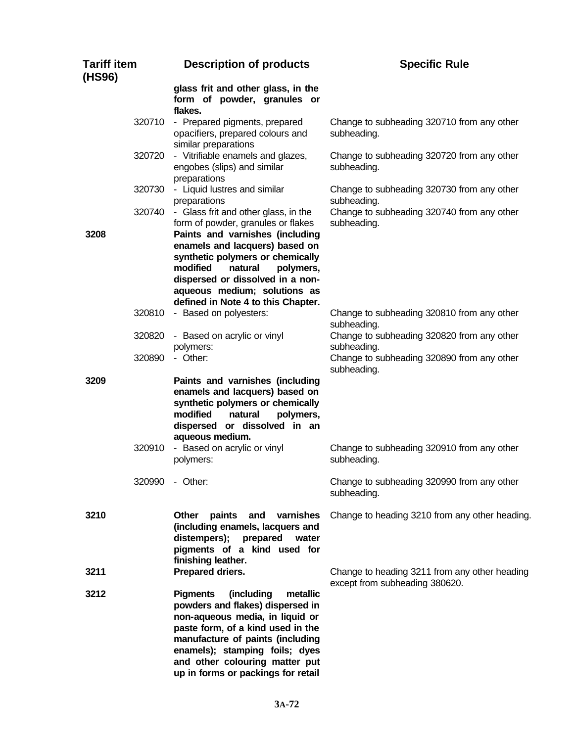| <b>Tariff item</b><br>(HS96) |        | <b>Description of products</b>                                                                                                                                                                                                                                                                                                    | <b>Specific Rule</b>                                                            |
|------------------------------|--------|-----------------------------------------------------------------------------------------------------------------------------------------------------------------------------------------------------------------------------------------------------------------------------------------------------------------------------------|---------------------------------------------------------------------------------|
|                              |        | glass frit and other glass, in the<br>form of powder, granules or<br>flakes.                                                                                                                                                                                                                                                      |                                                                                 |
|                              | 320710 | - Prepared pigments, prepared<br>opacifiers, prepared colours and<br>similar preparations                                                                                                                                                                                                                                         | Change to subheading 320710 from any other<br>subheading.                       |
|                              | 320720 | - Vitrifiable enamels and glazes,<br>engobes (slips) and similar<br>preparations                                                                                                                                                                                                                                                  | Change to subheading 320720 from any other<br>subheading.                       |
|                              | 320730 | - Liquid lustres and similar<br>preparations                                                                                                                                                                                                                                                                                      | Change to subheading 320730 from any other<br>subheading.                       |
| 3208                         | 320740 | - Glass frit and other glass, in the<br>form of powder, granules or flakes<br>Paints and varnishes (including<br>enamels and lacquers) based on<br>synthetic polymers or chemically<br>modified<br>natural<br>polymers,<br>dispersed or dissolved in a non-<br>aqueous medium; solutions as<br>defined in Note 4 to this Chapter. | Change to subheading 320740 from any other<br>subheading.                       |
|                              | 320810 | - Based on polyesters:                                                                                                                                                                                                                                                                                                            | Change to subheading 320810 from any other<br>subheading.                       |
|                              | 320820 | - Based on acrylic or vinyl<br>polymers:                                                                                                                                                                                                                                                                                          | Change to subheading 320820 from any other<br>subheading.                       |
|                              | 320890 | - Other:                                                                                                                                                                                                                                                                                                                          | Change to subheading 320890 from any other<br>subheading.                       |
| 3209                         |        | Paints and varnishes (including<br>enamels and lacquers) based on<br>synthetic polymers or chemically<br>modified<br>polymers,<br>natural<br>dispersed or dissolved in an<br>aqueous medium.                                                                                                                                      |                                                                                 |
|                              | 320910 | - Based on acrylic or vinyl<br>polymers:                                                                                                                                                                                                                                                                                          | Change to subheading 320910 from any other<br>subheading.                       |
|                              |        | 320990 - Other:                                                                                                                                                                                                                                                                                                                   | Change to subheading 320990 from any other<br>subheading.                       |
| 3210                         |        | Other<br>paints<br>and<br>varnishes<br>(including enamels, lacquers and<br>distempers);<br>prepared<br>water<br>pigments of a kind used for<br>finishing leather.                                                                                                                                                                 | Change to heading 3210 from any other heading.                                  |
| 3211                         |        | Prepared driers.                                                                                                                                                                                                                                                                                                                  | Change to heading 3211 from any other heading<br>except from subheading 380620. |
| 3212                         |        | <b>Pigments</b><br>(including<br>metallic<br>powders and flakes) dispersed in<br>non-aqueous media, in liquid or<br>paste form, of a kind used in the<br>manufacture of paints (including<br>enamels); stamping foils; dyes<br>and other colouring matter put<br>up in forms or packings for retail                               |                                                                                 |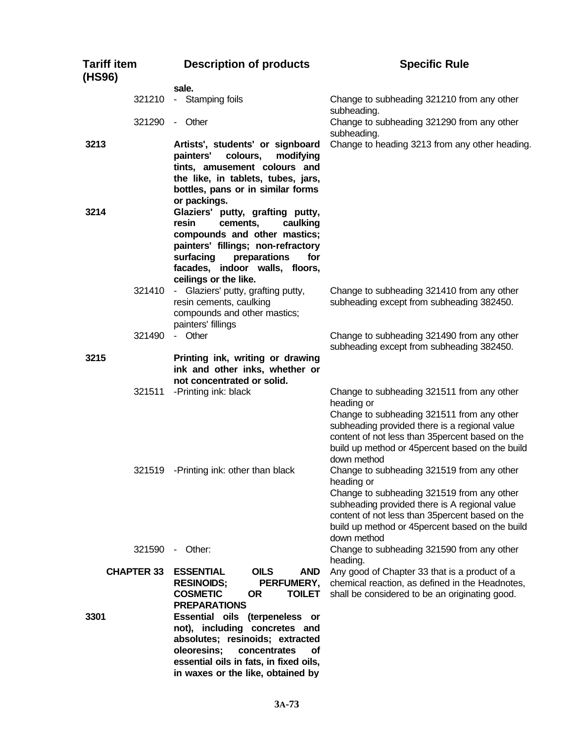| <b>Tariff item</b><br>(HS96) | <b>Description of products</b>                                                                                                                                                                                                                                                                                                                                                     | <b>Specific Rule</b>                                                                                                                                                                                                                                                           |
|------------------------------|------------------------------------------------------------------------------------------------------------------------------------------------------------------------------------------------------------------------------------------------------------------------------------------------------------------------------------------------------------------------------------|--------------------------------------------------------------------------------------------------------------------------------------------------------------------------------------------------------------------------------------------------------------------------------|
| 321210                       | sale.<br>- Stamping foils                                                                                                                                                                                                                                                                                                                                                          | Change to subheading 321210 from any other<br>subheading.                                                                                                                                                                                                                      |
| 321290                       | - Other                                                                                                                                                                                                                                                                                                                                                                            | Change to subheading 321290 from any other<br>subheading.                                                                                                                                                                                                                      |
| 3213                         | Artists', students' or signboard<br>painters'<br>colours,<br>modifying<br>tints, amusement colours and<br>the like, in tablets, tubes, jars,<br>bottles, pans or in similar forms<br>or packings.                                                                                                                                                                                  | Change to heading 3213 from any other heading.                                                                                                                                                                                                                                 |
| 3214                         | Glaziers' putty, grafting putty,<br>resin<br>cements,<br>caulking<br>compounds and other mastics;<br>painters' fillings; non-refractory<br>surfacing<br>preparations<br>for<br>facades, indoor walls, floors,<br>ceilings or the like.                                                                                                                                             |                                                                                                                                                                                                                                                                                |
| 321410                       | - Glaziers' putty, grafting putty,<br>resin cements, caulking<br>compounds and other mastics;<br>painters' fillings                                                                                                                                                                                                                                                                | Change to subheading 321410 from any other<br>subheading except from subheading 382450.                                                                                                                                                                                        |
| 321490                       | - Other                                                                                                                                                                                                                                                                                                                                                                            | Change to subheading 321490 from any other<br>subheading except from subheading 382450.                                                                                                                                                                                        |
| 3215                         | Printing ink, writing or drawing<br>ink and other inks, whether or<br>not concentrated or solid.                                                                                                                                                                                                                                                                                   |                                                                                                                                                                                                                                                                                |
| 321511                       | -Printing ink: black                                                                                                                                                                                                                                                                                                                                                               | Change to subheading 321511 from any other<br>heading or<br>Change to subheading 321511 from any other<br>subheading provided there is a regional value<br>content of not less than 35 percent based on the<br>build up method or 45percent based on the build<br>down method  |
|                              | 321519 - Printing ink: other than black                                                                                                                                                                                                                                                                                                                                            | Change to subheading 321519 from any other<br>heading or<br>Change to subheading 321519 from any other<br>subheading provided there is A regional value<br>content of not less than 35 percent based on the<br>build up method or 45 percent based on the build<br>down method |
| 321590                       | - Other:                                                                                                                                                                                                                                                                                                                                                                           | Change to subheading 321590 from any other<br>heading.                                                                                                                                                                                                                         |
| <b>CHAPTER 33</b><br>3301    | <b>ESSENTIAL</b><br><b>OILS</b><br><b>AND</b><br><b>RESINOIDS;</b><br>PERFUMERY,<br><b>COSMETIC</b><br><b>OR</b><br><b>TOILET</b><br><b>PREPARATIONS</b><br>Essential oils (terpeneless or<br>not), including concretes and<br>absolutes; resinoids; extracted<br>oleoresins;<br>concentrates<br>οf<br>essential oils in fats, in fixed oils,<br>in waxes or the like, obtained by | Any good of Chapter 33 that is a product of a<br>chemical reaction, as defined in the Headnotes,<br>shall be considered to be an originating good.                                                                                                                             |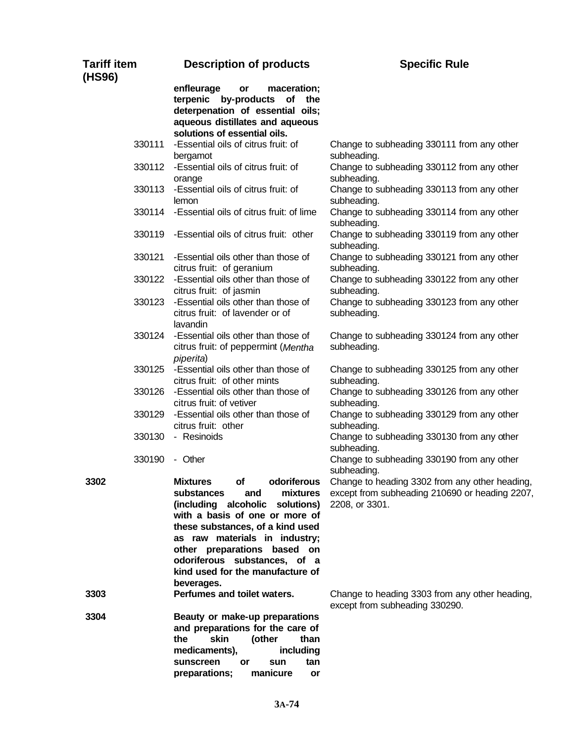| <b>Tariff item</b><br>(HS96) | <b>Description of products</b>                                                                                                                                                                                                                                                                                                      | <b>Specific Rule</b>                                                                                               |
|------------------------------|-------------------------------------------------------------------------------------------------------------------------------------------------------------------------------------------------------------------------------------------------------------------------------------------------------------------------------------|--------------------------------------------------------------------------------------------------------------------|
|                              | enfleurage<br>maceration;<br>or<br>terpenic by-products<br>of<br>the<br>deterpenation of essential oils;<br>aqueous distillates and aqueous<br>solutions of essential oils.                                                                                                                                                         |                                                                                                                    |
| 330111                       | -Essential oils of citrus fruit: of<br>bergamot                                                                                                                                                                                                                                                                                     | Change to subheading 330111 from any other<br>subheading.                                                          |
| 330112                       | -Essential oils of citrus fruit: of<br>orange                                                                                                                                                                                                                                                                                       | Change to subheading 330112 from any other<br>subheading.                                                          |
| 330113                       | -Essential oils of citrus fruit: of<br>lemon                                                                                                                                                                                                                                                                                        | Change to subheading 330113 from any other<br>subheading.                                                          |
| 330114                       | -Essential oils of citrus fruit: of lime                                                                                                                                                                                                                                                                                            | Change to subheading 330114 from any other<br>subheading.                                                          |
|                              | 330119 - Essential oils of citrus fruit: other                                                                                                                                                                                                                                                                                      | Change to subheading 330119 from any other<br>subheading.                                                          |
| 330121                       | -Essential oils other than those of<br>citrus fruit: of geranium                                                                                                                                                                                                                                                                    | Change to subheading 330121 from any other<br>subheading.                                                          |
| 330122                       | -Essential oils other than those of<br>citrus fruit: of jasmin                                                                                                                                                                                                                                                                      | Change to subheading 330122 from any other<br>subheading.                                                          |
| 330123                       | -Essential oils other than those of<br>citrus fruit: of lavender or of<br>lavandin                                                                                                                                                                                                                                                  | Change to subheading 330123 from any other<br>subheading.                                                          |
| 330124                       | -Essential oils other than those of<br>citrus fruit: of peppermint (Mentha<br>piperita)                                                                                                                                                                                                                                             | Change to subheading 330124 from any other<br>subheading.                                                          |
| 330125                       | -Essential oils other than those of<br>citrus fruit: of other mints                                                                                                                                                                                                                                                                 | Change to subheading 330125 from any other<br>subheading.                                                          |
| 330126                       | -Essential oils other than those of<br>citrus fruit: of vetiver                                                                                                                                                                                                                                                                     | Change to subheading 330126 from any other<br>subheading.                                                          |
| 330129                       | -Essential oils other than those of<br>citrus fruit: other                                                                                                                                                                                                                                                                          | Change to subheading 330129 from any other<br>subheading.                                                          |
| 330130                       | - Resinoids                                                                                                                                                                                                                                                                                                                         | Change to subheading 330130 from any other<br>subheading.                                                          |
| 330190                       | - Other                                                                                                                                                                                                                                                                                                                             | Change to subheading 330190 from any other<br>subheading.                                                          |
| 3302                         | of<br>odoriferous<br><b>Mixtures</b><br>substances<br>mixtures<br>and<br>(including alcoholic<br>solutions)<br>with a basis of one or more of<br>these substances, of a kind used<br>as raw materials in industry;<br>other preparations based on<br>odoriferous substances, of a<br>kind used for the manufacture of<br>beverages. | Change to heading 3302 from any other heading,<br>except from subheading 210690 or heading 2207,<br>2208, or 3301. |
| 3303                         | Perfumes and toilet waters.                                                                                                                                                                                                                                                                                                         | Change to heading 3303 from any other heading,<br>except from subheading 330290.                                   |
| 3304                         | Beauty or make-up preparations<br>and preparations for the care of<br>skin<br>the<br>(other<br>than<br>medicaments),<br>including<br>sunscreen<br>tan<br>or<br>sun                                                                                                                                                                  |                                                                                                                    |

**preparations; manicure or**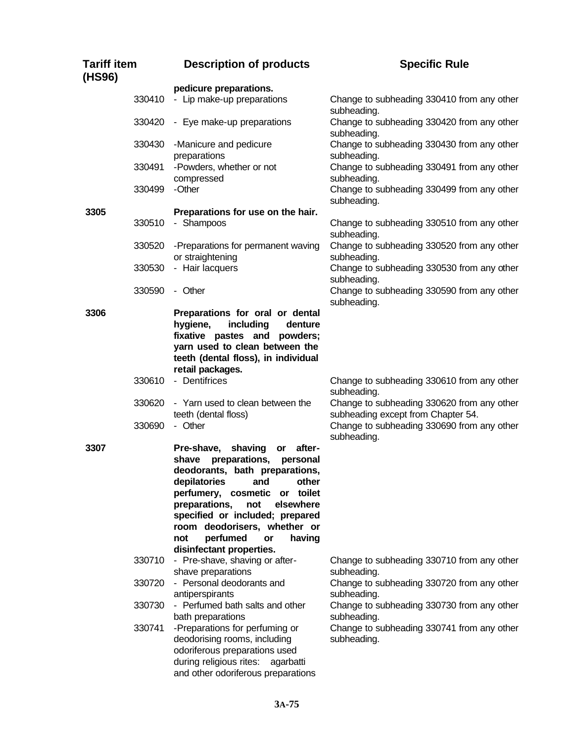| <b>Description of products</b>                                                                                                                                                                                                                                                                                                                                                                                                                                  | <b>Specific Rule</b>                                                                                                                                                                                                                             |
|-----------------------------------------------------------------------------------------------------------------------------------------------------------------------------------------------------------------------------------------------------------------------------------------------------------------------------------------------------------------------------------------------------------------------------------------------------------------|--------------------------------------------------------------------------------------------------------------------------------------------------------------------------------------------------------------------------------------------------|
|                                                                                                                                                                                                                                                                                                                                                                                                                                                                 |                                                                                                                                                                                                                                                  |
| - Lip make-up preparations                                                                                                                                                                                                                                                                                                                                                                                                                                      | Change to subheading 330410 from any other<br>subheading.                                                                                                                                                                                        |
| 330420 - Eye make-up preparations                                                                                                                                                                                                                                                                                                                                                                                                                               | Change to subheading 330420 from any other<br>subheading.                                                                                                                                                                                        |
| 330430<br>-Manicure and pedicure                                                                                                                                                                                                                                                                                                                                                                                                                                | Change to subheading 330430 from any other<br>subheading.                                                                                                                                                                                        |
| -Powders, whether or not                                                                                                                                                                                                                                                                                                                                                                                                                                        | Change to subheading 330491 from any other<br>subheading.                                                                                                                                                                                        |
| -Other                                                                                                                                                                                                                                                                                                                                                                                                                                                          | Change to subheading 330499 from any other<br>subheading.                                                                                                                                                                                        |
|                                                                                                                                                                                                                                                                                                                                                                                                                                                                 |                                                                                                                                                                                                                                                  |
| - Shampoos                                                                                                                                                                                                                                                                                                                                                                                                                                                      | Change to subheading 330510 from any other<br>subheading.                                                                                                                                                                                        |
| -Preparations for permanent waving                                                                                                                                                                                                                                                                                                                                                                                                                              | Change to subheading 330520 from any other<br>subheading.                                                                                                                                                                                        |
| - Hair lacquers                                                                                                                                                                                                                                                                                                                                                                                                                                                 | Change to subheading 330530 from any other<br>subheading.                                                                                                                                                                                        |
| - Other                                                                                                                                                                                                                                                                                                                                                                                                                                                         | Change to subheading 330590 from any other<br>subheading.                                                                                                                                                                                        |
| hygiene,<br>including<br>denture<br>fixative pastes and powders;<br>yarn used to clean between the<br>teeth (dental floss), in individual<br>retail packages.<br>- Dentifrices<br>330610<br>- Yarn used to clean between the<br>teeth (dental floss)<br>- Other<br>shaving<br>after-<br>Pre-shave,<br>$\mathsf{or}$<br>preparations,<br>personal<br>shave<br>deodorants, bath preparations,<br>depilatories<br>and<br>other<br>or toilet<br>perfumery, cosmetic | Change to subheading 330610 from any other<br>subheading.<br>Change to subheading 330620 from any other<br>subheading except from Chapter 54.<br>Change to subheading 330690 from any other<br>subheading.                                       |
| specified or included; prepared<br>room deodorisers, whether or<br>perfumed<br>not<br>having<br>or<br>disinfectant properties.<br>- Pre-shave, shaving or after-<br>shave preparations<br>- Personal deodorants and<br>antiperspirants<br>- Perfumed bath salts and other<br>bath preparations<br>-Preparations for perfuming or<br>deodorising rooms, including<br>odoriferous preparations used<br>during religious rites:<br>agarbatti                       | Change to subheading 330710 from any other<br>subheading.<br>Change to subheading 330720 from any other<br>subheading.<br>Change to subheading 330730 from any other<br>subheading.<br>Change to subheading 330741 from any other<br>subheading. |
|                                                                                                                                                                                                                                                                                                                                                                                                                                                                 | pedicure preparations.<br>preparations<br>compressed<br>Preparations for use on the hair.<br>or straightening<br>Preparations for oral or dental<br>preparations,<br>not<br>elsewhere<br>and other odoriferous preparations                      |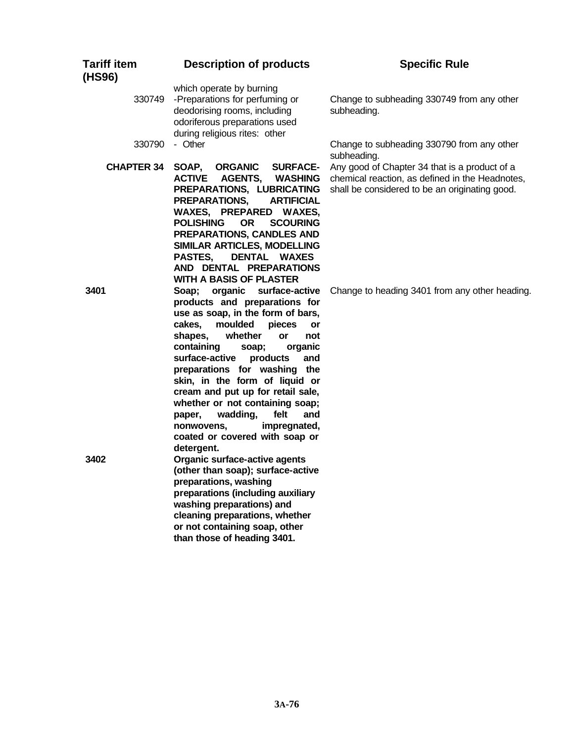| <b>Tariff item</b><br>(HS96) | <b>Description of products</b>                                                                                                                                                                                                                                                                                                                                                                                                                                                                                    | <b>Specific Rule</b>                                                                                                                               |
|------------------------------|-------------------------------------------------------------------------------------------------------------------------------------------------------------------------------------------------------------------------------------------------------------------------------------------------------------------------------------------------------------------------------------------------------------------------------------------------------------------------------------------------------------------|----------------------------------------------------------------------------------------------------------------------------------------------------|
| 330749                       | which operate by burning<br>-Preparations for perfuming or<br>deodorising rooms, including<br>odoriferous preparations used<br>during religious rites: other                                                                                                                                                                                                                                                                                                                                                      | Change to subheading 330749 from any other<br>subheading.                                                                                          |
| 330790                       | - Other                                                                                                                                                                                                                                                                                                                                                                                                                                                                                                           | Change to subheading 330790 from any other<br>subheading.                                                                                          |
| <b>CHAPTER 34</b>            | SOAP,<br><b>ORGANIC</b><br><b>SURFACE-</b><br><b>ACTIVE</b><br><b>AGENTS,</b><br>WASHING<br>PREPARATIONS, LUBRICATING<br>PREPARATIONS,<br><b>ARTIFICIAL</b><br>WAXES, PREPARED WAXES,<br><b>POLISHING</b><br><b>OR</b><br><b>SCOURING</b><br>PREPARATIONS, CANDLES AND<br>SIMILAR ARTICLES, MODELLING<br>DENTAL WAXES<br><b>PASTES,</b><br>AND DENTAL PREPARATIONS<br><b>WITH A BASIS OF PLASTER</b>                                                                                                              | Any good of Chapter 34 that is a product of a<br>chemical reaction, as defined in the Headnotes,<br>shall be considered to be an originating good. |
| 3401                         | organic surface-active<br>Soap;<br>products and preparations for<br>use as soap, in the form of bars,<br>cakes,<br>moulded<br>pieces<br>or<br>whether<br>shapes,<br>or<br>not<br>containing<br>organic<br>soap;<br>surface-active<br>products<br>and<br>preparations for washing the<br>skin, in the form of liquid or<br>cream and put up for retail sale,<br>whether or not containing soap;<br>wadding,<br>felt<br>and<br>paper,<br>impregnated,<br>nonwovens,<br>coated or covered with soap or<br>detergent. | Change to heading 3401 from any other heading.                                                                                                     |
| 3402                         | Organic surface-active agents<br>(other than soap); surface-active<br>preparations, washing<br>preparations (including auxiliary<br>washing preparations) and<br>cleaning preparations, whether<br>or not containing soap, other<br>than those of heading 3401.                                                                                                                                                                                                                                                   |                                                                                                                                                    |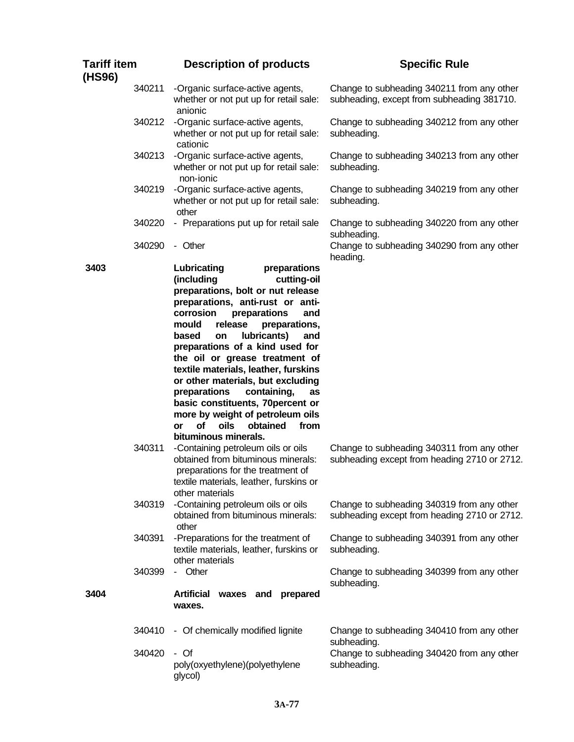| <b>Tariff item</b><br>(HS96) | <b>Description of products</b>                                                                                                                                                                                                                                                                                                                                                                                                                                                                                                                                                                                              | <b>Specific Rule</b>                                                                       |
|------------------------------|-----------------------------------------------------------------------------------------------------------------------------------------------------------------------------------------------------------------------------------------------------------------------------------------------------------------------------------------------------------------------------------------------------------------------------------------------------------------------------------------------------------------------------------------------------------------------------------------------------------------------------|--------------------------------------------------------------------------------------------|
| 340211                       | -Organic surface-active agents,<br>whether or not put up for retail sale:<br>anionic                                                                                                                                                                                                                                                                                                                                                                                                                                                                                                                                        | Change to subheading 340211 from any other<br>subheading, except from subheading 381710.   |
| 340212                       | -Organic surface-active agents,<br>whether or not put up for retail sale:<br>cationic                                                                                                                                                                                                                                                                                                                                                                                                                                                                                                                                       | Change to subheading 340212 from any other<br>subheading.                                  |
| 340213                       | -Organic surface-active agents,<br>whether or not put up for retail sale:<br>non-ionic                                                                                                                                                                                                                                                                                                                                                                                                                                                                                                                                      | Change to subheading 340213 from any other<br>subheading.                                  |
| 340219                       | -Organic surface-active agents,<br>whether or not put up for retail sale:<br>other                                                                                                                                                                                                                                                                                                                                                                                                                                                                                                                                          | Change to subheading 340219 from any other<br>subheading.                                  |
| 340220                       | - Preparations put up for retail sale                                                                                                                                                                                                                                                                                                                                                                                                                                                                                                                                                                                       | Change to subheading 340220 from any other<br>subheading.                                  |
| 340290                       | - Other                                                                                                                                                                                                                                                                                                                                                                                                                                                                                                                                                                                                                     | Change to subheading 340290 from any other<br>heading.                                     |
| 3403<br>340311               | Lubricating<br>preparations<br>(including<br>cutting-oil<br>preparations, bolt or nut release<br>preparations, anti-rust or anti-<br>corrosion<br>preparations<br>and<br>mould<br>release<br>preparations,<br>lubricants)<br>based<br>and<br>on<br>preparations of a kind used for<br>the oil or grease treatment of<br>textile materials, leather, furskins<br>or other materials, but excluding<br>preparations<br>containing,<br>as<br>basic constituents, 70percent or<br>more by weight of petroleum oils<br>of<br><b>oils</b><br>obtained<br>from<br>or<br>bituminous minerals.<br>-Containing petroleum oils or oils | Change to subheading 340311 from any other                                                 |
|                              | obtained from bituminous minerals:<br>preparations for the treatment of<br>textile materials, leather, furskins or<br>other materials                                                                                                                                                                                                                                                                                                                                                                                                                                                                                       | subheading except from heading 2710 or 2712.                                               |
| 340319                       | -Containing petroleum oils or oils<br>obtained from bituminous minerals:<br>other                                                                                                                                                                                                                                                                                                                                                                                                                                                                                                                                           | Change to subheading 340319 from any other<br>subheading except from heading 2710 or 2712. |
| 340391                       | -Preparations for the treatment of<br>textile materials, leather, furskins or<br>other materials                                                                                                                                                                                                                                                                                                                                                                                                                                                                                                                            | Change to subheading 340391 from any other<br>subheading.                                  |
| 340399                       | - Other                                                                                                                                                                                                                                                                                                                                                                                                                                                                                                                                                                                                                     | Change to subheading 340399 from any other<br>subheading.                                  |
| 3404                         | Artificial waxes and prepared<br>waxes.                                                                                                                                                                                                                                                                                                                                                                                                                                                                                                                                                                                     |                                                                                            |
| 340410                       | - Of chemically modified lignite                                                                                                                                                                                                                                                                                                                                                                                                                                                                                                                                                                                            | Change to subheading 340410 from any other<br>subheading.                                  |
| 340420                       | - Of<br>poly(oxyethylene)(polyethylene<br>glycol)                                                                                                                                                                                                                                                                                                                                                                                                                                                                                                                                                                           | Change to subheading 340420 from any other<br>subheading.                                  |

## **3A-77**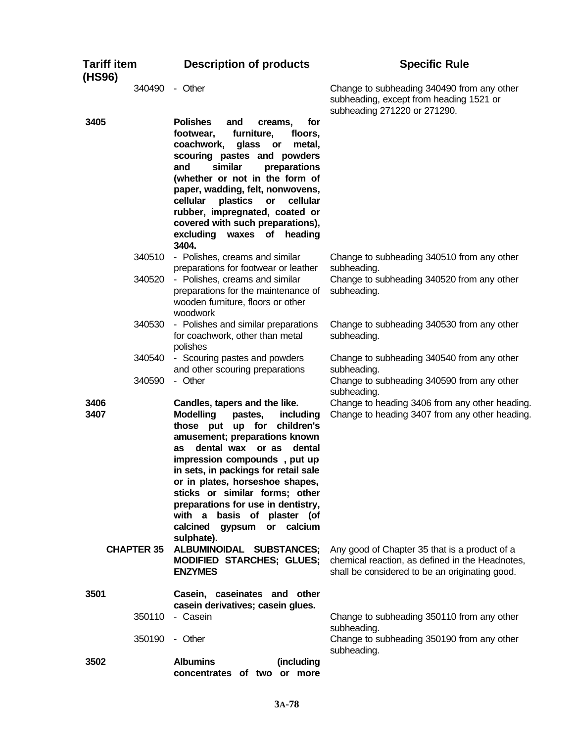| <b>Tariff item</b><br>(HS96)      | <b>Description of products</b>                                                                                                                                                                                                                                                                                                                                                                                                                                                          | <b>Specific Rule</b>                                                                                                                              |
|-----------------------------------|-----------------------------------------------------------------------------------------------------------------------------------------------------------------------------------------------------------------------------------------------------------------------------------------------------------------------------------------------------------------------------------------------------------------------------------------------------------------------------------------|---------------------------------------------------------------------------------------------------------------------------------------------------|
| 340490                            | - Other                                                                                                                                                                                                                                                                                                                                                                                                                                                                                 | Change to subheading 340490 from any other<br>subheading, except from heading 1521 or<br>subheading 271220 or 271290.                             |
| 3405                              | <b>Polishes</b><br>for<br>and<br>creams,<br>furniture,<br>footwear,<br>floors,<br>coachwork,<br>glass<br>or<br>metal,<br>scouring pastes and powders<br>similar<br>and<br>preparations<br>(whether or not in the form of<br>paper, wadding, felt, nonwovens,<br>cellular<br>plastics<br>cellular<br>or<br>rubber, impregnated, coated or<br>covered with such preparations),<br>excluding waxes of<br>heading<br>3404.                                                                  |                                                                                                                                                   |
| 340510<br>340520                  | - Polishes, creams and similar<br>preparations for footwear or leather<br>- Polishes, creams and similar<br>preparations for the maintenance of<br>wooden furniture, floors or other<br>woodwork                                                                                                                                                                                                                                                                                        | Change to subheading 340510 from any other<br>subheading.<br>Change to subheading 340520 from any other<br>subheading.                            |
| 340530                            | - Polishes and similar preparations<br>for coachwork, other than metal<br>polishes                                                                                                                                                                                                                                                                                                                                                                                                      | Change to subheading 340530 from any other<br>subheading.                                                                                         |
| 340540<br>340590                  | - Scouring pastes and powders<br>and other scouring preparations<br>- Other                                                                                                                                                                                                                                                                                                                                                                                                             | Change to subheading 340540 from any other<br>subheading.<br>Change to subheading 340590 from any other<br>subheading.                            |
| 3406<br>3407<br><b>CHAPTER 35</b> | Candles, tapers and the like.<br><b>Modelling</b><br>pastes,<br>including<br>those put up for children's<br>amusement; preparations known<br>dental wax or as<br>dental<br><b>as</b><br>impression compounds, put up<br>in sets, in packings for retail sale<br>or in plates, horseshoe shapes,<br>sticks or similar forms; other<br>preparations for use in dentistry,<br>basis of plaster (of<br>with a<br>calcined<br>gypsum<br>or calcium<br>sulphate).<br>ALBUMINOIDAL SUBSTANCES; | Change to heading 3406 from any other heading.<br>Change to heading 3407 from any other heading.<br>Any good of Chapter 35 that is a product of a |
|                                   | <b>MODIFIED STARCHES; GLUES;</b><br><b>ENZYMES</b>                                                                                                                                                                                                                                                                                                                                                                                                                                      | chemical reaction, as defined in the Headnotes,<br>shall be considered to be an originating good.                                                 |
| 3501<br>350110<br>350190          | Casein, caseinates and other<br>casein derivatives; casein glues.<br>- Casein<br>- Other                                                                                                                                                                                                                                                                                                                                                                                                | Change to subheading 350110 from any other<br>subheading.<br>Change to subheading 350190 from any other                                           |
| 3502                              | <b>Albumins</b><br>(including<br>concentrates of two or more                                                                                                                                                                                                                                                                                                                                                                                                                            | subheading.                                                                                                                                       |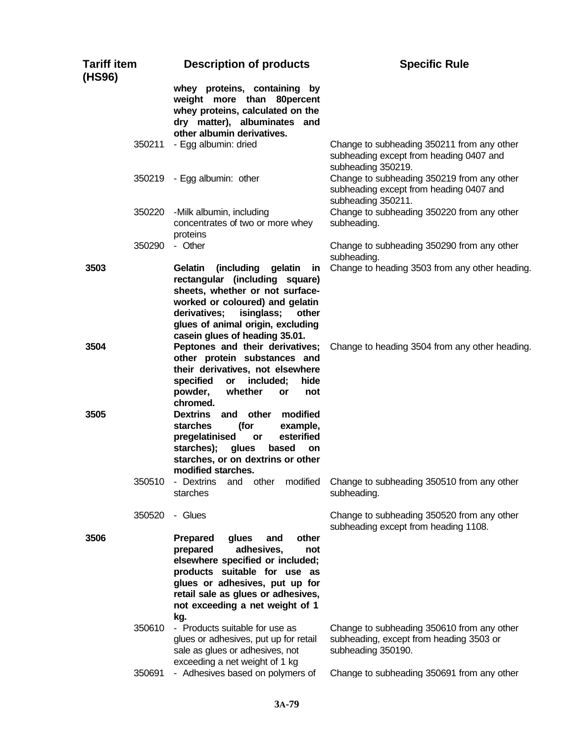| <b>Tariff item</b><br>(HS96) | <b>Description of products</b>                                                                                                                                                                                                                                  | <b>Specific Rule</b>                                                                                        |
|------------------------------|-----------------------------------------------------------------------------------------------------------------------------------------------------------------------------------------------------------------------------------------------------------------|-------------------------------------------------------------------------------------------------------------|
|                              | whey proteins, containing by<br>weight more than 80 percent<br>whey proteins, calculated on the<br>dry matter), albuminates and<br>other albumin derivatives.                                                                                                   |                                                                                                             |
| 350211                       | - Egg albumin: dried                                                                                                                                                                                                                                            | Change to subheading 350211 from any other<br>subheading except from heading 0407 and<br>subheading 350219. |
|                              | 350219 - Egg albumin: other                                                                                                                                                                                                                                     | Change to subheading 350219 from any other<br>subheading except from heading 0407 and<br>subheading 350211. |
| 350220                       | -Milk albumin, including<br>concentrates of two or more whey<br>proteins                                                                                                                                                                                        | Change to subheading 350220 from any other<br>subheading.                                                   |
| 350290                       | - Other                                                                                                                                                                                                                                                         | Change to subheading 350290 from any other<br>subheading.                                                   |
| 3503                         | (including<br>Gelatin<br>gelatin<br>in.<br>rectangular (including square)<br>sheets, whether or not surface-<br>worked or coloured) and gelatin<br>derivatives;<br>isinglass;<br>other<br>glues of animal origin, excluding<br>casein glues of heading 35.01.   | Change to heading 3503 from any other heading.                                                              |
| 3504                         | Peptones and their derivatives;<br>other protein substances and<br>their derivatives, not elsewhere<br>specified<br>included;<br>hide<br>or<br>powder,<br>whether<br>not<br>or<br>chromed.                                                                      | Change to heading 3504 from any other heading.                                                              |
| 3505                         | <b>Dextrins</b><br>and other<br>modified<br>starches<br>(for<br>example,<br>esterified<br>pregelatinised<br>or<br>starches);<br>glues<br>based<br>on<br>starches, or on dextrins or other<br>modified starches.                                                 |                                                                                                             |
| 350510                       | modified<br>- Dextrins<br>other<br>and<br>starches                                                                                                                                                                                                              | Change to subheading 350510 from any other<br>subheading.                                                   |
| 350520                       | - Glues                                                                                                                                                                                                                                                         | Change to subheading 350520 from any other<br>subheading except from heading 1108.                          |
| 3506                         | other<br><b>Prepared</b><br>glues<br>and<br>prepared<br>adhesives,<br>not<br>elsewhere specified or included;<br>products suitable for use as<br>glues or adhesives, put up for<br>retail sale as glues or adhesives,<br>not exceeding a net weight of 1<br>kg. |                                                                                                             |
| 350610                       | - Products suitable for use as<br>glues or adhesives, put up for retail<br>sale as glues or adhesives, not<br>exceeding a net weight of 1 kg                                                                                                                    | Change to subheading 350610 from any other<br>subheading, except from heading 3503 or<br>subheading 350190. |
| 350691                       | - Adhesives based on polymers of                                                                                                                                                                                                                                | Change to subheading 350691 from any other                                                                  |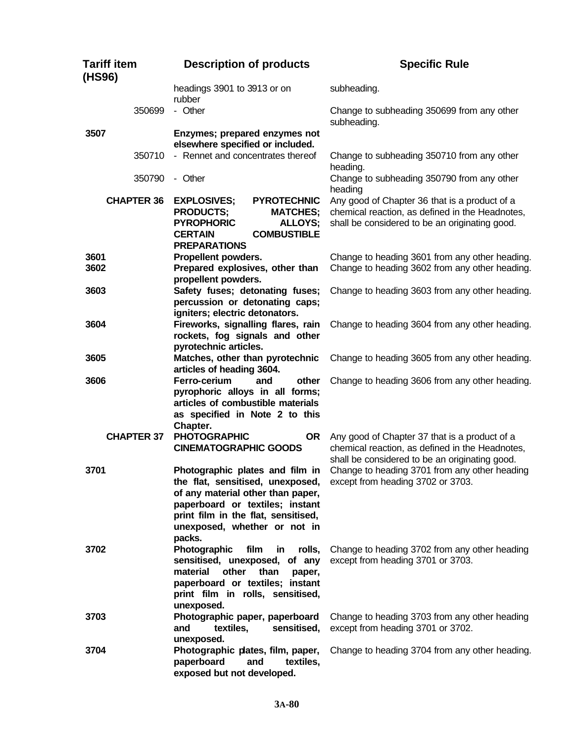| <b>Tariff item</b><br>(HS96) | <b>Description of products</b>                                                                                                                                                                                               | <b>Specific Rule</b>                                                                                                                               |
|------------------------------|------------------------------------------------------------------------------------------------------------------------------------------------------------------------------------------------------------------------------|----------------------------------------------------------------------------------------------------------------------------------------------------|
|                              | headings 3901 to 3913 or on<br>rubber                                                                                                                                                                                        | subheading.                                                                                                                                        |
| 350699                       | - Other                                                                                                                                                                                                                      | Change to subheading 350699 from any other<br>subheading.                                                                                          |
| 3507                         | Enzymes; prepared enzymes not<br>elsewhere specified or included.                                                                                                                                                            |                                                                                                                                                    |
| 350710                       | - Rennet and concentrates thereof                                                                                                                                                                                            | Change to subheading 350710 from any other<br>heading.                                                                                             |
| 350790                       | - Other                                                                                                                                                                                                                      | Change to subheading 350790 from any other<br>heading                                                                                              |
| <b>CHAPTER 36</b>            | <b>EXPLOSIVES;</b><br><b>PYROTECHNIC</b><br><b>PRODUCTS;</b><br><b>MATCHES;</b><br><b>PYROPHORIC</b><br><b>ALLOYS;</b><br><b>COMBUSTIBLE</b><br><b>CERTAIN</b><br><b>PREPARATIONS</b>                                        | Any good of Chapter 36 that is a product of a<br>chemical reaction, as defined in the Headnotes,<br>shall be considered to be an originating good. |
| 3601<br>3602                 | Propellent powders.<br>Prepared explosives, other than<br>propellent powders.                                                                                                                                                | Change to heading 3601 from any other heading.<br>Change to heading 3602 from any other heading.                                                   |
| 3603                         | Safety fuses; detonating fuses;<br>percussion or detonating caps;<br>igniters; electric detonators.                                                                                                                          | Change to heading 3603 from any other heading.                                                                                                     |
| 3604                         | Fireworks, signalling flares, rain<br>rockets, fog signals and other<br>pyrotechnic articles.                                                                                                                                | Change to heading 3604 from any other heading.                                                                                                     |
| 3605                         | Matches, other than pyrotechnic<br>articles of heading 3604.                                                                                                                                                                 | Change to heading 3605 from any other heading.                                                                                                     |
| 3606                         | Ferro-cerium<br>other<br>and<br>pyrophoric alloys in all forms;<br>articles of combustible materials<br>as specified in Note 2 to this<br>Chapter.                                                                           | Change to heading 3606 from any other heading.                                                                                                     |
| <b>CHAPTER 37</b>            | <b>PHOTOGRAPHIC</b><br><b>OR</b><br><b>CINEMATOGRAPHIC GOODS</b>                                                                                                                                                             | Any good of Chapter 37 that is a product of a<br>chemical reaction, as defined in the Headnotes,<br>shall be considered to be an originating good. |
| 3701                         | Photographic plates and film in<br>the flat, sensitised, unexposed,<br>of any material other than paper,<br>paperboard or textiles; instant<br>print film in the flat, sensitised,<br>unexposed, whether or not in<br>packs. | Change to heading 3701 from any other heading<br>except from heading 3702 or 3703.                                                                 |
| 3702                         | Photographic<br>film<br>in<br>rolls,<br>sensitised, unexposed, of any<br>material<br>other<br>than<br>paper,<br>paperboard or textiles; instant<br>print film in rolls, sensitised,<br>unexposed.                            | Change to heading 3702 from any other heading<br>except from heading 3701 or 3703.                                                                 |
| 3703                         | Photographic paper, paperboard<br>textiles,<br>sensitised,<br>and<br>unexposed.                                                                                                                                              | Change to heading 3703 from any other heading<br>except from heading 3701 or 3702.                                                                 |
| 3704                         | Photographic plates, film, paper,<br>paperboard<br>textiles,<br>and<br>exposed but not developed.                                                                                                                            | Change to heading 3704 from any other heading.                                                                                                     |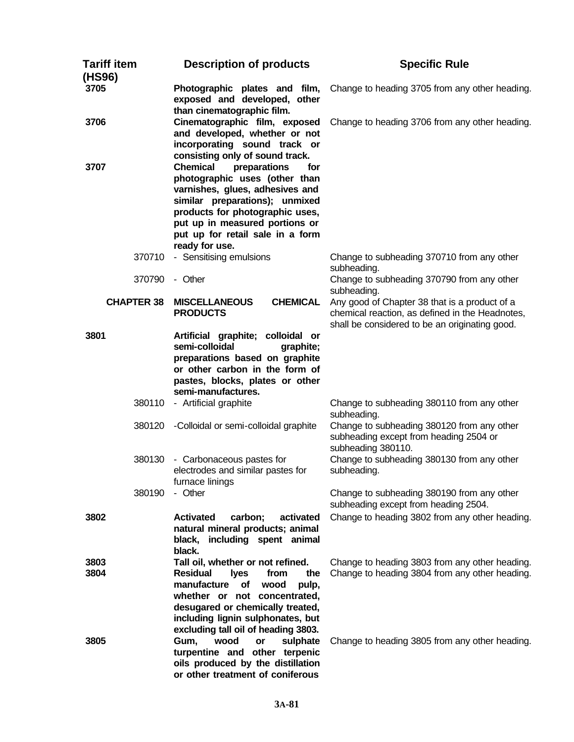| <b>Tariff item</b><br>(HS96) | <b>Description of products</b>                                                                                                                                                                                                                                           | <b>Specific Rule</b>                                                                                                                                              |
|------------------------------|--------------------------------------------------------------------------------------------------------------------------------------------------------------------------------------------------------------------------------------------------------------------------|-------------------------------------------------------------------------------------------------------------------------------------------------------------------|
| 3705                         | Photographic plates and film,<br>exposed and developed, other<br>than cinematographic film.                                                                                                                                                                              | Change to heading 3705 from any other heading.                                                                                                                    |
| 3706                         | Cinematographic film, exposed<br>and developed, whether or not<br>incorporating sound track or<br>consisting only of sound track.                                                                                                                                        | Change to heading 3706 from any other heading.                                                                                                                    |
| 3707                         | <b>Chemical</b><br>preparations<br>for<br>photographic uses (other than<br>varnishes, glues, adhesives and<br>similar preparations); unmixed<br>products for photographic uses,<br>put up in measured portions or<br>put up for retail sale in a form<br>ready for use.  |                                                                                                                                                                   |
| 370710<br>370790             | - Sensitising emulsions<br>- Other                                                                                                                                                                                                                                       | Change to subheading 370710 from any other<br>subheading.<br>Change to subheading 370790 from any other                                                           |
| <b>CHAPTER 38</b>            | <b>CHEMICAL</b><br><b>MISCELLANEOUS</b><br><b>PRODUCTS</b>                                                                                                                                                                                                               | subheading.<br>Any good of Chapter 38 that is a product of a<br>chemical reaction, as defined in the Headnotes,<br>shall be considered to be an originating good. |
| 3801                         | Artificial graphite; colloidal or<br>semi-colloidal<br>graphite;<br>preparations based on graphite<br>or other carbon in the form of<br>pastes, blocks, plates or other<br>semi-manufactures.                                                                            |                                                                                                                                                                   |
| 380110                       | - Artificial graphite                                                                                                                                                                                                                                                    | Change to subheading 380110 from any other<br>subheading.                                                                                                         |
| 380120                       | -Colloidal or semi-colloidal graphite                                                                                                                                                                                                                                    | Change to subheading 380120 from any other<br>subheading except from heading 2504 or<br>subheading 380110.                                                        |
| 380130                       | - Carbonaceous pastes for<br>electrodes and similar pastes for<br>furnace linings                                                                                                                                                                                        | Change to subheading 380130 from any other<br>subheading.                                                                                                         |
| 380190                       | - Other                                                                                                                                                                                                                                                                  | Change to subheading 380190 from any other<br>subheading except from heading 2504.                                                                                |
| 3802                         | <b>Activated</b><br>carbon;<br>activated<br>natural mineral products; animal<br>black, including spent animal<br>black.                                                                                                                                                  | Change to heading 3802 from any other heading.                                                                                                                    |
| 3803<br>3804                 | Tall oil, whether or not refined.<br><b>Residual</b><br>the<br><b>lyes</b><br>from<br>manufacture<br>of<br>pulp,<br>wood<br>whether or not concentrated,<br>desugared or chemically treated,<br>including lignin sulphonates, but<br>excluding tall oil of heading 3803. | Change to heading 3803 from any other heading.<br>Change to heading 3804 from any other heading.                                                                  |
| 3805                         | wood<br>sulphate<br>Gum,<br>or<br>turpentine and other terpenic<br>oils produced by the distillation<br>or other treatment of coniferous                                                                                                                                 | Change to heading 3805 from any other heading.                                                                                                                    |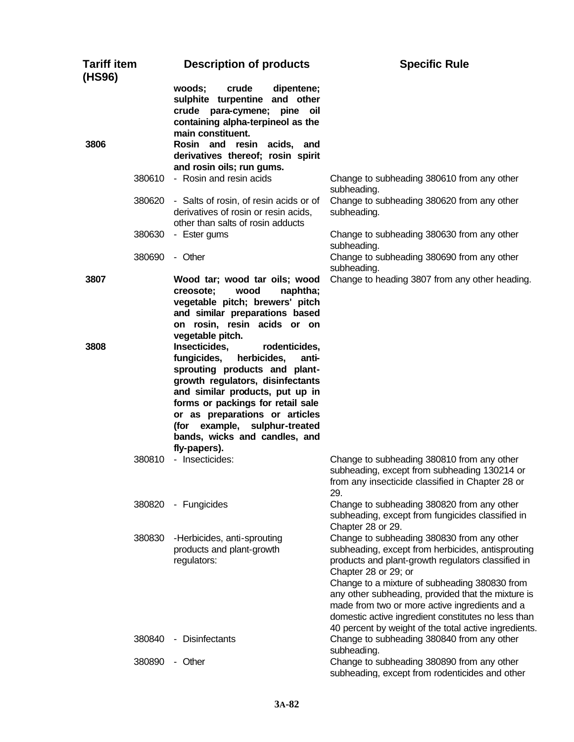| <b>Tariff item</b><br>(HS96) | <b>Description of products</b>                                                                                                                                                                                                                                                                                                         | <b>Specific Rule</b>                                                                                                                                                                                                                                                                                                                                                                                                                                   |
|------------------------------|----------------------------------------------------------------------------------------------------------------------------------------------------------------------------------------------------------------------------------------------------------------------------------------------------------------------------------------|--------------------------------------------------------------------------------------------------------------------------------------------------------------------------------------------------------------------------------------------------------------------------------------------------------------------------------------------------------------------------------------------------------------------------------------------------------|
|                              | woods;<br>crude<br>dipentene;<br>sulphite turpentine and other<br>crude para-cymene; pine<br>oil<br>containing alpha-terpineol as the<br>main constituent.                                                                                                                                                                             |                                                                                                                                                                                                                                                                                                                                                                                                                                                        |
| 3806                         | Rosin and resin acids, and<br>derivatives thereof; rosin spirit<br>and rosin oils; run gums.                                                                                                                                                                                                                                           |                                                                                                                                                                                                                                                                                                                                                                                                                                                        |
|                              | 380610 - Rosin and resin acids                                                                                                                                                                                                                                                                                                         | Change to subheading 380610 from any other<br>subheading.                                                                                                                                                                                                                                                                                                                                                                                              |
| 380620                       | - Salts of rosin, of resin acids or of<br>derivatives of rosin or resin acids,<br>other than salts of rosin adducts                                                                                                                                                                                                                    | Change to subheading 380620 from any other<br>subheading.                                                                                                                                                                                                                                                                                                                                                                                              |
| 380630                       | - Ester gums                                                                                                                                                                                                                                                                                                                           | Change to subheading 380630 from any other<br>subheading.                                                                                                                                                                                                                                                                                                                                                                                              |
| 380690                       | - Other                                                                                                                                                                                                                                                                                                                                | Change to subheading 380690 from any other<br>subheading.                                                                                                                                                                                                                                                                                                                                                                                              |
| 3807                         | Wood tar; wood tar oils; wood<br>creosote:<br>wood<br>naphtha;<br>vegetable pitch; brewers' pitch<br>and similar preparations based<br>on rosin, resin acids or on<br>vegetable pitch.                                                                                                                                                 | Change to heading 3807 from any other heading.                                                                                                                                                                                                                                                                                                                                                                                                         |
| 3808                         | Insecticides,<br>rodenticides,<br>fungicides,<br>herbicides,<br>anti-<br>sprouting products and plant-<br>growth regulators, disinfectants<br>and similar products, put up in<br>forms or packings for retail sale<br>or as preparations or articles<br>(for example, sulphur-treated<br>bands, wicks and candles, and<br>fly-papers). |                                                                                                                                                                                                                                                                                                                                                                                                                                                        |
| 380810                       | - Insecticides:                                                                                                                                                                                                                                                                                                                        | Change to subheading 380810 from any other<br>subheading, except from subheading 130214 or<br>from any insecticide classified in Chapter 28 or<br>29.                                                                                                                                                                                                                                                                                                  |
| 380820                       | - Fungicides                                                                                                                                                                                                                                                                                                                           | Change to subheading 380820 from any other<br>subheading, except from fungicides classified in<br>Chapter 28 or 29.                                                                                                                                                                                                                                                                                                                                    |
| 380830                       | -Herbicides, anti-sprouting<br>products and plant-growth<br>regulators:                                                                                                                                                                                                                                                                | Change to subheading 380830 from any other<br>subheading, except from herbicides, antisprouting<br>products and plant-growth regulators classified in<br>Chapter 28 or 29; or<br>Change to a mixture of subheading 380830 from<br>any other subheading, provided that the mixture is<br>made from two or more active ingredients and a<br>domestic active ingredient constitutes no less than<br>40 percent by weight of the total active ingredients. |
| 380840                       | - Disinfectants                                                                                                                                                                                                                                                                                                                        | Change to subheading 380840 from any other<br>subheading.                                                                                                                                                                                                                                                                                                                                                                                              |
| 380890                       | - Other                                                                                                                                                                                                                                                                                                                                | Change to subheading 380890 from any other<br>subheading, except from rodenticides and other                                                                                                                                                                                                                                                                                                                                                           |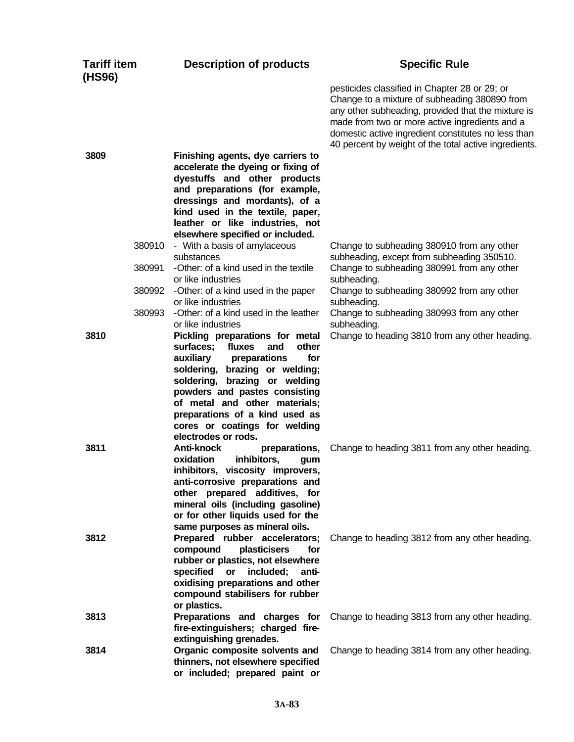| <b>Tariff item</b><br>(HS96) | <b>Description of products</b>                                                                                                                                                                                                                                                                      | <b>Specific Rule</b>                                                                                                                                                                                                                                                                                                   |
|------------------------------|-----------------------------------------------------------------------------------------------------------------------------------------------------------------------------------------------------------------------------------------------------------------------------------------------------|------------------------------------------------------------------------------------------------------------------------------------------------------------------------------------------------------------------------------------------------------------------------------------------------------------------------|
|                              |                                                                                                                                                                                                                                                                                                     | pesticides classified in Chapter 28 or 29; or<br>Change to a mixture of subheading 380890 from<br>any other subheading, provided that the mixture is<br>made from two or more active ingredients and a<br>domestic active ingredient constitutes no less than<br>40 percent by weight of the total active ingredients. |
| 3809                         | Finishing agents, dye carriers to<br>accelerate the dyeing or fixing of<br>dyestuffs and other products<br>and preparations (for example,<br>dressings and mordants), of a<br>kind used in the textile, paper,<br>leather or like industries, not<br>elsewhere specified or included.               |                                                                                                                                                                                                                                                                                                                        |
| 380910                       | - With a basis of amylaceous<br>substances                                                                                                                                                                                                                                                          | Change to subheading 380910 from any other<br>subheading, except from subheading 350510.                                                                                                                                                                                                                               |
| 380991                       | -Other: of a kind used in the textile<br>or like industries                                                                                                                                                                                                                                         | Change to subheading 380991 from any other<br>subheading.                                                                                                                                                                                                                                                              |
| 380992<br>380993             | -Other: of a kind used in the paper<br>or like industries                                                                                                                                                                                                                                           | Change to subheading 380992 from any other<br>subheading.                                                                                                                                                                                                                                                              |
| 3810                         | -Other: of a kind used in the leather<br>or like industries<br>Pickling preparations for metal                                                                                                                                                                                                      | Change to subheading 380993 from any other<br>subheading.<br>Change to heading 3810 from any other heading.                                                                                                                                                                                                            |
|                              | other<br>surfaces; fluxes<br>and<br>for<br>auxiliary<br>preparations<br>soldering, brazing or welding;<br>soldering, brazing or welding<br>powders and pastes consisting<br>of metal and other materials;<br>preparations of a kind used as<br>cores or coatings for welding<br>electrodes or rods. |                                                                                                                                                                                                                                                                                                                        |
| 3811                         | Anti-knock<br>preparations,<br>inhibitors,<br>oxidation<br>gum<br>inhibitors, viscosity improvers,<br>anti-corrosive preparations and<br>other prepared additives, for<br>mineral oils (including gasoline)<br>or for other liquids used for the<br>same purposes as mineral oils.                  | Change to heading 3811 from any other heading.                                                                                                                                                                                                                                                                         |
| 3812                         | Prepared rubber accelerators;<br>compound<br>plasticisers<br>for<br>rubber or plastics, not elsewhere<br>specified or<br>included;<br>anti-<br>oxidising preparations and other<br>compound stabilisers for rubber<br>or plastics.                                                                  | Change to heading 3812 from any other heading.                                                                                                                                                                                                                                                                         |
| 3813                         | Preparations and charges for<br>fire-extinguishers; charged fire-<br>extinguishing grenades.                                                                                                                                                                                                        | Change to heading 3813 from any other heading.                                                                                                                                                                                                                                                                         |
| 3814                         | Organic composite solvents and<br>thinners, not elsewhere specified<br>or included; prepared paint or                                                                                                                                                                                               | Change to heading 3814 from any other heading.                                                                                                                                                                                                                                                                         |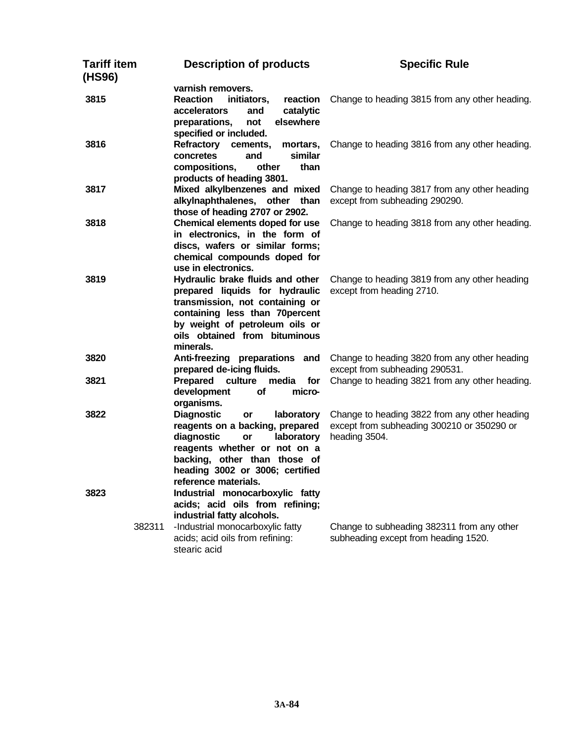| Tariff item<br>(HS96) |        | <b>Description of products</b>                                                        | <b>Specific Rule</b>                                                            |
|-----------------------|--------|---------------------------------------------------------------------------------------|---------------------------------------------------------------------------------|
|                       |        | varnish removers.                                                                     |                                                                                 |
| 3815                  |        | <b>Reaction</b><br>initiators,<br>reaction<br>catalytic<br><b>accelerators</b><br>and | Change to heading 3815 from any other heading.                                  |
|                       |        | preparations,<br>elsewhere<br>not<br>specified or included.                           |                                                                                 |
| 3816                  |        | Refractory cements,<br>mortars,<br>similar<br>concretes<br>and                        | Change to heading 3816 from any other heading.                                  |
|                       |        | compositions,<br>other<br>than<br>products of heading 3801.                           |                                                                                 |
| 3817                  |        | Mixed alkylbenzenes and mixed<br>alkylnaphthalenes, other than                        | Change to heading 3817 from any other heading<br>except from subheading 290290. |
|                       |        | those of heading 2707 or 2902.                                                        |                                                                                 |
| 3818                  |        | Chemical elements doped for use<br>in electronics, in the form of                     | Change to heading 3818 from any other heading.                                  |
|                       |        | discs, wafers or similar forms;<br>chemical compounds doped for                       |                                                                                 |
|                       |        | use in electronics.                                                                   |                                                                                 |
| 3819                  |        | Hydraulic brake fluids and other                                                      | Change to heading 3819 from any other heading                                   |
|                       |        | prepared liquids for hydraulic                                                        | except from heading 2710.                                                       |
|                       |        | transmission, not containing or                                                       |                                                                                 |
|                       |        | containing less than 70percent                                                        |                                                                                 |
|                       |        | by weight of petroleum oils or                                                        |                                                                                 |
|                       |        | oils obtained from bituminous                                                         |                                                                                 |
|                       |        | minerals.                                                                             |                                                                                 |
| 3820                  |        | Anti-freezing preparations and                                                        | Change to heading 3820 from any other heading                                   |
|                       |        | prepared de-icing fluids.                                                             | except from subheading 290531.                                                  |
| 3821                  |        | Prepared culture<br>media<br>for                                                      | Change to heading 3821 from any other heading.                                  |
|                       |        | development<br>of<br>micro-                                                           |                                                                                 |
|                       |        | organisms.                                                                            |                                                                                 |
| 3822                  |        | <b>Diagnostic</b><br>laboratory<br>or                                                 | Change to heading 3822 from any other heading                                   |
|                       |        | reagents on a backing, prepared                                                       | except from subheading 300210 or 350290 or                                      |
|                       |        | diagnostic<br>laboratory<br>or                                                        | heading 3504.                                                                   |
|                       |        | reagents whether or not on a                                                          |                                                                                 |
|                       |        | backing, other than those of                                                          |                                                                                 |
|                       |        | heading 3002 or 3006; certified                                                       |                                                                                 |
|                       |        | reference materials.                                                                  |                                                                                 |
| 3823                  |        | Industrial monocarboxylic fatty                                                       |                                                                                 |
|                       |        | acids; acid oils from refining;                                                       |                                                                                 |
|                       |        | industrial fatty alcohols.                                                            |                                                                                 |
|                       | 382311 | -Industrial monocarboxylic fatty                                                      | Change to subheading 382311 from any other                                      |
|                       |        | acids; acid oils from refining:<br>stearic acid                                       | subheading except from heading 1520.                                            |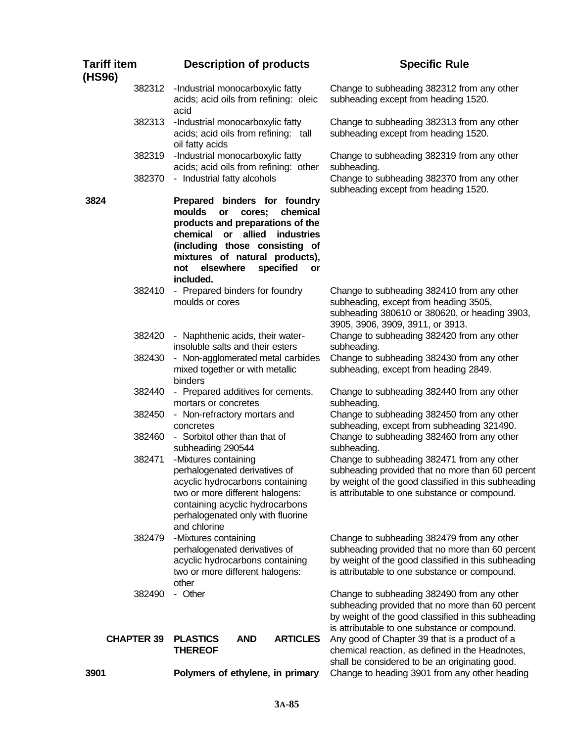| <b>Tariff item</b><br>(HS96) |                   |                                                                                                          | <b>Description of products</b>                                                                                                                                                                  |    | <b>Specific Rule</b>                                                                                                                                                                                   |
|------------------------------|-------------------|----------------------------------------------------------------------------------------------------------|-------------------------------------------------------------------------------------------------------------------------------------------------------------------------------------------------|----|--------------------------------------------------------------------------------------------------------------------------------------------------------------------------------------------------------|
|                              | 382312            | -Industrial monocarboxylic fatty<br>acid                                                                 | acids; acid oils from refining: oleic                                                                                                                                                           |    | Change to subheading 382312 from any other<br>subheading except from heading 1520.                                                                                                                     |
|                              | 382313            | -Industrial monocarboxylic fatty<br>oil fatty acids                                                      | acids; acid oils from refining: tall                                                                                                                                                            |    | Change to subheading 382313 from any other<br>subheading except from heading 1520.                                                                                                                     |
|                              | 382319            | -Industrial monocarboxylic fatty                                                                         | acids; acid oils from refining: other                                                                                                                                                           |    | Change to subheading 382319 from any other<br>subheading.                                                                                                                                              |
|                              | 382370            | - Industrial fatty alcohols                                                                              |                                                                                                                                                                                                 |    | Change to subheading 382370 from any other<br>subheading except from heading 1520.                                                                                                                     |
| 3824                         |                   | <i>moulds</i><br><b>or</b><br>chemical or<br>elsewhere<br>not<br>included.                               | Prepared binders for foundry<br>chemical<br>cores;<br>products and preparations of the<br>allied<br>industries<br>(including those consisting of<br>mixtures of natural products),<br>specified | or |                                                                                                                                                                                                        |
|                              | 382410            | moulds or cores                                                                                          | - Prepared binders for foundry                                                                                                                                                                  |    | Change to subheading 382410 from any other<br>subheading, except from heading 3505,<br>subheading 380610 or 380620, or heading 3903,<br>3905, 3906, 3909, 3911, or 3913.                               |
|                              | 382420            | - Naphthenic acids, their water-<br>insoluble salts and their esters                                     |                                                                                                                                                                                                 |    | Change to subheading 382420 from any other<br>subheading.                                                                                                                                              |
|                              | 382430            | mixed together or with metallic<br>binders                                                               | - Non-agglomerated metal carbides                                                                                                                                                               |    | Change to subheading 382430 from any other<br>subheading, except from heading 2849.                                                                                                                    |
|                              | 382440            | mortars or concretes                                                                                     | - Prepared additives for cements,                                                                                                                                                               |    | Change to subheading 382440 from any other<br>subheading.                                                                                                                                              |
|                              | 382450            | - Non-refractory mortars and<br>concretes                                                                |                                                                                                                                                                                                 |    | Change to subheading 382450 from any other<br>subheading, except from subheading 321490.                                                                                                               |
|                              | 382460            | - Sorbitol other than that of<br>subheading 290544                                                       |                                                                                                                                                                                                 |    | Change to subheading 382460 from any other<br>subheading.                                                                                                                                              |
|                              | 382471            | -Mixtures containing<br>perhalogenated derivatives of<br>two or more different halogens:<br>and chlorine | acyclic hydrocarbons containing<br>containing acyclic hydrocarbons<br>perhalogenated only with fluorine                                                                                         |    | Change to subheading 382471 from any other<br>subheading provided that no more than 60 percent<br>by weight of the good classified in this subheading<br>is attributable to one substance or compound. |
|                              | 382479            | -Mixtures containing<br>perhalogenated derivatives of<br>two or more different halogens:<br>other        | acyclic hydrocarbons containing                                                                                                                                                                 |    | Change to subheading 382479 from any other<br>subheading provided that no more than 60 percent<br>by weight of the good classified in this subheading<br>is attributable to one substance or compound. |
|                              | 382490            | - Other                                                                                                  |                                                                                                                                                                                                 |    | Change to subheading 382490 from any other<br>subheading provided that no more than 60 percent<br>by weight of the good classified in this subheading<br>is attributable to one substance or compound. |
|                              | <b>CHAPTER 39</b> | <b>PLASTICS</b><br><b>THEREOF</b>                                                                        | <b>ARTICLES</b><br><b>AND</b>                                                                                                                                                                   |    | Any good of Chapter 39 that is a product of a<br>chemical reaction, as defined in the Headnotes,                                                                                                       |
| 3901                         |                   |                                                                                                          | Polymers of ethylene, in primary                                                                                                                                                                |    | shall be considered to be an originating good.<br>Change to heading 3901 from any other heading                                                                                                        |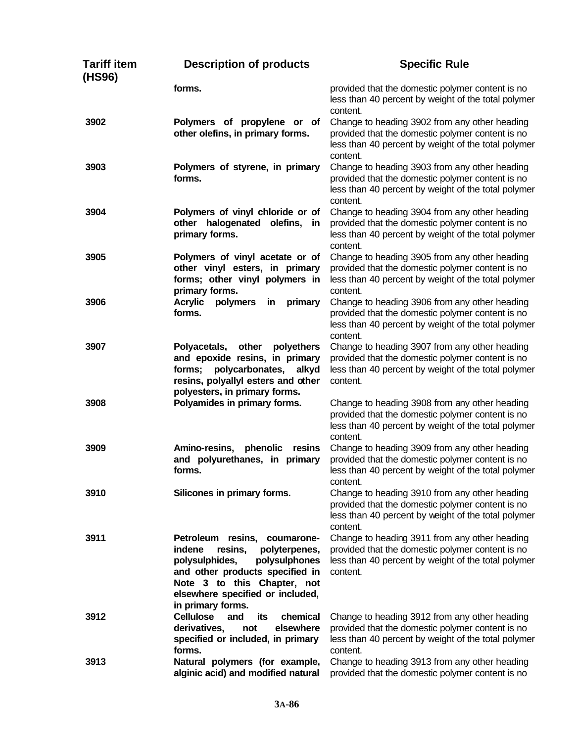| Tariff item<br>(HS96) | <b>Description of products</b>                                                                                                                                                                                                   | <b>Specific Rule</b>                                                                                                                                                 |
|-----------------------|----------------------------------------------------------------------------------------------------------------------------------------------------------------------------------------------------------------------------------|----------------------------------------------------------------------------------------------------------------------------------------------------------------------|
|                       | forms.                                                                                                                                                                                                                           | provided that the domestic polymer content is no<br>less than 40 percent by weight of the total polymer<br>content.                                                  |
| 3902                  | Polymers of propylene or of<br>other olefins, in primary forms.                                                                                                                                                                  | Change to heading 3902 from any other heading<br>provided that the domestic polymer content is no<br>less than 40 percent by weight of the total polymer<br>content. |
| 3903                  | Polymers of styrene, in primary<br>forms.                                                                                                                                                                                        | Change to heading 3903 from any other heading<br>provided that the domestic polymer content is no<br>less than 40 percent by weight of the total polymer<br>content. |
| 3904                  | Polymers of vinyl chloride or of<br>other halogenated olefins, in<br>primary forms.                                                                                                                                              | Change to heading 3904 from any other heading<br>provided that the domestic polymer content is no<br>less than 40 percent by weight of the total polymer<br>content. |
| 3905                  | Polymers of vinyl acetate or of<br>other vinyl esters, in primary<br>forms; other vinyl polymers in<br>primary forms.                                                                                                            | Change to heading 3905 from any other heading<br>provided that the domestic polymer content is no<br>less than 40 percent by weight of the total polymer<br>content. |
| 3906                  | <b>Acrylic</b><br>primary<br>polymers<br>in<br>forms.                                                                                                                                                                            | Change to heading 3906 from any other heading<br>provided that the domestic polymer content is no<br>less than 40 percent by weight of the total polymer<br>content. |
| 3907                  | Polyacetals, other<br>polyethers<br>and epoxide resins, in primary<br>polycarbonates, alkyd<br>forms;<br>resins, polyallyl esters and other<br>polyesters, in primary forms.                                                     | Change to heading 3907 from any other heading<br>provided that the domestic polymer content is no<br>less than 40 percent by weight of the total polymer<br>content. |
| 3908                  | Polyamides in primary forms.                                                                                                                                                                                                     | Change to heading 3908 from any other heading<br>provided that the domestic polymer content is no<br>less than 40 percent by weight of the total polymer<br>content. |
| 3909                  | Amino-resins,<br>phenolic<br>resins<br>and polyurethanes, in primary<br>forms.                                                                                                                                                   | Change to heading 3909 from any other heading<br>provided that the domestic polymer content is no<br>less than 40 percent by weight of the total polymer<br>content. |
| 3910                  | Silicones in primary forms.                                                                                                                                                                                                      | Change to heading 3910 from any other heading<br>provided that the domestic polymer content is no<br>less than 40 percent by weight of the total polymer<br>content. |
| 3911                  | Petroleum resins, coumarone-<br>indene<br>resins,<br>polyterpenes,<br>polysulphides,<br>polysulphones<br>and other products specified in<br>Note 3 to this Chapter, not<br>elsewhere specified or included,<br>in primary forms. | Change to heading 3911 from any other heading<br>provided that the domestic polymer content is no<br>less than 40 percent by weight of the total polymer<br>content. |
| 3912                  | <b>Cellulose</b><br>its<br>chemical<br>and<br>derivatives,<br>elsewhere<br>not<br>specified or included, in primary<br>forms.                                                                                                    | Change to heading 3912 from any other heading<br>provided that the domestic polymer content is no<br>less than 40 percent by weight of the total polymer<br>content. |
| 3913                  | Natural polymers (for example,<br>alginic acid) and modified natural                                                                                                                                                             | Change to heading 3913 from any other heading<br>provided that the domestic polymer content is no                                                                    |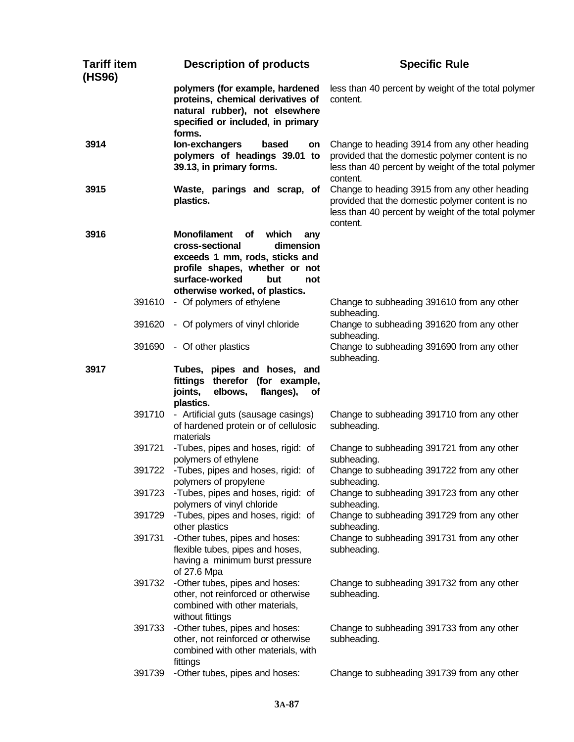| <b>Tariff item</b><br>(HS96) | <b>Description of products</b>                                                                                                                                                                                  | <b>Specific Rule</b>                                                                                                                                                 |
|------------------------------|-----------------------------------------------------------------------------------------------------------------------------------------------------------------------------------------------------------------|----------------------------------------------------------------------------------------------------------------------------------------------------------------------|
|                              | polymers (for example, hardened<br>proteins, chemical derivatives of<br>natural rubber), not elsewhere<br>specified or included, in primary<br>forms.                                                           | less than 40 percent by weight of the total polymer<br>content.                                                                                                      |
| 3914                         | lon-exchangers<br>based<br>on<br>polymers of headings 39.01 to<br>39.13, in primary forms.                                                                                                                      | Change to heading 3914 from any other heading<br>provided that the domestic polymer content is no<br>less than 40 percent by weight of the total polymer<br>content. |
| 3915                         | Waste, parings and scrap, of<br>plastics.                                                                                                                                                                       | Change to heading 3915 from any other heading<br>provided that the domestic polymer content is no<br>less than 40 percent by weight of the total polymer<br>content. |
| 3916                         | <b>Monofilament</b><br>οf<br>which<br>any<br>cross-sectional<br>dimension<br>exceeds 1 mm, rods, sticks and<br>profile shapes, whether or not<br>surface-worked<br>but<br>not<br>otherwise worked, of plastics. |                                                                                                                                                                      |
| 391610                       | - Of polymers of ethylene                                                                                                                                                                                       | Change to subheading 391610 from any other<br>subheading.                                                                                                            |
| 391620                       | - Of polymers of vinyl chloride                                                                                                                                                                                 | Change to subheading 391620 from any other<br>subheading.                                                                                                            |
| 391690                       | - Of other plastics                                                                                                                                                                                             | Change to subheading 391690 from any other<br>subheading.                                                                                                            |
| 3917                         | Tubes, pipes and hoses, and<br>fittings therefor (for example,<br>joints,<br>elbows,<br>flanges),<br><b>of</b><br>plastics.                                                                                     |                                                                                                                                                                      |
| 391710                       | - Artificial guts (sausage casings)<br>of hardened protein or of cellulosic<br>materials                                                                                                                        | Change to subheading 391710 from any other<br>subheading.                                                                                                            |
| 391721                       | -Tubes, pipes and hoses, rigid: of<br>polymers of ethylene                                                                                                                                                      | Change to subheading 391721 from any other<br>subheading.                                                                                                            |
| 391722                       | -Tubes, pipes and hoses, rigid: of<br>polymers of propylene                                                                                                                                                     | Change to subheading 391722 from any other<br>subheading.                                                                                                            |
| 391723                       | -Tubes, pipes and hoses, rigid: of<br>polymers of vinyl chloride                                                                                                                                                | Change to subheading 391723 from any other<br>subheading.                                                                                                            |
| 391729                       | -Tubes, pipes and hoses, rigid: of<br>other plastics                                                                                                                                                            | Change to subheading 391729 from any other<br>subheading.                                                                                                            |
| 391731                       | -Other tubes, pipes and hoses:<br>flexible tubes, pipes and hoses,<br>having a minimum burst pressure<br>of 27.6 Mpa                                                                                            | Change to subheading 391731 from any other<br>subheading.                                                                                                            |
| 391732                       | -Other tubes, pipes and hoses:<br>other, not reinforced or otherwise<br>combined with other materials,<br>without fittings                                                                                      | Change to subheading 391732 from any other<br>subheading.                                                                                                            |
| 391733                       | -Other tubes, pipes and hoses:<br>other, not reinforced or otherwise<br>combined with other materials, with<br>fittings                                                                                         | Change to subheading 391733 from any other<br>subheading.                                                                                                            |
| 391739                       | -Other tubes, pipes and hoses:                                                                                                                                                                                  | Change to subheading 391739 from any other                                                                                                                           |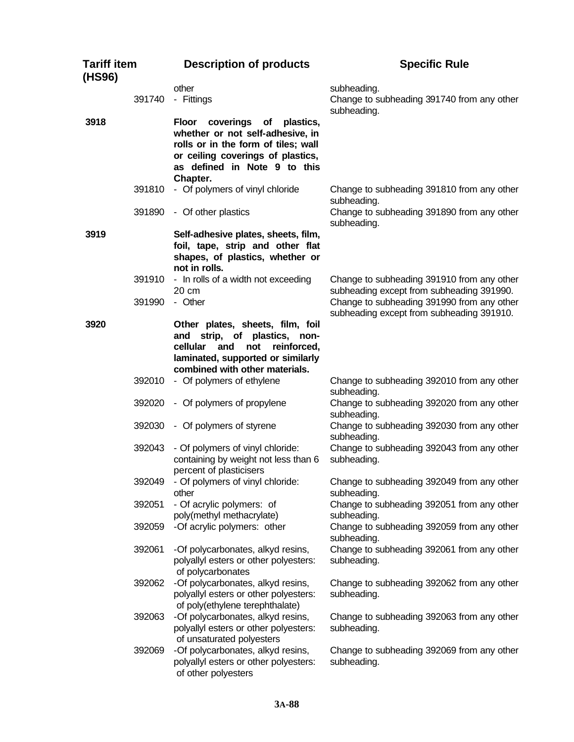| <b>Tariff item</b><br>(HS96) |        | <b>Description of products</b>                                                                                                                                                              | <b>Specific Rule</b>                                                                    |
|------------------------------|--------|---------------------------------------------------------------------------------------------------------------------------------------------------------------------------------------------|-----------------------------------------------------------------------------------------|
|                              | 391740 | other<br>- Fittings                                                                                                                                                                         | subheading.<br>Change to subheading 391740 from any other<br>subheading.                |
| 3918                         |        | Floor coverings<br>of plastics,<br>whether or not self-adhesive, in<br>rolls or in the form of tiles; wall<br>or ceiling coverings of plastics,<br>as defined in Note 9 to this<br>Chapter. |                                                                                         |
|                              | 391810 | - Of polymers of vinyl chloride                                                                                                                                                             | Change to subheading 391810 from any other<br>subheading.                               |
|                              | 391890 | - Of other plastics                                                                                                                                                                         | Change to subheading 391890 from any other<br>subheading.                               |
| 3919                         |        | Self-adhesive plates, sheets, film,<br>foil, tape, strip and other flat<br>shapes, of plastics, whether or<br>not in rolls.                                                                 |                                                                                         |
|                              | 391910 | - In rolls of a width not exceeding<br>$20 \text{ cm}$                                                                                                                                      | Change to subheading 391910 from any other<br>subheading except from subheading 391990. |
|                              | 391990 | - Other                                                                                                                                                                                     | Change to subheading 391990 from any other<br>subheading except from subheading 391910. |
| 3920                         |        | Other plates, sheets, film, foil<br>and strip, of<br>plastics, non-<br>cellular<br>and<br>not<br>reinforced,<br>laminated, supported or similarly<br>combined with other materials.         |                                                                                         |
|                              | 392010 | - Of polymers of ethylene                                                                                                                                                                   | Change to subheading 392010 from any other<br>subheading.                               |
|                              | 392020 | - Of polymers of propylene                                                                                                                                                                  | Change to subheading 392020 from any other<br>subheading.                               |
|                              | 392030 | - Of polymers of styrene                                                                                                                                                                    | Change to subheading 392030 from any other<br>subheading.                               |
|                              | 392043 | - Of polymers of vinyl chloride:<br>containing by weight not less than 6<br>percent of plasticisers                                                                                         | Change to subheading 392043 from any other<br>subheading.                               |
|                              | 392049 | - Of polymers of vinyl chloride:<br>other                                                                                                                                                   | Change to subheading 392049 from any other<br>subheading.                               |
|                              | 392051 | - Of acrylic polymers: of<br>poly(methyl methacrylate)                                                                                                                                      | Change to subheading 392051 from any other<br>subheading.                               |
|                              | 392059 | -Of acrylic polymers: other                                                                                                                                                                 | Change to subheading 392059 from any other<br>subheading.                               |
|                              | 392061 | -Of polycarbonates, alkyd resins,<br>polyallyl esters or other polyesters:<br>of polycarbonates                                                                                             | Change to subheading 392061 from any other<br>subheading.                               |
|                              | 392062 | -Of polycarbonates, alkyd resins,<br>polyallyl esters or other polyesters:<br>of poly(ethylene terephthalate)                                                                               | Change to subheading 392062 from any other<br>subheading.                               |
|                              | 392063 | -Of polycarbonates, alkyd resins,<br>polyallyl esters or other polyesters:<br>of unsaturated polyesters                                                                                     | Change to subheading 392063 from any other<br>subheading.                               |
|                              | 392069 | -Of polycarbonates, alkyd resins,<br>polyallyl esters or other polyesters:<br>of other polyesters                                                                                           | Change to subheading 392069 from any other<br>subheading.                               |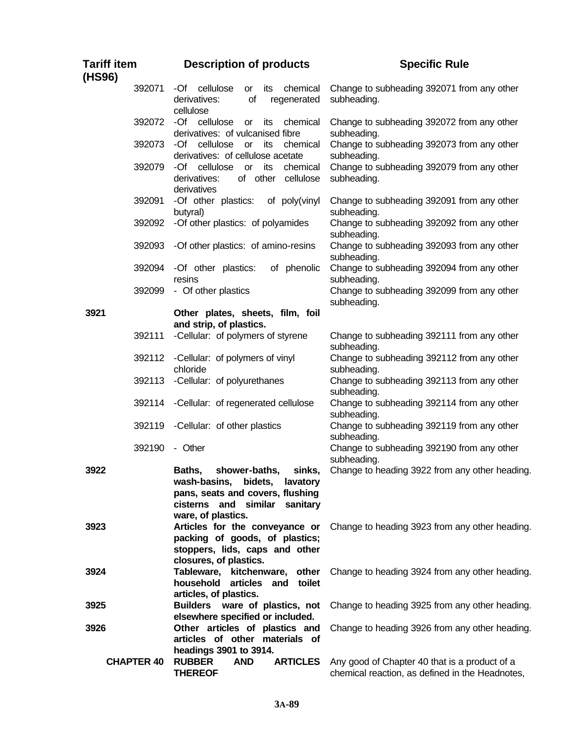| <b>Tariff item</b><br>(HS96) |        | <b>Description of products</b>                                                                                                                                   | <b>Specific Rule</b>                                                                             |
|------------------------------|--------|------------------------------------------------------------------------------------------------------------------------------------------------------------------|--------------------------------------------------------------------------------------------------|
|                              | 392071 | -Of cellulose<br>chemical<br>or<br>its<br>of<br>derivatives:<br>regenerated<br>cellulose                                                                         | Change to subheading 392071 from any other<br>subheading.                                        |
|                              | 392072 | -Of cellulose<br>chemical<br>or<br>its<br>derivatives: of vulcanised fibre                                                                                       | Change to subheading 392072 from any other<br>subheading.                                        |
|                              | 392073 | -Of<br>cellulose<br>its<br>chemical<br>or<br>derivatives: of cellulose acetate                                                                                   | Change to subheading 392073 from any other<br>subheading.                                        |
|                              | 392079 | cellulose<br>-Of<br>its<br>chemical<br><b>or</b><br>of other<br>derivatives:<br>cellulose<br>derivatives                                                         | Change to subheading 392079 from any other<br>subheading.                                        |
|                              | 392091 | -Of other plastics:<br>of poly(vinyl<br>butyral)                                                                                                                 | Change to subheading 392091 from any other<br>subheading.                                        |
|                              | 392092 | -Of other plastics: of polyamides                                                                                                                                | Change to subheading 392092 from any other<br>subheading.                                        |
|                              | 392093 | -Of other plastics: of amino-resins                                                                                                                              | Change to subheading 392093 from any other<br>subheading.                                        |
|                              | 392094 | -Of other plastics:<br>of phenolic<br>resins                                                                                                                     | Change to subheading 392094 from any other<br>subheading.                                        |
|                              | 392099 | - Of other plastics                                                                                                                                              | Change to subheading 392099 from any other<br>subheading.                                        |
| 3921                         |        | Other plates, sheets, film, foil<br>and strip, of plastics.                                                                                                      |                                                                                                  |
|                              | 392111 | -Cellular: of polymers of styrene                                                                                                                                | Change to subheading 392111 from any other<br>subheading.                                        |
|                              | 392112 | -Cellular: of polymers of vinyl<br>chloride                                                                                                                      | Change to subheading 392112 from any other<br>subheading.                                        |
|                              | 392113 | -Cellular: of polyurethanes                                                                                                                                      | Change to subheading 392113 from any other<br>subheading.                                        |
|                              | 392114 | -Cellular: of regenerated cellulose                                                                                                                              | Change to subheading 392114 from any other<br>subheading.                                        |
|                              | 392119 | -Cellular: of other plastics                                                                                                                                     | Change to subheading 392119 from any other<br>subheading.                                        |
|                              | 392190 | - Other                                                                                                                                                          | Change to subheading 392190 from any other<br>subheading.                                        |
| 3922                         |        | Baths,<br>shower-baths,<br>sinks,<br>wash-basins, bidets, lavatory<br>pans, seats and covers, flushing<br>cisterns and similar<br>sanitary<br>ware, of plastics. | Change to heading 3922 from any other heading.                                                   |
| 3923                         |        | Articles for the conveyance or<br>packing of goods, of plastics;<br>stoppers, lids, caps and other<br>closures, of plastics.                                     | Change to heading 3923 from any other heading.                                                   |
| 3924                         |        | Tableware, kitchenware,<br>other<br>household<br>articles and<br>toilet<br>articles, of plastics.                                                                | Change to heading 3924 from any other heading.                                                   |
| 3925                         |        | Builders ware of plastics, not<br>elsewhere specified or included.                                                                                               | Change to heading 3925 from any other heading.                                                   |
| 3926                         |        | Other articles of plastics and<br>articles of other materials of<br>headings 3901 to 3914.                                                                       | Change to heading 3926 from any other heading.                                                   |
| <b>CHAPTER 40</b>            |        | <b>RUBBER</b><br><b>AND</b><br><b>ARTICLES</b><br><b>THEREOF</b>                                                                                                 | Any good of Chapter 40 that is a product of a<br>chemical reaction, as defined in the Headnotes, |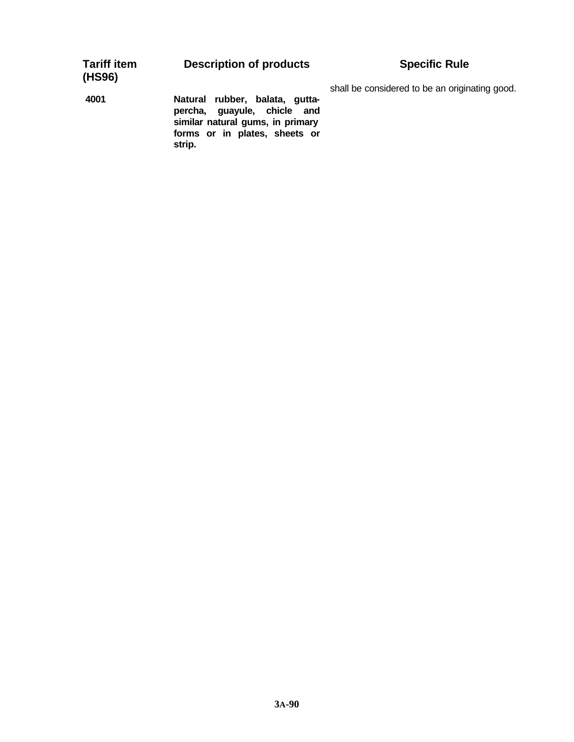| <b>Tariff item</b><br>(HS96) | <b>Description of products</b>                                                                                                               | <b>Specific Rule</b>                           |
|------------------------------|----------------------------------------------------------------------------------------------------------------------------------------------|------------------------------------------------|
| 4001                         | Natural rubber, balata, gutta-<br>percha, guayule, chicle and<br>similar natural gums, in primary<br>forms or in plates, sheets or<br>strip. | shall be considered to be an originating good. |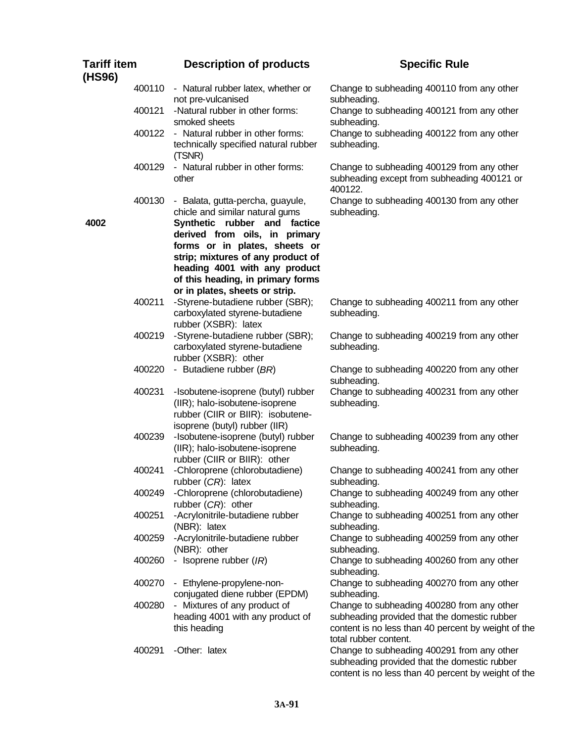| <b>Tariff item</b><br>(HS96) |        | <b>Description of products</b>                                                                                                                                        | <b>Specific Rule</b>                                                                                                                                                       |
|------------------------------|--------|-----------------------------------------------------------------------------------------------------------------------------------------------------------------------|----------------------------------------------------------------------------------------------------------------------------------------------------------------------------|
|                              | 400110 | - Natural rubber latex, whether or<br>not pre-vulcanised                                                                                                              | Change to subheading 400110 from any other<br>subheading.                                                                                                                  |
|                              | 400121 | -Natural rubber in other forms:<br>smoked sheets                                                                                                                      | Change to subheading 400121 from any other<br>subheading.                                                                                                                  |
|                              | 400122 | - Natural rubber in other forms:<br>technically specified natural rubber<br>(TSNR)                                                                                    | Change to subheading 400122 from any other<br>subheading.                                                                                                                  |
|                              | 400129 | - Natural rubber in other forms:<br>other                                                                                                                             | Change to subheading 400129 from any other<br>subheading except from subheading 400121 or<br>400122.                                                                       |
| 4002                         | 400130 | - Balata, gutta-percha, guayule,<br>chicle and similar natural gums<br>Synthetic rubber and factice<br>derived from oils, in primary<br>forms or in plates, sheets or | Change to subheading 400130 from any other<br>subheading.                                                                                                                  |
|                              |        | strip; mixtures of any product of<br>heading 4001 with any product<br>of this heading, in primary forms<br>or in plates, sheets or strip.                             |                                                                                                                                                                            |
|                              | 400211 | -Styrene-butadiene rubber (SBR);<br>carboxylated styrene-butadiene<br>rubber (XSBR): latex                                                                            | Change to subheading 400211 from any other<br>subheading.                                                                                                                  |
|                              | 400219 | -Styrene-butadiene rubber (SBR);<br>carboxylated styrene-butadiene<br>rubber (XSBR): other                                                                            | Change to subheading 400219 from any other<br>subheading.                                                                                                                  |
|                              | 400220 | - Butadiene rubber (BR)                                                                                                                                               | Change to subheading 400220 from any other<br>subheading.                                                                                                                  |
|                              | 400231 | -Isobutene-isoprene (butyl) rubber<br>(IIR); halo-isobutene-isoprene<br>rubber (CIIR or BIIR): isobutene-<br>isoprene (butyl) rubber (IIR)                            | Change to subheading 400231 from any other<br>subheading.                                                                                                                  |
|                              | 400239 | -Isobutene-isoprene (butyl) rubber<br>(IIR); halo-isobutene-isoprene<br>rubber (CIIR or BIIR): other                                                                  | Change to subheading 400239 from any other<br>subheading.                                                                                                                  |
|                              | 400241 | -Chloroprene (chlorobutadiene)<br>rubber $(CR)$ : latex                                                                                                               | Change to subheading 400241 from any other<br>subheading.                                                                                                                  |
|                              | 400249 | -Chloroprene (chlorobutadiene)<br>rubber $(CR)$ : other                                                                                                               | Change to subheading 400249 from any other<br>subheading.                                                                                                                  |
|                              | 400251 | -Acrylonitrile-butadiene rubber<br>(NBR): latex                                                                                                                       | Change to subheading 400251 from any other<br>subheading.                                                                                                                  |
|                              | 400259 | -Acrylonitrile-butadiene rubber<br>(NBR): other                                                                                                                       | Change to subheading 400259 from any other<br>subheading.                                                                                                                  |
|                              | 400260 | - Isoprene rubber $(IR)$                                                                                                                                              | Change to subheading 400260 from any other<br>subheading.                                                                                                                  |
|                              | 400270 | - Ethylene-propylene-non-<br>conjugated diene rubber (EPDM)                                                                                                           | Change to subheading 400270 from any other<br>subheading.                                                                                                                  |
|                              | 400280 | - Mixtures of any product of<br>heading 4001 with any product of<br>this heading                                                                                      | Change to subheading 400280 from any other<br>subheading provided that the domestic rubber<br>content is no less than 40 percent by weight of the<br>total rubber content. |
|                              | 400291 | -Other: latex                                                                                                                                                         | Change to subheading 400291 from any other<br>subheading provided that the domestic rubber<br>content is no less than 40 percent by weight of the                          |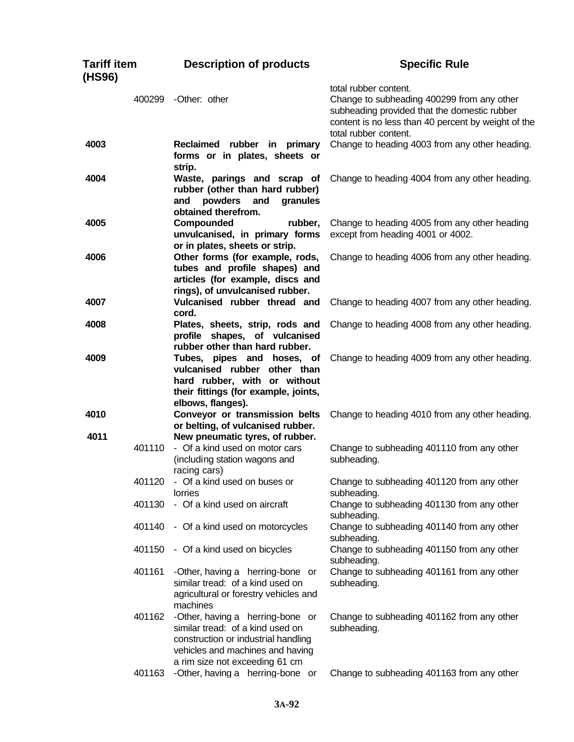| <b>Tariff item</b><br>(HS96) |        | <b>Description of products</b>                                                                                                                                                    | <b>Specific Rule</b>                                                                                                                                                                                |
|------------------------------|--------|-----------------------------------------------------------------------------------------------------------------------------------------------------------------------------------|-----------------------------------------------------------------------------------------------------------------------------------------------------------------------------------------------------|
|                              | 400299 | -Other: other                                                                                                                                                                     | total rubber content.<br>Change to subheading 400299 from any other<br>subheading provided that the domestic rubber<br>content is no less than 40 percent by weight of the<br>total rubber content. |
| 4003                         |        | Reclaimed rubber in primary<br>forms or in plates, sheets or<br>strip.                                                                                                            | Change to heading 4003 from any other heading.                                                                                                                                                      |
| 4004                         |        | Waste, parings and scrap of<br>rubber (other than hard rubber)<br>powders<br>and<br>granules<br>and<br>obtained therefrom.                                                        | Change to heading 4004 from any other heading.                                                                                                                                                      |
| 4005                         |        | Compounded<br>rubber,<br>unvulcanised, in primary forms<br>or in plates, sheets or strip.                                                                                         | Change to heading 4005 from any other heading<br>except from heading 4001 or 4002.                                                                                                                  |
| 4006                         |        | Other forms (for example, rods,<br>tubes and profile shapes) and<br>articles (for example, discs and<br>rings), of unvulcanised rubber.                                           | Change to heading 4006 from any other heading.                                                                                                                                                      |
| 4007                         |        | Vulcanised rubber thread and<br>cord.                                                                                                                                             | Change to heading 4007 from any other heading.                                                                                                                                                      |
| 4008                         |        | Plates, sheets, strip, rods and<br>profile shapes, of vulcanised<br>rubber other than hard rubber.                                                                                | Change to heading 4008 from any other heading.                                                                                                                                                      |
| 4009                         |        | Tubes, pipes and hoses, of<br>vulcanised rubber other than<br>hard rubber, with or without<br>their fittings (for example, joints,<br>elbows, flanges).                           | Change to heading 4009 from any other heading.                                                                                                                                                      |
| 4010<br>4011                 |        | Conveyor or transmission belts<br>or belting, of vulcanised rubber.                                                                                                               | Change to heading 4010 from any other heading.                                                                                                                                                      |
|                              | 401110 | New pneumatic tyres, of rubber.<br>- Of a kind used on motor cars<br>(including station wagons and<br>racing cars)                                                                | Change to subheading 401110 from any other<br>subheading.                                                                                                                                           |
|                              | 401120 | - Of a kind used on buses or<br><b>lorries</b>                                                                                                                                    | Change to subheading 401120 from any other<br>subheading.                                                                                                                                           |
|                              | 401130 | - Of a kind used on aircraft                                                                                                                                                      | Change to subheading 401130 from any other<br>subheading.                                                                                                                                           |
|                              | 401140 | - Of a kind used on motorcycles                                                                                                                                                   | Change to subheading 401140 from any other<br>subheading.                                                                                                                                           |
|                              | 401150 | - Of a kind used on bicycles                                                                                                                                                      | Change to subheading 401150 from any other<br>subheading.                                                                                                                                           |
|                              | 401161 | -Other, having a herring-bone or<br>similar tread: of a kind used on<br>agricultural or forestry vehicles and<br>machines                                                         | Change to subheading 401161 from any other<br>subheading.                                                                                                                                           |
|                              | 401162 | -Other, having a herring-bone or<br>similar tread: of a kind used on<br>construction or industrial handling<br>vehicles and machines and having<br>a rim size not exceeding 61 cm | Change to subheading 401162 from any other<br>subheading.                                                                                                                                           |
|                              | 401163 | -Other, having a herring-bone or                                                                                                                                                  | Change to subheading 401163 from any other                                                                                                                                                          |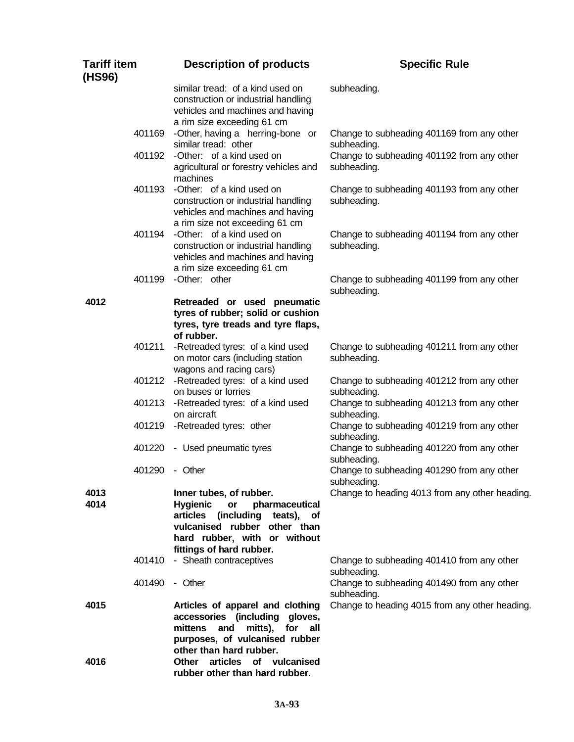| <b>Tariff item</b><br>(HS96) | <b>Description of products</b>                                                                                                                                                                   | <b>Specific Rule</b>                                      |
|------------------------------|--------------------------------------------------------------------------------------------------------------------------------------------------------------------------------------------------|-----------------------------------------------------------|
|                              | similar tread: of a kind used on<br>construction or industrial handling<br>vehicles and machines and having<br>a rim size exceeding 61 cm                                                        | subheading.                                               |
| 401169                       | -Other, having a herring-bone or<br>similar tread: other                                                                                                                                         | Change to subheading 401169 from any other<br>subheading. |
|                              | 401192 - Other: of a kind used on<br>agricultural or forestry vehicles and<br>machines                                                                                                           | Change to subheading 401192 from any other<br>subheading. |
| 401193                       | -Other: of a kind used on<br>construction or industrial handling<br>vehicles and machines and having<br>a rim size not exceeding 61 cm                                                           | Change to subheading 401193 from any other<br>subheading. |
| 401194                       | -Other: of a kind used on<br>construction or industrial handling<br>vehicles and machines and having<br>a rim size exceeding 61 cm                                                               | Change to subheading 401194 from any other<br>subheading. |
| 401199                       | -Other: other                                                                                                                                                                                    | Change to subheading 401199 from any other<br>subheading. |
| 4012                         | Retreaded or used pneumatic<br>tyres of rubber; solid or cushion<br>tyres, tyre treads and tyre flaps,<br>of rubber.                                                                             |                                                           |
| 401211                       | -Retreaded tyres: of a kind used<br>on motor cars (including station<br>wagons and racing cars)                                                                                                  | Change to subheading 401211 from any other<br>subheading. |
|                              | 401212 - Retreaded tyres: of a kind used<br>on buses or lorries                                                                                                                                  | Change to subheading 401212 from any other<br>subheading. |
| 401213                       | -Retreaded tyres: of a kind used<br>on aircraft                                                                                                                                                  | Change to subheading 401213 from any other<br>subheading. |
|                              | 401219 - Retreaded tyres: other                                                                                                                                                                  | Change to subheading 401219 from any other<br>subheading. |
| 401220                       | - Used pneumatic tyres                                                                                                                                                                           | Change to subheading 401220 from any other<br>subheading. |
| 401290                       | - Other                                                                                                                                                                                          | Change to subheading 401290 from any other<br>subheading. |
| 4013<br>4014                 | Inner tubes, of rubber.<br><b>Hygienic</b><br>pharmaceutical<br>or<br>articles (including teats), of<br>vulcanised rubber other than<br>hard rubber, with or without<br>fittings of hard rubber. | Change to heading 4013 from any other heading.            |
|                              | 401410 - Sheath contraceptives                                                                                                                                                                   | Change to subheading 401410 from any other<br>subheading. |
| 401490                       | - Other                                                                                                                                                                                          | Change to subheading 401490 from any other<br>subheading. |
| 4015                         | Articles of apparel and clothing<br>accessories (including gloves,<br>mittens and<br>mitts),<br>for<br>all<br>purposes, of vulcanised rubber                                                     | Change to heading 4015 from any other heading.            |
| 4016                         | other than hard rubber.<br>articles of vulcanised<br>Other<br>rubber other than hard rubber.                                                                                                     |                                                           |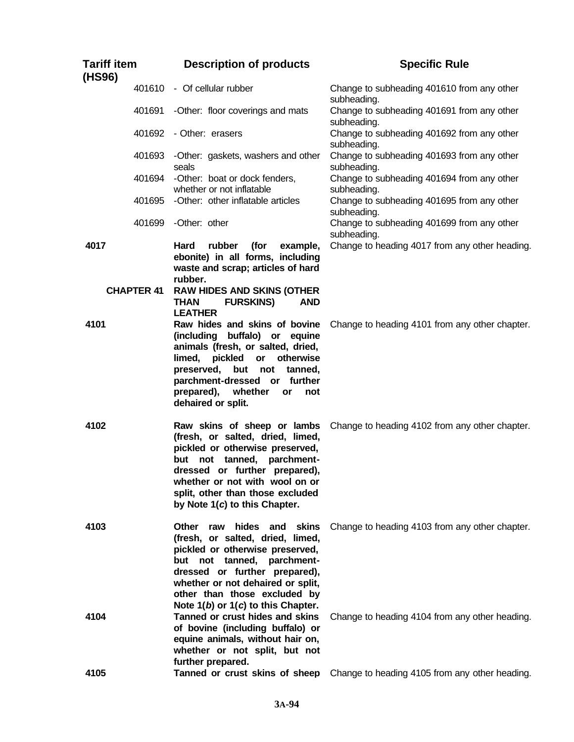| <b>Tariff item</b><br>(HS96) |                   | <b>Description of products</b>                                                                                                                                                                                                                                                              | <b>Specific Rule</b>                                                                             |
|------------------------------|-------------------|---------------------------------------------------------------------------------------------------------------------------------------------------------------------------------------------------------------------------------------------------------------------------------------------|--------------------------------------------------------------------------------------------------|
|                              | 401610            | - Of cellular rubber                                                                                                                                                                                                                                                                        | Change to subheading 401610 from any other<br>subheading.                                        |
|                              | 401691            | -Other: floor coverings and mats                                                                                                                                                                                                                                                            | Change to subheading 401691 from any other<br>subheading.                                        |
|                              | 401692            | - Other: erasers                                                                                                                                                                                                                                                                            | Change to subheading 401692 from any other<br>subheading.                                        |
|                              | 401693            | -Other: gaskets, washers and other<br>seals                                                                                                                                                                                                                                                 | Change to subheading 401693 from any other<br>subheading.                                        |
|                              | 401694            | -Other: boat or dock fenders,<br>whether or not inflatable                                                                                                                                                                                                                                  | Change to subheading 401694 from any other<br>subheading.                                        |
|                              | 401695            | -Other: other inflatable articles                                                                                                                                                                                                                                                           | Change to subheading 401695 from any other<br>subheading.                                        |
|                              | 401699            | -Other: other                                                                                                                                                                                                                                                                               | Change to subheading 401699 from any other<br>subheading.                                        |
| 4017                         |                   | (for<br>Hard<br>rubber<br>example,<br>ebonite) in all forms, including<br>waste and scrap; articles of hard<br>rubber.                                                                                                                                                                      | Change to heading 4017 from any other heading.                                                   |
|                              | <b>CHAPTER 41</b> | <b>RAW HIDES AND SKINS (OTHER</b><br><b>AND</b><br><b>THAN</b><br><b>FURSKINS)</b><br><b>LEATHER</b>                                                                                                                                                                                        |                                                                                                  |
| 4101                         |                   | Raw hides and skins of bovine<br>(including buffalo) or equine<br>animals (fresh, or salted, dried,<br>pickled<br>limed,<br>or otherwise<br>but not tanned,<br>preserved,<br>parchment-dressed or further<br>prepared),<br>whether<br>not<br>or<br>dehaired or split.                       | Change to heading 4101 from any other chapter.                                                   |
| 4102                         |                   | Raw skins of sheep or lambs<br>(fresh, or salted, dried, limed,<br>pickled or otherwise preserved,<br>but not tanned, parchment-<br>dressed or further prepared),<br>whether or not with wool on or<br>split, other than those excluded<br>by Note 1(c) to this Chapter.                    | Change to heading 4102 from any other chapter.                                                   |
| 4103                         |                   | <b>Other</b><br>hides and skins<br>raw<br>(fresh, or salted, dried, limed,<br>pickled or otherwise preserved,<br>but not tanned, parchment-<br>dressed or further prepared),<br>whether or not dehaired or split,<br>other than those excluded by<br>Note $1(b)$ or $1(c)$ to this Chapter. | Change to heading 4103 from any other chapter.                                                   |
| 4104<br>4105                 |                   | Tanned or crust hides and skins<br>of bovine (including buffalo) or<br>equine animals, without hair on,<br>whether or not split, but not<br>further prepared.<br>Tanned or crust skins of sheep                                                                                             | Change to heading 4104 from any other heading.<br>Change to heading 4105 from any other heading. |
|                              |                   |                                                                                                                                                                                                                                                                                             |                                                                                                  |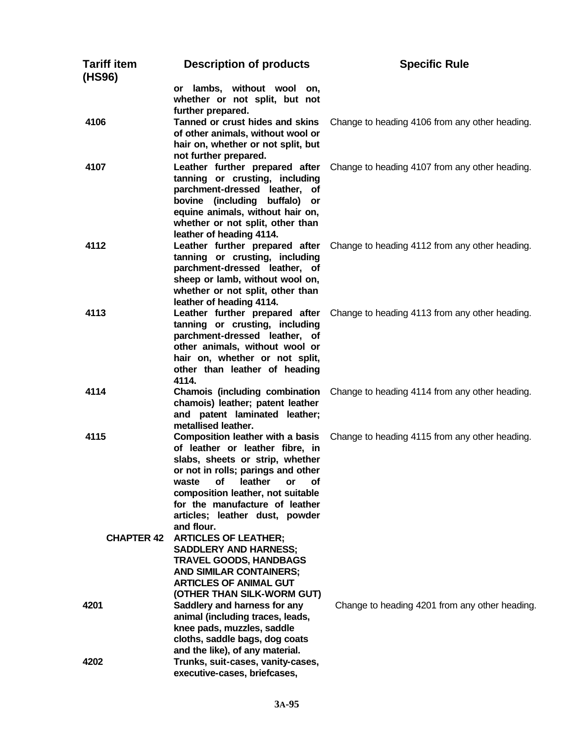| <b>Tariff item</b><br>(HS96) | <b>Description of products</b>                                                                                                                                                                                                                                                                                   | <b>Specific Rule</b>                           |
|------------------------------|------------------------------------------------------------------------------------------------------------------------------------------------------------------------------------------------------------------------------------------------------------------------------------------------------------------|------------------------------------------------|
|                              | or lambs, without wool on,<br>whether or not split, but not<br>further prepared.                                                                                                                                                                                                                                 |                                                |
| 4106                         | Tanned or crust hides and skins<br>of other animals, without wool or<br>hair on, whether or not split, but<br>not further prepared.                                                                                                                                                                              | Change to heading 4106 from any other heading. |
| 4107                         | Leather further prepared after<br>tanning or crusting, including<br>parchment-dressed leather, of<br>bovine (including buffalo) or<br>equine animals, without hair on,<br>whether or not split, other than<br>leather of heading 4114.                                                                           | Change to heading 4107 from any other heading. |
| 4112                         | Leather further prepared after<br>tanning or crusting, including<br>parchment-dressed leather, of<br>sheep or lamb, without wool on,<br>whether or not split, other than<br>leather of heading 4114.                                                                                                             | Change to heading 4112 from any other heading. |
| 4113                         | Leather further prepared after<br>tanning or crusting, including<br>parchment-dressed leather, of<br>other animals, without wool or<br>hair on, whether or not split,<br>other than leather of heading<br>4114.                                                                                                  | Change to heading 4113 from any other heading. |
| 4114                         | Chamois (including combination<br>chamois) leather; patent leather<br>and patent laminated leather;<br>metallised leather.                                                                                                                                                                                       | Change to heading 4114 from any other heading. |
| 4115                         | <b>Composition leather with a basis</b><br>of leather or leather fibre, in<br>slabs, sheets or strip, whether<br>or not in rolls; parings and other<br>leather<br>waste<br>οf<br>or<br>Οt<br>composition leather, not suitable<br>for the manufacture of leather<br>articles; leather dust, powder<br>and flour. | Change to heading 4115 from any other heading. |
| <b>CHAPTER 42</b>            | <b>ARTICLES OF LEATHER;</b><br><b>SADDLERY AND HARNESS;</b><br><b>TRAVEL GOODS, HANDBAGS</b><br><b>AND SIMILAR CONTAINERS;</b><br><b>ARTICLES OF ANIMAL GUT</b><br>(OTHER THAN SILK-WORM GUT)                                                                                                                    |                                                |
| 4201                         | Saddlery and harness for any<br>animal (including traces, leads,<br>knee pads, muzzles, saddle<br>cloths, saddle bags, dog coats<br>and the like), of any material.                                                                                                                                              | Change to heading 4201 from any other heading. |
| 4202                         | Trunks, suit-cases, vanity-cases,<br>executive-cases, briefcases,                                                                                                                                                                                                                                                |                                                |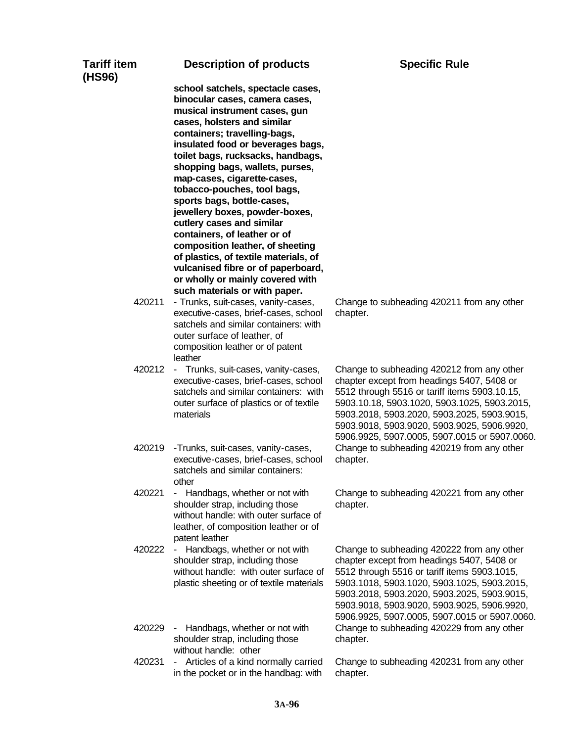| Tariff item<br>(HS96) | <b>Description of products</b>                                                                                                                                                                                                                                                                                                                                                                                                                                                                                                                                                                                                                                      | <b>Specific Rule</b>                                                                                                                                                                                                                                                                                                                     |
|-----------------------|---------------------------------------------------------------------------------------------------------------------------------------------------------------------------------------------------------------------------------------------------------------------------------------------------------------------------------------------------------------------------------------------------------------------------------------------------------------------------------------------------------------------------------------------------------------------------------------------------------------------------------------------------------------------|------------------------------------------------------------------------------------------------------------------------------------------------------------------------------------------------------------------------------------------------------------------------------------------------------------------------------------------|
|                       | school satchels, spectacle cases,<br>binocular cases, camera cases,<br>musical instrument cases, gun<br>cases, holsters and similar<br>containers; travelling-bags,<br>insulated food or beverages bags,<br>toilet bags, rucksacks, handbags,<br>shopping bags, wallets, purses,<br>map-cases, cigarette-cases,<br>tobacco-pouches, tool bags,<br>sports bags, bottle-cases,<br>jewellery boxes, powder-boxes,<br>cutlery cases and similar<br>containers, of leather or of<br>composition leather, of sheeting<br>of plastics, of textile materials, of<br>vulcanised fibre or of paperboard,<br>or wholly or mainly covered with<br>such materials or with paper. |                                                                                                                                                                                                                                                                                                                                          |
| 420211                | - Trunks, suit-cases, vanity-cases,<br>executive-cases, brief-cases, school<br>satchels and similar containers: with<br>outer surface of leather, of<br>composition leather or of patent<br>leather                                                                                                                                                                                                                                                                                                                                                                                                                                                                 | Change to subheading 420211 from any other<br>chapter.                                                                                                                                                                                                                                                                                   |
| 420212                | - Trunks, suit-cases, vanity-cases,<br>executive-cases, brief-cases, school<br>satchels and similar containers: with<br>outer surface of plastics or of textile<br>materials                                                                                                                                                                                                                                                                                                                                                                                                                                                                                        | Change to subheading 420212 from any other<br>chapter except from headings 5407, 5408 or<br>5512 through 5516 or tariff items 5903.10.15,<br>5903.10.18, 5903.1020, 5903.1025, 5903.2015,<br>5903.2018, 5903.2020, 5903.2025, 5903.9015,<br>5903.9018, 5903.9020, 5903.9025, 5906.9920,<br>5906.9925, 5907.0005, 5907.0015 or 5907.0060. |
| 420219                | -Trunks, suit-cases, vanity-cases,<br>executive-cases, brief-cases, school<br>satchels and similar containers:<br>other                                                                                                                                                                                                                                                                                                                                                                                                                                                                                                                                             | Change to subheading 420219 from any other<br>chapter.                                                                                                                                                                                                                                                                                   |
| 420221                | Handbags, whether or not with<br>٠<br>shoulder strap, including those<br>without handle: with outer surface of<br>leather, of composition leather or of<br>patent leather                                                                                                                                                                                                                                                                                                                                                                                                                                                                                           | Change to subheading 420221 from any other<br>chapter.                                                                                                                                                                                                                                                                                   |
| 420222                | Handbags, whether or not with<br>٠<br>shoulder strap, including those<br>without handle: with outer surface of<br>plastic sheeting or of textile materials                                                                                                                                                                                                                                                                                                                                                                                                                                                                                                          | Change to subheading 420222 from any other<br>chapter except from headings 5407, 5408 or<br>5512 through 5516 or tariff items 5903.1015,<br>5903.1018, 5903.1020, 5903.1025, 5903.2015,<br>5903.2018, 5903.2020, 5903.2025, 5903.9015,<br>5903.9018, 5903.9020, 5903.9025, 5906.9920,<br>5906.9925, 5907.0005, 5907.0015 or 5907.0060.   |
| 420229                | Handbags, whether or not with<br>shoulder strap, including those<br>without handle: other                                                                                                                                                                                                                                                                                                                                                                                                                                                                                                                                                                           | Change to subheading 420229 from any other<br>chapter.                                                                                                                                                                                                                                                                                   |
| 420231                | Articles of a kind normally carried<br>$\sim$<br>in the pocket or in the handbag: with                                                                                                                                                                                                                                                                                                                                                                                                                                                                                                                                                                              | Change to subheading 420231 from any other<br>chapter.                                                                                                                                                                                                                                                                                   |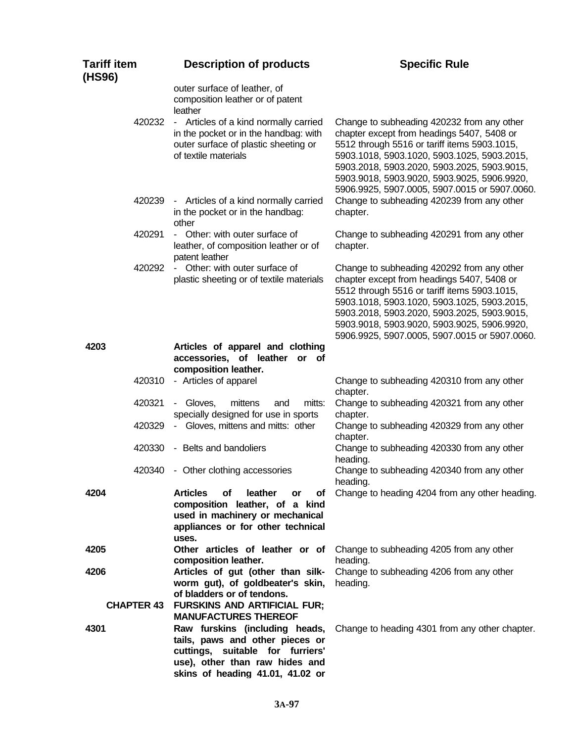| <b>Tariff item</b><br>(HS96) | <b>Description of products</b>                                                                                                                                              | <b>Specific Rule</b>                                                                                                                                                                                                                                                                                                                   |
|------------------------------|-----------------------------------------------------------------------------------------------------------------------------------------------------------------------------|----------------------------------------------------------------------------------------------------------------------------------------------------------------------------------------------------------------------------------------------------------------------------------------------------------------------------------------|
|                              | outer surface of leather, of<br>composition leather or of patent<br>leather                                                                                                 |                                                                                                                                                                                                                                                                                                                                        |
| 420232                       | - Articles of a kind normally carried<br>in the pocket or in the handbag: with<br>outer surface of plastic sheeting or<br>of textile materials                              | Change to subheading 420232 from any other<br>chapter except from headings 5407, 5408 or<br>5512 through 5516 or tariff items 5903.1015,<br>5903.1018, 5903.1020, 5903.1025, 5903.2015,<br>5903.2018, 5903.2020, 5903.2025, 5903.9015,<br>5903.9018, 5903.9020, 5903.9025, 5906.9920,<br>5906.9925, 5907.0005, 5907.0015 or 5907.0060. |
| 420239                       | - Articles of a kind normally carried<br>in the pocket or in the handbag:<br>other                                                                                          | Change to subheading 420239 from any other<br>chapter.                                                                                                                                                                                                                                                                                 |
| 420291                       | - Other: with outer surface of<br>leather, of composition leather or of<br>patent leather                                                                                   | Change to subheading 420291 from any other<br>chapter.                                                                                                                                                                                                                                                                                 |
| 420292                       | - Other: with outer surface of<br>plastic sheeting or of textile materials                                                                                                  | Change to subheading 420292 from any other<br>chapter except from headings 5407, 5408 or<br>5512 through 5516 or tariff items 5903.1015,<br>5903.1018, 5903.1020, 5903.1025, 5903.2015,<br>5903.2018, 5903.2020, 5903.2025, 5903.9015,<br>5903.9018, 5903.9020, 5903.9025, 5906.9920,<br>5906.9925, 5907.0005, 5907.0015 or 5907.0060. |
| 4203                         | Articles of apparel and clothing<br>accessories, of leather or of<br>composition leather.                                                                                   |                                                                                                                                                                                                                                                                                                                                        |
| 420310                       | - Articles of apparel                                                                                                                                                       | Change to subheading 420310 from any other<br>chapter.                                                                                                                                                                                                                                                                                 |
| 420321                       | - Gloves,<br>mittens<br>mitts:<br>and<br>specially designed for use in sports                                                                                               | Change to subheading 420321 from any other<br>chapter.                                                                                                                                                                                                                                                                                 |
| 420329                       | - Gloves, mittens and mitts: other                                                                                                                                          | Change to subheading 420329 from any other<br>chapter.                                                                                                                                                                                                                                                                                 |
| 420330                       | - Belts and bandoliers                                                                                                                                                      | Change to subheading 420330 from any other<br>heading.                                                                                                                                                                                                                                                                                 |
| 420340                       | - Other clothing accessories                                                                                                                                                | Change to subheading 420340 from any other<br>heading.                                                                                                                                                                                                                                                                                 |
| 4204                         | <b>Articles</b><br>of<br>leather<br>Οf<br>or<br>composition leather, of a kind<br>used in machinery or mechanical<br>appliances or for other technical<br>uses.             | Change to heading 4204 from any other heading.                                                                                                                                                                                                                                                                                         |
| 4205                         | Other articles of leather or of<br>composition leather.                                                                                                                     | Change to subheading 4205 from any other<br>heading.                                                                                                                                                                                                                                                                                   |
| 4206<br><b>CHAPTER 43</b>    | Articles of gut (other than silk-<br>worm gut), of goldbeater's skin,<br>of bladders or of tendons.<br><b>FURSKINS AND ARTIFICIAL FUR;</b><br><b>MANUFACTURES THEREOF</b>   | Change to subheading 4206 from any other<br>heading.                                                                                                                                                                                                                                                                                   |
| 4301                         | Raw furskins (including heads,<br>tails, paws and other pieces or<br>cuttings, suitable for furriers'<br>use), other than raw hides and<br>skins of heading 41.01, 41.02 or | Change to heading 4301 from any other chapter.                                                                                                                                                                                                                                                                                         |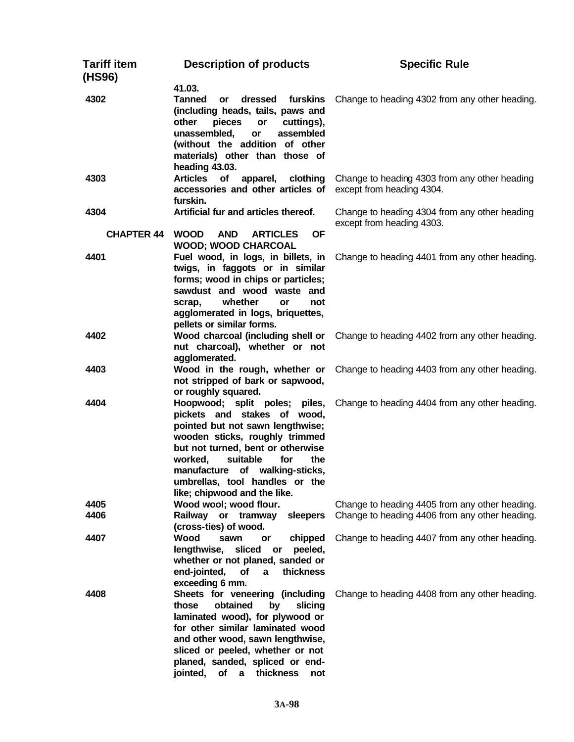| Tariff item<br>(HS96) | <b>Description of products</b>                                                                                                                                                                                                                                                                                      | <b>Specific Rule</b>                                                                             |
|-----------------------|---------------------------------------------------------------------------------------------------------------------------------------------------------------------------------------------------------------------------------------------------------------------------------------------------------------------|--------------------------------------------------------------------------------------------------|
| 4302                  | 41.03.<br><b>Tanned</b><br>dressed<br>furskins<br>or<br>(including heads, tails, paws and<br>other<br>pieces<br>or<br>cuttings),<br>assembled<br>unassembled,<br>or<br>(without the addition of other<br>materials) other than those of<br>heading 43.03.                                                           | Change to heading 4302 from any other heading.                                                   |
| 4303                  | <b>Articles</b><br>of<br>apparel,<br>clothing<br>accessories and other articles of<br>furskin.                                                                                                                                                                                                                      | Change to heading 4303 from any other heading<br>except from heading 4304.                       |
| 4304                  | Artificial fur and articles thereof.                                                                                                                                                                                                                                                                                | Change to heading 4304 from any other heading<br>except from heading 4303.                       |
| <b>CHAPTER 44</b>     | <b>AND</b><br><b>OF</b><br><b>WOOD</b><br><b>ARTICLES</b><br><b>WOOD; WOOD CHARCOAL</b>                                                                                                                                                                                                                             |                                                                                                  |
| 4401                  | Fuel wood, in logs, in billets, in<br>twigs, in faggots or in similar<br>forms; wood in chips or particles;<br>sawdust and wood waste and<br>whether<br>scrap,<br>or<br>not<br>agglomerated in logs, briquettes,<br>pellets or similar forms.                                                                       | Change to heading 4401 from any other heading.                                                   |
| 4402                  | Wood charcoal (including shell or<br>nut charcoal), whether or not<br>agglomerated.                                                                                                                                                                                                                                 | Change to heading 4402 from any other heading.                                                   |
| 4403                  | Wood in the rough, whether or<br>not stripped of bark or sapwood,<br>or roughly squared.                                                                                                                                                                                                                            | Change to heading 4403 from any other heading.                                                   |
| 4404                  | Hoopwood; split poles; piles,<br>pickets and stakes of wood,<br>pointed but not sawn lengthwise;<br>wooden sticks, roughly trimmed<br>but not turned, bent or otherwise<br>worked,<br>suitable<br>for<br>the<br>manufacture<br>of walking-sticks,<br>umbrellas, tool handles or the<br>like; chipwood and the like. | Change to heading 4404 from any other heading.                                                   |
| 4405<br>4406          | Wood wool; wood flour.<br>Railway or tramway<br>sleepers                                                                                                                                                                                                                                                            | Change to heading 4405 from any other heading.<br>Change to heading 4406 from any other heading. |
|                       | (cross-ties) of wood.                                                                                                                                                                                                                                                                                               |                                                                                                  |
| 4407                  | Wood<br>chipped<br>sawn<br>or<br>sliced<br>lengthwise,<br>peeled,<br>or<br>whether or not planed, sanded or<br>end-jointed,<br>thickness<br>Οf<br>a<br>exceeding 6 mm.                                                                                                                                              | Change to heading 4407 from any other heading.                                                   |
| 4408                  | Sheets for veneering (including<br>obtained<br>those<br>by<br>slicing<br>laminated wood), for plywood or<br>for other similar laminated wood<br>and other wood, sawn lengthwise,<br>sliced or peeled, whether or not<br>planed, sanded, spliced or end-<br>jointed,<br>thickness<br>оf<br>a<br>not                  | Change to heading 4408 from any other heading.                                                   |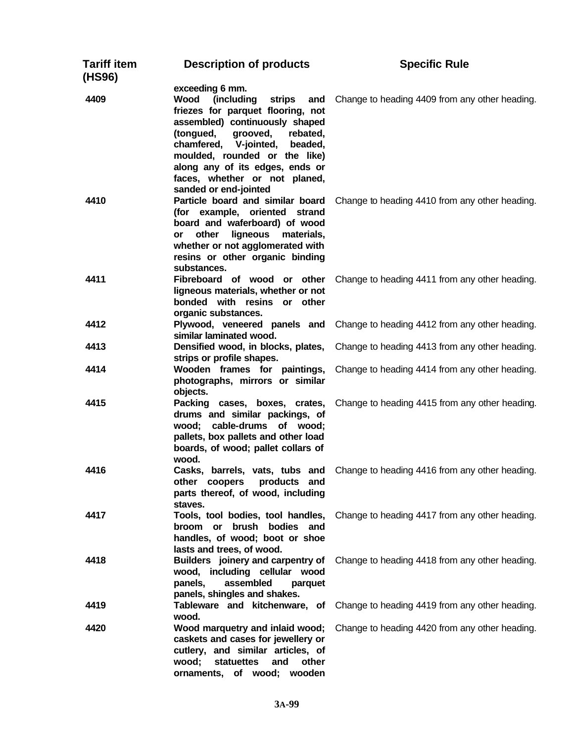| Tariff item<br>(HS96) | <b>Description of products</b>                                                                                                                                                                                                                                                                           | <b>Specific Rule</b>                                                          |
|-----------------------|----------------------------------------------------------------------------------------------------------------------------------------------------------------------------------------------------------------------------------------------------------------------------------------------------------|-------------------------------------------------------------------------------|
| 4409                  | exceeding 6 mm.<br>Wood<br>(including<br>strips<br>and<br>friezes for parquet flooring, not<br>assembled) continuously shaped<br>(tongued, grooved,<br>rebated,<br>chamfered, V-jointed,<br>beaded,<br>moulded, rounded or the like)<br>along any of its edges, ends or<br>faces, whether or not planed, | Change to heading 4409 from any other heading.                                |
| 4410                  | sanded or end-jointed<br>Particle board and similar board<br>(for example, oriented strand<br>board and waferboard) of wood<br>other<br>ligneous<br>materials,<br>or<br>whether or not agglomerated with<br>resins or other organic binding<br>substances.                                               | Change to heading 4410 from any other heading.                                |
| 4411                  | Fibreboard of wood or other<br>ligneous materials, whether or not<br>bonded with resins or other<br>organic substances.                                                                                                                                                                                  | Change to heading 4411 from any other heading.                                |
| 4412                  | similar laminated wood.                                                                                                                                                                                                                                                                                  | Plywood, veneered panels and Change to heading 4412 from any other heading.   |
| 4413                  | Densified wood, in blocks, plates,<br>strips or profile shapes.                                                                                                                                                                                                                                          | Change to heading 4413 from any other heading.                                |
| 4414                  | Wooden frames for paintings,<br>photographs, mirrors or similar<br>objects.                                                                                                                                                                                                                              | Change to heading 4414 from any other heading.                                |
| 4415                  | Packing cases, boxes, crates,<br>drums and similar packings, of<br>wood; cable-drums of wood;<br>pallets, box pallets and other load<br>boards, of wood; pallet collars of<br>wood.                                                                                                                      | Change to heading 4415 from any other heading.                                |
| 4416                  | other coopers<br>products and<br>parts thereof, of wood, including<br>staves.                                                                                                                                                                                                                            | Casks, barrels, vats, tubs and Change to heading 4416 from any other heading. |
| 4417                  | Tools, tool bodies, tool handles,<br>brush bodies<br>broom or<br>and<br>handles, of wood; boot or shoe<br>lasts and trees, of wood.                                                                                                                                                                      | Change to heading 4417 from any other heading.                                |
| 4418                  | Builders joinery and carpentry of<br>wood, including cellular wood<br>assembled<br>panels,<br>parquet<br>panels, shingles and shakes.                                                                                                                                                                    | Change to heading 4418 from any other heading.                                |
| 4419                  | Tableware and kitchenware, of<br>wood.                                                                                                                                                                                                                                                                   | Change to heading 4419 from any other heading.                                |
| 4420                  | Wood marquetry and inlaid wood;<br>caskets and cases for jewellery or<br>cutlery, and similar articles, of<br>wood;<br>statuettes<br>other<br>and<br>ornaments, of wood; wooden                                                                                                                          | Change to heading 4420 from any other heading.                                |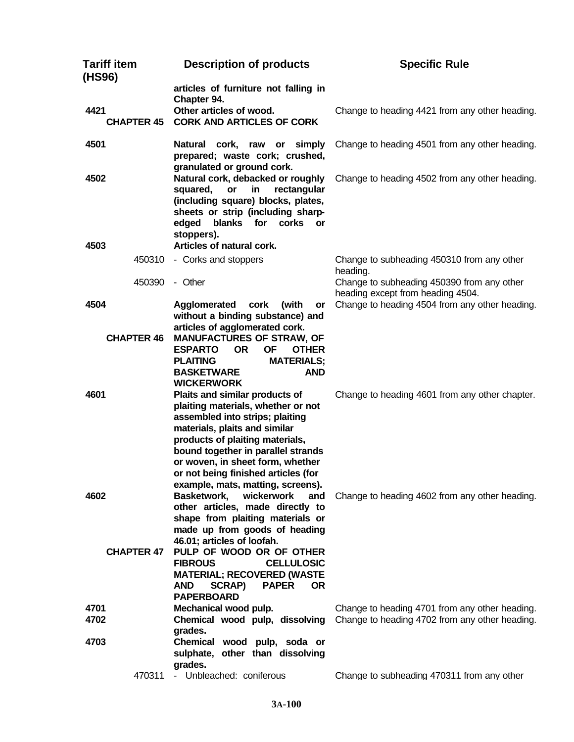| <b>Tariff item</b><br>(HS96) | <b>Description of products</b>                                                                                                                                                                                                                                                                  | <b>Specific Rule</b>                                                                             |
|------------------------------|-------------------------------------------------------------------------------------------------------------------------------------------------------------------------------------------------------------------------------------------------------------------------------------------------|--------------------------------------------------------------------------------------------------|
|                              | articles of furniture not falling in                                                                                                                                                                                                                                                            |                                                                                                  |
| 4421                         | Chapter 94.<br>Other articles of wood.                                                                                                                                                                                                                                                          | Change to heading 4421 from any other heading.                                                   |
| <b>CHAPTER 45</b>            | <b>CORK AND ARTICLES OF CORK</b>                                                                                                                                                                                                                                                                |                                                                                                  |
| 4501                         | simply<br>Natural cork, raw<br>or<br>prepared; waste cork; crushed,<br>granulated or ground cork.                                                                                                                                                                                               | Change to heading 4501 from any other heading.                                                   |
| 4502                         | Natural cork, debacked or roughly<br>squared,<br>or<br>in<br>rectangular<br>(including square) blocks, plates,<br>sheets or strip (including sharp-<br>blanks for corks or<br>edged<br>stoppers).                                                                                               | Change to heading 4502 from any other heading.                                                   |
| 4503                         | Articles of natural cork.                                                                                                                                                                                                                                                                       |                                                                                                  |
| 450310                       | - Corks and stoppers                                                                                                                                                                                                                                                                            | Change to subheading 450310 from any other<br>heading.                                           |
| 450390                       | - Other                                                                                                                                                                                                                                                                                         | Change to subheading 450390 from any other                                                       |
| 4504                         | Agglomerated<br>cork<br>(with<br>or<br>without a binding substance) and                                                                                                                                                                                                                         | heading except from heading 4504.<br>Change to heading 4504 from any other heading.              |
| <b>CHAPTER 46</b>            | articles of agglomerated cork.<br><b>MANUFACTURES OF STRAW, OF</b><br><b>ESPARTO</b><br><b>OR</b><br><b>OF</b><br><b>OTHER</b><br><b>MATERIALS;</b><br><b>PLAITING</b><br><b>BASKETWARE</b><br><b>AND</b>                                                                                       |                                                                                                  |
| 4601                         | <b>WICKERWORK</b><br>Plaits and similar products of                                                                                                                                                                                                                                             | Change to heading 4601 from any other chapter.                                                   |
|                              | plaiting materials, whether or not<br>assembled into strips; plaiting<br>materials, plaits and similar<br>products of plaiting materials,<br>bound together in parallel strands<br>or woven, in sheet form, whether<br>or not being finished articles (for<br>example, mats, matting, screens). |                                                                                                  |
| 4602                         | Basketwork,<br>wickerwork<br>and<br>other articles, made directly to<br>shape from plaiting materials or<br>made up from goods of heading<br>46.01; articles of loofah.                                                                                                                         | Change to heading 4602 from any other heading.                                                   |
| <b>CHAPTER 47</b>            | PULP OF WOOD OR OF OTHER<br><b>FIBROUS</b><br><b>CELLULOSIC</b><br><b>MATERIAL; RECOVERED (WASTE</b><br><b>PAPER</b><br><b>AND</b><br>SCRAP)<br><b>OR</b><br><b>PAPERBOARD</b>                                                                                                                  |                                                                                                  |
| 4701<br>4702                 | Mechanical wood pulp.<br>Chemical wood pulp, dissolving<br>grades.                                                                                                                                                                                                                              | Change to heading 4701 from any other heading.<br>Change to heading 4702 from any other heading. |
| 4703                         | Chemical wood pulp, soda or<br>sulphate, other than dissolving<br>grades.                                                                                                                                                                                                                       |                                                                                                  |
| 470311                       | - Unbleached: coniferous                                                                                                                                                                                                                                                                        | Change to subheading 470311 from any other                                                       |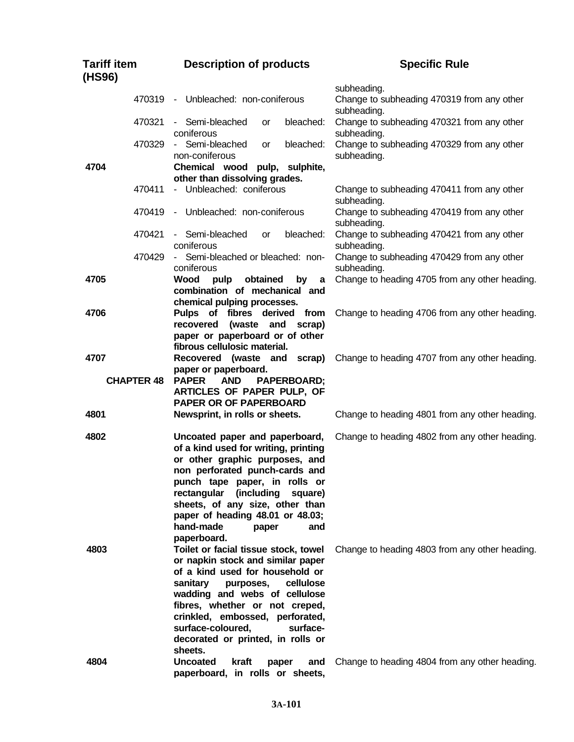| <b>Tariff item</b><br>(HS96) | <b>Description of products</b>                                                                                                                                                                                                                                                                                                                           | <b>Specific Rule</b>                                                     |
|------------------------------|----------------------------------------------------------------------------------------------------------------------------------------------------------------------------------------------------------------------------------------------------------------------------------------------------------------------------------------------------------|--------------------------------------------------------------------------|
| 470319                       | - Unbleached: non-coniferous                                                                                                                                                                                                                                                                                                                             | subheading.<br>Change to subheading 470319 from any other                |
| 470321                       | - Semi-bleached<br>bleached:<br>or<br>coniferous                                                                                                                                                                                                                                                                                                         | subheading.<br>Change to subheading 470321 from any other<br>subheading. |
| 470329                       | - Semi-bleached<br>bleached:<br>or<br>non-coniferous                                                                                                                                                                                                                                                                                                     | Change to subheading 470329 from any other<br>subheading.                |
| 4704                         | Chemical wood<br>pulp, sulphite,                                                                                                                                                                                                                                                                                                                         |                                                                          |
| 470411                       | other than dissolving grades.<br>- Unbleached: coniferous                                                                                                                                                                                                                                                                                                | Change to subheading 470411 from any other                               |
| 470419                       | - Unbleached: non-coniferous                                                                                                                                                                                                                                                                                                                             | subheading.<br>Change to subheading 470419 from any other<br>subheading. |
| 470421                       | - Semi-bleached<br>bleached:<br>or<br>coniferous                                                                                                                                                                                                                                                                                                         | Change to subheading 470421 from any other<br>subheading.                |
| 470429                       | - Semi-bleached or bleached: non-<br>coniferous                                                                                                                                                                                                                                                                                                          | Change to subheading 470429 from any other<br>subheading.                |
| 4705                         | Wood<br>pulp<br>obtained<br>by<br>a<br>combination of mechanical and                                                                                                                                                                                                                                                                                     | Change to heading 4705 from any other heading.                           |
|                              | chemical pulping processes.                                                                                                                                                                                                                                                                                                                              |                                                                          |
| 4706                         | Pulps of fibres derived<br>from<br>recovered<br>(waste<br>and<br>scrap)<br>paper or paperboard or of other<br>fibrous cellulosic material.                                                                                                                                                                                                               | Change to heading 4706 from any other heading.                           |
| 4707                         | Recovered (waste and<br>scrap)                                                                                                                                                                                                                                                                                                                           | Change to heading 4707 from any other heading.                           |
| <b>CHAPTER 48</b>            | paper or paperboard.<br><b>PAPER</b><br><b>AND</b><br>PAPERBOARD;<br>ARTICLES OF PAPER PULP, OF<br><b>PAPER OR OF PAPERBOARD</b>                                                                                                                                                                                                                         |                                                                          |
| 4801                         | Newsprint, in rolls or sheets.                                                                                                                                                                                                                                                                                                                           | Change to heading 4801 from any other heading.                           |
| 4802                         | Uncoated paper and paperboard,<br>of a kind used for writing, printing<br>or other graphic purposes, and<br>non perforated punch-cards and<br>punch tape paper, in rolls or<br>rectangular<br>(including)<br>square)<br>sheets, of any size, other than<br>paper of heading 48.01 or 48.03;<br>hand-made<br>and<br>paper                                 | Change to heading 4802 from any other heading.                           |
| 4803                         | paperboard.<br>Toilet or facial tissue stock, towel<br>or napkin stock and similar paper<br>of a kind used for household or<br>sanitary<br>cellulose<br>purposes,<br>wadding and webs of cellulose<br>fibres, whether or not creped,<br>crinkled, embossed, perforated,<br>surface-coloured,<br>surface-<br>decorated or printed, in rolls or<br>sheets. | Change to heading 4803 from any other heading.                           |
| 4804                         | <b>Uncoated</b><br>kraft<br>and<br>paper<br>paperboard, in rolls or sheets,                                                                                                                                                                                                                                                                              | Change to heading 4804 from any other heading.                           |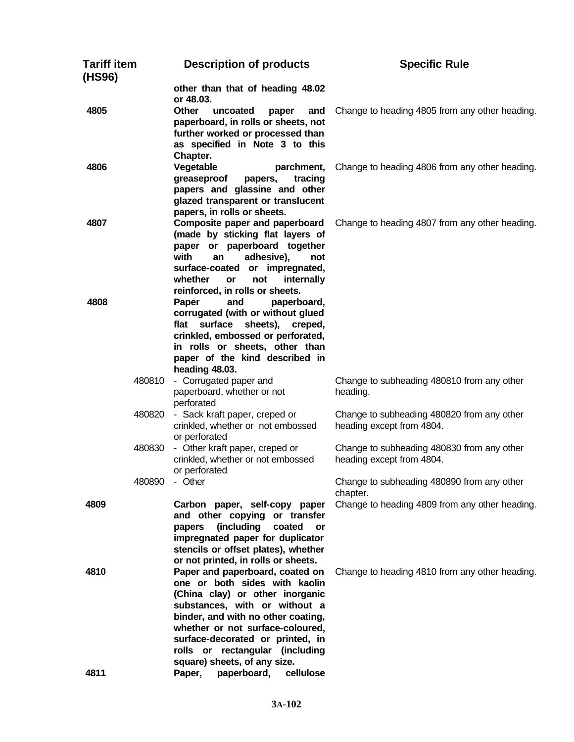| <b>Tariff item</b><br>(HS96) | <b>Description of products</b>                                                                                                                                                                                                                                                                                                                              | <b>Specific Rule</b>                                                    |
|------------------------------|-------------------------------------------------------------------------------------------------------------------------------------------------------------------------------------------------------------------------------------------------------------------------------------------------------------------------------------------------------------|-------------------------------------------------------------------------|
|                              | other than that of heading 48.02<br>or 48.03.                                                                                                                                                                                                                                                                                                               |                                                                         |
| 4805                         | <b>Other</b><br>uncoated<br>paper<br>and<br>paperboard, in rolls or sheets, not<br>further worked or processed than<br>as specified in Note 3 to this                                                                                                                                                                                                       | Change to heading 4805 from any other heading.                          |
| 4806                         | Chapter.<br>Vegetable<br>parchment,<br>greaseproof<br>tracing<br>papers,<br>papers and glassine and other<br>glazed transparent or translucent<br>papers, in rolls or sheets.                                                                                                                                                                               | Change to heading 4806 from any other heading.                          |
| 4807                         | Composite paper and paperboard<br>(made by sticking flat layers of<br>paper or paperboard together<br>with<br>adhesive),<br>an<br>not<br>surface-coated or impregnated,<br>whether<br>not<br>internally<br>or                                                                                                                                               | Change to heading 4807 from any other heading.                          |
| 4808                         | reinforced, in rolls or sheets.<br>and<br>paperboard,<br>Paper<br>corrugated (with or without glued<br>surface<br>sheets), creped,<br>flat<br>crinkled, embossed or perforated,<br>in rolls or sheets, other than<br>paper of the kind described in<br>heading 48.03.                                                                                       |                                                                         |
| 480810                       | - Corrugated paper and<br>paperboard, whether or not<br>perforated                                                                                                                                                                                                                                                                                          | Change to subheading 480810 from any other<br>heading.                  |
| 480820                       | - Sack kraft paper, creped or<br>crinkled, whether or not embossed<br>or perforated                                                                                                                                                                                                                                                                         | Change to subheading 480820 from any other<br>heading except from 4804. |
| 480830                       | - Other kraft paper, creped or<br>crinkled, whether or not embossed<br>or perforated                                                                                                                                                                                                                                                                        | Change to subheading 480830 from any other<br>heading except from 4804. |
| 480890                       | - Other                                                                                                                                                                                                                                                                                                                                                     | Change to subheading 480890 from any other<br>chapter.                  |
| 4809                         | Carbon paper, self-copy paper<br>and other copying or transfer<br>(including<br>coated<br>papers<br>or<br>impregnated paper for duplicator<br>stencils or offset plates), whether<br>or not printed, in rolls or sheets.                                                                                                                                    | Change to heading 4809 from any other heading.                          |
| 4810<br>4811                 | Paper and paperboard, coated on<br>one or both sides with kaolin<br>(China clay) or other inorganic<br>substances, with or without a<br>binder, and with no other coating,<br>whether or not surface-coloured,<br>surface-decorated or printed, in<br>rolls or rectangular (including<br>square) sheets, of any size.<br>cellulose<br>Paper,<br>paperboard, | Change to heading 4810 from any other heading.                          |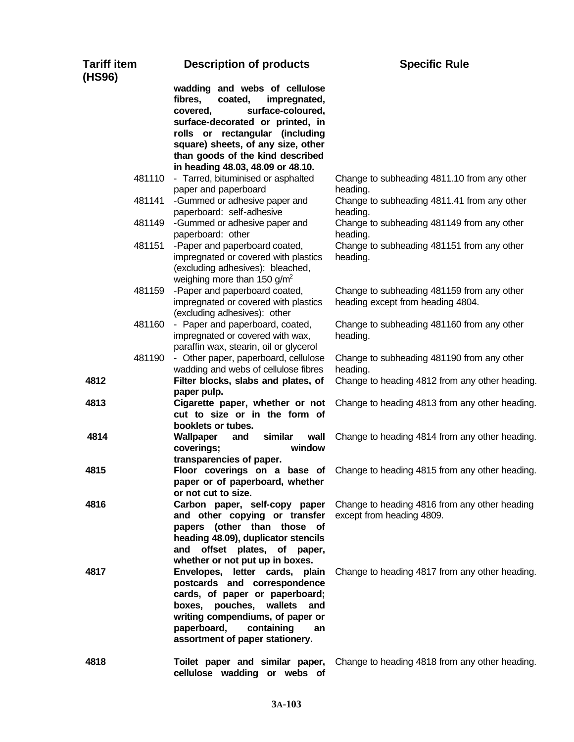| <b>Tariff item</b><br>(HS96) | <b>Description of products</b>                                                                                                                                                                                                                        | <b>Specific Rule</b>                                                            |
|------------------------------|-------------------------------------------------------------------------------------------------------------------------------------------------------------------------------------------------------------------------------------------------------|---------------------------------------------------------------------------------|
|                              | wadding and webs of cellulose<br>coated,<br>fibres,<br>impregnated,<br>surface-coloured,<br>covered,<br>surface-decorated or printed, in<br>rolls or rectangular (including<br>square) sheets, of any size, other<br>than goods of the kind described |                                                                                 |
|                              | in heading 48.03, 48.09 or 48.10.                                                                                                                                                                                                                     |                                                                                 |
| 481110                       | - Tarred, bituminised or asphalted                                                                                                                                                                                                                    | Change to subheading 4811.10 from any other                                     |
| 481141                       | paper and paperboard<br>-Gummed or adhesive paper and                                                                                                                                                                                                 | heading.<br>Change to subheading 4811.41 from any other                         |
|                              | paperboard: self-adhesive                                                                                                                                                                                                                             | heading.                                                                        |
| 481149                       | -Gummed or adhesive paper and<br>paperboard: other                                                                                                                                                                                                    | Change to subheading 481149 from any other<br>heading.                          |
| 481151                       | -Paper and paperboard coated,<br>impregnated or covered with plastics<br>(excluding adhesives): bleached,<br>weighing more than 150 $g/m^2$                                                                                                           | Change to subheading 481151 from any other<br>heading.                          |
| 481159                       | -Paper and paperboard coated,<br>impregnated or covered with plastics<br>(excluding adhesives): other                                                                                                                                                 | Change to subheading 481159 from any other<br>heading except from heading 4804. |
| 481160                       | - Paper and paperboard, coated,<br>impregnated or covered with wax,<br>paraffin wax, stearin, oil or glycerol                                                                                                                                         | Change to subheading 481160 from any other<br>heading.                          |
| 481190                       | - Other paper, paperboard, cellulose<br>wadding and webs of cellulose fibres                                                                                                                                                                          | Change to subheading 481190 from any other<br>heading.                          |
| 4812                         | Filter blocks, slabs and plates, of                                                                                                                                                                                                                   | Change to heading 4812 from any other heading.                                  |
| 4813                         | paper pulp.<br>Cigarette paper, whether or not<br>cut to size or in the form of<br>booklets or tubes.                                                                                                                                                 | Change to heading 4813 from any other heading.                                  |
| 4814                         | similar<br>Wallpaper<br>wall<br>and<br>coverings;<br>window<br>transparencies of paper.                                                                                                                                                               | Change to heading 4814 from any other heading.                                  |
| 4815                         | paper or of paperboard, whether<br>or not cut to size.                                                                                                                                                                                                | Floor coverings on a base of Change to heading 4815 from any other heading.     |
| 4816                         | Carbon paper, self-copy paper<br>and other copying or transfer<br>papers (other than those of<br>heading 48.09), duplicator stencils<br>and offset plates, of paper,<br>whether or not put up in boxes.                                               | Change to heading 4816 from any other heading<br>except from heading 4809.      |
| 4817                         | Envelopes, letter cards, plain<br>postcards and correspondence<br>cards, of paper or paperboard;<br>boxes, pouches, wallets<br>and<br>writing compendiums, of paper or<br>paperboard,<br>containing<br>an<br>assortment of paper stationery.          | Change to heading 4817 from any other heading.                                  |
| 4818                         | Toilet paper and similar paper,<br>cellulose wadding or webs of                                                                                                                                                                                       | Change to heading 4818 from any other heading.                                  |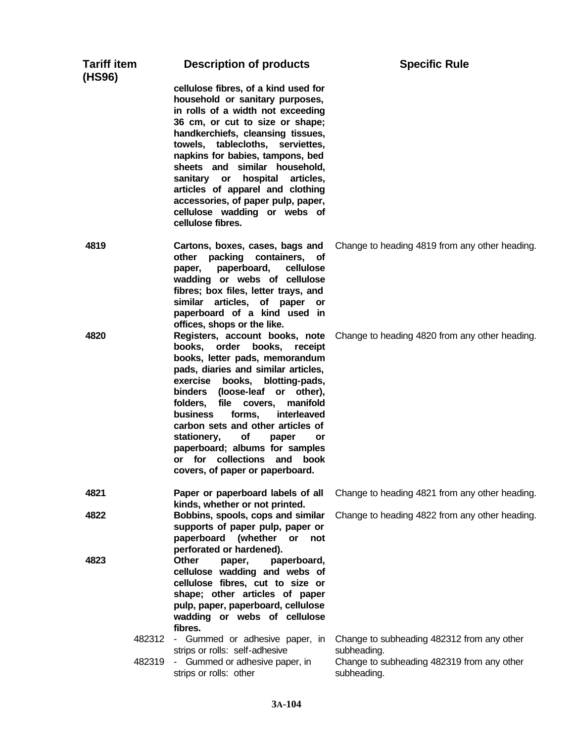| <b>Tariff item</b><br>(HS96) |        | <b>Description of products</b>                                                                                                                                                                                                                                                                                                                                                                                                                                                       | <b>Specific Rule</b>                                                                                                   |
|------------------------------|--------|--------------------------------------------------------------------------------------------------------------------------------------------------------------------------------------------------------------------------------------------------------------------------------------------------------------------------------------------------------------------------------------------------------------------------------------------------------------------------------------|------------------------------------------------------------------------------------------------------------------------|
|                              |        | cellulose fibres, of a kind used for<br>household or sanitary purposes,<br>in rolls of a width not exceeding<br>36 cm, or cut to size or shape;<br>handkerchiefs, cleansing tissues,<br>towels, tablecloths, serviettes,<br>napkins for babies, tampons, bed<br>sheets and similar household,<br>sanitary or hospital<br>articles,<br>articles of apparel and clothing<br>accessories, of paper pulp, paper,<br>cellulose wadding or webs of<br>cellulose fibres.                    |                                                                                                                        |
| 4819                         |        | Cartons, boxes, cases, bags and<br>packing containers, of<br>other<br>paperboard,<br>cellulose<br>paper,<br>wadding or webs of cellulose<br>fibres; box files, letter trays, and<br>similar articles, of paper<br>or<br>paperboard of a kind used in<br>offices, shops or the like.                                                                                                                                                                                                  | Change to heading 4819 from any other heading.                                                                         |
| 4820                         |        | Registers, account books, note<br>books, order<br>books,<br>receipt<br>books, letter pads, memorandum<br>pads, diaries and similar articles,<br>exercise books, blotting-pads,<br>binders (loose-leaf or other),<br>file covers,<br>folders,<br>manifold<br>forms,<br>interleaved<br><b>business</b><br>carbon sets and other articles of<br>of<br>stationery,<br>paper<br>or<br>paperboard; albums for samples<br>or for collections and<br>book<br>covers, of paper or paperboard. | Change to heading 4820 from any other heading.                                                                         |
| 4821                         |        | Paper or paperboard labels of all<br>kinds, whether or not printed.                                                                                                                                                                                                                                                                                                                                                                                                                  | Change to heading 4821 from any other heading.                                                                         |
| 4822                         |        | Bobbins, spools, cops and similar<br>supports of paper pulp, paper or<br>paperboard (whether<br>or<br>not<br>perforated or hardened).                                                                                                                                                                                                                                                                                                                                                | Change to heading 4822 from any other heading.                                                                         |
| 4823                         |        | Other<br>paperboard,<br>paper,<br>cellulose wadding and webs of<br>cellulose fibres, cut to size or<br>shape; other articles of paper<br>pulp, paper, paperboard, cellulose<br>wadding or webs of cellulose<br>fibres.                                                                                                                                                                                                                                                               |                                                                                                                        |
|                              | 482319 | 482312 - Gummed or adhesive paper, in<br>strips or rolls: self-adhesive<br>- Gummed or adhesive paper, in<br>strips or rolls: other                                                                                                                                                                                                                                                                                                                                                  | Change to subheading 482312 from any other<br>subheading.<br>Change to subheading 482319 from any other<br>subheading. |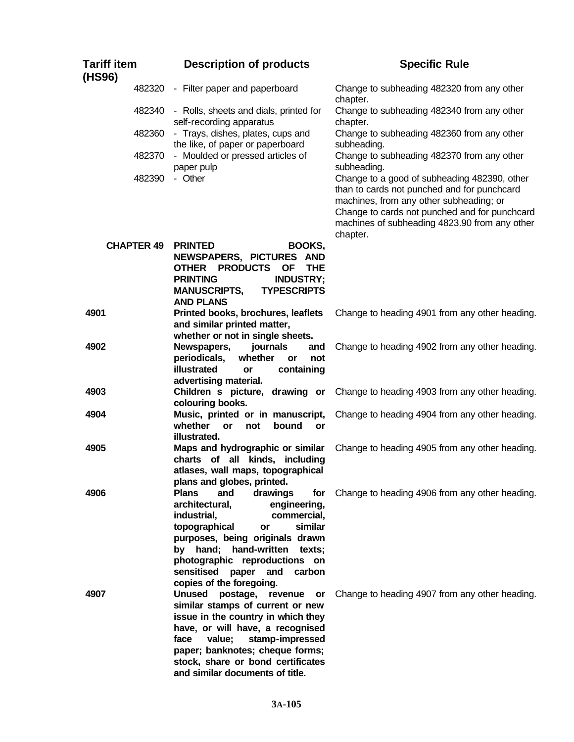| <b>Tariff item</b><br>(HS96) | <b>Description of products</b>                                                                                                                                                                                                                                                                                   | <b>Specific Rule</b>                                                                                                                                                                                                                                 |
|------------------------------|------------------------------------------------------------------------------------------------------------------------------------------------------------------------------------------------------------------------------------------------------------------------------------------------------------------|------------------------------------------------------------------------------------------------------------------------------------------------------------------------------------------------------------------------------------------------------|
| 482320                       | - Filter paper and paperboard                                                                                                                                                                                                                                                                                    | Change to subheading 482320 from any other<br>chapter.                                                                                                                                                                                               |
| 482340                       | - Rolls, sheets and dials, printed for<br>self-recording apparatus                                                                                                                                                                                                                                               | Change to subheading 482340 from any other<br>chapter.                                                                                                                                                                                               |
| 482360                       | - Trays, dishes, plates, cups and<br>the like, of paper or paperboard                                                                                                                                                                                                                                            | Change to subheading 482360 from any other<br>subheading.                                                                                                                                                                                            |
| 482370                       | - Moulded or pressed articles of<br>paper pulp                                                                                                                                                                                                                                                                   | Change to subheading 482370 from any other<br>subheading.                                                                                                                                                                                            |
| 482390                       | - Other                                                                                                                                                                                                                                                                                                          | Change to a good of subheading 482390, other<br>than to cards not punched and for punchcard<br>machines, from any other subheading; or<br>Change to cards not punched and for punchcard<br>machines of subheading 4823.90 from any other<br>chapter. |
| <b>CHAPTER 49</b>            | <b>PRINTED</b><br>BOOKS,<br>NEWSPAPERS, PICTURES AND<br><b>OTHER</b><br><b>PRODUCTS</b><br><b>OF</b><br><b>THE</b><br><b>PRINTING</b><br><b>INDUSTRY;</b><br><b>TYPESCRIPTS</b><br><b>MANUSCRIPTS,</b><br><b>AND PLANS</b>                                                                                       |                                                                                                                                                                                                                                                      |
| 4901                         | Printed books, brochures, leaflets<br>and similar printed matter,<br>whether or not in single sheets.                                                                                                                                                                                                            | Change to heading 4901 from any other heading.                                                                                                                                                                                                       |
| 4902                         | Newspapers,<br>journals<br>and<br>periodicals,<br>whether<br>or<br>not<br>illustrated<br>containing<br><b>or</b><br>advertising material.                                                                                                                                                                        | Change to heading 4902 from any other heading.                                                                                                                                                                                                       |
| 4903                         | Children s picture, drawing or<br>colouring books.                                                                                                                                                                                                                                                               | Change to heading 4903 from any other heading.                                                                                                                                                                                                       |
| 4904                         | Music, printed or in manuscript,<br>whether<br>not<br>bound<br><b>or</b><br>or<br>illustrated.                                                                                                                                                                                                                   | Change to heading 4904 from any other heading.                                                                                                                                                                                                       |
| 4905                         | Maps and hydrographic or similar<br>charts of all kinds, including<br>atlases, wall maps, topographical<br>plans and globes, printed.                                                                                                                                                                            | Change to heading 4905 from any other heading.                                                                                                                                                                                                       |
| 4906                         | <b>Plans</b><br>and<br>drawings<br>for<br>architectural,<br>engineering,<br>industrial,<br>commercial,<br>topographical<br>similar<br>or<br>purposes, being originals drawn<br>by hand; hand-written texts;<br>photographic reproductions on<br>sensitised<br>paper<br>and<br>carbon<br>copies of the foregoing. | Change to heading 4906 from any other heading.                                                                                                                                                                                                       |
| 4907                         | <b>Unused</b><br>postage, revenue<br>or<br>similar stamps of current or new<br>issue in the country in which they<br>have, or will have, a recognised<br>stamp-impressed<br>face<br>value;<br>paper; banknotes; cheque forms;<br>stock, share or bond certificates<br>and similar documents of title.            | Change to heading 4907 from any other heading.                                                                                                                                                                                                       |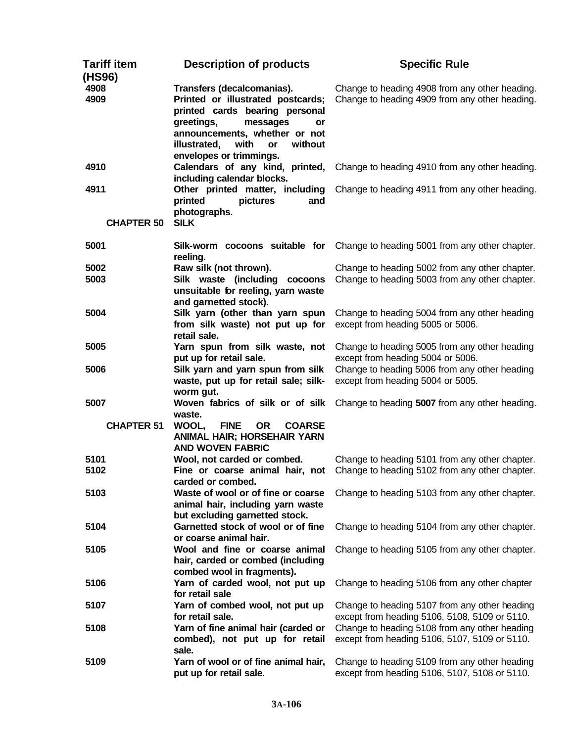| Tariff item<br>(HS96) | <b>Description of products</b>                                                                                                                                                                                                         | <b>Specific Rule</b>                                                                             |
|-----------------------|----------------------------------------------------------------------------------------------------------------------------------------------------------------------------------------------------------------------------------------|--------------------------------------------------------------------------------------------------|
| 4908<br>4909          | Transfers (decalcomanias).<br>Printed or illustrated postcards;<br>printed cards bearing personal<br>greetings,<br>messages<br>or<br>announcements, whether or not<br>illustrated,<br>with<br>without<br>or<br>envelopes or trimmings. | Change to heading 4908 from any other heading.<br>Change to heading 4909 from any other heading. |
| 4910                  | Calendars of any kind, printed,<br>including calendar blocks.                                                                                                                                                                          | Change to heading 4910 from any other heading.                                                   |
| 4911                  | Other printed matter, including<br>printed<br>pictures<br>and<br>photographs.                                                                                                                                                          | Change to heading 4911 from any other heading.                                                   |
| <b>CHAPTER 50</b>     | <b>SILK</b>                                                                                                                                                                                                                            |                                                                                                  |
| 5001                  | reeling.                                                                                                                                                                                                                               | Silk-worm cocoons suitable for Change to heading 5001 from any other chapter.                    |
| 5002<br>5003          | Raw silk (not thrown).<br>Silk waste (including cocoons<br>unsuitable for reeling, yarn waste<br>and garnetted stock).                                                                                                                 | Change to heading 5002 from any other chapter.<br>Change to heading 5003 from any other chapter. |
| 5004                  | Silk yarn (other than yarn spun<br>from silk waste) not put up for<br>retail sale.                                                                                                                                                     | Change to heading 5004 from any other heading<br>except from heading 5005 or 5006.               |
| 5005                  | Yarn spun from silk waste, not<br>put up for retail sale.                                                                                                                                                                              | Change to heading 5005 from any other heading<br>except from heading 5004 or 5006.               |
| 5006                  | Silk yarn and yarn spun from silk<br>waste, put up for retail sale; silk-<br>worm gut.                                                                                                                                                 | Change to heading 5006 from any other heading<br>except from heading 5004 or 5005.               |
| 5007                  | Woven fabrics of silk or of silk<br>waste.                                                                                                                                                                                             | Change to heading 5007 from any other heading.                                                   |
| <b>CHAPTER 51</b>     | WOOL,<br><b>FINE</b><br><b>OR</b><br><b>COARSE</b><br><b>ANIMAL HAIR; HORSEHAIR YARN</b><br><b>AND WOVEN FABRIC</b>                                                                                                                    |                                                                                                  |
| 5101<br>5102          | Wool, not carded or combed.<br>Fine or coarse animal hair, not<br>carded or combed.                                                                                                                                                    | Change to heading 5101 from any other chapter.<br>Change to heading 5102 from any other chapter. |
| 5103                  | Waste of wool or of fine or coarse<br>animal hair, including yarn waste<br>but excluding garnetted stock.                                                                                                                              | Change to heading 5103 from any other chapter.                                                   |
| 5104                  | Garnetted stock of wool or of fine<br>or coarse animal hair.                                                                                                                                                                           | Change to heading 5104 from any other chapter.                                                   |
| 5105                  | Wool and fine or coarse animal<br>hair, carded or combed (including<br>combed wool in fragments).                                                                                                                                      | Change to heading 5105 from any other chapter.                                                   |
| 5106                  | Yarn of carded wool, not put up<br>for retail sale                                                                                                                                                                                     | Change to heading 5106 from any other chapter                                                    |
| 5107                  | Yarn of combed wool, not put up<br>for retail sale.                                                                                                                                                                                    | Change to heading 5107 from any other heading<br>except from heading 5106, 5108, 5109 or 5110.   |
| 5108                  | Yarn of fine animal hair (carded or<br>combed), not put up for retail<br>sale.                                                                                                                                                         | Change to heading 5108 from any other heading<br>except from heading 5106, 5107, 5109 or 5110.   |
| 5109                  | Yarn of wool or of fine animal hair,<br>put up for retail sale.                                                                                                                                                                        | Change to heading 5109 from any other heading<br>except from heading 5106, 5107, 5108 or 5110.   |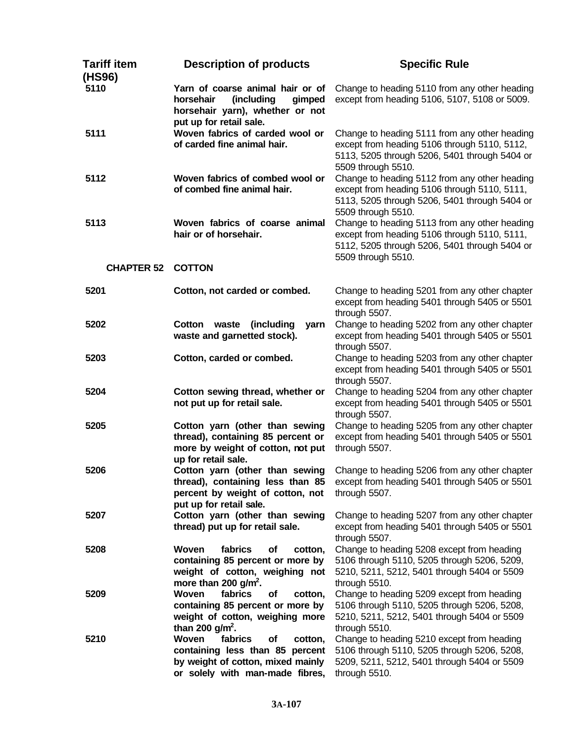| Tariff item<br>(HS96) | <b>Description of products</b>                                                                                                               | <b>Specific Rule</b>                                                                                                                                                 |
|-----------------------|----------------------------------------------------------------------------------------------------------------------------------------------|----------------------------------------------------------------------------------------------------------------------------------------------------------------------|
| 5110                  | Yarn of coarse animal hair or of<br>horsehair<br>(including<br>gimped<br>horsehair yarn), whether or not<br>put up for retail sale.          | Change to heading 5110 from any other heading<br>except from heading 5106, 5107, 5108 or 5009.                                                                       |
| 5111                  | Woven fabrics of carded wool or<br>of carded fine animal hair.                                                                               | Change to heading 5111 from any other heading<br>except from heading 5106 through 5110, 5112,<br>5113, 5205 through 5206, 5401 through 5404 or<br>5509 through 5510. |
| 5112                  | Woven fabrics of combed wool or<br>of combed fine animal hair.                                                                               | Change to heading 5112 from any other heading<br>except from heading 5106 through 5110, 5111,<br>5113, 5205 through 5206, 5401 through 5404 or<br>5509 through 5510. |
| 5113                  | Woven fabrics of coarse animal<br>hair or of horsehair.                                                                                      | Change to heading 5113 from any other heading<br>except from heading 5106 through 5110, 5111,<br>5112, 5205 through 5206, 5401 through 5404 or<br>5509 through 5510. |
| <b>CHAPTER 52</b>     | <b>COTTON</b>                                                                                                                                |                                                                                                                                                                      |
| 5201                  | Cotton, not carded or combed.                                                                                                                | Change to heading 5201 from any other chapter<br>except from heading 5401 through 5405 or 5501<br>through 5507.                                                      |
| 5202                  | (including<br>Cotton<br>waste<br>yarn<br>waste and garnetted stock).                                                                         | Change to heading 5202 from any other chapter<br>except from heading 5401 through 5405 or 5501<br>through 5507.                                                      |
| 5203                  | Cotton, carded or combed.                                                                                                                    | Change to heading 5203 from any other chapter<br>except from heading 5401 through 5405 or 5501<br>through 5507.                                                      |
| 5204                  | Cotton sewing thread, whether or<br>not put up for retail sale.                                                                              | Change to heading 5204 from any other chapter<br>except from heading 5401 through 5405 or 5501<br>through 5507.                                                      |
| 5205                  | Cotton yarn (other than sewing<br>thread), containing 85 percent or<br>more by weight of cotton, not put<br>up for retail sale.              | Change to heading 5205 from any other chapter<br>except from heading 5401 through 5405 or 5501<br>through 5507.                                                      |
| 5206                  | Cotton yarn (other than sewing<br>thread), containing less than 85<br>percent by weight of cotton, not<br>put up for retail sale.            | Change to heading 5206 from any other chapter<br>except from heading 5401 through 5405 or 5501<br>through 5507.                                                      |
| 5207                  | Cotton yarn (other than sewing<br>thread) put up for retail sale.                                                                            | Change to heading 5207 from any other chapter<br>except from heading 5401 through 5405 or 5501<br>through 5507.                                                      |
| 5208                  | Woven<br>fabrics<br>of<br>cotton,<br>containing 85 percent or more by<br>weight of cotton, weighing not<br>more than 200 $g/m^2$ .           | Change to heading 5208 except from heading<br>5106 through 5110, 5205 through 5206, 5209,<br>5210, 5211, 5212, 5401 through 5404 or 5509<br>through 5510.            |
| 5209                  | fabrics<br>Woven<br>of<br>cotton,<br>containing 85 percent or more by<br>weight of cotton, weighing more<br>than 200 $g/m^2$ .               | Change to heading 5209 except from heading<br>5106 through 5110, 5205 through 5206, 5208,<br>5210, 5211, 5212, 5401 through 5404 or 5509<br>through 5510.            |
| 5210                  | Woven<br>fabrics<br>of<br>cotton,<br>containing less than 85 percent<br>by weight of cotton, mixed mainly<br>or solely with man-made fibres, | Change to heading 5210 except from heading<br>5106 through 5110, 5205 through 5206, 5208,<br>5209, 5211, 5212, 5401 through 5404 or 5509<br>through 5510.            |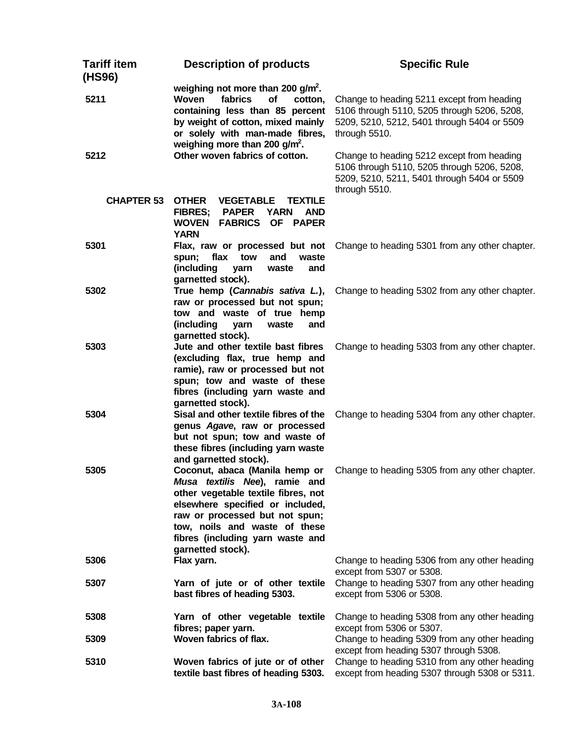| <b>Tariff item</b><br>(HS96) | <b>Description of products</b>                                                                                                                                                                                                                                         | <b>Specific Rule</b>                                                                                                                                      |
|------------------------------|------------------------------------------------------------------------------------------------------------------------------------------------------------------------------------------------------------------------------------------------------------------------|-----------------------------------------------------------------------------------------------------------------------------------------------------------|
| 5211                         | weighing not more than 200 $g/m^2$ .<br><b>Woven</b><br>fabrics<br>of<br>cotton,<br>containing less than 85 percent<br>by weight of cotton, mixed mainly<br>or solely with man-made fibres,<br>weighing more than 200 $g/m^2$ .                                        | Change to heading 5211 except from heading<br>5106 through 5110, 5205 through 5206, 5208,<br>5209, 5210, 5212, 5401 through 5404 or 5509<br>through 5510. |
| 5212                         | Other woven fabrics of cotton.                                                                                                                                                                                                                                         | Change to heading 5212 except from heading<br>5106 through 5110, 5205 through 5206, 5208,<br>5209, 5210, 5211, 5401 through 5404 or 5509<br>through 5510. |
| <b>CHAPTER 53</b>            | <b>OTHER</b><br><b>VEGETABLE</b><br><b>TEXTILE</b><br><b>FIBRES;</b><br><b>PAPER</b><br><b>YARN</b><br><b>AND</b><br><b>WOVEN</b><br><b>FABRICS OF PAPER</b><br><b>YARN</b>                                                                                            |                                                                                                                                                           |
| 5301                         | Flax, raw or processed but not<br>flax<br>tow<br>and<br>waste<br>spun;<br>(including<br>yarn<br>waste<br>and<br>garnetted stock).                                                                                                                                      | Change to heading 5301 from any other chapter.                                                                                                            |
| 5302                         | True hemp (Cannabis sativa L.),<br>raw or processed but not spun;<br>tow and waste of true hemp<br>(including<br>yarn<br>waste<br>and<br>garnetted stock).                                                                                                             | Change to heading 5302 from any other chapter.                                                                                                            |
| 5303                         | Jute and other textile bast fibres<br>(excluding flax, true hemp and<br>ramie), raw or processed but not<br>spun; tow and waste of these<br>fibres (including yarn waste and<br>garnetted stock).                                                                      | Change to heading 5303 from any other chapter.                                                                                                            |
| 5304                         | Sisal and other textile fibres of the<br>genus Agave, raw or processed<br>but not spun; tow and waste of<br>these fibres (including yarn waste<br>and garnetted stock).                                                                                                | Change to heading 5304 from any other chapter.                                                                                                            |
| 5305                         | Coconut, abaca (Manila hemp or<br>Musa textilis Nee), ramie and<br>other vegetable textile fibres, not<br>elsewhere specified or included,<br>raw or processed but not spun;<br>tow, noils and waste of these<br>fibres (including yarn waste and<br>garnetted stock). | Change to heading 5305 from any other chapter.                                                                                                            |
| 5306                         | Flax yarn.                                                                                                                                                                                                                                                             | Change to heading 5306 from any other heading<br>except from 5307 or 5308.                                                                                |
| 5307                         | Yarn of jute or of other textile<br>bast fibres of heading 5303.                                                                                                                                                                                                       | Change to heading 5307 from any other heading<br>except from 5306 or 5308.                                                                                |
| 5308                         | Yarn of other vegetable textile<br>fibres; paper yarn.                                                                                                                                                                                                                 | Change to heading 5308 from any other heading<br>except from 5306 or 5307.                                                                                |
| 5309                         | Woven fabrics of flax.                                                                                                                                                                                                                                                 | Change to heading 5309 from any other heading<br>except from heading 5307 through 5308.                                                                   |
| 5310                         | Woven fabrics of jute or of other<br>textile bast fibres of heading 5303.                                                                                                                                                                                              | Change to heading 5310 from any other heading<br>except from heading 5307 through 5308 or 5311.                                                           |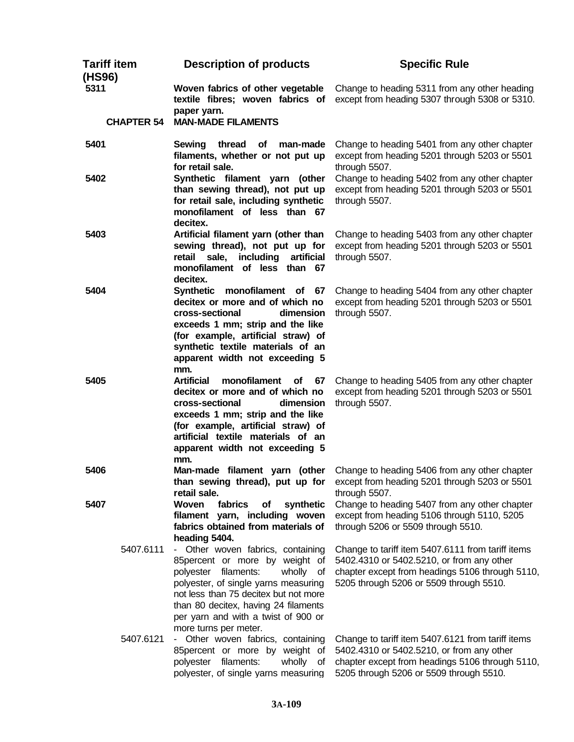| <b>Tariff item</b><br>(HS96) | <b>Description of products</b>                                                                                                                                                                                                                                                                    | <b>Specific Rule</b>                                                                                                                                                                         |
|------------------------------|---------------------------------------------------------------------------------------------------------------------------------------------------------------------------------------------------------------------------------------------------------------------------------------------------|----------------------------------------------------------------------------------------------------------------------------------------------------------------------------------------------|
| 5311                         | Woven fabrics of other vegetable<br>textile fibres; woven fabrics of<br>paper yarn.                                                                                                                                                                                                               | Change to heading 5311 from any other heading<br>except from heading 5307 through 5308 or 5310.                                                                                              |
| <b>CHAPTER 54</b>            | <b>MAN-MADE FILAMENTS</b>                                                                                                                                                                                                                                                                         |                                                                                                                                                                                              |
| 5401                         | Sewing<br>thread<br>man-made<br>of<br>filaments, whether or not put up<br>for retail sale.                                                                                                                                                                                                        | Change to heading 5401 from any other chapter<br>except from heading 5201 through 5203 or 5501<br>through 5507.                                                                              |
| 5402                         | Synthetic filament yarn (other<br>than sewing thread), not put up<br>for retail sale, including synthetic<br>monofilament of less than 67<br>decitex.                                                                                                                                             | Change to heading 5402 from any other chapter<br>except from heading 5201 through 5203 or 5501<br>through 5507.                                                                              |
| 5403                         | Artificial filament yarn (other than<br>sewing thread), not put up for<br>including<br>retail sale,<br>artificial<br>monofilament of less than 67<br>decitex.                                                                                                                                     | Change to heading 5403 from any other chapter<br>except from heading 5201 through 5203 or 5501<br>through 5507.                                                                              |
| 5404                         | Synthetic monofilament of 67<br>decitex or more and of which no<br>cross-sectional<br>dimension<br>exceeds 1 mm; strip and the like<br>(for example, artificial straw) of<br>synthetic textile materials of an<br>apparent width not exceeding 5<br>mm.                                           | Change to heading 5404 from any other chapter<br>except from heading 5201 through 5203 or 5501<br>through 5507.                                                                              |
| 5405                         | <b>Artificial</b><br>monofilament<br><b>of</b><br>67<br>decitex or more and of which no<br>cross-sectional<br>dimension<br>exceeds 1 mm; strip and the like<br>(for example, artificial straw) of<br>artificial textile materials of an<br>apparent width not exceeding 5<br>mm.                  | Change to heading 5405 from any other chapter<br>except from heading 5201 through 5203 or 5501<br>through 5507.                                                                              |
| 5406                         | Man-made filament yarn (other<br>than sewing thread), put up for<br>retail sale.                                                                                                                                                                                                                  | Change to heading 5406 from any other chapter<br>except from heading 5201 through 5203 or 5501<br>through 5507.                                                                              |
| 5407                         | <b>Woven</b><br>fabrics<br>of<br>synthetic<br>filament yarn, including woven<br>fabrics obtained from materials of<br>heading 5404.                                                                                                                                                               | Change to heading 5407 from any other chapter<br>except from heading 5106 through 5110, 5205<br>through 5206 or 5509 through 5510.                                                           |
| 5407.6111                    | - Other woven fabrics, containing<br>85percent or more by weight of<br>polyester filaments:<br>wholly of<br>polyester, of single yarns measuring<br>not less than 75 decitex but not more<br>than 80 decitex, having 24 filaments<br>per yarn and with a twist of 900 or<br>more turns per meter. | Change to tariff item 5407.6111 from tariff items<br>5402.4310 or 5402.5210, or from any other<br>chapter except from headings 5106 through 5110,<br>5205 through 5206 or 5509 through 5510. |
| 5407.6121                    | - Other woven fabrics, containing<br>85percent or more by weight of<br>polyester filaments:<br>wholly of<br>polyester, of single yarns measuring                                                                                                                                                  | Change to tariff item 5407.6121 from tariff items<br>5402.4310 or 5402.5210, or from any other<br>chapter except from headings 5106 through 5110,<br>5205 through 5206 or 5509 through 5510. |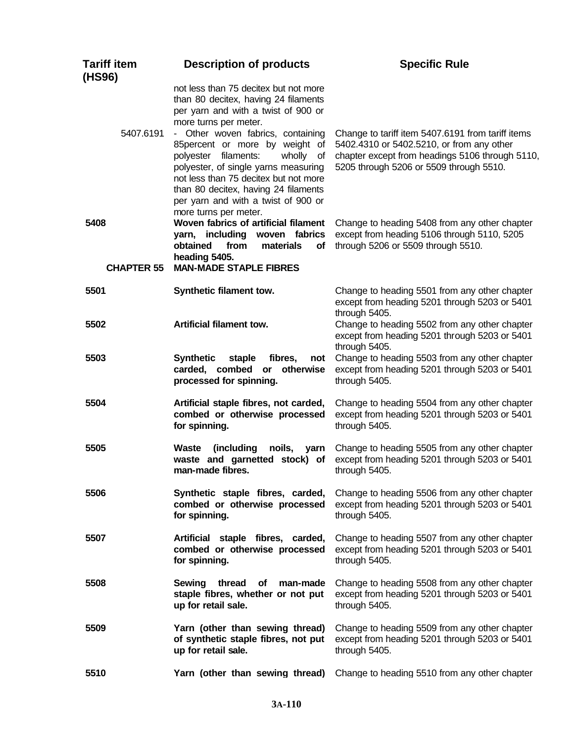| <b>Tariff item</b><br>(HS96) | <b>Description of products</b>                                                                                                                                                                                                                                                                                                                                                                                            | <b>Specific Rule</b>                                                                                                                                                                         |
|------------------------------|---------------------------------------------------------------------------------------------------------------------------------------------------------------------------------------------------------------------------------------------------------------------------------------------------------------------------------------------------------------------------------------------------------------------------|----------------------------------------------------------------------------------------------------------------------------------------------------------------------------------------------|
| 5407.6191                    | not less than 75 decitex but not more<br>than 80 decitex, having 24 filaments<br>per yarn and with a twist of 900 or<br>more turns per meter.<br>- Other woven fabrics, containing<br>85percent or more by weight of<br>polyester filaments:<br>wholly of<br>polyester, of single yarns measuring<br>not less than 75 decitex but not more<br>than 80 decitex, having 24 filaments<br>per yarn and with a twist of 900 or | Change to tariff item 5407.6191 from tariff items<br>5402.4310 or 5402.5210, or from any other<br>chapter except from headings 5106 through 5110,<br>5205 through 5206 or 5509 through 5510. |
| 5408<br><b>CHAPTER 55</b>    | more turns per meter.<br>Woven fabrics of artificial filament<br>yarn, including<br>woven fabrics<br>from<br>obtained<br>materials<br><b>of</b><br>heading 5405.<br><b>MAN-MADE STAPLE FIBRES</b>                                                                                                                                                                                                                         | Change to heading 5408 from any other chapter<br>except from heading 5106 through 5110, 5205<br>through 5206 or 5509 through 5510.                                                           |
| 5501                         | Synthetic filament tow.                                                                                                                                                                                                                                                                                                                                                                                                   | Change to heading 5501 from any other chapter<br>except from heading 5201 through 5203 or 5401<br>through 5405.                                                                              |
| 5502                         | <b>Artificial filament tow.</b>                                                                                                                                                                                                                                                                                                                                                                                           | Change to heading 5502 from any other chapter<br>except from heading 5201 through 5203 or 5401<br>through 5405.                                                                              |
| 5503                         | <b>Synthetic</b><br>staple<br>fibres,<br>not<br>carded, combed<br>otherwise<br>$\mathsf{or}$<br>processed for spinning.                                                                                                                                                                                                                                                                                                   | Change to heading 5503 from any other chapter<br>except from heading 5201 through 5203 or 5401<br>through 5405.                                                                              |
| 5504                         | Artificial staple fibres, not carded,<br>combed or otherwise processed<br>for spinning.                                                                                                                                                                                                                                                                                                                                   | Change to heading 5504 from any other chapter<br>except from heading 5201 through 5203 or 5401<br>through 5405.                                                                              |
| 5505                         | (including<br><b>Waste</b><br>noils,<br>yarn<br>waste and garnetted stock) of<br>man-made fibres.                                                                                                                                                                                                                                                                                                                         | Change to heading 5505 from any other chapter<br>except from heading 5201 through 5203 or 5401<br>through 5405.                                                                              |
| 5506                         | Synthetic staple fibres, carded,<br>combed or otherwise processed<br>for spinning.                                                                                                                                                                                                                                                                                                                                        | Change to heading 5506 from any other chapter<br>except from heading 5201 through 5203 or 5401<br>through 5405.                                                                              |
| 5507                         | Artificial staple fibres, carded,<br>combed or otherwise processed<br>for spinning.                                                                                                                                                                                                                                                                                                                                       | Change to heading 5507 from any other chapter<br>except from heading 5201 through 5203 or 5401<br>through 5405.                                                                              |
| 5508                         | <b>Sewing</b><br>thread<br>Οf<br>man-made<br>staple fibres, whether or not put<br>up for retail sale.                                                                                                                                                                                                                                                                                                                     | Change to heading 5508 from any other chapter<br>except from heading 5201 through 5203 or 5401<br>through 5405.                                                                              |
| 5509                         | Yarn (other than sewing thread)<br>of synthetic staple fibres, not put<br>up for retail sale.                                                                                                                                                                                                                                                                                                                             | Change to heading 5509 from any other chapter<br>except from heading 5201 through 5203 or 5401<br>through 5405.                                                                              |
| 5510                         | Yarn (other than sewing thread)                                                                                                                                                                                                                                                                                                                                                                                           | Change to heading 5510 from any other chapter                                                                                                                                                |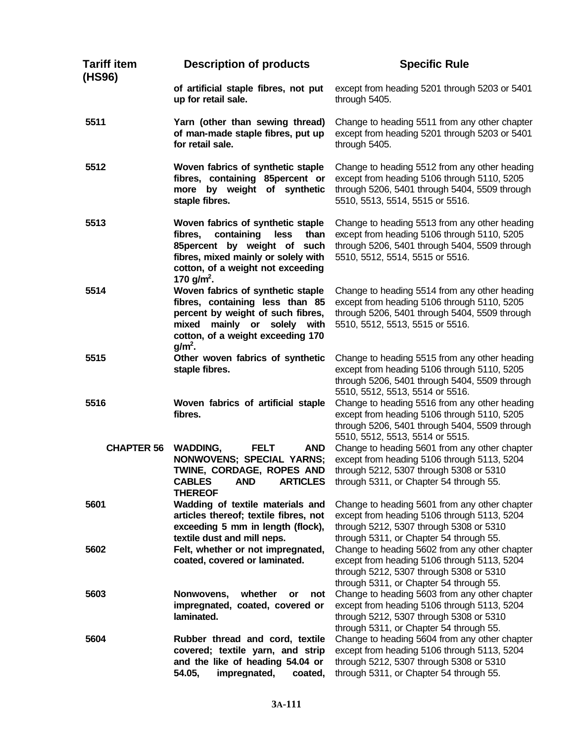| <b>Tariff item</b><br>(HS96) | <b>Description of products</b>                                                                                                                                                                                     | <b>Specific Rule</b>                                                                                                                                                               |
|------------------------------|--------------------------------------------------------------------------------------------------------------------------------------------------------------------------------------------------------------------|------------------------------------------------------------------------------------------------------------------------------------------------------------------------------------|
|                              | of artificial staple fibres, not put<br>up for retail sale.                                                                                                                                                        | except from heading 5201 through 5203 or 5401<br>through 5405.                                                                                                                     |
| 5511                         | Yarn (other than sewing thread)<br>of man-made staple fibres, put up<br>for retail sale.                                                                                                                           | Change to heading 5511 from any other chapter<br>except from heading 5201 through 5203 or 5401<br>through 5405.                                                                    |
| 5512                         | Woven fabrics of synthetic staple<br>fibres, containing 85percent or<br>more by weight of synthetic<br>staple fibres.                                                                                              | Change to heading 5512 from any other heading<br>except from heading 5106 through 5110, 5205<br>through 5206, 5401 through 5404, 5509 through<br>5510, 5513, 5514, 5515 or 5516.   |
| 5513                         | Woven fabrics of synthetic staple<br>containing<br>less<br>than<br>fibres,<br>85percent by weight of<br>such<br>fibres, mixed mainly or solely with<br>cotton, of a weight not exceeding<br>170 g/m <sup>2</sup> . | Change to heading 5513 from any other heading<br>except from heading 5106 through 5110, 5205<br>through 5206, 5401 through 5404, 5509 through<br>5510, 5512, 5514, 5515 or 5516.   |
| 5514                         | Woven fabrics of synthetic staple<br>fibres, containing less than 85<br>percent by weight of such fibres,<br>mainly or solely with<br>mixed<br>cotton, of a weight exceeding 170<br>$g/m2$ .                       | Change to heading 5514 from any other heading<br>except from heading 5106 through 5110, 5205<br>through 5206, 5401 through 5404, 5509 through<br>5510, 5512, 5513, 5515 or 5516.   |
| 5515                         | Other woven fabrics of synthetic<br>staple fibres.                                                                                                                                                                 | Change to heading 5515 from any other heading<br>except from heading 5106 through 5110, 5205<br>through 5206, 5401 through 5404, 5509 through<br>5510, 5512, 5513, 5514 or 5516.   |
| 5516                         | Woven fabrics of artificial staple<br>fibres.                                                                                                                                                                      | Change to heading 5516 from any other heading<br>except from heading 5106 through 5110, 5205<br>through 5206, 5401 through 5404, 5509 through<br>5510, 5512, 5513, 5514 or 5515.   |
| <b>CHAPTER 56</b>            | <b>WADDING,</b><br><b>FELT</b><br><b>AND</b><br><b>NONWOVENS; SPECIAL YARNS;</b><br>TWINE, CORDAGE, ROPES AND<br><b>CABLES</b><br><b>AND</b><br><b>ARTICLES</b><br><b>THEREOF</b>                                  | Change to heading 5601 from any other chapter<br>except from heading 5106 through 5113, 5204<br>through 5212, 5307 through 5308 or 5310<br>through 5311, or Chapter 54 through 55. |
| 5601                         | Wadding of textile materials and<br>articles thereof; textile fibres, not<br>exceeding 5 mm in length (flock),<br>textile dust and mill neps.                                                                      | Change to heading 5601 from any other chapter<br>except from heading 5106 through 5113, 5204<br>through 5212, 5307 through 5308 or 5310<br>through 5311, or Chapter 54 through 55. |
| 5602                         | Felt, whether or not impregnated,<br>coated, covered or laminated.                                                                                                                                                 | Change to heading 5602 from any other chapter<br>except from heading 5106 through 5113, 5204<br>through 5212, 5307 through 5308 or 5310<br>through 5311, or Chapter 54 through 55. |
| 5603                         | whether<br>Nonwovens,<br>or<br>not<br>impregnated, coated, covered or<br>laminated.                                                                                                                                | Change to heading 5603 from any other chapter<br>except from heading 5106 through 5113, 5204<br>through 5212, 5307 through 5308 or 5310<br>through 5311, or Chapter 54 through 55. |
| 5604                         | Rubber thread and cord, textile<br>covered; textile yarn, and strip<br>and the like of heading 54.04 or<br>impregnated,<br>54.05,<br>coated,                                                                       | Change to heading 5604 from any other chapter<br>except from heading 5106 through 5113, 5204<br>through 5212, 5307 through 5308 or 5310<br>through 5311, or Chapter 54 through 55. |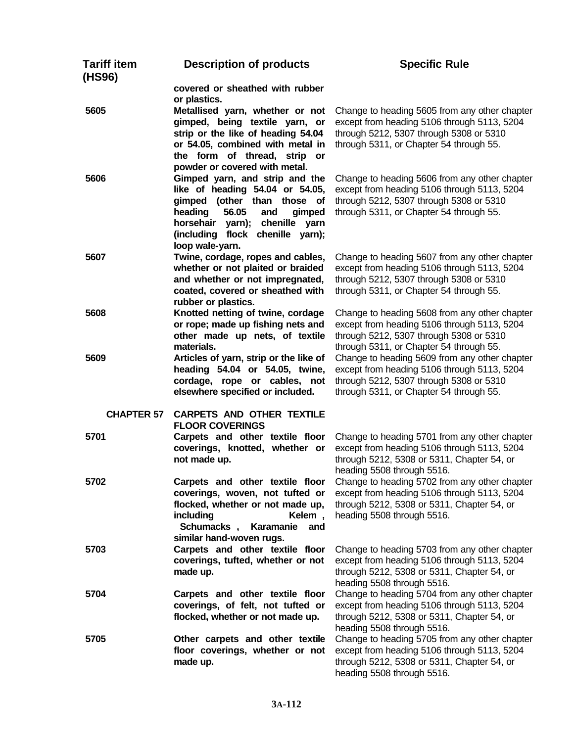| <b>Tariff item</b><br>(HS96) | <b>Description of products</b>                                         | <b>Specific Rule</b>                                                                         |
|------------------------------|------------------------------------------------------------------------|----------------------------------------------------------------------------------------------|
|                              | covered or sheathed with rubber                                        |                                                                                              |
|                              | or plastics.                                                           |                                                                                              |
| 5605                         | Metallised yarn, whether or not                                        | Change to heading 5605 from any other chapter                                                |
|                              | gimped, being textile yarn, or                                         | except from heading 5106 through 5113, 5204                                                  |
|                              | strip or the like of heading 54.04                                     | through 5212, 5307 through 5308 or 5310                                                      |
|                              | or 54.05, combined with metal in                                       | through 5311, or Chapter 54 through 55.                                                      |
|                              | the form of thread, strip or                                           |                                                                                              |
|                              | powder or covered with metal.                                          |                                                                                              |
| 5606                         | Gimped yarn, and strip and the                                         | Change to heading 5606 from any other chapter                                                |
|                              | like of heading 54.04 or 54.05,                                        | except from heading 5106 through 5113, 5204                                                  |
|                              | gimped (other than those of                                            | through 5212, 5307 through 5308 or 5310                                                      |
|                              | 56.05<br>heading<br>and<br>gimped                                      | through 5311, or Chapter 54 through 55.                                                      |
|                              | horsehair yarn); chenille yarn                                         |                                                                                              |
|                              | (including flock chenille yarn);                                       |                                                                                              |
|                              | loop wale-yarn.                                                        |                                                                                              |
| 5607                         | Twine, cordage, ropes and cables,<br>whether or not plaited or braided | Change to heading 5607 from any other chapter                                                |
|                              | and whether or not impregnated,                                        | except from heading 5106 through 5113, 5204<br>through 5212, 5307 through 5308 or 5310       |
|                              | coated, covered or sheathed with                                       | through 5311, or Chapter 54 through 55.                                                      |
|                              | rubber or plastics.                                                    |                                                                                              |
| 5608                         | Knotted netting of twine, cordage                                      | Change to heading 5608 from any other chapter                                                |
|                              | or rope; made up fishing nets and                                      | except from heading 5106 through 5113, 5204                                                  |
|                              | other made up nets, of textile                                         | through 5212, 5307 through 5308 or 5310                                                      |
|                              | materials.                                                             | through 5311, or Chapter 54 through 55.                                                      |
| 5609                         | Articles of yarn, strip or the like of                                 | Change to heading 5609 from any other chapter                                                |
|                              | heading 54.04 or 54.05, twine,                                         | except from heading 5106 through 5113, 5204                                                  |
|                              | cordage, rope or cables, not                                           | through 5212, 5307 through 5308 or 5310                                                      |
|                              | elsewhere specified or included.                                       | through 5311, or Chapter 54 through 55.                                                      |
|                              |                                                                        |                                                                                              |
| <b>CHAPTER 57</b>            | <b>CARPETS AND OTHER TEXTILE</b>                                       |                                                                                              |
|                              | <b>FLOOR COVERINGS</b>                                                 |                                                                                              |
| 5701                         | Carpets and other textile floor                                        | Change to heading 5701 from any other chapter                                                |
|                              | coverings, knotted, whether or                                         | except from heading 5106 through 5113, 5204                                                  |
|                              | not made up.                                                           | through 5212, 5308 or 5311, Chapter 54, or                                                   |
|                              |                                                                        | heading 5508 through 5516.                                                                   |
| 5702                         | Carpets and other textile floor                                        | Change to heading 5702 from any other chapter                                                |
|                              | coverings, woven, not tufted or                                        | except from heading 5106 through 5113, 5204                                                  |
|                              | flocked, whether or not made up,                                       | through 5212, 5308 or 5311, Chapter 54, or                                                   |
|                              | including<br>Kelem,                                                    | heading 5508 through 5516.                                                                   |
|                              | Schumacks,<br>Karamanie<br>and                                         |                                                                                              |
|                              | similar hand-woven rugs.                                               |                                                                                              |
| 5703                         | Carpets and other textile floor<br>coverings, tufted, whether or not   | Change to heading 5703 from any other chapter<br>except from heading 5106 through 5113, 5204 |
|                              | made up.                                                               | through 5212, 5308 or 5311, Chapter 54, or                                                   |
|                              |                                                                        | heading 5508 through 5516.                                                                   |
| 5704                         | Carpets and other textile floor                                        | Change to heading 5704 from any other chapter                                                |
|                              | coverings, of felt, not tufted or                                      | except from heading 5106 through 5113, 5204                                                  |
|                              | flocked, whether or not made up.                                       | through 5212, 5308 or 5311, Chapter 54, or                                                   |
|                              |                                                                        | heading 5508 through 5516.                                                                   |
| 5705                         | Other carpets and other textile                                        | Change to heading 5705 from any other chapter                                                |
|                              | floor coverings, whether or not                                        | except from heading 5106 through 5113, 5204                                                  |
|                              | made up.                                                               | through 5212, 5308 or 5311, Chapter 54, or                                                   |
|                              |                                                                        | heading 5508 through 5516.                                                                   |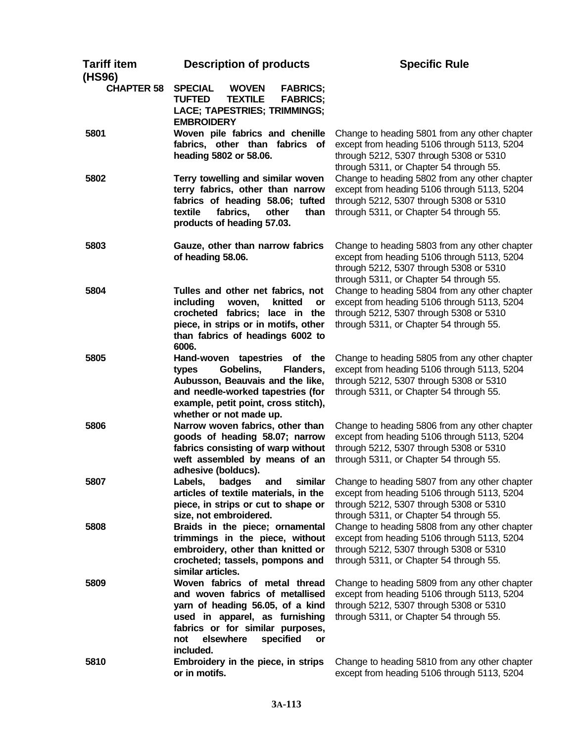| <b>Tariff item</b> | <b>Description of products</b>                                                                                                                                                                                                 | <b>Specific Rule</b>                                                                                                                                                               |
|--------------------|--------------------------------------------------------------------------------------------------------------------------------------------------------------------------------------------------------------------------------|------------------------------------------------------------------------------------------------------------------------------------------------------------------------------------|
| (HS96)             |                                                                                                                                                                                                                                |                                                                                                                                                                                    |
| <b>CHAPTER 58</b>  | <b>SPECIAL</b><br><b>WOVEN</b><br><b>FABRICS;</b><br><b>TUFTED</b><br><b>TEXTILE</b><br><b>FABRICS;</b><br>LACE; TAPESTRIES; TRIMMINGS;<br><b>EMBROIDERY</b>                                                                   |                                                                                                                                                                                    |
| 5801               | Woven pile fabrics and chenille                                                                                                                                                                                                | Change to heading 5801 from any other chapter                                                                                                                                      |
|                    | fabrics, other than fabrics of<br>heading 5802 or 58.06.                                                                                                                                                                       | except from heading 5106 through 5113, 5204<br>through 5212, 5307 through 5308 or 5310<br>through 5311, or Chapter 54 through 55.                                                  |
| 5802               | Terry towelling and similar woven<br>terry fabrics, other than narrow<br>fabrics of heading 58.06; tufted<br>textile<br>fabrics,<br>other<br>than<br>products of heading 57.03.                                                | Change to heading 5802 from any other chapter<br>except from heading 5106 through 5113, 5204<br>through 5212, 5307 through 5308 or 5310<br>through 5311, or Chapter 54 through 55. |
| 5803               | Gauze, other than narrow fabrics<br>of heading 58.06.                                                                                                                                                                          | Change to heading 5803 from any other chapter<br>except from heading 5106 through 5113, 5204<br>through 5212, 5307 through 5308 or 5310<br>through 5311, or Chapter 54 through 55. |
| 5804               | Tulles and other net fabrics, not                                                                                                                                                                                              | Change to heading 5804 from any other chapter                                                                                                                                      |
|                    | including<br>knitted<br>woven,<br>or                                                                                                                                                                                           | except from heading 5106 through 5113, 5204                                                                                                                                        |
|                    | crocheted fabrics; lace in the                                                                                                                                                                                                 | through 5212, 5307 through 5308 or 5310                                                                                                                                            |
|                    | piece, in strips or in motifs, other<br>than fabrics of headings 6002 to<br>6006.                                                                                                                                              | through 5311, or Chapter 54 through 55.                                                                                                                                            |
| 5805               | Hand-woven tapestries of the<br>Gobelins,<br>Flanders,<br>types<br>Aubusson, Beauvais and the like,<br>and needle-worked tapestries (for<br>example, petit point, cross stitch),<br>whether or not made up.                    | Change to heading 5805 from any other chapter<br>except from heading 5106 through 5113, 5204<br>through 5212, 5307 through 5308 or 5310<br>through 5311, or Chapter 54 through 55. |
| 5806               | Narrow woven fabrics, other than                                                                                                                                                                                               | Change to heading 5806 from any other chapter                                                                                                                                      |
|                    | goods of heading 58.07; narrow<br>fabrics consisting of warp without<br>weft assembled by means of an                                                                                                                          | except from heading 5106 through 5113, 5204<br>through 5212, 5307 through 5308 or 5310<br>through 5311, or Chapter 54 through 55.                                                  |
| 5807               | adhesive (bolducs).<br>Labels,<br>badges<br>and<br>similar                                                                                                                                                                     | Change to heading 5807 from any other chapter                                                                                                                                      |
|                    | articles of textile materials, in the<br>piece, in strips or cut to shape or<br>size, not embroidered.                                                                                                                         | except from heading 5106 through 5113, 5204<br>through 5212, 5307 through 5308 or 5310<br>through 5311, or Chapter 54 through 55.                                                  |
| 5808               | Braids in the piece; ornamental<br>trimmings in the piece, without<br>embroidery, other than knitted or<br>crocheted; tassels, pompons and<br>similar articles.                                                                | Change to heading 5808 from any other chapter<br>except from heading 5106 through 5113, 5204<br>through 5212, 5307 through 5308 or 5310<br>through 5311, or Chapter 54 through 55. |
| 5809               | Woven fabrics of metal thread<br>and woven fabrics of metallised<br>yarn of heading 56.05, of a kind<br>used in apparel, as furnishing<br>fabrics or for similar purposes,<br>elsewhere<br>specified<br>not<br>or<br>included. | Change to heading 5809 from any other chapter<br>except from heading 5106 through 5113, 5204<br>through 5212, 5307 through 5308 or 5310<br>through 5311, or Chapter 54 through 55. |
| 5810               | Embroidery in the piece, in strips<br>or in motifs.                                                                                                                                                                            | Change to heading 5810 from any other chapter<br>except from heading 5106 through 5113, 5204                                                                                       |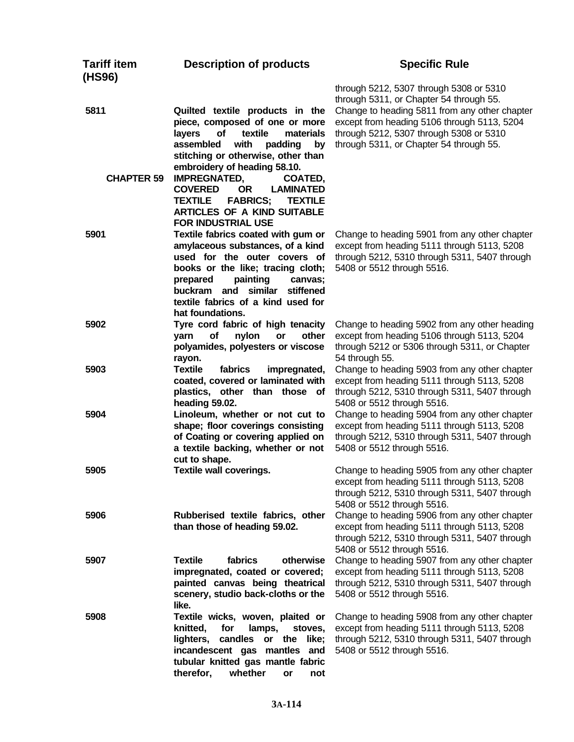| <b>Tariff item</b><br>(HS96) | <b>Description of products</b>                                                                                                                                                                                                                                                                                                                                                                                                       | <b>Specific Rule</b>                                                                                                                                                                                                                                                     |
|------------------------------|--------------------------------------------------------------------------------------------------------------------------------------------------------------------------------------------------------------------------------------------------------------------------------------------------------------------------------------------------------------------------------------------------------------------------------------|--------------------------------------------------------------------------------------------------------------------------------------------------------------------------------------------------------------------------------------------------------------------------|
| 5811<br><b>CHAPTER 59</b>    | Quilted textile products in the<br>piece, composed of one or more<br>of<br>textile<br>materials<br>layers<br>with<br>assembled<br>padding<br>by<br>stitching or otherwise, other than<br>embroidery of heading 58.10.<br><b>IMPREGNATED,</b><br>COATED,<br><b>OR</b><br><b>COVERED</b><br><b>LAMINATED</b><br><b>TEXTILE</b><br><b>FABRICS;</b><br><b>TEXTILE</b><br><b>ARTICLES OF A KIND SUITABLE</b><br><b>FOR INDUSTRIAL USE</b> | through 5212, 5307 through 5308 or 5310<br>through 5311, or Chapter 54 through 55.<br>Change to heading 5811 from any other chapter<br>except from heading 5106 through 5113, 5204<br>through 5212, 5307 through 5308 or 5310<br>through 5311, or Chapter 54 through 55. |
| 5901                         | Textile fabrics coated with gum or<br>amylaceous substances, of a kind<br>used for the outer covers of<br>books or the like; tracing cloth;<br>painting<br>prepared<br>canvas;<br>and similar<br>stiffened<br>buckram<br>textile fabrics of a kind used for<br>hat foundations.                                                                                                                                                      | Change to heading 5901 from any other chapter<br>except from heading 5111 through 5113, 5208<br>through 5212, 5310 through 5311, 5407 through<br>5408 or 5512 through 5516.                                                                                              |
| 5902                         | Tyre cord fabric of high tenacity<br>of<br>nylon<br>other<br>yarn<br>or<br>polyamides, polyesters or viscose<br>rayon.                                                                                                                                                                                                                                                                                                               | Change to heading 5902 from any other heading<br>except from heading 5106 through 5113, 5204<br>through 5212 or 5306 through 5311, or Chapter<br>54 through 55.                                                                                                          |
| 5903                         | <b>Textile</b><br>fabrics<br>impregnated,<br>coated, covered or laminated with<br>plastics, other than those of<br>heading 59.02.                                                                                                                                                                                                                                                                                                    | Change to heading 5903 from any other chapter<br>except from heading 5111 through 5113, 5208<br>through 5212, 5310 through 5311, 5407 through<br>5408 or 5512 through 5516.                                                                                              |
| 5904                         | Linoleum, whether or not cut to<br>shape; floor coverings consisting<br>of Coating or covering applied on<br>a textile backing, whether or not<br>cut to shape.                                                                                                                                                                                                                                                                      | Change to heading 5904 from any other chapter<br>except from heading 5111 through 5113, 5208<br>through 5212, 5310 through 5311, 5407 through<br>5408 or 5512 through 5516.                                                                                              |
| 5905                         | <b>Textile wall coverings.</b>                                                                                                                                                                                                                                                                                                                                                                                                       | Change to heading 5905 from any other chapter<br>except from heading 5111 through 5113, 5208<br>through 5212, 5310 through 5311, 5407 through<br>5408 or 5512 through 5516.                                                                                              |
| 5906                         | Rubberised textile fabrics, other<br>than those of heading 59.02.                                                                                                                                                                                                                                                                                                                                                                    | Change to heading 5906 from any other chapter<br>except from heading 5111 through 5113, 5208<br>through 5212, 5310 through 5311, 5407 through<br>5408 or 5512 through 5516.                                                                                              |
| 5907                         | <b>Textile</b><br>fabrics<br>otherwise<br>impregnated, coated or covered;<br>painted canvas being theatrical<br>scenery, studio back-cloths or the<br>like.                                                                                                                                                                                                                                                                          | Change to heading 5907 from any other chapter<br>except from heading 5111 through 5113, 5208<br>through 5212, 5310 through 5311, 5407 through<br>5408 or 5512 through 5516.                                                                                              |
| 5908                         | Textile wicks, woven, plaited or<br>knitted,<br>for<br>lamps,<br>stoves,<br>candles<br>or the like;<br>lighters,<br>incandescent gas mantles and<br>tubular knitted gas mantle fabric<br>therefor,<br>whether<br>or<br>not                                                                                                                                                                                                           | Change to heading 5908 from any other chapter<br>except from heading 5111 through 5113, 5208<br>through 5212, 5310 through 5311, 5407 through<br>5408 or 5512 through 5516.                                                                                              |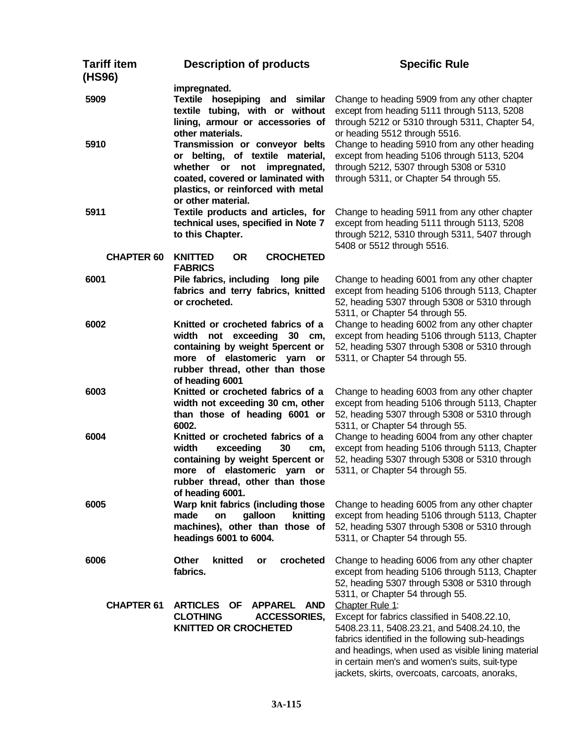| <b>Tariff item</b><br>(HS96) | <b>Description of products</b>                                                                                                                                                                        | <b>Specific Rule</b>                                                                                                                                                                                                                                                                                                        |
|------------------------------|-------------------------------------------------------------------------------------------------------------------------------------------------------------------------------------------------------|-----------------------------------------------------------------------------------------------------------------------------------------------------------------------------------------------------------------------------------------------------------------------------------------------------------------------------|
| 5909                         | impregnated.<br>Textile hosepiping and similar<br>textile tubing, with or without<br>lining, armour or accessories of<br>other materials.                                                             | Change to heading 5909 from any other chapter<br>except from heading 5111 through 5113, 5208<br>through 5212 or 5310 through 5311, Chapter 54,<br>or heading 5512 through 5516.                                                                                                                                             |
| 5910                         | Transmission or conveyor belts<br>or belting, of textile material,<br>impregnated,<br>whether or not<br>coated, covered or laminated with<br>plastics, or reinforced with metal<br>or other material. | Change to heading 5910 from any other heading<br>except from heading 5106 through 5113, 5204<br>through 5212, 5307 through 5308 or 5310<br>through 5311, or Chapter 54 through 55.                                                                                                                                          |
| 5911                         | Textile products and articles, for<br>technical uses, specified in Note 7<br>to this Chapter.                                                                                                         | Change to heading 5911 from any other chapter<br>except from heading 5111 through 5113, 5208<br>through 5212, 5310 through 5311, 5407 through<br>5408 or 5512 through 5516.                                                                                                                                                 |
| <b>CHAPTER 60</b>            | <b>CROCHETED</b><br><b>KNITTED</b><br><b>OR</b><br><b>FABRICS</b>                                                                                                                                     |                                                                                                                                                                                                                                                                                                                             |
| 6001                         | Pile fabrics, including<br>long pile<br>fabrics and terry fabrics, knitted<br>or crocheted.                                                                                                           | Change to heading 6001 from any other chapter<br>except from heading 5106 through 5113, Chapter<br>52, heading 5307 through 5308 or 5310 through<br>5311, or Chapter 54 through 55.                                                                                                                                         |
| 6002                         | Knitted or crocheted fabrics of a<br>not exceeding<br>width<br>30 cm,<br>containing by weight 5percent or<br>more of elastomeric yarn or<br>rubber thread, other than those<br>of heading 6001        | Change to heading 6002 from any other chapter<br>except from heading 5106 through 5113, Chapter<br>52, heading 5307 through 5308 or 5310 through<br>5311, or Chapter 54 through 55.                                                                                                                                         |
| 6003                         | Knitted or crocheted fabrics of a<br>width not exceeding 30 cm, other<br>than those of heading 6001 or<br>6002.                                                                                       | Change to heading 6003 from any other chapter<br>except from heading 5106 through 5113, Chapter<br>52, heading 5307 through 5308 or 5310 through<br>5311, or Chapter 54 through 55.                                                                                                                                         |
| 6004                         | Knitted or crocheted fabrics of a<br>width<br>exceeding<br>30<br>cm,<br>containing by weight 5percent or<br>more of elastomeric yarn<br>or<br>rubber thread, other than those<br>of heading 6001.     | Change to heading 6004 from any other chapter<br>except from heading 5106 through 5113, Chapter<br>52, heading 5307 through 5308 or 5310 through<br>5311, or Chapter 54 through 55.                                                                                                                                         |
| 6005                         | Warp knit fabrics (including those<br>galloon<br>knitting<br>made<br>on<br>machines), other than those of<br>headings 6001 to 6004.                                                                   | Change to heading 6005 from any other chapter<br>except from heading 5106 through 5113, Chapter<br>52, heading 5307 through 5308 or 5310 through<br>5311, or Chapter 54 through 55.                                                                                                                                         |
| 6006                         | Other<br>knitted<br>crocheted<br>or<br>fabrics.                                                                                                                                                       | Change to heading 6006 from any other chapter<br>except from heading 5106 through 5113, Chapter<br>52, heading 5307 through 5308 or 5310 through<br>5311, or Chapter 54 through 55.                                                                                                                                         |
| <b>CHAPTER 61</b>            | <b>ARTICLES</b><br><b>OF</b><br><b>APPAREL</b><br><b>AND</b><br><b>CLOTHING</b><br><b>ACCESSORIES,</b><br><b>KNITTED OR CROCHETED</b>                                                                 | Chapter Rule 1:<br>Except for fabrics classified in 5408.22.10,<br>5408.23.11, 5408.23.21, and 5408.24.10, the<br>fabrics identified in the following sub-headings<br>and headings, when used as visible lining material<br>in certain men's and women's suits, suit-type<br>jackets, skirts, overcoats, carcoats, anoraks, |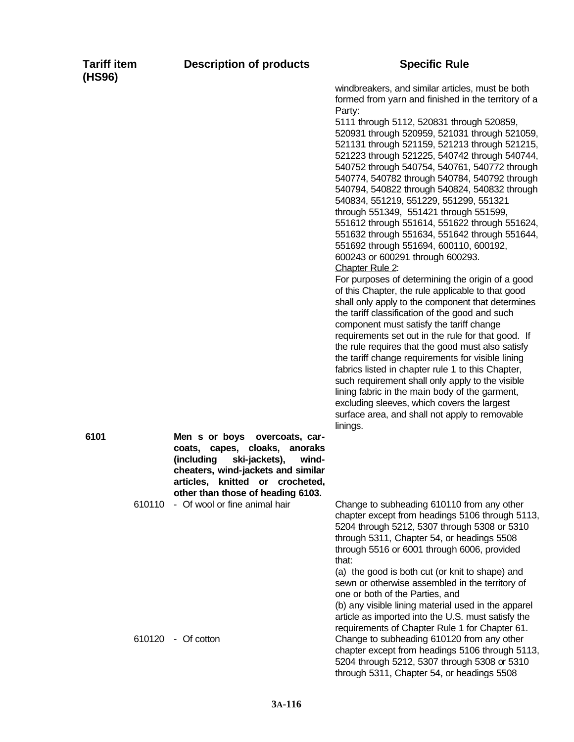| <b>Tariff item</b> |  |
|--------------------|--|
| (HS96)             |  |

windbreakers, and similar articles, must be both formed from yarn and finished in the territory of a Party:

5111 through 5112, 520831 through 520859, 520931 through 520959, 521031 through 521059, 521131 through 521159, 521213 through 521215, 521223 through 521225, 540742 through 540744, 540752 through 540754, 540761, 540772 through 540774, 540782 through 540784, 540792 through 540794, 540822 through 540824, 540832 through 540834, 551219, 551229, 551299, 551321 through 551349, 551421 through 551599, 551612 through 551614, 551622 through 551624, 551632 through 551634, 551642 through 551644, 551692 through 551694, 600110, 600192, 600243 or 600291 through 600293.

Chapter Rule 2:

For purposes of determining the origin of a good of this Chapter, the rule applicable to that good shall only apply to the component that determines the tariff classification of the good and such component must satisfy the tariff change requirements set out in the rule for that good. If the rule requires that the good must also satisfy the tariff change requirements for visible lining fabrics listed in chapter rule 1 to this Chapter, such requirement shall only apply to the visible lining fabric in the main body of the garment, excluding sleeves, which covers the largest surface area, and shall not apply to removable linings.

**6101 Men s or boys overcoats, carcoats, capes, cloaks, anoraks (including ski-jackets), windcheaters, wind-jackets and similar articles, knitted or crocheted, other than those of heading 6103.** 610110 - Of wool or fine animal hair Change to subheading 610110 from any other

chapter except from headings 5106 through 5113, 5204 through 5212, 5307 through 5308 or 5310 through 5311, Chapter 54, or headings 5508 through 5516 or 6001 through 6006, provided that:

(a) the good is both cut (or knit to shape) and sewn or otherwise assembled in the territory of one or both of the Parties, and

(b) any visible lining material used in the apparel article as imported into the U.S. must satisfy the requirements of Chapter Rule 1 for Chapter 61. 610120 - Of cotton Change to subheading 610120 from any other chapter except from headings 5106 through 5113, 5204 through 5212, 5307 through 5308 or 5310 through 5311, Chapter 54, or headings 5508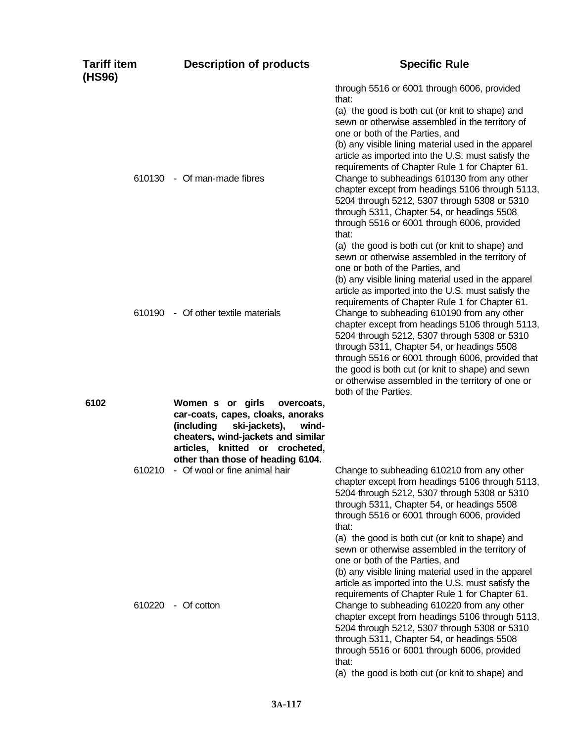| <b>Tariff item</b><br>(HS96) | <b>Description of products</b>                                                                                                                                                                                                                             | <b>Specific Rule</b>                                                                                                                                                                                                                                                                                                                                                                                                                                                                                                                                                                                                                                                                              |
|------------------------------|------------------------------------------------------------------------------------------------------------------------------------------------------------------------------------------------------------------------------------------------------------|---------------------------------------------------------------------------------------------------------------------------------------------------------------------------------------------------------------------------------------------------------------------------------------------------------------------------------------------------------------------------------------------------------------------------------------------------------------------------------------------------------------------------------------------------------------------------------------------------------------------------------------------------------------------------------------------------|
| 610130                       | - Of man-made fibres                                                                                                                                                                                                                                       | through 5516 or 6001 through 6006, provided<br>that:<br>(a) the good is both cut (or knit to shape) and<br>sewn or otherwise assembled in the territory of<br>one or both of the Parties, and<br>(b) any visible lining material used in the apparel<br>article as imported into the U.S. must satisfy the<br>requirements of Chapter Rule 1 for Chapter 61.<br>Change to subheadings 610130 from any other<br>chapter except from headings 5106 through 5113,<br>5204 through 5212, 5307 through 5308 or 5310<br>through 5311, Chapter 54, or headings 5508<br>through 5516 or 6001 through 6006, provided                                                                                       |
| 610190                       | - Of other textile materials                                                                                                                                                                                                                               | that:<br>(a) the good is both cut (or knit to shape) and<br>sewn or otherwise assembled in the territory of<br>one or both of the Parties, and<br>(b) any visible lining material used in the apparel<br>article as imported into the U.S. must satisfy the<br>requirements of Chapter Rule 1 for Chapter 61.<br>Change to subheading 610190 from any other<br>chapter except from headings 5106 through 5113,<br>5204 through 5212, 5307 through 5308 or 5310<br>through 5311, Chapter 54, or headings 5508<br>through 5516 or 6001 through 6006, provided that<br>the good is both cut (or knit to shape) and sewn<br>or otherwise assembled in the territory of one or<br>both of the Parties. |
| 6102<br>610210               | Women s or girls<br>overcoats,<br>car-coats, capes, cloaks, anoraks<br>ski-jackets),<br>(including<br>wind-<br>cheaters, wind-jackets and similar<br>articles, knitted or crocheted,<br>other than those of heading 6104.<br>- Of wool or fine animal hair | Change to subheading 610210 from any other<br>chapter except from headings 5106 through 5113,<br>5204 through 5212, 5307 through 5308 or 5310<br>through 5311, Chapter 54, or headings 5508<br>through 5516 or 6001 through 6006, provided<br>that:<br>(a) the good is both cut (or knit to shape) and                                                                                                                                                                                                                                                                                                                                                                                            |
| 610220                       | - Of cotton                                                                                                                                                                                                                                                | sewn or otherwise assembled in the territory of<br>one or both of the Parties, and<br>(b) any visible lining material used in the apparel<br>article as imported into the U.S. must satisfy the<br>requirements of Chapter Rule 1 for Chapter 61.<br>Change to subheading 610220 from any other<br>chapter except from headings 5106 through 5113,<br>5204 through 5212, 5307 through 5308 or 5310<br>through 5311, Chapter 54, or headings 5508<br>through 5516 or 6001 through 6006, provided<br>that:<br>(a) the good is both cut (or knit to shape) and                                                                                                                                       |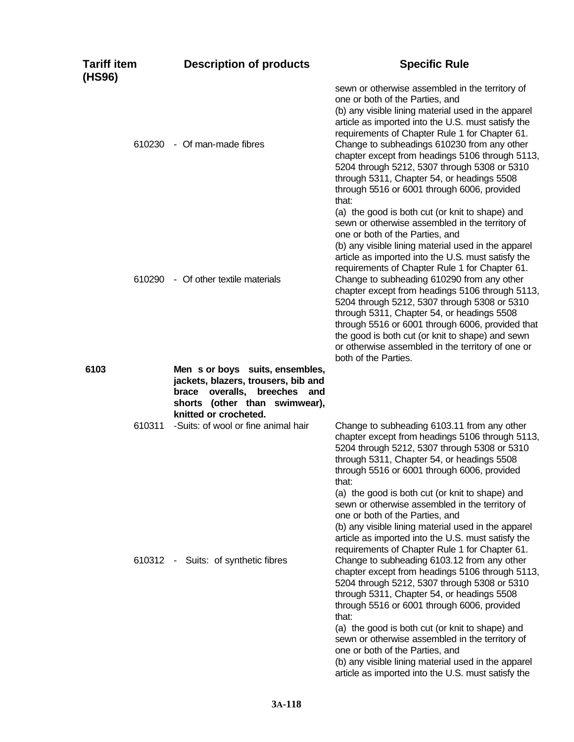| <b>Tariff item</b><br>(HS96) | <b>Description of products</b>                                                                                                             | <b>Specific Rule</b>                                                                                                                                                                                                                                                                                                                                                                                                                                                                                                                                                                                                                                                                     |
|------------------------------|--------------------------------------------------------------------------------------------------------------------------------------------|------------------------------------------------------------------------------------------------------------------------------------------------------------------------------------------------------------------------------------------------------------------------------------------------------------------------------------------------------------------------------------------------------------------------------------------------------------------------------------------------------------------------------------------------------------------------------------------------------------------------------------------------------------------------------------------|
|                              | 610230 - Of man-made fibres                                                                                                                | sewn or otherwise assembled in the territory of<br>one or both of the Parties, and<br>(b) any visible lining material used in the apparel<br>article as imported into the U.S. must satisfy the<br>requirements of Chapter Rule 1 for Chapter 61.<br>Change to subheadings 610230 from any other<br>chapter except from headings 5106 through 5113,<br>5204 through 5212, 5307 through 5308 or 5310<br>through 5311, Chapter 54, or headings 5508<br>through 5516 or 6001 through 6006, provided<br>that:                                                                                                                                                                                |
| 610290                       | - Of other textile materials                                                                                                               | (a) the good is both cut (or knit to shape) and<br>sewn or otherwise assembled in the territory of<br>one or both of the Parties, and<br>(b) any visible lining material used in the apparel<br>article as imported into the U.S. must satisfy the<br>requirements of Chapter Rule 1 for Chapter 61.<br>Change to subheading 610290 from any other<br>chapter except from headings 5106 through 5113,<br>5204 through 5212, 5307 through 5308 or 5310<br>through 5311, Chapter 54, or headings 5508<br>through 5516 or 6001 through 6006, provided that<br>the good is both cut (or knit to shape) and sewn<br>or otherwise assembled in the territory of one or<br>both of the Parties. |
| 6103                         | Men s or boys suits, ensembles,<br>jackets, blazers, trousers, bib and<br>brace overalls,<br>breeches and<br>shorts (other than swimwear), |                                                                                                                                                                                                                                                                                                                                                                                                                                                                                                                                                                                                                                                                                          |
| 610311                       | knitted or crocheted.<br>-Suits: of wool or fine animal hair                                                                               | Change to subheading 6103.11 from any other<br>chapter except from headings 5106 through 5113,<br>5204 through 5212, 5307 through 5308 or 5310<br>through 5311, Chapter 54, or headings 5508<br>through 5516 or 6001 through 6006, provided<br>that:<br>(a) the good is both cut (or knit to shape) and                                                                                                                                                                                                                                                                                                                                                                                  |
|                              | 610312 - Suits: of synthetic fibres                                                                                                        | sewn or otherwise assembled in the territory of<br>one or both of the Parties, and<br>(b) any visible lining material used in the apparel<br>article as imported into the U.S. must satisfy the<br>requirements of Chapter Rule 1 for Chapter 61.<br>Change to subheading 6103.12 from any other<br>chapter except from headings 5106 through 5113,<br>5204 through 5212, 5307 through 5308 or 5310<br>through 5311, Chapter 54, or headings 5508<br>through 5516 or 6001 through 6006, provided                                                                                                                                                                                         |
|                              |                                                                                                                                            | that:<br>(a) the good is both cut (or knit to shape) and<br>sewn or otherwise assembled in the territory of<br>one or both of the Parties, and<br>(b) any visible lining material used in the apparel<br>article as imported into the U.S. must satisfy the                                                                                                                                                                                                                                                                                                                                                                                                                              |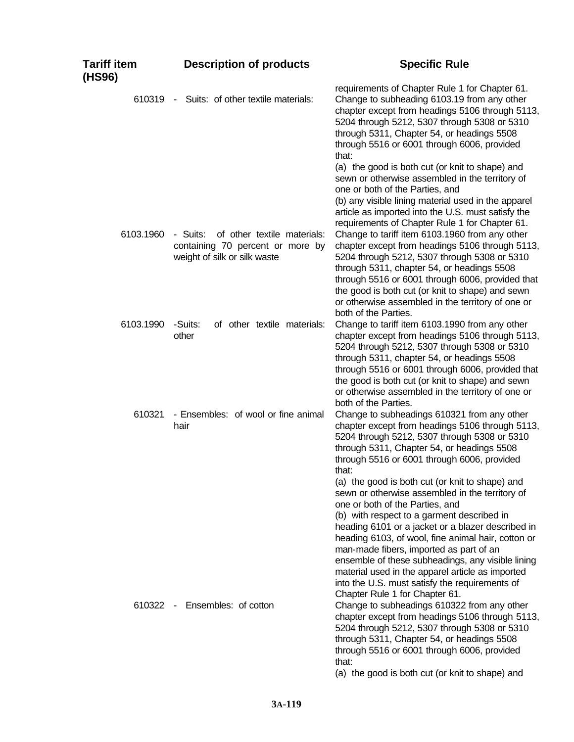| <b>Tariff item</b><br>(HS96) | <b>Description of products</b>                                                                              | <b>Specific Rule</b>                                                                                                                                                                                                                                                                                                                                                                                                                                                                                                                   |
|------------------------------|-------------------------------------------------------------------------------------------------------------|----------------------------------------------------------------------------------------------------------------------------------------------------------------------------------------------------------------------------------------------------------------------------------------------------------------------------------------------------------------------------------------------------------------------------------------------------------------------------------------------------------------------------------------|
| 610319                       | Suits: of other textile materials:<br>$\sim$                                                                | requirements of Chapter Rule 1 for Chapter 61.<br>Change to subheading 6103.19 from any other<br>chapter except from headings 5106 through 5113,<br>5204 through 5212, 5307 through 5308 or 5310<br>through 5311, Chapter 54, or headings 5508<br>through 5516 or 6001 through 6006, provided<br>that:<br>(a) the good is both cut (or knit to shape) and                                                                                                                                                                              |
|                              |                                                                                                             | sewn or otherwise assembled in the territory of<br>one or both of the Parties, and<br>(b) any visible lining material used in the apparel<br>article as imported into the U.S. must satisfy the<br>requirements of Chapter Rule 1 for Chapter 61.                                                                                                                                                                                                                                                                                      |
| 6103.1960                    | - Suits:<br>of other textile materials:<br>containing 70 percent or more by<br>weight of silk or silk waste | Change to tariff item 6103.1960 from any other<br>chapter except from headings 5106 through 5113,<br>5204 through 5212, 5307 through 5308 or 5310<br>through 5311, chapter 54, or headings 5508<br>through 5516 or 6001 through 6006, provided that<br>the good is both cut (or knit to shape) and sewn<br>or otherwise assembled in the territory of one or<br>both of the Parties.                                                                                                                                                   |
| 6103.1990                    | of other textile materials:<br>-Suits:<br>other                                                             | Change to tariff item 6103.1990 from any other<br>chapter except from headings 5106 through 5113,<br>5204 through 5212, 5307 through 5308 or 5310<br>through 5311, chapter 54, or headings 5508<br>through 5516 or 6001 through 6006, provided that<br>the good is both cut (or knit to shape) and sewn<br>or otherwise assembled in the territory of one or<br>both of the Parties.                                                                                                                                                   |
| 610321                       | - Ensembles: of wool or fine animal<br>hair                                                                 | Change to subheadings 610321 from any other<br>chapter except from headings 5106 through 5113,<br>5204 through 5212, 5307 through 5308 or 5310<br>through 5311, Chapter 54, or headings 5508<br>through 5516 or 6001 through 6006, provided<br>that:                                                                                                                                                                                                                                                                                   |
|                              |                                                                                                             | (a) the good is both cut (or knit to shape) and<br>sewn or otherwise assembled in the territory of<br>one or both of the Parties, and<br>(b) with respect to a garment described in<br>heading 6101 or a jacket or a blazer described in<br>heading 6103, of wool, fine animal hair, cotton or<br>man-made fibers, imported as part of an<br>ensemble of these subheadings, any visible lining<br>material used in the apparel article as imported<br>into the U.S. must satisfy the requirements of<br>Chapter Rule 1 for Chapter 61. |
| $610322 -$                   | Ensembles: of cotton                                                                                        | Change to subheadings 610322 from any other<br>chapter except from headings 5106 through 5113,<br>5204 through 5212, 5307 through 5308 or 5310<br>through 5311, Chapter 54, or headings 5508<br>through 5516 or 6001 through 6006, provided<br>that:<br>(a) the good is both cut (or knit to shape) and                                                                                                                                                                                                                                |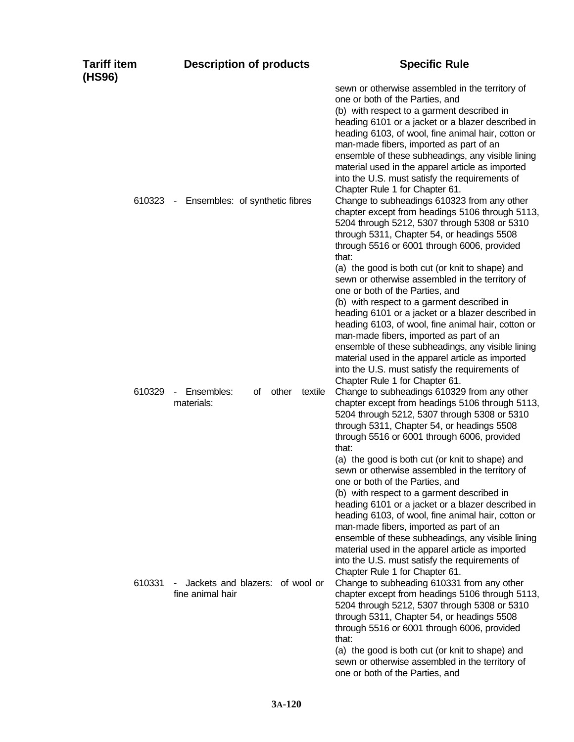|                                                              | sewn or otherwise assembled in the territory of                                                                                                                                                                                                                                                                                                                                                                                                                                                                                                                                                                                                                                                                                                                                                                                                                                                     |
|--------------------------------------------------------------|-----------------------------------------------------------------------------------------------------------------------------------------------------------------------------------------------------------------------------------------------------------------------------------------------------------------------------------------------------------------------------------------------------------------------------------------------------------------------------------------------------------------------------------------------------------------------------------------------------------------------------------------------------------------------------------------------------------------------------------------------------------------------------------------------------------------------------------------------------------------------------------------------------|
| 610323 - Ensembles: of synthetic fibres                      | one or both of the Parties, and<br>(b) with respect to a garment described in<br>heading 6101 or a jacket or a blazer described in<br>heading 6103, of wool, fine animal hair, cotton or<br>man-made fibers, imported as part of an<br>ensemble of these subheadings, any visible lining<br>material used in the apparel article as imported<br>into the U.S. must satisfy the requirements of<br>Chapter Rule 1 for Chapter 61.<br>Change to subheadings 610323 from any other<br>chapter except from headings 5106 through 5113,<br>5204 through 5212, 5307 through 5308 or 5310<br>through 5311, Chapter 54, or headings 5508<br>through 5516 or 6001 through 6006, provided<br>that:                                                                                                                                                                                                            |
| Ensembles:<br>other<br>of<br>textile<br>$\sim$<br>materials: | (a) the good is both cut (or knit to shape) and<br>sewn or otherwise assembled in the territory of<br>one or both of the Parties, and<br>(b) with respect to a garment described in<br>heading 6101 or a jacket or a blazer described in<br>heading 6103, of wool, fine animal hair, cotton or<br>man-made fibers, imported as part of an<br>ensemble of these subheadings, any visible lining<br>material used in the apparel article as imported<br>into the U.S. must satisfy the requirements of<br>Chapter Rule 1 for Chapter 61.<br>Change to subheadings 610329 from any other<br>chapter except from headings 5106 through 5113,<br>5204 through 5212, 5307 through 5308 or 5310<br>through 5311, Chapter 54, or headings 5508<br>through 5516 or 6001 through 6006, provided<br>that:                                                                                                      |
| Jackets and blazers: of wool or<br>fine animal hair          | (a) the good is both cut (or knit to shape) and<br>sewn or otherwise assembled in the territory of<br>one or both of the Parties, and<br>(b) with respect to a garment described in<br>heading 6101 or a jacket or a blazer described in<br>heading 6103, of wool, fine animal hair, cotton or<br>man-made fibers, imported as part of an<br>ensemble of these subheadings, any visible lining<br>material used in the apparel article as imported<br>into the U.S. must satisfy the requirements of<br>Chapter Rule 1 for Chapter 61.<br>Change to subheading 610331 from any other<br>chapter except from headings 5106 through 5113,<br>5204 through 5212, 5307 through 5308 or 5310<br>through 5311, Chapter 54, or headings 5508<br>through 5516 or 6001 through 6006, provided<br>that:<br>(a) the good is both cut (or knit to shape) and<br>sewn or otherwise assembled in the territory of |
|                                                              |                                                                                                                                                                                                                                                                                                                                                                                                                                                                                                                                                                                                                                                                                                                                                                                                                                                                                                     |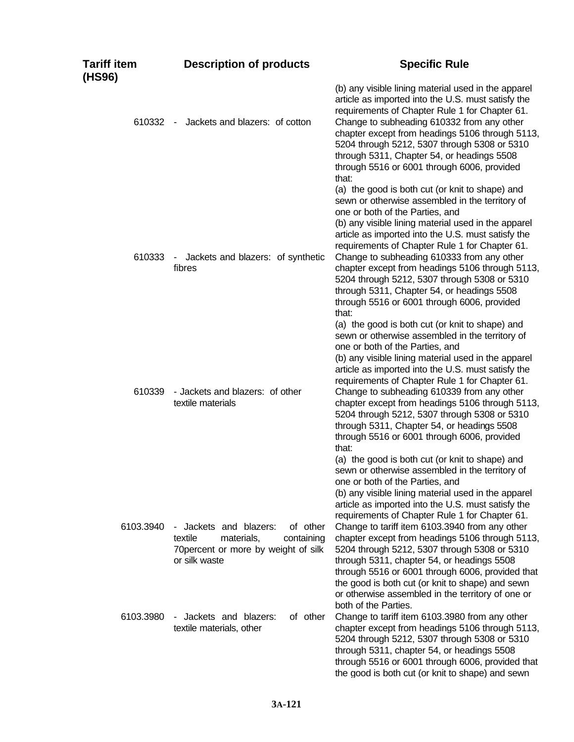| Tariff item<br>(HS96) | <b>Description of products</b>                                                                                                                     | <b>Specific Rule</b>                                                                                                                                                                                                                                                                                                                                                                                                                                                                                                                                                                                                                                                 |
|-----------------------|----------------------------------------------------------------------------------------------------------------------------------------------------|----------------------------------------------------------------------------------------------------------------------------------------------------------------------------------------------------------------------------------------------------------------------------------------------------------------------------------------------------------------------------------------------------------------------------------------------------------------------------------------------------------------------------------------------------------------------------------------------------------------------------------------------------------------------|
| 610332                | Jackets and blazers: of cotton<br>$\sim$                                                                                                           | (b) any visible lining material used in the apparel<br>article as imported into the U.S. must satisfy the<br>requirements of Chapter Rule 1 for Chapter 61.<br>Change to subheading 610332 from any other<br>chapter except from headings 5106 through 5113,<br>5204 through 5212, 5307 through 5308 or 5310<br>through 5311, Chapter 54, or headings 5508<br>through 5516 or 6001 through 6006, provided<br>that:                                                                                                                                                                                                                                                   |
| 610333                | Jackets and blazers: of synthetic<br>$\sim$<br>fibres                                                                                              | (a) the good is both cut (or knit to shape) and<br>sewn or otherwise assembled in the territory of<br>one or both of the Parties, and<br>(b) any visible lining material used in the apparel<br>article as imported into the U.S. must satisfy the<br>requirements of Chapter Rule 1 for Chapter 61.<br>Change to subheading 610333 from any other<br>chapter except from headings 5106 through 5113,<br>5204 through 5212, 5307 through 5308 or 5310<br>through 5311, Chapter 54, or headings 5508<br>through 5516 or 6001 through 6006, provided<br>that:                                                                                                          |
| 610339                | - Jackets and blazers: of other<br>textile materials                                                                                               | (a) the good is both cut (or knit to shape) and<br>sewn or otherwise assembled in the territory of<br>one or both of the Parties, and<br>(b) any visible lining material used in the apparel<br>article as imported into the U.S. must satisfy the<br>requirements of Chapter Rule 1 for Chapter 61.<br>Change to subheading 610339 from any other<br>chapter except from headings 5106 through 5113,<br>5204 through 5212, 5307 through 5308 or 5310<br>through 5311, Chapter 54, or headings 5508<br>through 5516 or 6001 through 6006, provided<br>that:                                                                                                          |
| 6103.3940             | of other<br>Jackets and blazers:<br>$\blacksquare$<br>textile<br>materials,<br>containing<br>70 percent or more by weight of silk<br>or silk waste | (a) the good is both cut (or knit to shape) and<br>sewn or otherwise assembled in the territory of<br>one or both of the Parties, and<br>(b) any visible lining material used in the apparel<br>article as imported into the U.S. must satisfy the<br>requirements of Chapter Rule 1 for Chapter 61.<br>Change to tariff item 6103.3940 from any other<br>chapter except from headings 5106 through 5113,<br>5204 through 5212, 5307 through 5308 or 5310<br>through 5311, chapter 54, or headings 5508<br>through 5516 or 6001 through 6006, provided that<br>the good is both cut (or knit to shape) and sewn<br>or otherwise assembled in the territory of one or |
| 6103.3980             | of other<br>Jackets and blazers:<br>$\blacksquare$<br>textile materials, other                                                                     | both of the Parties.<br>Change to tariff item 6103.3980 from any other<br>chapter except from headings 5106 through 5113,<br>5204 through 5212, 5307 through 5308 or 5310<br>through 5311, chapter 54, or headings 5508<br>through 5516 or 6001 through 6006, provided that<br>the good is both cut (or knit to shape) and sewn                                                                                                                                                                                                                                                                                                                                      |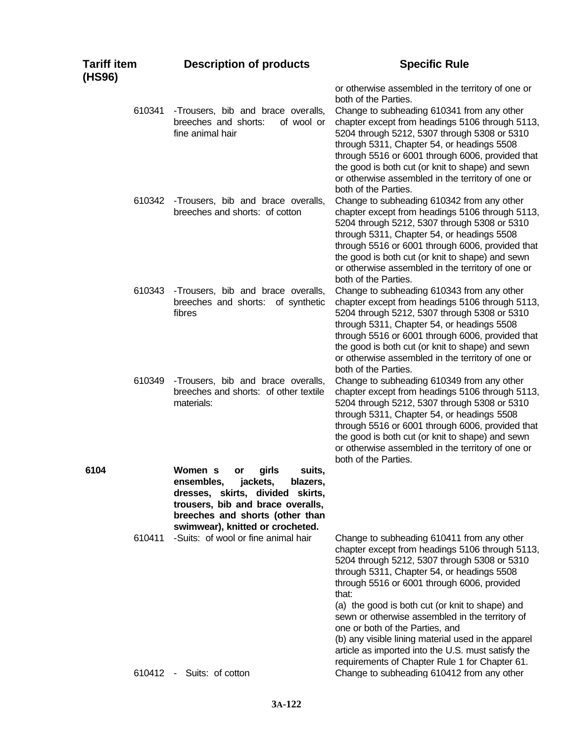| Tariff item<br>(HS96) |        | <b>Description of products</b>                                                                                                                                                                                         | <b>Specific Rule</b>                                                                                                                                                                                                                                                                                                                                                                                                                                                                                                                                        |
|-----------------------|--------|------------------------------------------------------------------------------------------------------------------------------------------------------------------------------------------------------------------------|-------------------------------------------------------------------------------------------------------------------------------------------------------------------------------------------------------------------------------------------------------------------------------------------------------------------------------------------------------------------------------------------------------------------------------------------------------------------------------------------------------------------------------------------------------------|
|                       | 610341 | -Trousers, bib and brace overalls,<br>breeches and shorts:<br>of wool or<br>fine animal hair                                                                                                                           | or otherwise assembled in the territory of one or<br>both of the Parties.<br>Change to subheading 610341 from any other<br>chapter except from headings 5106 through 5113,<br>5204 through 5212, 5307 through 5308 or 5310<br>through 5311, Chapter 54, or headings 5508<br>through 5516 or 6001 through 6006, provided that<br>the good is both cut (or knit to shape) and sewn<br>or otherwise assembled in the territory of one or                                                                                                                       |
|                       | 610342 | -Trousers, bib and brace overalls,<br>breeches and shorts: of cotton                                                                                                                                                   | both of the Parties.<br>Change to subheading 610342 from any other<br>chapter except from headings 5106 through 5113,<br>5204 through 5212, 5307 through 5308 or 5310<br>through 5311, Chapter 54, or headings 5508<br>through 5516 or 6001 through 6006, provided that<br>the good is both cut (or knit to shape) and sewn<br>or otherwise assembled in the territory of one or<br>both of the Parties.                                                                                                                                                    |
|                       | 610343 | -Trousers, bib and brace overalls,<br>breeches and shorts: of synthetic<br>fibres                                                                                                                                      | Change to subheading 610343 from any other<br>chapter except from headings 5106 through 5113,<br>5204 through 5212, 5307 through 5308 or 5310<br>through 5311, Chapter 54, or headings 5508<br>through 5516 or 6001 through 6006, provided that<br>the good is both cut (or knit to shape) and sewn<br>or otherwise assembled in the territory of one or<br>both of the Parties.                                                                                                                                                                            |
|                       | 610349 | -Trousers, bib and brace overalls,<br>breeches and shorts: of other textile<br>materials:                                                                                                                              | Change to subheading 610349 from any other<br>chapter except from headings 5106 through 5113,<br>5204 through 5212, 5307 through 5308 or 5310<br>through 5311, Chapter 54, or headings 5508<br>through 5516 or 6001 through 6006, provided that<br>the good is both cut (or knit to shape) and sewn<br>or otherwise assembled in the territory of one or<br>both of the Parties.                                                                                                                                                                            |
| 6104                  |        | girls<br>suits,<br>Women s<br>or<br>jackets,<br>ensembles,<br>blazers,<br>dresses, skirts, divided skirts,<br>trousers, bib and brace overalls,<br>breeches and shorts (other than<br>swimwear), knitted or crocheted. |                                                                                                                                                                                                                                                                                                                                                                                                                                                                                                                                                             |
|                       | 610411 | -Suits: of wool or fine animal hair                                                                                                                                                                                    | Change to subheading 610411 from any other<br>chapter except from headings 5106 through 5113,<br>5204 through 5212, 5307 through 5308 or 5310<br>through 5311, Chapter 54, or headings 5508<br>through 5516 or 6001 through 6006, provided<br>that:<br>(a) the good is both cut (or knit to shape) and<br>sewn or otherwise assembled in the territory of<br>one or both of the Parties, and<br>(b) any visible lining material used in the apparel<br>article as imported into the U.S. must satisfy the<br>requirements of Chapter Rule 1 for Chapter 61. |
|                       |        | 610412 - Suits: of cotton                                                                                                                                                                                              | Change to subheading 610412 from any other                                                                                                                                                                                                                                                                                                                                                                                                                                                                                                                  |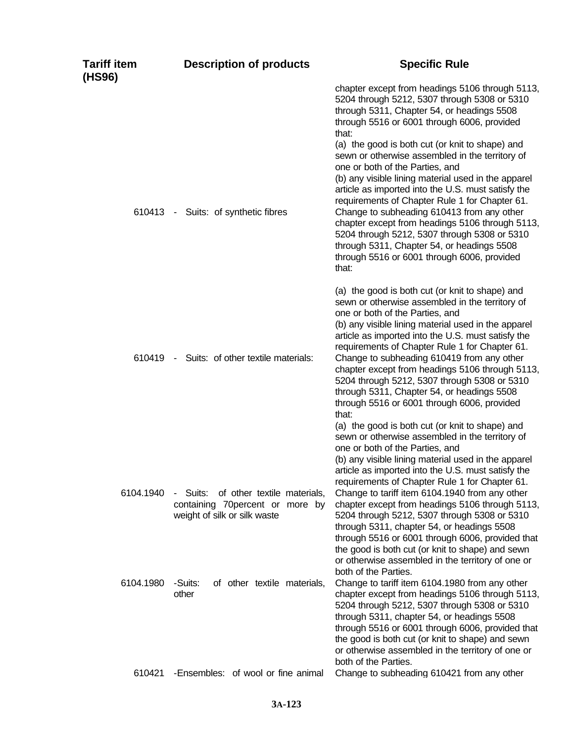| Tariff item<br>(HS96) | <b>Description of products</b>                                                                          | <b>Specific Rule</b>                                                                                                                                                                                                                                                                                                                                                                                                                                                                                                                                        |
|-----------------------|---------------------------------------------------------------------------------------------------------|-------------------------------------------------------------------------------------------------------------------------------------------------------------------------------------------------------------------------------------------------------------------------------------------------------------------------------------------------------------------------------------------------------------------------------------------------------------------------------------------------------------------------------------------------------------|
|                       |                                                                                                         | chapter except from headings 5106 through 5113,<br>5204 through 5212, 5307 through 5308 or 5310<br>through 5311, Chapter 54, or headings 5508<br>through 5516 or 6001 through 6006, provided<br>that:                                                                                                                                                                                                                                                                                                                                                       |
|                       | 610413 - Suits: of synthetic fibres                                                                     | (a) the good is both cut (or knit to shape) and<br>sewn or otherwise assembled in the territory of<br>one or both of the Parties, and<br>(b) any visible lining material used in the apparel<br>article as imported into the U.S. must satisfy the<br>requirements of Chapter Rule 1 for Chapter 61.<br>Change to subheading 610413 from any other<br>chapter except from headings 5106 through 5113,<br>5204 through 5212, 5307 through 5308 or 5310<br>through 5311, Chapter 54, or headings 5508<br>through 5516 or 6001 through 6006, provided<br>that: |
|                       | 610419 - Suits: of other textile materials:                                                             | (a) the good is both cut (or knit to shape) and<br>sewn or otherwise assembled in the territory of<br>one or both of the Parties, and<br>(b) any visible lining material used in the apparel<br>article as imported into the U.S. must satisfy the<br>requirements of Chapter Rule 1 for Chapter 61.<br>Change to subheading 610419 from any other<br>chapter except from headings 5106 through 5113,<br>5204 through 5212, 5307 through 5308 or 5310<br>through 5311, Chapter 54, or headings 5508<br>through 5516 or 6001 through 6006, provided<br>that: |
|                       |                                                                                                         | (a) the good is both cut (or knit to shape) and<br>sewn or otherwise assembled in the territory of<br>one or both of the Parties, and<br>(b) any visible lining material used in the apparel<br>article as imported into the U.S. must satisfy the<br>requirements of Chapter Rule 1 for Chapter 61.                                                                                                                                                                                                                                                        |
| 6104.1940             | - Suits: of other textile materials,<br>containing 70percent or more by<br>weight of silk or silk waste | Change to tariff item 6104.1940 from any other<br>chapter except from headings 5106 through 5113,<br>5204 through 5212, 5307 through 5308 or 5310<br>through 5311, chapter 54, or headings 5508<br>through 5516 or 6001 through 6006, provided that<br>the good is both cut (or knit to shape) and sewn<br>or otherwise assembled in the territory of one or<br>both of the Parties.                                                                                                                                                                        |
| 6104.1980             | of other textile materials,<br>-Suits:<br>other                                                         | Change to tariff item 6104.1980 from any other<br>chapter except from headings 5106 through 5113,<br>5204 through 5212, 5307 through 5308 or 5310<br>through 5311, chapter 54, or headings 5508<br>through 5516 or 6001 through 6006, provided that<br>the good is both cut (or knit to shape) and sewn<br>or otherwise assembled in the territory of one or<br>both of the Parties.                                                                                                                                                                        |
| 610421                | -Ensembles: of wool or fine animal                                                                      | Change to subheading 610421 from any other                                                                                                                                                                                                                                                                                                                                                                                                                                                                                                                  |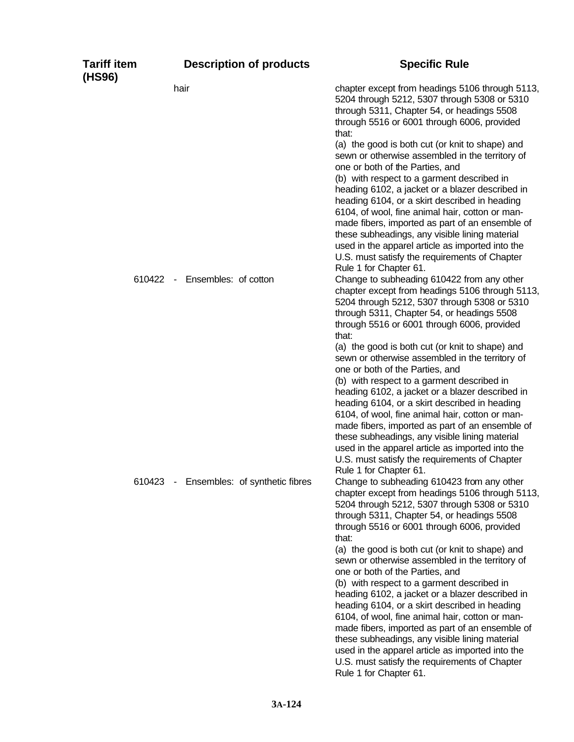| <b>Tariff item</b><br>(HS96) | <b>Description of products</b>                                | <b>Specific Rule</b>                                                                                                                                                                                                                                                                                                                                                                                                                                                                                                                                                                                                                                                                                                                                                                                                                                            |
|------------------------------|---------------------------------------------------------------|-----------------------------------------------------------------------------------------------------------------------------------------------------------------------------------------------------------------------------------------------------------------------------------------------------------------------------------------------------------------------------------------------------------------------------------------------------------------------------------------------------------------------------------------------------------------------------------------------------------------------------------------------------------------------------------------------------------------------------------------------------------------------------------------------------------------------------------------------------------------|
|                              | hair                                                          | chapter except from headings 5106 through 5113,<br>5204 through 5212, 5307 through 5308 or 5310<br>through 5311, Chapter 54, or headings 5508<br>through 5516 or 6001 through 6006, provided<br>that:                                                                                                                                                                                                                                                                                                                                                                                                                                                                                                                                                                                                                                                           |
|                              |                                                               | (a) the good is both cut (or knit to shape) and<br>sewn or otherwise assembled in the territory of<br>one or both of the Parties, and<br>(b) with respect to a garment described in<br>heading 6102, a jacket or a blazer described in<br>heading 6104, or a skirt described in heading<br>6104, of wool, fine animal hair, cotton or man-<br>made fibers, imported as part of an ensemble of<br>these subheadings, any visible lining material<br>used in the apparel article as imported into the<br>U.S. must satisfy the requirements of Chapter<br>Rule 1 for Chapter 61.                                                                                                                                                                                                                                                                                  |
|                              | 610422 - Ensembles: of cotton                                 | Change to subheading 610422 from any other<br>chapter except from headings 5106 through 5113,<br>5204 through 5212, 5307 through 5308 or 5310<br>through 5311, Chapter 54, or headings 5508<br>through 5516 or 6001 through 6006, provided<br>that:<br>(a) the good is both cut (or knit to shape) and<br>sewn or otherwise assembled in the territory of<br>one or both of the Parties, and<br>(b) with respect to a garment described in<br>heading 6102, a jacket or a blazer described in<br>heading 6104, or a skirt described in heading<br>6104, of wool, fine animal hair, cotton or man-<br>made fibers, imported as part of an ensemble of<br>these subheadings, any visible lining material<br>used in the apparel article as imported into the<br>U.S. must satisfy the requirements of Chapter                                                     |
| 610423                       | Ensembles: of synthetic fibres<br>$\mathcal{L}_{\mathcal{A}}$ | Rule 1 for Chapter 61.<br>Change to subheading 610423 from any other<br>chapter except from headings 5106 through 5113,<br>5204 through 5212, 5307 through 5308 or 5310<br>through 5311, Chapter 54, or headings 5508<br>through 5516 or 6001 through 6006, provided<br>that:<br>(a) the good is both cut (or knit to shape) and<br>sewn or otherwise assembled in the territory of<br>one or both of the Parties, and<br>(b) with respect to a garment described in<br>heading 6102, a jacket or a blazer described in<br>heading 6104, or a skirt described in heading<br>6104, of wool, fine animal hair, cotton or man-<br>made fibers, imported as part of an ensemble of<br>these subheadings, any visible lining material<br>used in the apparel article as imported into the<br>U.S. must satisfy the requirements of Chapter<br>Rule 1 for Chapter 61. |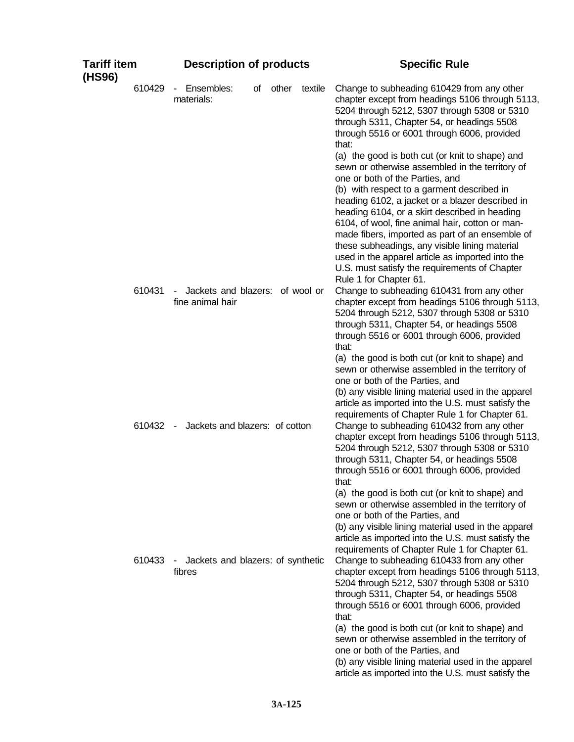| <b>Tariff item</b><br>(HS96) | <b>Description of products</b>                                       | <b>Specific Rule</b>                                                                                                                                                                                                                                                                                                                                                                                                                                                                                                                                                           |
|------------------------------|----------------------------------------------------------------------|--------------------------------------------------------------------------------------------------------------------------------------------------------------------------------------------------------------------------------------------------------------------------------------------------------------------------------------------------------------------------------------------------------------------------------------------------------------------------------------------------------------------------------------------------------------------------------|
| 610429                       | Ensembles:<br>other<br>textile<br>of<br>$\blacksquare$<br>materials: | Change to subheading 610429 from any other<br>chapter except from headings 5106 through 5113,<br>5204 through 5212, 5307 through 5308 or 5310<br>through 5311, Chapter 54, or headings 5508<br>through 5516 or 6001 through 6006, provided<br>that:                                                                                                                                                                                                                                                                                                                            |
|                              |                                                                      | (a) the good is both cut (or knit to shape) and<br>sewn or otherwise assembled in the territory of<br>one or both of the Parties, and<br>(b) with respect to a garment described in<br>heading 6102, a jacket or a blazer described in<br>heading 6104, or a skirt described in heading<br>6104, of wool, fine animal hair, cotton or man-<br>made fibers, imported as part of an ensemble of<br>these subheadings, any visible lining material<br>used in the apparel article as imported into the<br>U.S. must satisfy the requirements of Chapter<br>Rule 1 for Chapter 61. |
| 610431                       | Jackets and blazers: of wool or<br>۰.<br>fine animal hair            | Change to subheading 610431 from any other<br>chapter except from headings 5106 through 5113,<br>5204 through 5212, 5307 through 5308 or 5310<br>through 5311, Chapter 54, or headings 5508<br>through 5516 or 6001 through 6006, provided<br>that:<br>(a) the good is both cut (or knit to shape) and                                                                                                                                                                                                                                                                         |
| 610432                       | Jackets and blazers: of cotton<br>$\sim$                             | sewn or otherwise assembled in the territory of<br>one or both of the Parties, and<br>(b) any visible lining material used in the apparel<br>article as imported into the U.S. must satisfy the<br>requirements of Chapter Rule 1 for Chapter 61.<br>Change to subheading 610432 from any other<br>chapter except from headings 5106 through 5113,<br>5204 through 5212, 5307 through 5308 or 5310<br>through 5311, Chapter 54, or headings 5508<br>through 5516 or 6001 through 6006, provided<br>that:                                                                       |
| 610433                       | Jackets and blazers: of synthetic<br>$\blacksquare$<br>fibres        | (a) the good is both cut (or knit to shape) and<br>sewn or otherwise assembled in the territory of<br>one or both of the Parties, and<br>(b) any visible lining material used in the apparel<br>article as imported into the U.S. must satisfy the<br>requirements of Chapter Rule 1 for Chapter 61.<br>Change to subheading 610433 from any other<br>chapter except from headings 5106 through 5113,<br>5204 through 5212, 5307 through 5308 or 5310<br>through 5311, Chapter 54, or headings 5508<br>through 5516 or 6001 through 6006, provided<br>that:                    |
|                              |                                                                      | (a) the good is both cut (or knit to shape) and<br>sewn or otherwise assembled in the territory of<br>one or both of the Parties, and<br>(b) any visible lining material used in the apparel<br>article as imported into the U.S. must satisfy the                                                                                                                                                                                                                                                                                                                             |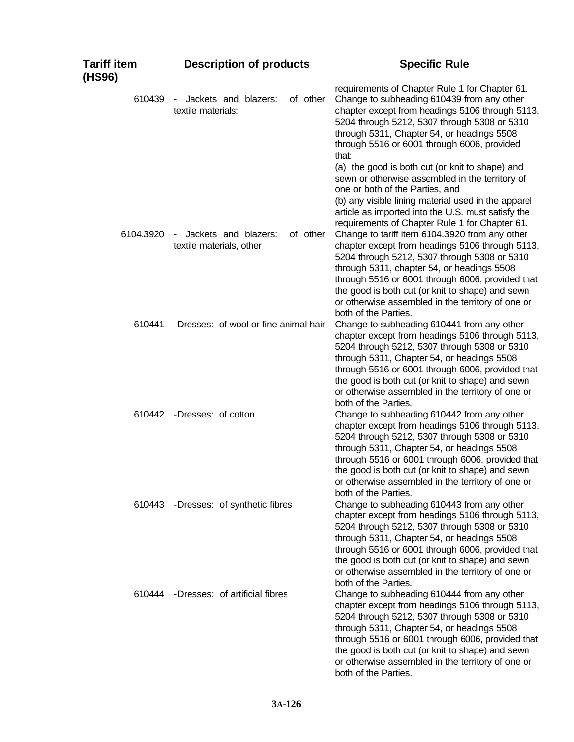| Tariff item<br>(HS96) | <b>Description of products</b>                               | <b>Specific Rule</b>                                                                                                                                                                                                                                                                                                                                                                 |
|-----------------------|--------------------------------------------------------------|--------------------------------------------------------------------------------------------------------------------------------------------------------------------------------------------------------------------------------------------------------------------------------------------------------------------------------------------------------------------------------------|
| 610439                | of other<br>Jackets and blazers:<br>textile materials:       | requirements of Chapter Rule 1 for Chapter 61.<br>Change to subheading 610439 from any other<br>chapter except from headings 5106 through 5113,<br>5204 through 5212, 5307 through 5308 or 5310<br>through 5311, Chapter 54, or headings 5508<br>through 5516 or 6001 through 6006, provided<br>that:                                                                                |
|                       |                                                              | (a) the good is both cut (or knit to shape) and<br>sewn or otherwise assembled in the territory of<br>one or both of the Parties, and<br>(b) any visible lining material used in the apparel<br>article as imported into the U.S. must satisfy the<br>requirements of Chapter Rule 1 for Chapter 61.                                                                                 |
| 6104.3920             | of other<br>Jackets and blazers:<br>textile materials, other | Change to tariff item 6104.3920 from any other<br>chapter except from headings 5106 through 5113,<br>5204 through 5212, 5307 through 5308 or 5310<br>through 5311, chapter 54, or headings 5508<br>through 5516 or 6001 through 6006, provided that<br>the good is both cut (or knit to shape) and sewn<br>or otherwise assembled in the territory of one or<br>both of the Parties. |
| 610441                | -Dresses: of wool or fine animal hair                        | Change to subheading 610441 from any other<br>chapter except from headings 5106 through 5113,<br>5204 through 5212, 5307 through 5308 or 5310<br>through 5311, Chapter 54, or headings 5508<br>through 5516 or 6001 through 6006, provided that<br>the good is both cut (or knit to shape) and sewn<br>or otherwise assembled in the territory of one or<br>both of the Parties.     |
| 610442                | -Dresses: of cotton                                          | Change to subheading 610442 from any other<br>chapter except from headings 5106 through 5113,<br>5204 through 5212, 5307 through 5308 or 5310<br>through 5311, Chapter 54, or headings 5508<br>through 5516 or 6001 through 6006, provided that<br>the good is both cut (or knit to shape) and sewn<br>or otherwise assembled in the territory of one or<br>both of the Parties.     |
| 610443                | -Dresses: of synthetic fibres                                | Change to subheading 610443 from any other<br>chapter except from headings 5106 through 5113,<br>5204 through 5212, 5307 through 5308 or 5310<br>through 5311, Chapter 54, or headings 5508<br>through 5516 or 6001 through 6006, provided that<br>the good is both cut (or knit to shape) and sewn<br>or otherwise assembled in the territory of one or<br>both of the Parties.     |
| 610444                | -Dresses: of artificial fibres                               | Change to subheading 610444 from any other<br>chapter except from headings 5106 through 5113,<br>5204 through 5212, 5307 through 5308 or 5310<br>through 5311, Chapter 54, or headings 5508<br>through 5516 or 6001 through 6006, provided that<br>the good is both cut (or knit to shape) and sewn<br>or otherwise assembled in the territory of one or<br>both of the Parties.     |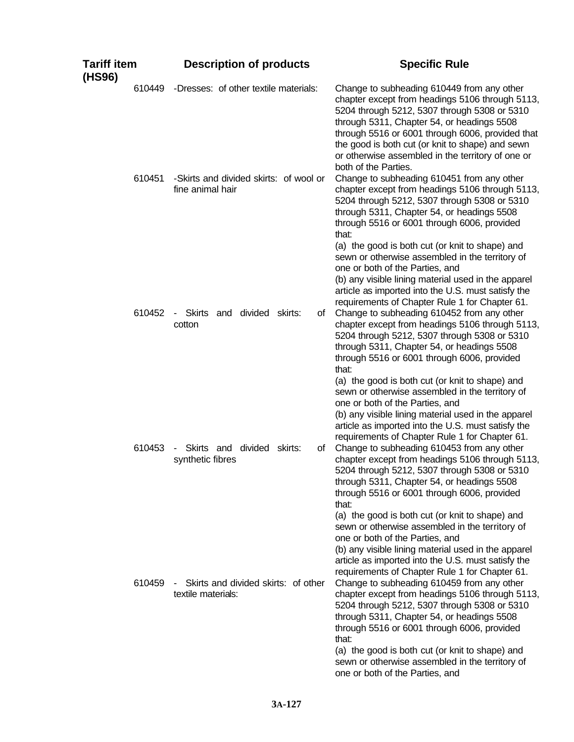| Tariff item<br>(HS96) | <b>Description of products</b>                             | <b>Specific Rule</b>                                                                                                                                                                                                                                                                                                                                                                                  |
|-----------------------|------------------------------------------------------------|-------------------------------------------------------------------------------------------------------------------------------------------------------------------------------------------------------------------------------------------------------------------------------------------------------------------------------------------------------------------------------------------------------|
| 610449                | -Dresses: of other textile materials:                      | Change to subheading 610449 from any other<br>chapter except from headings 5106 through 5113,<br>5204 through 5212, 5307 through 5308 or 5310<br>through 5311, Chapter 54, or headings 5508<br>through 5516 or 6001 through 6006, provided that<br>the good is both cut (or knit to shape) and sewn<br>or otherwise assembled in the territory of one or<br>both of the Parties.                      |
| 610451                | -Skirts and divided skirts: of wool or<br>fine animal hair | Change to subheading 610451 from any other<br>chapter except from headings 5106 through 5113,<br>5204 through 5212, 5307 through 5308 or 5310<br>through 5311, Chapter 54, or headings 5508<br>through 5516 or 6001 through 6006, provided<br>that:                                                                                                                                                   |
| 610452                | divided<br>Skirts and<br>skirts:<br>οf<br>$\sim$<br>cotton | (a) the good is both cut (or knit to shape) and<br>sewn or otherwise assembled in the territory of<br>one or both of the Parties, and<br>(b) any visible lining material used in the apparel<br>article as imported into the U.S. must satisfy the<br>requirements of Chapter Rule 1 for Chapter 61.<br>Change to subheading 610452 from any other<br>chapter except from headings 5106 through 5113, |
|                       |                                                            | 5204 through 5212, 5307 through 5308 or 5310<br>through 5311, Chapter 54, or headings 5508<br>through 5516 or 6001 through 6006, provided<br>that:<br>(a) the good is both cut (or knit to shape) and<br>sewn or otherwise assembled in the territory of<br>one or both of the Parties, and<br>(b) any visible lining material used in the apparel                                                    |
| 610453                | divided skirts:<br>Skirts and<br>οf<br>synthetic fibres    | article as imported into the U.S. must satisfy the<br>requirements of Chapter Rule 1 for Chapter 61.<br>Change to subheading 610453 from any other<br>chapter except from headings 5106 through 5113,<br>5204 through 5212, 5307 through 5308 or 5310<br>through 5311, Chapter 54, or headings 5508<br>through 5516 or 6001 through 6006, provided<br>that:                                           |
| 610459                | Skirts and divided skirts: of other                        | (a) the good is both cut (or knit to shape) and<br>sewn or otherwise assembled in the territory of<br>one or both of the Parties, and<br>(b) any visible lining material used in the apparel<br>article as imported into the U.S. must satisfy the<br>requirements of Chapter Rule 1 for Chapter 61.<br>Change to subheading 610459 from any other                                                    |
|                       | textile materials:                                         | chapter except from headings 5106 through 5113,<br>5204 through 5212, 5307 through 5308 or 5310<br>through 5311, Chapter 54, or headings 5508<br>through 5516 or 6001 through 6006, provided<br>that:<br>(a) the good is both cut (or knit to shape) and<br>sewn or otherwise assembled in the territory of<br>one or both of the Parties, and                                                        |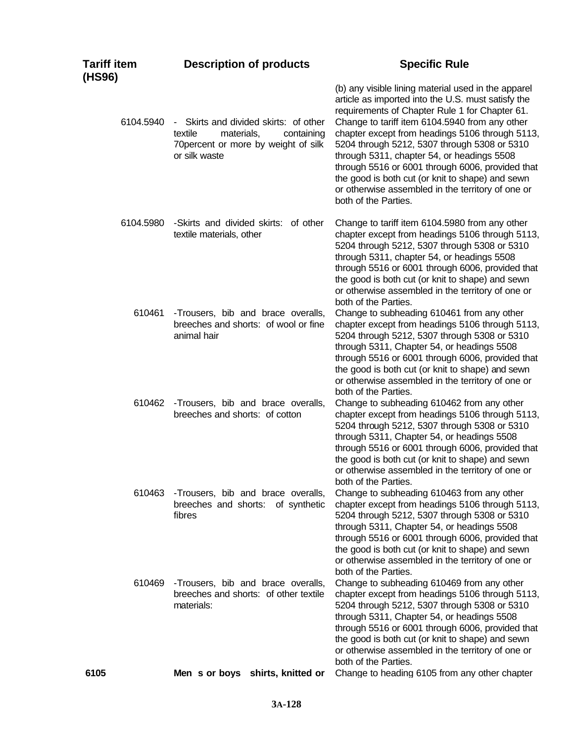| Tariff item<br>(HS96) | <b>Description of products</b>                                                                                                        | <b>Specific Rule</b>                                                                                                                                                                                                                                                                                                                                                                                                                                                                                                                                |
|-----------------------|---------------------------------------------------------------------------------------------------------------------------------------|-----------------------------------------------------------------------------------------------------------------------------------------------------------------------------------------------------------------------------------------------------------------------------------------------------------------------------------------------------------------------------------------------------------------------------------------------------------------------------------------------------------------------------------------------------|
| 6104.5940             | - Skirts and divided skirts: of other<br>textile<br>materials,<br>containing<br>70 percent or more by weight of silk<br>or silk waste | (b) any visible lining material used in the apparel<br>article as imported into the U.S. must satisfy the<br>requirements of Chapter Rule 1 for Chapter 61.<br>Change to tariff item 6104.5940 from any other<br>chapter except from headings 5106 through 5113,<br>5204 through 5212, 5307 through 5308 or 5310<br>through 5311, chapter 54, or headings 5508<br>through 5516 or 6001 through 6006, provided that<br>the good is both cut (or knit to shape) and sewn<br>or otherwise assembled in the territory of one or<br>both of the Parties. |
| 6104.5980             | -Skirts and divided skirts: of other<br>textile materials, other                                                                      | Change to tariff item 6104.5980 from any other<br>chapter except from headings 5106 through 5113,<br>5204 through 5212, 5307 through 5308 or 5310<br>through 5311, chapter 54, or headings 5508<br>through 5516 or 6001 through 6006, provided that<br>the good is both cut (or knit to shape) and sewn<br>or otherwise assembled in the territory of one or<br>both of the Parties.                                                                                                                                                                |
| 610461                | -Trousers, bib and brace overalls,<br>breeches and shorts: of wool or fine<br>animal hair                                             | Change to subheading 610461 from any other<br>chapter except from headings 5106 through 5113,<br>5204 through 5212, 5307 through 5308 or 5310<br>through 5311, Chapter 54, or headings 5508<br>through 5516 or 6001 through 6006, provided that<br>the good is both cut (or knit to shape) and sewn<br>or otherwise assembled in the territory of one or<br>both of the Parties.                                                                                                                                                                    |
| 610462                | -Trousers, bib and brace overalls,<br>breeches and shorts: of cotton                                                                  | Change to subheading 610462 from any other<br>chapter except from headings 5106 through 5113,<br>5204 through 5212, 5307 through 5308 or 5310<br>through 5311, Chapter 54, or headings 5508<br>through 5516 or 6001 through 6006, provided that<br>the good is both cut (or knit to shape) and sewn<br>or otherwise assembled in the territory of one or<br>both of the Parties.                                                                                                                                                                    |
| 610463                | -Trousers, bib and brace overalls,<br>breeches and shorts: of synthetic<br>fibres                                                     | Change to subheading 610463 from any other<br>chapter except from headings 5106 through 5113,<br>5204 through 5212, 5307 through 5308 or 5310<br>through 5311, Chapter 54, or headings 5508<br>through 5516 or 6001 through 6006, provided that<br>the good is both cut (or knit to shape) and sewn<br>or otherwise assembled in the territory of one or<br>both of the Parties.                                                                                                                                                                    |
| 610469                | -Trousers, bib and brace overalls,<br>breeches and shorts: of other textile<br>materials:                                             | Change to subheading 610469 from any other<br>chapter except from headings 5106 through 5113,<br>5204 through 5212, 5307 through 5308 or 5310<br>through 5311, Chapter 54, or headings 5508<br>through 5516 or 6001 through 6006, provided that<br>the good is both cut (or knit to shape) and sewn<br>or otherwise assembled in the territory of one or<br>both of the Parties.                                                                                                                                                                    |
| 6105                  | Men s or boys shirts, knitted or                                                                                                      | Change to heading 6105 from any other chapter                                                                                                                                                                                                                                                                                                                                                                                                                                                                                                       |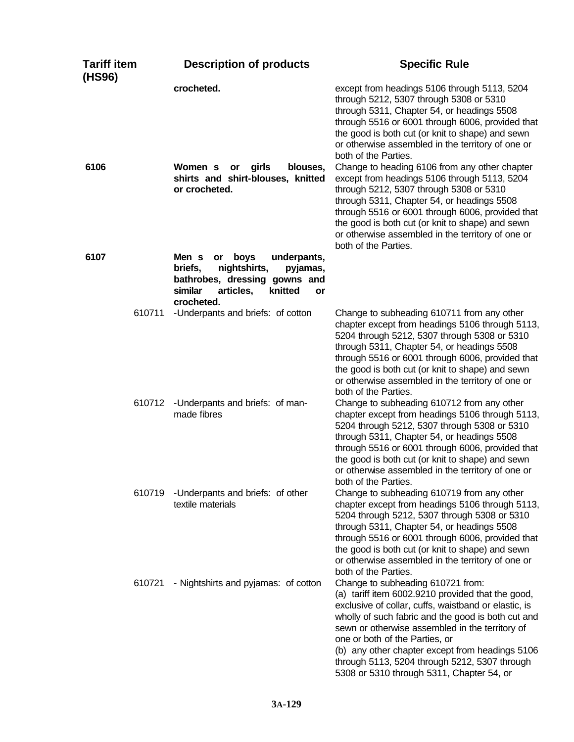| Tariff item<br>(HS96) | <b>Description of products</b>                                                                                                                                    | <b>Specific Rule</b>                                                                                                                                                                                                                                                                                                                                                                                                                       |
|-----------------------|-------------------------------------------------------------------------------------------------------------------------------------------------------------------|--------------------------------------------------------------------------------------------------------------------------------------------------------------------------------------------------------------------------------------------------------------------------------------------------------------------------------------------------------------------------------------------------------------------------------------------|
|                       | crocheted.                                                                                                                                                        | except from headings 5106 through 5113, 5204<br>through 5212, 5307 through 5308 or 5310<br>through 5311, Chapter 54, or headings 5508<br>through 5516 or 6001 through 6006, provided that<br>the good is both cut (or knit to shape) and sewn<br>or otherwise assembled in the territory of one or<br>both of the Parties.                                                                                                                 |
| 6106                  | Women s<br>girls<br>blouses,<br>or<br>shirts and shirt-blouses, knitted<br>or crocheted.                                                                          | Change to heading 6106 from any other chapter<br>except from headings 5106 through 5113, 5204<br>through 5212, 5307 through 5308 or 5310<br>through 5311, Chapter 54, or headings 5508<br>through 5516 or 6001 through 6006, provided that<br>the good is both cut (or knit to shape) and sewn<br>or otherwise assembled in the territory of one or<br>both of the Parties.                                                                |
| 6107                  | Men s<br>boys<br>underpants,<br>or<br>nightshirts,<br>briefs,<br>pyjamas,<br>bathrobes, dressing gowns and<br>articles,<br>similar<br>knitted<br>or<br>crocheted. |                                                                                                                                                                                                                                                                                                                                                                                                                                            |
| 610711                | -Underpants and briefs: of cotton                                                                                                                                 | Change to subheading 610711 from any other<br>chapter except from headings 5106 through 5113,<br>5204 through 5212, 5307 through 5308 or 5310<br>through 5311, Chapter 54, or headings 5508<br>through 5516 or 6001 through 6006, provided that<br>the good is both cut (or knit to shape) and sewn<br>or otherwise assembled in the territory of one or<br>both of the Parties.                                                           |
| 610712                | -Underpants and briefs: of man-<br>made fibres                                                                                                                    | Change to subheading 610712 from any other<br>chapter except from headings 5106 through 5113,<br>5204 through 5212, 5307 through 5308 or 5310<br>through 5311, Chapter 54, or headings 5508<br>through 5516 or 6001 through 6006, provided that<br>the good is both cut (or knit to shape) and sewn<br>or otherwise assembled in the territory of one or<br>both of the Parties.                                                           |
| 610719                | -Underpants and briefs: of other<br>textile materials                                                                                                             | Change to subheading 610719 from any other<br>chapter except from headings 5106 through 5113,<br>5204 through 5212, 5307 through 5308 or 5310<br>through 5311, Chapter 54, or headings 5508<br>through 5516 or 6001 through 6006, provided that<br>the good is both cut (or knit to shape) and sewn<br>or otherwise assembled in the territory of one or<br>both of the Parties.                                                           |
| 610721                | - Nightshirts and pyjamas: of cotton                                                                                                                              | Change to subheading 610721 from:<br>(a) tariff item 6002.9210 provided that the good,<br>exclusive of collar, cuffs, waistband or elastic, is<br>wholly of such fabric and the good is both cut and<br>sewn or otherwise assembled in the territory of<br>one or both of the Parties, or<br>(b) any other chapter except from headings 5106<br>through 5113, 5204 through 5212, 5307 through<br>5308 or 5310 through 5311, Chapter 54, or |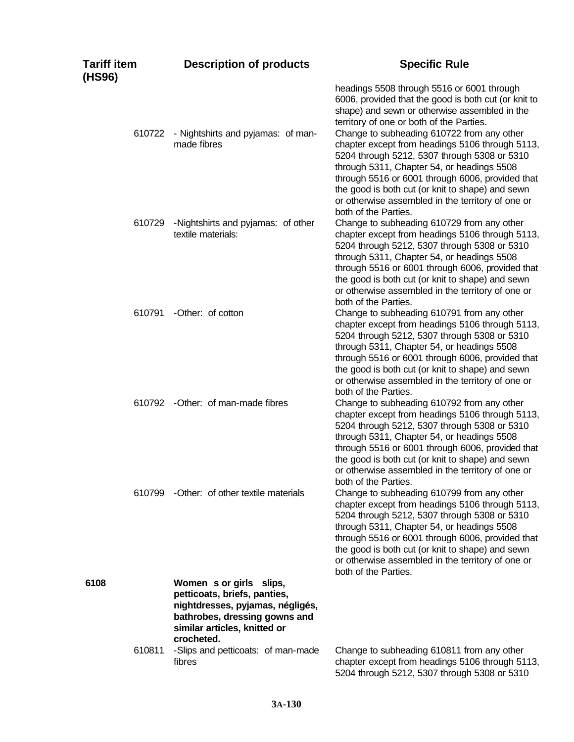| Tariff item<br>(HS96) | <b>Description of products</b>                                                                                                                                             | <b>Specific Rule</b>                                                                                                                                                                                                                                                                                                                                                                                                                                                                                                                                        |
|-----------------------|----------------------------------------------------------------------------------------------------------------------------------------------------------------------------|-------------------------------------------------------------------------------------------------------------------------------------------------------------------------------------------------------------------------------------------------------------------------------------------------------------------------------------------------------------------------------------------------------------------------------------------------------------------------------------------------------------------------------------------------------------|
| 610722                | - Nightshirts and pyjamas: of man-<br>made fibres                                                                                                                          | headings 5508 through 5516 or 6001 through<br>6006, provided that the good is both cut (or knit to<br>shape) and sewn or otherwise assembled in the<br>territory of one or both of the Parties.<br>Change to subheading 610722 from any other<br>chapter except from headings 5106 through 5113,<br>5204 through 5212, 5307 through 5308 or 5310<br>through 5311, Chapter 54, or headings 5508<br>through 5516 or 6001 through 6006, provided that<br>the good is both cut (or knit to shape) and sewn<br>or otherwise assembled in the territory of one or |
| 610729                | -Nightshirts and pyjamas: of other<br>textile materials:                                                                                                                   | both of the Parties.<br>Change to subheading 610729 from any other<br>chapter except from headings 5106 through 5113,<br>5204 through 5212, 5307 through 5308 or 5310<br>through 5311, Chapter 54, or headings 5508<br>through 5516 or 6001 through 6006, provided that<br>the good is both cut (or knit to shape) and sewn                                                                                                                                                                                                                                 |
| 610791                | -Other: of cotton                                                                                                                                                          | or otherwise assembled in the territory of one or<br>both of the Parties.<br>Change to subheading 610791 from any other<br>chapter except from headings 5106 through 5113,<br>5204 through 5212, 5307 through 5308 or 5310<br>through 5311, Chapter 54, or headings 5508<br>through 5516 or 6001 through 6006, provided that<br>the good is both cut (or knit to shape) and sewn<br>or otherwise assembled in the territory of one or                                                                                                                       |
|                       | 610792 - Other: of man-made fibres                                                                                                                                         | both of the Parties.<br>Change to subheading 610792 from any other<br>chapter except from headings 5106 through 5113,<br>5204 through 5212, 5307 through 5308 or 5310<br>through 5311, Chapter 54, or headings 5508<br>through 5516 or 6001 through 6006, provided that<br>the good is both cut (or knit to shape) and sewn<br>or otherwise assembled in the territory of one or<br>both of the Parties.                                                                                                                                                    |
| 610799                | -Other: of other textile materials                                                                                                                                         | Change to subheading 610799 from any other<br>chapter except from headings 5106 through 5113,<br>5204 through 5212, 5307 through 5308 or 5310<br>through 5311, Chapter 54, or headings 5508<br>through 5516 or 6001 through 6006, provided that<br>the good is both cut (or knit to shape) and sewn<br>or otherwise assembled in the territory of one or<br>both of the Parties.                                                                                                                                                                            |
| 6108                  | Women s or girls slips,<br>petticoats, briefs, panties,<br>nightdresses, pyjamas, négligés,<br>bathrobes, dressing gowns and<br>similar articles, knitted or<br>crocheted. |                                                                                                                                                                                                                                                                                                                                                                                                                                                                                                                                                             |
| 610811                | -Slips and petticoats: of man-made<br>fibres                                                                                                                               | Change to subheading 610811 from any other<br>chapter except from headings 5106 through 5113,<br>5204 through 5212, 5307 through 5308 or 5310                                                                                                                                                                                                                                                                                                                                                                                                               |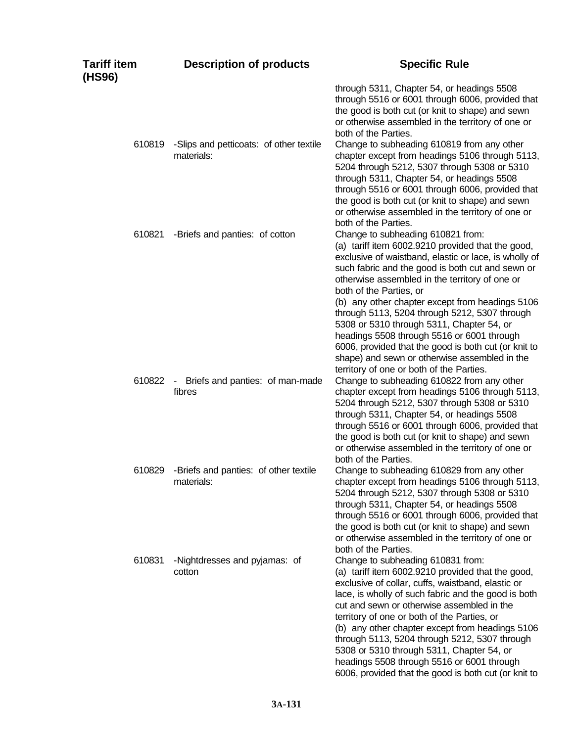| Tariff item<br>(HS96) | <b>Description of products</b>                        | <b>Specific Rule</b>                                                                                                                                                                                                                                                                                                                                                                                                                                                                                                                                                                                                                 |
|-----------------------|-------------------------------------------------------|--------------------------------------------------------------------------------------------------------------------------------------------------------------------------------------------------------------------------------------------------------------------------------------------------------------------------------------------------------------------------------------------------------------------------------------------------------------------------------------------------------------------------------------------------------------------------------------------------------------------------------------|
|                       |                                                       | through 5311, Chapter 54, or headings 5508<br>through 5516 or 6001 through 6006, provided that<br>the good is both cut (or knit to shape) and sewn<br>or otherwise assembled in the territory of one or<br>both of the Parties.                                                                                                                                                                                                                                                                                                                                                                                                      |
| 610819                | -Slips and petticoats: of other textile<br>materials: | Change to subheading 610819 from any other<br>chapter except from headings 5106 through 5113,<br>5204 through 5212, 5307 through 5308 or 5310<br>through 5311, Chapter 54, or headings 5508<br>through 5516 or 6001 through 6006, provided that<br>the good is both cut (or knit to shape) and sewn<br>or otherwise assembled in the territory of one or<br>both of the Parties.                                                                                                                                                                                                                                                     |
| 610821                | -Briefs and panties: of cotton                        | Change to subheading 610821 from:<br>(a) tariff item 6002.9210 provided that the good,<br>exclusive of waistband, elastic or lace, is wholly of<br>such fabric and the good is both cut and sewn or<br>otherwise assembled in the territory of one or<br>both of the Parties, or<br>(b) any other chapter except from headings 5106<br>through 5113, 5204 through 5212, 5307 through<br>5308 or 5310 through 5311, Chapter 54, or<br>headings 5508 through 5516 or 6001 through<br>6006, provided that the good is both cut (or knit to<br>shape) and sewn or otherwise assembled in the<br>territory of one or both of the Parties. |
| 610822                | Briefs and panties: of man-made<br>$\sim$<br>fibres   | Change to subheading 610822 from any other<br>chapter except from headings 5106 through 5113,<br>5204 through 5212, 5307 through 5308 or 5310<br>through 5311, Chapter 54, or headings 5508<br>through 5516 or 6001 through 6006, provided that<br>the good is both cut (or knit to shape) and sewn<br>or otherwise assembled in the territory of one or<br>both of the Parties.                                                                                                                                                                                                                                                     |
| 610829                | -Briefs and panties: of other textile<br>materials:   | Change to subheading 610829 from any other<br>chapter except from headings 5106 through 5113,<br>5204 through 5212, 5307 through 5308 or 5310<br>through 5311, Chapter 54, or headings 5508<br>through 5516 or 6001 through 6006, provided that<br>the good is both cut (or knit to shape) and sewn<br>or otherwise assembled in the territory of one or<br>both of the Parties.                                                                                                                                                                                                                                                     |
| 610831                | -Nightdresses and pyjamas: of<br>cotton               | Change to subheading 610831 from:<br>(a) tariff item 6002.9210 provided that the good,<br>exclusive of collar, cuffs, waistband, elastic or<br>lace, is wholly of such fabric and the good is both<br>cut and sewn or otherwise assembled in the<br>territory of one or both of the Parties, or<br>(b) any other chapter except from headings 5106<br>through 5113, 5204 through 5212, 5307 through<br>5308 or 5310 through 5311, Chapter 54, or<br>headings 5508 through 5516 or 6001 through<br>6006, provided that the good is both cut (or knit to                                                                               |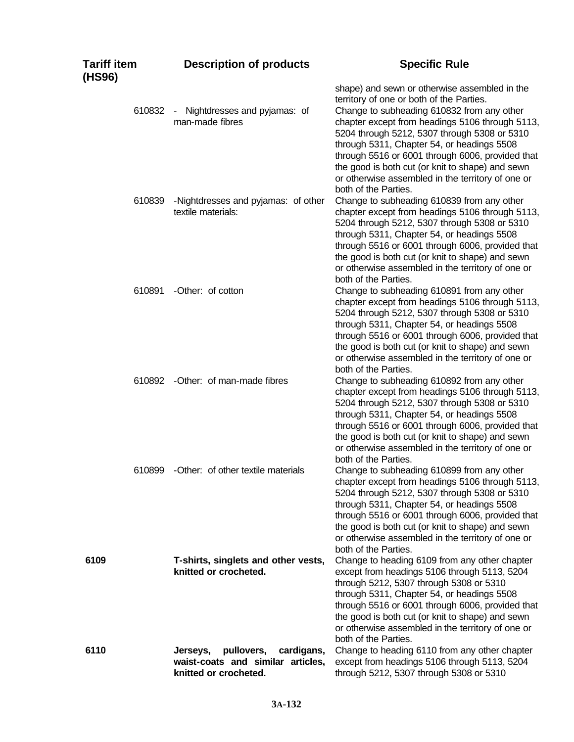| Tariff item<br>(HS96) | <b>Description of products</b>                                                                     | <b>Specific Rule</b>                                                                                                                                                                                                                                                                                                                                                                                                                                  |
|-----------------------|----------------------------------------------------------------------------------------------------|-------------------------------------------------------------------------------------------------------------------------------------------------------------------------------------------------------------------------------------------------------------------------------------------------------------------------------------------------------------------------------------------------------------------------------------------------------|
| 610832                | Nightdresses and pyjamas: of<br>$\sim$<br>man-made fibres                                          | shape) and sewn or otherwise assembled in the<br>territory of one or both of the Parties.<br>Change to subheading 610832 from any other<br>chapter except from headings 5106 through 5113,<br>5204 through 5212, 5307 through 5308 or 5310<br>through 5311, Chapter 54, or headings 5508<br>through 5516 or 6001 through 6006, provided that<br>the good is both cut (or knit to shape) and sewn<br>or otherwise assembled in the territory of one or |
| 610839                | -Nightdresses and pyjamas: of other<br>textile materials:                                          | both of the Parties.<br>Change to subheading 610839 from any other<br>chapter except from headings 5106 through 5113,<br>5204 through 5212, 5307 through 5308 or 5310<br>through 5311, Chapter 54, or headings 5508<br>through 5516 or 6001 through 6006, provided that<br>the good is both cut (or knit to shape) and sewn<br>or otherwise assembled in the territory of one or                                                                      |
| 610891                | -Other: of cotton                                                                                  | both of the Parties.<br>Change to subheading 610891 from any other<br>chapter except from headings 5106 through 5113,<br>5204 through 5212, 5307 through 5308 or 5310<br>through 5311, Chapter 54, or headings 5508<br>through 5516 or 6001 through 6006, provided that<br>the good is both cut (or knit to shape) and sewn<br>or otherwise assembled in the territory of one or                                                                      |
| 610892                | -Other: of man-made fibres                                                                         | both of the Parties.<br>Change to subheading 610892 from any other<br>chapter except from headings 5106 through 5113,<br>5204 through 5212, 5307 through 5308 or 5310<br>through 5311, Chapter 54, or headings 5508<br>through 5516 or 6001 through 6006, provided that<br>the good is both cut (or knit to shape) and sewn<br>or otherwise assembled in the territory of one or<br>both of the Parties.                                              |
| 610899                | -Other: of other textile materials                                                                 | Change to subheading 610899 from any other<br>chapter except from headings 5106 through 5113,<br>5204 through 5212, 5307 through 5308 or 5310<br>through 5311, Chapter 54, or headings 5508<br>through 5516 or 6001 through 6006, provided that<br>the good is both cut (or knit to shape) and sewn<br>or otherwise assembled in the territory of one or<br>both of the Parties.                                                                      |
| 6109                  | T-shirts, singlets and other vests,<br>knitted or crocheted.                                       | Change to heading 6109 from any other chapter<br>except from headings 5106 through 5113, 5204<br>through 5212, 5307 through 5308 or 5310<br>through 5311, Chapter 54, or headings 5508<br>through 5516 or 6001 through 6006, provided that<br>the good is both cut (or knit to shape) and sewn<br>or otherwise assembled in the territory of one or<br>both of the Parties.                                                                           |
| 6110                  | pullovers,<br>cardigans,<br>Jerseys,<br>waist-coats and similar articles,<br>knitted or crocheted. | Change to heading 6110 from any other chapter<br>except from headings 5106 through 5113, 5204<br>through 5212, 5307 through 5308 or 5310                                                                                                                                                                                                                                                                                                              |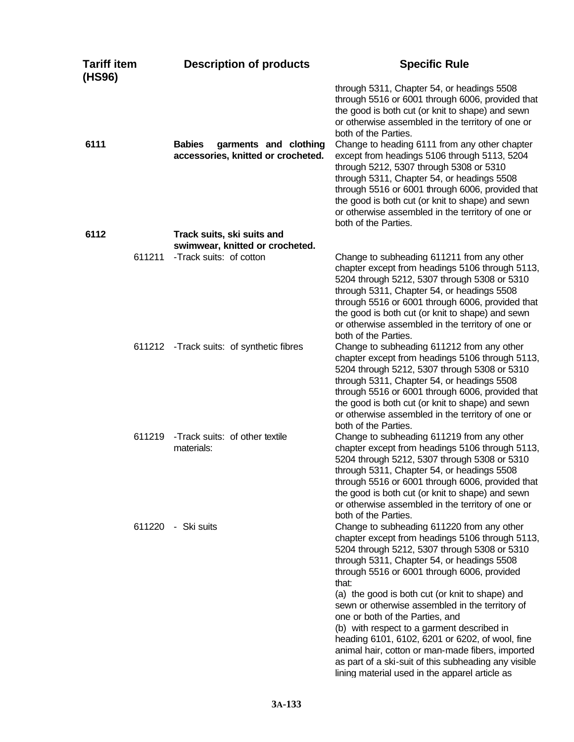| <b>Tariff item</b><br>(HS96) | <b>Description of products</b>                                               | <b>Specific Rule</b>                                                                                                                                                                                                                                                                                                                                                                                                                                                                                                                                                                                                                                        |
|------------------------------|------------------------------------------------------------------------------|-------------------------------------------------------------------------------------------------------------------------------------------------------------------------------------------------------------------------------------------------------------------------------------------------------------------------------------------------------------------------------------------------------------------------------------------------------------------------------------------------------------------------------------------------------------------------------------------------------------------------------------------------------------|
| 6111                         | <b>Babies</b><br>garments and clothing<br>accessories, knitted or crocheted. | through 5311, Chapter 54, or headings 5508<br>through 5516 or 6001 through 6006, provided that<br>the good is both cut (or knit to shape) and sewn<br>or otherwise assembled in the territory of one or<br>both of the Parties.<br>Change to heading 6111 from any other chapter<br>except from headings 5106 through 5113, 5204<br>through 5212, 5307 through 5308 or 5310<br>through 5311, Chapter 54, or headings 5508<br>through 5516 or 6001 through 6006, provided that<br>the good is both cut (or knit to shape) and sewn<br>or otherwise assembled in the territory of one or<br>both of the Parties.                                              |
| 6112                         | Track suits, ski suits and<br>swimwear, knitted or crocheted.                |                                                                                                                                                                                                                                                                                                                                                                                                                                                                                                                                                                                                                                                             |
| 611211                       | -Track suits: of cotton                                                      | Change to subheading 611211 from any other<br>chapter except from headings 5106 through 5113,<br>5204 through 5212, 5307 through 5308 or 5310<br>through 5311, Chapter 54, or headings 5508<br>through 5516 or 6001 through 6006, provided that<br>the good is both cut (or knit to shape) and sewn<br>or otherwise assembled in the territory of one or<br>both of the Parties.                                                                                                                                                                                                                                                                            |
|                              | 611212 - Track suits: of synthetic fibres                                    | Change to subheading 611212 from any other<br>chapter except from headings 5106 through 5113,<br>5204 through 5212, 5307 through 5308 or 5310<br>through 5311, Chapter 54, or headings 5508<br>through 5516 or 6001 through 6006, provided that<br>the good is both cut (or knit to shape) and sewn<br>or otherwise assembled in the territory of one or<br>both of the Parties.                                                                                                                                                                                                                                                                            |
| 611219                       | -Track suits: of other textile<br>materials:                                 | Change to subheading 611219 from any other<br>chapter except from headings 5106 through 5113,<br>5204 through 5212, 5307 through 5308 or 5310<br>through 5311, Chapter 54, or headings 5508<br>through 5516 or 6001 through 6006, provided that<br>the good is both cut (or knit to shape) and sewn<br>or otherwise assembled in the territory of one or<br>both of the Parties.                                                                                                                                                                                                                                                                            |
| 611220                       | - Ski suits                                                                  | Change to subheading 611220 from any other<br>chapter except from headings 5106 through 5113,<br>5204 through 5212, 5307 through 5308 or 5310<br>through 5311, Chapter 54, or headings 5508<br>through 5516 or 6001 through 6006, provided<br>that:<br>(a) the good is both cut (or knit to shape) and<br>sewn or otherwise assembled in the territory of<br>one or both of the Parties, and<br>(b) with respect to a garment described in<br>heading 6101, 6102, 6201 or 6202, of wool, fine<br>animal hair, cotton or man-made fibers, imported<br>as part of a ski-suit of this subheading any visible<br>lining material used in the apparel article as |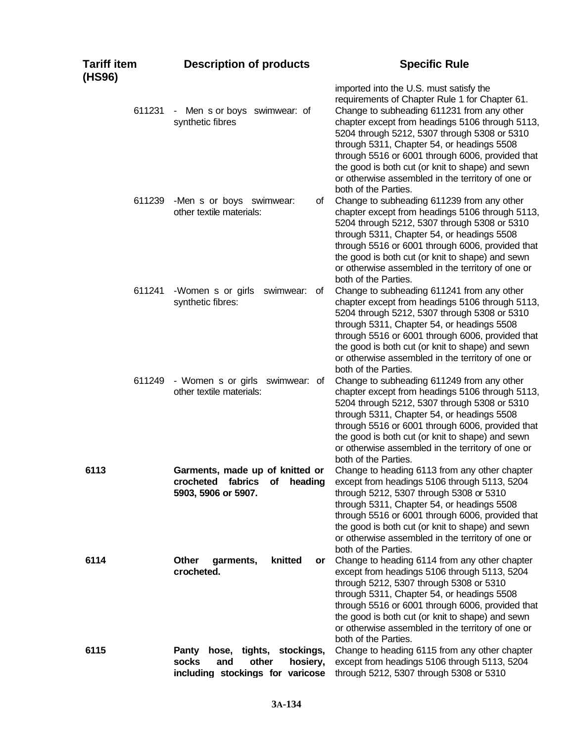| <b>Tariff item</b><br>(HS96) | <b>Description of products</b>                                                                                       | <b>Specific Rule</b>                                                                                                                                                                                                                                                                                                                                                                                                                                  |
|------------------------------|----------------------------------------------------------------------------------------------------------------------|-------------------------------------------------------------------------------------------------------------------------------------------------------------------------------------------------------------------------------------------------------------------------------------------------------------------------------------------------------------------------------------------------------------------------------------------------------|
| 611231                       | - Men s or boys swimwear: of<br>synthetic fibres                                                                     | imported into the U.S. must satisfy the<br>requirements of Chapter Rule 1 for Chapter 61.<br>Change to subheading 611231 from any other<br>chapter except from headings 5106 through 5113,<br>5204 through 5212, 5307 through 5308 or 5310<br>through 5311, Chapter 54, or headings 5508<br>through 5516 or 6001 through 6006, provided that<br>the good is both cut (or knit to shape) and sewn<br>or otherwise assembled in the territory of one or |
| 611239                       | -Men s or boys swimwear:<br>οf<br>other textile materials:                                                           | both of the Parties.<br>Change to subheading 611239 from any other<br>chapter except from headings 5106 through 5113,<br>5204 through 5212, 5307 through 5308 or 5310<br>through 5311, Chapter 54, or headings 5508<br>through 5516 or 6001 through 6006, provided that<br>the good is both cut (or knit to shape) and sewn<br>or otherwise assembled in the territory of one or<br>both of the Parties.                                              |
| 611241                       | -Women s or girls<br>swimwear: of<br>synthetic fibres:                                                               | Change to subheading 611241 from any other<br>chapter except from headings 5106 through 5113,<br>5204 through 5212, 5307 through 5308 or 5310<br>through 5311, Chapter 54, or headings 5508<br>through 5516 or 6001 through 6006, provided that<br>the good is both cut (or knit to shape) and sewn<br>or otherwise assembled in the territory of one or<br>both of the Parties.                                                                      |
| 611249                       | - Women s or girls swimwear: of<br>other textile materials:                                                          | Change to subheading 611249 from any other<br>chapter except from headings 5106 through 5113,<br>5204 through 5212, 5307 through 5308 or 5310<br>through 5311, Chapter 54, or headings 5508<br>through 5516 or 6001 through 6006, provided that<br>the good is both cut (or knit to shape) and sewn<br>or otherwise assembled in the territory of one or<br>both of the Parties.                                                                      |
| 6113                         | Garments, made up of knitted or<br>crocheted<br>heading<br>fabrics<br><b>of</b><br>5903, 5906 or 5907.               | Change to heading 6113 from any other chapter<br>except from headings 5106 through 5113, 5204<br>through 5212, 5307 through 5308 or 5310<br>through 5311, Chapter 54, or headings 5508<br>through 5516 or 6001 through 6006, provided that<br>the good is both cut (or knit to shape) and sewn<br>or otherwise assembled in the territory of one or<br>both of the Parties.                                                                           |
| 6114                         | knitted<br>Other<br>garments,<br>or<br>crocheted.                                                                    | Change to heading 6114 from any other chapter<br>except from headings 5106 through 5113, 5204<br>through 5212, 5307 through 5308 or 5310<br>through 5311, Chapter 54, or headings 5508<br>through 5516 or 6001 through 6006, provided that<br>the good is both cut (or knit to shape) and sewn<br>or otherwise assembled in the territory of one or<br>both of the Parties.                                                                           |
| 6115                         | tights, stockings,<br><b>Panty</b><br>hose,<br>socks<br>other<br>and<br>hosiery,<br>including stockings for varicose | Change to heading 6115 from any other chapter<br>except from headings 5106 through 5113, 5204<br>through 5212, 5307 through 5308 or 5310                                                                                                                                                                                                                                                                                                              |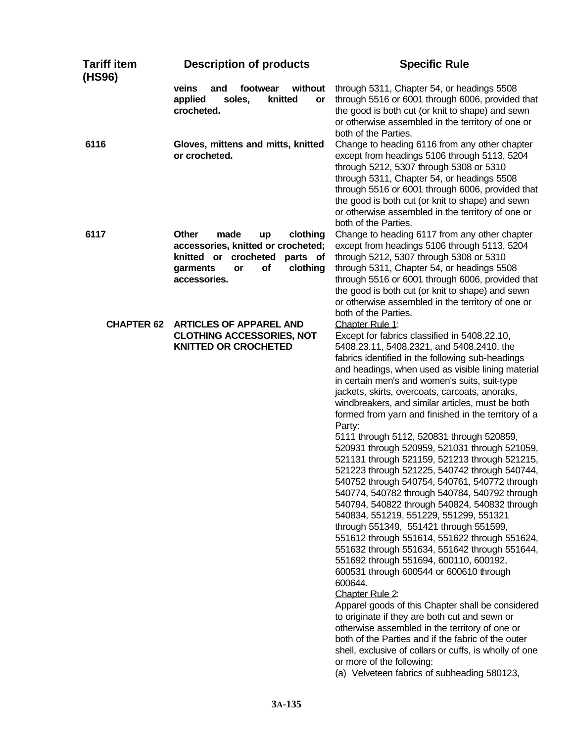| <b>Tariff item</b><br>(HS96) | <b>Description of products</b>                                                                                                                                       | <b>Specific Rule</b>                                                                                                                                                                                                                                                                                                                                                                                                                                                                                                                                                                                                                                                                                                                                                                                                                                                                                                                                                                                                                                                                                                                                                                                                                                                                                                                                                                                                                                           |
|------------------------------|----------------------------------------------------------------------------------------------------------------------------------------------------------------------|----------------------------------------------------------------------------------------------------------------------------------------------------------------------------------------------------------------------------------------------------------------------------------------------------------------------------------------------------------------------------------------------------------------------------------------------------------------------------------------------------------------------------------------------------------------------------------------------------------------------------------------------------------------------------------------------------------------------------------------------------------------------------------------------------------------------------------------------------------------------------------------------------------------------------------------------------------------------------------------------------------------------------------------------------------------------------------------------------------------------------------------------------------------------------------------------------------------------------------------------------------------------------------------------------------------------------------------------------------------------------------------------------------------------------------------------------------------|
|                              | veins<br>without<br>and<br>footwear<br>applied<br>soles,<br>knitted<br>or<br>crocheted.                                                                              | through 5311, Chapter 54, or headings 5508<br>through 5516 or 6001 through 6006, provided that<br>the good is both cut (or knit to shape) and sewn<br>or otherwise assembled in the territory of one or<br>both of the Parties.                                                                                                                                                                                                                                                                                                                                                                                                                                                                                                                                                                                                                                                                                                                                                                                                                                                                                                                                                                                                                                                                                                                                                                                                                                |
| 6116                         | Gloves, mittens and mitts, knitted<br>or crocheted.                                                                                                                  | Change to heading 6116 from any other chapter<br>except from headings 5106 through 5113, 5204<br>through 5212, 5307 through 5308 or 5310<br>through 5311, Chapter 54, or headings 5508<br>through 5516 or 6001 through 6006, provided that<br>the good is both cut (or knit to shape) and sewn<br>or otherwise assembled in the territory of one or<br>both of the Parties.                                                                                                                                                                                                                                                                                                                                                                                                                                                                                                                                                                                                                                                                                                                                                                                                                                                                                                                                                                                                                                                                                    |
| 6117                         | <b>Other</b><br>made<br>clothing<br>up<br>accessories, knitted or crocheted;<br>knitted or crocheted<br>parts of<br>of<br>clothing<br>garments<br>or<br>accessories. | Change to heading 6117 from any other chapter<br>except from headings 5106 through 5113, 5204<br>through 5212, 5307 through 5308 or 5310<br>through 5311, Chapter 54, or headings 5508<br>through 5516 or 6001 through 6006, provided that<br>the good is both cut (or knit to shape) and sewn<br>or otherwise assembled in the territory of one or<br>both of the Parties.                                                                                                                                                                                                                                                                                                                                                                                                                                                                                                                                                                                                                                                                                                                                                                                                                                                                                                                                                                                                                                                                                    |
| <b>CHAPTER 62</b>            | <b>ARTICLES OF APPAREL AND</b><br><b>CLOTHING ACCESSORIES, NOT</b><br><b>KNITTED OR CROCHETED</b>                                                                    | Chapter Rule 1:<br>Except for fabrics classified in 5408.22.10,<br>5408.23.11, 5408.2321, and 5408.2410, the<br>fabrics identified in the following sub-headings<br>and headings, when used as visible lining material<br>in certain men's and women's suits, suit-type<br>jackets, skirts, overcoats, carcoats, anoraks,<br>windbreakers, and similar articles, must be both<br>formed from yarn and finished in the territory of a<br>Party:<br>5111 through 5112, 520831 through 520859,<br>520931 through 520959, 521031 through 521059,<br>521131 through 521159, 521213 through 521215,<br>521223 through 521225, 540742 through 540744,<br>540752 through 540754, 540761, 540772 through<br>540774, 540782 through 540784, 540792 through<br>540794, 540822 through 540824, 540832 through<br>540834, 551219, 551229, 551299, 551321<br>through 551349, 551421 through 551599,<br>551612 through 551614, 551622 through 551624,<br>551632 through 551634, 551642 through 551644,<br>551692 through 551694, 600110, 600192,<br>600531 through 600544 or 600610 through<br>600644.<br>Chapter Rule 2:<br>Apparel goods of this Chapter shall be considered<br>to originate if they are both cut and sewn or<br>otherwise assembled in the territory of one or<br>both of the Parties and if the fabric of the outer<br>shell, exclusive of collars or cuffs, is wholly of one<br>or more of the following:<br>(a) Velveteen fabrics of subheading 580123, |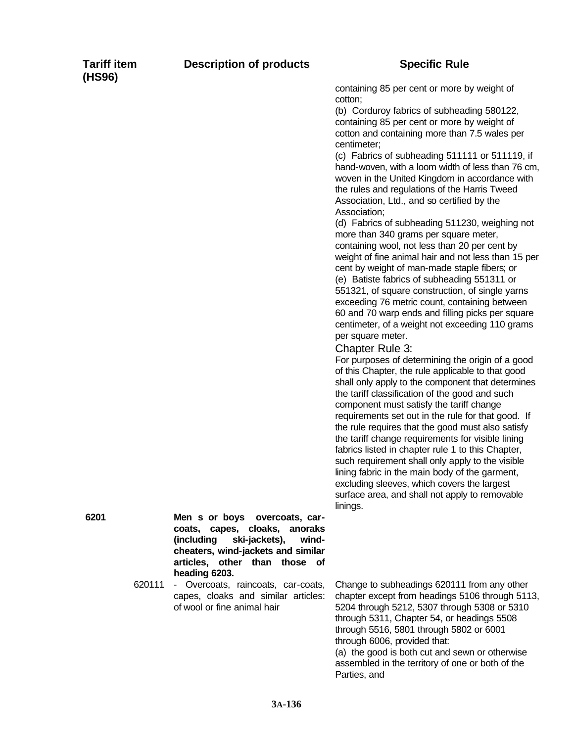containing 85 per cent or more by weight of cotton;

(b) Corduroy fabrics of subheading 580122, containing 85 per cent or more by weight of cotton and containing more than 7.5 wales per centimeter;

(c) Fabrics of subheading 511111 or 511119, if hand-woven, with a loom width of less than 76 cm, woven in the United Kingdom in accordance with the rules and regulations of the Harris Tweed Association, Ltd., and so certified by the Association;

(d) Fabrics of subheading 511230, weighing not more than 340 grams per square meter, containing wool, not less than 20 per cent by weight of fine animal hair and not less than 15 per cent by weight of man-made staple fibers; or (e) Batiste fabrics of subheading 551311 or 551321, of square construction, of single yarns exceeding 76 metric count, containing between 60 and 70 warp ends and filling picks per square centimeter, of a weight not exceeding 110 grams per square meter.

## Chapter Rule 3:

For purposes of determining the origin of a good of this Chapter, the rule applicable to that good shall only apply to the component that determines the tariff classification of the good and such component must satisfy the tariff change requirements set out in the rule for that good. If the rule requires that the good must also satisfy the tariff change requirements for visible lining fabrics listed in chapter rule 1 to this Chapter, such requirement shall only apply to the visible lining fabric in the main body of the garment, excluding sleeves, which covers the largest surface area, and shall not apply to removable linings.

**6201 Men s or boys overcoats, carcoats, capes, cloaks, anoraks (including ski-jackets), windcheaters, wind-jackets and similar articles, other than those of heading 6203.**

> 620111 - Overcoats, raincoats, car-coats, capes, cloaks and similar articles: of wool or fine animal hair

Change to subheadings 620111 from any other chapter except from headings 5106 through 5113, 5204 through 5212, 5307 through 5308 or 5310 through 5311, Chapter 54, or headings 5508 through 5516, 5801 through 5802 or 6001 through 6006, provided that:

(a) the good is both cut and sewn or otherwise assembled in the territory of one or both of the Parties, and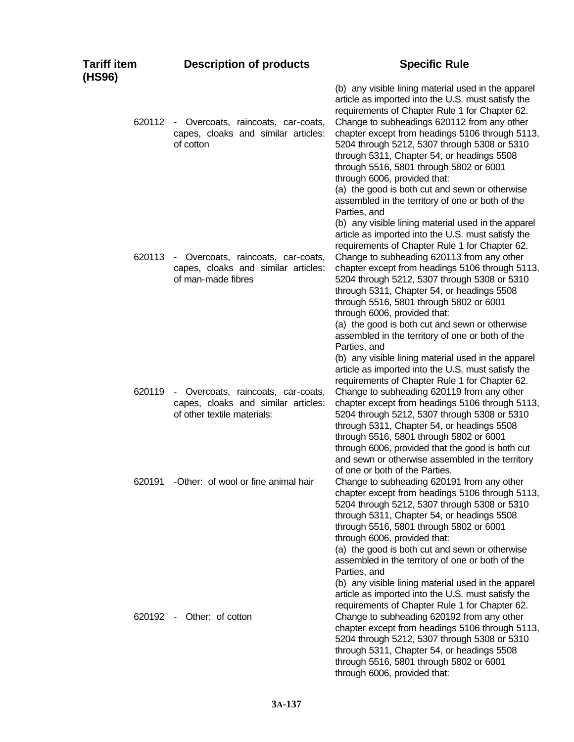| <b>Tariff item</b><br>(HS96) | <b>Description of products</b>                                                                           | <b>Specific Rule</b>                                                                                                                                                                                                                                                                                                                                                                                                                                                                                                                                                                                                            |
|------------------------------|----------------------------------------------------------------------------------------------------------|---------------------------------------------------------------------------------------------------------------------------------------------------------------------------------------------------------------------------------------------------------------------------------------------------------------------------------------------------------------------------------------------------------------------------------------------------------------------------------------------------------------------------------------------------------------------------------------------------------------------------------|
| 620112                       | - Overcoats, raincoats, car-coats,<br>capes, cloaks and similar articles:<br>of cotton                   | (b) any visible lining material used in the apparel<br>article as imported into the U.S. must satisfy the<br>requirements of Chapter Rule 1 for Chapter 62.<br>Change to subheadings 620112 from any other<br>chapter except from headings 5106 through 5113,<br>5204 through 5212, 5307 through 5308 or 5310<br>through 5311, Chapter 54, or headings 5508<br>through 5516, 5801 through 5802 or 6001<br>through 6006, provided that:<br>(a) the good is both cut and sewn or otherwise                                                                                                                                        |
| 620113                       | - Overcoats, raincoats, car-coats,<br>capes, cloaks and similar articles:<br>of man-made fibres          | assembled in the territory of one or both of the<br>Parties, and<br>(b) any visible lining material used in the apparel<br>article as imported into the U.S. must satisfy the<br>requirements of Chapter Rule 1 for Chapter 62.<br>Change to subheading 620113 from any other<br>chapter except from headings 5106 through 5113,<br>5204 through 5212, 5307 through 5308 or 5310<br>through 5311, Chapter 54, or headings 5508<br>through 5516, 5801 through 5802 or 6001<br>through 6006, provided that:<br>(a) the good is both cut and sewn or otherwise<br>assembled in the territory of one or both of the<br>Parties, and |
| 620119                       | - Overcoats, raincoats, car-coats,<br>capes, cloaks and similar articles:<br>of other textile materials: | (b) any visible lining material used in the apparel<br>article as imported into the U.S. must satisfy the<br>requirements of Chapter Rule 1 for Chapter 62.<br>Change to subheading 620119 from any other<br>chapter except from headings 5106 through 5113,<br>5204 through 5212, 5307 through 5308 or 5310<br>through 5311, Chapter 54, or headings 5508<br>through 5516, 5801 through 5802 or 6001<br>through 6006, provided that the good is both cut<br>and sewn or otherwise assembled in the territory                                                                                                                   |
| 620191                       | -Other: of wool or fine animal hair                                                                      | of one or both of the Parties.<br>Change to subheading 620191 from any other<br>chapter except from headings 5106 through 5113,<br>5204 through 5212, 5307 through 5308 or 5310<br>through 5311, Chapter 54, or headings 5508<br>through 5516, 5801 through 5802 or 6001<br>through 6006, provided that:<br>(a) the good is both cut and sewn or otherwise<br>assembled in the territory of one or both of the<br>Parties, and<br>(b) any visible lining material used in the apparel<br>article as imported into the U.S. must satisfy the                                                                                     |
| 620192 -                     | Other: of cotton                                                                                         | requirements of Chapter Rule 1 for Chapter 62.<br>Change to subheading 620192 from any other<br>chapter except from headings 5106 through 5113,<br>5204 through 5212, 5307 through 5308 or 5310<br>through 5311, Chapter 54, or headings 5508<br>through 5516, 5801 through 5802 or 6001<br>through 6006, provided that:                                                                                                                                                                                                                                                                                                        |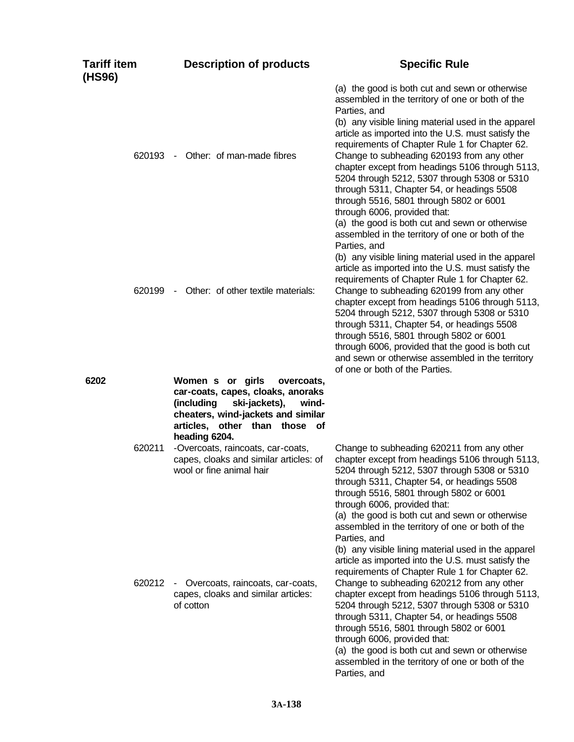| <b>Tariff item</b><br>(HS96) | <b>Description of products</b>                                                                                                                            | <b>Specific Rule</b>                                                                                                                                                                                                                                                                                                                                                                                                                                                                                                                                                                                                            |
|------------------------------|-----------------------------------------------------------------------------------------------------------------------------------------------------------|---------------------------------------------------------------------------------------------------------------------------------------------------------------------------------------------------------------------------------------------------------------------------------------------------------------------------------------------------------------------------------------------------------------------------------------------------------------------------------------------------------------------------------------------------------------------------------------------------------------------------------|
| 620193                       | Other: of man-made fibres<br>$\sim$                                                                                                                       | (a) the good is both cut and sewn or otherwise<br>assembled in the territory of one or both of the<br>Parties, and<br>(b) any visible lining material used in the apparel<br>article as imported into the U.S. must satisfy the<br>requirements of Chapter Rule 1 for Chapter 62.<br>Change to subheading 620193 from any other<br>chapter except from headings 5106 through 5113,<br>5204 through 5212, 5307 through 5308 or 5310<br>through 5311, Chapter 54, or headings 5508<br>through 5516, 5801 through 5802 or 6001<br>through 6006, provided that:<br>(a) the good is both cut and sewn or otherwise                   |
| 620199                       | Other: of other textile materials:<br>$\sim$                                                                                                              | assembled in the territory of one or both of the<br>Parties, and<br>(b) any visible lining material used in the apparel<br>article as imported into the U.S. must satisfy the<br>requirements of Chapter Rule 1 for Chapter 62.<br>Change to subheading 620199 from any other<br>chapter except from headings 5106 through 5113,<br>5204 through 5212, 5307 through 5308 or 5310<br>through 5311, Chapter 54, or headings 5508<br>through 5516, 5801 through 5802 or 6001<br>through 6006, provided that the good is both cut<br>and sewn or otherwise assembled in the territory<br>of one or both of the Parties.             |
| 6202                         | Women s or girls<br>overcoats,<br>car-coats, capes, cloaks, anoraks<br>ski-jackets),<br>(including<br>wind-<br>cheaters, wind-jackets and similar         |                                                                                                                                                                                                                                                                                                                                                                                                                                                                                                                                                                                                                                 |
| 620211                       | articles, other than those of<br>heading 6204.<br>-Overcoats, raincoats, car-coats,<br>capes, cloaks and similar articles: of<br>wool or fine animal hair | Change to subheading 620211 from any other<br>chapter except from headings 5106 through 5113,<br>5204 through 5212, 5307 through 5308 or 5310<br>through 5311, Chapter 54, or headings 5508<br>through 5516, 5801 through 5802 or 6001<br>through 6006, provided that:<br>(a) the good is both cut and sewn or otherwise                                                                                                                                                                                                                                                                                                        |
| 620212                       | Overcoats, raincoats, car-coats,<br>capes, cloaks and similar articles:<br>of cotton                                                                      | assembled in the territory of one or both of the<br>Parties, and<br>(b) any visible lining material used in the apparel<br>article as imported into the U.S. must satisfy the<br>requirements of Chapter Rule 1 for Chapter 62.<br>Change to subheading 620212 from any other<br>chapter except from headings 5106 through 5113,<br>5204 through 5212, 5307 through 5308 or 5310<br>through 5311, Chapter 54, or headings 5508<br>through 5516, 5801 through 5802 or 6001<br>through 6006, provided that:<br>(a) the good is both cut and sewn or otherwise<br>assembled in the territory of one or both of the<br>Parties, and |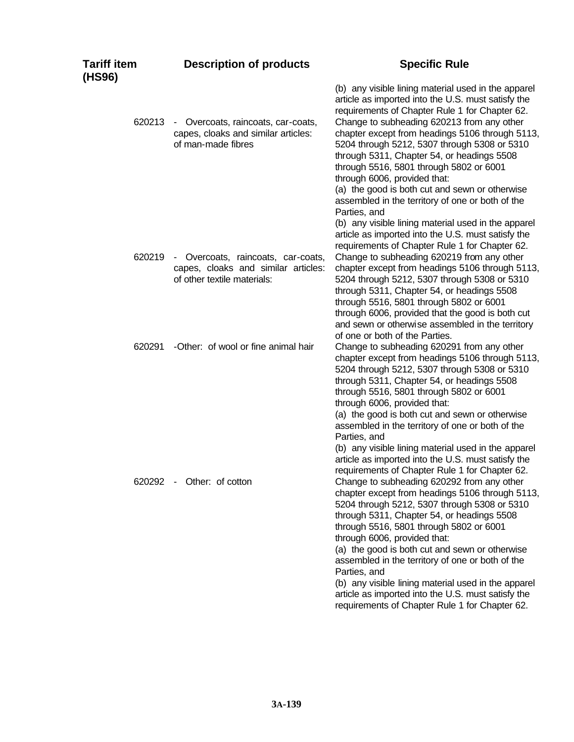| <b>Tariff item</b><br>(HS96) | <b>Description of products</b>                                                                           | <b>Specific Rule</b>                                                                                                                                                                                                                                                                                                                                                                                                                                                                                                                                                                                                                                                                                                                       |
|------------------------------|----------------------------------------------------------------------------------------------------------|--------------------------------------------------------------------------------------------------------------------------------------------------------------------------------------------------------------------------------------------------------------------------------------------------------------------------------------------------------------------------------------------------------------------------------------------------------------------------------------------------------------------------------------------------------------------------------------------------------------------------------------------------------------------------------------------------------------------------------------------|
| 620213                       | - Overcoats, raincoats, car-coats,<br>capes, cloaks and similar articles:<br>of man-made fibres          | (b) any visible lining material used in the apparel<br>article as imported into the U.S. must satisfy the<br>requirements of Chapter Rule 1 for Chapter 62.<br>Change to subheading 620213 from any other<br>chapter except from headings 5106 through 5113,<br>5204 through 5212, 5307 through 5308 or 5310<br>through 5311, Chapter 54, or headings 5508<br>through 5516, 5801 through 5802 or 6001<br>through 6006, provided that:<br>(a) the good is both cut and sewn or otherwise<br>assembled in the territory of one or both of the<br>Parties, and                                                                                                                                                                                |
| 620219                       | - Overcoats, raincoats, car-coats,<br>capes, cloaks and similar articles:<br>of other textile materials: | (b) any visible lining material used in the apparel<br>article as imported into the U.S. must satisfy the<br>requirements of Chapter Rule 1 for Chapter 62.<br>Change to subheading 620219 from any other<br>chapter except from headings 5106 through 5113,<br>5204 through 5212, 5307 through 5308 or 5310<br>through 5311, Chapter 54, or headings 5508<br>through 5516, 5801 through 5802 or 6001<br>through 6006, provided that the good is both cut<br>and sewn or otherwise assembled in the territory                                                                                                                                                                                                                              |
| 620291                       | -Other: of wool or fine animal hair                                                                      | of one or both of the Parties.<br>Change to subheading 620291 from any other<br>chapter except from headings 5106 through 5113,<br>5204 through 5212, 5307 through 5308 or 5310<br>through 5311, Chapter 54, or headings 5508<br>through 5516, 5801 through 5802 or 6001<br>through 6006, provided that:<br>(a) the good is both cut and sewn or otherwise<br>assembled in the territory of one or both of the                                                                                                                                                                                                                                                                                                                             |
| 620292                       | Other: of cotton<br>$\sim$ $-$                                                                           | Parties, and<br>(b) any visible lining material used in the apparel<br>article as imported into the U.S. must satisfy the<br>requirements of Chapter Rule 1 for Chapter 62.<br>Change to subheading 620292 from any other<br>chapter except from headings 5106 through 5113,<br>5204 through 5212, 5307 through 5308 or 5310<br>through 5311, Chapter 54, or headings 5508<br>through 5516, 5801 through 5802 or 6001<br>through 6006, provided that:<br>(a) the good is both cut and sewn or otherwise<br>assembled in the territory of one or both of the<br>Parties, and<br>(b) any visible lining material used in the apparel<br>article as imported into the U.S. must satisfy the<br>requirements of Chapter Rule 1 for Chapter 62. |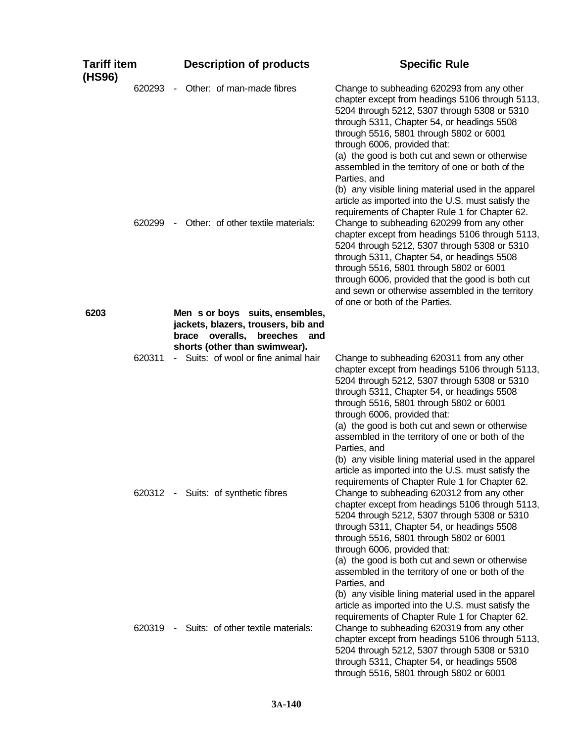| <b>Tariff item</b><br>(HS96) |                  | <b>Description of products</b>                                                                                                                  | <b>Specific Rule</b>                                                                                                                                                                                                                                                                                                                                                                                                                                                                                                                                                                                                                                                                                                                                                                                                                                                                                                                            |
|------------------------------|------------------|-------------------------------------------------------------------------------------------------------------------------------------------------|-------------------------------------------------------------------------------------------------------------------------------------------------------------------------------------------------------------------------------------------------------------------------------------------------------------------------------------------------------------------------------------------------------------------------------------------------------------------------------------------------------------------------------------------------------------------------------------------------------------------------------------------------------------------------------------------------------------------------------------------------------------------------------------------------------------------------------------------------------------------------------------------------------------------------------------------------|
|                              | 620293<br>620299 | Other: of man-made fibres<br>$\blacksquare$<br>Other: of other textile materials:<br>$\blacksquare$                                             | Change to subheading 620293 from any other<br>chapter except from headings 5106 through 5113,<br>5204 through 5212, 5307 through 5308 or 5310<br>through 5311, Chapter 54, or headings 5508<br>through 5516, 5801 through 5802 or 6001<br>through 6006, provided that:<br>(a) the good is both cut and sewn or otherwise<br>assembled in the territory of one or both of the<br>Parties, and<br>(b) any visible lining material used in the apparel<br>article as imported into the U.S. must satisfy the<br>requirements of Chapter Rule 1 for Chapter 62.<br>Change to subheading 620299 from any other<br>chapter except from headings 5106 through 5113,<br>5204 through 5212, 5307 through 5308 or 5310<br>through 5311, Chapter 54, or headings 5508<br>through 5516, 5801 through 5802 or 6001<br>through 6006, provided that the good is both cut<br>and sewn or otherwise assembled in the territory<br>of one or both of the Parties. |
| 6203                         |                  | Men s or boys suits, ensembles,                                                                                                                 |                                                                                                                                                                                                                                                                                                                                                                                                                                                                                                                                                                                                                                                                                                                                                                                                                                                                                                                                                 |
|                              | 620311           | jackets, blazers, trousers, bib and<br>brace overalls, breeches<br>and<br>shorts (other than swimwear).<br>- Suits: of wool or fine animal hair | Change to subheading 620311 from any other<br>chapter except from headings 5106 through 5113,                                                                                                                                                                                                                                                                                                                                                                                                                                                                                                                                                                                                                                                                                                                                                                                                                                                   |
|                              |                  | 620312 - Suits: of synthetic fibres                                                                                                             | 5204 through 5212, 5307 through 5308 or 5310<br>through 5311, Chapter 54, or headings 5508<br>through 5516, 5801 through 5802 or 6001<br>through 6006, provided that:<br>(a) the good is both cut and sewn or otherwise<br>assembled in the territory of one or both of the<br>Parties, and<br>(b) any visible lining material used in the apparel<br>article as imported into the U.S. must satisfy the<br>requirements of Chapter Rule 1 for Chapter 62.<br>Change to subheading 620312 from any other<br>chapter except from headings 5106 through 5113,<br>5204 through 5212, 5307 through 5308 or 5310<br>through 5311, Chapter 54, or headings 5508<br>through 5516, 5801 through 5802 or 6001<br>through 6006, provided that:<br>(a) the good is both cut and sewn or otherwise                                                                                                                                                          |
|                              | 620319           | - Suits: of other textile materials:                                                                                                            | assembled in the territory of one or both of the<br>Parties, and<br>(b) any visible lining material used in the apparel<br>article as imported into the U.S. must satisfy the<br>requirements of Chapter Rule 1 for Chapter 62.<br>Change to subheading 620319 from any other<br>chapter except from headings 5106 through 5113,<br>5204 through 5212, 5307 through 5308 or 5310<br>through 5311, Chapter 54, or headings 5508<br>through 5516, 5801 through 5802 or 6001                                                                                                                                                                                                                                                                                                                                                                                                                                                                       |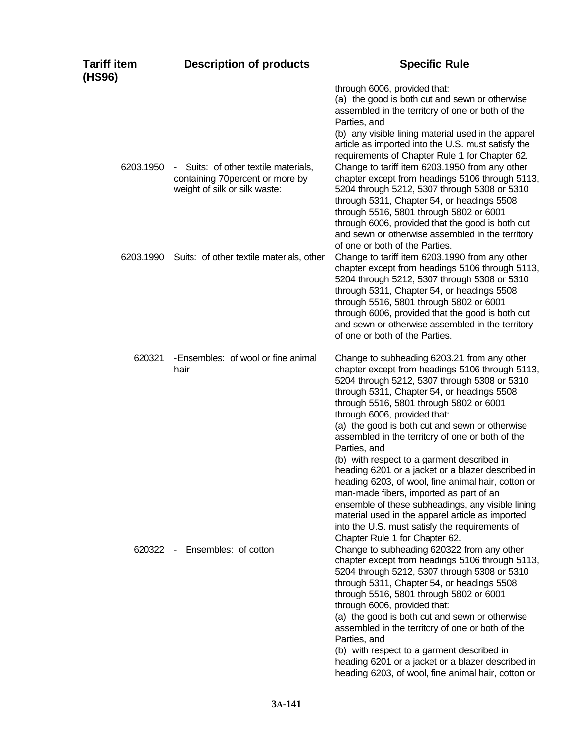| Tariff item<br>(HS96) | <b>Description of products</b>                                                                           | <b>Specific Rule</b>                                                                                                                                                                                                                                                                                                                                                                                                                                                                                                                                                                                                                                                                                                                                                                           |
|-----------------------|----------------------------------------------------------------------------------------------------------|------------------------------------------------------------------------------------------------------------------------------------------------------------------------------------------------------------------------------------------------------------------------------------------------------------------------------------------------------------------------------------------------------------------------------------------------------------------------------------------------------------------------------------------------------------------------------------------------------------------------------------------------------------------------------------------------------------------------------------------------------------------------------------------------|
|                       |                                                                                                          | through 6006, provided that:<br>(a) the good is both cut and sewn or otherwise<br>assembled in the territory of one or both of the<br>Parties, and<br>(b) any visible lining material used in the apparel<br>article as imported into the U.S. must satisfy the<br>requirements of Chapter Rule 1 for Chapter 62.                                                                                                                                                                                                                                                                                                                                                                                                                                                                              |
| 6203.1950             | - Suits: of other textile materials,<br>containing 70percent or more by<br>weight of silk or silk waste: | Change to tariff item 6203.1950 from any other<br>chapter except from headings 5106 through 5113,<br>5204 through 5212, 5307 through 5308 or 5310<br>through 5311, Chapter 54, or headings 5508<br>through 5516, 5801 through 5802 or 6001<br>through 6006, provided that the good is both cut<br>and sewn or otherwise assembled in the territory<br>of one or both of the Parties.                                                                                                                                                                                                                                                                                                                                                                                                           |
| 6203.1990             | Suits: of other textile materials, other                                                                 | Change to tariff item 6203.1990 from any other<br>chapter except from headings 5106 through 5113,<br>5204 through 5212, 5307 through 5308 or 5310<br>through 5311, Chapter 54, or headings 5508<br>through 5516, 5801 through 5802 or 6001<br>through 6006, provided that the good is both cut<br>and sewn or otherwise assembled in the territory<br>of one or both of the Parties.                                                                                                                                                                                                                                                                                                                                                                                                           |
| 620321                | -Ensembles: of wool or fine animal<br>hair                                                               | Change to subheading 6203.21 from any other<br>chapter except from headings 5106 through 5113,<br>5204 through 5212, 5307 through 5308 or 5310<br>through 5311, Chapter 54, or headings 5508<br>through 5516, 5801 through 5802 or 6001<br>through 6006, provided that:<br>(a) the good is both cut and sewn or otherwise<br>assembled in the territory of one or both of the<br>Parties, and<br>(b) with respect to a garment described in<br>heading 6201 or a jacket or a blazer described in<br>heading 6203, of wool, fine animal hair, cotton or<br>man-made fibers, imported as part of an<br>ensemble of these subheadings, any visible lining<br>material used in the apparel article as imported<br>into the U.S. must satisfy the requirements of<br>Chapter Rule 1 for Chapter 62. |
| 620322                | Ensembles: of cotton<br>$\sim$ $-$                                                                       | Change to subheading 620322 from any other<br>chapter except from headings 5106 through 5113,<br>5204 through 5212, 5307 through 5308 or 5310<br>through 5311, Chapter 54, or headings 5508<br>through 5516, 5801 through 5802 or 6001<br>through 6006, provided that:<br>(a) the good is both cut and sewn or otherwise<br>assembled in the territory of one or both of the<br>Parties, and<br>(b) with respect to a garment described in<br>heading 6201 or a jacket or a blazer described in<br>heading 6203, of wool, fine animal hair, cotton or                                                                                                                                                                                                                                          |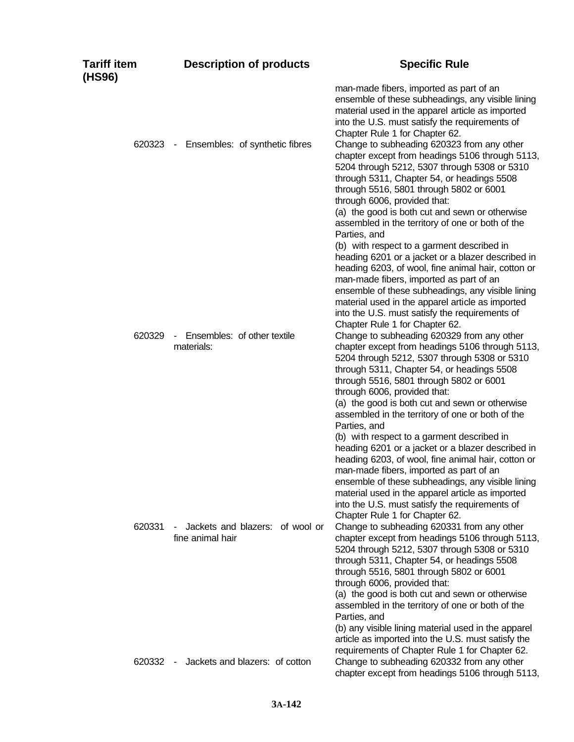| Tariff item<br>(HS96) |        | <b>Description of products</b>                      | <b>Specific Rule</b>                                                                                                                                                                                                                                                                                                                                                                                                                                                                                                                                                                                                                                                                                                                                                                                                                                                                                                                                         |
|-----------------------|--------|-----------------------------------------------------|--------------------------------------------------------------------------------------------------------------------------------------------------------------------------------------------------------------------------------------------------------------------------------------------------------------------------------------------------------------------------------------------------------------------------------------------------------------------------------------------------------------------------------------------------------------------------------------------------------------------------------------------------------------------------------------------------------------------------------------------------------------------------------------------------------------------------------------------------------------------------------------------------------------------------------------------------------------|
|                       |        | 620323 - Ensembles: of synthetic fibres             | man-made fibers, imported as part of an<br>ensemble of these subheadings, any visible lining<br>material used in the apparel article as imported<br>into the U.S. must satisfy the requirements of<br>Chapter Rule 1 for Chapter 62.<br>Change to subheading 620323 from any other<br>chapter except from headings 5106 through 5113,<br>5204 through 5212, 5307 through 5308 or 5310<br>through 5311, Chapter 54, or headings 5508<br>through 5516, 5801 through 5802 or 6001<br>through 6006, provided that:                                                                                                                                                                                                                                                                                                                                                                                                                                               |
|                       | 620329 | Ensembles: of other textile<br>$\sim$               | (a) the good is both cut and sewn or otherwise<br>assembled in the territory of one or both of the<br>Parties, and<br>(b) with respect to a garment described in<br>heading 6201 or a jacket or a blazer described in<br>heading 6203, of wool, fine animal hair, cotton or<br>man-made fibers, imported as part of an<br>ensemble of these subheadings, any visible lining<br>material used in the apparel article as imported<br>into the U.S. must satisfy the requirements of<br>Chapter Rule 1 for Chapter 62.<br>Change to subheading 620329 from any other                                                                                                                                                                                                                                                                                                                                                                                            |
|                       |        | materials:                                          | chapter except from headings 5106 through 5113,<br>5204 through 5212, 5307 through 5308 or 5310<br>through 5311, Chapter 54, or headings 5508<br>through 5516, 5801 through 5802 or 6001<br>through 6006, provided that:<br>(a) the good is both cut and sewn or otherwise<br>assembled in the territory of one or both of the<br>Parties, and                                                                                                                                                                                                                                                                                                                                                                                                                                                                                                                                                                                                               |
|                       | 620331 | Jackets and blazers: of wool or<br>fine animal hair | (b) with respect to a garment described in<br>heading 6201 or a jacket or a blazer described in<br>heading 6203, of wool, fine animal hair, cotton or<br>man-made fibers, imported as part of an<br>ensemble of these subheadings, any visible lining<br>material used in the apparel article as imported<br>into the U.S. must satisfy the requirements of<br>Chapter Rule 1 for Chapter 62.<br>Change to subheading 620331 from any other<br>chapter except from headings 5106 through 5113,<br>5204 through 5212, 5307 through 5308 or 5310<br>through 5311, Chapter 54, or headings 5508<br>through 5516, 5801 through 5802 or 6001<br>through 6006, provided that:<br>(a) the good is both cut and sewn or otherwise<br>assembled in the territory of one or both of the<br>Parties, and<br>(b) any visible lining material used in the apparel<br>article as imported into the U.S. must satisfy the<br>requirements of Chapter Rule 1 for Chapter 62. |
|                       | 620332 | Jackets and blazers: of cotton<br>$\sim$            | Change to subheading 620332 from any other<br>chapter except from headings 5106 through 5113,                                                                                                                                                                                                                                                                                                                                                                                                                                                                                                                                                                                                                                                                                                                                                                                                                                                                |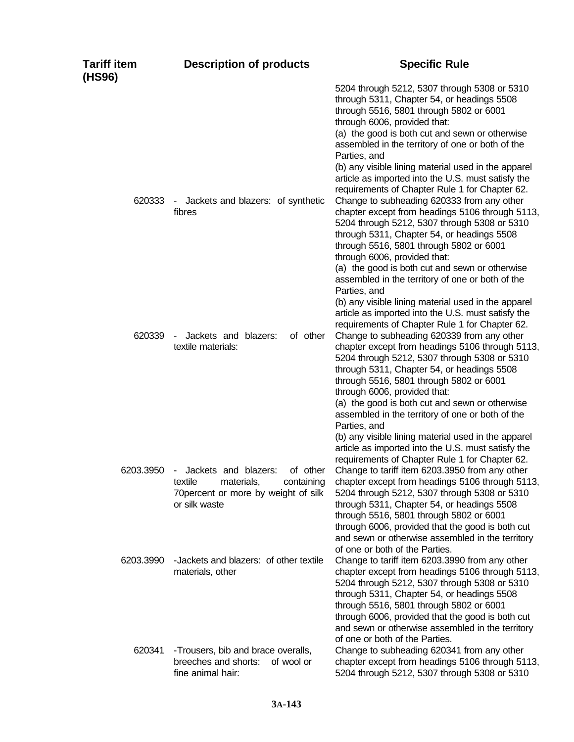| Tariff item<br>(HS96) | <b>Description of products</b>                                                                                                                               | <b>Specific Rule</b>                                                                                                                                                                                                                                                                                                                                                                                                                                                                                                                                                                                                                                                                                                                                                                                                                                                                                                                                                    |
|-----------------------|--------------------------------------------------------------------------------------------------------------------------------------------------------------|-------------------------------------------------------------------------------------------------------------------------------------------------------------------------------------------------------------------------------------------------------------------------------------------------------------------------------------------------------------------------------------------------------------------------------------------------------------------------------------------------------------------------------------------------------------------------------------------------------------------------------------------------------------------------------------------------------------------------------------------------------------------------------------------------------------------------------------------------------------------------------------------------------------------------------------------------------------------------|
| 620333                | Jackets and blazers: of synthetic<br>$\blacksquare$<br>fibres                                                                                                | 5204 through 5212, 5307 through 5308 or 5310<br>through 5311, Chapter 54, or headings 5508<br>through 5516, 5801 through 5802 or 6001<br>through 6006, provided that:<br>(a) the good is both cut and sewn or otherwise<br>assembled in the territory of one or both of the<br>Parties, and<br>(b) any visible lining material used in the apparel<br>article as imported into the U.S. must satisfy the<br>requirements of Chapter Rule 1 for Chapter 62.<br>Change to subheading 620333 from any other<br>chapter except from headings 5106 through 5113,<br>5204 through 5212, 5307 through 5308 or 5310<br>through 5311, Chapter 54, or headings 5508<br>through 5516, 5801 through 5802 or 6001<br>through 6006, provided that:<br>(a) the good is both cut and sewn or otherwise<br>assembled in the territory of one or both of the<br>Parties, and<br>(b) any visible lining material used in the apparel<br>article as imported into the U.S. must satisfy the |
| 620339                | Jackets and blazers:<br>of other<br>textile materials:                                                                                                       | requirements of Chapter Rule 1 for Chapter 62.<br>Change to subheading 620339 from any other<br>chapter except from headings 5106 through 5113,<br>5204 through 5212, 5307 through 5308 or 5310<br>through 5311, Chapter 54, or headings 5508<br>through 5516, 5801 through 5802 or 6001<br>through 6006, provided that:<br>(a) the good is both cut and sewn or otherwise<br>assembled in the territory of one or both of the<br>Parties, and<br>(b) any visible lining material used in the apparel<br>article as imported into the U.S. must satisfy the<br>requirements of Chapter Rule 1 for Chapter 62.                                                                                                                                                                                                                                                                                                                                                           |
| 6203.3950             | Jackets and blazers:<br>of other<br>$\overline{\phantom{a}}$<br>textile<br>materials,<br>containing<br>70 percent or more by weight of silk<br>or silk waste | Change to tariff item 6203.3950 from any other<br>chapter except from headings 5106 through 5113,<br>5204 through 5212, 5307 through 5308 or 5310<br>through 5311, Chapter 54, or headings 5508<br>through 5516, 5801 through 5802 or 6001<br>through 6006, provided that the good is both cut<br>and sewn or otherwise assembled in the territory<br>of one or both of the Parties.                                                                                                                                                                                                                                                                                                                                                                                                                                                                                                                                                                                    |
| 6203.3990             | -Jackets and blazers: of other textile<br>materials, other                                                                                                   | Change to tariff item 6203.3990 from any other<br>chapter except from headings 5106 through 5113,<br>5204 through 5212, 5307 through 5308 or 5310<br>through 5311, Chapter 54, or headings 5508<br>through 5516, 5801 through 5802 or 6001<br>through 6006, provided that the good is both cut<br>and sewn or otherwise assembled in the territory<br>of one or both of the Parties.                                                                                                                                                                                                                                                                                                                                                                                                                                                                                                                                                                                    |
| 620341                | -Trousers, bib and brace overalls,<br>breeches and shorts:<br>of wool or<br>fine animal hair:                                                                | Change to subheading 620341 from any other<br>chapter except from headings 5106 through 5113,<br>5204 through 5212, 5307 through 5308 or 5310                                                                                                                                                                                                                                                                                                                                                                                                                                                                                                                                                                                                                                                                                                                                                                                                                           |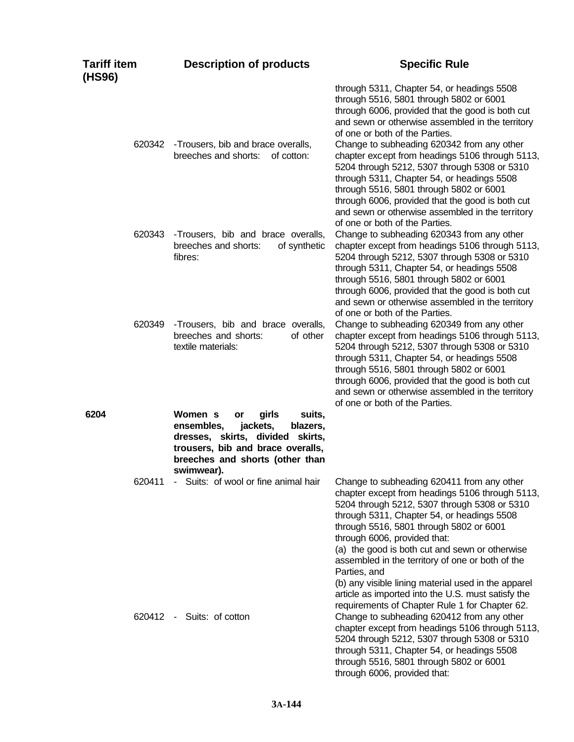| <b>Tariff item</b><br>(HS96) | <b>Description of products</b>                                                                                                                                                                   | <b>Specific Rule</b>                                                                                                                                                                                                                                                                                                                                                                                                                                                                                                                                                                                                |
|------------------------------|--------------------------------------------------------------------------------------------------------------------------------------------------------------------------------------------------|---------------------------------------------------------------------------------------------------------------------------------------------------------------------------------------------------------------------------------------------------------------------------------------------------------------------------------------------------------------------------------------------------------------------------------------------------------------------------------------------------------------------------------------------------------------------------------------------------------------------|
| 620342                       | -Trousers, bib and brace overalls,<br>breeches and shorts:<br>of cotton:                                                                                                                         | through 5311, Chapter 54, or headings 5508<br>through 5516, 5801 through 5802 or 6001<br>through 6006, provided that the good is both cut<br>and sewn or otherwise assembled in the territory<br>of one or both of the Parties.<br>Change to subheading 620342 from any other<br>chapter except from headings 5106 through 5113,<br>5204 through 5212, 5307 through 5308 or 5310<br>through 5311, Chapter 54, or headings 5508<br>through 5516, 5801 through 5802 or 6001<br>through 6006, provided that the good is both cut<br>and sewn or otherwise assembled in the territory<br>of one or both of the Parties. |
| 620343                       | -Trousers, bib and brace overalls,<br>breeches and shorts:<br>of synthetic<br>fibres:                                                                                                            | Change to subheading 620343 from any other<br>chapter except from headings 5106 through 5113,<br>5204 through 5212, 5307 through 5308 or 5310<br>through 5311, Chapter 54, or headings 5508<br>through 5516, 5801 through 5802 or 6001<br>through 6006, provided that the good is both cut<br>and sewn or otherwise assembled in the territory<br>of one or both of the Parties.                                                                                                                                                                                                                                    |
| 620349                       | -Trousers, bib and brace overalls,<br>breeches and shorts:<br>of other<br>textile materials:                                                                                                     | Change to subheading 620349 from any other<br>chapter except from headings 5106 through 5113,<br>5204 through 5212, 5307 through 5308 or 5310<br>through 5311, Chapter 54, or headings 5508<br>through 5516, 5801 through 5802 or 6001<br>through 6006, provided that the good is both cut<br>and sewn or otherwise assembled in the territory<br>of one or both of the Parties.                                                                                                                                                                                                                                    |
| 6204                         | Women s<br>girls<br>suits,<br>or<br>ensembles,<br>jackets,<br>blazers,<br>dresses, skirts, divided skirts,<br>trousers, bib and brace overalls,<br>breeches and shorts (other than<br>swimwear). |                                                                                                                                                                                                                                                                                                                                                                                                                                                                                                                                                                                                                     |
| 620411                       | - Suits: of wool or fine animal hair                                                                                                                                                             | Change to subheading 620411 from any other<br>chapter except from headings 5106 through 5113,<br>5204 through 5212, 5307 through 5308 or 5310<br>through 5311, Chapter 54, or headings 5508<br>through 5516, 5801 through 5802 or 6001<br>through 6006, provided that:<br>(a) the good is both cut and sewn or otherwise<br>assembled in the territory of one or both of the<br>Parties, and<br>(b) any visible lining material used in the apparel<br>article as imported into the U.S. must satisfy the<br>requirements of Chapter Rule 1 for Chapter 62.                                                         |
|                              | 620412 - Suits: of cotton                                                                                                                                                                        | Change to subheading 620412 from any other<br>chapter except from headings 5106 through 5113,<br>5204 through 5212, 5307 through 5308 or 5310<br>through 5311, Chapter 54, or headings 5508<br>through 5516, 5801 through 5802 or 6001<br>through 6006, provided that:                                                                                                                                                                                                                                                                                                                                              |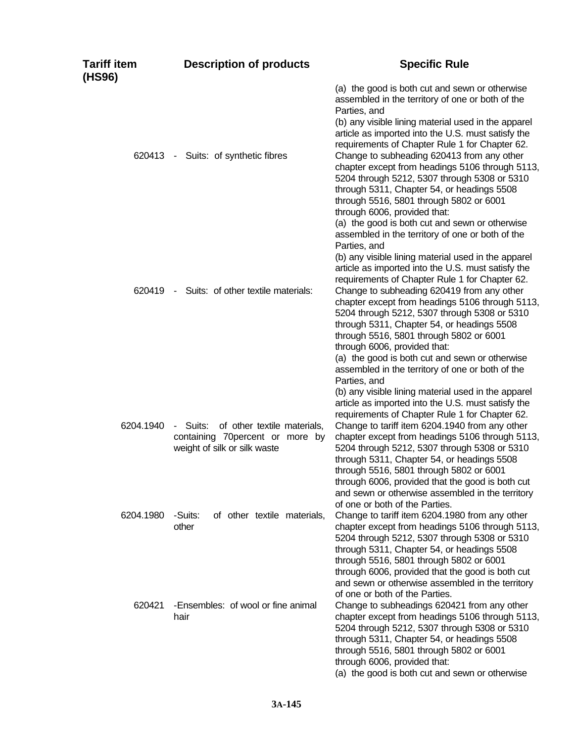| <b>Tariff item</b><br>(HS96) | <b>Description of products</b>                                                                             | <b>Specific Rule</b>                                                                                                                                                                                                                                                                                                                                                                                                                                                                                                                                                                                            |
|------------------------------|------------------------------------------------------------------------------------------------------------|-----------------------------------------------------------------------------------------------------------------------------------------------------------------------------------------------------------------------------------------------------------------------------------------------------------------------------------------------------------------------------------------------------------------------------------------------------------------------------------------------------------------------------------------------------------------------------------------------------------------|
|                              | 620413 - Suits: of synthetic fibres                                                                        | (a) the good is both cut and sewn or otherwise<br>assembled in the territory of one or both of the<br>Parties, and<br>(b) any visible lining material used in the apparel<br>article as imported into the U.S. must satisfy the<br>requirements of Chapter Rule 1 for Chapter 62.<br>Change to subheading 620413 from any other<br>chapter except from headings 5106 through 5113,<br>5204 through 5212, 5307 through 5308 or 5310<br>through 5311, Chapter 54, or headings 5508<br>through 5516, 5801 through 5802 or 6001<br>through 6006, provided that:<br>(a) the good is both cut and sewn or otherwise   |
| 620419                       | Suits: of other textile materials:<br>$\sim 10^{-1}$                                                       | assembled in the territory of one or both of the<br>Parties, and<br>(b) any visible lining material used in the apparel<br>article as imported into the U.S. must satisfy the<br>requirements of Chapter Rule 1 for Chapter 62.<br>Change to subheading 620419 from any other<br>chapter except from headings 5106 through 5113,<br>5204 through 5212, 5307 through 5308 or 5310<br>through 5311, Chapter 54, or headings 5508<br>through 5516, 5801 through 5802 or 6001<br>through 6006, provided that:<br>(a) the good is both cut and sewn or otherwise<br>assembled in the territory of one or both of the |
| 6204.1940                    | of other textile materials,<br>- Suits:<br>containing 70percent or more by<br>weight of silk or silk waste | Parties, and<br>(b) any visible lining material used in the apparel<br>article as imported into the U.S. must satisfy the<br>requirements of Chapter Rule 1 for Chapter 62.<br>Change to tariff item 6204.1940 from any other<br>chapter except from headings 5106 through 5113,<br>5204 through 5212, 5307 through 5308 or 5310<br>through 5311, Chapter 54, or headings 5508<br>through 5516, 5801 through 5802 or 6001<br>through 6006, provided that the good is both cut                                                                                                                                   |
| 6204.1980                    | -Suits:<br>of other textile materials,<br>other                                                            | and sewn or otherwise assembled in the territory<br>of one or both of the Parties.<br>Change to tariff item 6204.1980 from any other<br>chapter except from headings 5106 through 5113,<br>5204 through 5212, 5307 through 5308 or 5310<br>through 5311, Chapter 54, or headings 5508<br>through 5516, 5801 through 5802 or 6001<br>through 6006, provided that the good is both cut                                                                                                                                                                                                                            |
| 620421                       | -Ensembles: of wool or fine animal<br>hair                                                                 | and sewn or otherwise assembled in the territory<br>of one or both of the Parties.<br>Change to subheadings 620421 from any other<br>chapter except from headings 5106 through 5113,<br>5204 through 5212, 5307 through 5308 or 5310<br>through 5311, Chapter 54, or headings 5508<br>through 5516, 5801 through 5802 or 6001<br>through 6006, provided that:<br>(a) the good is both cut and sewn or otherwise                                                                                                                                                                                                 |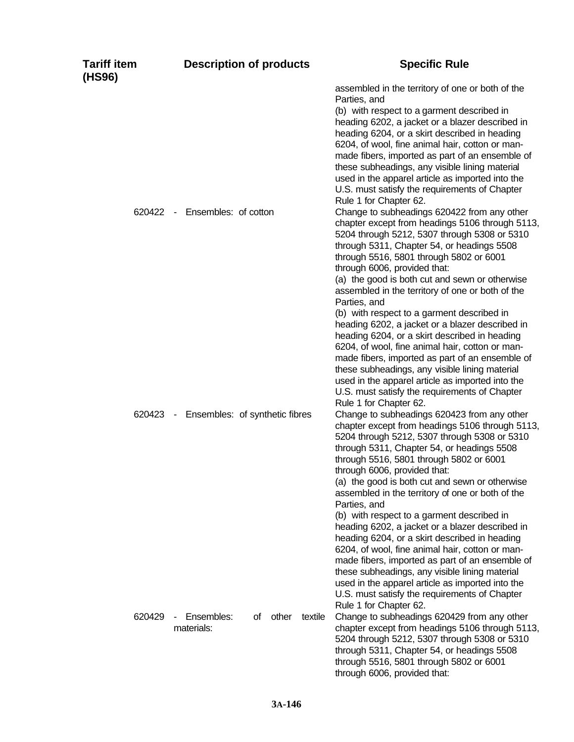| <b>Tariff item</b><br>(HS96) | <b>Description of products</b>                     | <b>Specific Rule</b>                                                                                                                                                                                                                                                                                                                                                                                                                                                                                                                                                                                                                                                                                                                                                                                                                   |
|------------------------------|----------------------------------------------------|----------------------------------------------------------------------------------------------------------------------------------------------------------------------------------------------------------------------------------------------------------------------------------------------------------------------------------------------------------------------------------------------------------------------------------------------------------------------------------------------------------------------------------------------------------------------------------------------------------------------------------------------------------------------------------------------------------------------------------------------------------------------------------------------------------------------------------------|
| 620422                       | Ensembles: of cotton<br>$\sim$                     | assembled in the territory of one or both of the<br>Parties, and<br>(b) with respect to a garment described in<br>heading 6202, a jacket or a blazer described in<br>heading 6204, or a skirt described in heading<br>6204, of wool, fine animal hair, cotton or man-<br>made fibers, imported as part of an ensemble of<br>these subheadings, any visible lining material<br>used in the apparel article as imported into the<br>U.S. must satisfy the requirements of Chapter<br>Rule 1 for Chapter 62.<br>Change to subheadings 620422 from any other<br>chapter except from headings 5106 through 5113,<br>5204 through 5212, 5307 through 5308 or 5310<br>through 5311, Chapter 54, or headings 5508<br>through 5516, 5801 through 5802 or 6001                                                                                   |
|                              |                                                    | through 6006, provided that:<br>(a) the good is both cut and sewn or otherwise<br>assembled in the territory of one or both of the<br>Parties, and<br>(b) with respect to a garment described in<br>heading 6202, a jacket or a blazer described in<br>heading 6204, or a skirt described in heading<br>6204, of wool, fine animal hair, cotton or man-<br>made fibers, imported as part of an ensemble of<br>these subheadings, any visible lining material<br>used in the apparel article as imported into the<br>U.S. must satisfy the requirements of Chapter<br>Rule 1 for Chapter 62.                                                                                                                                                                                                                                            |
| 620423                       | Ensembles: of synthetic fibres<br>$\sim$ $ \sim$   | Change to subheadings 620423 from any other<br>chapter except from headings 5106 through 5113,<br>5204 through 5212, 5307 through 5308 or 5310<br>through 5311, Chapter 54, or headings 5508<br>through 5516, 5801 through 5802 or 6001<br>through 6006, provided that:<br>(a) the good is both cut and sewn or otherwise<br>assembled in the territory of one or both of the<br>Parties, and<br>(b) with respect to a garment described in<br>heading 6202, a jacket or a blazer described in<br>heading 6204, or a skirt described in heading<br>6204, of wool, fine animal hair, cotton or man-<br>made fibers, imported as part of an ensemble of<br>these subheadings, any visible lining material<br>used in the apparel article as imported into the<br>U.S. must satisfy the requirements of Chapter<br>Rule 1 for Chapter 62. |
| 620429                       | Ensembles:<br>other<br>textile<br>οf<br>materials: | Change to subheadings 620429 from any other<br>chapter except from headings 5106 through 5113,<br>5204 through 5212, 5307 through 5308 or 5310<br>through 5311, Chapter 54, or headings 5508<br>through 5516, 5801 through 5802 or 6001<br>through 6006, provided that:                                                                                                                                                                                                                                                                                                                                                                                                                                                                                                                                                                |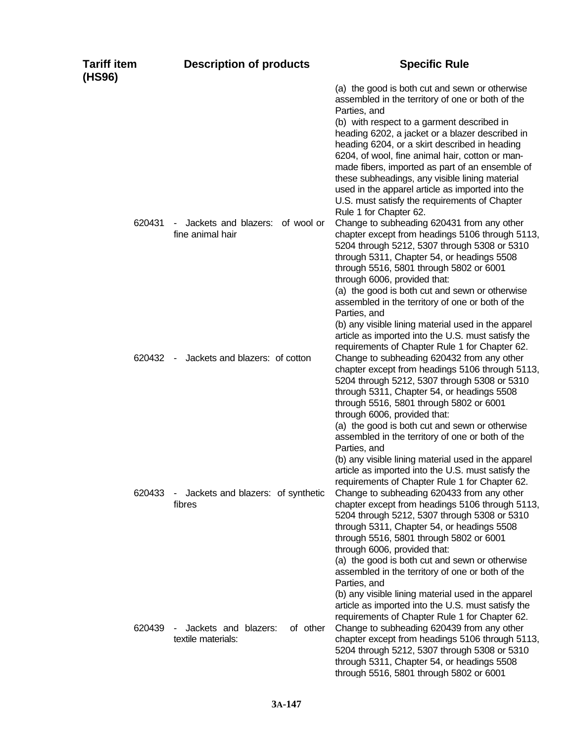| <b>Tariff item</b><br>(HS96) | <b>Description of products</b>                                | <b>Specific Rule</b>                                                                                                                                                                                                                                                                                                                                                                                                                                                                                                                                        |
|------------------------------|---------------------------------------------------------------|-------------------------------------------------------------------------------------------------------------------------------------------------------------------------------------------------------------------------------------------------------------------------------------------------------------------------------------------------------------------------------------------------------------------------------------------------------------------------------------------------------------------------------------------------------------|
|                              |                                                               | (a) the good is both cut and sewn or otherwise<br>assembled in the territory of one or both of the<br>Parties, and<br>(b) with respect to a garment described in<br>heading 6202, a jacket or a blazer described in<br>heading 6204, or a skirt described in heading<br>6204, of wool, fine animal hair, cotton or man-<br>made fibers, imported as part of an ensemble of<br>these subheadings, any visible lining material<br>used in the apparel article as imported into the<br>U.S. must satisfy the requirements of Chapter<br>Rule 1 for Chapter 62. |
| 620431                       | Jackets and blazers: of wool or<br>$\sim$<br>fine animal hair | Change to subheading 620431 from any other<br>chapter except from headings 5106 through 5113,<br>5204 through 5212, 5307 through 5308 or 5310<br>through 5311, Chapter 54, or headings 5508<br>through 5516, 5801 through 5802 or 6001<br>through 6006, provided that:<br>(a) the good is both cut and sewn or otherwise<br>assembled in the territory of one or both of the<br>Parties, and<br>(b) any visible lining material used in the apparel<br>article as imported into the U.S. must satisfy the<br>requirements of Chapter Rule 1 for Chapter 62. |
| 620432                       | Jackets and blazers: of cotton<br>$\sim$                      | Change to subheading 620432 from any other<br>chapter except from headings 5106 through 5113,<br>5204 through 5212, 5307 through 5308 or 5310<br>through 5311, Chapter 54, or headings 5508<br>through 5516, 5801 through 5802 or 6001<br>through 6006, provided that:<br>(a) the good is both cut and sewn or otherwise<br>assembled in the territory of one or both of the<br>Parties, and<br>(b) any visible lining material used in the apparel<br>article as imported into the U.S. must satisfy the<br>requirements of Chapter Rule 1 for Chapter 62. |
| 620433                       | Jackets and blazers: of synthetic<br>$\sim$<br>fibres         | Change to subheading 620433 from any other<br>chapter except from headings 5106 through 5113,<br>5204 through 5212, 5307 through 5308 or 5310<br>through 5311, Chapter 54, or headings 5508<br>through 5516, 5801 through 5802 or 6001<br>through 6006, provided that:<br>(a) the good is both cut and sewn or otherwise<br>assembled in the territory of one or both of the<br>Parties, and<br>(b) any visible lining material used in the apparel<br>article as imported into the U.S. must satisfy the<br>requirements of Chapter Rule 1 for Chapter 62. |
| 620439                       | Jackets and blazers:<br>of other<br>textile materials:        | Change to subheading 620439 from any other<br>chapter except from headings 5106 through 5113,<br>5204 through 5212, 5307 through 5308 or 5310<br>through 5311, Chapter 54, or headings 5508<br>through 5516, 5801 through 5802 or 6001                                                                                                                                                                                                                                                                                                                      |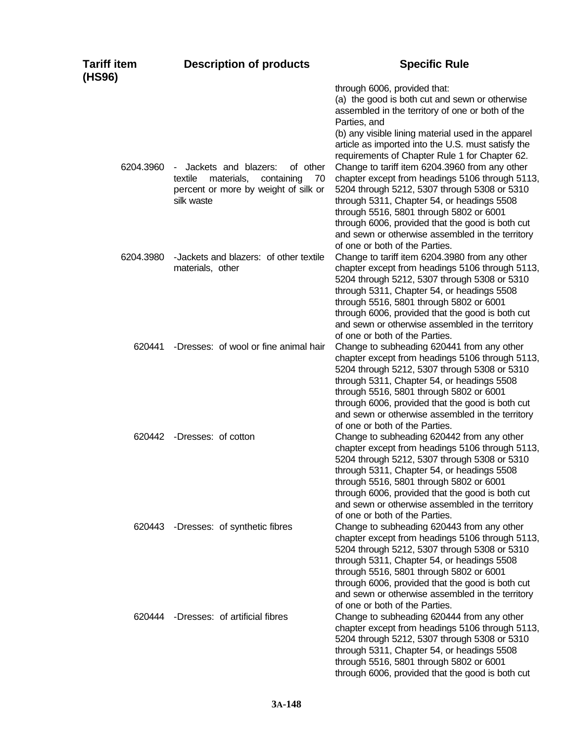| <b>Tariff item</b><br>(HS96) | <b>Description of products</b>                                                                                                                | <b>Specific Rule</b>                                                                                                                                                                                                                                                                                                                                                                 |
|------------------------------|-----------------------------------------------------------------------------------------------------------------------------------------------|--------------------------------------------------------------------------------------------------------------------------------------------------------------------------------------------------------------------------------------------------------------------------------------------------------------------------------------------------------------------------------------|
|                              |                                                                                                                                               | through 6006, provided that:<br>(a) the good is both cut and sewn or otherwise<br>assembled in the territory of one or both of the<br>Parties, and<br>(b) any visible lining material used in the apparel<br>article as imported into the U.S. must satisfy the<br>requirements of Chapter Rule 1 for Chapter 62.                                                                    |
| 6204.3960                    | Jackets and blazers:<br>of other<br>$\sim$<br>textile<br>materials,<br>containing<br>70<br>percent or more by weight of silk or<br>silk waste | Change to tariff item 6204.3960 from any other<br>chapter except from headings 5106 through 5113,<br>5204 through 5212, 5307 through 5308 or 5310<br>through 5311, Chapter 54, or headings 5508<br>through 5516, 5801 through 5802 or 6001<br>through 6006, provided that the good is both cut<br>and sewn or otherwise assembled in the territory<br>of one or both of the Parties. |
| 6204.3980                    | -Jackets and blazers: of other textile<br>materials, other                                                                                    | Change to tariff item 6204.3980 from any other<br>chapter except from headings 5106 through 5113,<br>5204 through 5212, 5307 through 5308 or 5310<br>through 5311, Chapter 54, or headings 5508<br>through 5516, 5801 through 5802 or 6001<br>through 6006, provided that the good is both cut<br>and sewn or otherwise assembled in the territory<br>of one or both of the Parties. |
| 620441                       | -Dresses: of wool or fine animal hair                                                                                                         | Change to subheading 620441 from any other<br>chapter except from headings 5106 through 5113,<br>5204 through 5212, 5307 through 5308 or 5310<br>through 5311, Chapter 54, or headings 5508<br>through 5516, 5801 through 5802 or 6001<br>through 6006, provided that the good is both cut<br>and sewn or otherwise assembled in the territory<br>of one or both of the Parties.     |
| 620442                       | -Dresses: of cotton                                                                                                                           | Change to subheading 620442 from any other<br>chapter except from headings 5106 through 5113,<br>5204 through 5212, 5307 through 5308 or 5310<br>through 5311, Chapter 54, or headings 5508<br>through 5516, 5801 through 5802 or 6001<br>through 6006, provided that the good is both cut<br>and sewn or otherwise assembled in the territory<br>of one or both of the Parties.     |
| 620443                       | -Dresses: of synthetic fibres                                                                                                                 | Change to subheading 620443 from any other<br>chapter except from headings 5106 through 5113,<br>5204 through 5212, 5307 through 5308 or 5310<br>through 5311, Chapter 54, or headings 5508<br>through 5516, 5801 through 5802 or 6001<br>through 6006, provided that the good is both cut<br>and sewn or otherwise assembled in the territory<br>of one or both of the Parties.     |
| 620444                       | -Dresses: of artificial fibres                                                                                                                | Change to subheading 620444 from any other<br>chapter except from headings 5106 through 5113,<br>5204 through 5212, 5307 through 5308 or 5310<br>through 5311, Chapter 54, or headings 5508<br>through 5516, 5801 through 5802 or 6001<br>through 6006, provided that the good is both cut                                                                                           |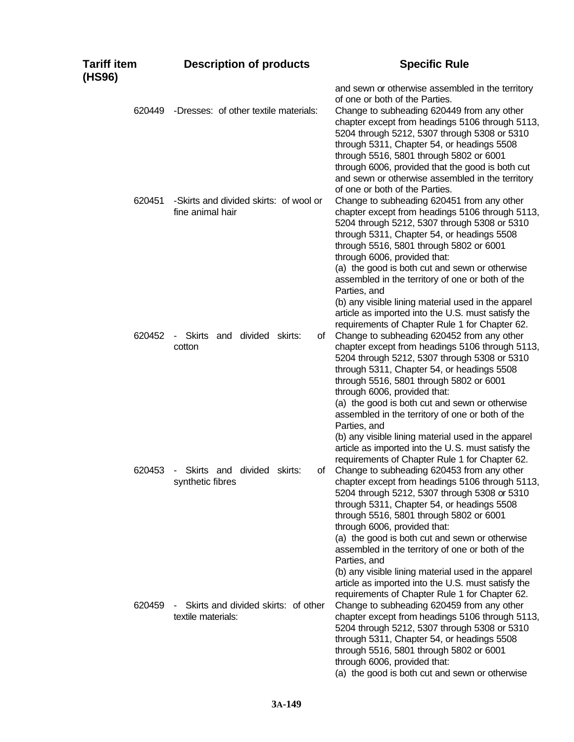| <b>Tariff item</b><br>(HS96) | <b>Description of products</b>                                 | <b>Specific Rule</b>                                                                                                                                                                                                                                                                                                                                                                                                                                                                                                                                                                                          |
|------------------------------|----------------------------------------------------------------|---------------------------------------------------------------------------------------------------------------------------------------------------------------------------------------------------------------------------------------------------------------------------------------------------------------------------------------------------------------------------------------------------------------------------------------------------------------------------------------------------------------------------------------------------------------------------------------------------------------|
| 620449                       | -Dresses: of other textile materials:                          | and sewn or otherwise assembled in the territory<br>of one or both of the Parties.<br>Change to subheading 620449 from any other<br>chapter except from headings 5106 through 5113,<br>5204 through 5212, 5307 through 5308 or 5310<br>through 5311, Chapter 54, or headings 5508                                                                                                                                                                                                                                                                                                                             |
| 620451                       | -Skirts and divided skirts: of wool or<br>fine animal hair     | through 5516, 5801 through 5802 or 6001<br>through 6006, provided that the good is both cut<br>and sewn or otherwise assembled in the territory<br>of one or both of the Parties.<br>Change to subheading 620451 from any other<br>chapter except from headings 5106 through 5113,<br>5204 through 5212, 5307 through 5308 or 5310<br>through 5311, Chapter 54, or headings 5508<br>through 5516, 5801 through 5802 or 6001<br>through 6006, provided that:<br>(a) the good is both cut and sewn or otherwise<br>assembled in the territory of one or both of the                                             |
| 620452                       | Skirts and divided skirts:<br>of<br>$\sim$<br>cotton           | Parties, and<br>(b) any visible lining material used in the apparel<br>article as imported into the U.S. must satisfy the<br>requirements of Chapter Rule 1 for Chapter 62.<br>Change to subheading 620452 from any other<br>chapter except from headings 5106 through 5113,<br>5204 through 5212, 5307 through 5308 or 5310<br>through 5311, Chapter 54, or headings 5508<br>through 5516, 5801 through 5802 or 6001<br>through 6006, provided that:<br>(a) the good is both cut and sewn or otherwise<br>assembled in the territory of one or both of the<br>Parties, and                                   |
| 620453                       | Skirts and divided skirts:<br>$\sim$<br>of<br>synthetic fibres | (b) any visible lining material used in the apparel<br>article as imported into the U.S. must satisfy the<br>requirements of Chapter Rule 1 for Chapter 62.<br>Change to subheading 620453 from any other<br>chapter except from headings 5106 through 5113,<br>5204 through 5212, 5307 through 5308 or 5310<br>through 5311, Chapter 54, or headings 5508<br>through 5516, 5801 through 5802 or 6001<br>through 6006, provided that:                                                                                                                                                                         |
| 620459                       | Skirts and divided skirts: of other<br>textile materials:      | (a) the good is both cut and sewn or otherwise<br>assembled in the territory of one or both of the<br>Parties, and<br>(b) any visible lining material used in the apparel<br>article as imported into the U.S. must satisfy the<br>requirements of Chapter Rule 1 for Chapter 62.<br>Change to subheading 620459 from any other<br>chapter except from headings 5106 through 5113,<br>5204 through 5212, 5307 through 5308 or 5310<br>through 5311, Chapter 54, or headings 5508<br>through 5516, 5801 through 5802 or 6001<br>through 6006, provided that:<br>(a) the good is both cut and sewn or otherwise |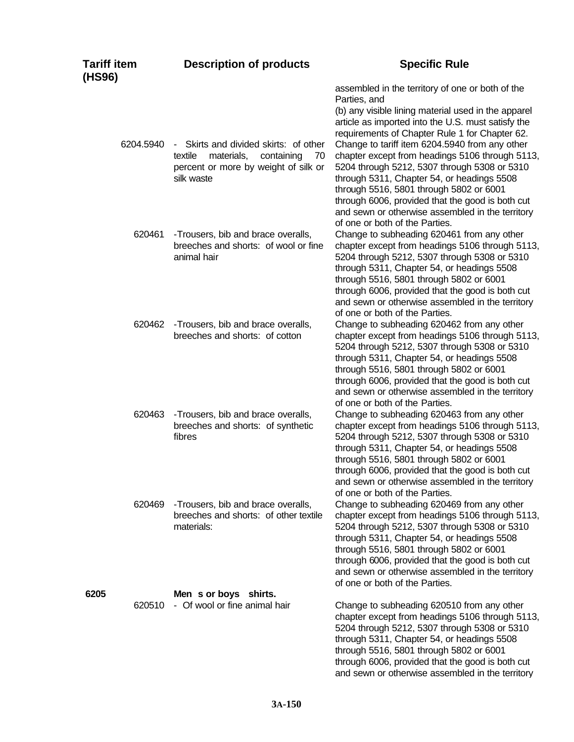| Tariff item<br>(HS96) | <b>Description of products</b>                                                                                                                      | <b>Specific Rule</b>                                                                                                                                                                                                                                                                                                                                                                                                                                                                                                              |
|-----------------------|-----------------------------------------------------------------------------------------------------------------------------------------------------|-----------------------------------------------------------------------------------------------------------------------------------------------------------------------------------------------------------------------------------------------------------------------------------------------------------------------------------------------------------------------------------------------------------------------------------------------------------------------------------------------------------------------------------|
| 6204.5940             | Skirts and divided skirts: of other<br>$\sim 10$<br>materials,<br>containing<br>textile<br>70<br>percent or more by weight of silk or<br>silk waste | assembled in the territory of one or both of the<br>Parties, and<br>(b) any visible lining material used in the apparel<br>article as imported into the U.S. must satisfy the<br>requirements of Chapter Rule 1 for Chapter 62.<br>Change to tariff item 6204.5940 from any other<br>chapter except from headings 5106 through 5113,<br>5204 through 5212, 5307 through 5308 or 5310<br>through 5311, Chapter 54, or headings 5508<br>through 5516, 5801 through 5802 or 6001<br>through 6006, provided that the good is both cut |
| 620461                | -Trousers, bib and brace overalls,<br>breeches and shorts: of wool or fine<br>animal hair                                                           | and sewn or otherwise assembled in the territory<br>of one or both of the Parties.<br>Change to subheading 620461 from any other<br>chapter except from headings 5106 through 5113,<br>5204 through 5212, 5307 through 5308 or 5310<br>through 5311, Chapter 54, or headings 5508<br>through 5516, 5801 through 5802 or 6001<br>through 6006, provided that the good is both cut<br>and sewn or otherwise assembled in the territory<br>of one or both of the Parties.                                                            |
| 620462                | -Trousers, bib and brace overalls,<br>breeches and shorts: of cotton                                                                                | Change to subheading 620462 from any other<br>chapter except from headings 5106 through 5113,<br>5204 through 5212, 5307 through 5308 or 5310<br>through 5311, Chapter 54, or headings 5508<br>through 5516, 5801 through 5802 or 6001<br>through 6006, provided that the good is both cut<br>and sewn or otherwise assembled in the territory<br>of one or both of the Parties.                                                                                                                                                  |
| 620463                | -Trousers, bib and brace overalls,<br>breeches and shorts: of synthetic<br>fibres                                                                   | Change to subheading 620463 from any other<br>chapter except from headings 5106 through 5113,<br>5204 through 5212, 5307 through 5308 or 5310<br>through 5311, Chapter 54, or headings 5508<br>through 5516, 5801 through 5802 or 6001<br>through 6006, provided that the good is both cut<br>and sewn or otherwise assembled in the territory<br>of one or both of the Parties.                                                                                                                                                  |
| 620469                | -Trousers, bib and brace overalls,<br>breeches and shorts: of other textile<br>materials:                                                           | Change to subheading 620469 from any other<br>chapter except from headings 5106 through 5113,<br>5204 through 5212, 5307 through 5308 or 5310<br>through 5311, Chapter 54, or headings 5508<br>through 5516, 5801 through 5802 or 6001<br>through 6006, provided that the good is both cut<br>and sewn or otherwise assembled in the territory<br>of one or both of the Parties.                                                                                                                                                  |
| 6205<br>620510        | Men s or boys shirts.<br>- Of wool or fine animal hair                                                                                              | Change to subheading 620510 from any other<br>chapter except from headings 5106 through 5113,<br>5204 through 5212, 5307 through 5308 or 5310<br>through 5311, Chapter 54, or headings 5508<br>through 5516, 5801 through 5802 or 6001<br>through 6006, provided that the good is both cut<br>and sewn or otherwise assembled in the territory                                                                                                                                                                                    |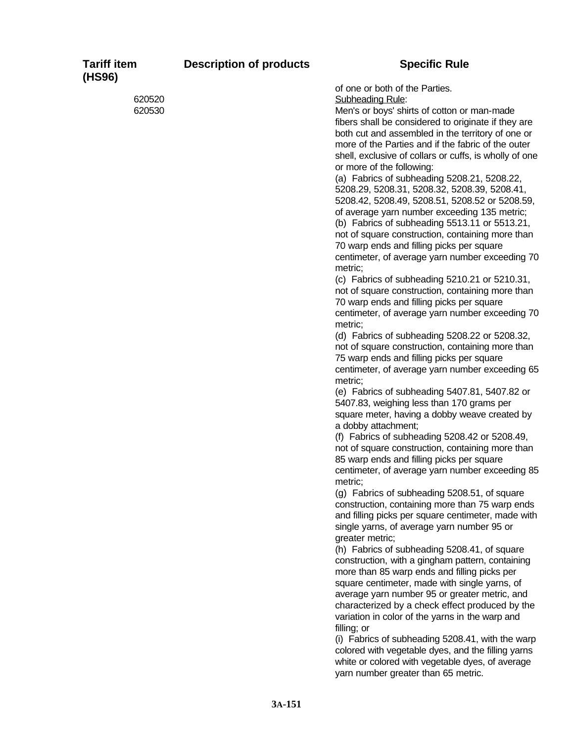| <b>Tariff item</b><br>(HS96) | <b>Description of products</b> | <b>Specific Rule</b>                                                                                                                                    |
|------------------------------|--------------------------------|---------------------------------------------------------------------------------------------------------------------------------------------------------|
| 620520                       |                                | of one or both of the Parties.<br>Subheading Rule:                                                                                                      |
| 620530                       |                                | Men's or boys' shirts of cotton or man-made<br>fibers shall be considered to originate if they are<br>both cut and assembled in the territory of one or |
|                              |                                | more of the Parties and if the fabric of the outer<br>shell, exclusive of collars or cuffs, is wholly of one                                            |
|                              |                                | or more of the following:<br>(a) Fabrics of subheading 5208.21, 5208.22,                                                                                |
|                              |                                | 5208.29, 5208.31, 5208.32, 5208.39, 5208.41,<br>5208.42, 5208.49, 5208.51, 5208.52 or 5208.59,                                                          |
|                              |                                | of average yarn number exceeding 135 metric;<br>(b) Fabrics of subheading 5513.11 or 5513.21,                                                           |
|                              |                                | not of square construction, containing more than                                                                                                        |
|                              |                                | 70 warp ends and filling picks per square<br>centimeter, of average yarn number exceeding 70<br>metric;                                                 |
|                              |                                | (c) Fabrics of subheading 5210.21 or 5210.31,<br>not of square construction, containing more than<br>70 warp ends and filling picks per square          |
|                              |                                | centimeter, of average yarn number exceeding 70<br>metric;                                                                                              |
|                              |                                | (d) Fabrics of subheading 5208.22 or 5208.32,<br>not of square construction, containing more than                                                       |
|                              |                                | 75 warp ends and filling picks per square                                                                                                               |
|                              |                                | centimeter, of average yarn number exceeding 65<br>metric;                                                                                              |
|                              |                                | (e) Fabrics of subheading 5407.81, 5407.82 or<br>5407.83, weighing less than 170 grams per                                                              |
|                              |                                | square meter, having a dobby weave created by<br>a dobby attachment;                                                                                    |
|                              |                                | (f) Fabrics of subheading 5208.42 or 5208.49,<br>not of square construction, containing more than                                                       |
|                              |                                | 85 warp ends and filling picks per square                                                                                                               |
|                              |                                | centimeter, of average yarn number exceeding 85<br>metric;                                                                                              |
|                              |                                | (g) Fabrics of subheading 5208.51, of square<br>construction, containing more than 75 warp ends                                                         |
|                              |                                | and filling picks per square centimeter, made with                                                                                                      |
|                              |                                | single yarns, of average yarn number 95 or<br>greater metric;                                                                                           |
|                              |                                | (h) Fabrics of subheading 5208.41, of square<br>construction, with a gingham pattern, containing                                                        |
|                              |                                | more than 85 warp ends and filling picks per                                                                                                            |
|                              |                                | square centimeter, made with single yarns, of<br>average yarn number 95 or greater metric, and                                                          |
|                              |                                | characterized by a check effect produced by the                                                                                                         |
|                              |                                | variation in color of the yarns in the warp and<br>filling; or                                                                                          |
|                              |                                | (i) Fabrics of subheading 5208.41, with the warp<br>colored with vegetable dyes, and the filling yarns                                                  |
|                              |                                | white or colored with vegetable dyes, of average                                                                                                        |

yarn number greater than 65 metric.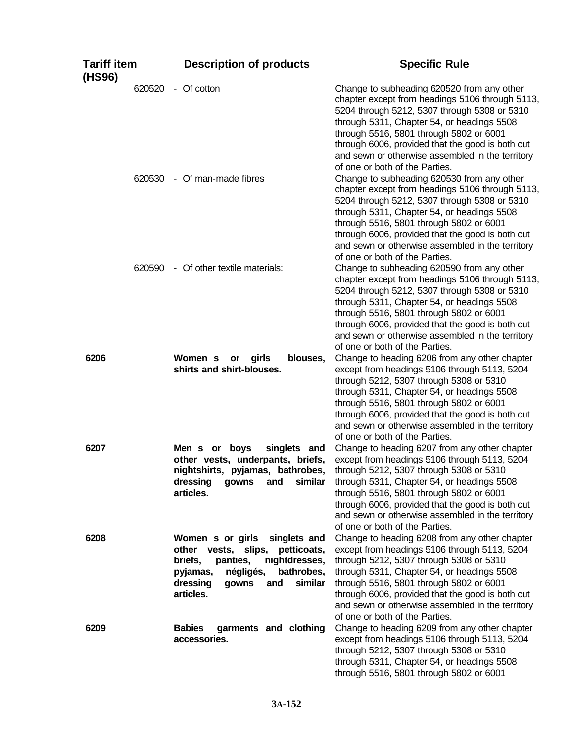| <b>Tariff item</b><br>(HS96) | <b>Description of products</b>                                                                                                                                                                               | <b>Specific Rule</b>                                                                                                                                                                                                                                                                                                                                                             |
|------------------------------|--------------------------------------------------------------------------------------------------------------------------------------------------------------------------------------------------------------|----------------------------------------------------------------------------------------------------------------------------------------------------------------------------------------------------------------------------------------------------------------------------------------------------------------------------------------------------------------------------------|
| 620520                       | - Of cotton                                                                                                                                                                                                  | Change to subheading 620520 from any other<br>chapter except from headings 5106 through 5113,<br>5204 through 5212, 5307 through 5308 or 5310<br>through 5311, Chapter 54, or headings 5508<br>through 5516, 5801 through 5802 or 6001<br>through 6006, provided that the good is both cut<br>and sewn or otherwise assembled in the territory<br>of one or both of the Parties. |
|                              | 620530 - Of man-made fibres                                                                                                                                                                                  | Change to subheading 620530 from any other<br>chapter except from headings 5106 through 5113,<br>5204 through 5212, 5307 through 5308 or 5310<br>through 5311, Chapter 54, or headings 5508<br>through 5516, 5801 through 5802 or 6001<br>through 6006, provided that the good is both cut<br>and sewn or otherwise assembled in the territory<br>of one or both of the Parties. |
|                              | 620590 - Of other textile materials:                                                                                                                                                                         | Change to subheading 620590 from any other<br>chapter except from headings 5106 through 5113,<br>5204 through 5212, 5307 through 5308 or 5310<br>through 5311, Chapter 54, or headings 5508<br>through 5516, 5801 through 5802 or 6001<br>through 6006, provided that the good is both cut<br>and sewn or otherwise assembled in the territory<br>of one or both of the Parties. |
| 6206                         | Women s<br>girls<br>blouses,<br>or<br>shirts and shirt-blouses.                                                                                                                                              | Change to heading 6206 from any other chapter<br>except from headings 5106 through 5113, 5204<br>through 5212, 5307 through 5308 or 5310<br>through 5311, Chapter 54, or headings 5508<br>through 5516, 5801 through 5802 or 6001<br>through 6006, provided that the good is both cut<br>and sewn or otherwise assembled in the territory<br>of one or both of the Parties.      |
| 6207                         | Men s or boys<br>singlets and<br>other vests, underpants, briefs,<br>nightshirts, pyjamas, bathrobes,<br>similar<br>dressing<br>gowns<br>and<br>articles.                                                    | Change to heading 6207 from any other chapter<br>except from headings 5106 through 5113, 5204<br>through 5212, 5307 through 5308 or 5310<br>through 5311, Chapter 54, or headings 5508<br>through 5516, 5801 through 5802 or 6001<br>through 6006, provided that the good is both cut<br>and sewn or otherwise assembled in the territory<br>of one or both of the Parties.      |
| 6208                         | Women s or girls<br>singlets and<br>other vests,<br>slips,<br>petticoats,<br>briefs,<br>panties,<br>nightdresses,<br>pyjamas,<br>négligés,<br>bathrobes,<br>similar<br>dressing<br>and<br>gowns<br>articles. | Change to heading 6208 from any other chapter<br>except from headings 5106 through 5113, 5204<br>through 5212, 5307 through 5308 or 5310<br>through 5311, Chapter 54, or headings 5508<br>through 5516, 5801 through 5802 or 6001<br>through 6006, provided that the good is both cut<br>and sewn or otherwise assembled in the territory<br>of one or both of the Parties.      |
| 6209                         | <b>Babies</b><br>garments and clothing<br>accessories.                                                                                                                                                       | Change to heading 6209 from any other chapter<br>except from headings 5106 through 5113, 5204<br>through 5212, 5307 through 5308 or 5310<br>through 5311, Chapter 54, or headings 5508<br>through 5516, 5801 through 5802 or 6001                                                                                                                                                |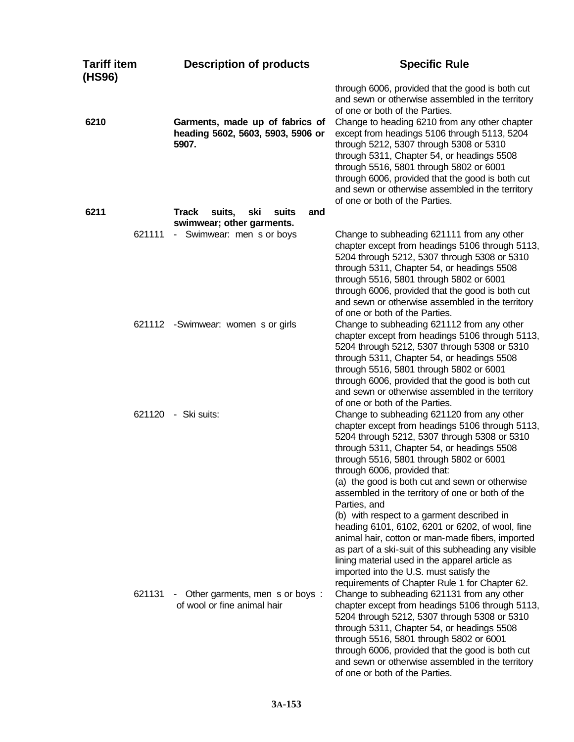| <b>Tariff item</b><br>(HS96) | <b>Description of products</b>                                                | <b>Specific Rule</b>                                                                                                                                                                                                                                                                                                                                                                                                                                                                                                                                                                                                                                                                                                                                     |
|------------------------------|-------------------------------------------------------------------------------|----------------------------------------------------------------------------------------------------------------------------------------------------------------------------------------------------------------------------------------------------------------------------------------------------------------------------------------------------------------------------------------------------------------------------------------------------------------------------------------------------------------------------------------------------------------------------------------------------------------------------------------------------------------------------------------------------------------------------------------------------------|
| 6210                         | Garments, made up of fabrics of<br>heading 5602, 5603, 5903, 5906 or<br>5907. | through 6006, provided that the good is both cut<br>and sewn or otherwise assembled in the territory<br>of one or both of the Parties.<br>Change to heading 6210 from any other chapter<br>except from headings 5106 through 5113, 5204<br>through 5212, 5307 through 5308 or 5310<br>through 5311, Chapter 54, or headings 5508<br>through 5516, 5801 through 5802 or 6001<br>through 6006, provided that the good is both cut<br>and sewn or otherwise assembled in the territory<br>of one or both of the Parties.                                                                                                                                                                                                                                    |
| 6211                         | <b>Track</b><br>suits,<br>ski<br>suits<br>and<br>swimwear; other garments.    |                                                                                                                                                                                                                                                                                                                                                                                                                                                                                                                                                                                                                                                                                                                                                          |
| 621111                       | - Swimwear: men s or boys                                                     | Change to subheading 621111 from any other<br>chapter except from headings 5106 through 5113,<br>5204 through 5212, 5307 through 5308 or 5310<br>through 5311, Chapter 54, or headings 5508<br>through 5516, 5801 through 5802 or 6001<br>through 6006, provided that the good is both cut<br>and sewn or otherwise assembled in the territory<br>of one or both of the Parties.                                                                                                                                                                                                                                                                                                                                                                         |
|                              | 621112 - Swimwear: women s or girls                                           | Change to subheading 621112 from any other<br>chapter except from headings 5106 through 5113,<br>5204 through 5212, 5307 through 5308 or 5310<br>through 5311, Chapter 54, or headings 5508<br>through 5516, 5801 through 5802 or 6001<br>through 6006, provided that the good is both cut<br>and sewn or otherwise assembled in the territory<br>of one or both of the Parties.                                                                                                                                                                                                                                                                                                                                                                         |
|                              | 621120 - Ski suits:                                                           | Change to subheading 621120 from any other<br>chapter except from headings 5106 through 5113,<br>5204 through 5212, 5307 through 5308 or 5310<br>through 5311, Chapter 54, or headings 5508<br>through 5516, 5801 through 5802 or 6001<br>through 6006, provided that:<br>(a) the good is both cut and sewn or otherwise<br>assembled in the territory of one or both of the<br>Parties, and<br>(b) with respect to a garment described in<br>heading 6101, 6102, 6201 or 6202, of wool, fine<br>animal hair, cotton or man-made fibers, imported<br>as part of a ski-suit of this subheading any visible<br>lining material used in the apparel article as<br>imported into the U.S. must satisfy the<br>requirements of Chapter Rule 1 for Chapter 62. |
| 621131                       | Other garments, men s or boys:<br>н.<br>of wool or fine animal hair           | Change to subheading 621131 from any other<br>chapter except from headings 5106 through 5113,<br>5204 through 5212, 5307 through 5308 or 5310<br>through 5311, Chapter 54, or headings 5508<br>through 5516, 5801 through 5802 or 6001<br>through 6006, provided that the good is both cut<br>and sewn or otherwise assembled in the territory<br>of one or both of the Parties.                                                                                                                                                                                                                                                                                                                                                                         |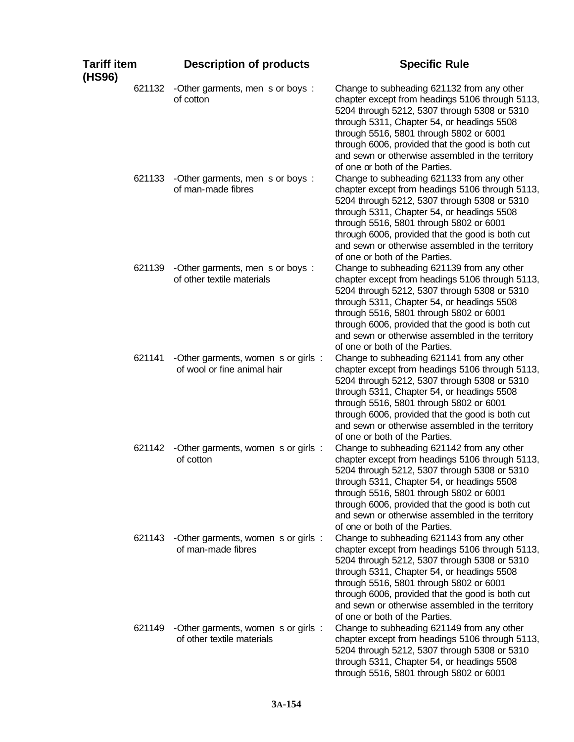| Tariff item<br>(HS96) | <b>Description of products</b>                                     | <b>Specific Rule</b>                                                                                                                                                                                                                                                                                                                                                             |
|-----------------------|--------------------------------------------------------------------|----------------------------------------------------------------------------------------------------------------------------------------------------------------------------------------------------------------------------------------------------------------------------------------------------------------------------------------------------------------------------------|
| 621132                | -Other garments, men s or boys:<br>of cotton                       | Change to subheading 621132 from any other<br>chapter except from headings 5106 through 5113,<br>5204 through 5212, 5307 through 5308 or 5310<br>through 5311, Chapter 54, or headings 5508<br>through 5516, 5801 through 5802 or 6001<br>through 6006, provided that the good is both cut<br>and sewn or otherwise assembled in the territory<br>of one or both of the Parties. |
| 621133                | -Other garments, men s or boys:<br>of man-made fibres              | Change to subheading 621133 from any other<br>chapter except from headings 5106 through 5113,<br>5204 through 5212, 5307 through 5308 or 5310<br>through 5311, Chapter 54, or headings 5508<br>through 5516, 5801 through 5802 or 6001<br>through 6006, provided that the good is both cut<br>and sewn or otherwise assembled in the territory<br>of one or both of the Parties. |
| 621139                | -Other garments, men s or boys:<br>of other textile materials      | Change to subheading 621139 from any other<br>chapter except from headings 5106 through 5113,<br>5204 through 5212, 5307 through 5308 or 5310<br>through 5311, Chapter 54, or headings 5508<br>through 5516, 5801 through 5802 or 6001<br>through 6006, provided that the good is both cut<br>and sewn or otherwise assembled in the territory<br>of one or both of the Parties. |
| 621141                | -Other garments, women s or girls :<br>of wool or fine animal hair | Change to subheading 621141 from any other<br>chapter except from headings 5106 through 5113,<br>5204 through 5212, 5307 through 5308 or 5310<br>through 5311, Chapter 54, or headings 5508<br>through 5516, 5801 through 5802 or 6001<br>through 6006, provided that the good is both cut<br>and sewn or otherwise assembled in the territory<br>of one or both of the Parties. |
| 621142                | -Other garments, women s or girls :<br>of cotton                   | Change to subheading 621142 from any other<br>chapter except from headings 5106 through 5113,<br>5204 through 5212, 5307 through 5308 or 5310<br>through 5311, Chapter 54, or headings 5508<br>through 5516, 5801 through 5802 or 6001<br>through 6006, provided that the good is both cut<br>and sewn or otherwise assembled in the territory<br>of one or both of the Parties. |
| 621143                | -Other garments, women s or girls :<br>of man-made fibres          | Change to subheading 621143 from any other<br>chapter except from headings 5106 through 5113,<br>5204 through 5212, 5307 through 5308 or 5310<br>through 5311, Chapter 54, or headings 5508<br>through 5516, 5801 through 5802 or 6001<br>through 6006, provided that the good is both cut<br>and sewn or otherwise assembled in the territory<br>of one or both of the Parties. |
| 621149                | -Other garments, women s or girls :<br>of other textile materials  | Change to subheading 621149 from any other<br>chapter except from headings 5106 through 5113,<br>5204 through 5212, 5307 through 5308 or 5310<br>through 5311, Chapter 54, or headings 5508<br>through 5516, 5801 through 5802 or 6001                                                                                                                                           |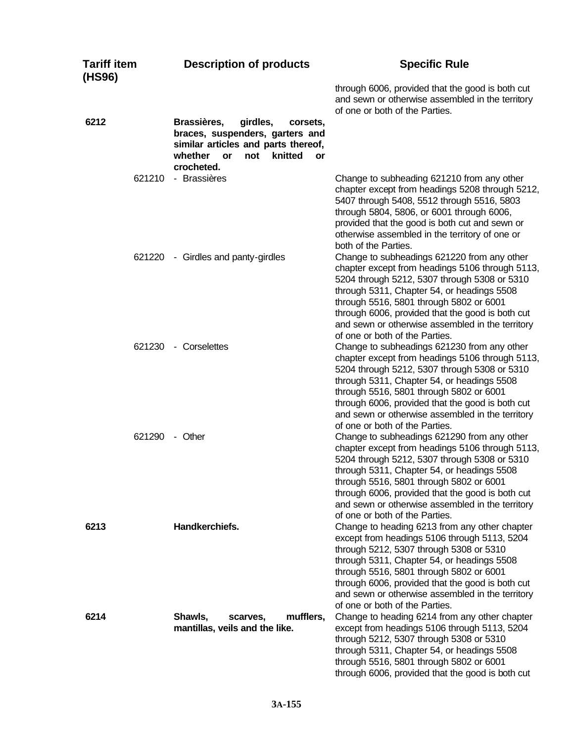| <b>Tariff item</b><br>(HS96) | <b>Description of products</b>                                                                                                                                              | <b>Specific Rule</b>                                                                                                                                                                                                                                                                                                                                                              |
|------------------------------|-----------------------------------------------------------------------------------------------------------------------------------------------------------------------------|-----------------------------------------------------------------------------------------------------------------------------------------------------------------------------------------------------------------------------------------------------------------------------------------------------------------------------------------------------------------------------------|
|                              |                                                                                                                                                                             | through 6006, provided that the good is both cut<br>and sewn or otherwise assembled in the territory<br>of one or both of the Parties.                                                                                                                                                                                                                                            |
| 6212                         | Brassières,<br>girdles,<br>corsets,<br>braces, suspenders, garters and<br>similar articles and parts thereof,<br>knitted<br>whether<br>not<br><b>or</b><br>or<br>crocheted. |                                                                                                                                                                                                                                                                                                                                                                                   |
| 621210                       | - Brassières                                                                                                                                                                | Change to subheading 621210 from any other<br>chapter except from headings 5208 through 5212,<br>5407 through 5408, 5512 through 5516, 5803<br>through 5804, 5806, or 6001 through 6006,<br>provided that the good is both cut and sewn or<br>otherwise assembled in the territory of one or<br>both of the Parties.                                                              |
| 621220                       | - Girdles and panty-girdles                                                                                                                                                 | Change to subheadings 621220 from any other<br>chapter except from headings 5106 through 5113,<br>5204 through 5212, 5307 through 5308 or 5310<br>through 5311, Chapter 54, or headings 5508<br>through 5516, 5801 through 5802 or 6001<br>through 6006, provided that the good is both cut<br>and sewn or otherwise assembled in the territory<br>of one or both of the Parties. |
|                              | 621230 - Corselettes                                                                                                                                                        | Change to subheadings 621230 from any other<br>chapter except from headings 5106 through 5113,<br>5204 through 5212, 5307 through 5308 or 5310<br>through 5311, Chapter 54, or headings 5508<br>through 5516, 5801 through 5802 or 6001<br>through 6006, provided that the good is both cut<br>and sewn or otherwise assembled in the territory<br>of one or both of the Parties. |
| 621290                       | - Other                                                                                                                                                                     | Change to subheadings 621290 from any other<br>chapter except from headings 5106 through 5113,<br>5204 through 5212, 5307 through 5308 or 5310<br>through 5311, Chapter 54, or headings 5508<br>through 5516, 5801 through 5802 or 6001<br>through 6006, provided that the good is both cut<br>and sewn or otherwise assembled in the territory<br>of one or both of the Parties. |
| 6213                         | Handkerchiefs.                                                                                                                                                              | Change to heading 6213 from any other chapter<br>except from headings 5106 through 5113, 5204<br>through 5212, 5307 through 5308 or 5310<br>through 5311, Chapter 54, or headings 5508<br>through 5516, 5801 through 5802 or 6001<br>through 6006, provided that the good is both cut<br>and sewn or otherwise assembled in the territory<br>of one or both of the Parties.       |
| 6214                         | Shawls,<br>mufflers,<br>scarves,<br>mantillas, veils and the like.                                                                                                          | Change to heading 6214 from any other chapter<br>except from headings 5106 through 5113, 5204<br>through 5212, 5307 through 5308 or 5310<br>through 5311, Chapter 54, or headings 5508<br>through 5516, 5801 through 5802 or 6001<br>through 6006, provided that the good is both cut                                                                                             |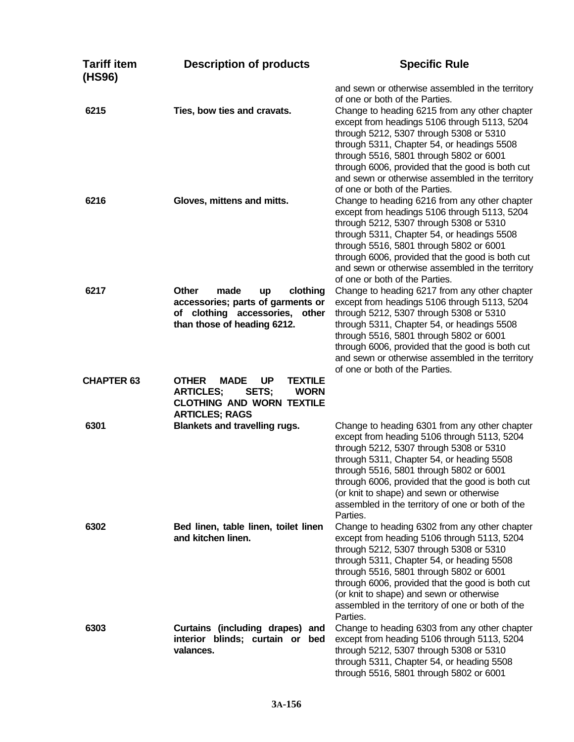| <b>Tariff item</b><br>(HS96) | <b>Description of products</b>                                                                                                                                      | <b>Specific Rule</b>                                                                                                                                                                                                                                                                                                                                                                                                            |
|------------------------------|---------------------------------------------------------------------------------------------------------------------------------------------------------------------|---------------------------------------------------------------------------------------------------------------------------------------------------------------------------------------------------------------------------------------------------------------------------------------------------------------------------------------------------------------------------------------------------------------------------------|
| 6215                         | Ties, bow ties and cravats.                                                                                                                                         | and sewn or otherwise assembled in the territory<br>of one or both of the Parties.<br>Change to heading 6215 from any other chapter<br>except from headings 5106 through 5113, 5204<br>through 5212, 5307 through 5308 or 5310<br>through 5311, Chapter 54, or headings 5508<br>through 5516, 5801 through 5802 or 6001<br>through 6006, provided that the good is both cut                                                     |
| 6216                         | Gloves, mittens and mitts.                                                                                                                                          | and sewn or otherwise assembled in the territory<br>of one or both of the Parties.<br>Change to heading 6216 from any other chapter<br>except from headings 5106 through 5113, 5204<br>through 5212, 5307 through 5308 or 5310<br>through 5311, Chapter 54, or headings 5508<br>through 5516, 5801 through 5802 or 6001<br>through 6006, provided that the good is both cut<br>and sewn or otherwise assembled in the territory |
| 6217                         | <b>Other</b><br>made<br>clothing<br>up<br>accessories; parts of garments or<br>of clothing accessories, other<br>than those of heading 6212.                        | of one or both of the Parties.<br>Change to heading 6217 from any other chapter<br>except from headings 5106 through 5113, 5204<br>through 5212, 5307 through 5308 or 5310<br>through 5311, Chapter 54, or headings 5508<br>through 5516, 5801 through 5802 or 6001<br>through 6006, provided that the good is both cut<br>and sewn or otherwise assembled in the territory<br>of one or both of the Parties.                   |
| <b>CHAPTER 63</b>            | <b>OTHER</b><br><b>UP</b><br><b>MADE</b><br><b>TEXTILE</b><br><b>ARTICLES;</b><br>SETS;<br><b>WORN</b><br><b>CLOTHING AND WORN TEXTILE</b><br><b>ARTICLES; RAGS</b> |                                                                                                                                                                                                                                                                                                                                                                                                                                 |
| 6301                         | <b>Blankets and travelling rugs.</b>                                                                                                                                | Change to heading 6301 from any other chapter<br>except from heading 5106 through 5113, 5204<br>through 5212, 5307 through 5308 or 5310<br>through 5311, Chapter 54, or heading 5508<br>through 5516, 5801 through 5802 or 6001<br>through 6006, provided that the good is both cut<br>(or knit to shape) and sewn or otherwise<br>assembled in the territory of one or both of the<br>Parties.                                 |
| 6302                         | Bed linen, table linen, toilet linen<br>and kitchen linen.                                                                                                          | Change to heading 6302 from any other chapter<br>except from heading 5106 through 5113, 5204<br>through 5212, 5307 through 5308 or 5310<br>through 5311, Chapter 54, or heading 5508<br>through 5516, 5801 through 5802 or 6001<br>through 6006, provided that the good is both cut<br>(or knit to shape) and sewn or otherwise<br>assembled in the territory of one or both of the<br>Parties.                                 |
| 6303                         | Curtains (including drapes) and<br>interior blinds; curtain or bed<br>valances.                                                                                     | Change to heading 6303 from any other chapter<br>except from heading 5106 through 5113, 5204<br>through 5212, 5307 through 5308 or 5310<br>through 5311, Chapter 54, or heading 5508<br>through 5516, 5801 through 5802 or 6001                                                                                                                                                                                                 |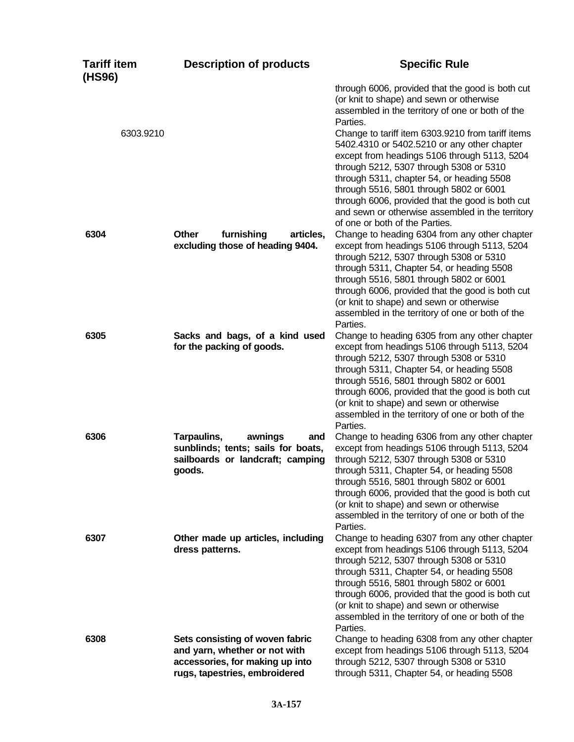| <b>Tariff item</b><br>(HS96) | <b>Description of products</b>                                                                                                       | <b>Specific Rule</b>                                                                                                                                                                                                                                                                                                                                                                                                                                                                                                                                        |
|------------------------------|--------------------------------------------------------------------------------------------------------------------------------------|-------------------------------------------------------------------------------------------------------------------------------------------------------------------------------------------------------------------------------------------------------------------------------------------------------------------------------------------------------------------------------------------------------------------------------------------------------------------------------------------------------------------------------------------------------------|
| 6303.9210                    |                                                                                                                                      | through 6006, provided that the good is both cut<br>(or knit to shape) and sewn or otherwise<br>assembled in the territory of one or both of the<br>Parties.<br>Change to tariff item 6303.9210 from tariff items<br>5402.4310 or 5402.5210 or any other chapter<br>except from headings 5106 through 5113, 5204<br>through 5212, 5307 through 5308 or 5310<br>through 5311, chapter 54, or heading 5508<br>through 5516, 5801 through 5802 or 6001<br>through 6006, provided that the good is both cut<br>and sewn or otherwise assembled in the territory |
| 6304                         | Other<br>furnishing<br>articles,<br>excluding those of heading 9404.                                                                 | of one or both of the Parties.<br>Change to heading 6304 from any other chapter<br>except from headings 5106 through 5113, 5204<br>through 5212, 5307 through 5308 or 5310<br>through 5311, Chapter 54, or heading 5508<br>through 5516, 5801 through 5802 or 6001<br>through 6006, provided that the good is both cut<br>(or knit to shape) and sewn or otherwise<br>assembled in the territory of one or both of the<br>Parties.                                                                                                                          |
| 6305                         | Sacks and bags, of a kind used<br>for the packing of goods.                                                                          | Change to heading 6305 from any other chapter<br>except from headings 5106 through 5113, 5204<br>through 5212, 5307 through 5308 or 5310<br>through 5311, Chapter 54, or heading 5508<br>through 5516, 5801 through 5802 or 6001<br>through 6006, provided that the good is both cut<br>(or knit to shape) and sewn or otherwise<br>assembled in the territory of one or both of the<br>Parties.                                                                                                                                                            |
| 6306                         | Tarpaulins,<br>awnings<br>and<br>sunblinds; tents; sails for boats,<br>sailboards or landcraft; camping<br>goods.                    | Change to heading 6306 from any other chapter<br>except from headings 5106 through 5113, 5204<br>through 5212, 5307 through 5308 or 5310<br>through 5311, Chapter 54, or heading 5508<br>through 5516, 5801 through 5802 or 6001<br>through 6006, provided that the good is both cut<br>(or knit to shape) and sewn or otherwise<br>assembled in the territory of one or both of the<br>Parties.                                                                                                                                                            |
| 6307                         | Other made up articles, including<br>dress patterns.                                                                                 | Change to heading 6307 from any other chapter<br>except from headings 5106 through 5113, 5204<br>through 5212, 5307 through 5308 or 5310<br>through 5311, Chapter 54, or heading 5508<br>through 5516, 5801 through 5802 or 6001<br>through 6006, provided that the good is both cut<br>(or knit to shape) and sewn or otherwise<br>assembled in the territory of one or both of the<br>Parties.                                                                                                                                                            |
| 6308                         | Sets consisting of woven fabric<br>and yarn, whether or not with<br>accessories, for making up into<br>rugs, tapestries, embroidered | Change to heading 6308 from any other chapter<br>except from headings 5106 through 5113, 5204<br>through 5212, 5307 through 5308 or 5310<br>through 5311, Chapter 54, or heading 5508                                                                                                                                                                                                                                                                                                                                                                       |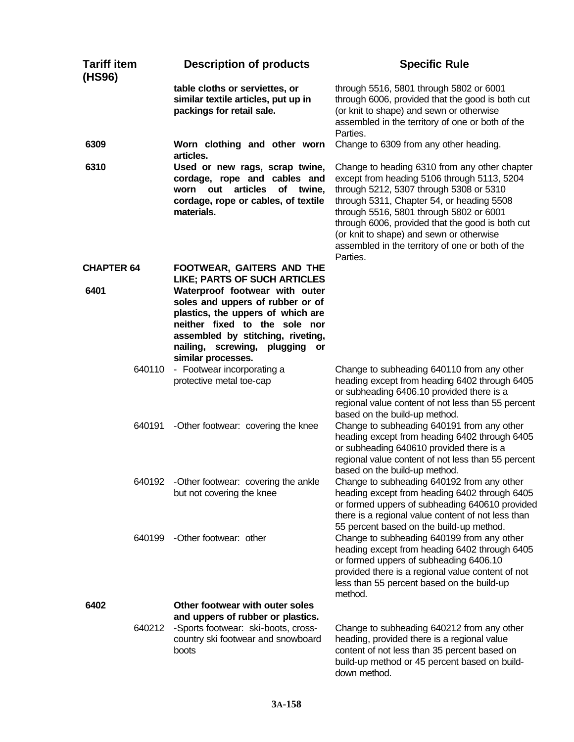| <b>Tariff item</b><br>(HS96) | <b>Description of products</b>                                                                                                                                                                                                           | <b>Specific Rule</b>                                                                                                                                                                                                                                                                                                                                                                            |
|------------------------------|------------------------------------------------------------------------------------------------------------------------------------------------------------------------------------------------------------------------------------------|-------------------------------------------------------------------------------------------------------------------------------------------------------------------------------------------------------------------------------------------------------------------------------------------------------------------------------------------------------------------------------------------------|
|                              | table cloths or serviettes, or<br>similar textile articles, put up in<br>packings for retail sale.                                                                                                                                       | through 5516, 5801 through 5802 or 6001<br>through 6006, provided that the good is both cut<br>(or knit to shape) and sewn or otherwise<br>assembled in the territory of one or both of the<br>Parties.                                                                                                                                                                                         |
| 6309                         | Worn clothing and other worn<br>articles.                                                                                                                                                                                                | Change to 6309 from any other heading.                                                                                                                                                                                                                                                                                                                                                          |
| 6310                         | Used or new rags, scrap twine,<br>cordage, rope and cables and<br>worn out articles of twine,<br>cordage, rope or cables, of textile<br>materials.                                                                                       | Change to heading 6310 from any other chapter<br>except from heading 5106 through 5113, 5204<br>through 5212, 5307 through 5308 or 5310<br>through 5311, Chapter 54, or heading 5508<br>through 5516, 5801 through 5802 or 6001<br>through 6006, provided that the good is both cut<br>(or knit to shape) and sewn or otherwise<br>assembled in the territory of one or both of the<br>Parties. |
| <b>CHAPTER 64</b>            | FOOTWEAR, GAITERS AND THE<br><b>LIKE; PARTS OF SUCH ARTICLES</b>                                                                                                                                                                         |                                                                                                                                                                                                                                                                                                                                                                                                 |
| 6401                         | Waterproof footwear with outer<br>soles and uppers of rubber or of<br>plastics, the uppers of which are<br>neither fixed to the sole nor<br>assembled by stitching, riveting,<br>nailing, screwing, plugging<br>or<br>similar processes. |                                                                                                                                                                                                                                                                                                                                                                                                 |
| 640110                       | - Footwear incorporating a<br>protective metal toe-cap                                                                                                                                                                                   | Change to subheading 640110 from any other<br>heading except from heading 6402 through 6405<br>or subheading 6406.10 provided there is a<br>regional value content of not less than 55 percent<br>based on the build-up method.                                                                                                                                                                 |
| 640191                       | -Other footwear: covering the knee                                                                                                                                                                                                       | Change to subheading 640191 from any other<br>heading except from heading 6402 through 6405<br>or subheading 640610 provided there is a<br>regional value content of not less than 55 percent<br>based on the build-up method.                                                                                                                                                                  |
| 640192                       | -Other footwear: covering the ankle<br>but not covering the knee                                                                                                                                                                         | Change to subheading 640192 from any other<br>heading except from heading 6402 through 6405<br>or formed uppers of subheading 640610 provided<br>there is a regional value content of not less than<br>55 percent based on the build-up method.                                                                                                                                                 |
| 640199                       | -Other footwear: other                                                                                                                                                                                                                   | Change to subheading 640199 from any other<br>heading except from heading 6402 through 6405<br>or formed uppers of subheading 6406.10<br>provided there is a regional value content of not<br>less than 55 percent based on the build-up<br>method.                                                                                                                                             |
| 6402<br>640212               | Other footwear with outer soles<br>and uppers of rubber or plastics.<br>-Sports footwear: ski-boots, cross-<br>country ski footwear and snowboard<br>boots                                                                               | Change to subheading 640212 from any other<br>heading, provided there is a regional value<br>content of not less than 35 percent based on<br>build-up method or 45 percent based on build-<br>down method.                                                                                                                                                                                      |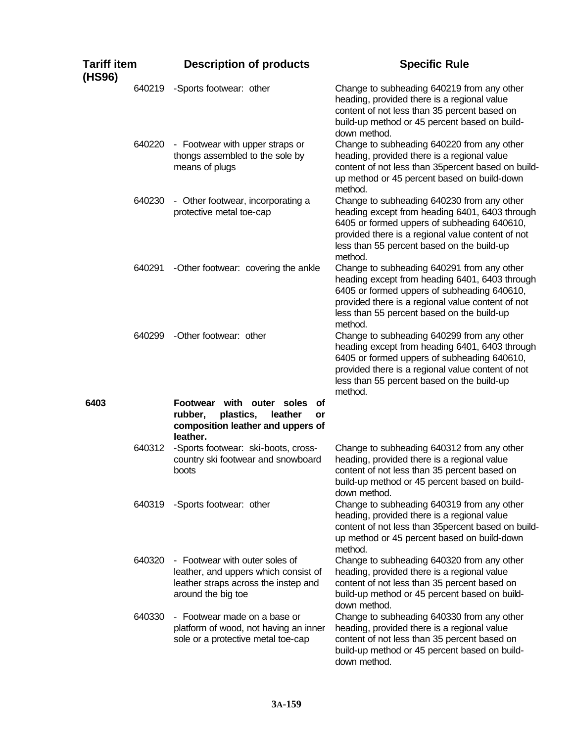| <b>Tariff item</b><br>(HS96) |        | <b>Description of products</b>                                                                                                       | <b>Specific Rule</b>                                                                                                                                                                                                                                      |
|------------------------------|--------|--------------------------------------------------------------------------------------------------------------------------------------|-----------------------------------------------------------------------------------------------------------------------------------------------------------------------------------------------------------------------------------------------------------|
|                              | 640219 | -Sports footwear: other                                                                                                              | Change to subheading 640219 from any other<br>heading, provided there is a regional value<br>content of not less than 35 percent based on<br>build-up method or 45 percent based on build-<br>down method.                                                |
|                              | 640220 | - Footwear with upper straps or<br>thongs assembled to the sole by<br>means of plugs                                                 | Change to subheading 640220 from any other<br>heading, provided there is a regional value<br>content of not less than 35percent based on build-<br>up method or 45 percent based on build-down<br>method.                                                 |
|                              | 640230 | - Other footwear, incorporating a<br>protective metal toe-cap                                                                        | Change to subheading 640230 from any other<br>heading except from heading 6401, 6403 through<br>6405 or formed uppers of subheading 640610,<br>provided there is a regional value content of not<br>less than 55 percent based on the build-up<br>method. |
|                              | 640291 | -Other footwear: covering the ankle                                                                                                  | Change to subheading 640291 from any other<br>heading except from heading 6401, 6403 through<br>6405 or formed uppers of subheading 640610,<br>provided there is a regional value content of not<br>less than 55 percent based on the build-up<br>method. |
|                              | 640299 | -Other footwear: other                                                                                                               | Change to subheading 640299 from any other<br>heading except from heading 6401, 6403 through<br>6405 or formed uppers of subheading 640610,<br>provided there is a regional value content of not<br>less than 55 percent based on the build-up<br>method. |
| 6403                         |        | <b>Footwear</b><br>with outer soles<br>Οf<br>rubber,<br>plastics,<br>leather<br>or<br>composition leather and uppers of<br>leather.  |                                                                                                                                                                                                                                                           |
|                              | 640312 | -Sports footwear: ski-boots, cross-<br>country ski footwear and snowboard<br>boots                                                   | Change to subheading 640312 from any other<br>heading, provided there is a regional value<br>content of not less than 35 percent based on<br>build-up method or 45 percent based on build-<br>down method.                                                |
|                              | 640319 | -Sports footwear: other                                                                                                              | Change to subheading 640319 from any other<br>heading, provided there is a regional value<br>content of not less than 35percent based on build-<br>up method or 45 percent based on build-down<br>method.                                                 |
|                              | 640320 | - Footwear with outer soles of<br>leather, and uppers which consist of<br>leather straps across the instep and<br>around the big toe | Change to subheading 640320 from any other<br>heading, provided there is a regional value<br>content of not less than 35 percent based on<br>build-up method or 45 percent based on build-<br>down method.                                                |
|                              | 640330 | - Footwear made on a base or<br>platform of wood, not having an inner<br>sole or a protective metal toe-cap                          | Change to subheading 640330 from any other<br>heading, provided there is a regional value<br>content of not less than 35 percent based on<br>build-up method or 45 percent based on build-<br>down method.                                                |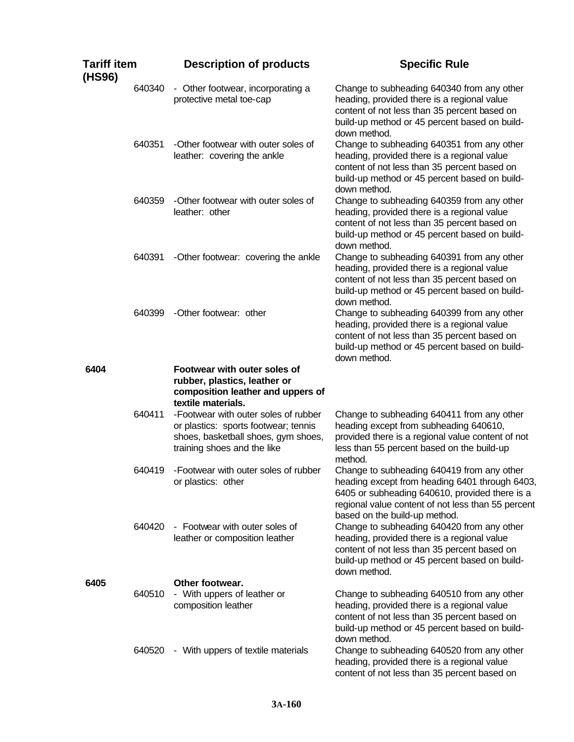| <b>Tariff item</b><br>(HS96) |        | <b>Description of products</b>                                                                                                                     | <b>Specific Rule</b>                                                                                                                                                                                                                  |
|------------------------------|--------|----------------------------------------------------------------------------------------------------------------------------------------------------|---------------------------------------------------------------------------------------------------------------------------------------------------------------------------------------------------------------------------------------|
|                              | 640340 | - Other footwear, incorporating a<br>protective metal toe-cap                                                                                      | Change to subheading 640340 from any other<br>heading, provided there is a regional value<br>content of not less than 35 percent based on<br>build-up method or 45 percent based on build-<br>down method.                            |
|                              | 640351 | -Other footwear with outer soles of<br>leather: covering the ankle                                                                                 | Change to subheading 640351 from any other<br>heading, provided there is a regional value<br>content of not less than 35 percent based on<br>build-up method or 45 percent based on build-<br>down method.                            |
|                              | 640359 | -Other footwear with outer soles of<br>leather: other                                                                                              | Change to subheading 640359 from any other<br>heading, provided there is a regional value<br>content of not less than 35 percent based on<br>build-up method or 45 percent based on build-<br>down method.                            |
|                              | 640391 | -Other footwear: covering the ankle                                                                                                                | Change to subheading 640391 from any other<br>heading, provided there is a regional value<br>content of not less than 35 percent based on<br>build-up method or 45 percent based on build-<br>down method.                            |
|                              | 640399 | -Other footwear: other                                                                                                                             | Change to subheading 640399 from any other<br>heading, provided there is a regional value<br>content of not less than 35 percent based on<br>build-up method or 45 percent based on build-<br>down method.                            |
| 6404                         |        | Footwear with outer soles of<br>rubber, plastics, leather or<br>composition leather and uppers of<br>textile materials.                            |                                                                                                                                                                                                                                       |
|                              | 640411 | -Footwear with outer soles of rubber<br>or plastics: sports footwear; tennis<br>shoes, basketball shoes, gym shoes,<br>training shoes and the like | Change to subheading 640411 from any other<br>heading except from subheading 640610,<br>provided there is a regional value content of not<br>less than 55 percent based on the build-up<br>method.                                    |
|                              | 640419 | -Footwear with outer soles of rubber<br>or plastics: other                                                                                         | Change to subheading 640419 from any other<br>heading except from heading 6401 through 6403,<br>6405 or subheading 640610, provided there is a<br>regional value content of not less than 55 percent<br>based on the build-up method. |
|                              | 640420 | - Footwear with outer soles of<br>leather or composition leather                                                                                   | Change to subheading 640420 from any other<br>heading, provided there is a regional value<br>content of not less than 35 percent based on<br>build-up method or 45 percent based on build-<br>down method.                            |
| 6405                         | 640510 | Other footwear.<br>- With uppers of leather or<br>composition leather                                                                              | Change to subheading 640510 from any other<br>heading, provided there is a regional value<br>content of not less than 35 percent based on<br>build-up method or 45 percent based on build-<br>down method.                            |
|                              | 640520 | - With uppers of textile materials                                                                                                                 | Change to subheading 640520 from any other<br>heading, provided there is a regional value<br>content of not less than 35 percent based on                                                                                             |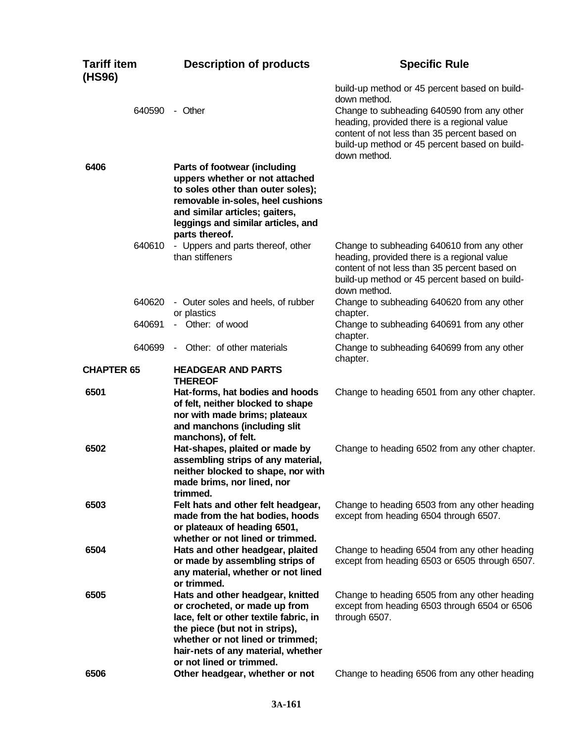| <b>Tariff item</b><br>(HS96) |        | <b>Description of products</b>                                                                                                                                                                                                                      | <b>Specific Rule</b>                                                                                                                                                                                                                                                        |
|------------------------------|--------|-----------------------------------------------------------------------------------------------------------------------------------------------------------------------------------------------------------------------------------------------------|-----------------------------------------------------------------------------------------------------------------------------------------------------------------------------------------------------------------------------------------------------------------------------|
|                              |        | 640590 - Other                                                                                                                                                                                                                                      | build-up method or 45 percent based on build-<br>down method.<br>Change to subheading 640590 from any other<br>heading, provided there is a regional value<br>content of not less than 35 percent based on<br>build-up method or 45 percent based on build-<br>down method. |
| 6406                         |        | Parts of footwear (including<br>uppers whether or not attached<br>to soles other than outer soles);<br>removable in-soles, heel cushions<br>and similar articles; gaiters,<br>leggings and similar articles, and<br>parts thereof.                  |                                                                                                                                                                                                                                                                             |
|                              | 640610 | - Uppers and parts thereof, other<br>than stiffeners                                                                                                                                                                                                | Change to subheading 640610 from any other<br>heading, provided there is a regional value<br>content of not less than 35 percent based on<br>build-up method or 45 percent based on build-<br>down method.                                                                  |
|                              | 640620 | - Outer soles and heels, of rubber<br>or plastics                                                                                                                                                                                                   | Change to subheading 640620 from any other<br>chapter.                                                                                                                                                                                                                      |
|                              | 640691 | - Other: of wood                                                                                                                                                                                                                                    | Change to subheading 640691 from any other<br>chapter.                                                                                                                                                                                                                      |
|                              | 640699 | - Other: of other materials                                                                                                                                                                                                                         | Change to subheading 640699 from any other<br>chapter.                                                                                                                                                                                                                      |
| <b>CHAPTER 65</b>            |        | <b>HEADGEAR AND PARTS</b><br><b>THEREOF</b>                                                                                                                                                                                                         |                                                                                                                                                                                                                                                                             |
| 6501                         |        | Hat-forms, hat bodies and hoods<br>of felt, neither blocked to shape<br>nor with made brims; plateaux<br>and manchons (including slit<br>manchons), of felt.                                                                                        | Change to heading 6501 from any other chapter.                                                                                                                                                                                                                              |
| 6502                         |        | Hat-shapes, plaited or made by<br>assembling strips of any material,<br>neither blocked to shape, nor with<br>made brims, nor lined, nor<br>trimmed.                                                                                                | Change to heading 6502 from any other chapter.                                                                                                                                                                                                                              |
| 6503                         |        | Felt hats and other felt headgear,<br>made from the hat bodies, hoods<br>or plateaux of heading 6501,<br>whether or not lined or trimmed.                                                                                                           | Change to heading 6503 from any other heading<br>except from heading 6504 through 6507.                                                                                                                                                                                     |
| 6504                         |        | Hats and other headgear, plaited<br>or made by assembling strips of<br>any material, whether or not lined<br>or trimmed.                                                                                                                            | Change to heading 6504 from any other heading<br>except from heading 6503 or 6505 through 6507.                                                                                                                                                                             |
| 6505<br>6506                 |        | Hats and other headgear, knitted<br>or crocheted, or made up from<br>lace, felt or other textile fabric, in<br>the piece (but not in strips),<br>whether or not lined or trimmed;<br>hair-nets of any material, whether<br>or not lined or trimmed. | Change to heading 6505 from any other heading<br>except from heading 6503 through 6504 or 6506<br>through 6507.                                                                                                                                                             |
|                              |        | Other headgear, whether or not                                                                                                                                                                                                                      | Change to heading 6506 from any other heading                                                                                                                                                                                                                               |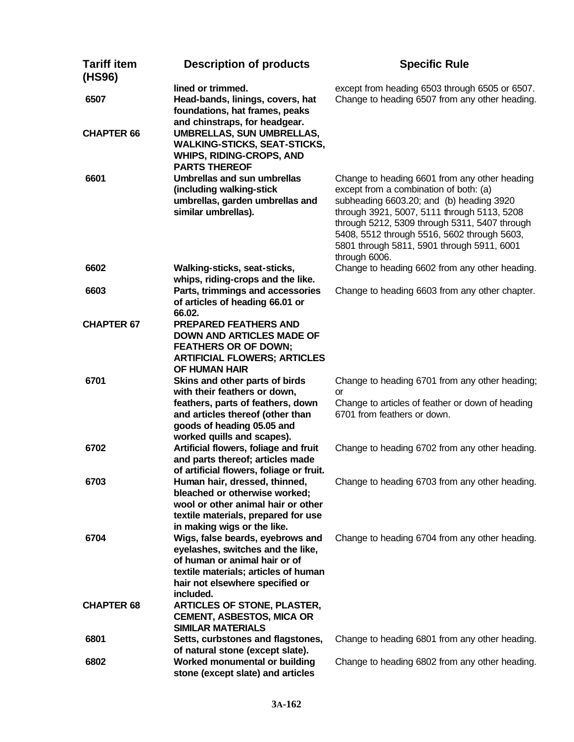| <b>Tariff item</b><br>(HS96) | <b>Description of products</b>                                                                                                                                                                                                         | <b>Specific Rule</b>                                                                                                                                                                                                                                                                                                                              |
|------------------------------|----------------------------------------------------------------------------------------------------------------------------------------------------------------------------------------------------------------------------------------|---------------------------------------------------------------------------------------------------------------------------------------------------------------------------------------------------------------------------------------------------------------------------------------------------------------------------------------------------|
| 6507<br><b>CHAPTER 66</b>    | lined or trimmed.<br>Head-bands, linings, covers, hat<br>foundations, hat frames, peaks<br>and chinstraps, for headgear.<br><b>UMBRELLAS, SUN UMBRELLAS,</b><br><b>WALKING-STICKS, SEAT-STICKS,</b><br><b>WHIPS, RIDING-CROPS, AND</b> | except from heading 6503 through 6505 or 6507.<br>Change to heading 6507 from any other heading.                                                                                                                                                                                                                                                  |
| 6601                         | <b>PARTS THEREOF</b><br><b>Umbrellas and sun umbrellas</b><br>(including walking-stick<br>umbrellas, garden umbrellas and<br>similar umbrellas).                                                                                       | Change to heading 6601 from any other heading<br>except from a combination of both: (a)<br>subheading 6603.20; and (b) heading 3920<br>through 3921, 5007, 5111 through 5113, 5208<br>through 5212, 5309 through 5311, 5407 through<br>5408, 5512 through 5516, 5602 through 5603,<br>5801 through 5811, 5901 through 5911, 6001<br>through 6006. |
| 6602                         | Walking-sticks, seat-sticks,                                                                                                                                                                                                           | Change to heading 6602 from any other heading.                                                                                                                                                                                                                                                                                                    |
| 6603                         | whips, riding-crops and the like.<br>Parts, trimmings and accessories<br>of articles of heading 66.01 or<br>66.02.                                                                                                                     | Change to heading 6603 from any other chapter.                                                                                                                                                                                                                                                                                                    |
| <b>CHAPTER 67</b>            | <b>PREPARED FEATHERS AND</b><br><b>DOWN AND ARTICLES MADE OF</b><br><b>FEATHERS OR OF DOWN;</b><br><b>ARTIFICIAL FLOWERS; ARTICLES</b>                                                                                                 |                                                                                                                                                                                                                                                                                                                                                   |
| 6701                         | OF HUMAN HAIR<br>Skins and other parts of birds<br>with their feathers or down,                                                                                                                                                        | Change to heading 6701 from any other heading;<br>or                                                                                                                                                                                                                                                                                              |
|                              | feathers, parts of feathers, down<br>and articles thereof (other than<br>goods of heading 05.05 and<br>worked quills and scapes).                                                                                                      | Change to articles of feather or down of heading<br>6701 from feathers or down.                                                                                                                                                                                                                                                                   |
| 6702                         | Artificial flowers, foliage and fruit<br>and parts thereof; articles made<br>of artificial flowers, foliage or fruit.                                                                                                                  | Change to heading 6702 from any other heading.                                                                                                                                                                                                                                                                                                    |
| 6703                         | Human hair, dressed, thinned,<br>bleached or otherwise worked;<br>wool or other animal hair or other<br>textile materials, prepared for use<br>in making wigs or the like.                                                             | Change to heading 6703 from any other heading.                                                                                                                                                                                                                                                                                                    |
| 6704                         | Wigs, false beards, eyebrows and<br>eyelashes, switches and the like,<br>of human or animal hair or of<br>textile materials; articles of human<br>hair not elsewhere specified or<br>included.                                         | Change to heading 6704 from any other heading.                                                                                                                                                                                                                                                                                                    |
| <b>CHAPTER 68</b>            | <b>ARTICLES OF STONE, PLASTER,</b><br><b>CEMENT, ASBESTOS, MICA OR</b><br><b>SIMILAR MATERIALS</b>                                                                                                                                     |                                                                                                                                                                                                                                                                                                                                                   |
| 6801                         | Setts, curbstones and flagstones,<br>of natural stone (except slate).                                                                                                                                                                  | Change to heading 6801 from any other heading.                                                                                                                                                                                                                                                                                                    |
| 6802                         | Worked monumental or building<br>stone (except slate) and articles                                                                                                                                                                     | Change to heading 6802 from any other heading.                                                                                                                                                                                                                                                                                                    |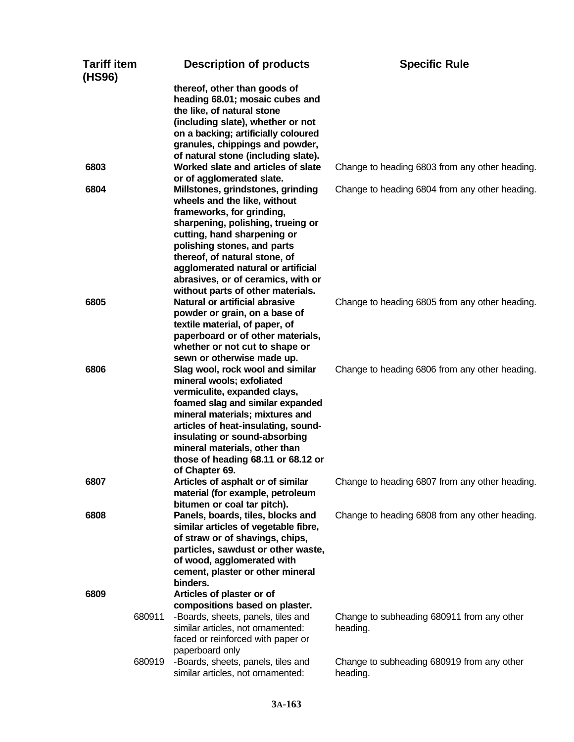| Tariff item<br>(HS96) |        | <b>Description of products</b>                                                                                                                                                                                                                                                                                                                                      | <b>Specific Rule</b>                                   |
|-----------------------|--------|---------------------------------------------------------------------------------------------------------------------------------------------------------------------------------------------------------------------------------------------------------------------------------------------------------------------------------------------------------------------|--------------------------------------------------------|
|                       |        | thereof, other than goods of<br>heading 68.01; mosaic cubes and<br>the like, of natural stone<br>(including slate), whether or not<br>on a backing; artificially coloured<br>granules, chippings and powder,                                                                                                                                                        |                                                        |
| 6803                  |        | of natural stone (including slate).<br>Worked slate and articles of slate                                                                                                                                                                                                                                                                                           | Change to heading 6803 from any other heading.         |
| 6804                  |        | or of agglomerated slate.<br>Millstones, grindstones, grinding<br>wheels and the like, without<br>frameworks, for grinding,<br>sharpening, polishing, trueing or<br>cutting, hand sharpening or<br>polishing stones, and parts<br>thereof, of natural stone, of<br>agglomerated natural or artificial<br>abrasives, or of ceramics, with or                         | Change to heading 6804 from any other heading.         |
| 6805                  |        | without parts of other materials.<br>Natural or artificial abrasive<br>powder or grain, on a base of<br>textile material, of paper, of<br>paperboard or of other materials,<br>whether or not cut to shape or                                                                                                                                                       | Change to heading 6805 from any other heading.         |
| 6806                  |        | sewn or otherwise made up.<br>Slag wool, rock wool and similar<br>mineral wools; exfoliated<br>vermiculite, expanded clays,<br>foamed slag and similar expanded<br>mineral materials; mixtures and<br>articles of heat-insulating, sound-<br>insulating or sound-absorbing<br>mineral materials, other than<br>those of heading 68.11 or 68.12 or<br>of Chapter 69. | Change to heading 6806 from any other heading.         |
| 6807                  |        | Articles of asphalt or of similar<br>material (for example, petroleum<br>bitumen or coal tar pitch).                                                                                                                                                                                                                                                                | Change to heading 6807 from any other heading.         |
| 6808                  |        | Panels, boards, tiles, blocks and<br>similar articles of vegetable fibre,<br>of straw or of shavings, chips,<br>particles, sawdust or other waste,<br>of wood, agglomerated with<br>cement, plaster or other mineral<br>binders.                                                                                                                                    | Change to heading 6808 from any other heading.         |
| 6809                  |        | Articles of plaster or of                                                                                                                                                                                                                                                                                                                                           |                                                        |
|                       | 680911 | compositions based on plaster.<br>-Boards, sheets, panels, tiles and<br>similar articles, not ornamented:<br>faced or reinforced with paper or<br>paperboard only                                                                                                                                                                                                   | Change to subheading 680911 from any other<br>heading. |
|                       | 680919 | -Boards, sheets, panels, tiles and<br>similar articles, not ornamented:                                                                                                                                                                                                                                                                                             | Change to subheading 680919 from any other<br>heading. |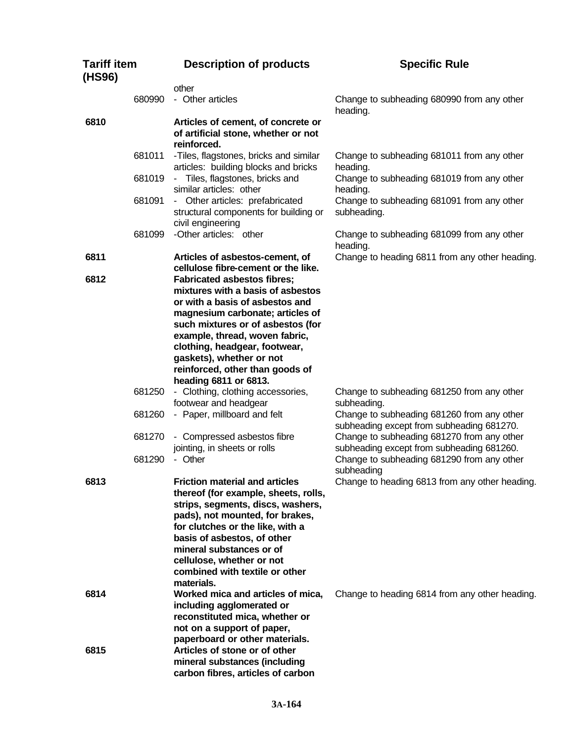| <b>Tariff item</b><br>(HS96) |        | <b>Description of products</b>                                                                                                                                                                                                                                                                                                    | <b>Specific Rule</b>                                                                                   |
|------------------------------|--------|-----------------------------------------------------------------------------------------------------------------------------------------------------------------------------------------------------------------------------------------------------------------------------------------------------------------------------------|--------------------------------------------------------------------------------------------------------|
|                              |        | other                                                                                                                                                                                                                                                                                                                             |                                                                                                        |
|                              | 680990 | - Other articles                                                                                                                                                                                                                                                                                                                  | Change to subheading 680990 from any other<br>heading.                                                 |
| 6810                         |        | Articles of cement, of concrete or<br>of artificial stone, whether or not<br>reinforced.                                                                                                                                                                                                                                          |                                                                                                        |
|                              | 681011 | -Tiles, flagstones, bricks and similar<br>articles: building blocks and bricks                                                                                                                                                                                                                                                    | Change to subheading 681011 from any other<br>heading.                                                 |
|                              | 681019 | - Tiles, flagstones, bricks and<br>similar articles: other                                                                                                                                                                                                                                                                        | Change to subheading 681019 from any other<br>heading.                                                 |
|                              | 681091 | - Other articles: prefabricated<br>structural components for building or<br>civil engineering                                                                                                                                                                                                                                     | Change to subheading 681091 from any other<br>subheading.                                              |
|                              | 681099 | -Other articles: other                                                                                                                                                                                                                                                                                                            | Change to subheading 681099 from any other<br>heading.                                                 |
| 6811                         |        | Articles of asbestos-cement, of<br>cellulose fibre-cement or the like.                                                                                                                                                                                                                                                            | Change to heading 6811 from any other heading.                                                         |
| 6812                         |        | <b>Fabricated asbestos fibres;</b><br>mixtures with a basis of asbestos<br>or with a basis of asbestos and<br>magnesium carbonate; articles of<br>such mixtures or of asbestos (for<br>example, thread, woven fabric,<br>clothing, headgear, footwear,<br>gaskets), whether or not<br>reinforced, other than goods of             |                                                                                                        |
|                              | 681250 | heading 6811 or 6813.<br>- Clothing, clothing accessories,                                                                                                                                                                                                                                                                        | Change to subheading 681250 from any other                                                             |
|                              | 681260 | footwear and headgear<br>- Paper, millboard and felt                                                                                                                                                                                                                                                                              | subheading.<br>Change to subheading 681260 from any other<br>subheading except from subheading 681270. |
|                              | 681270 | - Compressed asbestos fibre<br>jointing, in sheets or rolls                                                                                                                                                                                                                                                                       | Change to subheading 681270 from any other<br>subheading except from subheading 681260.                |
|                              | 681290 | - Other                                                                                                                                                                                                                                                                                                                           | Change to subheading 681290 from any other<br>subheading                                               |
| 6813                         |        | <b>Friction material and articles</b><br>thereof (for example, sheets, rolls,<br>strips, segments, discs, washers,<br>pads), not mounted, for brakes,<br>for clutches or the like, with a<br>basis of asbestos, of other<br>mineral substances or of<br>cellulose, whether or not<br>combined with textile or other<br>materials. | Change to heading 6813 from any other heading.                                                         |
| 6814                         |        | Worked mica and articles of mica,<br>including agglomerated or<br>reconstituted mica, whether or<br>not on a support of paper,<br>paperboard or other materials.                                                                                                                                                                  | Change to heading 6814 from any other heading.                                                         |
| 6815                         |        | Articles of stone or of other<br>mineral substances (including<br>carbon fibres, articles of carbon                                                                                                                                                                                                                               |                                                                                                        |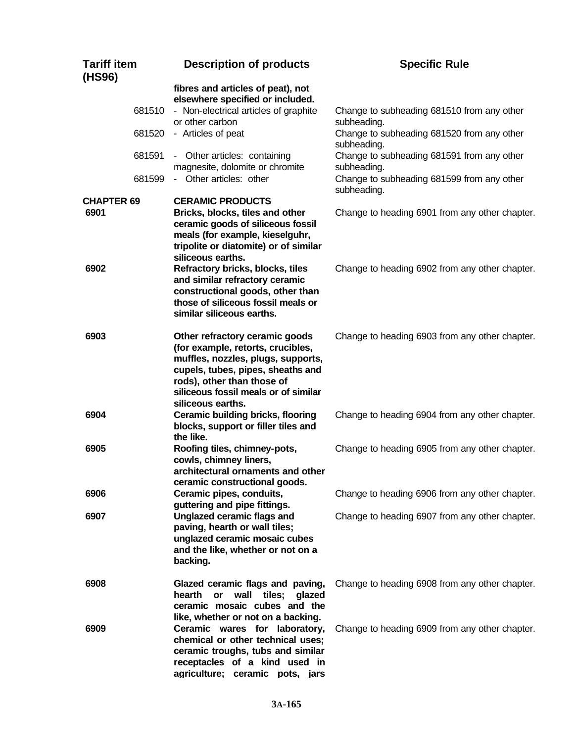| <b>Tariff item</b><br>(HS96) | <b>Description of products</b>                                                                                                                                                                                                            | <b>Specific Rule</b>                                                                                                   |
|------------------------------|-------------------------------------------------------------------------------------------------------------------------------------------------------------------------------------------------------------------------------------------|------------------------------------------------------------------------------------------------------------------------|
|                              | fibres and articles of peat), not<br>elsewhere specified or included.<br>- Non-electrical articles of graphite<br>681510<br>or other carbon<br>- Articles of peat<br>681520                                                               | Change to subheading 681510 from any other<br>subheading.<br>Change to subheading 681520 from any other<br>subheading. |
|                              | 681591<br>- Other articles: containing<br>magnesite, dolomite or chromite<br>- Other articles: other<br>681599                                                                                                                            | Change to subheading 681591 from any other<br>subheading.<br>Change to subheading 681599 from any other<br>subheading. |
| <b>CHAPTER 69</b><br>6901    | <b>CERAMIC PRODUCTS</b><br>Bricks, blocks, tiles and other<br>ceramic goods of siliceous fossil<br>meals (for example, kieselguhr,<br>tripolite or diatomite) or of similar<br>siliceous earths.                                          | Change to heading 6901 from any other chapter.                                                                         |
| 6902                         | Refractory bricks, blocks, tiles<br>and similar refractory ceramic<br>constructional goods, other than<br>those of siliceous fossil meals or<br>similar siliceous earths.                                                                 | Change to heading 6902 from any other chapter.                                                                         |
| 6903                         | Other refractory ceramic goods<br>(for example, retorts, crucibles,<br>muffles, nozzles, plugs, supports,<br>cupels, tubes, pipes, sheaths and<br>rods), other than those of<br>siliceous fossil meals or of similar<br>siliceous earths. | Change to heading 6903 from any other chapter.                                                                         |
| 6904                         | <b>Ceramic building bricks, flooring</b><br>blocks, support or filler tiles and<br>the like.                                                                                                                                              | Change to heading 6904 from any other chapter.                                                                         |
| 6905                         | Roofing tiles, chimney-pots,<br>cowls, chimney liners,<br>architectural ornaments and other<br>ceramic constructional goods.                                                                                                              | Change to heading 6905 from any other chapter.                                                                         |
| 6906                         | Ceramic pipes, conduits,<br>guttering and pipe fittings.                                                                                                                                                                                  | Change to heading 6906 from any other chapter.                                                                         |
| 6907                         | Unglazed ceramic flags and<br>paving, hearth or wall tiles;<br>unglazed ceramic mosaic cubes<br>and the like, whether or not on a<br>backing.                                                                                             | Change to heading 6907 from any other chapter.                                                                         |
| 6908                         | Glazed ceramic flags and paving,<br>hearth or<br>wall tiles;<br>qlazed<br>ceramic mosaic cubes and the<br>like, whether or not on a backing.                                                                                              | Change to heading 6908 from any other chapter.                                                                         |
| 6909                         | Ceramic wares for laboratory,<br>chemical or other technical uses;<br>ceramic troughs, tubs and similar<br>receptacles of a kind used in<br>agriculture; ceramic pots, jars                                                               | Change to heading 6909 from any other chapter.                                                                         |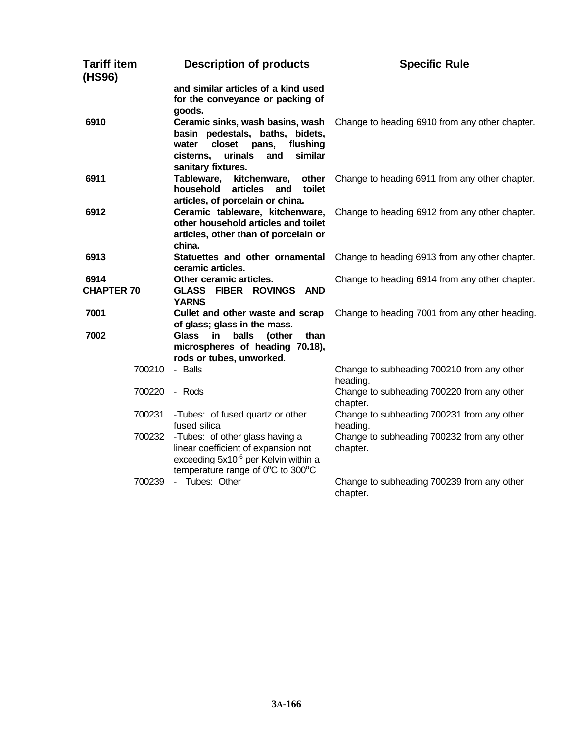| <b>Tariff item</b><br>(HS96) | <b>Description of products</b>                                                                                                                                                    | <b>Specific Rule</b>                                   |
|------------------------------|-----------------------------------------------------------------------------------------------------------------------------------------------------------------------------------|--------------------------------------------------------|
|                              | and similar articles of a kind used<br>for the conveyance or packing of<br>goods.                                                                                                 |                                                        |
| 6910                         | Ceramic sinks, wash basins, wash<br>basin pedestals, baths, bidets,<br>closet<br>flushing<br>water<br>pans,<br>similar<br>urinals<br>and<br>cisterns,<br>sanitary fixtures.       | Change to heading 6910 from any other chapter.         |
| 6911                         | Tableware,<br>kitchenware,<br>other<br>articles<br>household<br>toilet<br>and<br>articles, of porcelain or china.                                                                 | Change to heading 6911 from any other chapter.         |
| 6912                         | Ceramic tableware, kitchenware,<br>other household articles and toilet<br>articles, other than of porcelain or<br>china.                                                          | Change to heading 6912 from any other chapter.         |
| 6913                         | Statuettes and other ornamental<br>ceramic articles.                                                                                                                              | Change to heading 6913 from any other chapter.         |
| 6914<br><b>CHAPTER 70</b>    | Other ceramic articles.<br><b>GLASS FIBER ROVINGS AND</b><br><b>YARNS</b>                                                                                                         | Change to heading 6914 from any other chapter.         |
| 7001<br>7002                 | Cullet and other waste and scrap<br>of glass; glass in the mass.<br><b>Glass</b><br>in.<br>balls<br>(other<br>than<br>microspheres of heading 70.18),<br>rods or tubes, unworked. | Change to heading 7001 from any other heading.         |
| 700210                       | - Balls                                                                                                                                                                           | Change to subheading 700210 from any other<br>heading. |
| 700220                       | - Rods                                                                                                                                                                            | Change to subheading 700220 from any other<br>chapter. |
| 700231                       | -Tubes: of fused quartz or other<br>fused silica                                                                                                                                  | Change to subheading 700231 from any other<br>heading. |
| 700232                       | -Tubes: of other glass having a<br>linear coefficient of expansion not<br>exceeding 5x10 <sup>-6</sup> per Kelvin within a<br>temperature range of 0°C to 300°C                   | Change to subheading 700232 from any other<br>chapter. |
| 700239                       | - Tubes: Other                                                                                                                                                                    | Change to subheading 700239 from any other<br>chapter. |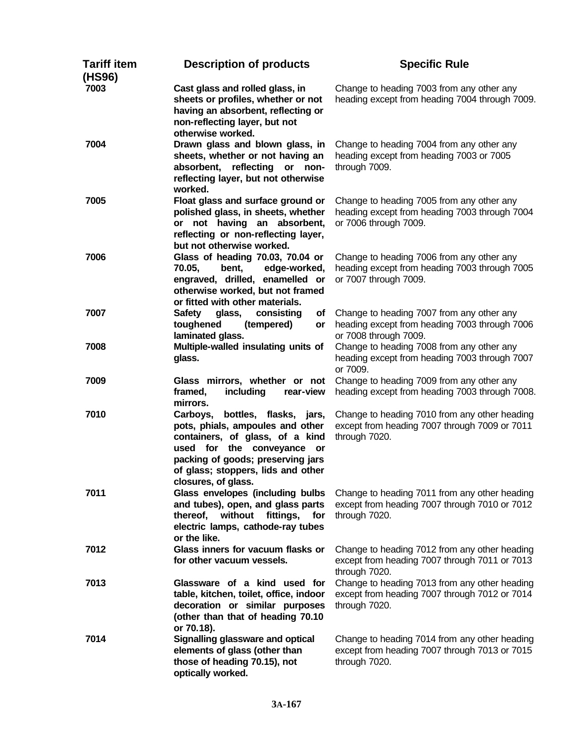| <b>Tariff item</b><br>(HS96) | <b>Description of products</b>                                                                                                                                                                                                               | <b>Specific Rule</b>                                                                                                |
|------------------------------|----------------------------------------------------------------------------------------------------------------------------------------------------------------------------------------------------------------------------------------------|---------------------------------------------------------------------------------------------------------------------|
| 7003                         | Cast glass and rolled glass, in<br>sheets or profiles, whether or not<br>having an absorbent, reflecting or<br>non-reflecting layer, but not<br>otherwise worked.                                                                            | Change to heading 7003 from any other any<br>heading except from heading 7004 through 7009.                         |
| 7004                         | Drawn glass and blown glass, in<br>sheets, whether or not having an<br>absorbent, reflecting<br>$\mathsf{or}$<br>non-<br>reflecting layer, but not otherwise<br>worked.                                                                      | Change to heading 7004 from any other any<br>heading except from heading 7003 or 7005<br>through 7009.              |
| 7005                         | Float glass and surface ground or<br>polished glass, in sheets, whether<br>or not having an absorbent,<br>reflecting or non-reflecting layer,<br>but not otherwise worked.                                                                   | Change to heading 7005 from any other any<br>heading except from heading 7003 through 7004<br>or 7006 through 7009. |
| 7006                         | Glass of heading 70.03, 70.04 or<br>70.05,<br>bent,<br>edge-worked,<br>engraved, drilled, enamelled or<br>otherwise worked, but not framed<br>or fitted with other materials.                                                                | Change to heading 7006 from any other any<br>heading except from heading 7003 through 7005<br>or 7007 through 7009. |
| 7007                         | <b>Safety</b><br>glass,<br>consisting<br>of<br>toughened<br>(tempered)<br>or<br>laminated glass.                                                                                                                                             | Change to heading 7007 from any other any<br>heading except from heading 7003 through 7006<br>or 7008 through 7009. |
| 7008                         | Multiple-walled insulating units of<br>glass.                                                                                                                                                                                                | Change to heading 7008 from any other any<br>heading except from heading 7003 through 7007<br>or 7009.              |
| 7009                         | Glass mirrors, whether or not<br>framed,<br>including<br>rear-view<br>mirrors.                                                                                                                                                               | Change to heading 7009 from any other any<br>heading except from heading 7003 through 7008.                         |
| 7010                         | Carboys,<br>bottles, flasks,<br>jars,<br>pots, phials, ampoules and other<br>containers, of glass, of a kind<br>used for the conveyance or<br>packing of goods; preserving jars<br>of glass; stoppers, lids and other<br>closures, of glass. | Change to heading 7010 from any other heading<br>except from heading 7007 through 7009 or 7011<br>through 7020.     |
| 7011                         | Glass envelopes (including bulbs<br>and tubes), open, and glass parts<br>without<br>fittings,<br>for<br>thereof,<br>electric lamps, cathode-ray tubes<br>or the like.                                                                        | Change to heading 7011 from any other heading<br>except from heading 7007 through 7010 or 7012<br>through 7020.     |
| 7012                         | Glass inners for vacuum flasks or<br>for other vacuum vessels.                                                                                                                                                                               | Change to heading 7012 from any other heading<br>except from heading 7007 through 7011 or 7013<br>through 7020.     |
| 7013                         | Glassware of a kind used for<br>table, kitchen, toilet, office, indoor<br>decoration or similar purposes<br>(other than that of heading 70.10<br>or 70.18).                                                                                  | Change to heading 7013 from any other heading<br>except from heading 7007 through 7012 or 7014<br>through 7020.     |
| 7014                         | Signalling glassware and optical<br>elements of glass (other than<br>those of heading 70.15), not<br>optically worked.                                                                                                                       | Change to heading 7014 from any other heading<br>except from heading 7007 through 7013 or 7015<br>through 7020.     |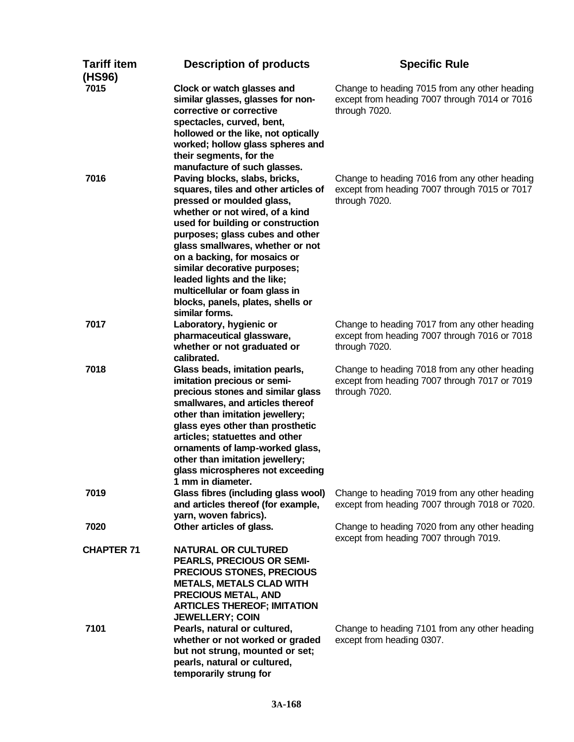| <b>Tariff item</b><br>(HS96) | <b>Description of products</b>                                                                                                                                                                                                                                                                                                                                                                                                                                            | <b>Specific Rule</b>                                                                                            |
|------------------------------|---------------------------------------------------------------------------------------------------------------------------------------------------------------------------------------------------------------------------------------------------------------------------------------------------------------------------------------------------------------------------------------------------------------------------------------------------------------------------|-----------------------------------------------------------------------------------------------------------------|
| 7015                         | Clock or watch glasses and<br>similar glasses, glasses for non-<br>corrective or corrective<br>spectacles, curved, bent,<br>hollowed or the like, not optically<br>worked; hollow glass spheres and<br>their segments, for the                                                                                                                                                                                                                                            | Change to heading 7015 from any other heading<br>except from heading 7007 through 7014 or 7016<br>through 7020. |
| 7016                         | manufacture of such glasses.<br>Paving blocks, slabs, bricks,<br>squares, tiles and other articles of<br>pressed or moulded glass,<br>whether or not wired, of a kind<br>used for building or construction<br>purposes; glass cubes and other<br>glass smallwares, whether or not<br>on a backing, for mosaics or<br>similar decorative purposes;<br>leaded lights and the like;<br>multicellular or foam glass in<br>blocks, panels, plates, shells or<br>similar forms. | Change to heading 7016 from any other heading<br>except from heading 7007 through 7015 or 7017<br>through 7020. |
| 7017                         | Laboratory, hygienic or<br>pharmaceutical glassware,<br>whether or not graduated or<br>calibrated.                                                                                                                                                                                                                                                                                                                                                                        | Change to heading 7017 from any other heading<br>except from heading 7007 through 7016 or 7018<br>through 7020. |
| 7018                         | Glass beads, imitation pearls,<br>imitation precious or semi-<br>precious stones and similar glass<br>smallwares, and articles thereof<br>other than imitation jewellery;<br>glass eyes other than prosthetic<br>articles; statuettes and other<br>ornaments of lamp-worked glass,<br>other than imitation jewellery;<br>glass microspheres not exceeding<br>1 mm in diameter.                                                                                            | Change to heading 7018 from any other heading<br>except from heading 7007 through 7017 or 7019<br>through 7020. |
| 7019                         | Glass fibres (including glass wool)<br>and articles thereof (for example,<br>yarn, woven fabrics).                                                                                                                                                                                                                                                                                                                                                                        | Change to heading 7019 from any other heading<br>except from heading 7007 through 7018 or 7020.                 |
| 7020                         | Other articles of glass.                                                                                                                                                                                                                                                                                                                                                                                                                                                  | Change to heading 7020 from any other heading<br>except from heading 7007 through 7019.                         |
| <b>CHAPTER 71</b>            | <b>NATURAL OR CULTURED</b><br>PEARLS, PRECIOUS OR SEMI-<br><b>PRECIOUS STONES, PRECIOUS</b><br><b>METALS, METALS CLAD WITH</b><br><b>PRECIOUS METAL, AND</b><br><b>ARTICLES THEREOF; IMITATION</b><br><b>JEWELLERY; COIN</b>                                                                                                                                                                                                                                              |                                                                                                                 |
| 7101                         | Pearls, natural or cultured,<br>whether or not worked or graded<br>but not strung, mounted or set;<br>pearls, natural or cultured,<br>temporarily strung for                                                                                                                                                                                                                                                                                                              | Change to heading 7101 from any other heading<br>except from heading 0307.                                      |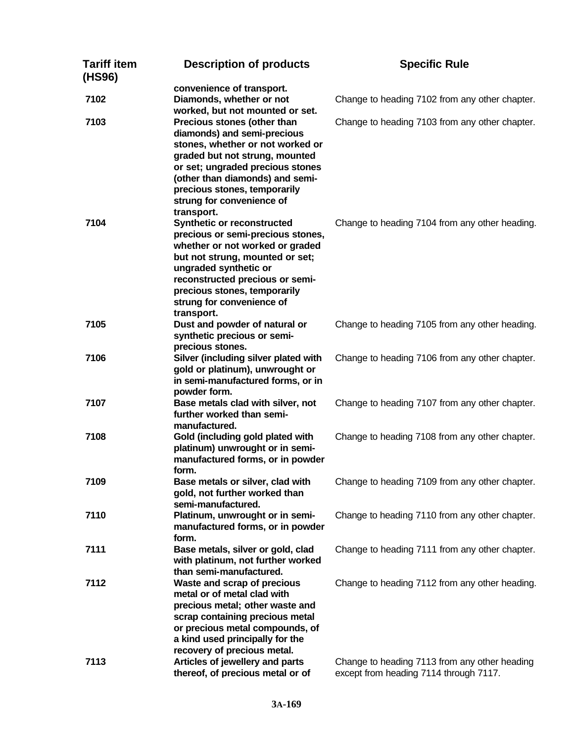| Tariff item<br>(HS96) | <b>Description of products</b>                                                                                                                                                                                                                                                      | <b>Specific Rule</b>                                                                    |
|-----------------------|-------------------------------------------------------------------------------------------------------------------------------------------------------------------------------------------------------------------------------------------------------------------------------------|-----------------------------------------------------------------------------------------|
| 7102                  | convenience of transport.<br>Diamonds, whether or not<br>worked, but not mounted or set.                                                                                                                                                                                            | Change to heading 7102 from any other chapter.                                          |
| 7103                  | Precious stones (other than<br>diamonds) and semi-precious<br>stones, whether or not worked or                                                                                                                                                                                      | Change to heading 7103 from any other chapter.                                          |
|                       | graded but not strung, mounted<br>or set; ungraded precious stones<br>(other than diamonds) and semi-<br>precious stones, temporarily<br>strung for convenience of<br>transport.                                                                                                    |                                                                                         |
| 7104                  | <b>Synthetic or reconstructed</b><br>precious or semi-precious stones,<br>whether or not worked or graded<br>but not strung, mounted or set;<br>ungraded synthetic or<br>reconstructed precious or semi-<br>precious stones, temporarily<br>strung for convenience of<br>transport. | Change to heading 7104 from any other heading.                                          |
| 7105                  | Dust and powder of natural or<br>synthetic precious or semi-<br>precious stones.                                                                                                                                                                                                    | Change to heading 7105 from any other heading.                                          |
| 7106                  | Silver (including silver plated with<br>gold or platinum), unwrought or<br>in semi-manufactured forms, or in<br>powder form.                                                                                                                                                        | Change to heading 7106 from any other chapter.                                          |
| 7107                  | Base metals clad with silver, not<br>further worked than semi-<br>manufactured.                                                                                                                                                                                                     | Change to heading 7107 from any other chapter.                                          |
| 7108                  | Gold (including gold plated with<br>platinum) unwrought or in semi-<br>manufactured forms, or in powder<br>form.                                                                                                                                                                    | Change to heading 7108 from any other chapter.                                          |
| 7109                  | Base metals or silver, clad with<br>gold, not further worked than<br>semi-manufactured.                                                                                                                                                                                             | Change to heading 7109 from any other chapter.                                          |
| 7110                  | Platinum, unwrought or in semi-<br>manufactured forms, or in powder<br>form.                                                                                                                                                                                                        | Change to heading 7110 from any other chapter.                                          |
| 7111                  | Base metals, silver or gold, clad<br>with platinum, not further worked<br>than semi-manufactured.                                                                                                                                                                                   | Change to heading 7111 from any other chapter.                                          |
| 7112                  | Waste and scrap of precious<br>metal or of metal clad with<br>precious metal; other waste and<br>scrap containing precious metal<br>or precious metal compounds, of<br>a kind used principally for the<br>recovery of precious metal.                                               | Change to heading 7112 from any other heading.                                          |
| 7113                  | Articles of jewellery and parts<br>thereof, of precious metal or of                                                                                                                                                                                                                 | Change to heading 7113 from any other heading<br>except from heading 7114 through 7117. |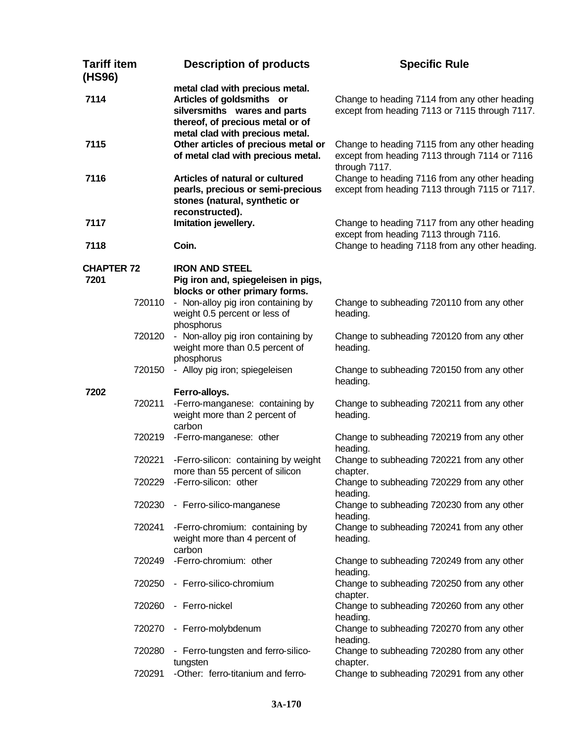| <b>Tariff item</b><br>(HS96) |        | <b>Description of products</b>                                                                                                                                      | <b>Specific Rule</b>                                                                                            |
|------------------------------|--------|---------------------------------------------------------------------------------------------------------------------------------------------------------------------|-----------------------------------------------------------------------------------------------------------------|
| 7114                         |        | metal clad with precious metal.<br>Articles of goldsmiths or<br>silversmiths wares and parts<br>thereof, of precious metal or of<br>metal clad with precious metal. | Change to heading 7114 from any other heading<br>except from heading 7113 or 7115 through 7117.                 |
| 7115                         |        | Other articles of precious metal or<br>of metal clad with precious metal.                                                                                           | Change to heading 7115 from any other heading<br>except from heading 7113 through 7114 or 7116<br>through 7117. |
| 7116                         |        | Articles of natural or cultured<br>pearls, precious or semi-precious<br>stones (natural, synthetic or<br>reconstructed).                                            | Change to heading 7116 from any other heading<br>except from heading 7113 through 7115 or 7117.                 |
| 7117                         |        | Imitation jewellery.                                                                                                                                                | Change to heading 7117 from any other heading<br>except from heading 7113 through 7116.                         |
| 7118                         |        | Coin.                                                                                                                                                               | Change to heading 7118 from any other heading.                                                                  |
| <b>CHAPTER 72</b><br>7201    |        | <b>IRON AND STEEL</b><br>Pig iron and, spiegeleisen in pigs,<br>blocks or other primary forms.                                                                      |                                                                                                                 |
|                              | 720110 | - Non-alloy pig iron containing by<br>weight 0.5 percent or less of<br>phosphorus                                                                                   | Change to subheading 720110 from any other<br>heading.                                                          |
|                              | 720120 | - Non-alloy pig iron containing by<br>weight more than 0.5 percent of<br>phosphorus                                                                                 | Change to subheading 720120 from any other<br>heading.                                                          |
|                              | 720150 | - Alloy pig iron; spiegeleisen                                                                                                                                      | Change to subheading 720150 from any other<br>heading.                                                          |
| 7202                         |        | Ferro-alloys.                                                                                                                                                       |                                                                                                                 |
|                              | 720211 | -Ferro-manganese: containing by<br>weight more than 2 percent of<br>carbon                                                                                          | Change to subheading 720211 from any other<br>heading.                                                          |
|                              | 720219 | -Ferro-manganese: other                                                                                                                                             | Change to subheading 720219 from any other<br>heading.                                                          |
|                              | 720221 | -Ferro-silicon: containing by weight<br>more than 55 percent of silicon                                                                                             | Change to subheading 720221 from any other<br>chapter.                                                          |
|                              |        | 720229 - Ferro-silicon: other                                                                                                                                       | Change to subheading 720229 from any other<br>heading.                                                          |
|                              | 720230 | - Ferro-silico-manganese                                                                                                                                            | Change to subheading 720230 from any other<br>heading.                                                          |
|                              | 720241 | -Ferro-chromium: containing by<br>weight more than 4 percent of<br>carbon                                                                                           | Change to subheading 720241 from any other<br>heading.                                                          |
|                              | 720249 | -Ferro-chromium: other                                                                                                                                              | Change to subheading 720249 from any other<br>heading.                                                          |
|                              | 720250 | - Ferro-silico-chromium                                                                                                                                             | Change to subheading 720250 from any other<br>chapter.                                                          |
|                              | 720260 | - Ferro-nickel                                                                                                                                                      | Change to subheading 720260 from any other<br>heading.                                                          |
|                              | 720270 | - Ferro-molybdenum                                                                                                                                                  | Change to subheading 720270 from any other<br>heading.                                                          |
|                              | 720280 | - Ferro-tungsten and ferro-silico-<br>tungsten                                                                                                                      | Change to subheading 720280 from any other<br>chapter.                                                          |
|                              | 720291 | -Other: ferro-titanium and ferro-                                                                                                                                   | Change to subheading 720291 from any other                                                                      |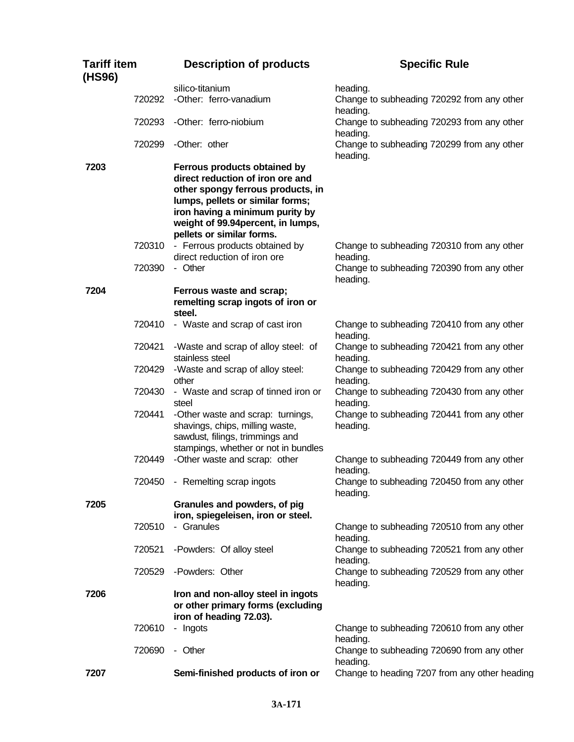| <b>Tariff item</b><br>(HS96) |        | <b>Description of products</b>                                                                                                                                                                                                                  | <b>Specific Rule</b>                                   |
|------------------------------|--------|-------------------------------------------------------------------------------------------------------------------------------------------------------------------------------------------------------------------------------------------------|--------------------------------------------------------|
|                              |        | silico-titanium                                                                                                                                                                                                                                 | heading.                                               |
|                              | 720292 | -Other: ferro-vanadium                                                                                                                                                                                                                          | Change to subheading 720292 from any other<br>heading. |
|                              |        | 720293 - Other: ferro-niobium                                                                                                                                                                                                                   | Change to subheading 720293 from any other<br>heading. |
|                              | 720299 | -Other: other                                                                                                                                                                                                                                   | Change to subheading 720299 from any other<br>heading. |
| 7203                         |        | Ferrous products obtained by<br>direct reduction of iron ore and<br>other spongy ferrous products, in<br>lumps, pellets or similar forms;<br>iron having a minimum purity by<br>weight of 99.94 percent, in lumps,<br>pellets or similar forms. |                                                        |
|                              | 720310 | - Ferrous products obtained by<br>direct reduction of iron ore                                                                                                                                                                                  | Change to subheading 720310 from any other<br>heading. |
|                              | 720390 | - Other                                                                                                                                                                                                                                         | Change to subheading 720390 from any other<br>heading. |
| 7204                         |        | Ferrous waste and scrap;<br>remelting scrap ingots of iron or<br>steel.                                                                                                                                                                         |                                                        |
|                              | 720410 | - Waste and scrap of cast iron                                                                                                                                                                                                                  | Change to subheading 720410 from any other<br>heading. |
|                              | 720421 | -Waste and scrap of alloy steel: of<br>stainless steel                                                                                                                                                                                          | Change to subheading 720421 from any other<br>heading. |
|                              | 720429 | -Waste and scrap of alloy steel:<br>other                                                                                                                                                                                                       | Change to subheading 720429 from any other<br>heading. |
|                              | 720430 | - Waste and scrap of tinned iron or<br>steel                                                                                                                                                                                                    | Change to subheading 720430 from any other<br>heading. |
|                              | 720441 | -Other waste and scrap: turnings,<br>shavings, chips, milling waste,<br>sawdust, filings, trimmings and<br>stampings, whether or not in bundles                                                                                                 | Change to subheading 720441 from any other<br>heading. |
|                              | 720449 | -Other waste and scrap: other                                                                                                                                                                                                                   | Change to subheading 720449 from any other<br>heading. |
|                              |        | 720450 - Remelting scrap ingots                                                                                                                                                                                                                 | Change to subheading 720450 from any other<br>heading. |
| 7205                         |        | Granules and powders, of pig<br>iron, spiegeleisen, iron or steel.                                                                                                                                                                              |                                                        |
|                              | 720510 | - Granules                                                                                                                                                                                                                                      | Change to subheading 720510 from any other<br>heading. |
|                              | 720521 | -Powders: Of alloy steel                                                                                                                                                                                                                        | Change to subheading 720521 from any other<br>heading. |
|                              | 720529 | -Powders: Other                                                                                                                                                                                                                                 | Change to subheading 720529 from any other<br>heading. |
| 7206                         |        | Iron and non-alloy steel in ingots<br>or other primary forms (excluding<br>iron of heading 72.03).                                                                                                                                              |                                                        |
|                              | 720610 | - Ingots                                                                                                                                                                                                                                        | Change to subheading 720610 from any other<br>heading. |
|                              | 720690 | - Other                                                                                                                                                                                                                                         | Change to subheading 720690 from any other<br>heading. |
| 7207                         |        | Semi-finished products of iron or                                                                                                                                                                                                               | Change to heading 7207 from any other heading          |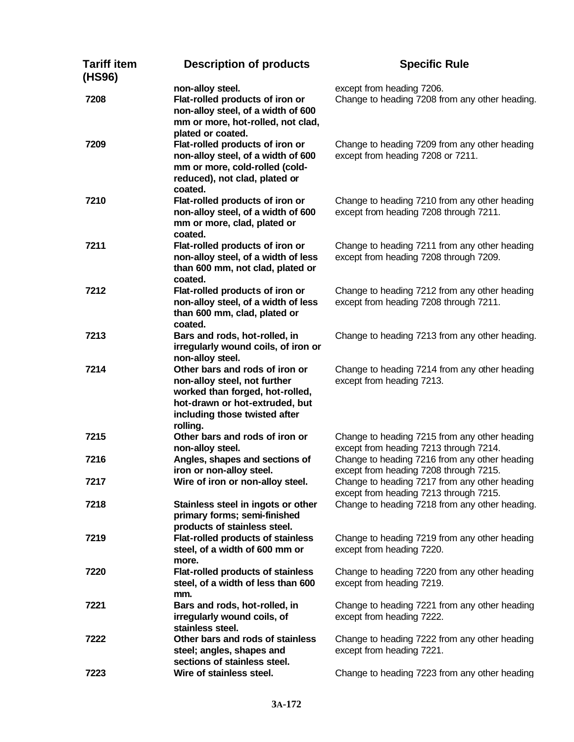| <b>Tariff item</b><br>(HS96) | <b>Description of products</b>                                                                                                                                                   | <b>Specific Rule</b>                                                                                                                      |
|------------------------------|----------------------------------------------------------------------------------------------------------------------------------------------------------------------------------|-------------------------------------------------------------------------------------------------------------------------------------------|
| 7208                         | non-alloy steel.<br>Flat-rolled products of iron or<br>non-alloy steel, of a width of 600<br>mm or more, hot-rolled, not clad,<br>plated or coated.                              | except from heading 7206.<br>Change to heading 7208 from any other heading.                                                               |
| 7209                         | Flat-rolled products of iron or<br>non-alloy steel, of a width of 600<br>mm or more, cold-rolled (cold-<br>reduced), not clad, plated or<br>coated.                              | Change to heading 7209 from any other heading<br>except from heading 7208 or 7211.                                                        |
| 7210                         | Flat-rolled products of iron or<br>non-alloy steel, of a width of 600<br>mm or more, clad, plated or<br>coated.                                                                  | Change to heading 7210 from any other heading<br>except from heading 7208 through 7211.                                                   |
| 7211                         | Flat-rolled products of iron or<br>non-alloy steel, of a width of less<br>than 600 mm, not clad, plated or<br>coated.                                                            | Change to heading 7211 from any other heading<br>except from heading 7208 through 7209.                                                   |
| 7212                         | Flat-rolled products of iron or<br>non-alloy steel, of a width of less<br>than 600 mm, clad, plated or<br>coated.                                                                | Change to heading 7212 from any other heading<br>except from heading 7208 through 7211.                                                   |
| 7213                         | Bars and rods, hot-rolled, in<br>irregularly wound coils, of iron or<br>non-alloy steel.                                                                                         | Change to heading 7213 from any other heading.                                                                                            |
| 7214                         | Other bars and rods of iron or<br>non-alloy steel, not further<br>worked than forged, hot-rolled,<br>hot-drawn or hot-extruded, but<br>including those twisted after<br>rolling. | Change to heading 7214 from any other heading<br>except from heading 7213.                                                                |
| 7215                         | Other bars and rods of iron or<br>non-alloy steel.                                                                                                                               | Change to heading 7215 from any other heading<br>except from heading 7213 through 7214.                                                   |
| 7216                         | Angles, shapes and sections of<br>iron or non-alloy steel.                                                                                                                       | Change to heading 7216 from any other heading<br>except from heading 7208 through 7215.                                                   |
| 7217<br>7218                 | Wire of iron or non-alloy steel.<br>Stainless steel in ingots or other                                                                                                           | Change to heading 7217 from any other heading<br>except from heading 7213 through 7215.<br>Change to heading 7218 from any other heading. |
|                              | primary forms; semi-finished<br>products of stainless steel.                                                                                                                     |                                                                                                                                           |
| 7219                         | <b>Flat-rolled products of stainless</b><br>steel, of a width of 600 mm or<br>more.                                                                                              | Change to heading 7219 from any other heading<br>except from heading 7220.                                                                |
| 7220                         | <b>Flat-rolled products of stainless</b><br>steel, of a width of less than 600<br>mm.                                                                                            | Change to heading 7220 from any other heading<br>except from heading 7219.                                                                |
| 7221                         | Bars and rods, hot-rolled, in<br>irregularly wound coils, of<br>stainless steel.                                                                                                 | Change to heading 7221 from any other heading<br>except from heading 7222.                                                                |
| 7222                         | Other bars and rods of stainless<br>steel; angles, shapes and<br>sections of stainless steel.                                                                                    | Change to heading 7222 from any other heading<br>except from heading 7221.                                                                |
| 7223                         | Wire of stainless steel.                                                                                                                                                         | Change to heading 7223 from any other heading                                                                                             |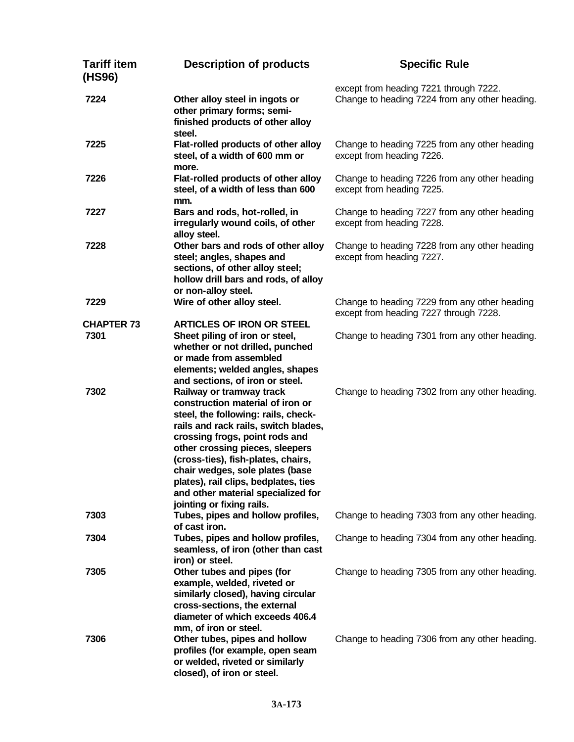| <b>Tariff item</b><br>(HS96) | <b>Description of products</b>                                                                                                                                                                                                                                                                                                                                                                       | <b>Specific Rule</b>                                                                     |
|------------------------------|------------------------------------------------------------------------------------------------------------------------------------------------------------------------------------------------------------------------------------------------------------------------------------------------------------------------------------------------------------------------------------------------------|------------------------------------------------------------------------------------------|
| 7224                         | Other alloy steel in ingots or<br>other primary forms; semi-<br>finished products of other alloy<br>steel.                                                                                                                                                                                                                                                                                           | except from heading 7221 through 7222.<br>Change to heading 7224 from any other heading. |
| 7225                         | Flat-rolled products of other alloy<br>steel, of a width of 600 mm or<br>more.                                                                                                                                                                                                                                                                                                                       | Change to heading 7225 from any other heading<br>except from heading 7226.               |
| 7226                         | Flat-rolled products of other alloy<br>steel, of a width of less than 600<br>mm.                                                                                                                                                                                                                                                                                                                     | Change to heading 7226 from any other heading<br>except from heading 7225.               |
| 7227                         | Bars and rods, hot-rolled, in<br>irregularly wound coils, of other<br>alloy steel.                                                                                                                                                                                                                                                                                                                   | Change to heading 7227 from any other heading<br>except from heading 7228.               |
| 7228                         | Other bars and rods of other alloy<br>steel; angles, shapes and<br>sections, of other alloy steel;<br>hollow drill bars and rods, of alloy<br>or non-alloy steel.                                                                                                                                                                                                                                    | Change to heading 7228 from any other heading<br>except from heading 7227.               |
| 7229                         | Wire of other alloy steel.                                                                                                                                                                                                                                                                                                                                                                           | Change to heading 7229 from any other heading<br>except from heading 7227 through 7228.  |
| <b>CHAPTER 73</b><br>7301    | <b>ARTICLES OF IRON OR STEEL</b><br>Sheet piling of iron or steel,<br>whether or not drilled, punched<br>or made from assembled<br>elements; welded angles, shapes<br>and sections, of iron or steel.                                                                                                                                                                                                | Change to heading 7301 from any other heading.                                           |
| 7302                         | Railway or tramway track<br>construction material of iron or<br>steel, the following: rails, check-<br>rails and rack rails, switch blades,<br>crossing frogs, point rods and<br>other crossing pieces, sleepers<br>(cross-ties), fish-plates, chairs,<br>chair wedges, sole plates (base<br>plates), rail clips, bedplates, ties<br>and other material specialized for<br>jointing or fixing rails. | Change to heading 7302 from any other heading.                                           |
| 7303                         | Tubes, pipes and hollow profiles,<br>of cast iron.                                                                                                                                                                                                                                                                                                                                                   | Change to heading 7303 from any other heading.                                           |
| 7304                         | Tubes, pipes and hollow profiles,<br>seamless, of iron (other than cast<br>iron) or steel.                                                                                                                                                                                                                                                                                                           | Change to heading 7304 from any other heading.                                           |
| 7305                         | Other tubes and pipes (for<br>example, welded, riveted or<br>similarly closed), having circular<br>cross-sections, the external<br>diameter of which exceeds 406.4<br>mm, of iron or steel.                                                                                                                                                                                                          | Change to heading 7305 from any other heading.                                           |
| 7306                         | Other tubes, pipes and hollow<br>profiles (for example, open seam<br>or welded, riveted or similarly<br>closed), of iron or steel.                                                                                                                                                                                                                                                                   | Change to heading 7306 from any other heading.                                           |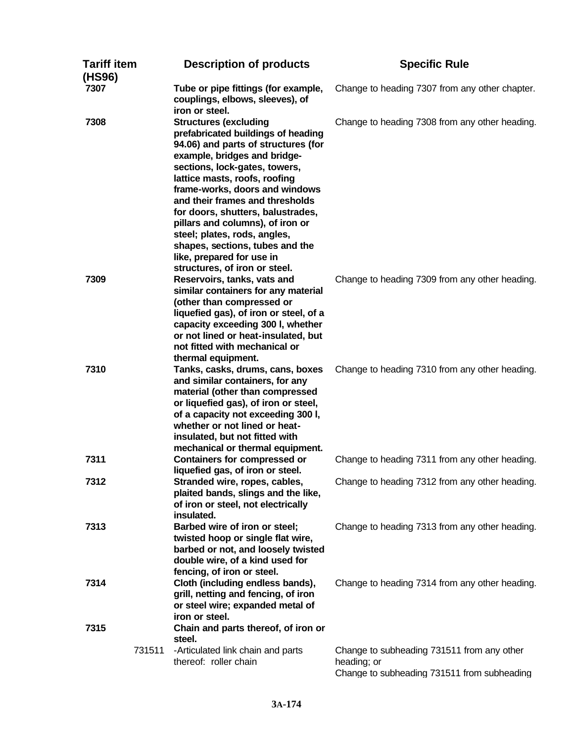| Tariff item<br>(HS96) |        | <b>Description of products</b>                                                                                                                                                                                                                                                                                                                                                                                                                                                             | <b>Specific Rule</b>                                       |
|-----------------------|--------|--------------------------------------------------------------------------------------------------------------------------------------------------------------------------------------------------------------------------------------------------------------------------------------------------------------------------------------------------------------------------------------------------------------------------------------------------------------------------------------------|------------------------------------------------------------|
| 7307                  |        | Tube or pipe fittings (for example,<br>couplings, elbows, sleeves), of<br>iron or steel.                                                                                                                                                                                                                                                                                                                                                                                                   | Change to heading 7307 from any other chapter.             |
| 7308                  |        | <b>Structures (excluding</b><br>prefabricated buildings of heading<br>94.06) and parts of structures (for<br>example, bridges and bridge-<br>sections, lock-gates, towers,<br>lattice masts, roofs, roofing<br>frame-works, doors and windows<br>and their frames and thresholds<br>for doors, shutters, balustrades,<br>pillars and columns), of iron or<br>steel; plates, rods, angles,<br>shapes, sections, tubes and the<br>like, prepared for use in<br>structures, of iron or steel. | Change to heading 7308 from any other heading.             |
| 7309                  |        | Reservoirs, tanks, vats and<br>similar containers for any material<br>(other than compressed or<br>liquefied gas), of iron or steel, of a<br>capacity exceeding 300 l, whether<br>or not lined or heat-insulated, but<br>not fitted with mechanical or<br>thermal equipment.                                                                                                                                                                                                               | Change to heading 7309 from any other heading.             |
| 7310                  |        | Tanks, casks, drums, cans, boxes<br>and similar containers, for any<br>material (other than compressed<br>or liquefied gas), of iron or steel,<br>of a capacity not exceeding 300 I,<br>whether or not lined or heat-<br>insulated, but not fitted with<br>mechanical or thermal equipment.                                                                                                                                                                                                | Change to heading 7310 from any other heading.             |
| 7311                  |        | <b>Containers for compressed or</b><br>liquefied gas, of iron or steel.                                                                                                                                                                                                                                                                                                                                                                                                                    | Change to heading 7311 from any other heading.             |
| 7312                  |        | Stranded wire, ropes, cables,<br>plaited bands, slings and the like,<br>of iron or steel, not electrically<br>insulated.                                                                                                                                                                                                                                                                                                                                                                   | Change to heading 7312 from any other heading.             |
| 7313                  |        | Barbed wire of iron or steel;<br>twisted hoop or single flat wire,<br>barbed or not, and loosely twisted<br>double wire, of a kind used for<br>fencing, of iron or steel.                                                                                                                                                                                                                                                                                                                  | Change to heading 7313 from any other heading.             |
| 7314<br>7315          |        | Cloth (including endless bands),<br>grill, netting and fencing, of iron<br>or steel wire; expanded metal of<br>iron or steel.<br>Chain and parts thereof, of iron or                                                                                                                                                                                                                                                                                                                       | Change to heading 7314 from any other heading.             |
|                       | 731511 | steel.<br>-Articulated link chain and parts                                                                                                                                                                                                                                                                                                                                                                                                                                                | Change to subheading 731511 from any other                 |
|                       |        | thereof: roller chain                                                                                                                                                                                                                                                                                                                                                                                                                                                                      | heading; or<br>Change to subheading 731511 from subheading |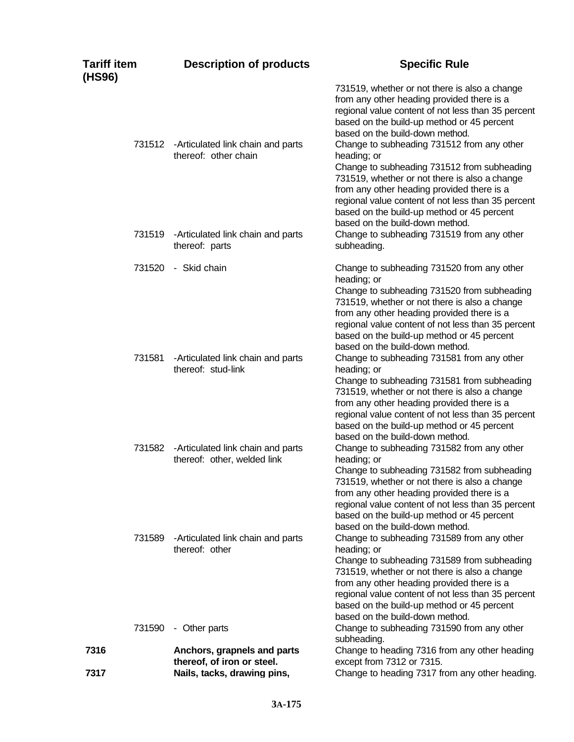| <b>Tariff item</b><br>(HS96) | <b>Description of products</b>                                                           | <b>Specific Rule</b>                                                                                                                                                                                                                                                                                                                           |
|------------------------------|------------------------------------------------------------------------------------------|------------------------------------------------------------------------------------------------------------------------------------------------------------------------------------------------------------------------------------------------------------------------------------------------------------------------------------------------|
|                              | 731512 - Articulated link chain and parts<br>thereof: other chain                        | 731519, whether or not there is also a change<br>from any other heading provided there is a<br>regional value content of not less than 35 percent<br>based on the build-up method or 45 percent<br>based on the build-down method.<br>Change to subheading 731512 from any other<br>heading; or<br>Change to subheading 731512 from subheading |
|                              | 731519 - Articulated link chain and parts                                                | 731519, whether or not there is also a change<br>from any other heading provided there is a<br>regional value content of not less than 35 percent<br>based on the build-up method or 45 percent<br>based on the build-down method.<br>Change to subheading 731519 from any other                                                               |
|                              | thereof: parts                                                                           | subheading.                                                                                                                                                                                                                                                                                                                                    |
| 731520                       | - Skid chain                                                                             | Change to subheading 731520 from any other<br>heading; or<br>Change to subheading 731520 from subheading<br>731519, whether or not there is also a change<br>from any other heading provided there is a<br>regional value content of not less than 35 percent<br>based on the build-up method or 45 percent<br>based on the build-down method. |
| 731581                       | -Articulated link chain and parts<br>thereof: stud-link                                  | Change to subheading 731581 from any other<br>heading; or<br>Change to subheading 731581 from subheading<br>731519, whether or not there is also a change<br>from any other heading provided there is a<br>regional value content of not less than 35 percent<br>based on the build-up method or 45 percent<br>based on the build-down method. |
|                              | 731582 - Articulated link chain and parts<br>thereof: other, welded link                 | Change to subheading 731582 from any other<br>heading; or<br>Change to subheading 731582 from subheading<br>731519, whether or not there is also a change<br>from any other heading provided there is a<br>regional value content of not less than 35 percent<br>based on the build-up method or 45 percent<br>based on the build-down method. |
| 731589                       | -Articulated link chain and parts<br>thereof: other                                      | Change to subheading 731589 from any other<br>heading; or<br>Change to subheading 731589 from subheading<br>731519, whether or not there is also a change<br>from any other heading provided there is a<br>regional value content of not less than 35 percent<br>based on the build-up method or 45 percent<br>based on the build-down method. |
| 731590                       | - Other parts                                                                            | Change to subheading 731590 from any other<br>subheading.                                                                                                                                                                                                                                                                                      |
| 7316<br>7317                 | Anchors, grapnels and parts<br>thereof, of iron or steel.<br>Nails, tacks, drawing pins, | Change to heading 7316 from any other heading<br>except from 7312 or 7315.<br>Change to heading 7317 from any other heading.                                                                                                                                                                                                                   |
|                              |                                                                                          |                                                                                                                                                                                                                                                                                                                                                |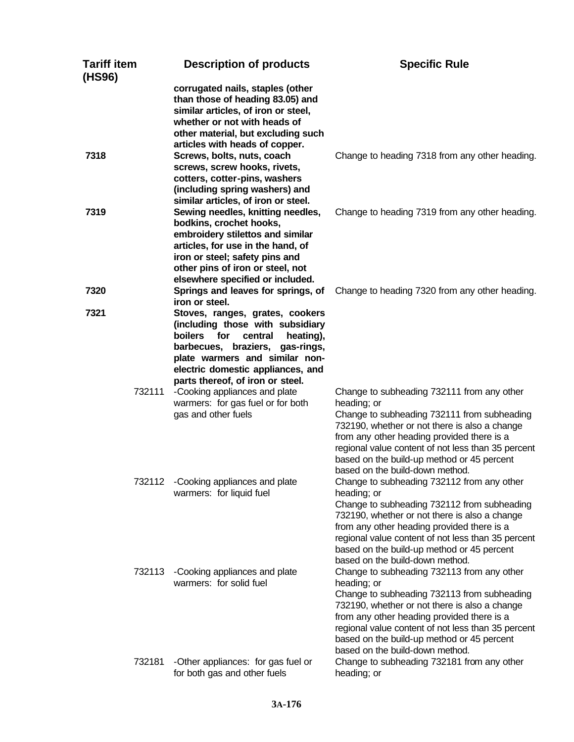| <b>Tariff item</b><br>(HS96) | <b>Description of products</b>                                                                                                                                                                                                                                     | <b>Specific Rule</b>                                                                                                                                                                                                                                                                                                                           |
|------------------------------|--------------------------------------------------------------------------------------------------------------------------------------------------------------------------------------------------------------------------------------------------------------------|------------------------------------------------------------------------------------------------------------------------------------------------------------------------------------------------------------------------------------------------------------------------------------------------------------------------------------------------|
|                              | corrugated nails, staples (other<br>than those of heading 83.05) and<br>similar articles, of iron or steel,<br>whether or not with heads of<br>other material, but excluding such<br>articles with heads of copper.                                                |                                                                                                                                                                                                                                                                                                                                                |
| 7318                         | Screws, bolts, nuts, coach<br>screws, screw hooks, rivets,<br>cotters, cotter-pins, washers<br>(including spring washers) and<br>similar articles, of iron or steel.                                                                                               | Change to heading 7318 from any other heading.                                                                                                                                                                                                                                                                                                 |
| 7319                         | Sewing needles, knitting needles,<br>bodkins, crochet hooks,<br>embroidery stilettos and similar<br>articles, for use in the hand, of<br>iron or steel; safety pins and<br>other pins of iron or steel, not<br>elsewhere specified or included.                    | Change to heading 7319 from any other heading.                                                                                                                                                                                                                                                                                                 |
| 7320                         | Springs and leaves for springs, of<br>iron or steel.                                                                                                                                                                                                               | Change to heading 7320 from any other heading.                                                                                                                                                                                                                                                                                                 |
| 7321                         | Stoves, ranges, grates, cookers<br>(including those with subsidiary<br><b>boilers</b><br>for<br>central<br>heating),<br>barbecues, braziers, gas-rings,<br>plate warmers and similar non-<br>electric domestic appliances, and<br>parts thereof, of iron or steel. |                                                                                                                                                                                                                                                                                                                                                |
| 732111                       | -Cooking appliances and plate<br>warmers: for gas fuel or for both<br>gas and other fuels                                                                                                                                                                          | Change to subheading 732111 from any other<br>heading; or<br>Change to subheading 732111 from subheading<br>732190, whether or not there is also a change<br>from any other heading provided there is a<br>regional value content of not less than 35 percent<br>based on the build-up method or 45 percent<br>based on the build-down method. |
| 732112                       | -Cooking appliances and plate<br>warmers: for liquid fuel                                                                                                                                                                                                          | Change to subheading 732112 from any other<br>heading; or<br>Change to subheading 732112 from subheading<br>732190, whether or not there is also a change<br>from any other heading provided there is a<br>regional value content of not less than 35 percent<br>based on the build-up method or 45 percent<br>based on the build-down method. |
| 732113                       | -Cooking appliances and plate<br>warmers: for solid fuel                                                                                                                                                                                                           | Change to subheading 732113 from any other<br>heading; or<br>Change to subheading 732113 from subheading<br>732190, whether or not there is also a change<br>from any other heading provided there is a<br>regional value content of not less than 35 percent<br>based on the build-up method or 45 percent<br>based on the build-down method. |
| 732181                       | -Other appliances: for gas fuel or<br>for both gas and other fuels                                                                                                                                                                                                 | Change to subheading 732181 from any other<br>heading; or                                                                                                                                                                                                                                                                                      |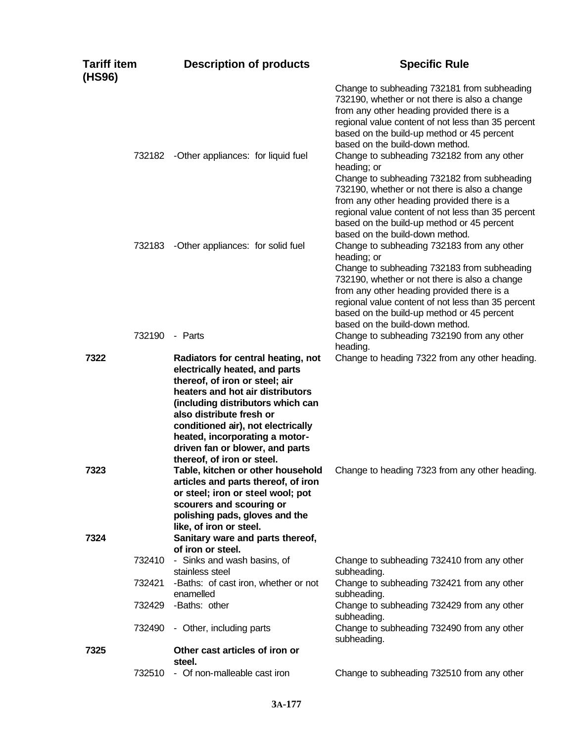| <b>Tariff item</b><br>(HS96) | <b>Description of products</b>                                                                                                                                                                                                                                                                                                                       | <b>Specific Rule</b>                                                                                                                                                                                                                                                                                                                           |
|------------------------------|------------------------------------------------------------------------------------------------------------------------------------------------------------------------------------------------------------------------------------------------------------------------------------------------------------------------------------------------------|------------------------------------------------------------------------------------------------------------------------------------------------------------------------------------------------------------------------------------------------------------------------------------------------------------------------------------------------|
|                              |                                                                                                                                                                                                                                                                                                                                                      | Change to subheading 732181 from subheading<br>732190, whether or not there is also a change<br>from any other heading provided there is a<br>regional value content of not less than 35 percent<br>based on the build-up method or 45 percent<br>based on the build-down method.                                                              |
|                              | 732182 - Other appliances: for liquid fuel                                                                                                                                                                                                                                                                                                           | Change to subheading 732182 from any other<br>heading; or<br>Change to subheading 732182 from subheading<br>732190, whether or not there is also a change<br>from any other heading provided there is a<br>regional value content of not less than 35 percent<br>based on the build-up method or 45 percent<br>based on the build-down method. |
|                              | 732183 - Other appliances: for solid fuel                                                                                                                                                                                                                                                                                                            | Change to subheading 732183 from any other<br>heading; or<br>Change to subheading 732183 from subheading<br>732190, whether or not there is also a change<br>from any other heading provided there is a<br>regional value content of not less than 35 percent<br>based on the build-up method or 45 percent<br>based on the build-down method. |
|                              | 732190 - Parts                                                                                                                                                                                                                                                                                                                                       | Change to subheading 732190 from any other<br>heading.                                                                                                                                                                                                                                                                                         |
| 7322                         | Radiators for central heating, not<br>electrically heated, and parts<br>thereof, of iron or steel; air<br>heaters and hot air distributors<br>(including distributors which can<br>also distribute fresh or<br>conditioned air), not electrically<br>heated, incorporating a motor-<br>driven fan or blower, and parts<br>thereof, of iron or steel. | Change to heading 7322 from any other heading.                                                                                                                                                                                                                                                                                                 |
| 7323<br>7324                 | Table, kitchen or other household<br>articles and parts thereof, of iron<br>or steel; iron or steel wool; pot<br>scourers and scouring or<br>polishing pads, gloves and the<br>like, of iron or steel.<br>Sanitary ware and parts thereof,                                                                                                           | Change to heading 7323 from any other heading.                                                                                                                                                                                                                                                                                                 |
|                              | of iron or steel.<br>732410 - Sinks and wash basins, of                                                                                                                                                                                                                                                                                              | Change to subheading 732410 from any other                                                                                                                                                                                                                                                                                                     |
| 732421                       | stainless steel<br>-Baths: of cast iron, whether or not<br>enamelled                                                                                                                                                                                                                                                                                 | subheading.<br>Change to subheading 732421 from any other<br>subheading.                                                                                                                                                                                                                                                                       |
|                              | 732429 - Baths: other                                                                                                                                                                                                                                                                                                                                | Change to subheading 732429 from any other<br>subheading.                                                                                                                                                                                                                                                                                      |
| 732490                       | - Other, including parts                                                                                                                                                                                                                                                                                                                             | Change to subheading 732490 from any other<br>subheading.                                                                                                                                                                                                                                                                                      |
| 7325                         | Other cast articles of iron or<br>steel.                                                                                                                                                                                                                                                                                                             |                                                                                                                                                                                                                                                                                                                                                |
|                              | 732510 - Of non-malleable cast iron                                                                                                                                                                                                                                                                                                                  | Change to subheading 732510 from any other                                                                                                                                                                                                                                                                                                     |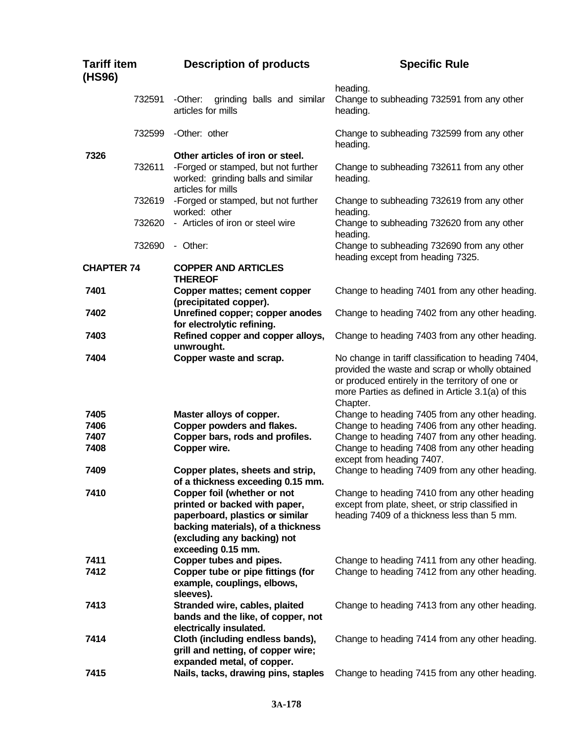| <b>Tariff item</b><br>(HS96) |        | <b>Description of products</b>                                                                                                                                                             | <b>Specific Rule</b>                                                                                                                                                                                                       |
|------------------------------|--------|--------------------------------------------------------------------------------------------------------------------------------------------------------------------------------------------|----------------------------------------------------------------------------------------------------------------------------------------------------------------------------------------------------------------------------|
|                              | 732591 | -Other:<br>grinding balls and similar<br>articles for mills                                                                                                                                | heading.<br>Change to subheading 732591 from any other<br>heading.                                                                                                                                                         |
|                              | 732599 | -Other: other                                                                                                                                                                              | Change to subheading 732599 from any other<br>heading.                                                                                                                                                                     |
| 7326                         |        | Other articles of iron or steel.                                                                                                                                                           |                                                                                                                                                                                                                            |
|                              | 732611 | -Forged or stamped, but not further<br>worked: grinding balls and similar<br>articles for mills                                                                                            | Change to subheading 732611 from any other<br>heading.                                                                                                                                                                     |
|                              | 732619 | -Forged or stamped, but not further<br>worked: other                                                                                                                                       | Change to subheading 732619 from any other<br>heading.                                                                                                                                                                     |
|                              | 732620 | - Articles of iron or steel wire                                                                                                                                                           | Change to subheading 732620 from any other<br>heading.                                                                                                                                                                     |
|                              | 732690 | - Other:                                                                                                                                                                                   | Change to subheading 732690 from any other<br>heading except from heading 7325.                                                                                                                                            |
| <b>CHAPTER 74</b>            |        | <b>COPPER AND ARTICLES</b><br><b>THEREOF</b>                                                                                                                                               |                                                                                                                                                                                                                            |
| 7401                         |        | Copper mattes; cement copper<br>(precipitated copper).                                                                                                                                     | Change to heading 7401 from any other heading.                                                                                                                                                                             |
| 7402                         |        | Unrefined copper; copper anodes<br>for electrolytic refining.                                                                                                                              | Change to heading 7402 from any other heading.                                                                                                                                                                             |
| 7403                         |        | Refined copper and copper alloys,<br>unwrought.                                                                                                                                            | Change to heading 7403 from any other heading.                                                                                                                                                                             |
| 7404                         |        | Copper waste and scrap.                                                                                                                                                                    | No change in tariff classification to heading 7404,<br>provided the waste and scrap or wholly obtained<br>or produced entirely in the territory of one or<br>more Parties as defined in Article 3.1(a) of this<br>Chapter. |
| 7405                         |        | Master alloys of copper.                                                                                                                                                                   | Change to heading 7405 from any other heading.                                                                                                                                                                             |
| 7406                         |        | Copper powders and flakes.                                                                                                                                                                 | Change to heading 7406 from any other heading.                                                                                                                                                                             |
| 7407                         |        | Copper bars, rods and profiles.                                                                                                                                                            | Change to heading 7407 from any other heading.                                                                                                                                                                             |
| 7408                         |        | Copper wire.                                                                                                                                                                               | Change to heading 7408 from any other heading<br>except from heading 7407.                                                                                                                                                 |
| 7409                         |        | Copper plates, sheets and strip,<br>of a thickness exceeding 0.15 mm.                                                                                                                      | Change to heading 7409 from any other heading.                                                                                                                                                                             |
| 7410                         |        | Copper foil (whether or not<br>printed or backed with paper,<br>paperboard, plastics or similar<br>backing materials), of a thickness<br>(excluding any backing) not<br>exceeding 0.15 mm. | Change to heading 7410 from any other heading<br>except from plate, sheet, or strip classified in<br>heading 7409 of a thickness less than 5 mm.                                                                           |
| 7411                         |        | Copper tubes and pipes.                                                                                                                                                                    | Change to heading 7411 from any other heading.                                                                                                                                                                             |
| 7412                         |        | Copper tube or pipe fittings (for<br>example, couplings, elbows,<br>sleeves).                                                                                                              | Change to heading 7412 from any other heading.                                                                                                                                                                             |
| 7413                         |        | Stranded wire, cables, plaited<br>bands and the like, of copper, not<br>electrically insulated.                                                                                            | Change to heading 7413 from any other heading.                                                                                                                                                                             |
| 7414                         |        | Cloth (including endless bands),<br>grill and netting, of copper wire;<br>expanded metal, of copper.                                                                                       | Change to heading 7414 from any other heading.                                                                                                                                                                             |
| 7415                         |        | Nails, tacks, drawing pins, staples                                                                                                                                                        | Change to heading 7415 from any other heading.                                                                                                                                                                             |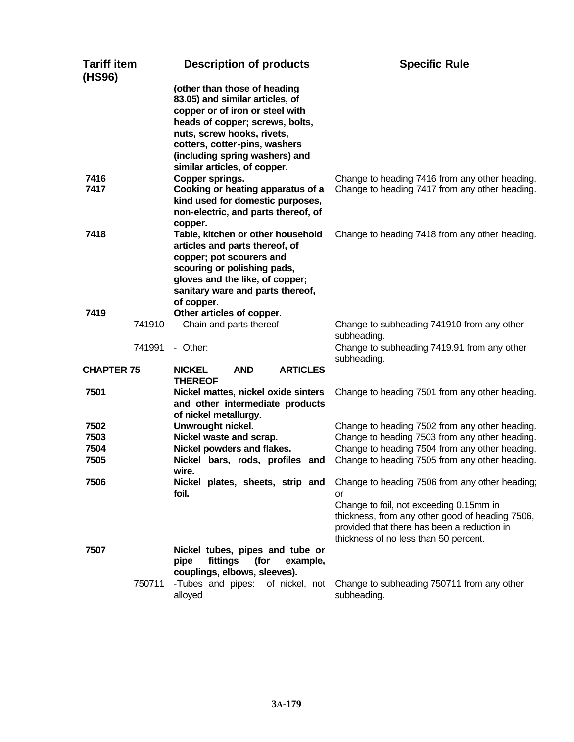| <b>Tariff item</b><br>(HS96) | <b>Description of products</b>                                                                                                                                                                                                                                         | <b>Specific Rule</b>                                                                                                                                                                                                                       |
|------------------------------|------------------------------------------------------------------------------------------------------------------------------------------------------------------------------------------------------------------------------------------------------------------------|--------------------------------------------------------------------------------------------------------------------------------------------------------------------------------------------------------------------------------------------|
|                              | (other than those of heading<br>83.05) and similar articles, of<br>copper or of iron or steel with<br>heads of copper; screws, bolts,<br>nuts, screw hooks, rivets,<br>cotters, cotter-pins, washers<br>(including spring washers) and<br>similar articles, of copper. |                                                                                                                                                                                                                                            |
| 7416<br>7417                 | Copper springs.<br>Cooking or heating apparatus of a<br>kind used for domestic purposes,<br>non-electric, and parts thereof, of<br>copper.                                                                                                                             | Change to heading 7416 from any other heading.<br>Change to heading 7417 from any other heading.                                                                                                                                           |
| 7418                         | Table, kitchen or other household<br>articles and parts thereof, of<br>copper; pot scourers and<br>scouring or polishing pads,<br>gloves and the like, of copper;<br>sanitary ware and parts thereof,<br>of copper.                                                    | Change to heading 7418 from any other heading.                                                                                                                                                                                             |
| 7419<br>741910               | Other articles of copper.<br>- Chain and parts thereof                                                                                                                                                                                                                 | Change to subheading 741910 from any other<br>subheading.                                                                                                                                                                                  |
| 741991                       | - Other:                                                                                                                                                                                                                                                               | Change to subheading 7419.91 from any other<br>subheading.                                                                                                                                                                                 |
| <b>CHAPTER 75</b>            | <b>AND</b><br><b>ARTICLES</b><br><b>NICKEL</b><br><b>THEREOF</b>                                                                                                                                                                                                       |                                                                                                                                                                                                                                            |
| 7501                         | Nickel mattes, nickel oxide sinters<br>and other intermediate products<br>of nickel metallurgy.                                                                                                                                                                        | Change to heading 7501 from any other heading.                                                                                                                                                                                             |
| 7502                         | Unwrought nickel.                                                                                                                                                                                                                                                      | Change to heading 7502 from any other heading.                                                                                                                                                                                             |
| 7503                         | Nickel waste and scrap.                                                                                                                                                                                                                                                | Change to heading 7503 from any other heading.                                                                                                                                                                                             |
| 7504                         | Nickel powders and flakes.                                                                                                                                                                                                                                             | Change to heading 7504 from any other heading.                                                                                                                                                                                             |
| 7505                         | Nickel bars, rods, profiles and<br>wire.                                                                                                                                                                                                                               | Change to heading 7505 from any other heading.                                                                                                                                                                                             |
| 7506                         | Nickel plates, sheets, strip and<br>foil.                                                                                                                                                                                                                              | Change to heading 7506 from any other heading;<br>or<br>Change to foil, not exceeding 0.15mm in<br>thickness, from any other good of heading 7506,<br>provided that there has been a reduction in<br>thickness of no less than 50 percent. |
| 7507                         | Nickel tubes, pipes and tube or<br>fittings<br>(for<br>pipe<br>example,                                                                                                                                                                                                |                                                                                                                                                                                                                                            |
| 750711                       | couplings, elbows, sleeves).<br>-Tubes and pipes:<br>of nickel, not<br>alloyed                                                                                                                                                                                         | Change to subheading 750711 from any other<br>subheading.                                                                                                                                                                                  |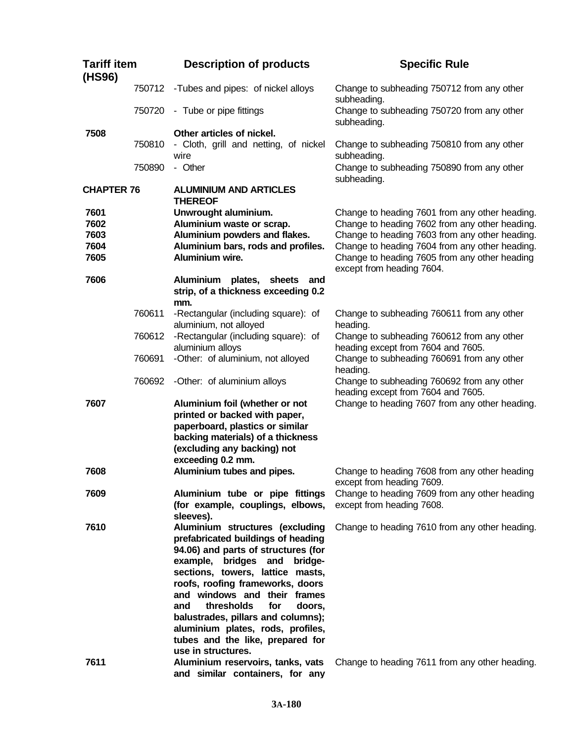| <b>Tariff item</b><br>(HS96) |        | <b>Description of products</b>                                       | <b>Specific Rule</b>                                                                                                         |
|------------------------------|--------|----------------------------------------------------------------------|------------------------------------------------------------------------------------------------------------------------------|
|                              | 750712 | -Tubes and pipes: of nickel alloys                                   | Change to subheading 750712 from any other<br>subheading.                                                                    |
|                              | 750720 | - Tube or pipe fittings                                              | Change to subheading 750720 from any other<br>subheading.                                                                    |
| 7508                         |        | Other articles of nickel.                                            |                                                                                                                              |
|                              | 750810 | - Cloth, grill and netting, of nickel<br>wire                        | Change to subheading 750810 from any other<br>subheading.                                                                    |
|                              | 750890 | - Other                                                              | Change to subheading 750890 from any other<br>subheading.                                                                    |
| <b>CHAPTER 76</b>            |        | <b>ALUMINIUM AND ARTICLES</b>                                        |                                                                                                                              |
|                              |        | <b>THEREOF</b>                                                       |                                                                                                                              |
| 7601                         |        | Unwrought aluminium.                                                 | Change to heading 7601 from any other heading.                                                                               |
| 7602                         |        | Aluminium waste or scrap.                                            | Change to heading 7602 from any other heading.                                                                               |
| 7603                         |        | Aluminium powders and flakes.                                        | Change to heading 7603 from any other heading.                                                                               |
| 7604<br>7605                 |        | Aluminium bars, rods and profiles.<br>Aluminium wire.                | Change to heading 7604 from any other heading.<br>Change to heading 7605 from any other heading<br>except from heading 7604. |
| 7606                         |        | Aluminium plates, sheets<br>and                                      |                                                                                                                              |
|                              |        | strip, of a thickness exceeding 0.2<br>mm.                           |                                                                                                                              |
|                              | 760611 | -Rectangular (including square): of                                  | Change to subheading 760611 from any other                                                                                   |
|                              |        | aluminium, not alloyed                                               | heading.                                                                                                                     |
|                              | 760612 | -Rectangular (including square): of                                  | Change to subheading 760612 from any other                                                                                   |
|                              |        | aluminium alloys                                                     | heading except from 7604 and 7605.                                                                                           |
|                              | 760691 | -Other: of aluminium, not alloyed                                    | Change to subheading 760691 from any other<br>heading.                                                                       |
|                              | 760692 | -Other: of aluminium alloys                                          | Change to subheading 760692 from any other<br>heading except from 7604 and 7605.                                             |
| 7607                         |        | Aluminium foil (whether or not<br>printed or backed with paper,      | Change to heading 7607 from any other heading.                                                                               |
|                              |        | paperboard, plastics or similar                                      |                                                                                                                              |
|                              |        | backing materials) of a thickness                                    |                                                                                                                              |
|                              |        | (excluding any backing) not                                          |                                                                                                                              |
|                              |        | exceeding 0.2 mm.                                                    |                                                                                                                              |
| 7608                         |        | Aluminium tubes and pipes.                                           | Change to heading 7608 from any other heading<br>except from heading 7609.                                                   |
| 7609                         |        | Aluminium tube or pipe fittings                                      | Change to heading 7609 from any other heading                                                                                |
|                              |        | (for example, couplings, elbows,<br>sleeves).                        | except from heading 7608.                                                                                                    |
| 7610                         |        | Aluminium structures (excluding                                      | Change to heading 7610 from any other heading.                                                                               |
|                              |        | prefabricated buildings of heading                                   |                                                                                                                              |
|                              |        | 94.06) and parts of structures (for                                  |                                                                                                                              |
|                              |        | example, bridges and bridge-                                         |                                                                                                                              |
|                              |        | sections, towers, lattice masts,                                     |                                                                                                                              |
|                              |        | roofs, roofing frameworks, doors                                     |                                                                                                                              |
|                              |        | and windows and their frames                                         |                                                                                                                              |
|                              |        | thresholds<br>for<br>and<br>doors,                                   |                                                                                                                              |
|                              |        | balustrades, pillars and columns);                                   |                                                                                                                              |
|                              |        | aluminium plates, rods, profiles,                                    |                                                                                                                              |
|                              |        | tubes and the like, prepared for                                     |                                                                                                                              |
|                              |        | use in structures.                                                   |                                                                                                                              |
| 7611                         |        | Aluminium reservoirs, tanks, vats<br>and similar containers, for any | Change to heading 7611 from any other heading.                                                                               |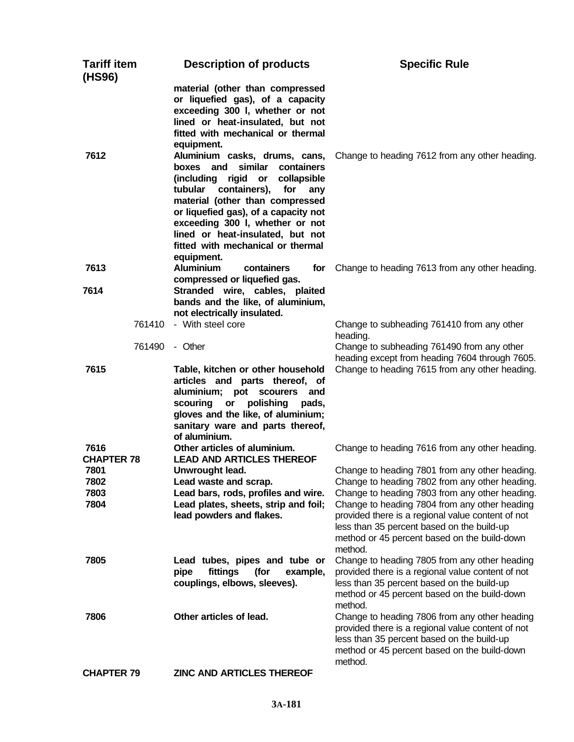| Tariff item<br>(HS96)     | <b>Description of products</b>                                                                                                                                                                                                                                                                                                                       | <b>Specific Rule</b>                                                                                                                                                                                                   |
|---------------------------|------------------------------------------------------------------------------------------------------------------------------------------------------------------------------------------------------------------------------------------------------------------------------------------------------------------------------------------------------|------------------------------------------------------------------------------------------------------------------------------------------------------------------------------------------------------------------------|
|                           | material (other than compressed<br>or liquefied gas), of a capacity<br>exceeding 300 l, whether or not<br>lined or heat-insulated, but not<br>fitted with mechanical or thermal<br>equipment.                                                                                                                                                        |                                                                                                                                                                                                                        |
| 7612                      | Aluminium casks, drums, cans,<br>boxes and<br>similar<br>containers<br>(including rigid or<br>collapsible<br>containers), for<br>tubular<br>any<br>material (other than compressed<br>or liquefied gas), of a capacity not<br>exceeding 300 l, whether or not<br>lined or heat-insulated, but not<br>fitted with mechanical or thermal<br>equipment. | Change to heading 7612 from any other heading.                                                                                                                                                                         |
| 7613                      | <b>Aluminium</b><br>containers<br>for<br>compressed or liquefied gas.                                                                                                                                                                                                                                                                                | Change to heading 7613 from any other heading.                                                                                                                                                                         |
| 7614                      | Stranded wire, cables, plaited<br>bands and the like, of aluminium,<br>not electrically insulated.                                                                                                                                                                                                                                                   |                                                                                                                                                                                                                        |
|                           | 761410 - With steel core                                                                                                                                                                                                                                                                                                                             | Change to subheading 761410 from any other<br>heading.                                                                                                                                                                 |
| 761490                    | - Other                                                                                                                                                                                                                                                                                                                                              | Change to subheading 761490 from any other<br>heading except from heading 7604 through 7605.                                                                                                                           |
| 7615                      | Table, kitchen or other household<br>articles and parts thereof, of<br>aluminium; pot scourers and<br>scouring<br>polishing<br>or<br>pads,<br>gloves and the like, of aluminium;<br>sanitary ware and parts thereof,<br>of aluminium.                                                                                                                | Change to heading 7615 from any other heading.                                                                                                                                                                         |
| 7616<br><b>CHAPTER 78</b> | Other articles of aluminium.<br><b>LEAD AND ARTICLES THEREOF</b>                                                                                                                                                                                                                                                                                     | Change to heading 7616 from any other heading.                                                                                                                                                                         |
| 7801                      | Unwrought lead.                                                                                                                                                                                                                                                                                                                                      | Change to heading 7801 from any other heading.                                                                                                                                                                         |
| 7802                      | Lead waste and scrap.                                                                                                                                                                                                                                                                                                                                | Change to heading 7802 from any other heading.                                                                                                                                                                         |
| 7803                      | Lead bars, rods, profiles and wire.                                                                                                                                                                                                                                                                                                                  | Change to heading 7803 from any other heading.                                                                                                                                                                         |
| 7804                      | Lead plates, sheets, strip and foil;<br>lead powders and flakes.                                                                                                                                                                                                                                                                                     | Change to heading 7804 from any other heading<br>provided there is a regional value content of not<br>less than 35 percent based on the build-up<br>method or 45 percent based on the build-down<br>method.            |
| 7805                      | Lead tubes, pipes and tube or<br>fittings<br>(for<br>pipe<br>example,<br>couplings, elbows, sleeves).                                                                                                                                                                                                                                                | Change to heading 7805 from any other heading<br>provided there is a regional value content of not<br>less than 35 percent based on the build-up<br>method or 45 percent based on the build-down                       |
| 7806                      | Other articles of lead.                                                                                                                                                                                                                                                                                                                              | method.<br>Change to heading 7806 from any other heading<br>provided there is a regional value content of not<br>less than 35 percent based on the build-up<br>method or 45 percent based on the build-down<br>method. |
| <b>CHAPTER 79</b>         | <b>ZINC AND ARTICLES THEREOF</b>                                                                                                                                                                                                                                                                                                                     |                                                                                                                                                                                                                        |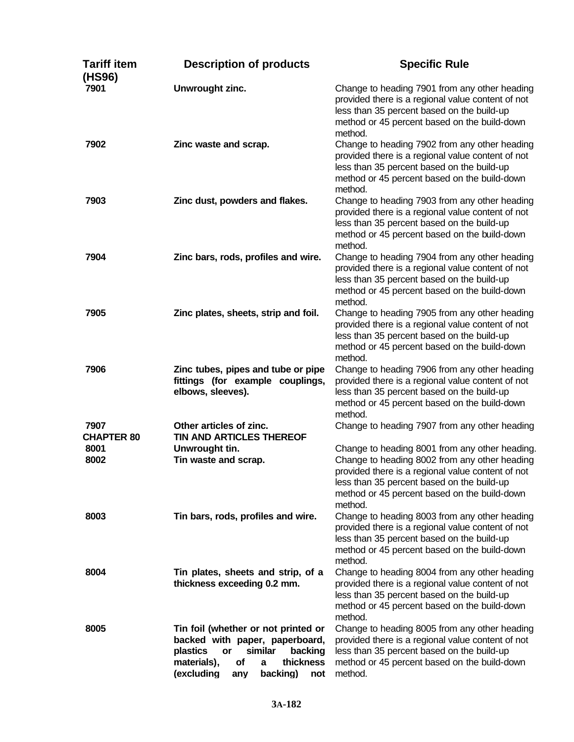| Tariff item<br>(HS96)     | <b>Description of products</b>                                                                                                                                                               | <b>Specific Rule</b>                                                                                                                                                                                                                                          |
|---------------------------|----------------------------------------------------------------------------------------------------------------------------------------------------------------------------------------------|---------------------------------------------------------------------------------------------------------------------------------------------------------------------------------------------------------------------------------------------------------------|
| 7901                      | Unwrought zinc.                                                                                                                                                                              | Change to heading 7901 from any other heading<br>provided there is a regional value content of not<br>less than 35 percent based on the build-up<br>method or 45 percent based on the build-down<br>method.                                                   |
| 7902                      | Zinc waste and scrap.                                                                                                                                                                        | Change to heading 7902 from any other heading<br>provided there is a regional value content of not<br>less than 35 percent based on the build-up<br>method or 45 percent based on the build-down<br>method.                                                   |
| 7903                      | Zinc dust, powders and flakes.                                                                                                                                                               | Change to heading 7903 from any other heading<br>provided there is a regional value content of not<br>less than 35 percent based on the build-up<br>method or 45 percent based on the build-down<br>method.                                                   |
| 7904                      | Zinc bars, rods, profiles and wire.                                                                                                                                                          | Change to heading 7904 from any other heading<br>provided there is a regional value content of not<br>less than 35 percent based on the build-up<br>method or 45 percent based on the build-down<br>method.                                                   |
| 7905                      | Zinc plates, sheets, strip and foil.                                                                                                                                                         | Change to heading 7905 from any other heading<br>provided there is a regional value content of not<br>less than 35 percent based on the build-up<br>method or 45 percent based on the build-down<br>method.                                                   |
| 7906                      | Zinc tubes, pipes and tube or pipe<br>fittings (for example couplings,<br>elbows, sleeves).                                                                                                  | Change to heading 7906 from any other heading<br>provided there is a regional value content of not<br>less than 35 percent based on the build-up<br>method or 45 percent based on the build-down<br>method.                                                   |
| 7907<br><b>CHAPTER 80</b> | Other articles of zinc.<br>TIN AND ARTICLES THEREOF                                                                                                                                          | Change to heading 7907 from any other heading                                                                                                                                                                                                                 |
| 8001<br>8002              | Unwrought tin.<br>Tin waste and scrap.                                                                                                                                                       | Change to heading 8001 from any other heading.<br>Change to heading 8002 from any other heading<br>provided there is a regional value content of not<br>less than 35 percent based on the build-up<br>method or 45 percent based on the build-down<br>method. |
| 8003                      | Tin bars, rods, profiles and wire.                                                                                                                                                           | Change to heading 8003 from any other heading<br>provided there is a regional value content of not<br>less than 35 percent based on the build-up<br>method or 45 percent based on the build-down<br>method.                                                   |
| 8004                      | Tin plates, sheets and strip, of a<br>thickness exceeding 0.2 mm.                                                                                                                            | Change to heading 8004 from any other heading<br>provided there is a regional value content of not<br>less than 35 percent based on the build-up<br>method or 45 percent based on the build-down<br>method.                                                   |
| 8005                      | Tin foil (whether or not printed or<br>backed with paper, paperboard,<br>plastics<br>similar<br>backing<br>or<br>materials),<br>of<br>thickness<br>a<br>(excluding<br>backing)<br>any<br>not | Change to heading 8005 from any other heading<br>provided there is a regional value content of not<br>less than 35 percent based on the build-up<br>method or 45 percent based on the build-down<br>method.                                                   |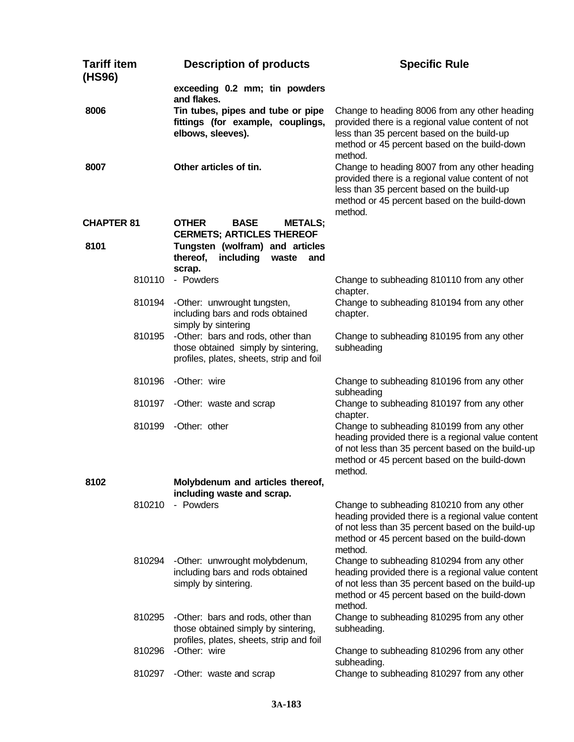| <b>Tariff item</b><br>(HS96) | <b>Description of products</b>                                                                                       | <b>Specific Rule</b>                                                                                                                                                                                             |
|------------------------------|----------------------------------------------------------------------------------------------------------------------|------------------------------------------------------------------------------------------------------------------------------------------------------------------------------------------------------------------|
|                              | exceeding 0.2 mm; tin powders<br>and flakes.                                                                         |                                                                                                                                                                                                                  |
| 8006                         | Tin tubes, pipes and tube or pipe<br>fittings (for example, couplings,<br>elbows, sleeves).                          | Change to heading 8006 from any other heading<br>provided there is a regional value content of not<br>less than 35 percent based on the build-up<br>method or 45 percent based on the build-down<br>method.      |
| 8007                         | Other articles of tin.                                                                                               | Change to heading 8007 from any other heading<br>provided there is a regional value content of not<br>less than 35 percent based on the build-up<br>method or 45 percent based on the build-down<br>method.      |
| <b>CHAPTER 81</b><br>8101    | <b>OTHER</b><br><b>BASE</b><br><b>METALS;</b><br><b>CERMETS; ARTICLES THEREOF</b><br>Tungsten (wolfram) and articles |                                                                                                                                                                                                                  |
|                              | thereof,<br>including<br>waste<br>and<br>scrap.                                                                      |                                                                                                                                                                                                                  |
| 810110                       | - Powders                                                                                                            | Change to subheading 810110 from any other<br>chapter.                                                                                                                                                           |
| 810194                       | -Other: unwrought tungsten,<br>including bars and rods obtained<br>simply by sintering                               | Change to subheading 810194 from any other<br>chapter.                                                                                                                                                           |
| 810195                       | -Other: bars and rods, other than<br>those obtained simply by sintering,<br>profiles, plates, sheets, strip and foil | Change to subheading 810195 from any other<br>subheading                                                                                                                                                         |
| 810196                       | -Other: wire                                                                                                         | Change to subheading 810196 from any other<br>subheading                                                                                                                                                         |
|                              | 810197 - Other: waste and scrap                                                                                      | Change to subheading 810197 from any other<br>chapter.                                                                                                                                                           |
| 810199                       | -Other: other                                                                                                        | Change to subheading 810199 from any other<br>heading provided there is a regional value content<br>of not less than 35 percent based on the build-up<br>method or 45 percent based on the build-down<br>method. |
| 8102                         | Molybdenum and articles thereof,<br>including waste and scrap.                                                       |                                                                                                                                                                                                                  |
| 810210                       | - Powders                                                                                                            | Change to subheading 810210 from any other<br>heading provided there is a regional value content<br>of not less than 35 percent based on the build-up<br>method or 45 percent based on the build-down<br>method. |
| 810294                       | -Other: unwrought molybdenum,<br>including bars and rods obtained<br>simply by sintering.                            | Change to subheading 810294 from any other<br>heading provided there is a regional value content<br>of not less than 35 percent based on the build-up<br>method or 45 percent based on the build-down<br>method. |
| 810295                       | -Other: bars and rods, other than<br>those obtained simply by sintering,<br>profiles, plates, sheets, strip and foil | Change to subheading 810295 from any other<br>subheading.                                                                                                                                                        |
| 810296                       | -Other: wire                                                                                                         | Change to subheading 810296 from any other<br>subheading.                                                                                                                                                        |
| 810297                       | -Other: waste and scrap                                                                                              | Change to subheading 810297 from any other                                                                                                                                                                       |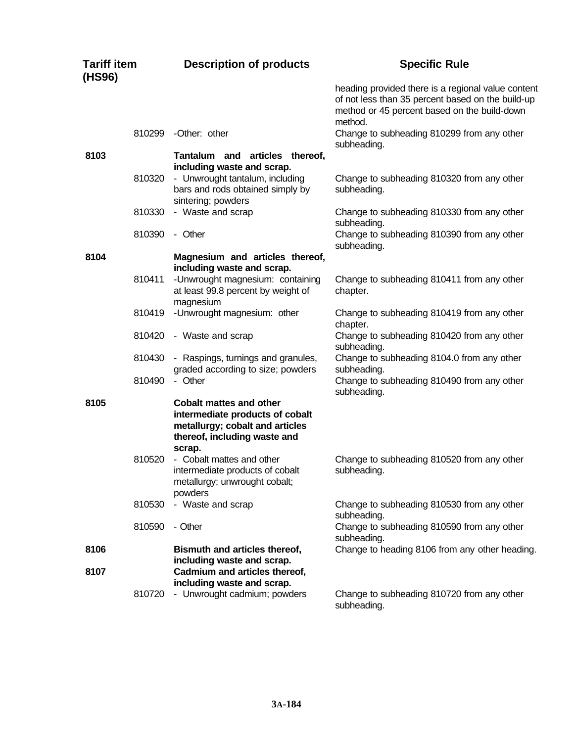| <b>Tariff item</b><br>(HS96) | <b>Description of products</b>                                                                                                                 | <b>Specific Rule</b>                                                                                                                                               |
|------------------------------|------------------------------------------------------------------------------------------------------------------------------------------------|--------------------------------------------------------------------------------------------------------------------------------------------------------------------|
|                              |                                                                                                                                                | heading provided there is a regional value content<br>of not less than 35 percent based on the build-up<br>method or 45 percent based on the build-down<br>method. |
| 810299                       | -Other: other                                                                                                                                  | Change to subheading 810299 from any other<br>subheading.                                                                                                          |
| 8103                         | Tantalum and articles thereof,<br>including waste and scrap.                                                                                   |                                                                                                                                                                    |
| 810320                       | - Unwrought tantalum, including<br>bars and rods obtained simply by<br>sintering; powders                                                      | Change to subheading 810320 from any other<br>subheading.                                                                                                          |
| 810330                       | - Waste and scrap                                                                                                                              | Change to subheading 810330 from any other<br>subheading.                                                                                                          |
| 810390                       | - Other                                                                                                                                        | Change to subheading 810390 from any other<br>subheading.                                                                                                          |
| 8104                         | Magnesium and articles thereof,<br>including waste and scrap.                                                                                  |                                                                                                                                                                    |
| 810411                       | -Unwrought magnesium: containing<br>at least 99.8 percent by weight of<br>magnesium                                                            | Change to subheading 810411 from any other<br>chapter.                                                                                                             |
| 810419                       | -Unwrought magnesium: other                                                                                                                    | Change to subheading 810419 from any other<br>chapter.                                                                                                             |
| 810420                       | - Waste and scrap                                                                                                                              | Change to subheading 810420 from any other<br>subheading.                                                                                                          |
| 810430                       | - Raspings, turnings and granules,<br>graded according to size; powders                                                                        | Change to subheading 8104.0 from any other<br>subheading.                                                                                                          |
| 810490                       | - Other                                                                                                                                        | Change to subheading 810490 from any other<br>subheading.                                                                                                          |
| 8105                         | <b>Cobalt mattes and other</b><br>intermediate products of cobalt<br>metallurgy; cobalt and articles<br>thereof, including waste and<br>scrap. |                                                                                                                                                                    |
| 810520                       | - Cobalt mattes and other<br>intermediate products of cobalt<br>metallurgy; unwrought cobalt;<br>powders                                       | Change to subheading 810520 from any other<br>subheading.                                                                                                          |
| 810530                       | - Waste and scrap                                                                                                                              | Change to subheading 810530 from any other<br>subheading.                                                                                                          |
| 810590                       | - Other                                                                                                                                        | Change to subheading 810590 from any other<br>subheading.                                                                                                          |
| 8106                         | Bismuth and articles thereof,<br>including waste and scrap.                                                                                    | Change to heading 8106 from any other heading.                                                                                                                     |
| 8107                         | Cadmium and articles thereof,<br>including waste and scrap.                                                                                    |                                                                                                                                                                    |
| 810720                       | - Unwrought cadmium; powders                                                                                                                   | Change to subheading 810720 from any other<br>subheading.                                                                                                          |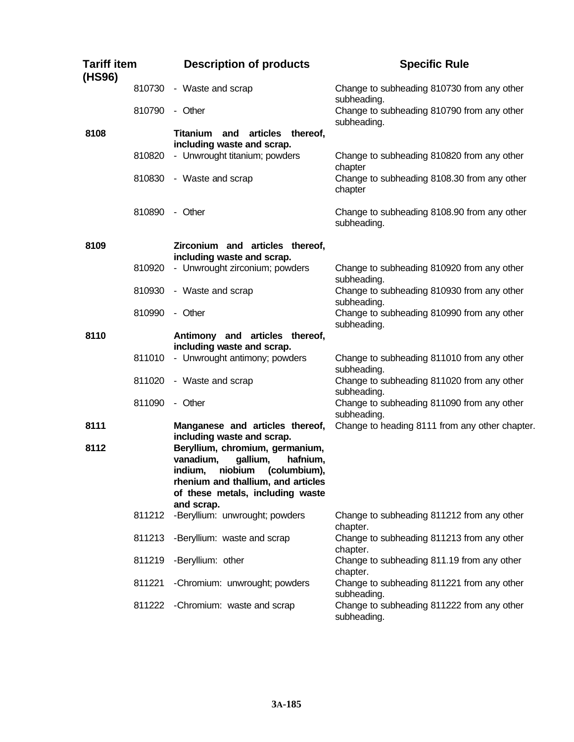| Tariff item<br>(HS96) |        | <b>Description of products</b>                                                                                                                                                                     | <b>Specific Rule</b>                                       |
|-----------------------|--------|----------------------------------------------------------------------------------------------------------------------------------------------------------------------------------------------------|------------------------------------------------------------|
|                       | 810730 | - Waste and scrap                                                                                                                                                                                  | Change to subheading 810730 from any other<br>subheading.  |
|                       | 810790 | - Other                                                                                                                                                                                            | Change to subheading 810790 from any other<br>subheading.  |
| 8108                  |        | and articles thereof,<br><b>Titanium</b><br>including waste and scrap.                                                                                                                             |                                                            |
|                       | 810820 | - Unwrought titanium; powders                                                                                                                                                                      | Change to subheading 810820 from any other<br>chapter      |
|                       | 810830 | - Waste and scrap                                                                                                                                                                                  | Change to subheading 8108.30 from any other<br>chapter     |
|                       | 810890 | - Other                                                                                                                                                                                            | Change to subheading 8108.90 from any other<br>subheading. |
| 8109                  |        | Zirconium and articles thereof,<br>including waste and scrap.                                                                                                                                      |                                                            |
|                       | 810920 | - Unwrought zirconium; powders                                                                                                                                                                     | Change to subheading 810920 from any other<br>subheading.  |
|                       | 810930 | - Waste and scrap                                                                                                                                                                                  | Change to subheading 810930 from any other<br>subheading.  |
|                       | 810990 | - Other                                                                                                                                                                                            | Change to subheading 810990 from any other<br>subheading.  |
| 8110                  |        | Antimony and articles thereof,<br>including waste and scrap.                                                                                                                                       |                                                            |
|                       | 811010 | - Unwrought antimony; powders                                                                                                                                                                      | Change to subheading 811010 from any other<br>subheading.  |
|                       | 811020 | - Waste and scrap                                                                                                                                                                                  | Change to subheading 811020 from any other<br>subheading.  |
|                       | 811090 | - Other                                                                                                                                                                                            | Change to subheading 811090 from any other<br>subheading.  |
| 8111                  |        | Manganese and articles thereof,<br>including waste and scrap.                                                                                                                                      | Change to heading 8111 from any other chapter.             |
| 8112                  |        | Beryllium, chromium, germanium,<br>vanadium,<br>gallium,<br>hafnium,<br>niobium<br>indium,<br>(columbium),<br>rhenium and thallium, and articles<br>of these metals, including waste<br>and scrap. |                                                            |
|                       | 811212 | -Beryllium: unwrought; powders                                                                                                                                                                     | Change to subheading 811212 from any other<br>chapter.     |
|                       | 811213 | -Beryllium: waste and scrap                                                                                                                                                                        | Change to subheading 811213 from any other<br>chapter.     |
|                       | 811219 | -Beryllium: other                                                                                                                                                                                  | Change to subheading 811.19 from any other<br>chapter.     |
|                       | 811221 | -Chromium: unwrought; powders                                                                                                                                                                      | Change to subheading 811221 from any other<br>subheading.  |
|                       | 811222 | -Chromium: waste and scrap                                                                                                                                                                         | Change to subheading 811222 from any other<br>subheading.  |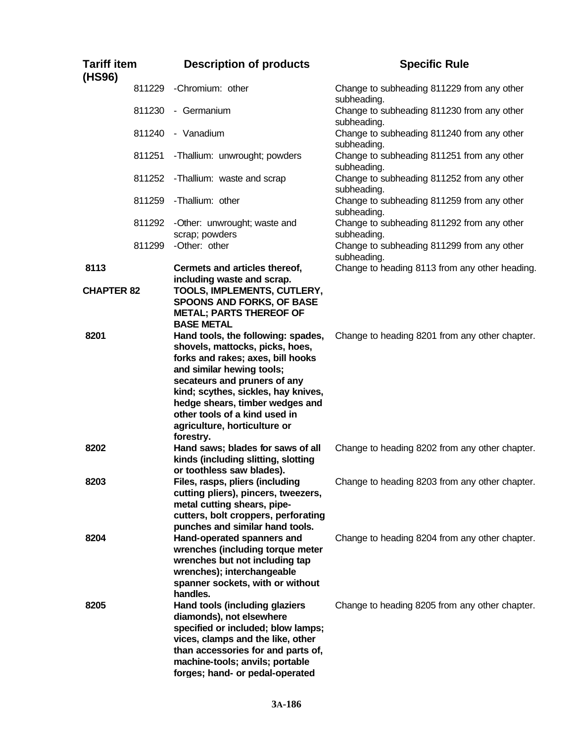| <b>Tariff item</b><br>(HS96) | <b>Description of products</b>                                                                                                                                                                                                                                                                                                  | <b>Specific Rule</b>                                      |
|------------------------------|---------------------------------------------------------------------------------------------------------------------------------------------------------------------------------------------------------------------------------------------------------------------------------------------------------------------------------|-----------------------------------------------------------|
| 811229                       | -Chromium: other                                                                                                                                                                                                                                                                                                                | Change to subheading 811229 from any other<br>subheading. |
| 811230                       | - Germanium                                                                                                                                                                                                                                                                                                                     | Change to subheading 811230 from any other<br>subheading. |
| 811240                       | - Vanadium                                                                                                                                                                                                                                                                                                                      | Change to subheading 811240 from any other<br>subheading. |
| 811251                       | -Thallium: unwrought; powders                                                                                                                                                                                                                                                                                                   | Change to subheading 811251 from any other<br>subheading. |
| 811252                       | -Thallium: waste and scrap                                                                                                                                                                                                                                                                                                      | Change to subheading 811252 from any other<br>subheading. |
| 811259                       | -Thallium: other                                                                                                                                                                                                                                                                                                                | Change to subheading 811259 from any other<br>subheading. |
| 811292                       | -Other: unwrought; waste and<br>scrap; powders                                                                                                                                                                                                                                                                                  | Change to subheading 811292 from any other<br>subheading. |
| 811299                       | -Other: other                                                                                                                                                                                                                                                                                                                   | Change to subheading 811299 from any other<br>subheading. |
| 8113                         | Cermets and articles thereof,<br>including waste and scrap.                                                                                                                                                                                                                                                                     | Change to heading 8113 from any other heading.            |
| <b>CHAPTER 82</b>            | TOOLS, IMPLEMENTS, CUTLERY,<br><b>SPOONS AND FORKS, OF BASE</b><br><b>METAL; PARTS THEREOF OF</b><br><b>BASE METAL</b>                                                                                                                                                                                                          |                                                           |
| 8201                         | Hand tools, the following: spades,<br>shovels, mattocks, picks, hoes,<br>forks and rakes; axes, bill hooks<br>and similar hewing tools;<br>secateurs and pruners of any<br>kind; scythes, sickles, hay knives,<br>hedge shears, timber wedges and<br>other tools of a kind used in<br>agriculture, horticulture or<br>forestry. | Change to heading 8201 from any other chapter.            |
| 8202                         | Hand saws; blades for saws of all<br>kinds (including slitting, slotting<br>or toothless saw blades).                                                                                                                                                                                                                           | Change to heading 8202 from any other chapter.            |
| 8203                         | Files, rasps, pliers (including<br>cutting pliers), pincers, tweezers,<br>metal cutting shears, pipe-<br>cutters, bolt croppers, perforating<br>punches and similar hand tools.                                                                                                                                                 | Change to heading 8203 from any other chapter.            |
| 8204                         | Hand-operated spanners and<br>wrenches (including torque meter<br>wrenches but not including tap<br>wrenches); interchangeable<br>spanner sockets, with or without<br>handles.                                                                                                                                                  | Change to heading 8204 from any other chapter.            |
| 8205                         | Hand tools (including glaziers<br>diamonds), not elsewhere<br>specified or included; blow lamps;<br>vices, clamps and the like, other<br>than accessories for and parts of,<br>machine-tools; anvils; portable<br>forges; hand- or pedal-operated                                                                               | Change to heading 8205 from any other chapter.            |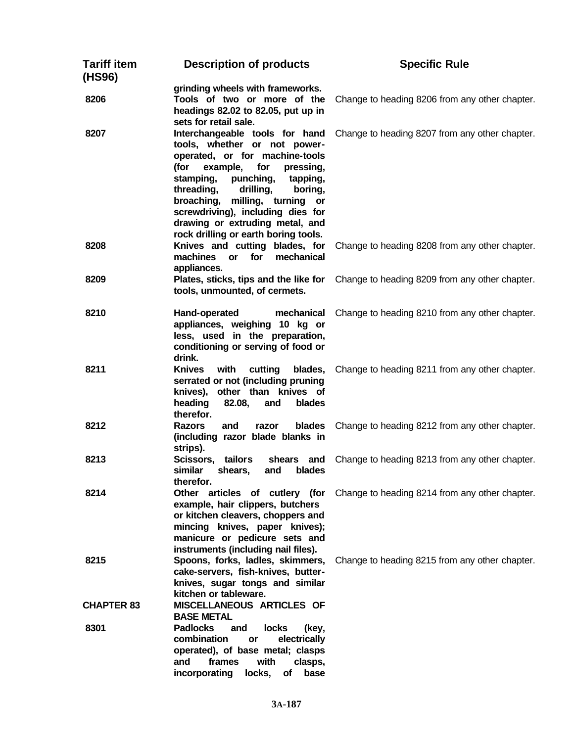| <b>Tariff item</b><br>(HS96) | <b>Description of products</b>                                                                                                                                                                                                                                                                                                                                            | <b>Specific Rule</b>                                                          |
|------------------------------|---------------------------------------------------------------------------------------------------------------------------------------------------------------------------------------------------------------------------------------------------------------------------------------------------------------------------------------------------------------------------|-------------------------------------------------------------------------------|
| 8206                         | grinding wheels with frameworks.<br>Tools of two or more of the<br>headings 82.02 to 82.05, put up in<br>sets for retail sale.                                                                                                                                                                                                                                            | Change to heading 8206 from any other chapter.                                |
| 8207                         | Interchangeable tools for hand<br>tools, whether or not power-<br>operated, or for machine-tools<br>example, for<br>(for<br>pressing,<br>stamping,<br>punching,<br>tapping,<br>threading,<br>drilling,<br>boring,<br>milling, turning<br>broaching,<br>or<br>screwdriving), including dies for<br>drawing or extruding metal, and<br>rock drilling or earth boring tools. | Change to heading 8207 from any other chapter.                                |
| 8208                         | Knives and cutting blades, for<br>machines<br>or<br>for<br>mechanical<br>appliances.                                                                                                                                                                                                                                                                                      | Change to heading 8208 from any other chapter.                                |
| 8209                         | Plates, sticks, tips and the like for<br>tools, unmounted, of cermets.                                                                                                                                                                                                                                                                                                    | Change to heading 8209 from any other chapter.                                |
| 8210                         | Hand-operated<br>mechanical<br>appliances, weighing 10 kg or<br>less, used in the preparation,<br>conditioning or serving of food or<br>drink.                                                                                                                                                                                                                            | Change to heading 8210 from any other chapter.                                |
| 8211                         | <b>Knives</b><br>with<br>cutting<br>blades,<br>serrated or not (including pruning<br>knives), other than knives of<br>heading<br>82.08,<br>and<br>blades<br>therefor.                                                                                                                                                                                                     | Change to heading 8211 from any other chapter.                                |
| 8212                         | <b>Razors</b><br>blades<br>and<br>razor<br>(including razor blade blanks in<br>strips).                                                                                                                                                                                                                                                                                   | Change to heading 8212 from any other chapter.                                |
| 8213                         | Scissors,<br>tailors<br>shears<br>and<br>similar<br>shears,<br><b>blades</b><br>and<br>therefor.                                                                                                                                                                                                                                                                          | Change to heading 8213 from any other chapter.                                |
| 8214                         | example, hair clippers, butchers<br>or kitchen cleavers, choppers and<br>mincing knives, paper knives);<br>manicure or pedicure sets and<br>instruments (including nail files).                                                                                                                                                                                           | Other articles of cutlery (for Change to heading 8214 from any other chapter. |
| 8215                         | Spoons, forks, ladles, skimmers,<br>cake-servers, fish-knives, butter-<br>knives, sugar tongs and similar<br>kitchen or tableware.                                                                                                                                                                                                                                        | Change to heading 8215 from any other chapter.                                |
| <b>CHAPTER 83</b>            | MISCELLANEOUS ARTICLES OF<br><b>BASE METAL</b>                                                                                                                                                                                                                                                                                                                            |                                                                               |
| 8301                         | <b>Padlocks</b><br><b>locks</b><br>and<br>(key,<br>combination<br>electrically<br>or<br>operated), of base metal; clasps<br>frames<br>with<br>and<br>clasps,<br>incorporating<br>locks,<br>of<br>base                                                                                                                                                                     |                                                                               |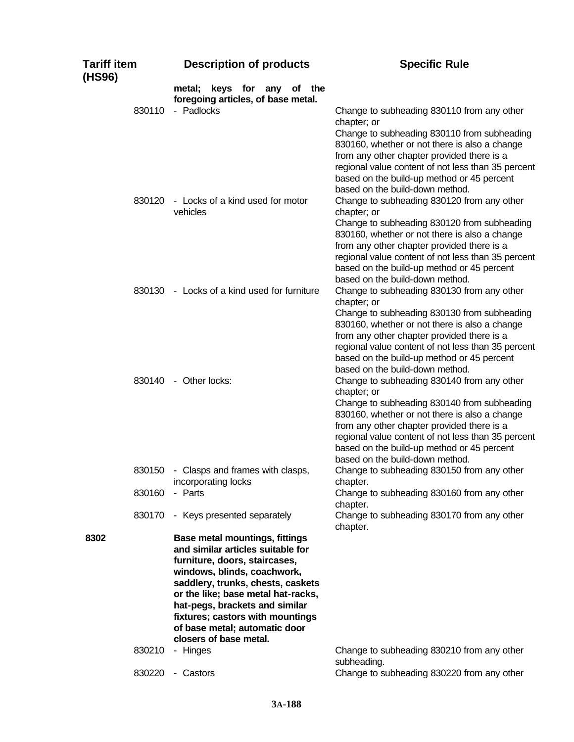| <b>Tariff item</b><br>(HS96) | <b>Description of products</b>                                                                                                                                                                                                                                                                                                                         | <b>Specific Rule</b>                                                                                                                                                                                                                                                                                                                           |
|------------------------------|--------------------------------------------------------------------------------------------------------------------------------------------------------------------------------------------------------------------------------------------------------------------------------------------------------------------------------------------------------|------------------------------------------------------------------------------------------------------------------------------------------------------------------------------------------------------------------------------------------------------------------------------------------------------------------------------------------------|
|                              | keys for any of the<br>metal:<br>foregoing articles, of base metal.                                                                                                                                                                                                                                                                                    |                                                                                                                                                                                                                                                                                                                                                |
| 830110                       | - Padlocks                                                                                                                                                                                                                                                                                                                                             | Change to subheading 830110 from any other<br>chapter; or                                                                                                                                                                                                                                                                                      |
|                              |                                                                                                                                                                                                                                                                                                                                                        | Change to subheading 830110 from subheading<br>830160, whether or not there is also a change<br>from any other chapter provided there is a<br>regional value content of not less than 35 percent<br>based on the build-up method or 45 percent                                                                                                 |
| 830120                       | - Locks of a kind used for motor<br>vehicles                                                                                                                                                                                                                                                                                                           | based on the build-down method.<br>Change to subheading 830120 from any other<br>chapter; or                                                                                                                                                                                                                                                   |
|                              |                                                                                                                                                                                                                                                                                                                                                        | Change to subheading 830120 from subheading<br>830160, whether or not there is also a change<br>from any other chapter provided there is a<br>regional value content of not less than 35 percent<br>based on the build-up method or 45 percent                                                                                                 |
|                              | 830130 - Locks of a kind used for furniture                                                                                                                                                                                                                                                                                                            | based on the build-down method.<br>Change to subheading 830130 from any other<br>chapter; or                                                                                                                                                                                                                                                   |
|                              |                                                                                                                                                                                                                                                                                                                                                        | Change to subheading 830130 from subheading<br>830160, whether or not there is also a change<br>from any other chapter provided there is a<br>regional value content of not less than 35 percent<br>based on the build-up method or 45 percent<br>based on the build-down method.                                                              |
| 830140                       | - Other locks:                                                                                                                                                                                                                                                                                                                                         | Change to subheading 830140 from any other<br>chapter; or<br>Change to subheading 830140 from subheading<br>830160, whether or not there is also a change<br>from any other chapter provided there is a<br>regional value content of not less than 35 percent<br>based on the build-up method or 45 percent<br>based on the build-down method. |
| 830150                       | - Clasps and frames with clasps,<br>incorporating locks                                                                                                                                                                                                                                                                                                | Change to subheading 830150 from any other<br>chapter.                                                                                                                                                                                                                                                                                         |
| 830160                       | - Parts                                                                                                                                                                                                                                                                                                                                                | Change to subheading 830160 from any other<br>chapter.                                                                                                                                                                                                                                                                                         |
| 830170                       | - Keys presented separately                                                                                                                                                                                                                                                                                                                            | Change to subheading 830170 from any other<br>chapter.                                                                                                                                                                                                                                                                                         |
| 8302                         | <b>Base metal mountings, fittings</b><br>and similar articles suitable for<br>furniture, doors, staircases,<br>windows, blinds, coachwork,<br>saddlery, trunks, chests, caskets<br>or the like; base metal hat-racks,<br>hat-pegs, brackets and similar<br>fixtures; castors with mountings<br>of base metal; automatic door<br>closers of base metal. |                                                                                                                                                                                                                                                                                                                                                |
| 830210                       | - Hinges                                                                                                                                                                                                                                                                                                                                               | Change to subheading 830210 from any other<br>subheading.                                                                                                                                                                                                                                                                                      |
| 830220                       | - Castors                                                                                                                                                                                                                                                                                                                                              | Change to subheading 830220 from any other                                                                                                                                                                                                                                                                                                     |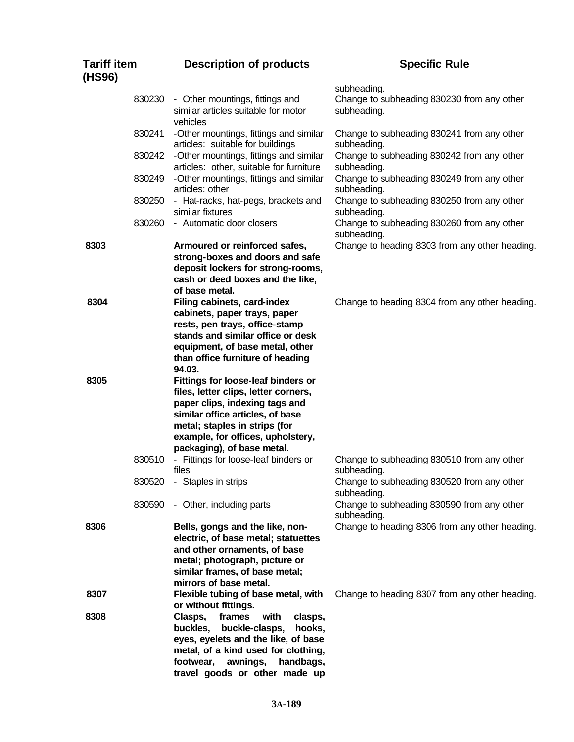| <b>Tariff item</b><br>(HS96) | <b>Description of products</b>                                                                                                                                                                                                                       | <b>Specific Rule</b>                                                     |
|------------------------------|------------------------------------------------------------------------------------------------------------------------------------------------------------------------------------------------------------------------------------------------------|--------------------------------------------------------------------------|
| 830230                       | - Other mountings, fittings and<br>similar articles suitable for motor<br>vehicles                                                                                                                                                                   | subheading.<br>Change to subheading 830230 from any other<br>subheading. |
| 830241                       | -Other mountings, fittings and similar<br>articles: suitable for buildings                                                                                                                                                                           | Change to subheading 830241 from any other<br>subheading.                |
| 830242                       | -Other mountings, fittings and similar<br>articles: other, suitable for furniture                                                                                                                                                                    | Change to subheading 830242 from any other<br>subheading.                |
| 830249                       | -Other mountings, fittings and similar<br>articles: other                                                                                                                                                                                            | Change to subheading 830249 from any other<br>subheading.                |
| 830250                       | - Hat-racks, hat-pegs, brackets and<br>similar fixtures                                                                                                                                                                                              | Change to subheading 830250 from any other<br>subheading.                |
| 830260                       | - Automatic door closers                                                                                                                                                                                                                             | Change to subheading 830260 from any other<br>subheading.                |
| 8303                         | Armoured or reinforced safes,<br>strong-boxes and doors and safe<br>deposit lockers for strong-rooms,<br>cash or deed boxes and the like,<br>of base metal.                                                                                          | Change to heading 8303 from any other heading.                           |
| 8304                         | Filing cabinets, card-index<br>cabinets, paper trays, paper<br>rests, pen trays, office-stamp<br>stands and similar office or desk<br>equipment, of base metal, other<br>than office furniture of heading<br>94.03.                                  | Change to heading 8304 from any other heading.                           |
| 8305                         | Fittings for loose-leaf binders or<br>files, letter clips, letter corners,<br>paper clips, indexing tags and<br>similar office articles, of base<br>metal; staples in strips (for<br>example, for offices, upholstery,<br>packaging), of base metal. |                                                                          |
| 830510                       | - Fittings for loose-leaf binders or<br>files                                                                                                                                                                                                        | Change to subheading 830510 from any other<br>subheading.                |
| 830520                       | - Staples in strips                                                                                                                                                                                                                                  | Change to subheading 830520 from any other<br>subheading.                |
| 830590                       | - Other, including parts                                                                                                                                                                                                                             | Change to subheading 830590 from any other<br>subheading.                |
| 8306                         | Bells, gongs and the like, non-<br>electric, of base metal; statuettes<br>and other ornaments, of base<br>metal; photograph, picture or<br>similar frames, of base metal;<br>mirrors of base metal.                                                  | Change to heading 8306 from any other heading.                           |
| 8307                         | Flexible tubing of base metal, with<br>or without fittings.                                                                                                                                                                                          | Change to heading 8307 from any other heading.                           |
| 8308                         | Clasps,<br>frames<br>with<br>clasps,<br>buckles,<br>buckle-clasps,<br>hooks,<br>eyes, eyelets and the like, of base<br>metal, of a kind used for clothing,<br>footwear,<br>awnings,<br>handbags,<br>travel goods or other made up                    |                                                                          |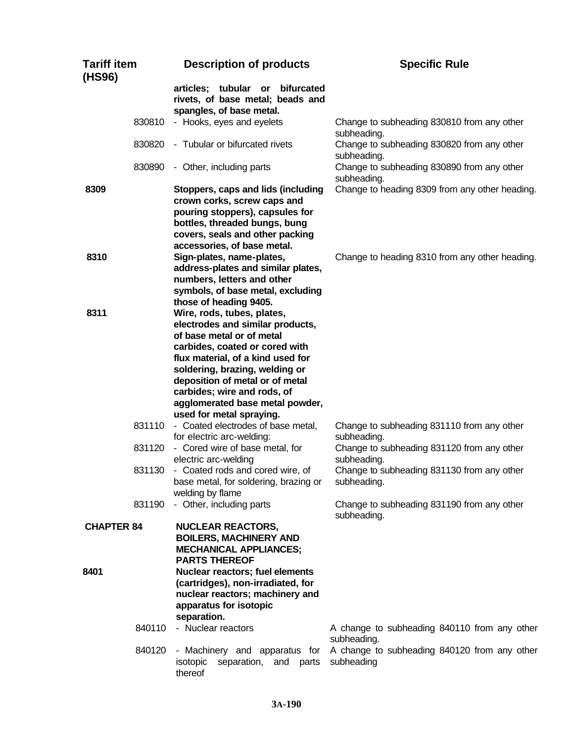| <b>Tariff item</b><br>(HS96) |        | <b>Description of products</b>                                                                                                                                                                                                                                                                                                        | <b>Specific Rule</b>                                        |
|------------------------------|--------|---------------------------------------------------------------------------------------------------------------------------------------------------------------------------------------------------------------------------------------------------------------------------------------------------------------------------------------|-------------------------------------------------------------|
|                              |        | articles; tubular or<br>bifurcated<br>rivets, of base metal; beads and<br>spangles, of base metal.                                                                                                                                                                                                                                    |                                                             |
|                              | 830810 | - Hooks, eyes and eyelets                                                                                                                                                                                                                                                                                                             | Change to subheading 830810 from any other<br>subheading.   |
|                              | 830820 | - Tubular or bifurcated rivets                                                                                                                                                                                                                                                                                                        | Change to subheading 830820 from any other<br>subheading.   |
|                              | 830890 | - Other, including parts                                                                                                                                                                                                                                                                                                              | Change to subheading 830890 from any other<br>subheading.   |
| 8309                         |        | Stoppers, caps and lids (including<br>crown corks, screw caps and<br>pouring stoppers), capsules for<br>bottles, threaded bungs, bung<br>covers, seals and other packing<br>accessories, of base metal.                                                                                                                               | Change to heading 8309 from any other heading.              |
| 8310                         |        | Sign-plates, name-plates,<br>address-plates and similar plates,<br>numbers, letters and other<br>symbols, of base metal, excluding<br>those of heading 9405.                                                                                                                                                                          | Change to heading 8310 from any other heading.              |
| 8311                         |        | Wire, rods, tubes, plates,<br>electrodes and similar products,<br>of base metal or of metal<br>carbides, coated or cored with<br>flux material, of a kind used for<br>soldering, brazing, welding or<br>deposition of metal or of metal<br>carbides; wire and rods, of<br>agglomerated base metal powder,<br>used for metal spraying. |                                                             |
|                              | 831110 | - Coated electrodes of base metal,<br>for electric arc-welding:                                                                                                                                                                                                                                                                       | Change to subheading 831110 from any other<br>subheading.   |
|                              | 831120 | - Cored wire of base metal, for<br>electric arc-welding                                                                                                                                                                                                                                                                               | Change to subheading 831120 from any other<br>subheading.   |
|                              | 831130 | - Coated rods and cored wire, of<br>base metal, for soldering, brazing or<br>welding by flame                                                                                                                                                                                                                                         | Change to subheading 831130 from any other<br>subheading.   |
|                              | 831190 | - Other, including parts                                                                                                                                                                                                                                                                                                              | Change to subheading 831190 from any other<br>subheading.   |
| <b>CHAPTER 84</b>            |        | <b>NUCLEAR REACTORS,</b><br><b>BOILERS, MACHINERY AND</b><br><b>MECHANICAL APPLIANCES;</b><br><b>PARTS THEREOF</b>                                                                                                                                                                                                                    |                                                             |
| 8401                         |        | Nuclear reactors; fuel elements<br>(cartridges), non-irradiated, for<br>nuclear reactors; machinery and<br>apparatus for isotopic<br>separation.                                                                                                                                                                                      |                                                             |
|                              | 840110 | - Nuclear reactors                                                                                                                                                                                                                                                                                                                    | A change to subheading 840110 from any other<br>subheading. |
|                              | 840120 | - Machinery and apparatus for<br>isotopic<br>separation, and parts<br>thereof                                                                                                                                                                                                                                                         | A change to subheading 840120 from any other<br>subheading  |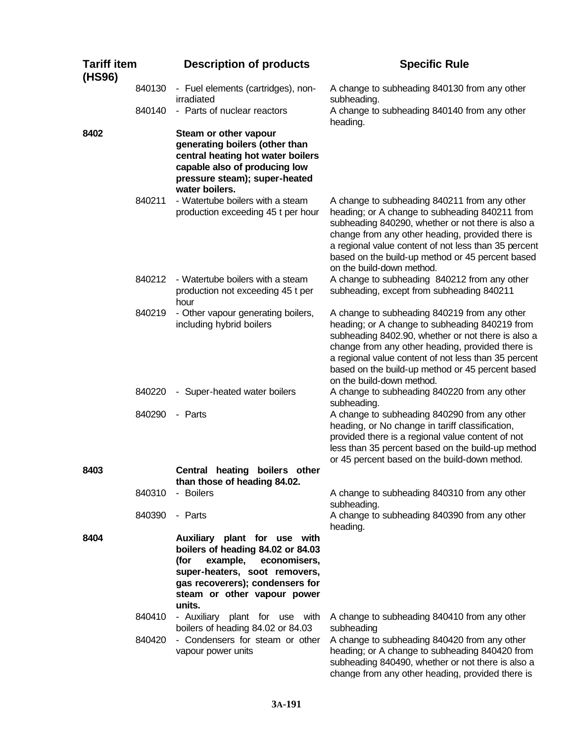| <b>Tariff item</b><br>(HS96) |        | <b>Description of products</b>                                                                                                                                                                                     | <b>Specific Rule</b>                                                                                                                                                                                                                                                                                                                              |
|------------------------------|--------|--------------------------------------------------------------------------------------------------------------------------------------------------------------------------------------------------------------------|---------------------------------------------------------------------------------------------------------------------------------------------------------------------------------------------------------------------------------------------------------------------------------------------------------------------------------------------------|
|                              | 840130 | - Fuel elements (cartridges), non-<br>irradiated                                                                                                                                                                   | A change to subheading 840130 from any other<br>subheading.                                                                                                                                                                                                                                                                                       |
|                              | 840140 | - Parts of nuclear reactors                                                                                                                                                                                        | A change to subheading 840140 from any other<br>heading.                                                                                                                                                                                                                                                                                          |
| 8402                         |        | Steam or other vapour<br>generating boilers (other than<br>central heating hot water boilers<br>capable also of producing low<br>pressure steam); super-heated<br>water boilers.                                   |                                                                                                                                                                                                                                                                                                                                                   |
|                              | 840211 | - Watertube boilers with a steam<br>production exceeding 45 t per hour                                                                                                                                             | A change to subheading 840211 from any other<br>heading; or A change to subheading 840211 from<br>subheading 840290, whether or not there is also a<br>change from any other heading, provided there is<br>a regional value content of not less than 35 percent<br>based on the build-up method or 45 percent based<br>on the build-down method.  |
|                              | 840212 | - Watertube boilers with a steam<br>production not exceeding 45 t per<br>hour                                                                                                                                      | A change to subheading 840212 from any other<br>subheading, except from subheading 840211                                                                                                                                                                                                                                                         |
|                              | 840219 | - Other vapour generating boilers,<br>including hybrid boilers                                                                                                                                                     | A change to subheading 840219 from any other<br>heading; or A change to subheading 840219 from<br>subheading 8402.90, whether or not there is also a<br>change from any other heading, provided there is<br>a regional value content of not less than 35 percent<br>based on the build-up method or 45 percent based<br>on the build-down method. |
|                              | 840220 | - Super-heated water boilers                                                                                                                                                                                       | A change to subheading 840220 from any other<br>subheading.                                                                                                                                                                                                                                                                                       |
|                              | 840290 | - Parts                                                                                                                                                                                                            | A change to subheading 840290 from any other<br>heading, or No change in tariff classification,<br>provided there is a regional value content of not<br>less than 35 percent based on the build-up method<br>or 45 percent based on the build-down method.                                                                                        |
| 8403                         |        | Central heating<br>boilers other<br>than those of heading 84.02.                                                                                                                                                   |                                                                                                                                                                                                                                                                                                                                                   |
|                              | 840310 | - Boilers                                                                                                                                                                                                          | A change to subheading 840310 from any other<br>subheading.                                                                                                                                                                                                                                                                                       |
|                              | 840390 | - Parts                                                                                                                                                                                                            | A change to subheading 840390 from any other<br>heading.                                                                                                                                                                                                                                                                                          |
| 8404                         |        | Auxiliary plant for use with<br>boilers of heading 84.02 or 84.03<br>example,<br>economisers,<br>(for<br>super-heaters, soot removers,<br>gas recoverers); condensers for<br>steam or other vapour power<br>units. |                                                                                                                                                                                                                                                                                                                                                   |
|                              | 840410 | - Auxiliary plant for use with<br>boilers of heading 84.02 or 84.03                                                                                                                                                | A change to subheading 840410 from any other<br>subheading                                                                                                                                                                                                                                                                                        |
|                              | 840420 | - Condensers for steam or other<br>vapour power units                                                                                                                                                              | A change to subheading 840420 from any other<br>heading; or A change to subheading 840420 from<br>subheading 840490, whether or not there is also a<br>change from any other heading, provided there is                                                                                                                                           |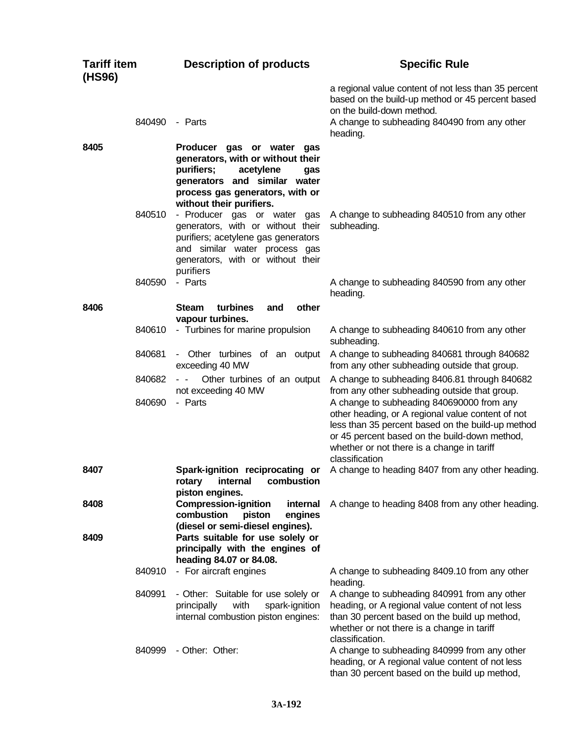| <b>Tariff item</b><br>(HS96) |                  | <b>Description of products</b>                                                                                                                                                                     | <b>Specific Rule</b>                                                                                                                                                                                                    |
|------------------------------|------------------|----------------------------------------------------------------------------------------------------------------------------------------------------------------------------------------------------|-------------------------------------------------------------------------------------------------------------------------------------------------------------------------------------------------------------------------|
|                              | 840490           | - Parts                                                                                                                                                                                            | a regional value content of not less than 35 percent<br>based on the build-up method or 45 percent based<br>on the build-down method.<br>A change to subheading 840490 from any other<br>heading.                       |
| 8405                         |                  | Producer gas or water<br>gas<br>generators, with or without their<br>acetylene<br>purifiers;<br>gas<br>generators and similar water<br>process gas generators, with or<br>without their purifiers. |                                                                                                                                                                                                                         |
|                              | 840510           | - Producer gas or water gas<br>generators, with or without their<br>purifiers; acetylene gas generators<br>and similar water process gas<br>generators, with or without their<br>purifiers         | A change to subheading 840510 from any other<br>subheading.                                                                                                                                                             |
|                              | 840590           | - Parts                                                                                                                                                                                            | A change to subheading 840590 from any other<br>heading.                                                                                                                                                                |
| 8406                         |                  | other<br><b>Steam</b><br>turbines<br>and<br>vapour turbines.                                                                                                                                       |                                                                                                                                                                                                                         |
|                              | 840610           | - Turbines for marine propulsion                                                                                                                                                                   | A change to subheading 840610 from any other<br>subheading.                                                                                                                                                             |
|                              | 840681           | - Other turbines of an output<br>exceeding 40 MW                                                                                                                                                   | A change to subheading 840681 through 840682<br>from any other subheading outside that group.                                                                                                                           |
|                              | 840682<br>840690 | Other turbines of an output<br>$\sim$<br>not exceeding 40 MW<br>- Parts                                                                                                                            | A change to subheading 8406.81 through 840682<br>from any other subheading outside that group.<br>A change to subheading 840690000 from any                                                                             |
|                              |                  |                                                                                                                                                                                                    | other heading, or A regional value content of not<br>less than 35 percent based on the build-up method<br>or 45 percent based on the build-down method,<br>whether or not there is a change in tariff<br>classification |
| 8407                         |                  | Spark-ignition reciprocating or<br>internal<br>combustion<br>rotary<br>piston engines.                                                                                                             | A change to heading 8407 from any other heading.                                                                                                                                                                        |
| 8408                         |                  | <b>Compression-ignition</b><br>internal<br>combustion<br>piston<br>engines<br>(diesel or semi-diesel engines).                                                                                     | A change to heading 8408 from any other heading.                                                                                                                                                                        |
| 8409                         |                  | Parts suitable for use solely or<br>principally with the engines of<br>heading 84.07 or 84.08.                                                                                                     |                                                                                                                                                                                                                         |
|                              | 840910           | - For aircraft engines                                                                                                                                                                             | A change to subheading 8409.10 from any other<br>heading.                                                                                                                                                               |
|                              | 840991           | - Other: Suitable for use solely or<br>with<br>principally<br>spark-ignition<br>internal combustion piston engines:                                                                                | A change to subheading 840991 from any other<br>heading, or A regional value content of not less<br>than 30 percent based on the build up method,<br>whether or not there is a change in tariff<br>classification.      |
|                              | 840999           | - Other: Other:                                                                                                                                                                                    | A change to subheading 840999 from any other<br>heading, or A regional value content of not less<br>than 30 percent based on the build up method,                                                                       |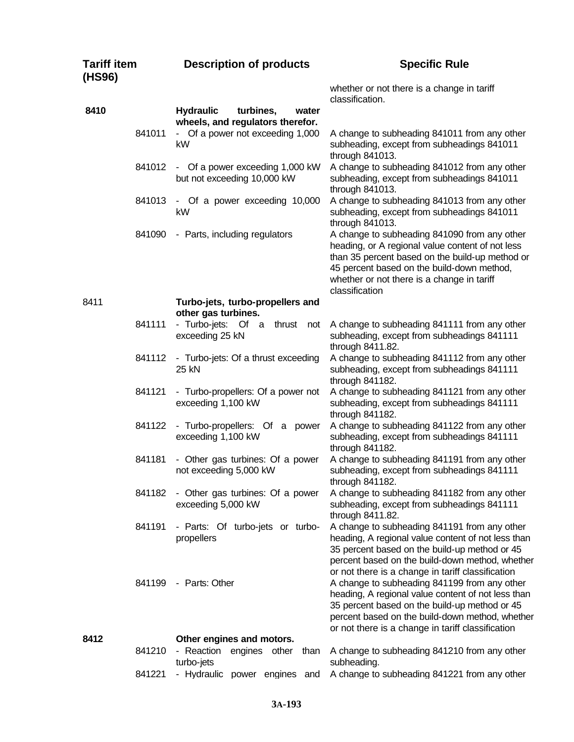| <b>Tariff item</b><br>(HS96) |        | <b>Description of products</b>                                             |                                                                                                                                                                                                                                                                                                                                                                                                                                                                                                                                                                                                                                                                                                                                                                                                                                                                                                                                                                                                                                                                                                                                                                                                                                                                                                                                                                |  |
|------------------------------|--------|----------------------------------------------------------------------------|----------------------------------------------------------------------------------------------------------------------------------------------------------------------------------------------------------------------------------------------------------------------------------------------------------------------------------------------------------------------------------------------------------------------------------------------------------------------------------------------------------------------------------------------------------------------------------------------------------------------------------------------------------------------------------------------------------------------------------------------------------------------------------------------------------------------------------------------------------------------------------------------------------------------------------------------------------------------------------------------------------------------------------------------------------------------------------------------------------------------------------------------------------------------------------------------------------------------------------------------------------------------------------------------------------------------------------------------------------------|--|
|                              |        |                                                                            | whether or not there is a change in tariff<br>classification.                                                                                                                                                                                                                                                                                                                                                                                                                                                                                                                                                                                                                                                                                                                                                                                                                                                                                                                                                                                                                                                                                                                                                                                                                                                                                                  |  |
| 8410                         |        | <b>Hydraulic</b><br>turbines,<br>water<br>wheels, and regulators therefor. |                                                                                                                                                                                                                                                                                                                                                                                                                                                                                                                                                                                                                                                                                                                                                                                                                                                                                                                                                                                                                                                                                                                                                                                                                                                                                                                                                                |  |
|                              | 841011 | - Of a power not exceeding 1,000<br>kW                                     | A change to subheading 841011 from any other<br>subheading, except from subheadings 841011                                                                                                                                                                                                                                                                                                                                                                                                                                                                                                                                                                                                                                                                                                                                                                                                                                                                                                                                                                                                                                                                                                                                                                                                                                                                     |  |
|                              | 841012 | - Of a power exceeding 1,000 kW<br>but not exceeding 10,000 kW             | A change to subheading 841012 from any other<br>subheading, except from subheadings 841011<br>through 841013.                                                                                                                                                                                                                                                                                                                                                                                                                                                                                                                                                                                                                                                                                                                                                                                                                                                                                                                                                                                                                                                                                                                                                                                                                                                  |  |
|                              | 841013 | - Of a power exceeding 10,000<br>kW                                        | A change to subheading 841013 from any other<br>subheading, except from subheadings 841011<br>through 841013.                                                                                                                                                                                                                                                                                                                                                                                                                                                                                                                                                                                                                                                                                                                                                                                                                                                                                                                                                                                                                                                                                                                                                                                                                                                  |  |
|                              | 841090 | - Parts, including regulators                                              | A change to subheading 841090 from any other<br>heading, or A regional value content of not less<br>than 35 percent based on the build-up method or<br>45 percent based on the build-down method,<br>whether or not there is a change in tariff                                                                                                                                                                                                                                                                                                                                                                                                                                                                                                                                                                                                                                                                                                                                                                                                                                                                                                                                                                                                                                                                                                                |  |
| 8411                         |        | Turbo-jets, turbo-propellers and<br>other gas turbines.                    | <b>Specific Rule</b><br>through 841013.<br>classification<br>A change to subheading 841111 from any other<br>subheading, except from subheadings 841111<br>through 8411.82.<br>A change to subheading 841112 from any other<br>subheading, except from subheadings 841111<br>through 841182.<br>A change to subheading 841121 from any other<br>subheading, except from subheadings 841111<br>through 841182.<br>A change to subheading 841122 from any other<br>subheading, except from subheadings 841111<br>through 841182.<br>A change to subheading 841191 from any other<br>subheading, except from subheadings 841111<br>through 841182.<br>A change to subheading 841182 from any other<br>subheading, except from subheadings 841111<br>through 8411.82.<br>A change to subheading 841191 from any other<br>heading, A regional value content of not less than<br>35 percent based on the build-up method or 45<br>percent based on the build-down method, whether<br>or not there is a change in tariff classification<br>A change to subheading 841199 from any other<br>heading, A regional value content of not less than<br>35 percent based on the build-up method or 45<br>percent based on the build-down method, whether<br>or not there is a change in tariff classification<br>A change to subheading 841210 from any other<br>subheading. |  |
|                              | 841111 | - Turbo-jets: Of a<br>thrust<br>not<br>exceeding 25 kN                     |                                                                                                                                                                                                                                                                                                                                                                                                                                                                                                                                                                                                                                                                                                                                                                                                                                                                                                                                                                                                                                                                                                                                                                                                                                                                                                                                                                |  |
|                              | 841112 | - Turbo-jets: Of a thrust exceeding<br>25 kN                               |                                                                                                                                                                                                                                                                                                                                                                                                                                                                                                                                                                                                                                                                                                                                                                                                                                                                                                                                                                                                                                                                                                                                                                                                                                                                                                                                                                |  |
|                              | 841121 | - Turbo-propellers: Of a power not<br>exceeding 1,100 kW                   |                                                                                                                                                                                                                                                                                                                                                                                                                                                                                                                                                                                                                                                                                                                                                                                                                                                                                                                                                                                                                                                                                                                                                                                                                                                                                                                                                                |  |
|                              | 841122 | - Turbo-propellers: Of a power<br>exceeding 1,100 kW                       |                                                                                                                                                                                                                                                                                                                                                                                                                                                                                                                                                                                                                                                                                                                                                                                                                                                                                                                                                                                                                                                                                                                                                                                                                                                                                                                                                                |  |
|                              | 841181 | - Other gas turbines: Of a power<br>not exceeding 5,000 kW                 |                                                                                                                                                                                                                                                                                                                                                                                                                                                                                                                                                                                                                                                                                                                                                                                                                                                                                                                                                                                                                                                                                                                                                                                                                                                                                                                                                                |  |
|                              | 841182 | - Other gas turbines: Of a power<br>exceeding 5,000 kW                     |                                                                                                                                                                                                                                                                                                                                                                                                                                                                                                                                                                                                                                                                                                                                                                                                                                                                                                                                                                                                                                                                                                                                                                                                                                                                                                                                                                |  |
|                              | 841191 | - Parts: Of turbo-jets or turbo-<br>propellers                             |                                                                                                                                                                                                                                                                                                                                                                                                                                                                                                                                                                                                                                                                                                                                                                                                                                                                                                                                                                                                                                                                                                                                                                                                                                                                                                                                                                |  |
|                              | 841199 | - Parts: Other                                                             |                                                                                                                                                                                                                                                                                                                                                                                                                                                                                                                                                                                                                                                                                                                                                                                                                                                                                                                                                                                                                                                                                                                                                                                                                                                                                                                                                                |  |
| 8412                         | 841210 | Other engines and motors.<br>- Reaction<br>engines<br>other<br>than        |                                                                                                                                                                                                                                                                                                                                                                                                                                                                                                                                                                                                                                                                                                                                                                                                                                                                                                                                                                                                                                                                                                                                                                                                                                                                                                                                                                |  |
|                              |        | turbo-jets                                                                 |                                                                                                                                                                                                                                                                                                                                                                                                                                                                                                                                                                                                                                                                                                                                                                                                                                                                                                                                                                                                                                                                                                                                                                                                                                                                                                                                                                |  |
|                              | 841221 | - Hydraulic power engines<br>and                                           | A change to subheading 841221 from any other                                                                                                                                                                                                                                                                                                                                                                                                                                                                                                                                                                                                                                                                                                                                                                                                                                                                                                                                                                                                                                                                                                                                                                                                                                                                                                                   |  |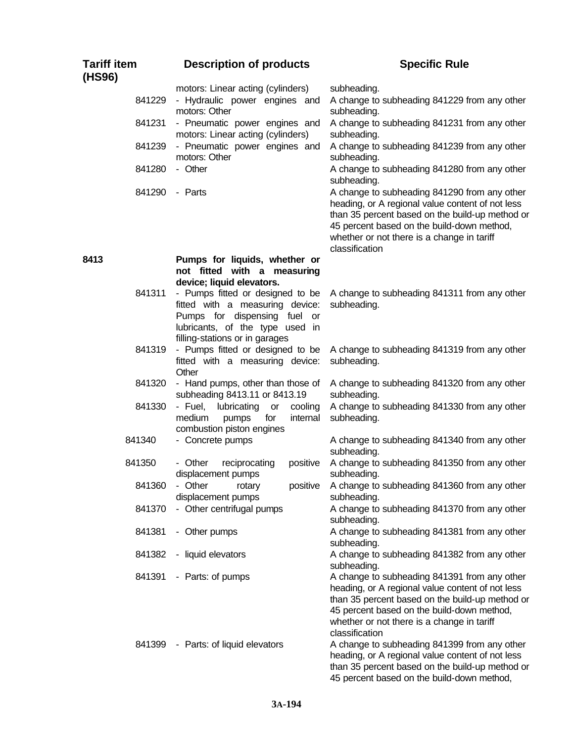| <b>Tariff item</b><br>(HS96) | <b>Description of products</b>                                                                                                                                      | <b>Specific Rule</b>                                                                                                                                                                                                                                              |
|------------------------------|---------------------------------------------------------------------------------------------------------------------------------------------------------------------|-------------------------------------------------------------------------------------------------------------------------------------------------------------------------------------------------------------------------------------------------------------------|
| 841229                       | motors: Linear acting (cylinders)<br>- Hydraulic power engines and<br>motors: Other                                                                                 | subheading.<br>A change to subheading 841229 from any other<br>subheading.                                                                                                                                                                                        |
| 841231                       | - Pneumatic power engines and<br>motors: Linear acting (cylinders)                                                                                                  | A change to subheading 841231 from any other<br>subheading.                                                                                                                                                                                                       |
| 841239                       | - Pneumatic power engines and<br>motors: Other                                                                                                                      | A change to subheading 841239 from any other<br>subheading.                                                                                                                                                                                                       |
| 841280                       | - Other                                                                                                                                                             | A change to subheading 841280 from any other<br>subheading.                                                                                                                                                                                                       |
| 841290                       | - Parts                                                                                                                                                             | A change to subheading 841290 from any other<br>heading, or A regional value content of not less<br>than 35 percent based on the build-up method or<br>45 percent based on the build-down method,<br>whether or not there is a change in tariff<br>classification |
| 8413                         | Pumps for liquids, whether or<br>not fitted with a measuring                                                                                                        |                                                                                                                                                                                                                                                                   |
| 841311                       | device; liquid elevators.<br>- Pumps fitted or designed to be<br>fitted with a measuring device:<br>Pumps for dispensing fuel or<br>lubricants, of the type used in | A change to subheading 841311 from any other<br>subheading.                                                                                                                                                                                                       |
| 841319                       | filling-stations or in garages<br>- Pumps fitted or designed to be<br>fitted with a measuring device:<br>Other                                                      | A change to subheading 841319 from any other<br>subheading.                                                                                                                                                                                                       |
| 841320                       | - Hand pumps, other than those of<br>subheading 8413.11 or 8413.19                                                                                                  | A change to subheading 841320 from any other<br>subheading.                                                                                                                                                                                                       |
| 841330                       | - Fuel, lubricating<br>cooling<br>or<br>medium<br>for<br>internal<br>pumps<br>combustion piston engines                                                             | A change to subheading 841330 from any other<br>subheading.                                                                                                                                                                                                       |
| 841340                       | - Concrete pumps                                                                                                                                                    | A change to subheading 841340 from any other<br>subheading.                                                                                                                                                                                                       |
| 841350                       | - Other<br>reciprocating<br>positive<br>displacement pumps                                                                                                          | A change to subheading 841350 from any other<br>subheading.                                                                                                                                                                                                       |
| 841360                       | - Other<br>positive<br>rotary<br>displacement pumps                                                                                                                 | A change to subheading 841360 from any other<br>subheading.                                                                                                                                                                                                       |
| 841370                       | - Other centrifugal pumps                                                                                                                                           | A change to subheading 841370 from any other<br>subheading.                                                                                                                                                                                                       |
| 841381                       | - Other pumps                                                                                                                                                       | A change to subheading 841381 from any other<br>subheading.                                                                                                                                                                                                       |
| 841382                       | - liquid elevators                                                                                                                                                  | A change to subheading 841382 from any other<br>subheading.                                                                                                                                                                                                       |
| 841391                       | - Parts: of pumps                                                                                                                                                   | A change to subheading 841391 from any other<br>heading, or A regional value content of not less<br>than 35 percent based on the build-up method or<br>45 percent based on the build-down method,<br>whether or not there is a change in tariff<br>classification |
|                              | 841399 - Parts: of liquid elevators                                                                                                                                 | A change to subheading 841399 from any other<br>heading, or A regional value content of not less<br>than 35 percent based on the build-up method or<br>45 percent based on the build-down method,                                                                 |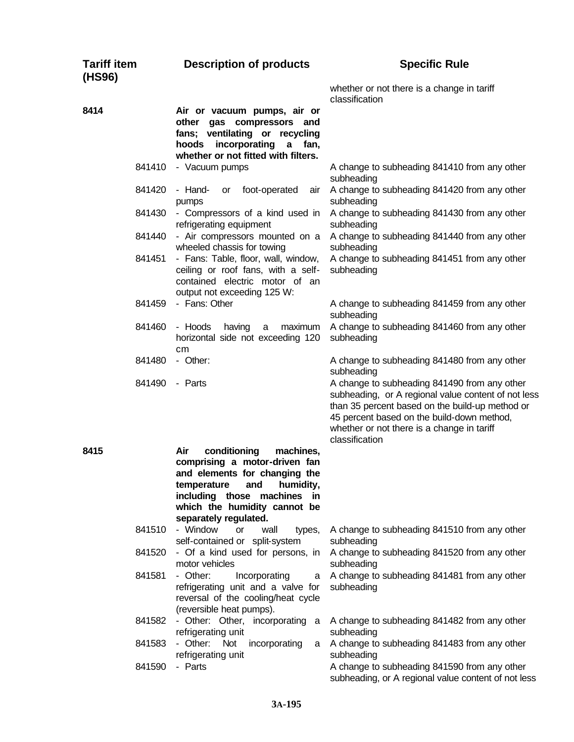| <b>Tariff item</b><br>(HS96) | <b>Description of products</b>                                                                                                                                        | <b>Specific Rule</b>                                                                                                                                                                                                                                                 |
|------------------------------|-----------------------------------------------------------------------------------------------------------------------------------------------------------------------|----------------------------------------------------------------------------------------------------------------------------------------------------------------------------------------------------------------------------------------------------------------------|
|                              |                                                                                                                                                                       | whether or not there is a change in tariff<br>classification                                                                                                                                                                                                         |
| 8414                         | Air or vacuum pumps, air or<br>other gas compressors and<br>fans; ventilating or recycling<br>incorporating<br>a fan,<br>hoods<br>whether or not fitted with filters. |                                                                                                                                                                                                                                                                      |
| 841410                       | - Vacuum pumps                                                                                                                                                        | A change to subheading 841410 from any other<br>subheading                                                                                                                                                                                                           |
| 841420                       | - Hand-<br>foot-operated<br>air<br>or<br>pumps                                                                                                                        | A change to subheading 841420 from any other<br>subheading                                                                                                                                                                                                           |
| 841430                       | - Compressors of a kind used in<br>refrigerating equipment                                                                                                            | A change to subheading 841430 from any other<br>subheading                                                                                                                                                                                                           |
| 841440                       | - Air compressors mounted on a<br>wheeled chassis for towing                                                                                                          | A change to subheading 841440 from any other<br>subheading                                                                                                                                                                                                           |
| 841451                       | - Fans: Table, floor, wall, window,<br>ceiling or roof fans, with a self-<br>contained electric motor of an<br>output not exceeding 125 W:                            | A change to subheading 841451 from any other<br>subheading                                                                                                                                                                                                           |
| 841459                       | - Fans: Other                                                                                                                                                         | A change to subheading 841459 from any other<br>subheading                                                                                                                                                                                                           |
| 841460                       | - Hoods<br>maximum<br>having<br>a<br>horizontal side not exceeding 120<br>cm                                                                                          | A change to subheading 841460 from any other<br>subheading                                                                                                                                                                                                           |
| 841480                       | - Other:                                                                                                                                                              | A change to subheading 841480 from any other<br>subheading                                                                                                                                                                                                           |
| 841490                       | - Parts                                                                                                                                                               | A change to subheading 841490 from any other<br>subheading, or A regional value content of not less<br>than 35 percent based on the build-up method or<br>45 percent based on the build-down method,<br>whether or not there is a change in tariff<br>classification |
| 8415                         | conditioning<br>Air<br>machines,<br>comprising a motor-driven fan                                                                                                     |                                                                                                                                                                                                                                                                      |
|                              | and elements for changing the                                                                                                                                         |                                                                                                                                                                                                                                                                      |
|                              | humidity,<br>temperature<br>and<br>including those machines in                                                                                                        |                                                                                                                                                                                                                                                                      |
|                              | which the humidity cannot be                                                                                                                                          |                                                                                                                                                                                                                                                                      |
| 841510                       | separately regulated.<br>- Window                                                                                                                                     | A change to subheading 841510 from any other                                                                                                                                                                                                                         |
|                              | or<br>wall<br>types,<br>self-contained or split-system                                                                                                                | subheading                                                                                                                                                                                                                                                           |
| 841520                       | - Of a kind used for persons, in<br>motor vehicles                                                                                                                    | A change to subheading 841520 from any other<br>subheading                                                                                                                                                                                                           |
| 841581                       | - Other:<br>Incorporating<br>a<br>refrigerating unit and a valve for<br>reversal of the cooling/heat cycle<br>(reversible heat pumps).                                | A change to subheading 841481 from any other<br>subheading                                                                                                                                                                                                           |
| 841582                       | - Other: Other, incorporating a<br>refrigerating unit                                                                                                                 | A change to subheading 841482 from any other<br>subheading                                                                                                                                                                                                           |
| 841583                       | - Other:<br>Not<br>incorporating<br>a<br>refrigerating unit                                                                                                           | A change to subheading 841483 from any other<br>subheading                                                                                                                                                                                                           |
| 841590                       | - Parts                                                                                                                                                               | A change to subheading 841590 from any other<br>subheading, or A regional value content of not less                                                                                                                                                                  |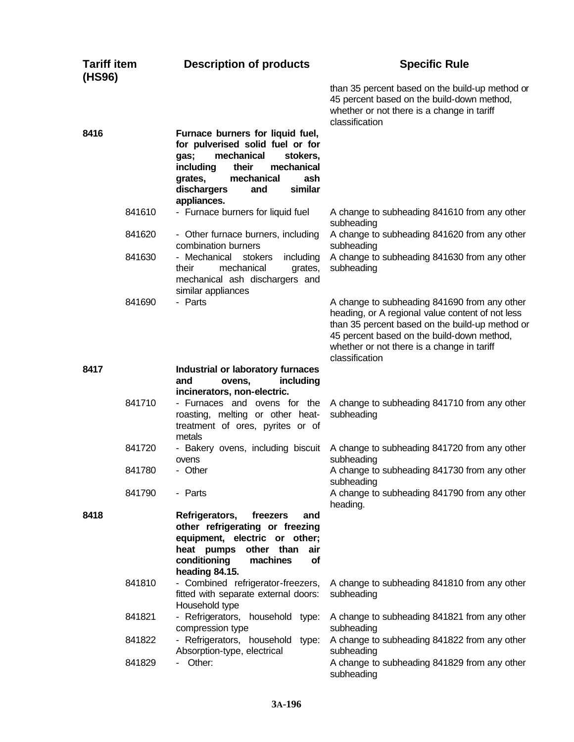| <b>Tariff item</b><br>(HS96) |        | <b>Description of products</b>                                                                                                                                                                                             | <b>Specific Rule</b>                                                                                                                                                                                                                                              |
|------------------------------|--------|----------------------------------------------------------------------------------------------------------------------------------------------------------------------------------------------------------------------------|-------------------------------------------------------------------------------------------------------------------------------------------------------------------------------------------------------------------------------------------------------------------|
|                              |        |                                                                                                                                                                                                                            | than 35 percent based on the build-up method or<br>45 percent based on the build-down method,<br>whether or not there is a change in tariff<br>classification                                                                                                     |
| 8416                         |        | Furnace burners for liquid fuel,<br>for pulverised solid fuel or for<br>mechanical<br>gas;<br>stokers,<br>including<br>their<br>mechanical<br>mechanical<br>ash<br>grates,<br>similar<br>dischargers<br>and<br>appliances. |                                                                                                                                                                                                                                                                   |
|                              | 841610 | - Furnace burners for liquid fuel                                                                                                                                                                                          | A change to subheading 841610 from any other<br>subheading                                                                                                                                                                                                        |
|                              | 841620 | - Other furnace burners, including<br>combination burners                                                                                                                                                                  | A change to subheading 841620 from any other<br>subheading                                                                                                                                                                                                        |
|                              | 841630 | - Mechanical stokers<br>including<br>mechanical<br>their<br>grates,<br>mechanical ash dischargers and<br>similar appliances                                                                                                | A change to subheading 841630 from any other<br>subheading                                                                                                                                                                                                        |
|                              | 841690 | - Parts                                                                                                                                                                                                                    | A change to subheading 841690 from any other<br>heading, or A regional value content of not less<br>than 35 percent based on the build-up method or<br>45 percent based on the build-down method,<br>whether or not there is a change in tariff<br>classification |
| 8417                         |        | Industrial or laboratory furnaces<br>including<br>and<br>ovens.<br>incinerators, non-electric.                                                                                                                             |                                                                                                                                                                                                                                                                   |
|                              | 841710 | - Furnaces and ovens for the<br>roasting, melting or other heat-<br>treatment of ores, pyrites or of<br>metals                                                                                                             | A change to subheading 841710 from any other<br>subheading                                                                                                                                                                                                        |
|                              | 841720 | - Bakery ovens, including biscuit<br>ovens                                                                                                                                                                                 | A change to subheading 841720 from any other<br>subheading                                                                                                                                                                                                        |
|                              | 841780 | - Other                                                                                                                                                                                                                    | A change to subheading 841730 from any other<br>subheading                                                                                                                                                                                                        |
|                              | 841790 | - Parts                                                                                                                                                                                                                    | A change to subheading 841790 from any other<br>heading.                                                                                                                                                                                                          |
| 8418                         |        | Refrigerators,<br>freezers<br>and<br>other refrigerating or freezing<br>equipment, electric or other;<br>heat pumps other than<br>air<br>conditioning<br>machines<br>of<br>heading 84.15.                                  |                                                                                                                                                                                                                                                                   |
|                              | 841810 | - Combined refrigerator-freezers,<br>fitted with separate external doors:<br>Household type                                                                                                                                | A change to subheading 841810 from any other<br>subheading                                                                                                                                                                                                        |
|                              | 841821 | - Refrigerators, household type:<br>compression type                                                                                                                                                                       | A change to subheading 841821 from any other<br>subheading                                                                                                                                                                                                        |
|                              | 841822 | - Refrigerators, household type:<br>Absorption-type, electrical                                                                                                                                                            | A change to subheading 841822 from any other<br>subheading                                                                                                                                                                                                        |
|                              | 841829 | Other:                                                                                                                                                                                                                     | A change to subheading 841829 from any other<br>subheading                                                                                                                                                                                                        |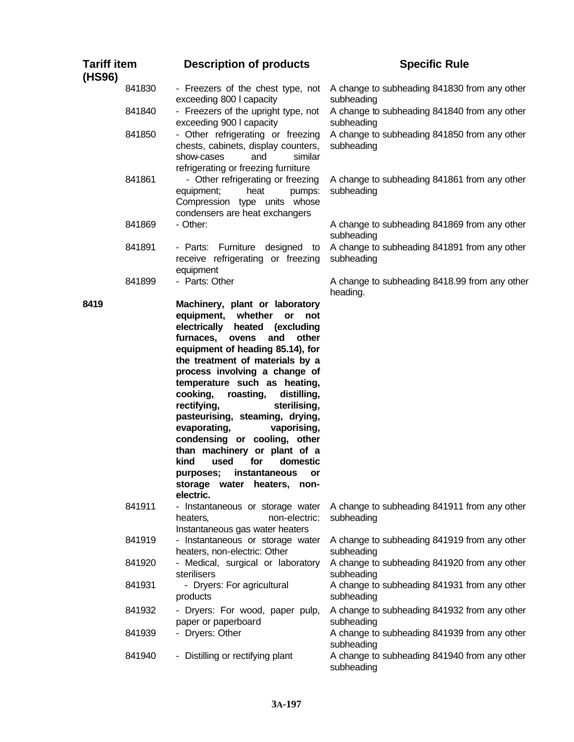| <b>Tariff item</b><br>(HS96) |        | <b>Description of products</b>                                                                                                                                                                                                                                                                                                                                                                                                                                                                                                                                                                                         | <b>Specific Rule</b>                                       |
|------------------------------|--------|------------------------------------------------------------------------------------------------------------------------------------------------------------------------------------------------------------------------------------------------------------------------------------------------------------------------------------------------------------------------------------------------------------------------------------------------------------------------------------------------------------------------------------------------------------------------------------------------------------------------|------------------------------------------------------------|
|                              | 841830 | - Freezers of the chest type, not<br>exceeding 800   capacity                                                                                                                                                                                                                                                                                                                                                                                                                                                                                                                                                          | A change to subheading 841830 from any other<br>subheading |
|                              | 841840 | - Freezers of the upright type, not<br>exceeding 900 I capacity                                                                                                                                                                                                                                                                                                                                                                                                                                                                                                                                                        | A change to subheading 841840 from any other<br>subheading |
|                              | 841850 | - Other refrigerating or freezing<br>chests, cabinets, display counters,<br>similar<br>show-cases<br>and<br>refrigerating or freezing furniture                                                                                                                                                                                                                                                                                                                                                                                                                                                                        | A change to subheading 841850 from any other<br>subheading |
|                              | 841861 | - Other refrigerating or freezing<br>equipment;<br>heat<br>pumps:<br>Compression type units whose<br>condensers are heat exchangers                                                                                                                                                                                                                                                                                                                                                                                                                                                                                    | A change to subheading 841861 from any other<br>subheading |
|                              | 841869 | - Other:                                                                                                                                                                                                                                                                                                                                                                                                                                                                                                                                                                                                               | A change to subheading 841869 from any other<br>subheading |
|                              | 841891 | Furniture designed<br>- Parts:<br>to<br>receive refrigerating or freezing<br>equipment                                                                                                                                                                                                                                                                                                                                                                                                                                                                                                                                 | A change to subheading 841891 from any other<br>subheading |
|                              | 841899 | - Parts: Other                                                                                                                                                                                                                                                                                                                                                                                                                                                                                                                                                                                                         | A change to subheading 8418.99 from any other<br>heading.  |
| 8419                         |        | Machinery, plant or laboratory<br>equipment,<br>whether<br>or<br>not<br>electrically<br>heated<br>(excluding<br>other<br>furnaces,<br>ovens<br>and<br>equipment of heading 85.14), for<br>the treatment of materials by a<br>process involving a change of<br>temperature such as heating,<br>cooking,<br>roasting,<br>distilling,<br>rectifying,<br>sterilising,<br>pasteurising, steaming, drying,<br>evaporating,<br>vaporising,<br>condensing or cooling, other<br>than machinery or plant of a<br>kind<br>used<br>domestic<br>for<br>purposes;<br>instantaneous<br>or<br>storage water heaters, non-<br>electric. |                                                            |
|                              | 841911 | - Instantaneous or storage water<br>non-electric:<br>heaters,<br>Instantaneous gas water heaters                                                                                                                                                                                                                                                                                                                                                                                                                                                                                                                       | A change to subheading 841911 from any other<br>subheading |
|                              | 841919 | - Instantaneous or storage water<br>heaters, non-electric: Other                                                                                                                                                                                                                                                                                                                                                                                                                                                                                                                                                       | A change to subheading 841919 from any other<br>subheading |
|                              | 841920 | - Medical, surgical or laboratory<br>sterilisers                                                                                                                                                                                                                                                                                                                                                                                                                                                                                                                                                                       | A change to subheading 841920 from any other<br>subheading |
|                              | 841931 | - Dryers: For agricultural<br>products                                                                                                                                                                                                                                                                                                                                                                                                                                                                                                                                                                                 | A change to subheading 841931 from any other<br>subheading |
|                              | 841932 | - Dryers: For wood, paper pulp,<br>paper or paperboard                                                                                                                                                                                                                                                                                                                                                                                                                                                                                                                                                                 | A change to subheading 841932 from any other<br>subheading |
|                              | 841939 | - Dryers: Other                                                                                                                                                                                                                                                                                                                                                                                                                                                                                                                                                                                                        | A change to subheading 841939 from any other<br>subheading |
|                              | 841940 | - Distilling or rectifying plant                                                                                                                                                                                                                                                                                                                                                                                                                                                                                                                                                                                       | A change to subheading 841940 from any other<br>subheading |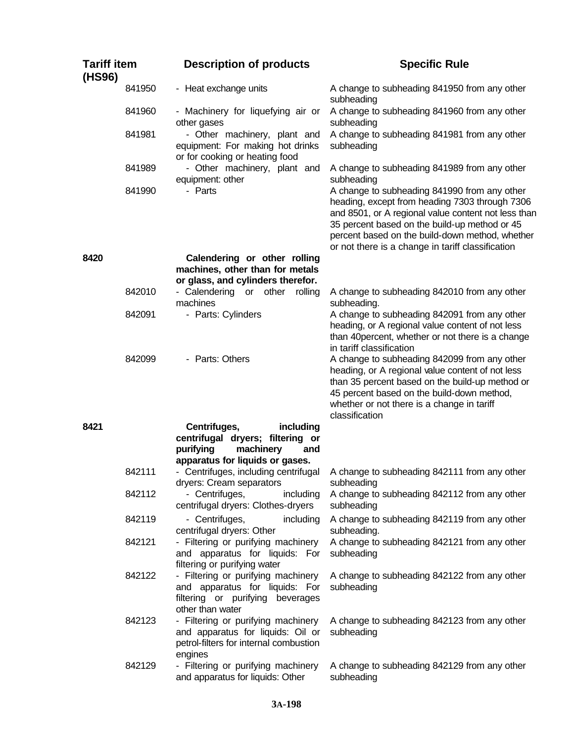| <b>Tariff item</b><br>(HS96) |        | <b>Description of products</b>                                                                                               | <b>Specific Rule</b><br>A change to subheading 841950 from any other<br>subheading<br>A change to subheading 841960 from any other<br>subheading                                                                                                                                                               |  |  |  |  |
|------------------------------|--------|------------------------------------------------------------------------------------------------------------------------------|----------------------------------------------------------------------------------------------------------------------------------------------------------------------------------------------------------------------------------------------------------------------------------------------------------------|--|--|--|--|
|                              | 841950 | - Heat exchange units                                                                                                        |                                                                                                                                                                                                                                                                                                                |  |  |  |  |
|                              | 841960 | - Machinery for liquefying air or<br>other gases                                                                             |                                                                                                                                                                                                                                                                                                                |  |  |  |  |
|                              | 841981 | - Other machinery, plant and<br>equipment: For making hot drinks<br>or for cooking or heating food                           | A change to subheading 841981 from any other<br>subheading                                                                                                                                                                                                                                                     |  |  |  |  |
|                              | 841989 | - Other machinery, plant and<br>equipment: other                                                                             | A change to subheading 841989 from any other<br>subheading                                                                                                                                                                                                                                                     |  |  |  |  |
|                              | 841990 | - Parts                                                                                                                      | A change to subheading 841990 from any other<br>heading, except from heading 7303 through 7306<br>and 8501, or A regional value content not less than<br>35 percent based on the build-up method or 45<br>percent based on the build-down method, whether<br>or not there is a change in tariff classification |  |  |  |  |
| 8420                         |        | Calendering or other rolling<br>machines, other than for metals                                                              |                                                                                                                                                                                                                                                                                                                |  |  |  |  |
|                              |        | or glass, and cylinders therefor.                                                                                            |                                                                                                                                                                                                                                                                                                                |  |  |  |  |
|                              | 842010 | - Calendering or other<br>rolling<br>machines                                                                                | A change to subheading 842010 from any other<br>subheading.                                                                                                                                                                                                                                                    |  |  |  |  |
|                              | 842091 | - Parts: Cylinders                                                                                                           | A change to subheading 842091 from any other<br>heading, or A regional value content of not less<br>than 40 percent, whether or not there is a change<br>in tariff classification                                                                                                                              |  |  |  |  |
|                              | 842099 | - Parts: Others                                                                                                              | A change to subheading 842099 from any other<br>heading, or A regional value content of not less<br>than 35 percent based on the build-up method or<br>45 percent based on the build-down method,<br>whether or not there is a change in tariff<br>classification                                              |  |  |  |  |
| 8421                         |        | Centrifuges,<br>including                                                                                                    |                                                                                                                                                                                                                                                                                                                |  |  |  |  |
|                              |        | centrifugal dryers; filtering or<br>purifying<br>machinery<br>and<br>apparatus for liquids or gases.                         |                                                                                                                                                                                                                                                                                                                |  |  |  |  |
|                              | 842111 | - Centrifuges, including centrifugal<br>dryers: Cream separators                                                             | A change to subheading 842111 from any other<br>subheading                                                                                                                                                                                                                                                     |  |  |  |  |
|                              | 842112 | - Centrifuges,<br>including<br>centrifugal dryers: Clothes-dryers                                                            | A change to subheading 842112 from any other<br>subheading                                                                                                                                                                                                                                                     |  |  |  |  |
|                              | 842119 | - Centrifuges,<br>including<br>centrifugal dryers: Other                                                                     | A change to subheading 842119 from any other<br>subheading.                                                                                                                                                                                                                                                    |  |  |  |  |
|                              | 842121 | - Filtering or purifying machinery<br>and apparatus for liquids: For<br>filtering or purifying water                         | A change to subheading 842121 from any other<br>subheading                                                                                                                                                                                                                                                     |  |  |  |  |
|                              | 842122 | - Filtering or purifying machinery<br>and apparatus for liquids: For<br>filtering or purifying beverages<br>other than water | A change to subheading 842122 from any other<br>subheading                                                                                                                                                                                                                                                     |  |  |  |  |
|                              | 842123 | - Filtering or purifying machinery<br>and apparatus for liquids: Oil or<br>petrol-filters for internal combustion<br>engines | A change to subheading 842123 from any other<br>subheading                                                                                                                                                                                                                                                     |  |  |  |  |
|                              | 842129 | - Filtering or purifying machinery<br>and apparatus for liquids: Other                                                       | A change to subheading 842129 from any other<br>subheading                                                                                                                                                                                                                                                     |  |  |  |  |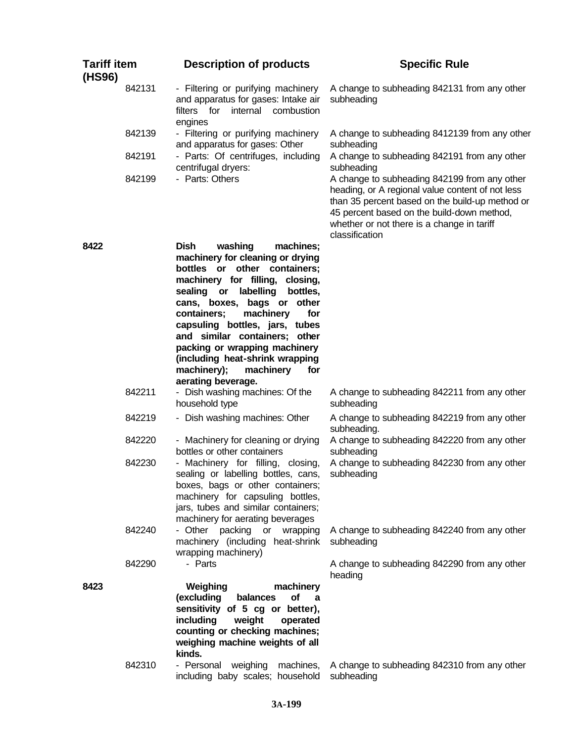| <b>Tariff item</b><br>(HS96) |        | <b>Description of products</b>                                                                                                                   | <b>Specific Rule</b>                                                                                                                                                                                                                                              |
|------------------------------|--------|--------------------------------------------------------------------------------------------------------------------------------------------------|-------------------------------------------------------------------------------------------------------------------------------------------------------------------------------------------------------------------------------------------------------------------|
|                              | 842131 | - Filtering or purifying machinery<br>and apparatus for gases: Intake air<br>filters for<br>internal combustion<br>engines                       | A change to subheading 842131 from any other<br>subheading                                                                                                                                                                                                        |
|                              | 842139 | - Filtering or purifying machinery<br>and apparatus for gases: Other                                                                             | A change to subheading 8412139 from any other<br>subheading                                                                                                                                                                                                       |
|                              | 842191 | - Parts: Of centrifuges, including<br>centrifugal dryers:                                                                                        | A change to subheading 842191 from any other<br>subheading                                                                                                                                                                                                        |
|                              | 842199 | - Parts: Others                                                                                                                                  | A change to subheading 842199 from any other<br>heading, or A regional value content of not less<br>than 35 percent based on the build-up method or<br>45 percent based on the build-down method,<br>whether or not there is a change in tariff<br>classification |
| 8422                         |        | <b>Dish</b><br>washing<br>machines;<br>machinery for cleaning or drying<br>bottles or other containers;                                          |                                                                                                                                                                                                                                                                   |
|                              |        | machinery for filling, closing,<br>labelling<br>sealing<br>$\alpha$<br>bottles,                                                                  |                                                                                                                                                                                                                                                                   |
|                              |        | cans, boxes, bags or other                                                                                                                       |                                                                                                                                                                                                                                                                   |
|                              |        | containers;<br>machinery<br>for<br>capsuling bottles, jars, tubes                                                                                |                                                                                                                                                                                                                                                                   |
|                              |        | and similar containers; other<br>packing or wrapping machinery                                                                                   |                                                                                                                                                                                                                                                                   |
|                              |        | (including heat-shrink wrapping                                                                                                                  |                                                                                                                                                                                                                                                                   |
|                              |        | machinery);<br>machinery<br>for<br>aerating beverage.                                                                                            |                                                                                                                                                                                                                                                                   |
|                              | 842211 | - Dish washing machines: Of the<br>household type                                                                                                | A change to subheading 842211 from any other<br>subheading                                                                                                                                                                                                        |
|                              | 842219 | - Dish washing machines: Other                                                                                                                   | A change to subheading 842219 from any other<br>subheading.                                                                                                                                                                                                       |
|                              | 842220 | - Machinery for cleaning or drying<br>bottles or other containers                                                                                | A change to subheading 842220 from any other<br>subheading                                                                                                                                                                                                        |
|                              | 842230 | - Machinery for filling, closing,<br>sealing or labelling bottles, cans,<br>boxes, bags or other containers;<br>machinery for capsuling bottles, | A change to subheading 842230 from any other<br>subheading                                                                                                                                                                                                        |
|                              |        | jars, tubes and similar containers;                                                                                                              |                                                                                                                                                                                                                                                                   |
|                              | 842240 | machinery for aerating beverages<br>- Other packing or wrapping                                                                                  | A change to subheading 842240 from any other                                                                                                                                                                                                                      |
|                              |        | machinery (including heat-shrink<br>wrapping machinery)                                                                                          | subheading                                                                                                                                                                                                                                                        |
|                              | 842290 | - Parts                                                                                                                                          | A change to subheading 842290 from any other<br>heading                                                                                                                                                                                                           |
| 8423                         |        | machinery<br>Weighing<br>(excluding<br>of<br>balances<br>a<br>sensitivity of 5 cg or better),<br>including<br>weight<br>operated                 |                                                                                                                                                                                                                                                                   |
|                              |        | counting or checking machines;<br>weighing machine weights of all                                                                                |                                                                                                                                                                                                                                                                   |
|                              | 842310 | kinds.<br>- Personal weighing<br>including baby scales; household                                                                                | machines, A change to subheading 842310 from any other<br>subheading                                                                                                                                                                                              |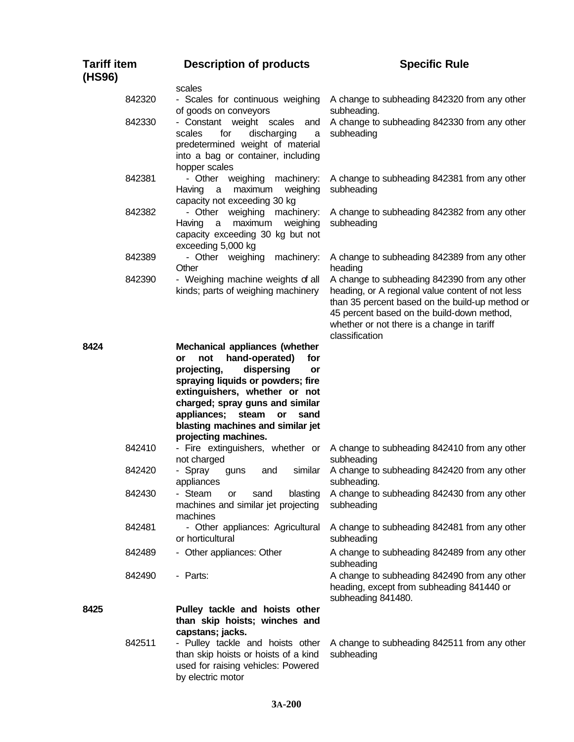| <b>Tariff item</b><br>(HS96) | <b>Description of products</b>                                                                                                                                                                                                                                                                                                                                                                                    | <b>Specific Rule</b><br>A change to subheading 842320 from any other                                                                                                                                                                                              |  |  |  |  |
|------------------------------|-------------------------------------------------------------------------------------------------------------------------------------------------------------------------------------------------------------------------------------------------------------------------------------------------------------------------------------------------------------------------------------------------------------------|-------------------------------------------------------------------------------------------------------------------------------------------------------------------------------------------------------------------------------------------------------------------|--|--|--|--|
|                              | scales                                                                                                                                                                                                                                                                                                                                                                                                            |                                                                                                                                                                                                                                                                   |  |  |  |  |
| 842320                       | - Scales for continuous weighing<br>of goods on conveyors<br>subheading.<br>- Constant weight scales<br>and<br>scales<br>for<br>discharging<br>subheading<br>a<br>predetermined weight of material<br>into a bag or container, including<br>hopper scales<br>- Other weighing<br>machinery:<br>subheading<br>Having<br>maximum<br>weighing<br>a<br>capacity not exceeding 30 kg<br>- Other weighing<br>machinery: |                                                                                                                                                                                                                                                                   |  |  |  |  |
| 842330                       |                                                                                                                                                                                                                                                                                                                                                                                                                   | A change to subheading 842330 from any other                                                                                                                                                                                                                      |  |  |  |  |
| 842381                       |                                                                                                                                                                                                                                                                                                                                                                                                                   | A change to subheading 842381 from any other                                                                                                                                                                                                                      |  |  |  |  |
| 842382                       | maximum<br>Having<br>a<br>weighing<br>capacity exceeding 30 kg but not<br>exceeding 5,000 kg                                                                                                                                                                                                                                                                                                                      | A change to subheading 842382 from any other<br>subheading                                                                                                                                                                                                        |  |  |  |  |
| 842389                       | - Other weighing<br>machinery:<br>Other                                                                                                                                                                                                                                                                                                                                                                           | A change to subheading 842389 from any other<br>heading                                                                                                                                                                                                           |  |  |  |  |
| 842390                       | - Weighing machine weights of all<br>kinds; parts of weighing machinery                                                                                                                                                                                                                                                                                                                                           | A change to subheading 842390 from any other<br>heading, or A regional value content of not less<br>than 35 percent based on the build-up method or<br>45 percent based on the build-down method,<br>whether or not there is a change in tariff<br>classification |  |  |  |  |
| 8424                         | Mechanical appliances (whether<br>hand-operated)<br>not<br>for<br>or<br>dispersing<br>projecting,<br>or<br>spraying liquids or powders; fire<br>extinguishers, whether or not<br>charged; spray guns and similar<br>appliances;<br>steam<br><b>or</b><br>sand<br>blasting machines and similar jet<br>projecting machines.                                                                                        |                                                                                                                                                                                                                                                                   |  |  |  |  |
| 842410                       | - Fire extinguishers, whether or<br>not charged                                                                                                                                                                                                                                                                                                                                                                   | A change to subheading 842410 from any other<br>subheading                                                                                                                                                                                                        |  |  |  |  |
| 842420                       | - Spray<br>similar<br>and<br>guns<br>appliances                                                                                                                                                                                                                                                                                                                                                                   | A change to subheading 842420 from any other<br>subheading.                                                                                                                                                                                                       |  |  |  |  |
| 842430                       | - Steam<br>blasting<br>sand<br>or<br>machines and similar jet projecting<br>machines                                                                                                                                                                                                                                                                                                                              | A change to subheading 842430 from any other<br>subheading                                                                                                                                                                                                        |  |  |  |  |
| 842481                       | - Other appliances: Agricultural<br>or horticultural                                                                                                                                                                                                                                                                                                                                                              | A change to subheading 842481 from any other<br>subheading                                                                                                                                                                                                        |  |  |  |  |
| 842489                       | - Other appliances: Other                                                                                                                                                                                                                                                                                                                                                                                         | A change to subheading 842489 from any other<br>subheading                                                                                                                                                                                                        |  |  |  |  |
| 842490                       | - Parts:                                                                                                                                                                                                                                                                                                                                                                                                          | A change to subheading 842490 from any other<br>heading, except from subheading 841440 or<br>subheading 841480.                                                                                                                                                   |  |  |  |  |
| 8425                         | Pulley tackle and hoists other<br>than skip hoists; winches and<br>capstans; jacks.                                                                                                                                                                                                                                                                                                                               |                                                                                                                                                                                                                                                                   |  |  |  |  |
| 842511                       | - Pulley tackle and hoists other<br>than skip hoists or hoists of a kind<br>used for raising vehicles: Powered<br>by electric motor                                                                                                                                                                                                                                                                               | A change to subheading 842511 from any other<br>subheading                                                                                                                                                                                                        |  |  |  |  |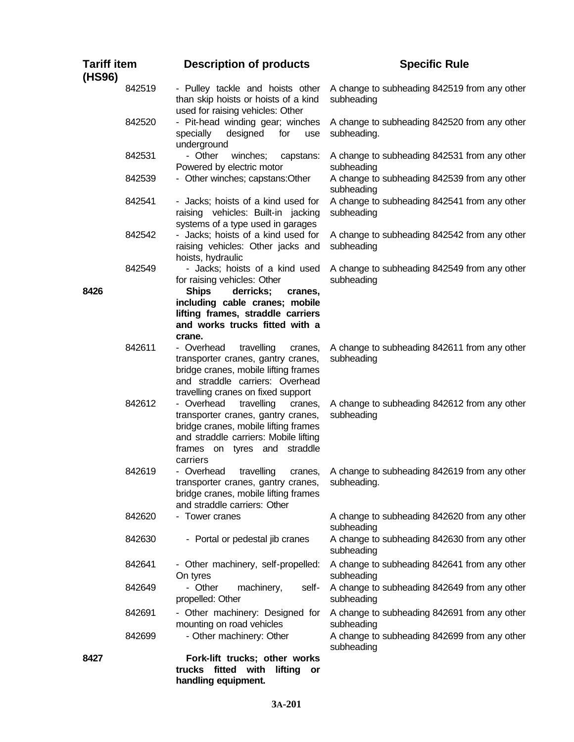| <b>Tariff item</b><br>(HS96) | <b>Description of products</b>                                                                                                                                                                            | <b>Specific Rule</b>                                        |
|------------------------------|-----------------------------------------------------------------------------------------------------------------------------------------------------------------------------------------------------------|-------------------------------------------------------------|
| 842519                       | - Pulley tackle and hoists other<br>than skip hoists or hoists of a kind<br>used for raising vehicles: Other                                                                                              | A change to subheading 842519 from any other<br>subheading  |
| 842520                       | - Pit-head winding gear; winches<br>designed<br>specially<br>for<br>use<br>underground                                                                                                                    | A change to subheading 842520 from any other<br>subheading. |
| 842531                       | - Other<br>winches;<br>capstans:<br>Powered by electric motor                                                                                                                                             | A change to subheading 842531 from any other<br>subheading  |
| 842539                       | - Other winches; capstans: Other                                                                                                                                                                          | A change to subheading 842539 from any other<br>subheading  |
| 842541                       | - Jacks; hoists of a kind used for<br>raising vehicles: Built-in jacking<br>systems of a type used in garages                                                                                             | A change to subheading 842541 from any other<br>subheading  |
| 842542                       | - Jacks; hoists of a kind used for<br>raising vehicles: Other jacks and<br>hoists, hydraulic                                                                                                              | A change to subheading 842542 from any other<br>subheading  |
| 842549<br>8426               | - Jacks; hoists of a kind used<br>for raising vehicles: Other<br><b>Ships</b><br>derricks;<br>cranes,                                                                                                     | A change to subheading 842549 from any other<br>subheading  |
|                              | including cable cranes; mobile<br>lifting frames, straddle carriers<br>and works trucks fitted with a<br>crane.                                                                                           |                                                             |
| 842611                       | - Overhead<br>travelling<br>cranes,<br>transporter cranes, gantry cranes,<br>bridge cranes, mobile lifting frames<br>and straddle carriers: Overhead<br>travelling cranes on fixed support                | A change to subheading 842611 from any other<br>subheading  |
| 842612                       | - Overhead<br>travelling<br>cranes,<br>transporter cranes, gantry cranes,<br>bridge cranes, mobile lifting frames<br>and straddle carriers: Mobile lifting<br>frames on tyres and<br>straddle<br>carriers | A change to subheading 842612 from any other<br>subheading  |
| 842619                       | - Overhead<br>travelling<br>cranes,<br>transporter cranes, gantry cranes,<br>bridge cranes, mobile lifting frames<br>and straddle carriers: Other                                                         | A change to subheading 842619 from any other<br>subheading. |
| 842620                       | - Tower cranes                                                                                                                                                                                            | A change to subheading 842620 from any other<br>subheading  |
| 842630                       | - Portal or pedestal jib cranes                                                                                                                                                                           | A change to subheading 842630 from any other<br>subheading  |
| 842641                       | - Other machinery, self-propelled:<br>On tyres                                                                                                                                                            | A change to subheading 842641 from any other<br>subheading  |
| 842649                       | - Other<br>self-<br>machinery,<br>propelled: Other                                                                                                                                                        | A change to subheading 842649 from any other<br>subheading  |
| 842691                       | - Other machinery: Designed for<br>mounting on road vehicles                                                                                                                                              | A change to subheading 842691 from any other<br>subheading  |
| 842699                       | - Other machinery: Other                                                                                                                                                                                  | A change to subheading 842699 from any other<br>subheading  |
| 8427                         | Fork-lift trucks; other works<br>trucks fitted with<br>lifting<br>or<br>handling equipment.                                                                                                               |                                                             |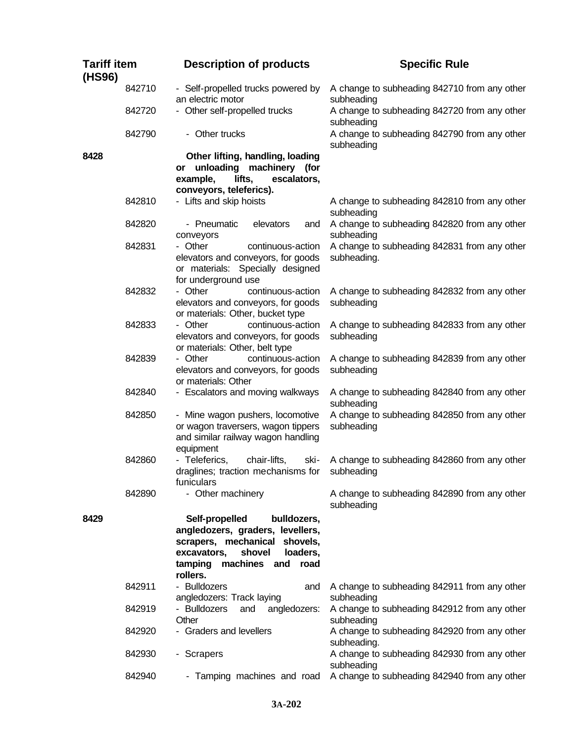| <b>Tariff item</b><br>(HS96) |        | <b>Description of products</b>                                                                                                                                                         | <b>Specific Rule</b>                                                     |  |
|------------------------------|--------|----------------------------------------------------------------------------------------------------------------------------------------------------------------------------------------|--------------------------------------------------------------------------|--|
|                              | 842710 | - Self-propelled trucks powered by<br>an electric motor                                                                                                                                | A change to subheading 842710 from any other<br>subheading               |  |
|                              | 842720 | - Other self-propelled trucks                                                                                                                                                          | A change to subheading 842720 from any other                             |  |
|                              | 842790 | - Other trucks                                                                                                                                                                         | A change to subheading 842790 from any other<br>subheading               |  |
| 8428                         |        | Other lifting, handling, loading<br>unloading machinery (for<br>or<br>lifts,<br>example,<br>escalators,<br>conveyors, teleferics).                                                     | subheading<br>subheading<br>A change to subheading 842860 from any other |  |
|                              | 842810 | - Lifts and skip hoists                                                                                                                                                                | A change to subheading 842810 from any other                             |  |
|                              | 842820 | - Pneumatic<br>elevators<br>and<br>conveyors                                                                                                                                           | A change to subheading 842820 from any other<br>subheading               |  |
|                              | 842831 | - Other<br>continuous-action<br>elevators and conveyors, for goods<br>or materials: Specially designed<br>for underground use                                                          | A change to subheading 842831 from any other<br>subheading.              |  |
|                              | 842832 | - Other<br>continuous-action<br>elevators and conveyors, for goods<br>or materials: Other, bucket type                                                                                 | A change to subheading 842832 from any other<br>subheading               |  |
|                              | 842833 | continuous-action<br>- Other<br>elevators and conveyors, for goods<br>or materials: Other, belt type                                                                                   | A change to subheading 842833 from any other<br>subheading               |  |
|                              | 842839 | - Other<br>continuous-action<br>elevators and conveyors, for goods<br>or materials: Other                                                                                              | A change to subheading 842839 from any other<br>subheading               |  |
|                              | 842840 | - Escalators and moving walkways                                                                                                                                                       | A change to subheading 842840 from any other<br>subheading               |  |
|                              | 842850 | - Mine wagon pushers, locomotive<br>or wagon traversers, wagon tippers<br>and similar railway wagon handling<br>equipment                                                              | A change to subheading 842850 from any other<br>subheading               |  |
|                              | 842860 | - Teleferics,<br>chair-lifts,<br>ski-<br>draglines; traction mechanisms for<br>funiculars                                                                                              | subheading                                                               |  |
|                              | 842890 | - Other machinery                                                                                                                                                                      | A change to subheading 842890 from any other<br>subheading               |  |
| 8429                         |        | Self-propelled<br>bulldozers,<br>angledozers, graders, levellers,<br>scrapers, mechanical shovels,<br>shovel<br>loaders,<br>excavators,<br>machines and<br>tamping<br>road<br>rollers. |                                                                          |  |
|                              | 842911 | - Bulldozers<br>and<br>angledozers: Track laying                                                                                                                                       | A change to subheading 842911 from any other<br>subheading               |  |
|                              | 842919 | - Bulldozers<br>and<br>angledozers:<br>Other                                                                                                                                           | A change to subheading 842912 from any other<br>subheading               |  |
|                              | 842920 | - Graders and levellers                                                                                                                                                                | A change to subheading 842920 from any other<br>subheading.              |  |
|                              | 842930 | - Scrapers                                                                                                                                                                             | A change to subheading 842930 from any other<br>subheading               |  |
|                              | 842940 | - Tamping machines and road                                                                                                                                                            | A change to subheading 842940 from any other                             |  |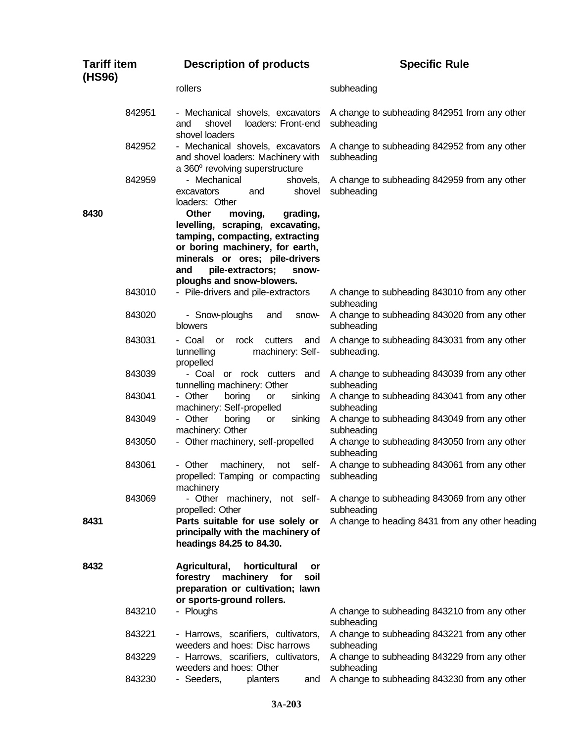| <b>Tariff item</b><br>(HS96) |        | <b>Description of products</b>                                                                                                                                                                                                                   | <b>Specific Rule</b>                                        |  |
|------------------------------|--------|--------------------------------------------------------------------------------------------------------------------------------------------------------------------------------------------------------------------------------------------------|-------------------------------------------------------------|--|
|                              |        | rollers                                                                                                                                                                                                                                          | subheading                                                  |  |
|                              | 842951 | - Mechanical shovels, excavators<br>loaders: Front-end<br>shovel<br>and<br>shovel loaders                                                                                                                                                        | A change to subheading 842951 from any other<br>subheading  |  |
|                              | 842952 | - Mechanical shovels, excavators<br>and shovel loaders: Machinery with<br>a 360° revolving superstructure                                                                                                                                        | A change to subheading 842952 from any other<br>subheading  |  |
|                              | 842959 | - Mechanical<br>shovels,<br>excavators<br>shovel<br>and<br>loaders: Other                                                                                                                                                                        | A change to subheading 842959 from any other<br>subheading  |  |
| 8430                         |        | <b>Other</b><br>moving,<br>grading,<br>levelling, scraping, excavating,<br>tamping, compacting, extracting<br>or boring machinery, for earth,<br>minerals or ores; pile-drivers<br>pile-extractors;<br>and<br>snow-<br>ploughs and snow-blowers. |                                                             |  |
|                              | 843010 | - Pile-drivers and pile-extractors                                                                                                                                                                                                               | A change to subheading 843010 from any other<br>subheading  |  |
|                              | 843020 | - Snow-ploughs<br>and<br>snow-<br>blowers                                                                                                                                                                                                        | A change to subheading 843020 from any other<br>subheading  |  |
|                              | 843031 | - Coal<br>rock<br>cutters<br><b>or</b><br>and<br>machinery: Self-<br>tunnelling<br>propelled                                                                                                                                                     | A change to subheading 843031 from any other<br>subheading. |  |
|                              | 843039 | - Coal<br>rock cutters<br>and<br><b>or</b><br>tunnelling machinery: Other                                                                                                                                                                        | A change to subheading 843039 from any other<br>subheading  |  |
|                              | 843041 | - Other<br>boring<br>sinking<br>or<br>machinery: Self-propelled                                                                                                                                                                                  | A change to subheading 843041 from any other<br>subheading  |  |
|                              | 843049 | - Other<br>boring<br>sinking<br>or<br>machinery: Other                                                                                                                                                                                           | A change to subheading 843049 from any other<br>subheading  |  |
|                              | 843050 | - Other machinery, self-propelled                                                                                                                                                                                                                | A change to subheading 843050 from any other<br>subheading  |  |
|                              | 843061 | - Other<br>machinery,<br>not<br>self-<br>propelled: Tamping or compacting<br>machinery                                                                                                                                                           | A change to subheading 843061 from any other<br>subheading  |  |
|                              | 843069 | - Other machinery, not self-<br>propelled: Other                                                                                                                                                                                                 | A change to subheading 843069 from any other<br>subheading  |  |
| 8431                         |        | Parts suitable for use solely or<br>principally with the machinery of<br>headings 84.25 to 84.30.                                                                                                                                                | A change to heading 8431 from any other heading             |  |
| 8432                         |        | Agricultural,<br>horticultural<br>or<br>forestry machinery for<br>soil<br>preparation or cultivation; lawn<br>or sports-ground rollers.                                                                                                          |                                                             |  |
|                              | 843210 | - Ploughs                                                                                                                                                                                                                                        | A change to subheading 843210 from any other<br>subheading  |  |
|                              | 843221 | - Harrows, scarifiers, cultivators,<br>weeders and hoes: Disc harrows                                                                                                                                                                            | A change to subheading 843221 from any other<br>subheading  |  |
|                              | 843229 | - Harrows, scarifiers, cultivators,<br>weeders and hoes: Other                                                                                                                                                                                   | A change to subheading 843229 from any other<br>subheading  |  |
|                              | 843230 | - Seeders,<br>planters<br>and                                                                                                                                                                                                                    | A change to subheading 843230 from any other                |  |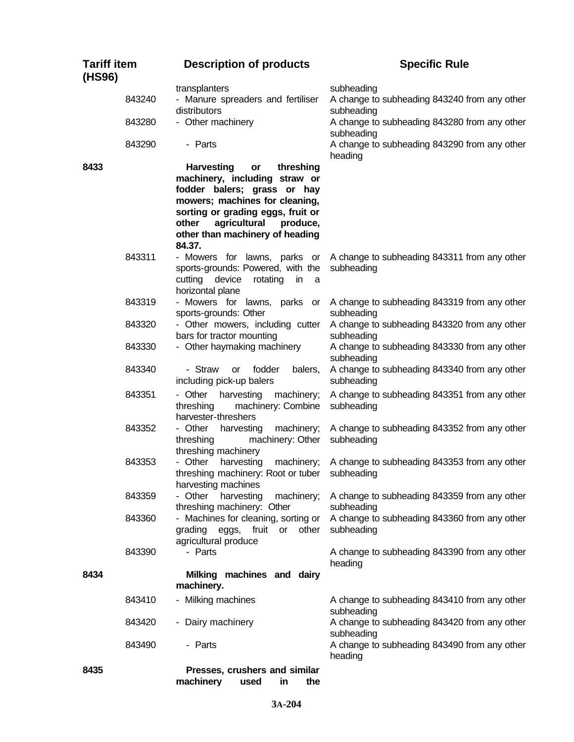| <b>Tariff item</b><br>(HS96) |  | <b>Description of products</b>                                                                                                                                                                                 |                    |                                  | <b>Specific Rule</b>                                                                                       |
|------------------------------|--|----------------------------------------------------------------------------------------------------------------------------------------------------------------------------------------------------------------|--------------------|----------------------------------|------------------------------------------------------------------------------------------------------------|
| 843240                       |  | transplanters<br>- Manure spreaders and fertiliser<br>distributors                                                                                                                                             |                    |                                  | subheading<br>A change to subheading 843240 from any other<br>subheading                                   |
| 843280                       |  | - Other machinery                                                                                                                                                                                              |                    |                                  | A change to subheading 843280 from any other<br>subheading                                                 |
| 843290                       |  | - Parts                                                                                                                                                                                                        |                    |                                  | A change to subheading 843290 from any other<br>heading                                                    |
| 8433                         |  | <b>Harvesting</b><br>machinery, including straw or<br>fodder balers; grass or hay<br>mowers; machines for cleaning,<br>sorting or grading eggs, fruit or<br>other<br>other than machinery of heading<br>84.37. | or<br>agricultural | threshing<br>produce,            |                                                                                                            |
| 843311                       |  | - Mowers for lawns, parks or<br>sports-grounds: Powered, with the<br>cutting device<br>horizontal plane                                                                                                        | rotating in        | a                                | A change to subheading 843311 from any other<br>subheading                                                 |
| 843319                       |  | - Mowers for lawns, parks or<br>sports-grounds: Other                                                                                                                                                          |                    |                                  | A change to subheading 843319 from any other<br>subheading                                                 |
| 843320                       |  | - Other mowers, including cutter<br>bars for tractor mounting                                                                                                                                                  |                    |                                  | A change to subheading 843320 from any other<br>subheading                                                 |
| 843330                       |  | - Other haymaking machinery                                                                                                                                                                                    |                    |                                  | A change to subheading 843330 from any other<br>subheading                                                 |
| 843340                       |  | - Straw<br><b>or</b><br>including pick-up balers                                                                                                                                                               | fodder             | balers,                          | A change to subheading 843340 from any other<br>subheading                                                 |
| 843351                       |  | - Other<br>threshing<br>harvester-threshers                                                                                                                                                                    | harvesting         | machinery;<br>machinery: Combine | A change to subheading 843351 from any other<br>subheading                                                 |
| 843352                       |  | - Other<br>threshing<br>threshing machinery                                                                                                                                                                    | harvesting         | machinery;<br>machinery: Other   | A change to subheading 843352 from any other<br>subheading                                                 |
| 843353                       |  | - Other<br>threshing machinery: Root or tuber<br>harvesting machines                                                                                                                                           | harvesting         | machinery;                       | A change to subheading 843353 from any other<br>subheading                                                 |
| 843359                       |  | - Other<br>threshing machinery: Other                                                                                                                                                                          | harvesting         | machinery;                       | A change to subheading 843359 from any other<br>subheading                                                 |
| 843360                       |  | - Machines for cleaning, sorting or<br>grading<br>agricultural produce                                                                                                                                         |                    | eggs, fruit or other             | A change to subheading 843360 from any other<br>subheading                                                 |
| 843390                       |  | - Parts                                                                                                                                                                                                        |                    |                                  | A change to subheading 843390 from any other<br>heading                                                    |
| 8434                         |  | Milking machines and dairy<br>machinery.                                                                                                                                                                       |                    |                                  |                                                                                                            |
| 843410<br>843420             |  | - Milking machines<br>- Dairy machinery                                                                                                                                                                        |                    |                                  | A change to subheading 843410 from any other<br>subheading<br>A change to subheading 843420 from any other |
| 843490                       |  | - Parts                                                                                                                                                                                                        |                    |                                  | subheading<br>A change to subheading 843490 from any other<br>heading                                      |
| 8435                         |  | Presses, crushers and similar<br>machinery                                                                                                                                                                     | used               | in<br>the                        |                                                                                                            |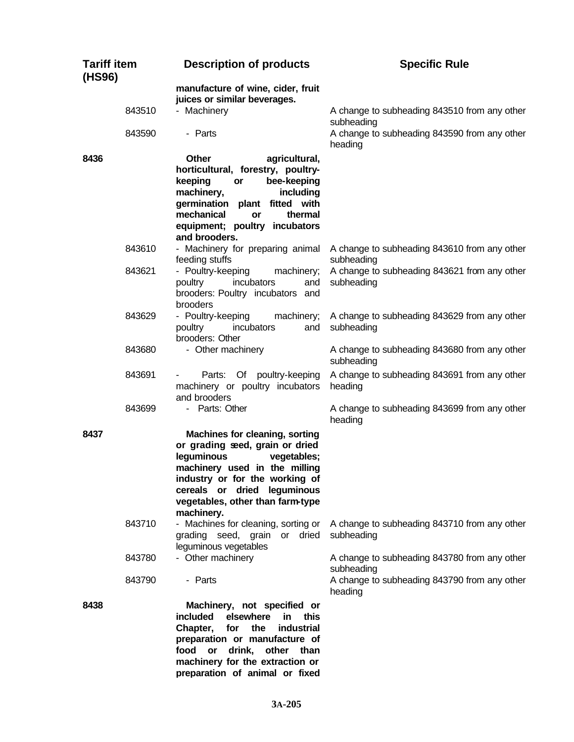| <b>Tariff item</b><br>(HS96) | <b>Description of products</b>                                                                                                                                                                                                                            | <b>Specific Rule</b>                                       |
|------------------------------|-----------------------------------------------------------------------------------------------------------------------------------------------------------------------------------------------------------------------------------------------------------|------------------------------------------------------------|
|                              | manufacture of wine, cider, fruit<br>juices or similar beverages.                                                                                                                                                                                         |                                                            |
| 843510                       | - Machinery                                                                                                                                                                                                                                               | A change to subheading 843510 from any other<br>subheading |
| 843590                       | - Parts                                                                                                                                                                                                                                                   | A change to subheading 843590 from any other<br>heading    |
| 8436                         | agricultural,<br><b>Other</b><br>horticultural, forestry, poultry-<br>bee-keeping<br>keeping<br>or<br>machinery,<br>including<br>germination plant fitted with<br>mechanical<br>thermal<br>or<br>equipment; poultry incubators<br>and brooders.           |                                                            |
| 843610                       | - Machinery for preparing animal<br>feeding stuffs                                                                                                                                                                                                        | A change to subheading 843610 from any other<br>subheading |
| 843621                       | - Poultry-keeping<br>machinery;<br>incubators<br>poultry<br>and<br>brooders: Poultry incubators and<br>brooders                                                                                                                                           | A change to subheading 843621 from any other<br>subheading |
| 843629                       | - Poultry-keeping<br>machinery;<br>poultry<br>incubators<br>and<br>brooders: Other                                                                                                                                                                        | A change to subheading 843629 from any other<br>subheading |
| 843680                       | - Other machinery                                                                                                                                                                                                                                         | A change to subheading 843680 from any other<br>subheading |
| 843691                       | Parts: Of poultry-keeping<br>machinery or poultry incubators<br>and brooders                                                                                                                                                                              | A change to subheading 843691 from any other<br>heading    |
| 843699                       | - Parts: Other                                                                                                                                                                                                                                            | A change to subheading 843699 from any other<br>heading    |
| 8437                         | <b>Machines for cleaning, sorting</b><br>or grading seed, grain or dried<br>leguminous<br>vegetables;<br>machinery used in the milling<br>industry or for the working of<br>cereals or dried leguminous<br>vegetables, other than farm-type<br>machinery. |                                                            |
| 843710                       | - Machines for cleaning, sorting or<br>grading seed, grain or dried<br>leguminous vegetables                                                                                                                                                              | A change to subheading 843710 from any other<br>subheading |
| 843780                       | - Other machinery                                                                                                                                                                                                                                         | A change to subheading 843780 from any other<br>subheading |
| 843790                       | - Parts                                                                                                                                                                                                                                                   | A change to subheading 843790 from any other<br>heading    |
| 8438                         | Machinery, not specified or<br>included<br>elsewhere<br>this<br>in.<br>Chapter,<br>for<br>the<br>industrial<br>preparation or manufacture of<br>food<br>drink,<br>other than<br>or<br>machinery for the extraction or<br>preparation of animal or fixed   |                                                            |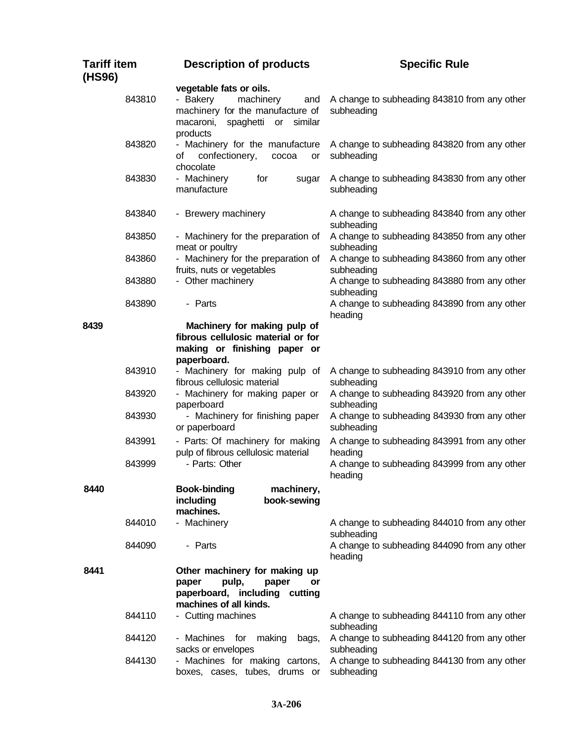| <b>Tariff item</b><br>(HS96) | <b>Description of products</b>                                                                                                                  | <b>Specific Rule</b>                                       |
|------------------------------|-------------------------------------------------------------------------------------------------------------------------------------------------|------------------------------------------------------------|
| 843810                       | vegetable fats or oils.<br>- Bakery<br>machinery<br>and<br>machinery for the manufacture of<br>macaroni,<br>spaghetti or<br>similar<br>products | A change to subheading 843810 from any other<br>subheading |
| 843820                       | - Machinery for the manufacture<br>confectionery,<br>of<br>cocoa<br>or<br>chocolate                                                             | A change to subheading 843820 from any other<br>subheading |
| 843830                       | - Machinery<br>for<br>sugar<br>manufacture                                                                                                      | A change to subheading 843830 from any other<br>subheading |
| 843840                       | - Brewery machinery                                                                                                                             | A change to subheading 843840 from any other<br>subheading |
| 843850                       | - Machinery for the preparation of<br>meat or poultry                                                                                           | A change to subheading 843850 from any other<br>subheading |
| 843860                       | - Machinery for the preparation of<br>fruits, nuts or vegetables                                                                                | A change to subheading 843860 from any other<br>subheading |
| 843880                       | - Other machinery                                                                                                                               | A change to subheading 843880 from any other<br>subheading |
| 843890                       | - Parts                                                                                                                                         | A change to subheading 843890 from any other<br>heading    |
| 8439                         | Machinery for making pulp of<br>fibrous cellulosic material or for<br>making or finishing paper or<br>paperboard.                               |                                                            |
| 843910                       | - Machinery for making pulp of<br>fibrous cellulosic material                                                                                   | A change to subheading 843910 from any other<br>subheading |
| 843920                       | - Machinery for making paper or<br>paperboard                                                                                                   | A change to subheading 843920 from any other<br>subheading |
| 843930                       | - Machinery for finishing paper<br>or paperboard                                                                                                | A change to subheading 843930 from any other<br>subheading |
| 843991                       | - Parts: Of machinery for making<br>pulp of fibrous cellulosic material                                                                         | A change to subheading 843991 from any other<br>heading    |
| 843999                       | - Parts: Other                                                                                                                                  | A change to subheading 843999 from any other<br>heading    |
| 8440                         | <b>Book-binding</b><br>machinery,<br>book-sewing<br>including<br>machines.                                                                      |                                                            |
| 844010                       | - Machinery                                                                                                                                     | A change to subheading 844010 from any other<br>subheading |
| 844090                       | - Parts                                                                                                                                         | A change to subheading 844090 from any other<br>heading    |
| 8441                         | Other machinery for making up<br>paper<br>pulp,<br>paper<br>or<br>paperboard, including cutting<br>machines of all kinds.                       |                                                            |
| 844110                       | - Cutting machines                                                                                                                              | A change to subheading 844110 from any other<br>subheading |
| 844120                       | - Machines for<br>making<br>bags,<br>sacks or envelopes                                                                                         | A change to subheading 844120 from any other<br>subheading |
| 844130                       | - Machines for making cartons,<br>boxes, cases, tubes, drums or                                                                                 | A change to subheading 844130 from any other<br>subheading |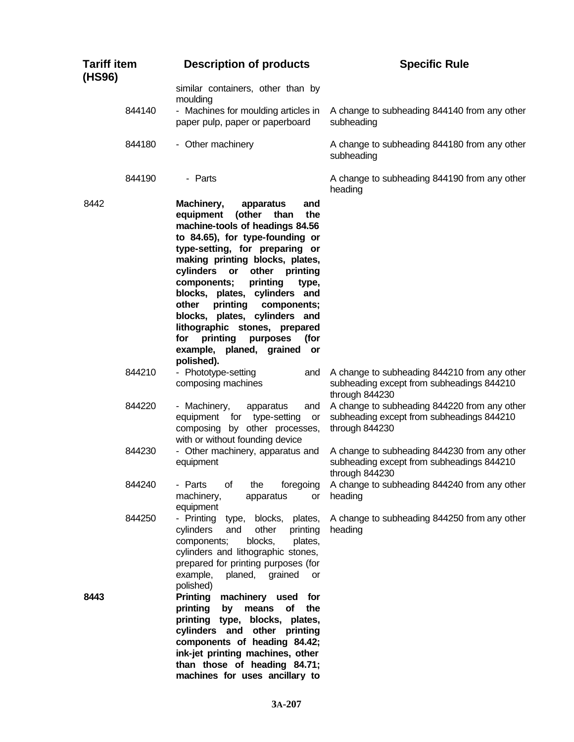| <b>Tariff item</b><br>(HS96) | <b>Description of products</b>                                                                                                                                                                                                                                                                                                                                                                                                                                                                                         | <b>Specific Rule</b>                                                                                        |
|------------------------------|------------------------------------------------------------------------------------------------------------------------------------------------------------------------------------------------------------------------------------------------------------------------------------------------------------------------------------------------------------------------------------------------------------------------------------------------------------------------------------------------------------------------|-------------------------------------------------------------------------------------------------------------|
|                              | similar containers, other than by                                                                                                                                                                                                                                                                                                                                                                                                                                                                                      |                                                                                                             |
| 844140                       | moulding<br>- Machines for moulding articles in<br>paper pulp, paper or paperboard                                                                                                                                                                                                                                                                                                                                                                                                                                     | A change to subheading 844140 from any other<br>subheading                                                  |
| 844180                       | - Other machinery                                                                                                                                                                                                                                                                                                                                                                                                                                                                                                      | A change to subheading 844180 from any other<br>subheading                                                  |
| 844190                       | - Parts                                                                                                                                                                                                                                                                                                                                                                                                                                                                                                                | A change to subheading 844190 from any other<br>heading                                                     |
| 8442                         | Machinery,<br>apparatus<br>and<br>(other<br>the<br>equipment<br>than<br>machine-tools of headings 84.56<br>to 84.65), for type-founding or<br>type-setting, for preparing or<br>making printing blocks, plates,<br>cylinders<br>other<br>printing<br>or<br>printing<br>components;<br>type,<br>blocks, plates, cylinders and<br>printing<br>other<br>components;<br>blocks, plates, cylinders and<br>lithographic stones, prepared<br>printing<br>for<br>purposes<br>(for<br>example, planed, grained or<br>polished). |                                                                                                             |
| 844210                       | - Phototype-setting<br>and<br>composing machines                                                                                                                                                                                                                                                                                                                                                                                                                                                                       | A change to subheading 844210 from any other<br>subheading except from subheadings 844210<br>through 844230 |
| 844220                       | - Machinery,<br>apparatus<br>and<br>equipment for type-setting<br>or<br>composing by other processes,<br>with or without founding device                                                                                                                                                                                                                                                                                                                                                                               | A change to subheading 844220 from any other<br>subheading except from subheadings 844210<br>through 844230 |
| 844230                       | - Other machinery, apparatus and<br>equipment                                                                                                                                                                                                                                                                                                                                                                                                                                                                          | A change to subheading 844230 from any other<br>subheading except from subheadings 844210<br>through 844230 |
| 844240                       | - Parts<br>the<br>οf<br>machinery,<br>or<br>apparatus<br>equipment                                                                                                                                                                                                                                                                                                                                                                                                                                                     | foregoing A change to subheading 844240 from any other<br>heading                                           |
| 844250                       | - Printing type, blocks, plates,<br>cylinders<br>other<br>and<br>printing<br>components;<br>blocks,<br>plates,<br>cylinders and lithographic stones,<br>prepared for printing purposes (for<br>example,<br>planed, grained<br>or<br>polished)                                                                                                                                                                                                                                                                          | A change to subheading 844250 from any other<br>heading                                                     |
| 8443                         | <b>Printing</b><br>machinery used for<br>printing by means of<br>the<br>printing type, blocks, plates,<br>cylinders and other printing<br>components of heading 84.42;<br>ink-jet printing machines, other<br>than those of heading 84.71;<br>machines for uses ancillary to                                                                                                                                                                                                                                           |                                                                                                             |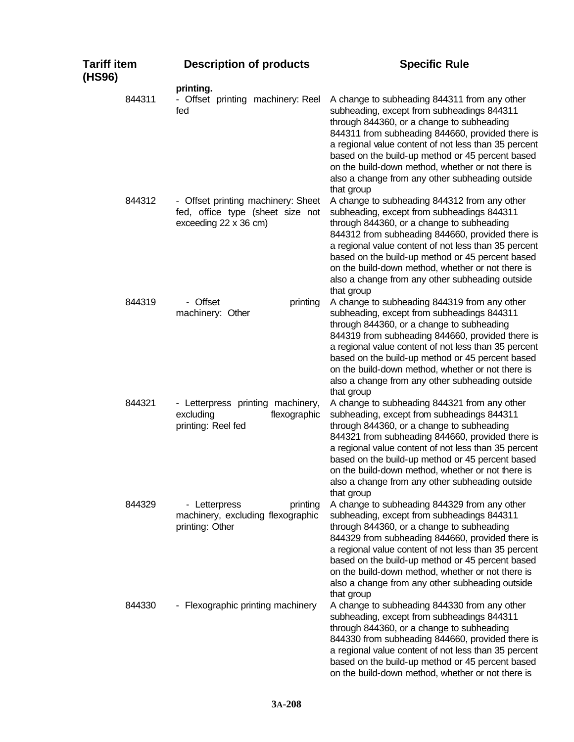| <b>Tariff item</b><br>(HS96) | <b>Description of products</b>                                                                  | <b>Specific Rule</b>                                                                                                                                                                                                                                                                                                                                                                                                          |
|------------------------------|-------------------------------------------------------------------------------------------------|-------------------------------------------------------------------------------------------------------------------------------------------------------------------------------------------------------------------------------------------------------------------------------------------------------------------------------------------------------------------------------------------------------------------------------|
|                              | printing.                                                                                       |                                                                                                                                                                                                                                                                                                                                                                                                                               |
| 844311                       | - Offset printing machinery: Reel<br>fed                                                        | A change to subheading 844311 from any other<br>subheading, except from subheadings 844311<br>through 844360, or a change to subheading<br>844311 from subheading 844660, provided there is<br>a regional value content of not less than 35 percent<br>based on the build-up method or 45 percent based<br>on the build-down method, whether or not there is<br>also a change from any other subheading outside<br>that group |
| 844312                       | - Offset printing machinery: Sheet<br>fed, office type (sheet size not<br>exceeding 22 x 36 cm) | A change to subheading 844312 from any other<br>subheading, except from subheadings 844311<br>through 844360, or a change to subheading<br>844312 from subheading 844660, provided there is<br>a regional value content of not less than 35 percent<br>based on the build-up method or 45 percent based<br>on the build-down method, whether or not there is<br>also a change from any other subheading outside<br>that group |
| 844319                       | - Offset<br>printing<br>machinery: Other                                                        | A change to subheading 844319 from any other<br>subheading, except from subheadings 844311<br>through 844360, or a change to subheading<br>844319 from subheading 844660, provided there is<br>a regional value content of not less than 35 percent<br>based on the build-up method or 45 percent based<br>on the build-down method, whether or not there is<br>also a change from any other subheading outside<br>that group |
| 844321                       | - Letterpress printing machinery,<br>excluding<br>flexographic<br>printing: Reel fed            | A change to subheading 844321 from any other<br>subheading, except from subheadings 844311<br>through 844360, or a change to subheading<br>844321 from subheading 844660, provided there is<br>a regional value content of not less than 35 percent<br>based on the build-up method or 45 percent based<br>on the build-down method, whether or not there is<br>also a change from any other subheading outside<br>that group |
| 844329                       | - Letterpress<br>printing<br>machinery, excluding flexographic<br>printing: Other               | A change to subheading 844329 from any other<br>subheading, except from subheadings 844311<br>through 844360, or a change to subheading<br>844329 from subheading 844660, provided there is<br>a regional value content of not less than 35 percent<br>based on the build-up method or 45 percent based<br>on the build-down method, whether or not there is<br>also a change from any other subheading outside<br>that group |
| 844330                       | - Flexographic printing machinery                                                               | A change to subheading 844330 from any other<br>subheading, except from subheadings 844311<br>through 844360, or a change to subheading<br>844330 from subheading 844660, provided there is<br>a regional value content of not less than 35 percent<br>based on the build-up method or 45 percent based<br>on the build-down method, whether or not there is                                                                  |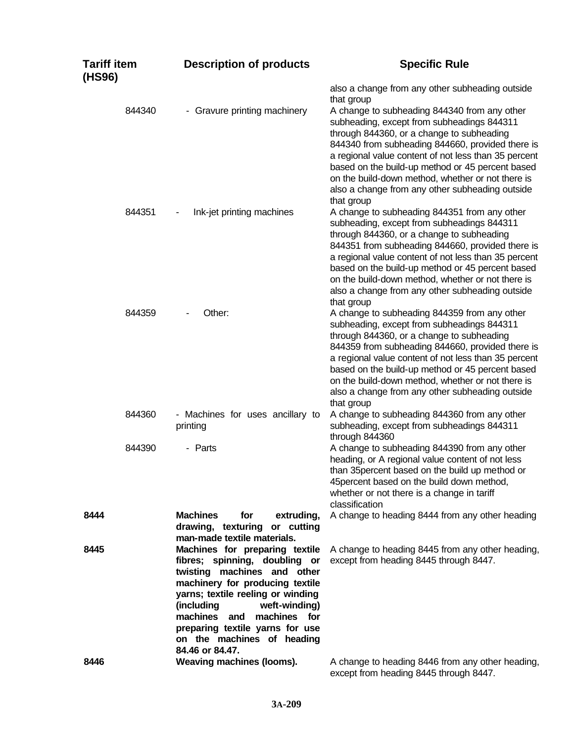| <b>Tariff item</b><br>(HS96) | <b>Description of products</b>                                                                                                                                                                                                                                                                                               | <b>Specific Rule</b>                                                                                                                                                                                                                                                                                                                                                                                                          |
|------------------------------|------------------------------------------------------------------------------------------------------------------------------------------------------------------------------------------------------------------------------------------------------------------------------------------------------------------------------|-------------------------------------------------------------------------------------------------------------------------------------------------------------------------------------------------------------------------------------------------------------------------------------------------------------------------------------------------------------------------------------------------------------------------------|
| 844340                       | - Gravure printing machinery                                                                                                                                                                                                                                                                                                 | also a change from any other subheading outside<br>that group<br>A change to subheading 844340 from any other<br>subheading, except from subheadings 844311<br>through 844360, or a change to subheading<br>844340 from subheading 844660, provided there is                                                                                                                                                                  |
| 844351                       | Ink-jet printing machines                                                                                                                                                                                                                                                                                                    | a regional value content of not less than 35 percent<br>based on the build-up method or 45 percent based<br>on the build-down method, whether or not there is<br>also a change from any other subheading outside<br>that group<br>A change to subheading 844351 from any other<br>subheading, except from subheadings 844311<br>through 844360, or a change to subheading<br>844351 from subheading 844660, provided there is |
|                              |                                                                                                                                                                                                                                                                                                                              | a regional value content of not less than 35 percent<br>based on the build-up method or 45 percent based<br>on the build-down method, whether or not there is<br>also a change from any other subheading outside<br>that group                                                                                                                                                                                                |
| 844359                       | Other:                                                                                                                                                                                                                                                                                                                       | A change to subheading 844359 from any other<br>subheading, except from subheadings 844311<br>through 844360, or a change to subheading<br>844359 from subheading 844660, provided there is<br>a regional value content of not less than 35 percent<br>based on the build-up method or 45 percent based<br>on the build-down method, whether or not there is<br>also a change from any other subheading outside<br>that group |
| 844360                       | - Machines for uses ancillary to<br>printing                                                                                                                                                                                                                                                                                 | A change to subheading 844360 from any other<br>subheading, except from subheadings 844311<br>through 844360                                                                                                                                                                                                                                                                                                                  |
| 844390                       | - Parts                                                                                                                                                                                                                                                                                                                      | A change to subheading 844390 from any other<br>heading, or A regional value content of not less<br>than 35 percent based on the build up method or<br>45 percent based on the build down method,<br>whether or not there is a change in tariff<br>classification                                                                                                                                                             |
| 8444                         | <b>Machines</b><br>for<br>extruding,<br>drawing, texturing or cutting<br>man-made textile materials.                                                                                                                                                                                                                         | A change to heading 8444 from any other heading                                                                                                                                                                                                                                                                                                                                                                               |
| 8445                         | Machines for preparing textile<br>fibres; spinning, doubling or<br>twisting machines and other<br>machinery for producing textile<br>yarns; textile reeling or winding<br>(including<br>weft-winding)<br>machines for<br>machines<br>and<br>preparing textile yarns for use<br>on the machines of heading<br>84.46 or 84.47. | A change to heading 8445 from any other heading,<br>except from heading 8445 through 8447.                                                                                                                                                                                                                                                                                                                                    |
| 8446                         | <b>Weaving machines (looms).</b>                                                                                                                                                                                                                                                                                             | A change to heading 8446 from any other heading,<br>except from heading 8445 through 8447.                                                                                                                                                                                                                                                                                                                                    |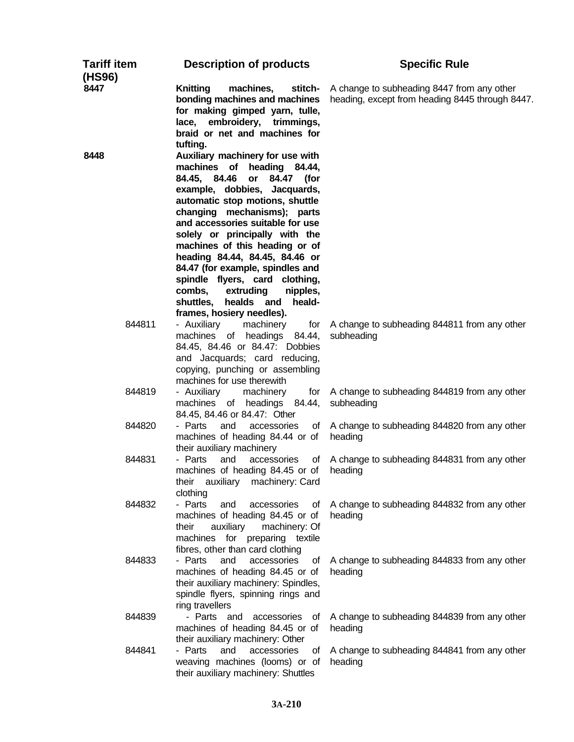| <b>Tariff item</b><br>(HS96) | <b>Description of products</b>                                                                                                                                                                                                                                                                                                                                                                                                                                                                                         | <b>Specific Rule</b>                                                                          |
|------------------------------|------------------------------------------------------------------------------------------------------------------------------------------------------------------------------------------------------------------------------------------------------------------------------------------------------------------------------------------------------------------------------------------------------------------------------------------------------------------------------------------------------------------------|-----------------------------------------------------------------------------------------------|
| 8447                         | <b>Knitting</b><br>machines,<br>stitch-<br>bonding machines and machines<br>for making gimped yarn, tulle,<br>lace, embroidery, trimmings,<br>braid or net and machines for<br>tufting.                                                                                                                                                                                                                                                                                                                                | A change to subheading 8447 from any other<br>heading, except from heading 8445 through 8447. |
| 8448                         | Auxiliary machinery for use with<br>machines of heading 84.44,<br>84.45, 84.46<br>or<br>84.47 (for<br>example, dobbies, Jacquards,<br>automatic stop motions, shuttle<br>changing mechanisms); parts<br>and accessories suitable for use<br>solely or principally with the<br>machines of this heading or of<br>heading 84.44, 84.45, 84.46 or<br>84.47 (for example, spindles and<br>spindle flyers, card clothing,<br>extruding<br>combs,<br>nipples,<br>shuttles, healds and<br>heald-<br>frames, hosiery needles). |                                                                                               |
| 844811                       | - Auxiliary<br>machinery<br>for<br>machines of headings 84.44,<br>84.45, 84.46 or 84.47: Dobbies<br>and Jacquards; card reducing,<br>copying, punching or assembling<br>machines for use therewith                                                                                                                                                                                                                                                                                                                     | A change to subheading 844811 from any other<br>subheading                                    |
| 844819                       | - Auxiliary<br>machinery<br>for<br>machines of headings 84.44,<br>84.45, 84.46 or 84.47: Other                                                                                                                                                                                                                                                                                                                                                                                                                         | A change to subheading 844819 from any other<br>subheading                                    |
| 844820                       | - Parts<br>and<br>accessories<br>machines of heading 84.44 or of<br>their auxiliary machinery                                                                                                                                                                                                                                                                                                                                                                                                                          | of A change to subheading 844820 from any other<br>heading                                    |
| 844831                       | - Parts<br>and<br>accessories<br>οf<br>machines of heading 84.45 or of<br>auxiliary<br>machinery: Card<br>their<br>clothing                                                                                                                                                                                                                                                                                                                                                                                            | A change to subheading 844831 from any other<br>heading                                       |
| 844832                       | - Parts<br>and<br>accessories<br>οf<br>machines of heading 84.45 or of<br>auxiliary<br>machinery: Of<br>their<br>machines for preparing textile<br>fibres, other than card clothing                                                                                                                                                                                                                                                                                                                                    | A change to subheading 844832 from any other<br>heading                                       |
| 844833                       | - Parts<br>and<br>accessories<br>οf<br>machines of heading 84.45 or of<br>their auxiliary machinery: Spindles,<br>spindle flyers, spinning rings and<br>ring travellers                                                                                                                                                                                                                                                                                                                                                | A change to subheading 844833 from any other<br>heading                                       |
| 844839                       | - Parts and<br>accessories<br>0f<br>machines of heading 84.45 or of<br>their auxiliary machinery: Other                                                                                                                                                                                                                                                                                                                                                                                                                | A change to subheading 844839 from any other<br>heading                                       |
| 844841                       | - Parts<br>accessories<br>and<br>οf<br>weaving machines (looms) or of<br>their auxiliary machinery: Shuttles                                                                                                                                                                                                                                                                                                                                                                                                           | A change to subheading 844841 from any other<br>heading                                       |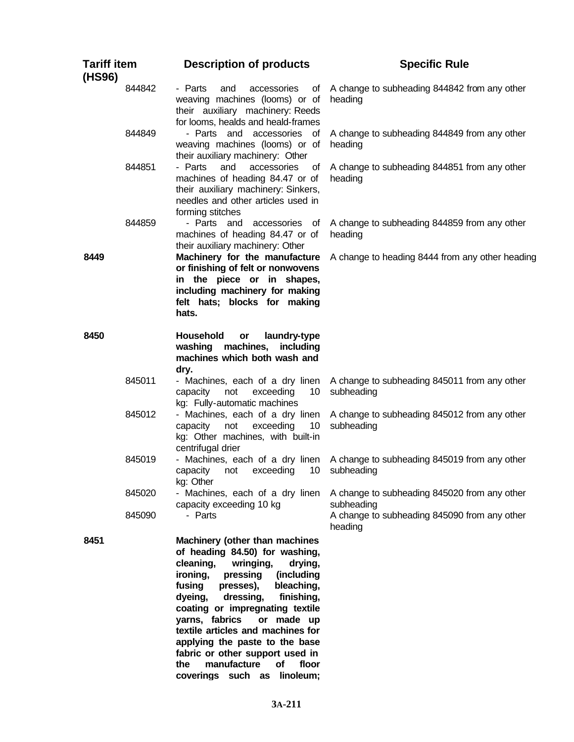| <b>Tariff item</b><br>(HS96) |                  | <b>Description of products</b>                                                                                                                                                                                                                                                                                                                                                                                                                                                 | <b>Specific Rule</b>                                                                                       |
|------------------------------|------------------|--------------------------------------------------------------------------------------------------------------------------------------------------------------------------------------------------------------------------------------------------------------------------------------------------------------------------------------------------------------------------------------------------------------------------------------------------------------------------------|------------------------------------------------------------------------------------------------------------|
|                              | 844842           | - Parts<br>and<br>accessories<br>оf<br>weaving machines (looms) or of<br>their auxiliary machinery: Reeds<br>for looms, healds and heald-frames                                                                                                                                                                                                                                                                                                                                | A change to subheading 844842 from any other<br>heading                                                    |
|                              | 844849           | - Parts and accessories of<br>weaving machines (looms) or of<br>their auxiliary machinery: Other                                                                                                                                                                                                                                                                                                                                                                               | A change to subheading 844849 from any other<br>heading                                                    |
|                              | 844851           | - Parts<br>and<br>accessories<br>of<br>machines of heading 84.47 or of<br>their auxiliary machinery: Sinkers,<br>needles and other articles used in<br>forming stitches                                                                                                                                                                                                                                                                                                        | A change to subheading 844851 from any other<br>heading                                                    |
|                              | 844859           | - Parts and<br>accessories<br>- of<br>machines of heading 84.47 or of<br>their auxiliary machinery: Other                                                                                                                                                                                                                                                                                                                                                                      | A change to subheading 844859 from any other<br>heading                                                    |
| 8449                         |                  | Machinery for the manufacture<br>or finishing of felt or nonwovens<br>in the piece or in shapes,<br>including machinery for making<br>felt hats; blocks for making<br>hats.                                                                                                                                                                                                                                                                                                    | A change to heading 8444 from any other heading                                                            |
| 8450                         |                  | <b>Household</b><br>laundry-type<br>or<br>washing machines,<br>including<br>machines which both wash and<br>dry.                                                                                                                                                                                                                                                                                                                                                               |                                                                                                            |
|                              | 845011           | - Machines, each of a dry linen<br>not<br>exceeding<br>10<br>capacity<br>kg: Fully-automatic machines                                                                                                                                                                                                                                                                                                                                                                          | A change to subheading 845011 from any other<br>subheading                                                 |
|                              | 845012           | - Machines, each of a dry linen<br>exceeding<br>10<br>capacity<br>not<br>kg: Other machines, with built-in<br>centrifugal drier                                                                                                                                                                                                                                                                                                                                                | A change to subheading 845012 from any other<br>subheading                                                 |
|                              | 845019           | - Machines, each of a dry linen<br>capacity<br>exceeding<br>10<br>not<br>kg: Other                                                                                                                                                                                                                                                                                                                                                                                             | A change to subheading 845019 from any other<br>subheading                                                 |
|                              | 845020<br>845090 | - Machines, each of a dry linen<br>capacity exceeding 10 kg<br>- Parts                                                                                                                                                                                                                                                                                                                                                                                                         | A change to subheading 845020 from any other<br>subheading<br>A change to subheading 845090 from any other |
|                              |                  |                                                                                                                                                                                                                                                                                                                                                                                                                                                                                | heading                                                                                                    |
| 8451                         |                  | Machinery (other than machines<br>of heading 84.50) for washing,<br>cleaning,<br>wringing,<br>drying,<br>ironing,<br>pressing<br>(including<br>fusing<br>presses),<br>bleaching,<br>finishing,<br>dyeing,<br>dressing,<br>coating or impregnating textile<br>yarns, fabrics<br>or made up<br>textile articles and machines for<br>applying the paste to the base<br>fabric or other support used in<br>manufacture<br>floor<br>the<br><b>of</b><br>coverings such as linoleum; |                                                                                                            |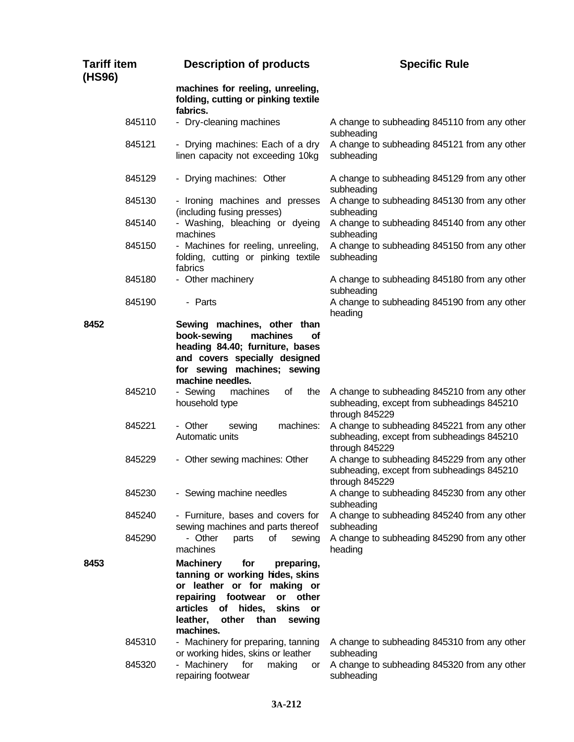| <b>Tariff item</b><br>(HS96) | <b>Description of products</b>                                                                                                                                                                                                                                                 | <b>Specific Rule</b>                                                                                         |
|------------------------------|--------------------------------------------------------------------------------------------------------------------------------------------------------------------------------------------------------------------------------------------------------------------------------|--------------------------------------------------------------------------------------------------------------|
|                              | machines for reeling, unreeling,<br>folding, cutting or pinking textile<br>fabrics.                                                                                                                                                                                            |                                                                                                              |
| 845110                       | - Dry-cleaning machines                                                                                                                                                                                                                                                        | A change to subheading 845110 from any other<br>subheading                                                   |
| 845121                       | - Drying machines: Each of a dry<br>linen capacity not exceeding 10kg                                                                                                                                                                                                          | A change to subheading 845121 from any other<br>subheading                                                   |
| 845129                       | - Drying machines: Other                                                                                                                                                                                                                                                       | A change to subheading 845129 from any other<br>subheading                                                   |
| 845130                       | - Ironing machines and presses<br>(including fusing presses)                                                                                                                                                                                                                   | A change to subheading 845130 from any other<br>subheading                                                   |
| 845140                       | - Washing, bleaching or dyeing<br>machines                                                                                                                                                                                                                                     | A change to subheading 845140 from any other<br>subheading                                                   |
| 845150                       | - Machines for reeling, unreeling,<br>folding, cutting or pinking textile<br>fabrics                                                                                                                                                                                           | A change to subheading 845150 from any other<br>subheading                                                   |
| 845180                       | - Other machinery                                                                                                                                                                                                                                                              | A change to subheading 845180 from any other<br>subheading                                                   |
| 845190                       | - Parts                                                                                                                                                                                                                                                                        | A change to subheading 845190 from any other<br>heading                                                      |
| 8452                         | Sewing machines, other than<br>book-sewing<br>machines<br><b>of</b><br>heading 84.40; furniture, bases<br>and covers specially designed<br>for sewing machines; sewing<br>machine needles.                                                                                     |                                                                                                              |
| 845210                       | - Sewing<br>machines<br>of<br>the<br>household type                                                                                                                                                                                                                            | A change to subheading 845210 from any other<br>subheading, except from subheadings 845210<br>through 845229 |
| 845221                       | machines:<br>- Other<br>sewing<br>Automatic units                                                                                                                                                                                                                              | A change to subheading 845221 from any other<br>subheading, except from subheadings 845210<br>through 845229 |
| 845229                       | - Other sewing machines: Other                                                                                                                                                                                                                                                 | A change to subheading 845229 from any other<br>subheading, except from subheadings 845210<br>through 845229 |
| 845230                       | - Sewing machine needles                                                                                                                                                                                                                                                       | A change to subheading 845230 from any other<br>subheading                                                   |
| 845240                       | - Furniture, bases and covers for<br>sewing machines and parts thereof                                                                                                                                                                                                         | A change to subheading 845240 from any other<br>subheading                                                   |
| 845290                       | - Other<br>οf<br>parts<br>sewing<br>machines                                                                                                                                                                                                                                   | A change to subheading 845290 from any other<br>heading                                                      |
| 8453<br>845310               | for<br><b>Machinery</b><br>preparing,<br>tanning or working hides, skins<br>or leather or for making or<br>repairing footwear<br>or<br>other<br>articles<br>of hides,<br>skins<br>or<br>other<br>than<br>leather,<br>sewing<br>machines.<br>- Machinery for preparing, tanning | A change to subheading 845310 from any other                                                                 |
| 845320                       | or working hides, skins or leather<br>- Machinery<br>for<br>making<br>or<br>repairing footwear                                                                                                                                                                                 | subheading<br>A change to subheading 845320 from any other<br>subheading                                     |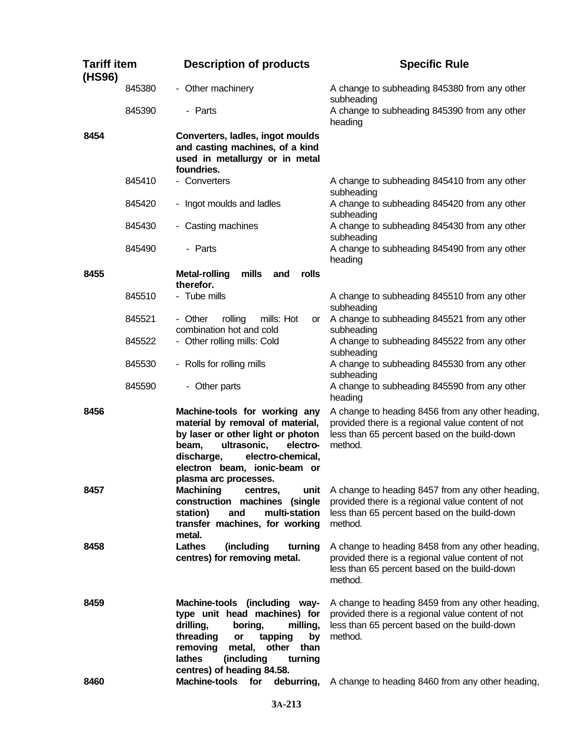| <b>Tariff item</b><br>(HS96) |        | <b>Description of products</b>                                                                                                                                                                                                                | <b>Specific Rule</b>                                                                                                                                             |
|------------------------------|--------|-----------------------------------------------------------------------------------------------------------------------------------------------------------------------------------------------------------------------------------------------|------------------------------------------------------------------------------------------------------------------------------------------------------------------|
|                              | 845380 | - Other machinery                                                                                                                                                                                                                             | A change to subheading 845380 from any other<br>subheading                                                                                                       |
|                              | 845390 | - Parts                                                                                                                                                                                                                                       | A change to subheading 845390 from any other<br>heading                                                                                                          |
| 8454                         |        | Converters, ladles, ingot moulds<br>and casting machines, of a kind<br>used in metallurgy or in metal<br>foundries.                                                                                                                           |                                                                                                                                                                  |
|                              | 845410 | - Converters                                                                                                                                                                                                                                  | A change to subheading 845410 from any other<br>subheading                                                                                                       |
|                              | 845420 | - Ingot moulds and ladles                                                                                                                                                                                                                     | A change to subheading 845420 from any other<br>subheading                                                                                                       |
|                              | 845430 | - Casting machines                                                                                                                                                                                                                            | A change to subheading 845430 from any other<br>subheading                                                                                                       |
|                              | 845490 | - Parts                                                                                                                                                                                                                                       | A change to subheading 845490 from any other<br>heading                                                                                                          |
| 8455                         |        | mills<br>rolls<br><b>Metal-rolling</b><br>and<br>therefor.                                                                                                                                                                                    |                                                                                                                                                                  |
|                              | 845510 | - Tube mills                                                                                                                                                                                                                                  | A change to subheading 845510 from any other<br>subheading                                                                                                       |
|                              | 845521 | - Other<br>mills: Hot<br>rolling<br>or<br>combination hot and cold                                                                                                                                                                            | A change to subheading 845521 from any other<br>subheading                                                                                                       |
|                              | 845522 | - Other rolling mills: Cold                                                                                                                                                                                                                   | A change to subheading 845522 from any other<br>subheading                                                                                                       |
|                              | 845530 | - Rolls for rolling mills                                                                                                                                                                                                                     | A change to subheading 845530 from any other<br>subheading                                                                                                       |
|                              | 845590 | - Other parts                                                                                                                                                                                                                                 | A change to subheading 845590 from any other<br>heading                                                                                                          |
| 8456                         |        | Machine-tools for working any<br>material by removal of material,<br>by laser or other light or photon<br>ultrasonic,<br>electro-<br>beam,<br>electro-chemical,<br>discharge,<br>electron beam, ionic-beam or<br>plasma arc processes.        | A change to heading 8456 from any other heading,<br>provided there is a regional value content of not<br>less than 65 percent based on the build-down<br>method. |
| 8457                         |        | <b>Machining</b><br>unit<br>centres,<br>construction machines (single<br>multi-station<br>station)<br>and<br>transfer machines, for working<br>metal.                                                                                         | A change to heading 8457 from any other heading,<br>provided there is a regional value content of not<br>less than 65 percent based on the build-down<br>method. |
| 8458                         |        | <b>Lathes</b><br>(including<br>turning<br>centres) for removing metal.                                                                                                                                                                        | A change to heading 8458 from any other heading,<br>provided there is a regional value content of not<br>less than 65 percent based on the build-down<br>method. |
| 8459                         |        | Machine-tools (including way-<br>type unit head machines) for<br>drilling,<br>boring,<br>milling,<br>threading<br>tapping<br>by<br>or<br>other<br>removing<br>metal,<br>than<br>lathes<br>(including<br>turning<br>centres) of heading 84.58. | A change to heading 8459 from any other heading,<br>provided there is a regional value content of not<br>less than 65 percent based on the build-down<br>method. |
| 8460                         |        | deburring,<br><b>Machine-tools</b><br>for                                                                                                                                                                                                     | A change to heading 8460 from any other heading,                                                                                                                 |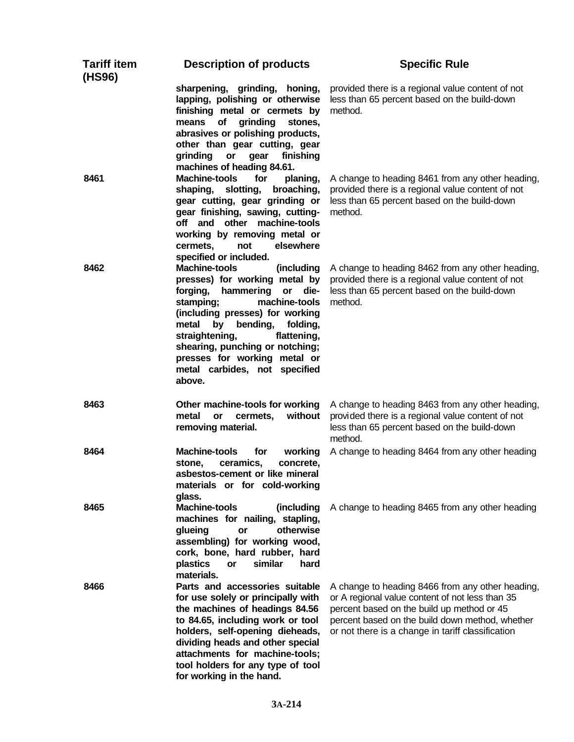| <b>Tariff item</b><br>(HS96) | <b>Description of products</b>                                                                                                                                                                                                                                                                                                                                    | <b>Specific Rule</b>                                                                                                                                                                                                                                      |
|------------------------------|-------------------------------------------------------------------------------------------------------------------------------------------------------------------------------------------------------------------------------------------------------------------------------------------------------------------------------------------------------------------|-----------------------------------------------------------------------------------------------------------------------------------------------------------------------------------------------------------------------------------------------------------|
|                              | sharpening, grinding, honing,<br>lapping, polishing or otherwise<br>finishing metal or cermets by<br>means<br>of<br>grinding<br>stones,<br>abrasives or polishing products,<br>other than gear cutting, gear<br>grinding<br>or<br>gear<br>finishing<br>machines of heading 84.61.                                                                                 | provided there is a regional value content of not<br>less than 65 percent based on the build-down<br>method.                                                                                                                                              |
| 8461                         | <b>Machine-tools</b><br>for<br>planing,<br>shaping,<br>slotting,<br>broaching,<br>gear cutting, gear grinding or<br>gear finishing, sawing, cutting-<br>off and other machine-tools<br>working by removing metal or<br>elsewhere<br>cermets,<br>not<br>specified or included.                                                                                     | A change to heading 8461 from any other heading,<br>provided there is a regional value content of not<br>less than 65 percent based on the build-down<br>method.                                                                                          |
| 8462                         | <b>Machine-tools</b><br>(including<br>presses) for working metal by<br>forging,<br>hammering<br>or<br>die-<br>stamping;<br>machine-tools<br>(including presses) for working<br>metal<br>by<br>bending,<br>folding,<br>straightening,<br>flattening,<br>shearing, punching or notching;<br>presses for working metal or<br>metal carbides, not specified<br>above. | A change to heading 8462 from any other heading,<br>provided there is a regional value content of not<br>less than 65 percent based on the build-down<br>method.                                                                                          |
| 8463                         | Other machine-tools for working<br>without<br>metal<br>cermets,<br>or<br>removing material.                                                                                                                                                                                                                                                                       | A change to heading 8463 from any other heading,<br>provided there is a regional value content of not<br>less than 65 percent based on the build-down<br>method.                                                                                          |
| 8464                         | <b>Machine-tools</b><br>for<br>working<br>ceramics,<br>concrete,<br>stone.<br>asbestos-cement or like mineral<br>materials or for cold-working<br>glass.                                                                                                                                                                                                          | A change to heading 8464 from any other heading                                                                                                                                                                                                           |
| 8465                         | <b>Machine-tools</b><br>(including<br>machines for nailing, stapling,<br>otherwise<br>glueing<br>or<br>assembling) for working wood,<br>cork, bone, hard rubber, hard<br>similar<br>hard<br>plastics<br><b>or</b><br>materials.                                                                                                                                   | A change to heading 8465 from any other heading                                                                                                                                                                                                           |
| 8466                         | Parts and accessories suitable<br>for use solely or principally with<br>the machines of headings 84.56<br>to 84.65, including work or tool<br>holders, self-opening dieheads,<br>dividing heads and other special<br>attachments for machine-tools;<br>tool holders for any type of tool<br>for working in the hand.                                              | A change to heading 8466 from any other heading,<br>or A regional value content of not less than 35<br>percent based on the build up method or 45<br>percent based on the build down method, whether<br>or not there is a change in tariff classification |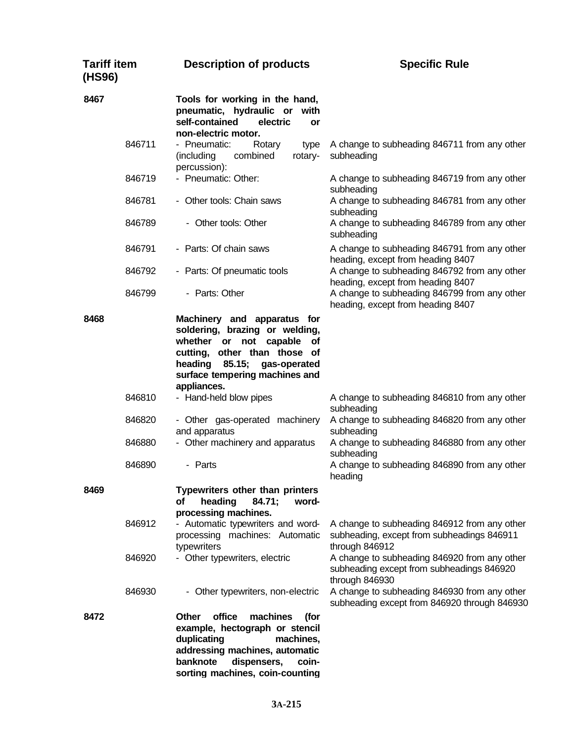| <b>Tariff item</b><br>(HS96) | <b>Description of products</b>                                                                                                                                                                                    | <b>Specific Rule</b>                                                                                                                                                   |
|------------------------------|-------------------------------------------------------------------------------------------------------------------------------------------------------------------------------------------------------------------|------------------------------------------------------------------------------------------------------------------------------------------------------------------------|
| 8467                         | Tools for working in the hand,<br>pneumatic, hydraulic or with<br>self-contained<br>electric<br><b>or</b><br>non-electric motor.                                                                                  |                                                                                                                                                                        |
| 846711                       | - Pneumatic:<br>Rotary<br>type<br>combined<br>rotary-<br>(including<br>percussion):                                                                                                                               | A change to subheading 846711 from any other<br>subheading                                                                                                             |
| 846719                       | - Pneumatic: Other:                                                                                                                                                                                               | A change to subheading 846719 from any other<br>subheading                                                                                                             |
| 846781                       | - Other tools: Chain saws                                                                                                                                                                                         | A change to subheading 846781 from any other<br>subheading                                                                                                             |
| 846789                       | - Other tools: Other                                                                                                                                                                                              | A change to subheading 846789 from any other<br>subheading                                                                                                             |
| 846791                       | - Parts: Of chain saws                                                                                                                                                                                            | A change to subheading 846791 from any other<br>heading, except from heading 8407                                                                                      |
| 846792<br>846799             | - Parts: Of pneumatic tools<br>- Parts: Other                                                                                                                                                                     | A change to subheading 846792 from any other<br>heading, except from heading 8407<br>A change to subheading 846799 from any other<br>heading, except from heading 8407 |
| 8468                         | Machinery and apparatus for<br>soldering, brazing or welding,<br>whether or not capable of<br>cutting, other than those of<br>heading<br>85.15;<br>gas-operated<br>surface tempering machines and<br>appliances.  |                                                                                                                                                                        |
| 846810                       | - Hand-held blow pipes                                                                                                                                                                                            | A change to subheading 846810 from any other<br>subheading                                                                                                             |
| 846820                       | - Other gas-operated machinery<br>and apparatus                                                                                                                                                                   | A change to subheading 846820 from any other<br>subheading                                                                                                             |
| 846880                       | - Other machinery and apparatus                                                                                                                                                                                   | A change to subheading 846880 from any other<br>subheading                                                                                                             |
| 846890                       | - Parts                                                                                                                                                                                                           | A change to subheading 846890 from any other<br>heading                                                                                                                |
| 8469                         | Typewriters other than printers<br>heading<br>84.71;<br>οf<br>word-<br>processing machines.                                                                                                                       |                                                                                                                                                                        |
| 846912                       | - Automatic typewriters and word-<br>processing machines: Automatic<br>typewriters                                                                                                                                | A change to subheading 846912 from any other<br>subheading, except from subheadings 846911<br>through 846912                                                           |
| 846920                       | - Other typewriters, electric                                                                                                                                                                                     | A change to subheading 846920 from any other<br>subheading except from subheadings 846920<br>through 846930                                                            |
| 846930                       | - Other typewriters, non-electric                                                                                                                                                                                 | A change to subheading 846930 from any other<br>subheading except from 846920 through 846930                                                                           |
| 8472                         | office<br>machines<br>(for<br><b>Other</b><br>example, hectograph or stencil<br>duplicating<br>machines,<br>addressing machines, automatic<br>banknote<br>dispensers,<br>coin-<br>sorting machines, coin-counting |                                                                                                                                                                        |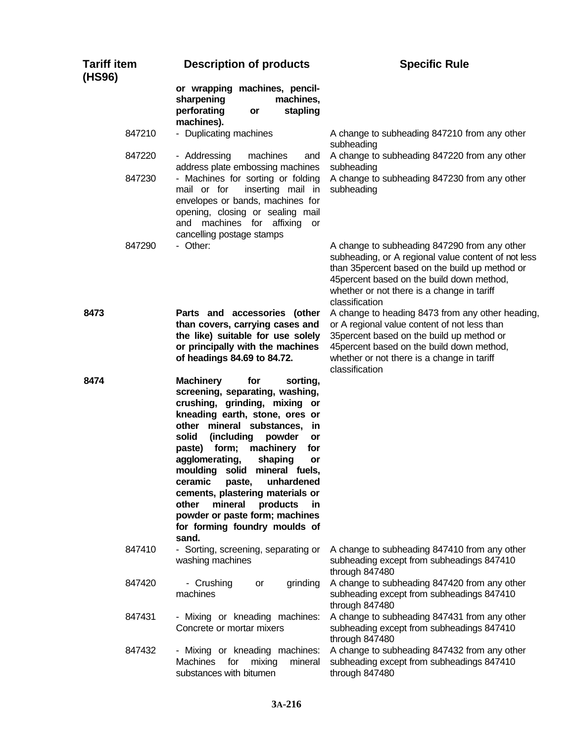| <b>Tariff item</b><br>(HS96) | <b>Description of products</b>                                                                                                                                                                                                                                                                                                                                                                                                                                                                                          | <b>Specific Rule</b>                                                                                                                                                                                                                                                 |
|------------------------------|-------------------------------------------------------------------------------------------------------------------------------------------------------------------------------------------------------------------------------------------------------------------------------------------------------------------------------------------------------------------------------------------------------------------------------------------------------------------------------------------------------------------------|----------------------------------------------------------------------------------------------------------------------------------------------------------------------------------------------------------------------------------------------------------------------|
|                              | or wrapping machines, pencil-<br>sharpening<br>machines,<br>perforating<br>stapling<br>or<br>machines).                                                                                                                                                                                                                                                                                                                                                                                                                 |                                                                                                                                                                                                                                                                      |
| 847210                       | - Duplicating machines                                                                                                                                                                                                                                                                                                                                                                                                                                                                                                  | A change to subheading 847210 from any other<br>subheading                                                                                                                                                                                                           |
| 847220                       | - Addressing<br>machines<br>and<br>address plate embossing machines                                                                                                                                                                                                                                                                                                                                                                                                                                                     | A change to subheading 847220 from any other<br>subheading                                                                                                                                                                                                           |
| 847230                       | - Machines for sorting or folding<br>inserting mail in<br>mail or for<br>envelopes or bands, machines for<br>opening, closing or sealing mail<br>and machines for affixing<br>or<br>cancelling postage stamps                                                                                                                                                                                                                                                                                                           | A change to subheading 847230 from any other<br>subheading                                                                                                                                                                                                           |
| 847290                       | - Other:                                                                                                                                                                                                                                                                                                                                                                                                                                                                                                                | A change to subheading 847290 from any other<br>subheading, or A regional value content of not less<br>than 35 percent based on the build up method or<br>45 percent based on the build down method,<br>whether or not there is a change in tariff<br>classification |
| 8473                         | Parts and accessories (other<br>than covers, carrying cases and<br>the like) suitable for use solely<br>or principally with the machines<br>of headings 84.69 to 84.72.                                                                                                                                                                                                                                                                                                                                                 | A change to heading 8473 from any other heading,<br>or A regional value content of not less than<br>35 percent based on the build up method or<br>45 percent based on the build down method,<br>whether or not there is a change in tariff<br>classification         |
| 8474                         | <b>Machinery</b><br>for<br>sorting,<br>screening, separating, washing,<br>crushing, grinding, mixing<br>or<br>kneading earth, stone, ores or<br>other mineral substances,<br>in<br>(including<br>solid<br>powder<br>or<br>paste) form;<br>machinery<br>for<br>agglomerating,<br>shaping<br>or<br>moulding solid mineral fuels,<br>unhardened<br>ceramic<br>paste,<br>cements, plastering materials or<br>other<br>mineral<br>products<br>in<br>powder or paste form; machines<br>for forming foundry moulds of<br>sand. |                                                                                                                                                                                                                                                                      |
| 847410                       | - Sorting, screening, separating or<br>washing machines                                                                                                                                                                                                                                                                                                                                                                                                                                                                 | A change to subheading 847410 from any other<br>subheading except from subheadings 847410<br>through 847480                                                                                                                                                          |
| 847420                       | - Crushing<br>grinding<br>or<br>machines                                                                                                                                                                                                                                                                                                                                                                                                                                                                                | A change to subheading 847420 from any other<br>subheading except from subheadings 847410<br>through 847480                                                                                                                                                          |
| 847431                       | - Mixing or kneading machines:<br>Concrete or mortar mixers                                                                                                                                                                                                                                                                                                                                                                                                                                                             | A change to subheading 847431 from any other<br>subheading except from subheadings 847410<br>through 847480                                                                                                                                                          |
| 847432                       | - Mixing or kneading machines:<br><b>Machines</b><br>for<br>mixing<br>mineral<br>substances with bitumen                                                                                                                                                                                                                                                                                                                                                                                                                | A change to subheading 847432 from any other<br>subheading except from subheadings 847410<br>through 847480                                                                                                                                                          |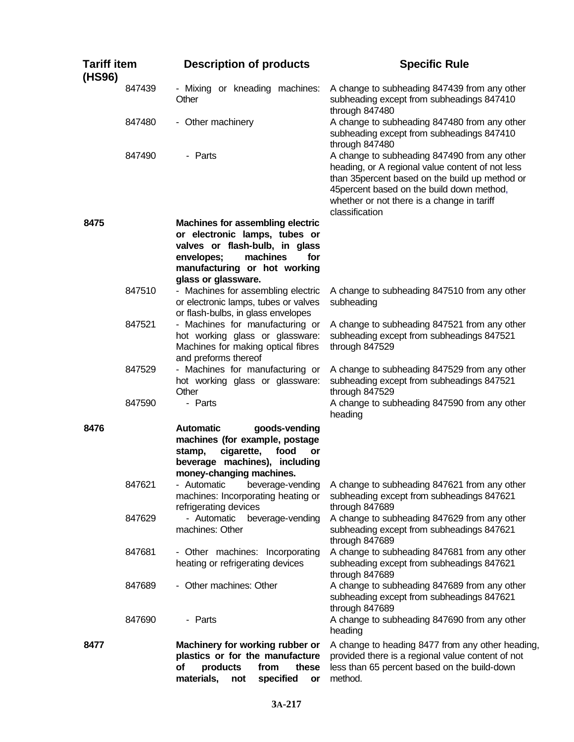| <b>Tariff item</b><br>(HS96) | <b>Description of products</b>                                                                                                                                                                     | <b>Specific Rule</b>                                                                                                                                                                                                                                              |
|------------------------------|----------------------------------------------------------------------------------------------------------------------------------------------------------------------------------------------------|-------------------------------------------------------------------------------------------------------------------------------------------------------------------------------------------------------------------------------------------------------------------|
| 847439                       | - Mixing or kneading machines:<br>Other                                                                                                                                                            | A change to subheading 847439 from any other<br>subheading except from subheadings 847410<br>through 847480                                                                                                                                                       |
| 847480                       | - Other machinery                                                                                                                                                                                  | A change to subheading 847480 from any other<br>subheading except from subheadings 847410<br>through 847480                                                                                                                                                       |
| 847490                       | - Parts                                                                                                                                                                                            | A change to subheading 847490 from any other<br>heading, or A regional value content of not less<br>than 35 percent based on the build up method or<br>45 percent based on the build down method,<br>whether or not there is a change in tariff<br>classification |
| 8475                         | <b>Machines for assembling electric</b><br>or electronic lamps, tubes or<br>valves or flash-bulb, in glass<br>envelopes;<br>machines<br>for<br>manufacturing or hot working<br>glass or glassware. |                                                                                                                                                                                                                                                                   |
| 847510                       | - Machines for assembling electric<br>or electronic lamps, tubes or valves<br>or flash-bulbs, in glass envelopes                                                                                   | A change to subheading 847510 from any other<br>subheading                                                                                                                                                                                                        |
| 847521                       | - Machines for manufacturing or<br>hot working glass or glassware:<br>Machines for making optical fibres<br>and preforms thereof                                                                   | A change to subheading 847521 from any other<br>subheading except from subheadings 847521<br>through 847529                                                                                                                                                       |
| 847529                       | - Machines for manufacturing or<br>hot working glass or glassware:<br>Other                                                                                                                        | A change to subheading 847529 from any other<br>subheading except from subheadings 847521<br>through 847529                                                                                                                                                       |
| 847590                       | - Parts                                                                                                                                                                                            | A change to subheading 847590 from any other<br>heading                                                                                                                                                                                                           |
| 8476                         | <b>Automatic</b><br>goods-vending<br>machines (for example, postage<br>stamp,<br>cigarette,<br>food<br>or<br>beverage machines), including<br>money-changing machines.                             |                                                                                                                                                                                                                                                                   |
| 847621                       | - Automatic<br>beverage-vending<br>machines: Incorporating heating or<br>refrigerating devices                                                                                                     | A change to subheading 847621 from any other<br>subheading except from subheadings 847621<br>through 847689                                                                                                                                                       |
| 847629                       | - Automatic<br>beverage-vending<br>machines: Other                                                                                                                                                 | A change to subheading 847629 from any other<br>subheading except from subheadings 847621<br>through 847689                                                                                                                                                       |
| 847681                       | - Other machines: Incorporating<br>heating or refrigerating devices                                                                                                                                | A change to subheading 847681 from any other<br>subheading except from subheadings 847621<br>through 847689                                                                                                                                                       |
| 847689                       | - Other machines: Other                                                                                                                                                                            | A change to subheading 847689 from any other<br>subheading except from subheadings 847621<br>through 847689                                                                                                                                                       |
| 847690                       | - Parts                                                                                                                                                                                            | A change to subheading 847690 from any other<br>heading                                                                                                                                                                                                           |
| 8477                         | Machinery for working rubber or<br>plastics or for the manufacture<br>products<br>οf<br>from<br>these<br>materials,<br>specified<br>not<br>or                                                      | A change to heading 8477 from any other heading,<br>provided there is a regional value content of not<br>less than 65 percent based on the build-down<br>method.                                                                                                  |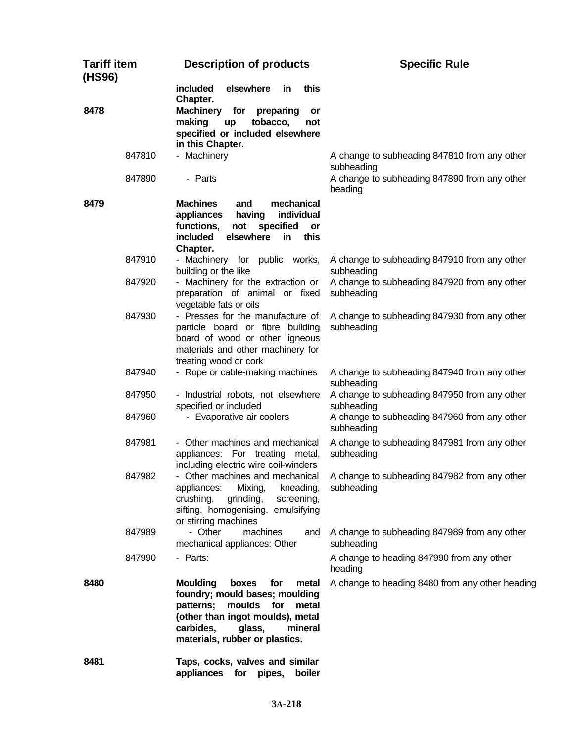| <b>Tariff item</b><br>(HS96) | <b>Description of products</b>                                                                                                                                                                                            | <b>Specific Rule</b>                                                         |
|------------------------------|---------------------------------------------------------------------------------------------------------------------------------------------------------------------------------------------------------------------------|------------------------------------------------------------------------------|
| 8478                         | included<br>elsewhere<br>this<br>in.<br>Chapter.<br><b>Machinery</b><br>for<br>preparing<br>or<br>making<br>tobacco,<br>up<br>not<br>specified or included elsewhere<br>in this Chapter.                                  |                                                                              |
| 847810                       | - Machinery                                                                                                                                                                                                               | A change to subheading 847810 from any other<br>subheading                   |
| 847890                       | - Parts                                                                                                                                                                                                                   | A change to subheading 847890 from any other<br>heading                      |
| 8479                         | <b>Machines</b><br>mechanical<br>and<br>appliances<br>having<br>individual<br>functions,<br>not<br>specified<br>or<br>elsewhere<br>included<br>in<br>this<br>Chapter.                                                     |                                                                              |
| 847910                       | - Machinery for public works,<br>building or the like                                                                                                                                                                     | A change to subheading 847910 from any other<br>subheading                   |
| 847920                       | - Machinery for the extraction or<br>preparation of animal or fixed<br>vegetable fats or oils                                                                                                                             | A change to subheading 847920 from any other<br>subheading                   |
| 847930                       | - Presses for the manufacture of<br>particle board or fibre building<br>board of wood or other ligneous<br>materials and other machinery for<br>treating wood or cork                                                     | A change to subheading 847930 from any other<br>subheading                   |
| 847940                       | - Rope or cable-making machines                                                                                                                                                                                           | A change to subheading 847940 from any other<br>subheading                   |
| 847950                       | - Industrial robots, not elsewhere<br>specified or included                                                                                                                                                               | A change to subheading 847950 from any other<br>subheading                   |
| 847960                       | - Evaporative air coolers                                                                                                                                                                                                 | A change to subheading 847960 from any other<br>subheading                   |
| 847981                       | - Other machines and mechanical<br>appliances: For treating metal,<br>including electric wire coil-winders                                                                                                                | A change to subheading 847981 from any other<br>subheading                   |
| 847982                       | appliances: Mixing, kneading, subheading<br>crushing,<br>grinding,<br>screening,<br>sifting, homogenising, emulsifying<br>or stirring machines                                                                            | - Other machines and mechanical A change to subheading 847982 from any other |
| 847989                       | - Other<br>machines<br>and<br>mechanical appliances: Other                                                                                                                                                                | A change to subheading 847989 from any other<br>subheading                   |
| 847990                       | - Parts:                                                                                                                                                                                                                  | A change to heading 847990 from any other<br>heading                         |
| 8480                         | <b>Moulding</b><br>boxes<br>for<br>metal<br>foundry; mould bases; moulding<br>moulds<br>for<br>patterns;<br>metal<br>(other than ingot moulds), metal<br>carbides,<br>glass,<br>mineral<br>materials, rubber or plastics. | A change to heading 8480 from any other heading                              |
| 8481                         | Taps, cocks, valves and similar<br>appliances for pipes,<br>boiler                                                                                                                                                        |                                                                              |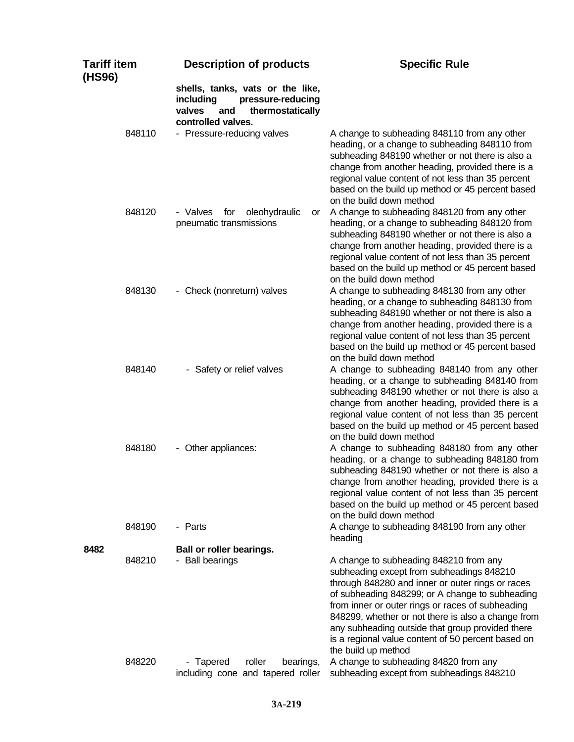| <b>Tariff item</b><br>(HS96) | <b>Description of products</b>                                                                                                | <b>Specific Rule</b>                                                                                                                                                                                                                                                                                                                                                                                                                  |
|------------------------------|-------------------------------------------------------------------------------------------------------------------------------|---------------------------------------------------------------------------------------------------------------------------------------------------------------------------------------------------------------------------------------------------------------------------------------------------------------------------------------------------------------------------------------------------------------------------------------|
|                              | shells, tanks, vats or the like,<br>including<br>pressure-reducing<br>thermostatically<br>valves<br>and<br>controlled valves. |                                                                                                                                                                                                                                                                                                                                                                                                                                       |
| 848110                       | - Pressure-reducing valves                                                                                                    | A change to subheading 848110 from any other<br>heading, or a change to subheading 848110 from<br>subheading 848190 whether or not there is also a<br>change from another heading, provided there is a<br>regional value content of not less than 35 percent<br>based on the build up method or 45 percent based<br>on the build down method                                                                                          |
| 848120                       | - Valves<br>for<br>oleohydraulic<br>or<br>pneumatic transmissions                                                             | A change to subheading 848120 from any other<br>heading, or a change to subheading 848120 from<br>subheading 848190 whether or not there is also a<br>change from another heading, provided there is a<br>regional value content of not less than 35 percent<br>based on the build up method or 45 percent based<br>on the build down method                                                                                          |
| 848130                       | - Check (nonreturn) valves                                                                                                    | A change to subheading 848130 from any other<br>heading, or a change to subheading 848130 from<br>subheading 848190 whether or not there is also a<br>change from another heading, provided there is a<br>regional value content of not less than 35 percent<br>based on the build up method or 45 percent based<br>on the build down method                                                                                          |
| 848140                       | - Safety or relief valves                                                                                                     | A change to subheading 848140 from any other<br>heading, or a change to subheading 848140 from<br>subheading 848190 whether or not there is also a<br>change from another heading, provided there is a<br>regional value content of not less than 35 percent<br>based on the build up method or 45 percent based<br>on the build down method                                                                                          |
| 848180                       | - Other appliances:                                                                                                           | A change to subheading 848180 from any other<br>heading, or a change to subheading 848180 from<br>subheading 848190 whether or not there is also a<br>change from another heading, provided there is a<br>regional value content of not less than 35 percent<br>based on the build up method or 45 percent based<br>on the build down method                                                                                          |
| 848190                       | - Parts                                                                                                                       | A change to subheading 848190 from any other<br>heading                                                                                                                                                                                                                                                                                                                                                                               |
| 8482<br>848210               | Ball or roller bearings.<br>- Ball bearings                                                                                   | A change to subheading 848210 from any<br>subheading except from subheadings 848210<br>through 848280 and inner or outer rings or races<br>of subheading 848299; or A change to subheading<br>from inner or outer rings or races of subheading<br>848299, whether or not there is also a change from<br>any subheading outside that group provided there<br>is a regional value content of 50 percent based on<br>the build up method |
| 848220                       | - Tapered<br>roller<br>bearings,<br>including cone and tapered roller                                                         | A change to subheading 84820 from any<br>subheading except from subheadings 848210                                                                                                                                                                                                                                                                                                                                                    |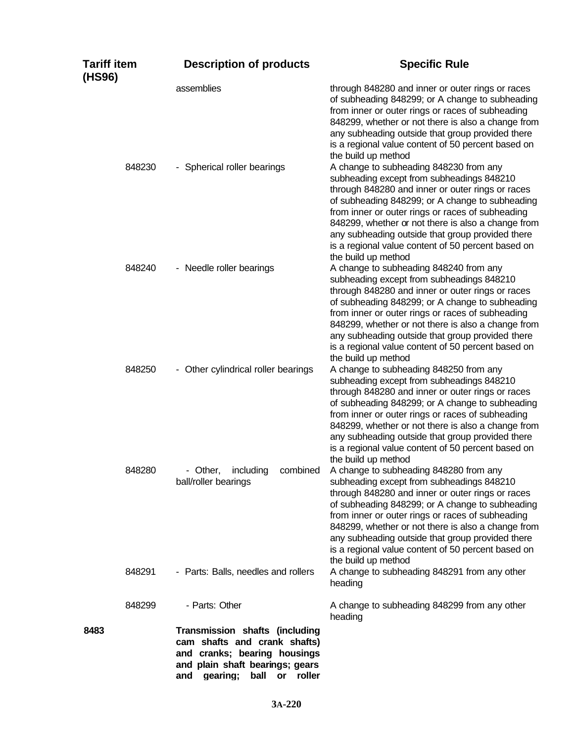| <b>Tariff item</b><br>(HS96) | <b>Description of products</b>                                                                                                                                                          | <b>Specific Rule</b>                                                                                                                                                                                                                                                                                                                                                                                                                  |
|------------------------------|-----------------------------------------------------------------------------------------------------------------------------------------------------------------------------------------|---------------------------------------------------------------------------------------------------------------------------------------------------------------------------------------------------------------------------------------------------------------------------------------------------------------------------------------------------------------------------------------------------------------------------------------|
|                              | assemblies                                                                                                                                                                              | through 848280 and inner or outer rings or races<br>of subheading 848299; or A change to subheading<br>from inner or outer rings or races of subheading<br>848299, whether or not there is also a change from<br>any subheading outside that group provided there<br>is a regional value content of 50 percent based on<br>the build up method                                                                                        |
| 848230                       | - Spherical roller bearings                                                                                                                                                             | A change to subheading 848230 from any<br>subheading except from subheadings 848210<br>through 848280 and inner or outer rings or races<br>of subheading 848299; or A change to subheading<br>from inner or outer rings or races of subheading<br>848299, whether or not there is also a change from<br>any subheading outside that group provided there<br>is a regional value content of 50 percent based on<br>the build up method |
| 848240                       | - Needle roller bearings                                                                                                                                                                | A change to subheading 848240 from any<br>subheading except from subheadings 848210<br>through 848280 and inner or outer rings or races<br>of subheading 848299; or A change to subheading<br>from inner or outer rings or races of subheading<br>848299, whether or not there is also a change from<br>any subheading outside that group provided there<br>is a regional value content of 50 percent based on<br>the build up method |
| 848250                       | - Other cylindrical roller bearings                                                                                                                                                     | A change to subheading 848250 from any<br>subheading except from subheadings 848210<br>through 848280 and inner or outer rings or races<br>of subheading 848299; or A change to subheading<br>from inner or outer rings or races of subheading<br>848299, whether or not there is also a change from<br>any subheading outside that group provided there<br>is a regional value content of 50 percent based on<br>the build up method |
| 848280                       | including<br>- Other,<br>combined<br>ball/roller bearings                                                                                                                               | A change to subheading 848280 from any<br>subheading except from subheadings 848210<br>through 848280 and inner or outer rings or races<br>of subheading 848299; or A change to subheading<br>from inner or outer rings or races of subheading<br>848299, whether or not there is also a change from<br>any subheading outside that group provided there<br>is a regional value content of 50 percent based on<br>the build up method |
| 848291                       | - Parts: Balls, needles and rollers                                                                                                                                                     | A change to subheading 848291 from any other<br>heading                                                                                                                                                                                                                                                                                                                                                                               |
| 848299                       | - Parts: Other                                                                                                                                                                          | A change to subheading 848299 from any other<br>heading                                                                                                                                                                                                                                                                                                                                                                               |
| 8483                         | Transmission shafts (including<br>cam shafts and crank shafts)<br>and cranks; bearing housings<br>and plain shaft bearings; gears<br>gearing;<br>ball<br>$\mathsf{or}$<br>roller<br>and |                                                                                                                                                                                                                                                                                                                                                                                                                                       |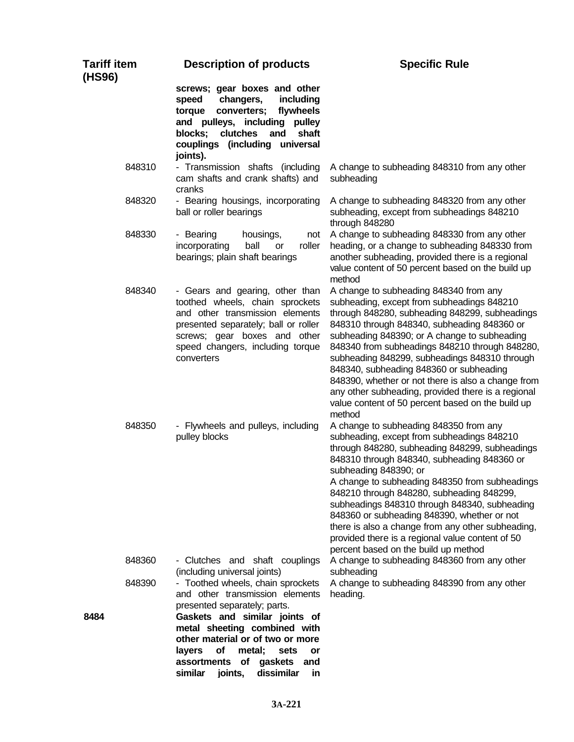| <b>Tariff item</b><br>(HS96) | <b>Description of products</b>                                                                                                                                                                                                                                                                                                   | <b>Specific Rule</b>                                                                                                                                                                                                                                                                                                                                                                                                                                                                                                                                           |
|------------------------------|----------------------------------------------------------------------------------------------------------------------------------------------------------------------------------------------------------------------------------------------------------------------------------------------------------------------------------|----------------------------------------------------------------------------------------------------------------------------------------------------------------------------------------------------------------------------------------------------------------------------------------------------------------------------------------------------------------------------------------------------------------------------------------------------------------------------------------------------------------------------------------------------------------|
|                              | screws; gear boxes and other<br>changers,<br>including<br>speed<br>torque<br>converters;<br>flywheels<br>and pulleys, including<br>pulley<br>clutches<br>shaft<br>blocks;<br>and<br>couplings (including universal<br>joints).                                                                                                   |                                                                                                                                                                                                                                                                                                                                                                                                                                                                                                                                                                |
| 848310                       | - Transmission shafts (including<br>cam shafts and crank shafts) and<br>cranks                                                                                                                                                                                                                                                   | A change to subheading 848310 from any other<br>subheading                                                                                                                                                                                                                                                                                                                                                                                                                                                                                                     |
| 848320                       | - Bearing housings, incorporating<br>ball or roller bearings                                                                                                                                                                                                                                                                     | A change to subheading 848320 from any other<br>subheading, except from subheadings 848210<br>through 848280                                                                                                                                                                                                                                                                                                                                                                                                                                                   |
| 848330                       | - Bearing<br>housings,<br>not<br>ball<br>incorporating<br>roller<br>or<br>bearings; plain shaft bearings                                                                                                                                                                                                                         | A change to subheading 848330 from any other<br>heading, or a change to subheading 848330 from<br>another subheading, provided there is a regional<br>value content of 50 percent based on the build up<br>method                                                                                                                                                                                                                                                                                                                                              |
| 848340                       | - Gears and gearing, other than<br>toothed wheels, chain sprockets<br>and other transmission elements<br>presented separately; ball or roller<br>screws; gear boxes and other<br>speed changers, including torque<br>converters                                                                                                  | A change to subheading 848340 from any<br>subheading, except from subheadings 848210<br>through 848280, subheading 848299, subheadings<br>848310 through 848340, subheading 848360 or<br>subheading 848390; or A change to subheading<br>848340 from subheadings 848210 through 848280,<br>subheading 848299, subheadings 848310 through<br>848340, subheading 848360 or subheading<br>848390, whether or not there is also a change from<br>any other subheading, provided there is a regional<br>value content of 50 percent based on the build up<br>method |
| 848350                       | - Flywheels and pulleys, including<br>pulley blocks                                                                                                                                                                                                                                                                              | A change to subheading 848350 from any<br>subheading, except from subheadings 848210<br>through 848280, subheading 848299, subheadings<br>848310 through 848340, subheading 848360 or<br>subheading 848390; or<br>A change to subheading 848350 from subheadings<br>848210 through 848280, subheading 848299,<br>subheadings 848310 through 848340, subheading<br>848360 or subheading 848390, whether or not<br>there is also a change from any other subheading,<br>provided there is a regional value content of 50<br>percent based on the build up method |
| 848360                       | - Clutches and shaft couplings<br>(including universal joints)                                                                                                                                                                                                                                                                   | A change to subheading 848360 from any other<br>subheading                                                                                                                                                                                                                                                                                                                                                                                                                                                                                                     |
| 848390<br>8484               | - Toothed wheels, chain sprockets<br>and other transmission elements<br>presented separately; parts.<br>Gaskets and similar joints of<br>metal sheeting combined with<br>other material or of two or more<br>metal;<br>layers<br>Οf<br>sets<br>or<br>assortments<br>of gaskets<br>and<br>dissimilar<br>similar<br>joints,<br>in. | A change to subheading 848390 from any other<br>heading.                                                                                                                                                                                                                                                                                                                                                                                                                                                                                                       |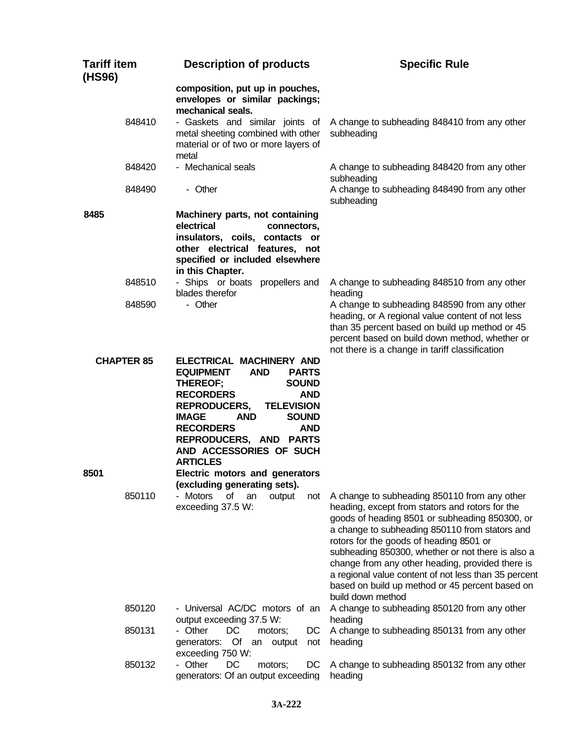| <b>Tariff item</b><br>(HS96) |                   | <b>Description of products</b>                                                                                                                                                                                                                                                                                                               | <b>Specific Rule</b>                                                                                                                                                                                                                                                                                                                                                                                                                                                                    |
|------------------------------|-------------------|----------------------------------------------------------------------------------------------------------------------------------------------------------------------------------------------------------------------------------------------------------------------------------------------------------------------------------------------|-----------------------------------------------------------------------------------------------------------------------------------------------------------------------------------------------------------------------------------------------------------------------------------------------------------------------------------------------------------------------------------------------------------------------------------------------------------------------------------------|
|                              |                   | composition, put up in pouches,<br>envelopes or similar packings;<br>mechanical seals.                                                                                                                                                                                                                                                       |                                                                                                                                                                                                                                                                                                                                                                                                                                                                                         |
|                              | 848410            | - Gaskets and similar joints of<br>metal sheeting combined with other<br>material or of two or more layers of<br>metal                                                                                                                                                                                                                       | A change to subheading 848410 from any other<br>subheading                                                                                                                                                                                                                                                                                                                                                                                                                              |
|                              | 848420            | - Mechanical seals                                                                                                                                                                                                                                                                                                                           | A change to subheading 848420 from any other<br>subheading                                                                                                                                                                                                                                                                                                                                                                                                                              |
|                              | 848490            | - Other                                                                                                                                                                                                                                                                                                                                      | A change to subheading 848490 from any other<br>subheading                                                                                                                                                                                                                                                                                                                                                                                                                              |
| 8485                         |                   | Machinery parts, not containing<br>electrical<br>connectors,<br>insulators, coils, contacts or<br>other electrical features, not<br>specified or included elsewhere<br>in this Chapter.                                                                                                                                                      |                                                                                                                                                                                                                                                                                                                                                                                                                                                                                         |
|                              | 848510            | - Ships or boats propellers and<br>blades therefor                                                                                                                                                                                                                                                                                           | A change to subheading 848510 from any other<br>heading                                                                                                                                                                                                                                                                                                                                                                                                                                 |
|                              | 848590            | - Other                                                                                                                                                                                                                                                                                                                                      | A change to subheading 848590 from any other<br>heading, or A regional value content of not less<br>than 35 percent based on build up method or 45<br>percent based on build down method, whether or<br>not there is a change in tariff classification                                                                                                                                                                                                                                  |
|                              | <b>CHAPTER 85</b> | ELECTRICAL MACHINERY AND<br><b>EQUIPMENT</b><br><b>AND</b><br><b>PARTS</b><br><b>SOUND</b><br>THEREOF;<br><b>RECORDERS</b><br><b>AND</b><br><b>REPRODUCERS,</b><br><b>TELEVISION</b><br><b>SOUND</b><br><b>IMAGE</b><br><b>AND</b><br><b>RECORDERS</b><br><b>AND</b><br>REPRODUCERS, AND PARTS<br>AND ACCESSORIES OF SUCH<br><b>ARTICLES</b> |                                                                                                                                                                                                                                                                                                                                                                                                                                                                                         |
| 8501                         |                   | Electric motors and generators<br>(excluding generating sets).                                                                                                                                                                                                                                                                               |                                                                                                                                                                                                                                                                                                                                                                                                                                                                                         |
|                              | 850110            | Motors<br>of<br>an<br>output<br>not<br>exceeding 37.5 W:                                                                                                                                                                                                                                                                                     | A change to subheading 850110 from any other<br>heading, except from stators and rotors for the<br>goods of heading 8501 or subheading 850300, or<br>a change to subheading 850110 from stators and<br>rotors for the goods of heading 8501 or<br>subheading 850300, whether or not there is also a<br>change from any other heading, provided there is<br>a regional value content of not less than 35 percent<br>based on build up method or 45 percent based on<br>build down method |
|                              | 850120<br>850131  | - Universal AC/DC motors of an<br>output exceeding 37.5 W:<br>- Other<br>DC<br>motors;<br>DC                                                                                                                                                                                                                                                 | A change to subheading 850120 from any other<br>heading<br>A change to subheading 850131 from any other                                                                                                                                                                                                                                                                                                                                                                                 |
|                              |                   | generators: Of<br>output<br>not<br>an<br>exceeding 750 W:                                                                                                                                                                                                                                                                                    | heading                                                                                                                                                                                                                                                                                                                                                                                                                                                                                 |
|                              | 850132            | - Other<br>DC<br>motors;<br>DC<br>generators: Of an output exceeding                                                                                                                                                                                                                                                                         | A change to subheading 850132 from any other<br>heading                                                                                                                                                                                                                                                                                                                                                                                                                                 |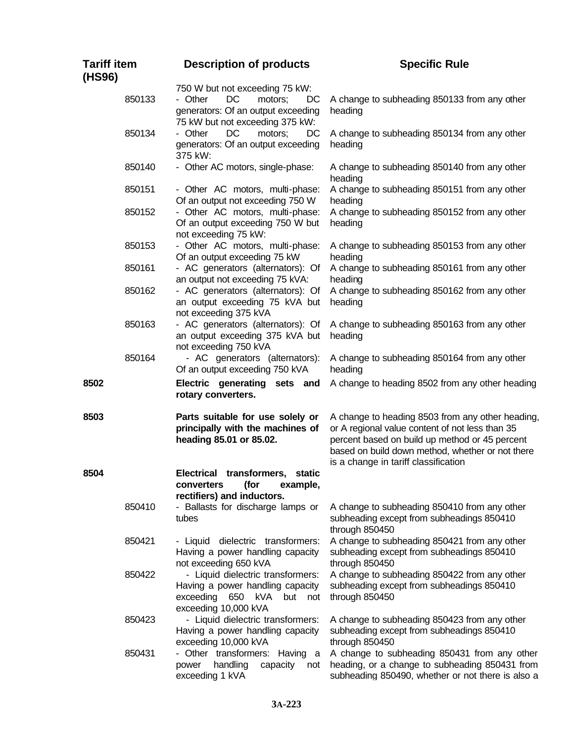| <b>Tariff item</b><br>(HS96) | <b>Description of products</b>                                                                                                            | <b>Specific Rule</b>                                                                                                                                                                                                                              |
|------------------------------|-------------------------------------------------------------------------------------------------------------------------------------------|---------------------------------------------------------------------------------------------------------------------------------------------------------------------------------------------------------------------------------------------------|
| 850133                       | 750 W but not exceeding 75 kW:<br>DC<br>- Other<br>DC<br>motors;<br>generators: Of an output exceeding<br>75 kW but not exceeding 375 kW: | A change to subheading 850133 from any other<br>heading                                                                                                                                                                                           |
| 850134                       | DC<br>- Other<br>motors;<br>DC<br>generators: Of an output exceeding<br>375 kW:                                                           | A change to subheading 850134 from any other<br>heading                                                                                                                                                                                           |
| 850140                       | - Other AC motors, single-phase:                                                                                                          | A change to subheading 850140 from any other<br>heading                                                                                                                                                                                           |
| 850151                       | - Other AC motors, multi-phase:<br>Of an output not exceeding 750 W                                                                       | A change to subheading 850151 from any other<br>heading                                                                                                                                                                                           |
| 850152                       | - Other AC motors, multi-phase:<br>Of an output exceeding 750 W but<br>not exceeding 75 kW:                                               | A change to subheading 850152 from any other<br>heading                                                                                                                                                                                           |
| 850153                       | - Other AC motors, multi-phase:<br>Of an output exceeding 75 kW                                                                           | A change to subheading 850153 from any other<br>heading                                                                                                                                                                                           |
| 850161                       | - AC generators (alternators): Of<br>an output not exceeding 75 kVA:                                                                      | A change to subheading 850161 from any other<br>heading                                                                                                                                                                                           |
| 850162                       | - AC generators (alternators): Of<br>an output exceeding 75 kVA but<br>not exceeding 375 kVA                                              | A change to subheading 850162 from any other<br>heading                                                                                                                                                                                           |
| 850163                       | - AC generators (alternators): Of<br>an output exceeding 375 kVA but<br>not exceeding 750 kVA                                             | A change to subheading 850163 from any other<br>heading                                                                                                                                                                                           |
| 850164                       | - AC generators (alternators):<br>Of an output exceeding 750 kVA                                                                          | A change to subheading 850164 from any other<br>heading                                                                                                                                                                                           |
| 8502                         | Electric generating sets and<br>rotary converters.                                                                                        | A change to heading 8502 from any other heading                                                                                                                                                                                                   |
| 8503                         | Parts suitable for use solely or<br>principally with the machines of<br>heading 85.01 or 85.02.                                           | A change to heading 8503 from any other heading,<br>or A regional value content of not less than 35<br>percent based on build up method or 45 percent<br>based on build down method, whether or not there<br>is a change in tariff classification |
| 8504                         | <b>Electrical</b><br>transformers,<br>static<br>converters<br>(for<br>example,<br>rectifiers) and inductors.                              |                                                                                                                                                                                                                                                   |
| 850410                       | - Ballasts for discharge lamps or<br>tubes                                                                                                | A change to subheading 850410 from any other<br>subheading except from subheadings 850410<br>through 850450                                                                                                                                       |
| 850421                       | - Liquid dielectric transformers:<br>Having a power handling capacity<br>not exceeding 650 kVA                                            | A change to subheading 850421 from any other<br>subheading except from subheadings 850410<br>through 850450                                                                                                                                       |
| 850422                       | - Liquid dielectric transformers:<br>Having a power handling capacity<br>exceeding<br>650<br>kVA<br>but<br>not<br>exceeding 10,000 kVA    | A change to subheading 850422 from any other<br>subheading except from subheadings 850410<br>through 850450                                                                                                                                       |
| 850423                       | - Liquid dielectric transformers:<br>Having a power handling capacity<br>exceeding 10,000 kVA                                             | A change to subheading 850423 from any other<br>subheading except from subheadings 850410<br>through 850450                                                                                                                                       |
| 850431                       | - Other transformers: Having a<br>handling<br>capacity<br>power<br>not<br>exceeding 1 kVA                                                 | A change to subheading 850431 from any other<br>heading, or a change to subheading 850431 from<br>subheading 850490, whether or not there is also a                                                                                               |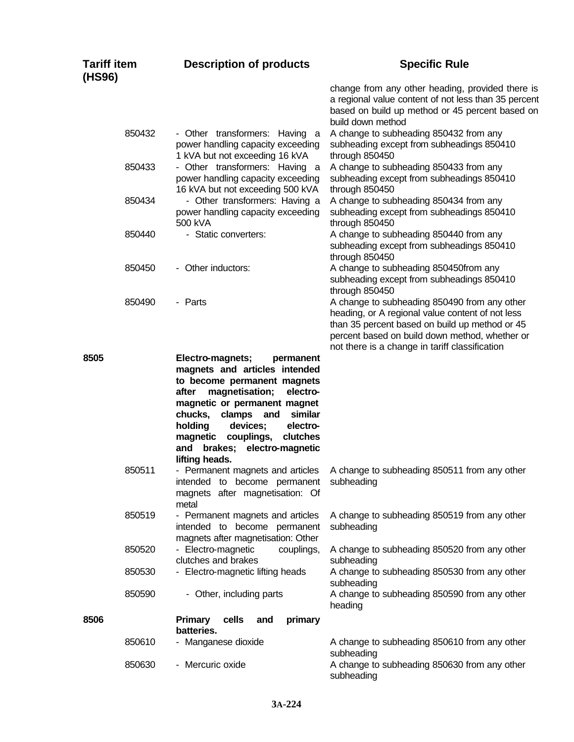| <b>Tariff item</b><br>(HS96) |        | <b>Description of products</b>                                                                                                                                                                                                                                                                                                         | <b>Specific Rule</b>                                                                                                                                                                                                                                   |
|------------------------------|--------|----------------------------------------------------------------------------------------------------------------------------------------------------------------------------------------------------------------------------------------------------------------------------------------------------------------------------------------|--------------------------------------------------------------------------------------------------------------------------------------------------------------------------------------------------------------------------------------------------------|
|                              |        |                                                                                                                                                                                                                                                                                                                                        | change from any other heading, provided there is<br>a regional value content of not less than 35 percent<br>based on build up method or 45 percent based on<br>build down method                                                                       |
|                              | 850432 | - Other transformers: Having<br>- a<br>power handling capacity exceeding<br>1 kVA but not exceeding 16 kVA                                                                                                                                                                                                                             | A change to subheading 850432 from any<br>subheading except from subheadings 850410<br>through 850450                                                                                                                                                  |
|                              | 850433 | - Other transformers: Having a<br>power handling capacity exceeding<br>16 kVA but not exceeding 500 kVA                                                                                                                                                                                                                                | A change to subheading 850433 from any<br>subheading except from subheadings 850410<br>through 850450                                                                                                                                                  |
|                              | 850434 | - Other transformers: Having a<br>power handling capacity exceeding<br>500 kVA                                                                                                                                                                                                                                                         | A change to subheading 850434 from any<br>subheading except from subheadings 850410<br>through 850450                                                                                                                                                  |
|                              | 850440 | - Static converters:                                                                                                                                                                                                                                                                                                                   | A change to subheading 850440 from any<br>subheading except from subheadings 850410<br>through 850450                                                                                                                                                  |
|                              | 850450 | - Other inductors:                                                                                                                                                                                                                                                                                                                     | A change to subheading 850450from any<br>subheading except from subheadings 850410<br>through 850450                                                                                                                                                   |
|                              | 850490 | - Parts                                                                                                                                                                                                                                                                                                                                | A change to subheading 850490 from any other<br>heading, or A regional value content of not less<br>than 35 percent based on build up method or 45<br>percent based on build down method, whether or<br>not there is a change in tariff classification |
| 8505                         |        | Electro-magnets;<br>permanent<br>magnets and articles intended<br>to become permanent magnets<br>magnetisation;<br>after<br>electro-<br>magnetic or permanent magnet<br>chucks,<br>clamps<br>similar<br>and<br>holding<br>devices;<br>electro-<br>magnetic couplings,<br>clutches<br>brakes; electro-magnetic<br>and<br>lifting heads. |                                                                                                                                                                                                                                                        |
|                              | 850511 | - Permanent magnets and articles<br>intended to become permanent<br>magnets after magnetisation: Of<br>metal                                                                                                                                                                                                                           | A change to subheading 850511 from any other<br>subheading                                                                                                                                                                                             |
|                              | 850519 | - Permanent magnets and articles<br>intended to become permanent<br>magnets after magnetisation: Other                                                                                                                                                                                                                                 | A change to subheading 850519 from any other<br>subheading                                                                                                                                                                                             |
|                              | 850520 | - Electro-magnetic<br>couplings,<br>clutches and brakes                                                                                                                                                                                                                                                                                | A change to subheading 850520 from any other<br>subheading                                                                                                                                                                                             |
|                              | 850530 | - Electro-magnetic lifting heads                                                                                                                                                                                                                                                                                                       | A change to subheading 850530 from any other<br>subheading                                                                                                                                                                                             |
|                              | 850590 | - Other, including parts                                                                                                                                                                                                                                                                                                               | A change to subheading 850590 from any other<br>heading                                                                                                                                                                                                |
| 8506                         |        | <b>Primary</b><br>cells<br>primary<br>and<br>batteries.                                                                                                                                                                                                                                                                                |                                                                                                                                                                                                                                                        |
|                              | 850610 | - Manganese dioxide                                                                                                                                                                                                                                                                                                                    | A change to subheading 850610 from any other<br>subheading                                                                                                                                                                                             |
|                              | 850630 | - Mercuric oxide                                                                                                                                                                                                                                                                                                                       | A change to subheading 850630 from any other<br>subheading                                                                                                                                                                                             |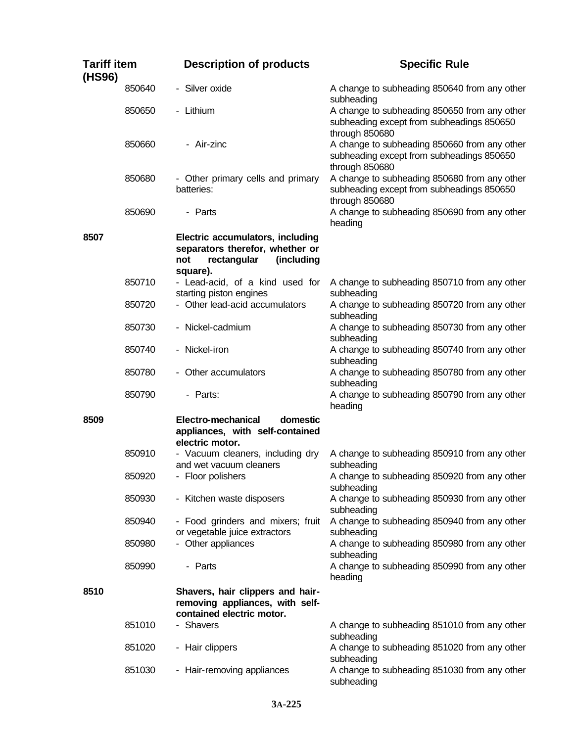| <b>Tariff item</b><br>(HS96) |        | <b>Description of products</b>                                                                                      | <b>Specific Rule</b>                                                                                        |
|------------------------------|--------|---------------------------------------------------------------------------------------------------------------------|-------------------------------------------------------------------------------------------------------------|
|                              | 850640 | - Silver oxide                                                                                                      | A change to subheading 850640 from any other<br>subheading                                                  |
|                              | 850650 | - Lithium                                                                                                           | A change to subheading 850650 from any other<br>subheading except from subheadings 850650<br>through 850680 |
|                              | 850660 | - Air-zinc                                                                                                          | A change to subheading 850660 from any other<br>subheading except from subheadings 850650<br>through 850680 |
|                              | 850680 | - Other primary cells and primary<br>batteries:                                                                     | A change to subheading 850680 from any other<br>subheading except from subheadings 850650<br>through 850680 |
|                              | 850690 | - Parts                                                                                                             | A change to subheading 850690 from any other<br>heading                                                     |
| 8507                         |        | Electric accumulators, including<br>separators therefor, whether or<br>(including<br>not<br>rectangular<br>square). |                                                                                                             |
|                              | 850710 | - Lead-acid, of a kind used for<br>starting piston engines                                                          | A change to subheading 850710 from any other<br>subheading                                                  |
|                              | 850720 | - Other lead-acid accumulators                                                                                      | A change to subheading 850720 from any other<br>subheading                                                  |
|                              | 850730 | - Nickel-cadmium                                                                                                    | A change to subheading 850730 from any other<br>subheading                                                  |
|                              | 850740 | - Nickel-iron                                                                                                       | A change to subheading 850740 from any other<br>subheading                                                  |
|                              | 850780 | - Other accumulators                                                                                                | A change to subheading 850780 from any other<br>subheading                                                  |
|                              | 850790 | - Parts:                                                                                                            | A change to subheading 850790 from any other<br>heading                                                     |
| 8509                         |        | Electro-mechanical<br>domestic<br>appliances, with self-contained<br>electric motor.                                |                                                                                                             |
|                              | 850910 | - Vacuum cleaners, including dry<br>and wet vacuum cleaners                                                         | A change to subheading 850910 from any other<br>subheading                                                  |
|                              | 850920 | - Floor polishers                                                                                                   | A change to subheading 850920 from any other<br>subheading                                                  |
|                              | 850930 | - Kitchen waste disposers                                                                                           | A change to subheading 850930 from any other<br>subheading                                                  |
|                              | 850940 | - Food grinders and mixers; fruit<br>or vegetable juice extractors                                                  | A change to subheading 850940 from any other<br>subheading                                                  |
|                              | 850980 | - Other appliances                                                                                                  | A change to subheading 850980 from any other<br>subheading                                                  |
|                              | 850990 | - Parts                                                                                                             | A change to subheading 850990 from any other<br>heading                                                     |
| 8510                         |        | Shavers, hair clippers and hair-<br>removing appliances, with self-<br>contained electric motor.                    |                                                                                                             |
|                              | 851010 | - Shavers                                                                                                           | A change to subheading 851010 from any other<br>subheading                                                  |
|                              | 851020 | - Hair clippers                                                                                                     | A change to subheading 851020 from any other<br>subheading                                                  |
|                              | 851030 | - Hair-removing appliances                                                                                          | A change to subheading 851030 from any other<br>subheading                                                  |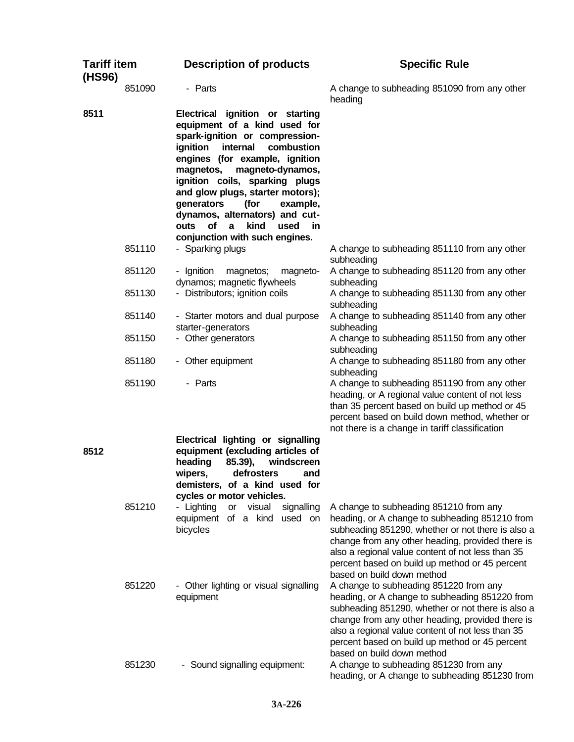| <b>Tariff item</b><br>(HS96) |        | <b>Description of products</b>                                                                                                                                                                                                                                                                                                                                                                           | <b>Specific Rule</b>                                                                                                                                                                                                                                                                                                                   |
|------------------------------|--------|----------------------------------------------------------------------------------------------------------------------------------------------------------------------------------------------------------------------------------------------------------------------------------------------------------------------------------------------------------------------------------------------------------|----------------------------------------------------------------------------------------------------------------------------------------------------------------------------------------------------------------------------------------------------------------------------------------------------------------------------------------|
|                              | 851090 | - Parts                                                                                                                                                                                                                                                                                                                                                                                                  | A change to subheading 851090 from any other<br>heading                                                                                                                                                                                                                                                                                |
| 8511                         |        | Electrical ignition or starting<br>equipment of a kind used for<br>spark-ignition or compression-<br>internal<br>combustion<br>ignition<br>engines (for example, ignition<br>magnetos,<br>magneto-dynamos,<br>ignition coils, sparking plugs<br>and glow plugs, starter motors);<br>generators<br>(for<br>example,<br>dynamos, alternators) and cut-<br>of<br>kind<br>$\mathbf{a}$<br>used<br>in<br>outs |                                                                                                                                                                                                                                                                                                                                        |
|                              | 851110 | conjunction with such engines.<br>- Sparking plugs                                                                                                                                                                                                                                                                                                                                                       | A change to subheading 851110 from any other<br>subheading                                                                                                                                                                                                                                                                             |
|                              | 851120 | - Ignition<br>magnetos;<br>magneto-<br>dynamos; magnetic flywheels                                                                                                                                                                                                                                                                                                                                       | A change to subheading 851120 from any other<br>subheading                                                                                                                                                                                                                                                                             |
|                              | 851130 | - Distributors; ignition coils                                                                                                                                                                                                                                                                                                                                                                           | A change to subheading 851130 from any other<br>subheading                                                                                                                                                                                                                                                                             |
|                              | 851140 | - Starter motors and dual purpose<br>starter-generators                                                                                                                                                                                                                                                                                                                                                  | A change to subheading 851140 from any other<br>subheading                                                                                                                                                                                                                                                                             |
|                              | 851150 | - Other generators                                                                                                                                                                                                                                                                                                                                                                                       | A change to subheading 851150 from any other<br>subheading                                                                                                                                                                                                                                                                             |
|                              | 851180 | - Other equipment                                                                                                                                                                                                                                                                                                                                                                                        | A change to subheading 851180 from any other<br>subheading                                                                                                                                                                                                                                                                             |
| 8512                         | 851190 | - Parts<br>Electrical lighting or signalling<br>equipment (excluding articles of<br>85.39),<br>heading<br>windscreen                                                                                                                                                                                                                                                                                     | A change to subheading 851190 from any other<br>heading, or A regional value content of not less<br>than 35 percent based on build up method or 45<br>percent based on build down method, whether or<br>not there is a change in tariff classification                                                                                 |
|                              |        | defrosters<br>wipers,<br>and<br>demisters, of a kind used for<br>cycles or motor vehicles.                                                                                                                                                                                                                                                                                                               |                                                                                                                                                                                                                                                                                                                                        |
|                              | 851210 | - Lighting<br>visual<br>signalling<br>or<br>equipment of a kind<br>used on<br>bicycles                                                                                                                                                                                                                                                                                                                   | A change to subheading 851210 from any<br>heading, or A change to subheading 851210 from<br>subheading 851290, whether or not there is also a<br>change from any other heading, provided there is<br>also a regional value content of not less than 35<br>percent based on build up method or 45 percent<br>based on build down method |
|                              | 851220 | - Other lighting or visual signalling<br>equipment                                                                                                                                                                                                                                                                                                                                                       | A change to subheading 851220 from any<br>heading, or A change to subheading 851220 from<br>subheading 851290, whether or not there is also a<br>change from any other heading, provided there is<br>also a regional value content of not less than 35<br>percent based on build up method or 45 percent<br>based on build down method |
|                              | 851230 | - Sound signalling equipment:                                                                                                                                                                                                                                                                                                                                                                            | A change to subheading 851230 from any<br>heading, or A change to subheading 851230 from                                                                                                                                                                                                                                               |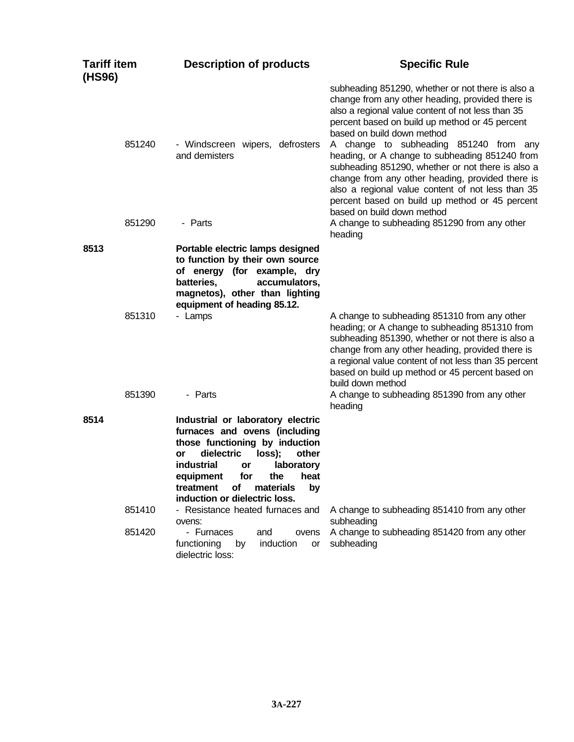| <b>Tariff item</b><br>(HS96) | <b>Description of products</b>                                                                                                                                                                                                                                                                 | <b>Specific Rule</b>                                                                                                                                                                                                                                                                                                                                                                                                                                                                                                                                                                                                                            |
|------------------------------|------------------------------------------------------------------------------------------------------------------------------------------------------------------------------------------------------------------------------------------------------------------------------------------------|-------------------------------------------------------------------------------------------------------------------------------------------------------------------------------------------------------------------------------------------------------------------------------------------------------------------------------------------------------------------------------------------------------------------------------------------------------------------------------------------------------------------------------------------------------------------------------------------------------------------------------------------------|
| 851240<br>851290             | - Windscreen wipers, defrosters<br>and demisters<br>- Parts                                                                                                                                                                                                                                    | subheading 851290, whether or not there is also a<br>change from any other heading, provided there is<br>also a regional value content of not less than 35<br>percent based on build up method or 45 percent<br>based on build down method<br>A change to subheading 851240 from any<br>heading, or A change to subheading 851240 from<br>subheading 851290, whether or not there is also a<br>change from any other heading, provided there is<br>also a regional value content of not less than 35<br>percent based on build up method or 45 percent<br>based on build down method<br>A change to subheading 851290 from any other<br>heading |
| 8513                         | Portable electric lamps designed<br>to function by their own source<br>of energy (for example, dry<br>batteries,<br>accumulators,<br>magnetos), other than lighting<br>equipment of heading 85.12.                                                                                             |                                                                                                                                                                                                                                                                                                                                                                                                                                                                                                                                                                                                                                                 |
| 851310                       | - Lamps                                                                                                                                                                                                                                                                                        | A change to subheading 851310 from any other<br>heading; or A change to subheading 851310 from<br>subheading 851390, whether or not there is also a<br>change from any other heading, provided there is<br>a regional value content of not less than 35 percent<br>based on build up method or 45 percent based on<br>build down method                                                                                                                                                                                                                                                                                                         |
| 851390                       | - Parts                                                                                                                                                                                                                                                                                        | A change to subheading 851390 from any other<br>heading                                                                                                                                                                                                                                                                                                                                                                                                                                                                                                                                                                                         |
| 8514                         | Industrial or laboratory electric<br>furnaces and ovens (including<br>those functioning by induction<br>dielectric<br>loss);<br>other<br>or<br><b>industrial</b><br>laboratory<br>or<br>equipment<br>for<br>the<br>heat<br>treatment<br>οf<br>materials<br>by<br>induction or dielectric loss. |                                                                                                                                                                                                                                                                                                                                                                                                                                                                                                                                                                                                                                                 |
| 851410<br>851420             | - Resistance heated furnaces and<br>ovens:<br>- Furnaces<br>and<br>ovens<br>functioning<br>by<br>induction<br>or<br>dielectric loss:                                                                                                                                                           | A change to subheading 851410 from any other<br>subheading<br>A change to subheading 851420 from any other<br>subheading                                                                                                                                                                                                                                                                                                                                                                                                                                                                                                                        |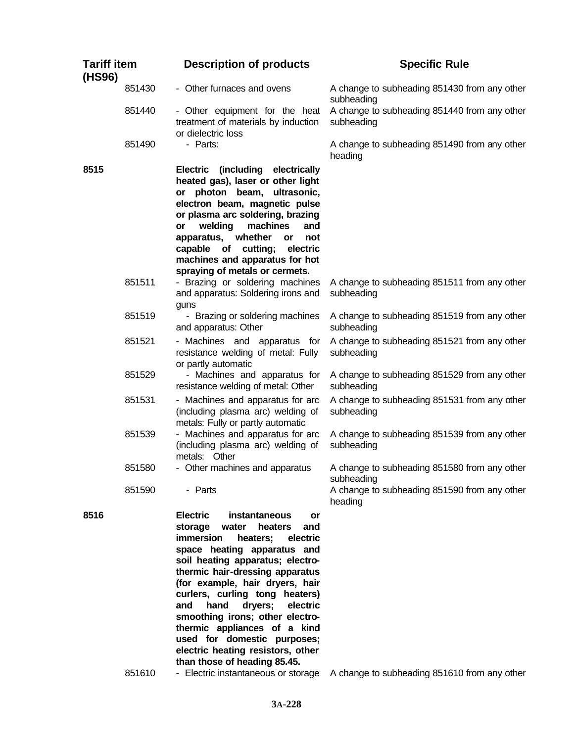| <b>Tariff item</b><br>(HS96) |        | <b>Description of products</b>                                                                                                                                                                                                                                                                                                                                                                                                                                                                            | <b>Specific Rule</b>                                       |
|------------------------------|--------|-----------------------------------------------------------------------------------------------------------------------------------------------------------------------------------------------------------------------------------------------------------------------------------------------------------------------------------------------------------------------------------------------------------------------------------------------------------------------------------------------------------|------------------------------------------------------------|
|                              | 851430 | - Other furnaces and ovens                                                                                                                                                                                                                                                                                                                                                                                                                                                                                | A change to subheading 851430 from any other<br>subheading |
|                              | 851440 | - Other equipment for the heat<br>treatment of materials by induction<br>or dielectric loss                                                                                                                                                                                                                                                                                                                                                                                                               | A change to subheading 851440 from any other<br>subheading |
|                              | 851490 | - Parts:                                                                                                                                                                                                                                                                                                                                                                                                                                                                                                  | A change to subheading 851490 from any other<br>heading    |
| 8515                         |        | Electric (including electrically<br>heated gas), laser or other light<br>or photon beam, ultrasonic,<br>electron beam, magnetic pulse<br>or plasma arc soldering, brazing<br>welding<br>machines<br><b>or</b><br>and<br>apparatus, whether<br>not<br>or<br>of cutting;<br>electric<br>capable<br>machines and apparatus for hot<br>spraying of metals or cermets.                                                                                                                                         |                                                            |
|                              | 851511 | - Brazing or soldering machines<br>and apparatus: Soldering irons and<br>guns                                                                                                                                                                                                                                                                                                                                                                                                                             | A change to subheading 851511 from any other<br>subheading |
|                              | 851519 | - Brazing or soldering machines<br>and apparatus: Other                                                                                                                                                                                                                                                                                                                                                                                                                                                   | A change to subheading 851519 from any other<br>subheading |
|                              | 851521 | - Machines and apparatus for<br>resistance welding of metal: Fully<br>or partly automatic                                                                                                                                                                                                                                                                                                                                                                                                                 | A change to subheading 851521 from any other<br>subheading |
|                              | 851529 | - Machines and apparatus for<br>resistance welding of metal: Other                                                                                                                                                                                                                                                                                                                                                                                                                                        | A change to subheading 851529 from any other<br>subheading |
|                              | 851531 | - Machines and apparatus for arc<br>(including plasma arc) welding of<br>metals: Fully or partly automatic                                                                                                                                                                                                                                                                                                                                                                                                | A change to subheading 851531 from any other<br>subheading |
|                              | 851539 | - Machines and apparatus for arc<br>(including plasma arc) welding of<br>metals: Other                                                                                                                                                                                                                                                                                                                                                                                                                    | A change to subheading 851539 from any other<br>subheading |
|                              | 851580 | - Other machines and apparatus                                                                                                                                                                                                                                                                                                                                                                                                                                                                            | A change to subheading 851580 from any other<br>subheading |
|                              | 851590 | - Parts                                                                                                                                                                                                                                                                                                                                                                                                                                                                                                   | A change to subheading 851590 from any other<br>heading    |
| 8516                         |        | <b>Electric</b><br>instantaneous<br>or<br>storage<br>water<br>heaters<br>and<br>immersion<br>electric<br>heaters;<br>space heating apparatus and<br>soil heating apparatus; electro-<br>thermic hair-dressing apparatus<br>(for example, hair dryers, hair<br>curlers, curling tong heaters)<br>and<br>hand<br>dryers;<br>electric<br>smoothing irons; other electro-<br>thermic appliances of a kind<br>used for domestic purposes;<br>electric heating resistors, other<br>than those of heading 85.45. |                                                            |

851610 - Electric instantaneous or storage A change to subheading 851610 from any other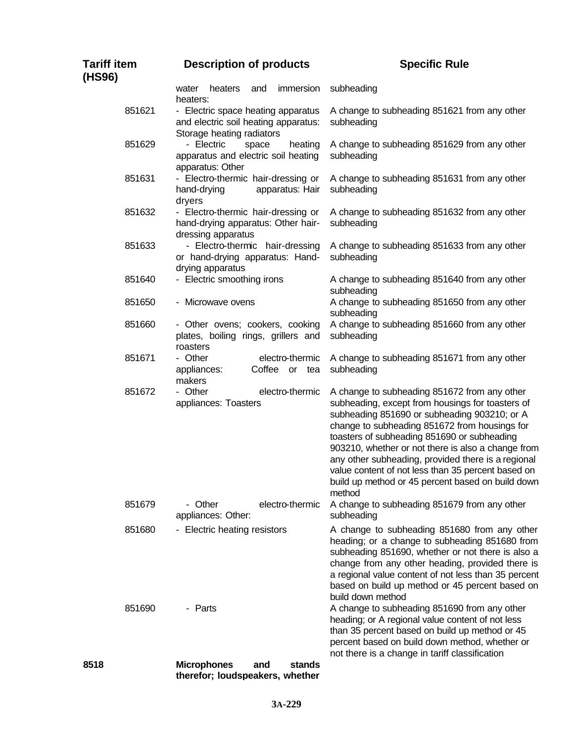| <b>Tariff item</b><br>(HS96) | <b>Description of products</b>                                                                          | <b>Specific Rule</b>                                                                                                                                                                                                                                                                                                                                                                                                                                                              |
|------------------------------|---------------------------------------------------------------------------------------------------------|-----------------------------------------------------------------------------------------------------------------------------------------------------------------------------------------------------------------------------------------------------------------------------------------------------------------------------------------------------------------------------------------------------------------------------------------------------------------------------------|
|                              | heaters<br>immersion<br>water<br>and<br>heaters:                                                        | subheading                                                                                                                                                                                                                                                                                                                                                                                                                                                                        |
| 851621                       | - Electric space heating apparatus<br>and electric soil heating apparatus:<br>Storage heating radiators | A change to subheading 851621 from any other<br>subheading                                                                                                                                                                                                                                                                                                                                                                                                                        |
| 851629                       | - Electric<br>heating<br>space<br>apparatus and electric soil heating<br>apparatus: Other               | A change to subheading 851629 from any other<br>subheading                                                                                                                                                                                                                                                                                                                                                                                                                        |
| 851631                       | - Electro-thermic hair-dressing or<br>apparatus: Hair<br>hand-drying<br>dryers                          | A change to subheading 851631 from any other<br>subheading                                                                                                                                                                                                                                                                                                                                                                                                                        |
| 851632                       | - Electro-thermic hair-dressing or<br>hand-drying apparatus: Other hair-<br>dressing apparatus          | A change to subheading 851632 from any other<br>subheading                                                                                                                                                                                                                                                                                                                                                                                                                        |
| 851633                       | - Electro-thermic hair-dressing<br>or hand-drying apparatus: Hand-<br>drying apparatus                  | A change to subheading 851633 from any other<br>subheading                                                                                                                                                                                                                                                                                                                                                                                                                        |
| 851640                       | - Electric smoothing irons                                                                              | A change to subheading 851640 from any other<br>subheading                                                                                                                                                                                                                                                                                                                                                                                                                        |
| 851650                       | - Microwave ovens                                                                                       | A change to subheading 851650 from any other<br>subheading                                                                                                                                                                                                                                                                                                                                                                                                                        |
| 851660                       | - Other ovens; cookers, cooking<br>plates, boiling rings, grillers and<br>roasters                      | A change to subheading 851660 from any other<br>subheading                                                                                                                                                                                                                                                                                                                                                                                                                        |
| 851671                       | electro-thermic<br>- Other<br>Coffee or tea<br>appliances:<br>makers                                    | A change to subheading 851671 from any other<br>subheading                                                                                                                                                                                                                                                                                                                                                                                                                        |
| 851672                       | electro-thermic<br>- Other<br>appliances: Toasters                                                      | A change to subheading 851672 from any other<br>subheading, except from housings for toasters of<br>subheading 851690 or subheading 903210; or A<br>change to subheading 851672 from housings for<br>toasters of subheading 851690 or subheading<br>903210, whether or not there is also a change from<br>any other subheading, provided there is a regional<br>value content of not less than 35 percent based on<br>build up method or 45 percent based on build down<br>method |
| 851679                       | electro-thermic<br>- Other<br>appliances: Other:                                                        | A change to subheading 851679 from any other<br>subheading                                                                                                                                                                                                                                                                                                                                                                                                                        |
| 851680                       | - Electric heating resistors                                                                            | A change to subheading 851680 from any other<br>heading; or a change to subheading 851680 from<br>subheading 851690, whether or not there is also a<br>change from any other heading, provided there is<br>a regional value content of not less than 35 percent<br>based on build up method or 45 percent based on<br>build down method                                                                                                                                           |
| 851690                       | - Parts                                                                                                 | A change to subheading 851690 from any other<br>heading; or A regional value content of not less<br>than 35 percent based on build up method or 45<br>percent based on build down method, whether or<br>not there is a change in tariff classification                                                                                                                                                                                                                            |
| 8518                         | <b>Microphones</b><br>stands<br>and<br>therefor; loudspeakers, whether                                  |                                                                                                                                                                                                                                                                                                                                                                                                                                                                                   |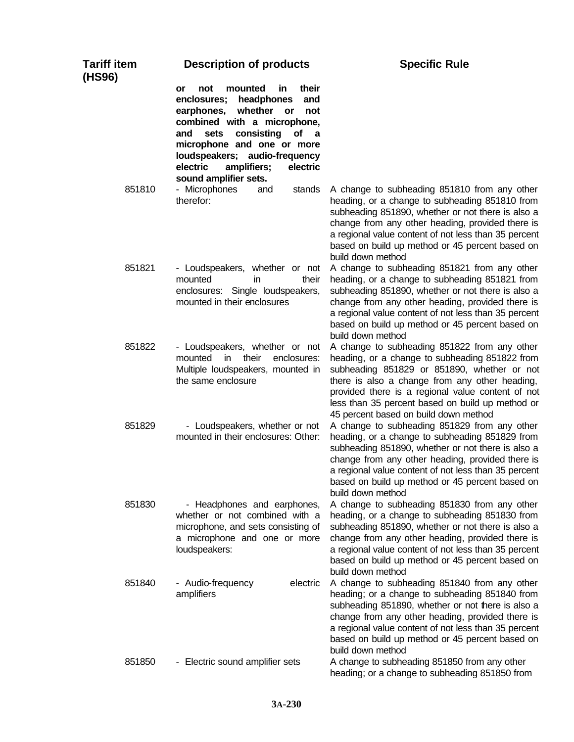| Tariff item<br>(HS96) | <b>Description of products</b>                                                                                                                                                                                                                                                                                         | <b>Specific Rule</b>                                                                                                                                                                                                                                                                                                                              |
|-----------------------|------------------------------------------------------------------------------------------------------------------------------------------------------------------------------------------------------------------------------------------------------------------------------------------------------------------------|---------------------------------------------------------------------------------------------------------------------------------------------------------------------------------------------------------------------------------------------------------------------------------------------------------------------------------------------------|
|                       | mounted<br>their<br>not<br>in.<br>or<br>enclosures;<br>headphones<br>and<br>earphones,<br>whether<br>or<br>not<br>combined with a microphone,<br>consisting<br>and<br>sets<br>of<br>a a<br>microphone and one or more<br>loudspeakers; audio-frequency<br>electric<br>amplifiers;<br>electric<br>sound amplifier sets. |                                                                                                                                                                                                                                                                                                                                                   |
| 851810                | - Microphones<br>and<br>stands<br>therefor:                                                                                                                                                                                                                                                                            | A change to subheading 851810 from any other<br>heading, or a change to subheading 851810 from<br>subheading 851890, whether or not there is also a<br>change from any other heading, provided there is<br>a regional value content of not less than 35 percent<br>based on build up method or 45 percent based on<br>build down method           |
| 851821                | - Loudspeakers, whether or not<br>mounted<br>their<br>in.<br>enclosures: Single loudspeakers,<br>mounted in their enclosures                                                                                                                                                                                           | A change to subheading 851821 from any other<br>heading, or a change to subheading 851821 from<br>subheading 851890, whether or not there is also a<br>change from any other heading, provided there is<br>a regional value content of not less than 35 percent<br>based on build up method or 45 percent based on<br>build down method           |
| 851822                | - Loudspeakers, whether or not<br>mounted<br>in<br>their<br>enclosures:<br>Multiple loudspeakers, mounted in<br>the same enclosure                                                                                                                                                                                     | A change to subheading 851822 from any other<br>heading, or a change to subheading 851822 from<br>subheading 851829 or 851890, whether or not<br>there is also a change from any other heading,<br>provided there is a regional value content of not<br>less than 35 percent based on build up method or<br>45 percent based on build down method |
| 851829                | - Loudspeakers, whether or not<br>mounted in their enclosures: Other:                                                                                                                                                                                                                                                  | A change to subheading 851829 from any other<br>heading, or a change to subheading 851829 from<br>subheading 851890, whether or not there is also a<br>change from any other heading, provided there is<br>a regional value content of not less than 35 percent<br>based on build up method or 45 percent based on<br>build down method           |
| 851830                | - Headphones and earphones,<br>whether or not combined with a<br>microphone, and sets consisting of<br>a microphone and one or more<br>loudspeakers:                                                                                                                                                                   | A change to subheading 851830 from any other<br>heading, or a change to subheading 851830 from<br>subheading 851890, whether or not there is also a<br>change from any other heading, provided there is<br>a regional value content of not less than 35 percent<br>based on build up method or 45 percent based on<br>build down method           |
| 851840                | - Audio-frequency<br>electric<br>amplifiers                                                                                                                                                                                                                                                                            | A change to subheading 851840 from any other<br>heading; or a change to subheading 851840 from<br>subheading 851890, whether or not there is also a<br>change from any other heading, provided there is<br>a regional value content of not less than 35 percent<br>based on build up method or 45 percent based on<br>build down method           |
| 851850                | - Electric sound amplifier sets                                                                                                                                                                                                                                                                                        | A change to subheading 851850 from any other<br>heading; or a change to subheading 851850 from                                                                                                                                                                                                                                                    |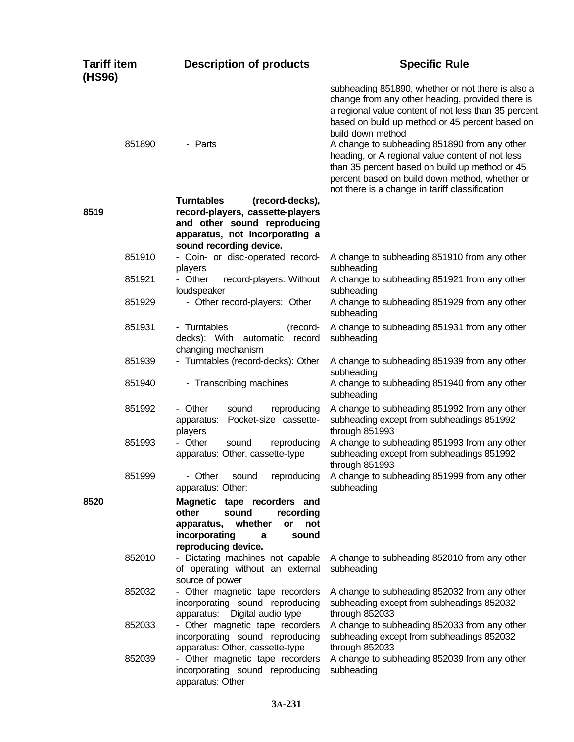| <b>Tariff item</b><br>(HS96) |        | <b>Description of products</b>                                                                                                                                       | <b>Specific Rule</b>                                                                                                                                                                                                                                   |
|------------------------------|--------|----------------------------------------------------------------------------------------------------------------------------------------------------------------------|--------------------------------------------------------------------------------------------------------------------------------------------------------------------------------------------------------------------------------------------------------|
|                              |        |                                                                                                                                                                      | subheading 851890, whether or not there is also a<br>change from any other heading, provided there is<br>a regional value content of not less than 35 percent<br>based on build up method or 45 percent based on<br>build down method                  |
| 851890                       |        | - Parts                                                                                                                                                              | A change to subheading 851890 from any other<br>heading, or A regional value content of not less<br>than 35 percent based on build up method or 45<br>percent based on build down method, whether or<br>not there is a change in tariff classification |
| 8519                         |        | <b>Turntables</b><br>(record-decks),<br>record-players, cassette-players<br>and other sound reproducing<br>apparatus, not incorporating a<br>sound recording device. |                                                                                                                                                                                                                                                        |
| 851910                       |        | - Coin- or disc-operated record-<br>players                                                                                                                          | A change to subheading 851910 from any other<br>subheading                                                                                                                                                                                             |
| 851921                       |        | - Other<br>record-players: Without<br>loudspeaker                                                                                                                    | A change to subheading 851921 from any other<br>subheading                                                                                                                                                                                             |
| 851929                       |        | - Other record-players: Other                                                                                                                                        | A change to subheading 851929 from any other<br>subheading                                                                                                                                                                                             |
| 851931                       |        | - Turntables<br>(record-<br>decks): With<br>automatic<br>record<br>changing mechanism                                                                                | A change to subheading 851931 from any other<br>subheading                                                                                                                                                                                             |
| 851939                       |        | - Turntables (record-decks): Other                                                                                                                                   | A change to subheading 851939 from any other<br>subheading                                                                                                                                                                                             |
| 851940                       |        | - Transcribing machines                                                                                                                                              | A change to subheading 851940 from any other<br>subheading                                                                                                                                                                                             |
| 851992                       |        | - Other<br>sound<br>reproducing<br>Pocket-size cassette-<br>apparatus:<br>players                                                                                    | A change to subheading 851992 from any other<br>subheading except from subheadings 851992<br>through 851993                                                                                                                                            |
| 851993                       |        | - Other<br>reproducing<br>sound<br>apparatus: Other, cassette-type                                                                                                   | A change to subheading 851993 from any other<br>subheading except from subheadings 851992<br>through 851993                                                                                                                                            |
| 851999                       |        | apparatus: Other:                                                                                                                                                    | - Other sound reproducing A change to subheading 851999 from any other<br>subheading                                                                                                                                                                   |
| 8520                         |        | Magnetic tape recorders and<br>other<br>sound<br>recording<br>whether<br>apparatus,<br>not<br>or<br>incorporating<br>sound<br>a<br>reproducing device.               |                                                                                                                                                                                                                                                        |
| 852010                       |        | - Dictating machines not capable<br>of operating without an external<br>source of power                                                                              | A change to subheading 852010 from any other<br>subheading                                                                                                                                                                                             |
|                              | 852032 | - Other magnetic tape recorders<br>incorporating sound reproducing<br>apparatus: Digital audio type                                                                  | A change to subheading 852032 from any other<br>subheading except from subheadings 852032<br>through 852033                                                                                                                                            |
|                              | 852033 | - Other magnetic tape recorders<br>incorporating sound reproducing<br>apparatus: Other, cassette-type                                                                | A change to subheading 852033 from any other<br>subheading except from subheadings 852032<br>through 852033                                                                                                                                            |
| 852039                       |        | - Other magnetic tape recorders<br>incorporating sound reproducing<br>apparatus: Other                                                                               | A change to subheading 852039 from any other<br>subheading                                                                                                                                                                                             |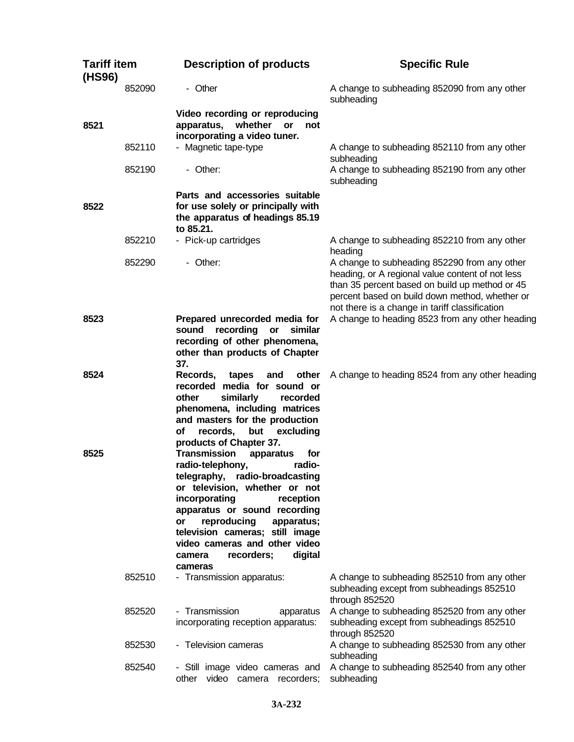| <b>Tariff item</b><br>(HS96) |        | <b>Description of products</b>                                                                                                                                                                                                                                                                                                                                                         | <b>Specific Rule</b>                                                                                                                                                                                                                                   |
|------------------------------|--------|----------------------------------------------------------------------------------------------------------------------------------------------------------------------------------------------------------------------------------------------------------------------------------------------------------------------------------------------------------------------------------------|--------------------------------------------------------------------------------------------------------------------------------------------------------------------------------------------------------------------------------------------------------|
|                              | 852090 | - Other                                                                                                                                                                                                                                                                                                                                                                                | A change to subheading 852090 from any other<br>subheading                                                                                                                                                                                             |
| 8521                         |        | Video recording or reproducing<br>whether<br>apparatus,<br>or<br>not<br>incorporating a video tuner.                                                                                                                                                                                                                                                                                   |                                                                                                                                                                                                                                                        |
|                              | 852110 | - Magnetic tape-type                                                                                                                                                                                                                                                                                                                                                                   | A change to subheading 852110 from any other<br>subheading                                                                                                                                                                                             |
|                              | 852190 | - Other:                                                                                                                                                                                                                                                                                                                                                                               | A change to subheading 852190 from any other<br>subheading                                                                                                                                                                                             |
| 8522                         |        | Parts and accessories suitable<br>for use solely or principally with<br>the apparatus of headings 85.19<br>to 85.21.                                                                                                                                                                                                                                                                   |                                                                                                                                                                                                                                                        |
|                              | 852210 | - Pick-up cartridges                                                                                                                                                                                                                                                                                                                                                                   | A change to subheading 852210 from any other<br>heading                                                                                                                                                                                                |
|                              | 852290 | - Other:                                                                                                                                                                                                                                                                                                                                                                               | A change to subheading 852290 from any other<br>heading, or A regional value content of not less<br>than 35 percent based on build up method or 45<br>percent based on build down method, whether or<br>not there is a change in tariff classification |
| 8523                         |        | Prepared unrecorded media for<br>recording<br>similar<br>sound<br>or<br>recording of other phenomena,<br>other than products of Chapter<br>37.                                                                                                                                                                                                                                         | A change to heading 8523 from any other heading                                                                                                                                                                                                        |
| 8524                         |        | Records,<br>tapes<br>other<br>and<br>recorded media for sound or<br>other<br>similarly<br>recorded<br>phenomena, including matrices<br>and masters for the production<br>excluding<br>οf<br>records,<br>but                                                                                                                                                                            | A change to heading 8524 from any other heading                                                                                                                                                                                                        |
| 8525                         |        | products of Chapter 37.<br><b>Transmission</b><br>for<br>apparatus<br>radio-telephony,<br>radio-<br>telegraphy, radio-broadcasting<br>or television, whether or not<br>incorporating<br>reception<br>apparatus or sound recording<br>reproducing<br>apparatus;<br>or<br>television cameras; still image<br>video cameras and other video<br>recorders;<br>digital<br>camera<br>cameras |                                                                                                                                                                                                                                                        |
|                              | 852510 | - Transmission apparatus:                                                                                                                                                                                                                                                                                                                                                              | A change to subheading 852510 from any other<br>subheading except from subheadings 852510<br>through 852520                                                                                                                                            |
|                              | 852520 | - Transmission<br>apparatus<br>incorporating reception apparatus:                                                                                                                                                                                                                                                                                                                      | A change to subheading 852520 from any other<br>subheading except from subheadings 852510<br>through 852520                                                                                                                                            |
|                              | 852530 | - Television cameras                                                                                                                                                                                                                                                                                                                                                                   | A change to subheading 852530 from any other<br>subheading                                                                                                                                                                                             |
|                              | 852540 | - Still image video cameras and<br>video camera recorders;<br>other                                                                                                                                                                                                                                                                                                                    | A change to subheading 852540 from any other<br>subheading                                                                                                                                                                                             |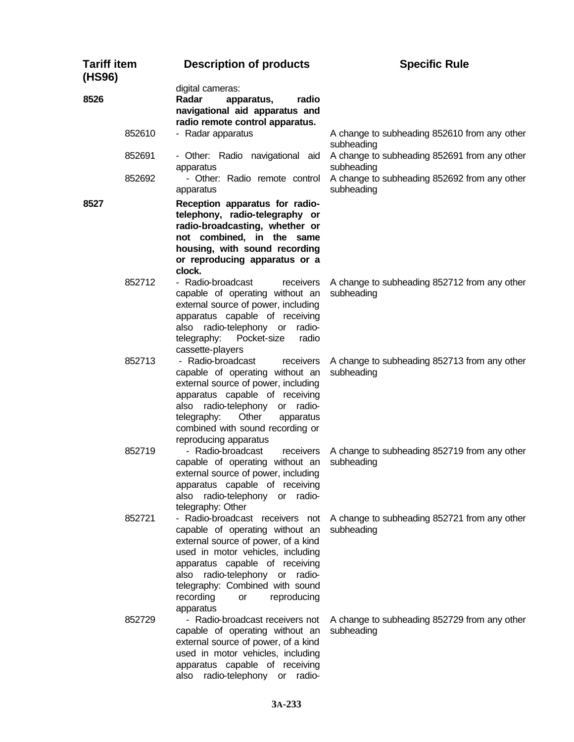| <b>Tariff item</b><br>(HS96) |        | <b>Description of products</b>                                                                                                                                                                                                                                                 | <b>Specific Rule</b>                                                                       |
|------------------------------|--------|--------------------------------------------------------------------------------------------------------------------------------------------------------------------------------------------------------------------------------------------------------------------------------|--------------------------------------------------------------------------------------------|
| 8526                         |        | digital cameras:<br>Radar<br>radio<br>apparatus,<br>navigational aid apparatus and<br>radio remote control apparatus.                                                                                                                                                          |                                                                                            |
|                              | 852610 | - Radar apparatus                                                                                                                                                                                                                                                              | A change to subheading 852610 from any other<br>subheading                                 |
|                              | 852691 | - Other: Radio navigational aid<br>apparatus                                                                                                                                                                                                                                   | A change to subheading 852691 from any other<br>subheading                                 |
|                              | 852692 | - Other: Radio remote control<br>apparatus                                                                                                                                                                                                                                     | A change to subheading 852692 from any other<br>subheading                                 |
| 8527                         |        | Reception apparatus for radio-<br>telephony, radio-telegraphy or<br>radio-broadcasting, whether or<br>not combined, in the same<br>housing, with sound recording<br>or reproducing apparatus or a<br>clock.                                                                    |                                                                                            |
|                              | 852712 | - Radio-broadcast<br>receivers<br>capable of operating without an<br>external source of power, including<br>apparatus capable of receiving<br>also radio-telephony or radio-<br>telegraphy:<br>Pocket-size<br>radio<br>cassette-players                                        | A change to subheading 852712 from any other<br>subheading                                 |
|                              | 852713 | - Radio-broadcast<br>receivers<br>capable of operating without an<br>external source of power, including<br>apparatus capable of receiving<br>also radio-telephony or radio-<br>telegraphy:<br>Other<br>apparatus<br>combined with sound recording or<br>reproducing apparatus | A change to subheading 852713 from any other<br>subheading                                 |
|                              | 852719 | - Radio-broadcast<br>receivers<br>capable of operating without an<br>external source of power, including<br>apparatus capable of receiving<br>also radio-telephony or radio-<br>telegraphy: Other                                                                              | A change to subheading 852719 from any other<br>subheading                                 |
|                              | 852721 | capable of operating without an<br>external source of power, of a kind<br>used in motor vehicles, including<br>apparatus capable of receiving<br>also radio-telephony or radio-<br>telegraphy: Combined with sound<br>recording<br>reproducing<br>or<br>apparatus              | - Radio-broadcast receivers not A change to subheading 852721 from any other<br>subheading |
|                              | 852729 | - Radio-broadcast receivers not<br>capable of operating without an<br>external source of power, of a kind<br>used in motor vehicles, including<br>apparatus capable of receiving<br>also radio-telephony or radio-                                                             | A change to subheading 852729 from any other<br>subheading                                 |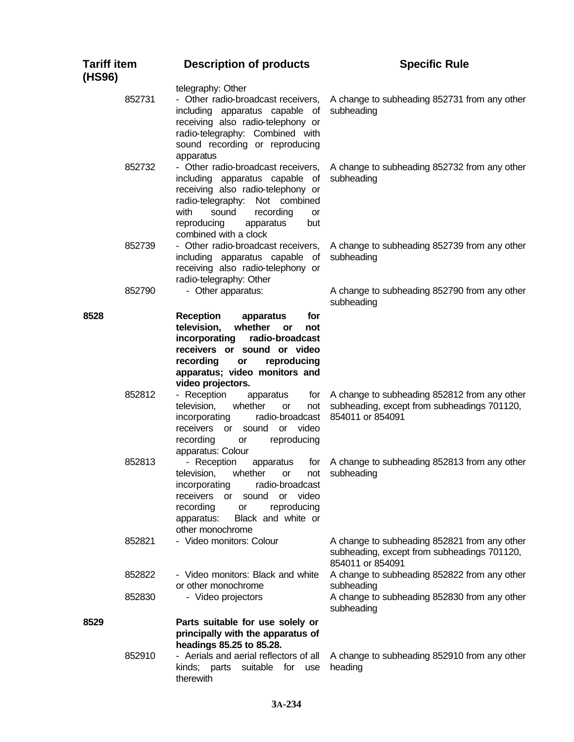| <b>Tariff item</b><br>(HS96) | <b>Description of products</b>                                                                                                                                                                                                               | <b>Specific Rule</b>                                                                                                     |  |
|------------------------------|----------------------------------------------------------------------------------------------------------------------------------------------------------------------------------------------------------------------------------------------|--------------------------------------------------------------------------------------------------------------------------|--|
| 852731                       | telegraphy: Other<br>- Other radio-broadcast receivers,<br>including apparatus capable of<br>receiving also radio-telephony or<br>radio-telegraphy: Combined with<br>sound recording or reproducing<br>apparatus                             | A change to subheading 852731 from any other<br>subheading                                                               |  |
| 852732                       | - Other radio-broadcast receivers,<br>including apparatus capable of<br>receiving also radio-telephony or<br>radio-telegraphy: Not combined<br>with<br>sound<br>recording<br>or<br>reproducing<br>apparatus<br>but<br>combined with a clock  | A change to subheading 852732 from any other<br>subheading                                                               |  |
| 852739                       | - Other radio-broadcast receivers,<br>including apparatus capable of<br>receiving also radio-telephony or<br>radio-telegraphy: Other                                                                                                         | A change to subheading 852739 from any other<br>subheading                                                               |  |
| 852790                       | - Other apparatus:                                                                                                                                                                                                                           | A change to subheading 852790 from any other<br>subheading                                                               |  |
| 8528                         | <b>Reception</b><br>for<br>apparatus<br>television,<br>whether<br>or<br>not<br>incorporating<br>radio-broadcast<br>receivers or sound or video<br>recording<br>reproducing<br>or<br>apparatus; video monitors and                            |                                                                                                                          |  |
| 852812                       | video projectors.<br>- Reception<br>apparatus<br>for<br>television,<br>whether<br>or<br>not<br>radio-broadcast<br>incorporating<br>receivers<br>video<br>sound<br><b>or</b><br>or<br>recording<br>reproducing<br>or<br>apparatus: Colour     | A change to subheading 852812 from any other<br>subheading, except from subheadings 701120,<br>854011 or 854091          |  |
| 852813                       | - Reception<br>apparatus<br>tor<br>whether<br>television,<br>not<br>or<br>radio-broadcast<br>incorporating<br>receivers<br>or video<br>sound<br>or<br>recording<br>reproducing<br>or<br>Black and white or<br>apparatus:<br>other monochrome | A change to subheading 852813 from any other<br>subheading                                                               |  |
| 852821                       | - Video monitors: Colour                                                                                                                                                                                                                     | A change to subheading 852821 from any other<br>subheading, except from subheadings 701120,<br>854011 or 854091          |  |
| 852822<br>852830             | - Video monitors: Black and white<br>or other monochrome<br>- Video projectors                                                                                                                                                               | A change to subheading 852822 from any other<br>subheading<br>A change to subheading 852830 from any other<br>subheading |  |
| 8529                         | Parts suitable for use solely or<br>principally with the apparatus of<br>headings 85.25 to 85.28.                                                                                                                                            |                                                                                                                          |  |
| 852910                       | - Aerials and aerial reflectors of all<br>kinds; parts suitable for use<br>therewith                                                                                                                                                         | A change to subheading 852910 from any other<br>heading                                                                  |  |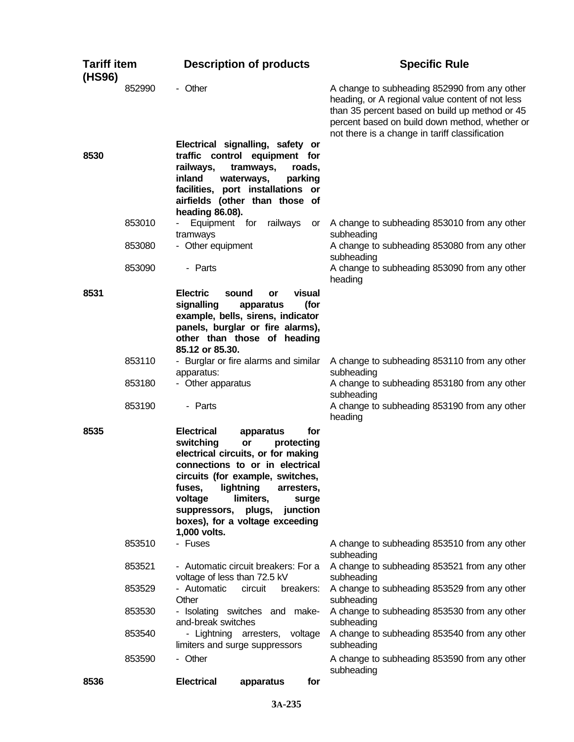| <b>Tariff item</b><br>(HS96) |        | <b>Description of products</b>                                                                                                                                                                                                                                      |                                                                             | <b>Specific Rule</b>                                                                                                                                                                                                                                   |  |
|------------------------------|--------|---------------------------------------------------------------------------------------------------------------------------------------------------------------------------------------------------------------------------------------------------------------------|-----------------------------------------------------------------------------|--------------------------------------------------------------------------------------------------------------------------------------------------------------------------------------------------------------------------------------------------------|--|
|                              | 852990 | - Other                                                                                                                                                                                                                                                             |                                                                             | A change to subheading 852990 from any other<br>heading, or A regional value content of not less<br>than 35 percent based on build up method or 45<br>percent based on build down method, whether or<br>not there is a change in tariff classification |  |
| 8530                         |        | Electrical signalling, safety or<br>traffic control equipment for<br>railways,<br>inland<br>waterways,<br>facilities, port installations or<br>airfields (other than those of<br>heading 86.08).                                                                    | tramways,<br>roads,<br>parking                                              |                                                                                                                                                                                                                                                        |  |
|                              | 853010 | Equipment for<br>tramways                                                                                                                                                                                                                                           | railways<br>or                                                              | A change to subheading 853010 from any other<br>subheading                                                                                                                                                                                             |  |
|                              | 853080 | - Other equipment                                                                                                                                                                                                                                                   |                                                                             | A change to subheading 853080 from any other<br>subheading                                                                                                                                                                                             |  |
|                              | 853090 | - Parts                                                                                                                                                                                                                                                             |                                                                             | A change to subheading 853090 from any other<br>heading                                                                                                                                                                                                |  |
| 8531                         |        | <b>Electric</b><br>sound<br>signalling<br>example, bells, sirens, indicator<br>panels, burglar or fire alarms),<br>other than those of heading<br>85.12 or 85.30.                                                                                                   | visual<br>or<br>(for<br>apparatus                                           |                                                                                                                                                                                                                                                        |  |
|                              | 853110 | - Burglar or fire alarms and similar<br>apparatus:                                                                                                                                                                                                                  |                                                                             | A change to subheading 853110 from any other<br>subheading                                                                                                                                                                                             |  |
|                              | 853180 | - Other apparatus                                                                                                                                                                                                                                                   |                                                                             | A change to subheading 853180 from any other<br>subheading                                                                                                                                                                                             |  |
|                              | 853190 | - Parts                                                                                                                                                                                                                                                             |                                                                             | A change to subheading 853190 from any other<br>heading                                                                                                                                                                                                |  |
| 8535                         |        | <b>Electrical</b><br>switching<br>or<br>electrical circuits, or for making<br>connections to or in electrical<br>circuits (for example, switches,<br>lightning<br>fuses,<br>limiters,<br>voltage<br>suppressors,<br>boxes), for a voltage exceeding<br>1,000 volts. | for<br>apparatus<br>protecting<br>arresters,<br>surge<br>junction<br>plugs, |                                                                                                                                                                                                                                                        |  |
|                              | 853510 | - Fuses                                                                                                                                                                                                                                                             |                                                                             | A change to subheading 853510 from any other<br>subheading                                                                                                                                                                                             |  |
|                              | 853521 | - Automatic circuit breakers: For a<br>voltage of less than 72.5 kV                                                                                                                                                                                                 |                                                                             | A change to subheading 853521 from any other<br>subheading                                                                                                                                                                                             |  |
|                              | 853529 | - Automatic<br>circuit<br>Other                                                                                                                                                                                                                                     | breakers:                                                                   | A change to subheading 853529 from any other<br>subheading                                                                                                                                                                                             |  |
|                              | 853530 | - Isolating switches and make-<br>and-break switches                                                                                                                                                                                                                |                                                                             | A change to subheading 853530 from any other<br>subheading                                                                                                                                                                                             |  |
|                              | 853540 | - Lightning arresters, voltage<br>limiters and surge suppressors                                                                                                                                                                                                    |                                                                             | A change to subheading 853540 from any other<br>subheading                                                                                                                                                                                             |  |
|                              | 853590 | - Other                                                                                                                                                                                                                                                             |                                                                             | A change to subheading 853590 from any other<br>subheading                                                                                                                                                                                             |  |
| 8536                         |        | <b>Electrical</b>                                                                                                                                                                                                                                                   | apparatus<br>for                                                            |                                                                                                                                                                                                                                                        |  |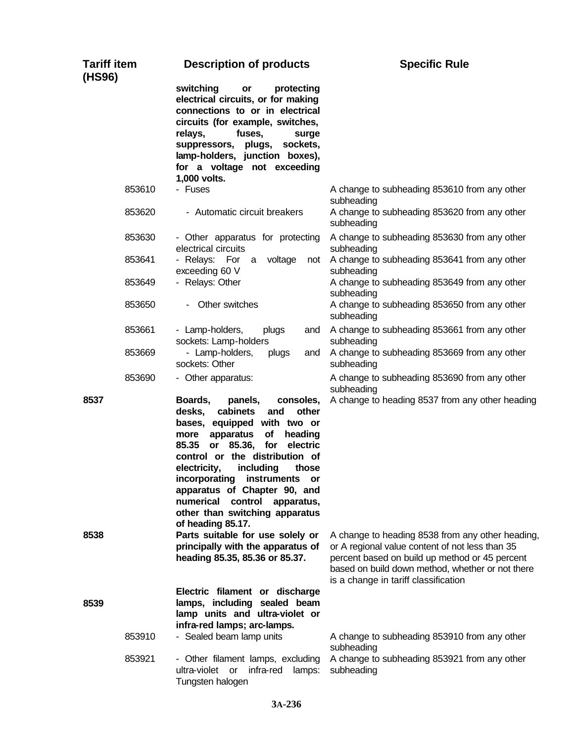| <b>Tariff item</b><br>(HS96) | <b>Description of products</b>                                                                                                                                                                                                                                                                                                                                                                                                 | <b>Specific Rule</b>                                                                                                                                                                                                                              |
|------------------------------|--------------------------------------------------------------------------------------------------------------------------------------------------------------------------------------------------------------------------------------------------------------------------------------------------------------------------------------------------------------------------------------------------------------------------------|---------------------------------------------------------------------------------------------------------------------------------------------------------------------------------------------------------------------------------------------------|
|                              | switching<br>protecting<br>or<br>electrical circuits, or for making<br>connections to or in electrical<br>circuits (for example, switches,<br>relays,<br>fuses,<br>surge<br>suppressors, plugs,<br>sockets,<br>lamp-holders, junction boxes),<br>for a voltage not exceeding<br>1,000 volts.                                                                                                                                   |                                                                                                                                                                                                                                                   |
| 853610                       | - Fuses                                                                                                                                                                                                                                                                                                                                                                                                                        | A change to subheading 853610 from any other<br>subheading                                                                                                                                                                                        |
| 853620                       | - Automatic circuit breakers                                                                                                                                                                                                                                                                                                                                                                                                   | A change to subheading 853620 from any other<br>subheading                                                                                                                                                                                        |
| 853630                       | - Other apparatus for protecting<br>electrical circuits                                                                                                                                                                                                                                                                                                                                                                        | A change to subheading 853630 from any other<br>subheading                                                                                                                                                                                        |
| 853641                       | - Relays: For a<br>voltage<br>not<br>exceeding 60 V                                                                                                                                                                                                                                                                                                                                                                            | A change to subheading 853641 from any other<br>subheading                                                                                                                                                                                        |
| 853649                       | - Relays: Other                                                                                                                                                                                                                                                                                                                                                                                                                | A change to subheading 853649 from any other<br>subheading                                                                                                                                                                                        |
| 853650                       | Other switches                                                                                                                                                                                                                                                                                                                                                                                                                 | A change to subheading 853650 from any other<br>subheading                                                                                                                                                                                        |
| 853661                       | - Lamp-holders,<br>plugs<br>and<br>sockets: Lamp-holders                                                                                                                                                                                                                                                                                                                                                                       | A change to subheading 853661 from any other<br>subheading                                                                                                                                                                                        |
| 853669                       | - Lamp-holders,<br>plugs<br>and<br>sockets: Other                                                                                                                                                                                                                                                                                                                                                                              | A change to subheading 853669 from any other<br>subheading                                                                                                                                                                                        |
| 853690                       | - Other apparatus:                                                                                                                                                                                                                                                                                                                                                                                                             | A change to subheading 853690 from any other<br>subheading                                                                                                                                                                                        |
| 8537                         | Boards,<br>panels,<br>consoles,<br>cabinets<br>desks,<br>and<br>other<br>bases, equipped with two or<br>of<br>apparatus<br>heading<br>more<br>85.35<br>85.36,<br>for<br>electric<br>or<br>control or the distribution of<br>including<br>electricity,<br>those<br>incorporating<br>instruments or<br>apparatus of Chapter 90, and<br>numerical<br>control<br>apparatus,<br>other than switching apparatus<br>of heading 85.17. | A change to heading 8537 from any other heading                                                                                                                                                                                                   |
| 8538                         | Parts suitable for use solely or<br>principally with the apparatus of<br>heading 85.35, 85.36 or 85.37.<br>Electric filament or discharge                                                                                                                                                                                                                                                                                      | A change to heading 8538 from any other heading,<br>or A regional value content of not less than 35<br>percent based on build up method or 45 percent<br>based on build down method, whether or not there<br>is a change in tariff classification |
| 8539                         | lamps, including sealed beam<br>lamp units and ultra-violet or<br>infra-red lamps; arc-lamps.                                                                                                                                                                                                                                                                                                                                  |                                                                                                                                                                                                                                                   |
| 853910                       | - Sealed beam lamp units                                                                                                                                                                                                                                                                                                                                                                                                       | A change to subheading 853910 from any other<br>subheading                                                                                                                                                                                        |
| 853921                       | - Other filament lamps, excluding<br>ultra-violet or<br>infra-red<br>lamps:<br>Tungsten halogen                                                                                                                                                                                                                                                                                                                                | A change to subheading 853921 from any other<br>subheading                                                                                                                                                                                        |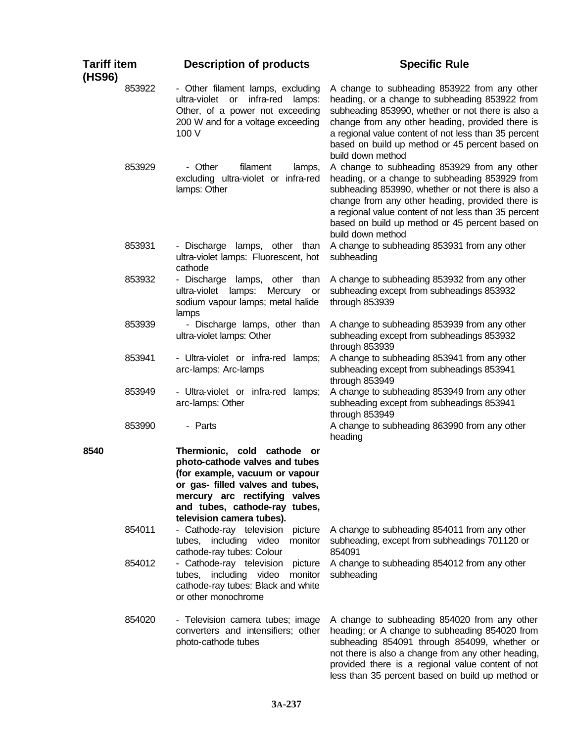| <b>Tariff item</b><br>(HS96) |        | <b>Description of products</b>                                                                                                                                                                                                        | <b>Specific Rule</b>                                                                                                                                                                                                                                                                                                                    |
|------------------------------|--------|---------------------------------------------------------------------------------------------------------------------------------------------------------------------------------------------------------------------------------------|-----------------------------------------------------------------------------------------------------------------------------------------------------------------------------------------------------------------------------------------------------------------------------------------------------------------------------------------|
|                              | 853922 | - Other filament lamps, excluding<br>ultra-violet or infra-red<br>lamps:<br>Other, of a power not exceeding<br>200 W and for a voltage exceeding<br>100 V                                                                             | A change to subheading 853922 from any other<br>heading, or a change to subheading 853922 from<br>subheading 853990, whether or not there is also a<br>change from any other heading, provided there is<br>a regional value content of not less than 35 percent<br>based on build up method or 45 percent based on<br>build down method |
|                              | 853929 | - Other<br>filament<br>lamps,<br>excluding ultra-violet or infra-red<br>lamps: Other                                                                                                                                                  | A change to subheading 853929 from any other<br>heading, or a change to subheading 853929 from<br>subheading 853990, whether or not there is also a<br>change from any other heading, provided there is<br>a regional value content of not less than 35 percent<br>based on build up method or 45 percent based on<br>build down method |
| 853931                       |        | - Discharge lamps, other than<br>ultra-violet lamps: Fluorescent, hot<br>cathode                                                                                                                                                      | A change to subheading 853931 from any other<br>subheading                                                                                                                                                                                                                                                                              |
|                              | 853932 | - Discharge lamps, other than<br>ultra-violet<br>lamps:<br>Mercury or<br>sodium vapour lamps; metal halide<br>lamps                                                                                                                   | A change to subheading 853932 from any other<br>subheading except from subheadings 853932<br>through 853939                                                                                                                                                                                                                             |
|                              | 853939 | - Discharge lamps, other than<br>ultra-violet lamps: Other                                                                                                                                                                            | A change to subheading 853939 from any other<br>subheading except from subheadings 853932<br>through 853939                                                                                                                                                                                                                             |
| 853941                       |        | - Ultra-violet or infra-red<br>lamps;<br>arc-lamps: Arc-lamps                                                                                                                                                                         | A change to subheading 853941 from any other<br>subheading except from subheadings 853941<br>through 853949                                                                                                                                                                                                                             |
|                              | 853949 | - Ultra-violet or infra-red lamps;<br>arc-lamps: Other                                                                                                                                                                                | A change to subheading 853949 from any other<br>subheading except from subheadings 853941<br>through 853949                                                                                                                                                                                                                             |
|                              | 853990 | - Parts                                                                                                                                                                                                                               | A change to subheading 863990 from any other<br>heading                                                                                                                                                                                                                                                                                 |
| 8540                         |        | Thermionic, cold cathode<br>or<br>photo-cathode valves and tubes<br>(for example, vacuum or vapour<br>or gas- filled valves and tubes,<br>mercury arc rectifying valves<br>and tubes, cathode-ray tubes,<br>television camera tubes). |                                                                                                                                                                                                                                                                                                                                         |
| 854011                       |        | - Cathode-ray television<br>picture<br>monitor<br>tubes, including video<br>cathode-ray tubes: Colour                                                                                                                                 | A change to subheading 854011 from any other<br>subheading, except from subheadings 701120 or<br>854091                                                                                                                                                                                                                                 |
|                              | 854012 | - Cathode-ray television<br>picture<br>tubes, including video<br>monitor<br>cathode-ray tubes: Black and white<br>or other monochrome                                                                                                 | A change to subheading 854012 from any other<br>subheading                                                                                                                                                                                                                                                                              |
|                              | 854020 | - Television camera tubes; image<br>converters and intensifiers; other<br>photo-cathode tubes                                                                                                                                         | A change to subheading 854020 from any other<br>heading; or A change to subheading 854020 from<br>subheading 854091 through 854099, whether or<br>not there is also a change from any other heading,<br>provided there is a regional value content of not<br>less than 35 percent based on build up method or                           |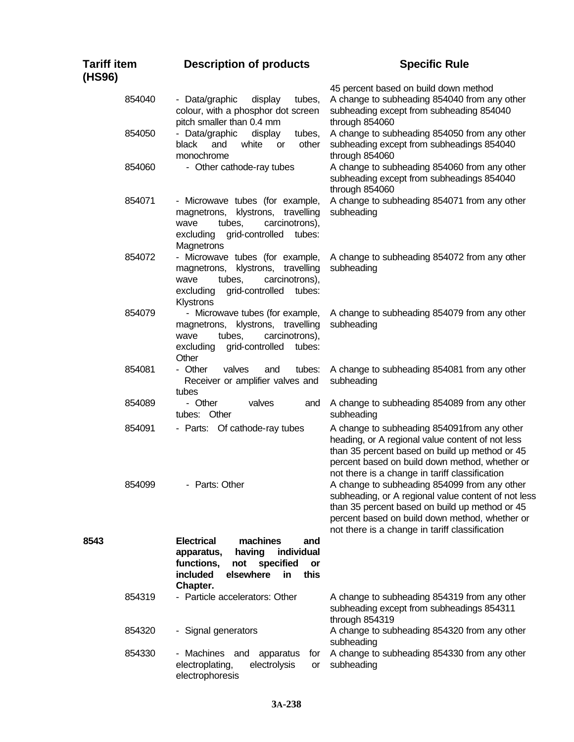| Tariff item<br>(HS96) | <b>Description of products</b>                                                                                                                                   | <b>Specific Rule</b>                                                                                                                                                                                                                                      |
|-----------------------|------------------------------------------------------------------------------------------------------------------------------------------------------------------|-----------------------------------------------------------------------------------------------------------------------------------------------------------------------------------------------------------------------------------------------------------|
| 854040                | - Data/graphic<br>tubes,<br>display<br>colour, with a phosphor dot screen<br>pitch smaller than 0.4 mm                                                           | 45 percent based on build down method<br>A change to subheading 854040 from any other<br>subheading except from subheading 854040<br>through 854060                                                                                                       |
| 854050                | - Data/graphic<br>tubes,<br>display<br>black<br>and<br>other<br>white<br><b>or</b><br>monochrome                                                                 | A change to subheading 854050 from any other<br>subheading except from subheadings 854040<br>through 854060                                                                                                                                               |
| 854060                | - Other cathode-ray tubes                                                                                                                                        | A change to subheading 854060 from any other<br>subheading except from subheadings 854040<br>through 854060                                                                                                                                               |
| 854071                | - Microwave tubes (for example,<br>magnetrons, klystrons, travelling<br>tubes,<br>carcinotrons),<br>wave<br>excluding<br>grid-controlled<br>tubes:<br>Magnetrons | A change to subheading 854071 from any other<br>subheading                                                                                                                                                                                                |
| 854072                | - Microwave tubes (for example,<br>magnetrons, klystrons, travelling<br>tubes,<br>carcinotrons),<br>wave<br>excluding<br>grid-controlled<br>tubes:<br>Klystrons  | A change to subheading 854072 from any other<br>subheading                                                                                                                                                                                                |
| 854079                | - Microwave tubes (for example,<br>magnetrons, klystrons, travelling<br>carcinotrons),<br>tubes,<br>wave<br>excluding<br>grid-controlled<br>tubes:<br>Other      | A change to subheading 854079 from any other<br>subheading                                                                                                                                                                                                |
| 854081                | - Other<br>valves<br>tubes:<br>and<br>Receiver or amplifier valves and<br>tubes                                                                                  | A change to subheading 854081 from any other<br>subheading                                                                                                                                                                                                |
| 854089                | - Other<br>valves<br>and<br>tubes: Other                                                                                                                         | A change to subheading 854089 from any other<br>subheading                                                                                                                                                                                                |
| 854091                | - Parts: Of cathode-ray tubes                                                                                                                                    | A change to subheading 854091from any other<br>heading, or A regional value content of not less<br>than 35 percent based on build up method or 45<br>percent based on build down method, whether or<br>not there is a change in tariff classification     |
| 854099                | - Parts: Other                                                                                                                                                   | A change to subheading 854099 from any other<br>subheading, or A regional value content of not less<br>than 35 percent based on build up method or 45<br>percent based on build down method, whether or<br>not there is a change in tariff classification |
| 8543                  | <b>Electrical</b><br>machines<br>and<br>individual<br>having<br>apparatus,<br>specified<br>functions,<br>not<br>or<br>elsewhere<br>this<br>included<br>in        |                                                                                                                                                                                                                                                           |
| 854319                | Chapter.<br>- Particle accelerators: Other                                                                                                                       | A change to subheading 854319 from any other<br>subheading except from subheadings 854311<br>through 854319                                                                                                                                               |
| 854320                | - Signal generators                                                                                                                                              | A change to subheading 854320 from any other<br>subheading                                                                                                                                                                                                |
| 854330                | - Machines<br>apparatus<br>for<br>and<br>electroplating,<br>electrolysis<br>or<br>electrophoresis                                                                | A change to subheading 854330 from any other<br>subheading                                                                                                                                                                                                |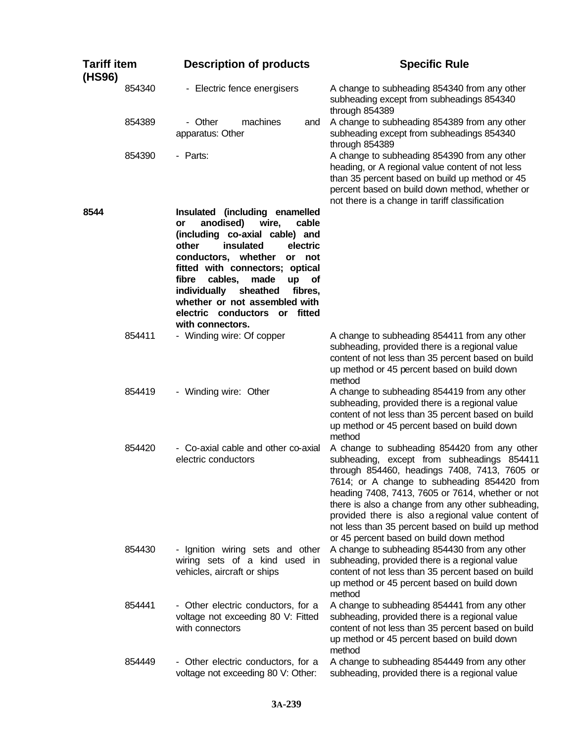| <b>Tariff item</b><br>(HS96) | <b>Description of products</b>                                                                                                                                                                                                                                                                                                                                                          | <b>Specific Rule</b>                                                                                                                                                                                                                                                                                                                                                                                                                                      |
|------------------------------|-----------------------------------------------------------------------------------------------------------------------------------------------------------------------------------------------------------------------------------------------------------------------------------------------------------------------------------------------------------------------------------------|-----------------------------------------------------------------------------------------------------------------------------------------------------------------------------------------------------------------------------------------------------------------------------------------------------------------------------------------------------------------------------------------------------------------------------------------------------------|
| 854340                       | - Electric fence energisers                                                                                                                                                                                                                                                                                                                                                             | A change to subheading 854340 from any other<br>subheading except from subheadings 854340<br>through 854389                                                                                                                                                                                                                                                                                                                                               |
| 854389                       | - Other<br>machines<br>and<br>apparatus: Other                                                                                                                                                                                                                                                                                                                                          | A change to subheading 854389 from any other<br>subheading except from subheadings 854340<br>through 854389                                                                                                                                                                                                                                                                                                                                               |
| 854390                       | - Parts:                                                                                                                                                                                                                                                                                                                                                                                | A change to subheading 854390 from any other<br>heading, or A regional value content of not less<br>than 35 percent based on build up method or 45<br>percent based on build down method, whether or<br>not there is a change in tariff classification                                                                                                                                                                                                    |
| 8544                         | Insulated (including enamelled<br>anodised)<br>wire,<br>cable<br>or<br>(including co-axial cable) and<br>insulated<br>other<br>electric<br>conductors, whether<br>or not<br>fitted with connectors; optical<br>made<br>fibre<br>cables,<br>up<br><b>of</b><br>individually<br>sheathed<br>fibres,<br>whether or not assembled with<br>electric conductors or fitted<br>with connectors. |                                                                                                                                                                                                                                                                                                                                                                                                                                                           |
| 854411                       | - Winding wire: Of copper                                                                                                                                                                                                                                                                                                                                                               | A change to subheading 854411 from any other<br>subheading, provided there is a regional value<br>content of not less than 35 percent based on build<br>up method or 45 percent based on build down<br>method                                                                                                                                                                                                                                             |
| 854419                       | - Winding wire: Other                                                                                                                                                                                                                                                                                                                                                                   | A change to subheading 854419 from any other<br>subheading, provided there is a regional value<br>content of not less than 35 percent based on build<br>up method or 45 percent based on build down<br>method                                                                                                                                                                                                                                             |
| 854420                       | - Co-axial cable and other co-axial<br>electric conductors                                                                                                                                                                                                                                                                                                                              | A change to subheading 854420 from any other<br>subheading, except from subheadings 854411<br>through 854460, headings 7408, 7413, 7605 or<br>7614; or A change to subheading 854420 from<br>heading 7408, 7413, 7605 or 7614, whether or not<br>there is also a change from any other subheading,<br>provided there is also a regional value content of<br>not less than 35 percent based on build up method<br>or 45 percent based on build down method |
| 854430                       | - Ignition wiring sets and other<br>wiring sets of a kind used in<br>vehicles, aircraft or ships                                                                                                                                                                                                                                                                                        | A change to subheading 854430 from any other<br>subheading, provided there is a regional value<br>content of not less than 35 percent based on build<br>up method or 45 percent based on build down<br>method                                                                                                                                                                                                                                             |
| 854441                       | - Other electric conductors, for a<br>voltage not exceeding 80 V: Fitted<br>with connectors                                                                                                                                                                                                                                                                                             | A change to subheading 854441 from any other<br>subheading, provided there is a regional value<br>content of not less than 35 percent based on build<br>up method or 45 percent based on build down<br>method                                                                                                                                                                                                                                             |
| 854449                       | - Other electric conductors, for a<br>voltage not exceeding 80 V: Other:                                                                                                                                                                                                                                                                                                                | A change to subheading 854449 from any other<br>subheading, provided there is a regional value                                                                                                                                                                                                                                                                                                                                                            |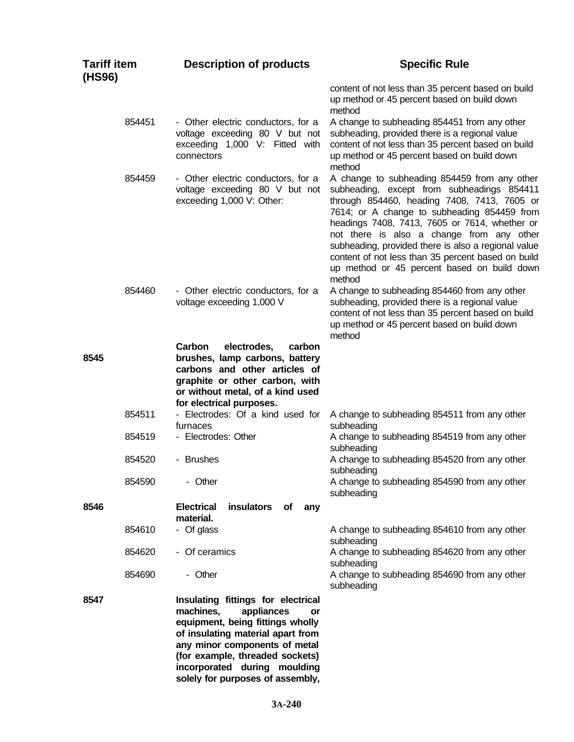| <b>Tariff item</b><br>(HS96) |        | <b>Description of products</b>                                                                                                                                                                                                                                                       | <b>Specific Rule</b>                                                                                                                                                                                                                                                                                                                                                                                                                                         |
|------------------------------|--------|--------------------------------------------------------------------------------------------------------------------------------------------------------------------------------------------------------------------------------------------------------------------------------------|--------------------------------------------------------------------------------------------------------------------------------------------------------------------------------------------------------------------------------------------------------------------------------------------------------------------------------------------------------------------------------------------------------------------------------------------------------------|
|                              |        |                                                                                                                                                                                                                                                                                      | content of not less than 35 percent based on build<br>up method or 45 percent based on build down<br>method                                                                                                                                                                                                                                                                                                                                                  |
|                              | 854451 | - Other electric conductors, for a<br>voltage exceeding 80 V but not<br>exceeding 1,000 V: Fitted with<br>connectors                                                                                                                                                                 | A change to subheading 854451 from any other<br>subheading, provided there is a regional value<br>content of not less than 35 percent based on build<br>up method or 45 percent based on build down<br>method                                                                                                                                                                                                                                                |
|                              | 854459 | - Other electric conductors, for a<br>voltage exceeding 80 V but not<br>exceeding 1,000 V: Other:                                                                                                                                                                                    | A change to subheading 854459 from any other<br>subheading, except from subheadings 854411<br>through 854460, heading 7408, 7413, 7605 or<br>7614; or A change to subheading 854459 from<br>headings 7408, 7413, 7605 or 7614, whether or<br>not there is also a change from any other<br>subheading, provided there is also a regional value<br>content of not less than 35 percent based on build<br>up method or 45 percent based on build down<br>method |
|                              | 854460 | - Other electric conductors, for a<br>voltage exceeding 1,000 V                                                                                                                                                                                                                      | A change to subheading 854460 from any other<br>subheading, provided there is a regional value<br>content of not less than 35 percent based on build<br>up method or 45 percent based on build down<br>method                                                                                                                                                                                                                                                |
| 8545                         |        | electrodes,<br><b>Carbon</b><br>carbon<br>brushes, lamp carbons, battery<br>carbons and other articles of<br>graphite or other carbon, with<br>or without metal, of a kind used<br>for electrical purposes.                                                                          |                                                                                                                                                                                                                                                                                                                                                                                                                                                              |
|                              | 854511 | - Electrodes: Of a kind used for<br>furnaces                                                                                                                                                                                                                                         | A change to subheading 854511 from any other<br>subheading                                                                                                                                                                                                                                                                                                                                                                                                   |
|                              | 854519 | - Electrodes: Other                                                                                                                                                                                                                                                                  | A change to subheading 854519 from any other<br>subheading                                                                                                                                                                                                                                                                                                                                                                                                   |
|                              | 854520 | - Brushes                                                                                                                                                                                                                                                                            | A change to subheading 854520 from any other<br>subheading                                                                                                                                                                                                                                                                                                                                                                                                   |
|                              | 854590 | - Other                                                                                                                                                                                                                                                                              | A change to subheading 854590 from any other<br>subheading                                                                                                                                                                                                                                                                                                                                                                                                   |
| 8546                         |        | <b>Electrical</b><br>insulators<br>Οf<br>any<br>material.                                                                                                                                                                                                                            |                                                                                                                                                                                                                                                                                                                                                                                                                                                              |
|                              | 854610 | - Of glass                                                                                                                                                                                                                                                                           | A change to subheading 854610 from any other<br>subheading                                                                                                                                                                                                                                                                                                                                                                                                   |
|                              | 854620 | - Of ceramics                                                                                                                                                                                                                                                                        | A change to subheading 854620 from any other<br>subheading                                                                                                                                                                                                                                                                                                                                                                                                   |
|                              | 854690 | - Other                                                                                                                                                                                                                                                                              | A change to subheading 854690 from any other<br>subheading                                                                                                                                                                                                                                                                                                                                                                                                   |
| 8547                         |        | Insulating fittings for electrical<br>machines,<br>appliances<br>or<br>equipment, being fittings wholly<br>of insulating material apart from<br>any minor components of metal<br>(for example, threaded sockets)<br>incorporated during moulding<br>solely for purposes of assembly, |                                                                                                                                                                                                                                                                                                                                                                                                                                                              |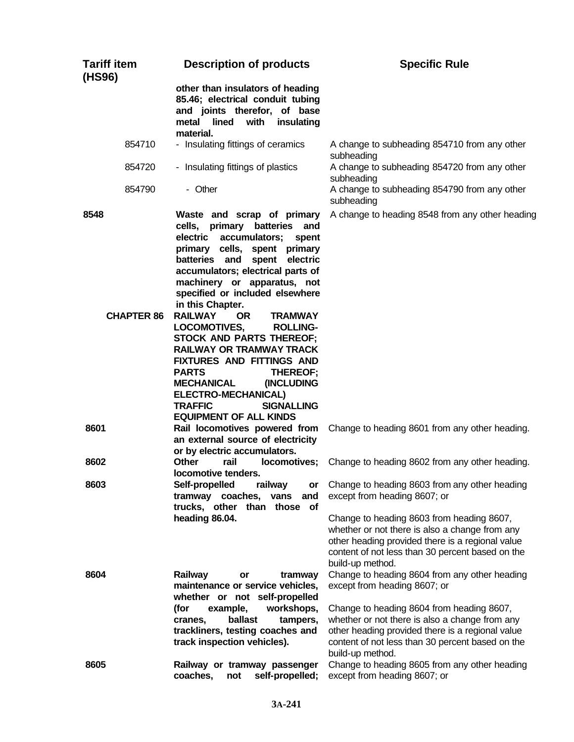| <b>Tariff item</b><br>(HS96) | <b>Description of products</b>                                                                                                                                                                                                                                                                                                                           | <b>Specific Rule</b>                                                                                                                                                                                                                                                                                                         |
|------------------------------|----------------------------------------------------------------------------------------------------------------------------------------------------------------------------------------------------------------------------------------------------------------------------------------------------------------------------------------------------------|------------------------------------------------------------------------------------------------------------------------------------------------------------------------------------------------------------------------------------------------------------------------------------------------------------------------------|
|                              | other than insulators of heading<br>85.46; electrical conduit tubing<br>and joints therefor, of base<br>metal<br>lined with<br>insulating<br>material.                                                                                                                                                                                                   |                                                                                                                                                                                                                                                                                                                              |
| 854710                       | - Insulating fittings of ceramics                                                                                                                                                                                                                                                                                                                        | A change to subheading 854710 from any other<br>subheading                                                                                                                                                                                                                                                                   |
| 854720                       | - Insulating fittings of plastics                                                                                                                                                                                                                                                                                                                        | A change to subheading 854720 from any other<br>subheading                                                                                                                                                                                                                                                                   |
| 854790                       | - Other                                                                                                                                                                                                                                                                                                                                                  | A change to subheading 854790 from any other<br>subheading                                                                                                                                                                                                                                                                   |
| 8548                         | Waste and scrap of primary<br>cells, primary<br>batteries<br>and<br>electric<br>accumulators;<br>spent<br>primary cells,<br>spent primary<br>batteries and<br>spent<br>electric<br>accumulators; electrical parts of<br>machinery or apparatus, not<br>specified or included elsewhere<br>in this Chapter.                                               | A change to heading 8548 from any other heading                                                                                                                                                                                                                                                                              |
| <b>CHAPTER 86</b>            | <b>RAILWAY</b><br><b>OR</b><br><b>TRAMWAY</b><br>LOCOMOTIVES,<br><b>ROLLING-</b><br><b>STOCK AND PARTS THEREOF;</b><br><b>RAILWAY OR TRAMWAY TRACK</b><br>FIXTURES AND FITTINGS AND<br><b>PARTS</b><br>THEREOF;<br><b>MECHANICAL</b><br>(INCLUDING<br><b>ELECTRO-MECHANICAL)</b><br><b>TRAFFIC</b><br><b>SIGNALLING</b><br><b>EQUIPMENT OF ALL KINDS</b> |                                                                                                                                                                                                                                                                                                                              |
| 8601                         | Rail locomotives powered from<br>an external source of electricity<br>or by electric accumulators.                                                                                                                                                                                                                                                       | Change to heading 8601 from any other heading.                                                                                                                                                                                                                                                                               |
| 8602                         | Other<br>rail<br>locomotives;<br>locomotive tenders.                                                                                                                                                                                                                                                                                                     | Change to heading 8602 from any other heading.                                                                                                                                                                                                                                                                               |
| 8603                         | Self-propelled<br>railway<br>or<br>tramway coaches,<br>vans<br>and<br>trucks, other than those<br><b>of</b><br>heading 86.04.                                                                                                                                                                                                                            | Change to heading 8603 from any other heading<br>except from heading 8607; or<br>Change to heading 8603 from heading 8607,<br>whether or not there is also a change from any<br>other heading provided there is a regional value<br>content of not less than 30 percent based on the                                         |
| 8604                         | Railway<br>tramway<br>or<br>maintenance or service vehicles,<br>whether or not self-propelled<br>example,<br>workshops,<br>(for<br>ballast<br>tampers,<br>cranes,<br>trackliners, testing coaches and<br>track inspection vehicles).                                                                                                                     | build-up method.<br>Change to heading 8604 from any other heading<br>except from heading 8607; or<br>Change to heading 8604 from heading 8607,<br>whether or not there is also a change from any<br>other heading provided there is a regional value<br>content of not less than 30 percent based on the<br>build-up method. |
| 8605                         | Railway or tramway passenger<br>coaches,<br>self-propelled;<br>not                                                                                                                                                                                                                                                                                       | Change to heading 8605 from any other heading<br>except from heading 8607; or                                                                                                                                                                                                                                                |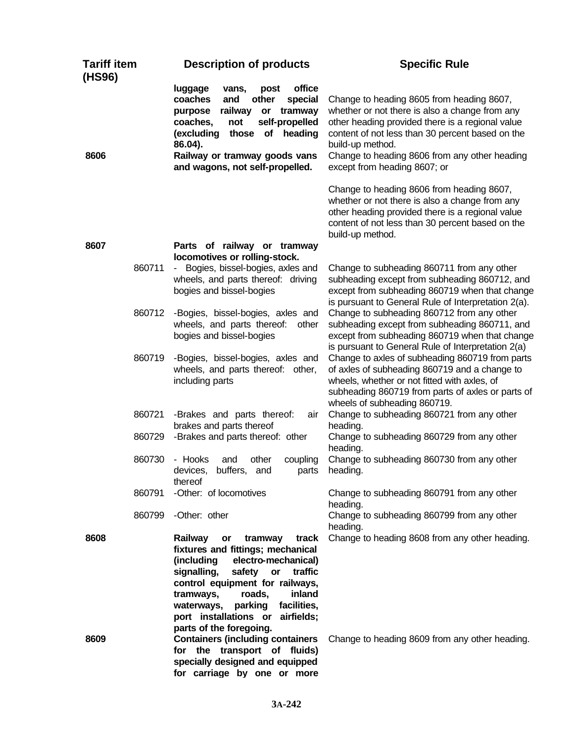| <b>Tariff item</b><br>(HS96) | <b>Description of products</b>                                                                                                                                                                                                                                                                                                   | <b>Specific Rule</b>                                                                                                                                                                                                                  |
|------------------------------|----------------------------------------------------------------------------------------------------------------------------------------------------------------------------------------------------------------------------------------------------------------------------------------------------------------------------------|---------------------------------------------------------------------------------------------------------------------------------------------------------------------------------------------------------------------------------------|
|                              | office<br>luggage<br>vans,<br>post<br>coaches<br>and<br>other<br>special<br>railway<br>purpose<br>or<br>tramway<br>self-propelled<br>coaches,<br>not<br>those of heading<br>(excluding<br>86.04).                                                                                                                                | Change to heading 8605 from heading 8607,<br>whether or not there is also a change from any<br>other heading provided there is a regional value<br>content of not less than 30 percent based on the<br>build-up method.               |
| 8606                         | Railway or tramway goods vans<br>and wagons, not self-propelled.                                                                                                                                                                                                                                                                 | Change to heading 8606 from any other heading<br>except from heading 8607; or                                                                                                                                                         |
|                              |                                                                                                                                                                                                                                                                                                                                  | Change to heading 8606 from heading 8607,<br>whether or not there is also a change from any<br>other heading provided there is a regional value<br>content of not less than 30 percent based on the<br>build-up method.               |
| 8607                         | Parts of railway or tramway<br>locomotives or rolling-stock.                                                                                                                                                                                                                                                                     |                                                                                                                                                                                                                                       |
| 860711                       | Bogies, bissel-bogies, axles and<br>wheels, and parts thereof: driving<br>bogies and bissel-bogies                                                                                                                                                                                                                               | Change to subheading 860711 from any other<br>subheading except from subheading 860712, and<br>except from subheading 860719 when that change<br>is pursuant to General Rule of Interpretation 2(a).                                  |
| 860712                       | -Bogies, bissel-bogies, axles and<br>wheels, and parts thereof:<br>other<br>bogies and bissel-bogies                                                                                                                                                                                                                             | Change to subheading 860712 from any other<br>subheading except from subheading 860711, and<br>except from subheading 860719 when that change<br>is pursuant to General Rule of Interpretation 2(a)                                   |
| 860719                       | -Bogies, bissel-bogies, axles and<br>wheels, and parts thereof: other,<br>including parts                                                                                                                                                                                                                                        | Change to axles of subheading 860719 from parts<br>of axles of subheading 860719 and a change to<br>wheels, whether or not fitted with axles, of<br>subheading 860719 from parts of axles or parts of<br>wheels of subheading 860719. |
| 860721                       | -Brakes and parts thereof:<br>air<br>brakes and parts thereof                                                                                                                                                                                                                                                                    | Change to subheading 860721 from any other<br>heading.                                                                                                                                                                                |
| 860729                       | -Brakes and parts thereof: other                                                                                                                                                                                                                                                                                                 | Change to subheading 860729 from any other<br>heading.                                                                                                                                                                                |
| 860730                       | - Hooks<br>other<br>coupling<br>and<br>buffers,<br>devices,<br>and<br>parts<br>thereof                                                                                                                                                                                                                                           | Change to subheading 860730 from any other<br>heading.                                                                                                                                                                                |
| 860791                       | -Other: of locomotives                                                                                                                                                                                                                                                                                                           | Change to subheading 860791 from any other<br>heading.                                                                                                                                                                                |
| 860799                       | -Other: other                                                                                                                                                                                                                                                                                                                    | Change to subheading 860799 from any other<br>heading.                                                                                                                                                                                |
| 8608                         | Railway<br>tramway<br>track<br>or<br>fixtures and fittings; mechanical<br>electro-mechanical)<br>(including<br>signalling,<br>safety<br>or<br>traffic<br>control equipment for railways,<br>inland<br>roads,<br>tramways,<br>waterways,<br>parking<br>facilities,<br>port installations or airfields;<br>parts of the foregoing. | Change to heading 8608 from any other heading.                                                                                                                                                                                        |
| 8609                         | <b>Containers (including containers</b><br>the transport of fluids)<br>for<br>specially designed and equipped<br>for carriage by one or more                                                                                                                                                                                     | Change to heading 8609 from any other heading.                                                                                                                                                                                        |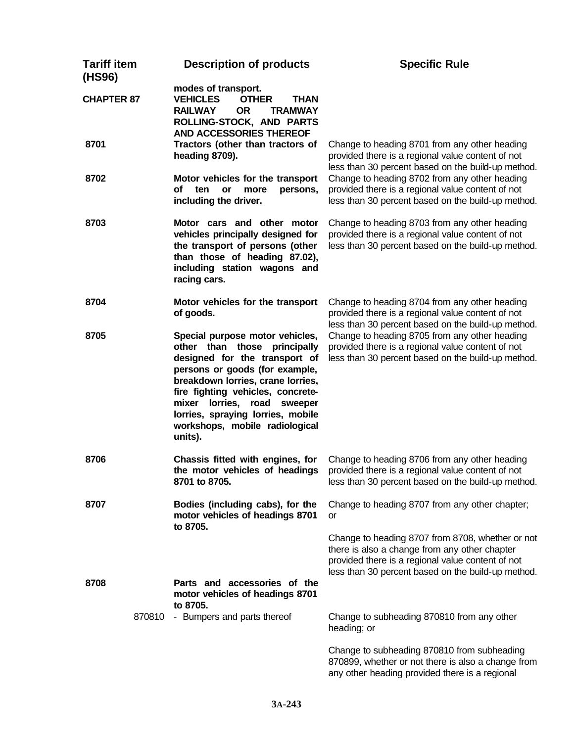| <b>Tariff item</b><br>(HS96) | <b>Description of products</b>                                                                                                                                                                                                                                                                                                      | <b>Specific Rule</b>                                                                                                                                                                                         |
|------------------------------|-------------------------------------------------------------------------------------------------------------------------------------------------------------------------------------------------------------------------------------------------------------------------------------------------------------------------------------|--------------------------------------------------------------------------------------------------------------------------------------------------------------------------------------------------------------|
| <b>CHAPTER 87</b>            | modes of transport.<br><b>VEHICLES</b><br><b>OTHER</b><br><b>THAN</b><br><b>RAILWAY</b><br><b>OR</b><br><b>TRAMWAY</b><br>ROLLING-STOCK, AND PARTS<br><b>AND ACCESSORIES THEREOF</b>                                                                                                                                                |                                                                                                                                                                                                              |
| 8701                         | Tractors (other than tractors of<br>heading 8709).                                                                                                                                                                                                                                                                                  | Change to heading 8701 from any other heading<br>provided there is a regional value content of not<br>less than 30 percent based on the build-up method.                                                     |
| 8702                         | Motor vehicles for the transport<br>of<br>ten<br>or<br>more<br>persons,<br>including the driver.                                                                                                                                                                                                                                    | Change to heading 8702 from any other heading<br>provided there is a regional value content of not<br>less than 30 percent based on the build-up method.                                                     |
| 8703                         | Motor cars and other motor<br>vehicles principally designed for<br>the transport of persons (other<br>than those of heading 87.02),<br>including station wagons and<br>racing cars.                                                                                                                                                 | Change to heading 8703 from any other heading<br>provided there is a regional value content of not<br>less than 30 percent based on the build-up method.                                                     |
| 8704                         | Motor vehicles for the transport<br>of goods.                                                                                                                                                                                                                                                                                       | Change to heading 8704 from any other heading<br>provided there is a regional value content of not<br>less than 30 percent based on the build-up method.                                                     |
| 8705                         | Special purpose motor vehicles,<br>other than those principally<br>designed for the transport of<br>persons or goods (for example,<br>breakdown lorries, crane lorries,<br>fire fighting vehicles, concrete-<br>lorries, road<br>mixer<br>sweeper<br>lorries, spraying lorries, mobile<br>workshops, mobile radiological<br>units). | Change to heading 8705 from any other heading<br>provided there is a regional value content of not<br>less than 30 percent based on the build-up method.                                                     |
| 8706                         | Chassis fitted with engines, for<br>the motor vehicles of headings<br>8701 to 8705.                                                                                                                                                                                                                                                 | Change to heading 8706 from any other heading<br>provided there is a regional value content of not<br>less than 30 percent based on the build-up method.                                                     |
| 8707                         | Bodies (including cabs), for the<br>motor vehicles of headings 8701<br>to 8705.                                                                                                                                                                                                                                                     | Change to heading 8707 from any other chapter;<br>or                                                                                                                                                         |
|                              |                                                                                                                                                                                                                                                                                                                                     | Change to heading 8707 from 8708, whether or not<br>there is also a change from any other chapter<br>provided there is a regional value content of not<br>less than 30 percent based on the build-up method. |
| 8708                         | Parts and accessories of the<br>motor vehicles of headings 8701<br>to 8705.                                                                                                                                                                                                                                                         |                                                                                                                                                                                                              |
|                              | 870810<br>- Bumpers and parts thereof                                                                                                                                                                                                                                                                                               | Change to subheading 870810 from any other<br>heading; or                                                                                                                                                    |
|                              |                                                                                                                                                                                                                                                                                                                                     | Change to subheading 870810 from subheading<br>870899, whether or not there is also a change from<br>any other heading provided there is a regional                                                          |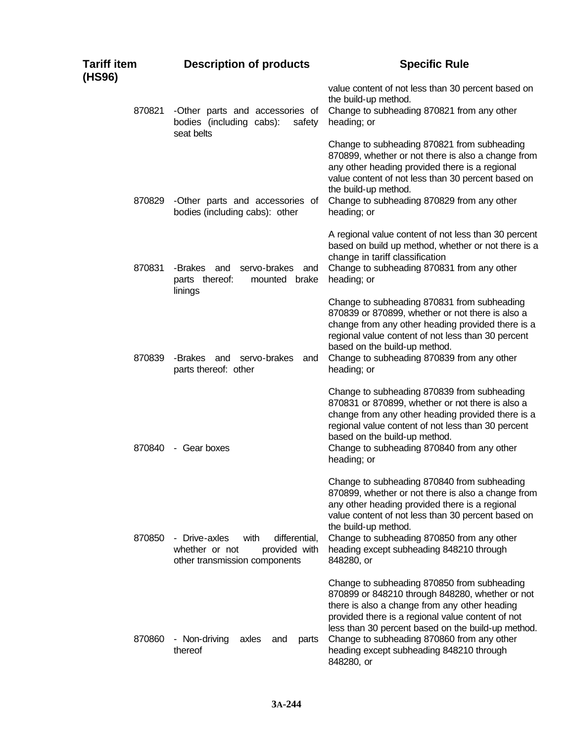| Tariff item<br>(HS96) | <b>Description of products</b>                                                                             | <b>Specific Rule</b>                                                                                                                                                                                                                                                                                                                                               |
|-----------------------|------------------------------------------------------------------------------------------------------------|--------------------------------------------------------------------------------------------------------------------------------------------------------------------------------------------------------------------------------------------------------------------------------------------------------------------------------------------------------------------|
| 870821                | -Other parts and accessories of<br>bodies (including cabs):<br>safety<br>seat belts                        | value content of not less than 30 percent based on<br>the build-up method.<br>Change to subheading 870821 from any other<br>heading; or                                                                                                                                                                                                                            |
| 870829                | -Other parts and accessories of<br>bodies (including cabs): other                                          | Change to subheading 870821 from subheading<br>870899, whether or not there is also a change from<br>any other heading provided there is a regional<br>value content of not less than 30 percent based on<br>the build-up method.<br>Change to subheading 870829 from any other<br>heading; or                                                                     |
| 870831                | -Brakes<br>servo-brakes<br>and<br>and<br>parts thereof:<br>brake<br>mounted                                | A regional value content of not less than 30 percent<br>based on build up method, whether or not there is a<br>change in tariff classification<br>Change to subheading 870831 from any other<br>heading; or                                                                                                                                                        |
| 870839                | linings<br>-Brakes<br>servo-brakes<br>and<br>and                                                           | Change to subheading 870831 from subheading<br>870839 or 870899, whether or not there is also a<br>change from any other heading provided there is a<br>regional value content of not less than 30 percent<br>based on the build-up method.<br>Change to subheading 870839 from any other                                                                          |
| 870840                | parts thereof: other<br>- Gear boxes                                                                       | heading; or<br>Change to subheading 870839 from subheading<br>870831 or 870899, whether or not there is also a<br>change from any other heading provided there is a<br>regional value content of not less than 30 percent<br>based on the build-up method.<br>Change to subheading 870840 from any other<br>heading; or                                            |
| 870850                | - Drive-axles<br>with<br>differential,<br>whether or not<br>provided with<br>other transmission components | Change to subheading 870840 from subheading<br>870899, whether or not there is also a change from<br>any other heading provided there is a regional<br>value content of not less than 30 percent based on<br>the build-up method.<br>Change to subheading 870850 from any other<br>heading except subheading 848210 through<br>848280, or                          |
| 870860                | - Non-driving<br>axles<br>and<br>parts<br>thereof                                                          | Change to subheading 870850 from subheading<br>870899 or 848210 through 848280, whether or not<br>there is also a change from any other heading<br>provided there is a regional value content of not<br>less than 30 percent based on the build-up method.<br>Change to subheading 870860 from any other<br>heading except subheading 848210 through<br>848280, or |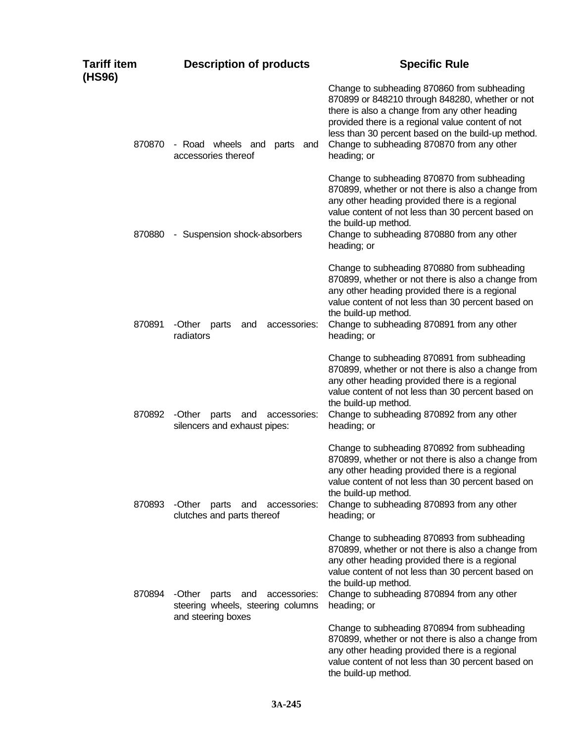| Tariff item<br>(HS96) | <b>Description of products</b>                                           | <b>Specific Rule</b>                                                                                                                                                                                                                                                                                                    |
|-----------------------|--------------------------------------------------------------------------|-------------------------------------------------------------------------------------------------------------------------------------------------------------------------------------------------------------------------------------------------------------------------------------------------------------------------|
| 870870                | - Road wheels and<br>parts<br>and<br>accessories thereof                 | Change to subheading 870860 from subheading<br>870899 or 848210 through 848280, whether or not<br>there is also a change from any other heading<br>provided there is a regional value content of not<br>less than 30 percent based on the build-up method.<br>Change to subheading 870870 from any other<br>heading; or |
| 870880                | - Suspension shock-absorbers                                             | Change to subheading 870870 from subheading<br>870899, whether or not there is also a change from<br>any other heading provided there is a regional<br>value content of not less than 30 percent based on<br>the build-up method.<br>Change to subheading 870880 from any other<br>heading; or                          |
| 870891                | -Other<br>accessories:<br>parts<br>and<br>radiators                      | Change to subheading 870880 from subheading<br>870899, whether or not there is also a change from<br>any other heading provided there is a regional<br>value content of not less than 30 percent based on<br>the build-up method.<br>Change to subheading 870891 from any other<br>heading; or                          |
| 870892                | -Other<br>parts<br>and<br>accessories:<br>silencers and exhaust pipes:   | Change to subheading 870891 from subheading<br>870899, whether or not there is also a change from<br>any other heading provided there is a regional<br>value content of not less than 30 percent based on<br>the build-up method.<br>Change to subheading 870892 from any other<br>heading; or                          |
| 870893                | -Other<br>accessories:<br>parts<br>and<br>clutches and parts thereof     | Change to subheading 870892 from subheading<br>870899, whether or not there is also a change from<br>any other heading provided there is a regional<br>value content of not less than 30 percent based on<br>the build-up method.<br>Change to subheading 870893 from any other<br>heading; or                          |
| 870894                | -Other<br>accessories:<br>parts and<br>steering wheels, steering columns | Change to subheading 870893 from subheading<br>870899, whether or not there is also a change from<br>any other heading provided there is a regional<br>value content of not less than 30 percent based on<br>the build-up method.<br>Change to subheading 870894 from any other<br>heading; or                          |
|                       | and steering boxes                                                       | Change to subheading 870894 from subheading<br>870899, whether or not there is also a change from<br>any other heading provided there is a regional<br>value content of not less than 30 percent based on<br>the build-up method.                                                                                       |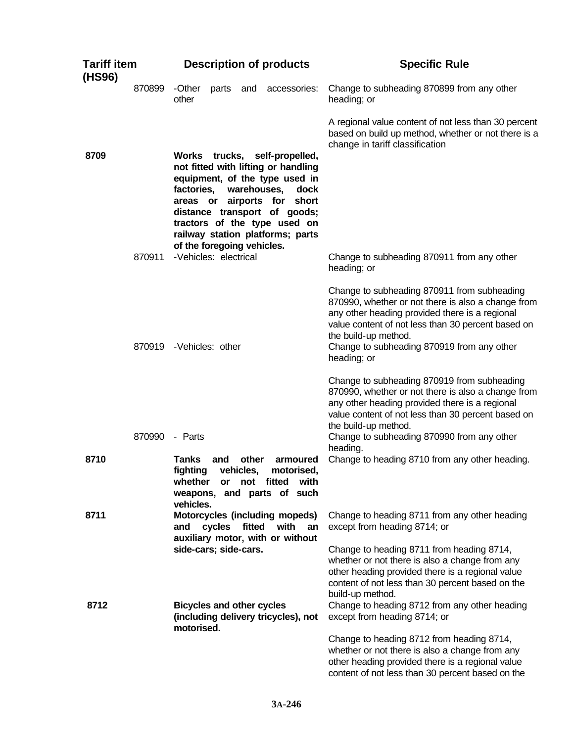| <b>Tariff item</b><br>(HS96) |        |                                                           |        |                    | <b>Description of products</b>                                                                                                                                                                                                                                   | <b>Specific Rule</b>                                                                                                                                                                                                                                                            |
|------------------------------|--------|-----------------------------------------------------------|--------|--------------------|------------------------------------------------------------------------------------------------------------------------------------------------------------------------------------------------------------------------------------------------------------------|---------------------------------------------------------------------------------------------------------------------------------------------------------------------------------------------------------------------------------------------------------------------------------|
|                              | 870899 | -Other<br>other                                           | parts  | and                | accessories:                                                                                                                                                                                                                                                     | Change to subheading 870899 from any other<br>heading; or                                                                                                                                                                                                                       |
|                              |        |                                                           |        |                    |                                                                                                                                                                                                                                                                  | A regional value content of not less than 30 percent<br>based on build up method, whether or not there is a<br>change in tariff classification                                                                                                                                  |
| 8709                         |        | factories,<br>of the foregoing vehicles.                  |        |                    | Works trucks, self-propelled,<br>not fitted with lifting or handling<br>equipment, of the type used in<br>warehouses,<br>dock<br>areas or airports for short<br>distance transport of goods;<br>tractors of the type used on<br>railway station platforms; parts |                                                                                                                                                                                                                                                                                 |
|                              | 870911 | -Vehicles: electrical                                     |        |                    |                                                                                                                                                                                                                                                                  | Change to subheading 870911 from any other<br>heading; or                                                                                                                                                                                                                       |
|                              |        |                                                           |        |                    |                                                                                                                                                                                                                                                                  | Change to subheading 870911 from subheading<br>870990, whether or not there is also a change from<br>any other heading provided there is a regional<br>value content of not less than 30 percent based on<br>the build-up method.                                               |
|                              |        | 870919 - Vehicles: other                                  |        |                    |                                                                                                                                                                                                                                                                  | Change to subheading 870919 from any other<br>heading; or                                                                                                                                                                                                                       |
|                              | 870990 | - Parts                                                   |        |                    |                                                                                                                                                                                                                                                                  | Change to subheading 870919 from subheading<br>870990, whether or not there is also a change from<br>any other heading provided there is a regional<br>value content of not less than 30 percent based on<br>the build-up method.<br>Change to subheading 870990 from any other |
| 8710                         |        | <b>Tanks</b><br>fighting<br>whether<br>vehicles.          | and    | other<br>vehicles, | armoured<br>motorised,<br>or not fitted<br>with<br>weapons, and parts of such                                                                                                                                                                                    | heading.<br>Change to heading 8710 from any other heading.                                                                                                                                                                                                                      |
| 8711                         |        | and                                                       | cycles | fitted             | Motorcycles (including mopeds)<br>with<br>an<br>auxiliary motor, with or without                                                                                                                                                                                 | Change to heading 8711 from any other heading<br>except from heading 8714; or                                                                                                                                                                                                   |
| 8712                         |        | side-cars; side-cars.<br><b>Bicycles and other cycles</b> |        |                    |                                                                                                                                                                                                                                                                  | Change to heading 8711 from heading 8714,<br>whether or not there is also a change from any<br>other heading provided there is a regional value<br>content of not less than 30 percent based on the<br>build-up method.<br>Change to heading 8712 from any other heading        |
|                              |        | motorised.                                                |        |                    | (including delivery tricycles), not                                                                                                                                                                                                                              | except from heading 8714; or                                                                                                                                                                                                                                                    |
|                              |        |                                                           |        |                    |                                                                                                                                                                                                                                                                  | Change to heading 8712 from heading 8714,<br>whether or not there is also a change from any<br>other heading provided there is a regional value<br>content of not less than 30 percent based on the                                                                             |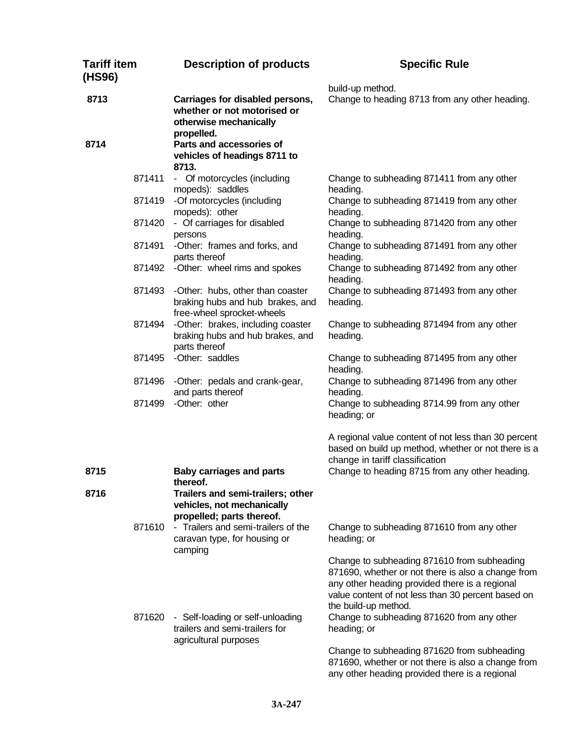| <b>Tariff item</b><br>(HS96) | <b>Description of products</b>                                                                                                                                                 | <b>Specific Rule</b>                                                                                                                                                                                                                                                                           |
|------------------------------|--------------------------------------------------------------------------------------------------------------------------------------------------------------------------------|------------------------------------------------------------------------------------------------------------------------------------------------------------------------------------------------------------------------------------------------------------------------------------------------|
| 8713                         | Carriages for disabled persons,<br>whether or not motorised or<br>otherwise mechanically<br>propelled.                                                                         | build-up method.<br>Change to heading 8713 from any other heading.                                                                                                                                                                                                                             |
| 8714                         | Parts and accessories of<br>vehicles of headings 8711 to<br>8713.                                                                                                              |                                                                                                                                                                                                                                                                                                |
| 871411                       | - Of motorcycles (including<br>mopeds): saddles                                                                                                                                | Change to subheading 871411 from any other<br>heading.                                                                                                                                                                                                                                         |
| 871419                       | -Of motorcycles (including<br>mopeds): other                                                                                                                                   | Change to subheading 871419 from any other<br>heading.                                                                                                                                                                                                                                         |
| 871420                       | - Of carriages for disabled<br>persons                                                                                                                                         | Change to subheading 871420 from any other<br>heading.                                                                                                                                                                                                                                         |
| 871491                       | -Other: frames and forks, and<br>parts thereof                                                                                                                                 | Change to subheading 871491 from any other<br>heading.                                                                                                                                                                                                                                         |
| 871492                       | -Other: wheel rims and spokes                                                                                                                                                  | Change to subheading 871492 from any other<br>heading.                                                                                                                                                                                                                                         |
| 871493                       | -Other: hubs, other than coaster<br>braking hubs and hub brakes, and<br>free-wheel sprocket-wheels                                                                             | Change to subheading 871493 from any other<br>heading.                                                                                                                                                                                                                                         |
| 871494                       | -Other: brakes, including coaster<br>braking hubs and hub brakes, and<br>parts thereof                                                                                         | Change to subheading 871494 from any other<br>heading.                                                                                                                                                                                                                                         |
| 871495                       | -Other: saddles                                                                                                                                                                | Change to subheading 871495 from any other<br>heading.                                                                                                                                                                                                                                         |
| 871496                       | -Other: pedals and crank-gear,<br>and parts thereof                                                                                                                            | Change to subheading 871496 from any other<br>heading.                                                                                                                                                                                                                                         |
| 871499                       | -Other: other                                                                                                                                                                  | Change to subheading 8714.99 from any other<br>heading; or                                                                                                                                                                                                                                     |
| 8715                         |                                                                                                                                                                                | A regional value content of not less than 30 percent<br>based on build up method, whether or not there is a<br>change in tariff classification                                                                                                                                                 |
|                              | <b>Baby carriages and parts</b><br>thereof.                                                                                                                                    | Change to heading 8715 from any other heading.                                                                                                                                                                                                                                                 |
| 8716<br>871610               | Trailers and semi-trailers; other<br>vehicles, not mechanically<br>propelled; parts thereof.<br>- Trailers and semi-trailers of the<br>caravan type, for housing or<br>camping | Change to subheading 871610 from any other<br>heading; or                                                                                                                                                                                                                                      |
| 871620                       | - Self-loading or self-unloading<br>trailers and semi-trailers for<br>agricultural purposes                                                                                    | Change to subheading 871610 from subheading<br>871690, whether or not there is also a change from<br>any other heading provided there is a regional<br>value content of not less than 30 percent based on<br>the build-up method.<br>Change to subheading 871620 from any other<br>heading; or |
|                              |                                                                                                                                                                                | Change to subheading 871620 from subheading<br>871690, whether or not there is also a change from<br>any other heading provided there is a regional                                                                                                                                            |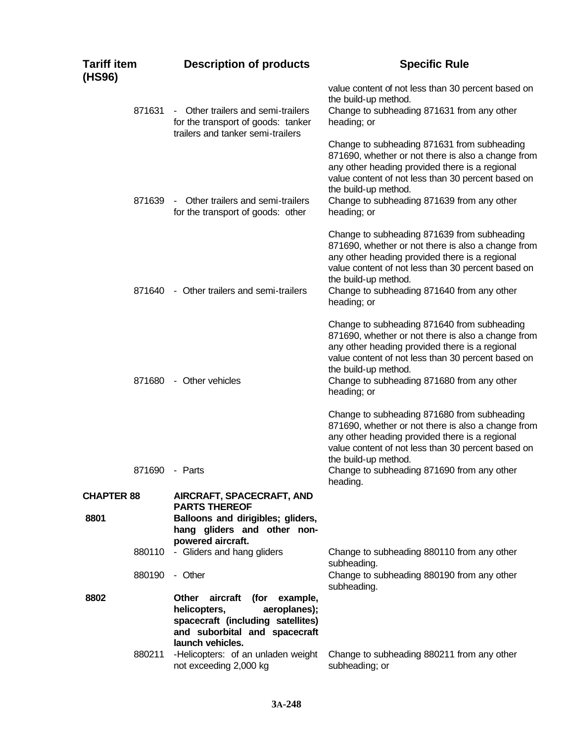| Tariff item<br>(HS96) | <b>Description of products</b>                                                                                                                                  | <b>Specific Rule</b>                                                                                                                                                                                                                                                                           |
|-----------------------|-----------------------------------------------------------------------------------------------------------------------------------------------------------------|------------------------------------------------------------------------------------------------------------------------------------------------------------------------------------------------------------------------------------------------------------------------------------------------|
| 871631                | Other trailers and semi-trailers<br>$\sim$<br>for the transport of goods: tanker<br>trailers and tanker semi-trailers                                           | value content of not less than 30 percent based on<br>the build-up method.<br>Change to subheading 871631 from any other<br>heading; or                                                                                                                                                        |
| 871639                | Other trailers and semi-trailers<br>$\sim$ $-$<br>for the transport of goods: other                                                                             | Change to subheading 871631 from subheading<br>871690, whether or not there is also a change from<br>any other heading provided there is a regional<br>value content of not less than 30 percent based on<br>the build-up method.<br>Change to subheading 871639 from any other<br>heading; or |
| 871640                | - Other trailers and semi-trailers                                                                                                                              | Change to subheading 871639 from subheading<br>871690, whether or not there is also a change from<br>any other heading provided there is a regional<br>value content of not less than 30 percent based on<br>the build-up method.<br>Change to subheading 871640 from any other<br>heading; or |
| 871680                | - Other vehicles                                                                                                                                                | Change to subheading 871640 from subheading<br>871690, whether or not there is also a change from<br>any other heading provided there is a regional<br>value content of not less than 30 percent based on<br>the build-up method.<br>Change to subheading 871680 from any other<br>heading; or |
| 871690                | - Parts                                                                                                                                                         | Change to subheading 871680 from subheading<br>871690, whether or not there is also a change from<br>any other heading provided there is a regional<br>value content of not less than 30 percent based on<br>the build-up method.<br>Change to subheading 871690 from any other<br>heading.    |
| <b>CHAPTER 88</b>     | <b>AIRCRAFT, SPACECRAFT, AND</b><br><b>PARTS THEREOF</b>                                                                                                        |                                                                                                                                                                                                                                                                                                |
| 8801                  | Balloons and dirigibles; gliders,<br>hang gliders and other non-<br>powered aircraft.                                                                           |                                                                                                                                                                                                                                                                                                |
| 880110                | - Gliders and hang gliders                                                                                                                                      | Change to subheading 880110 from any other<br>subheading.                                                                                                                                                                                                                                      |
| 880190                | - Other                                                                                                                                                         | Change to subheading 880190 from any other<br>subheading.                                                                                                                                                                                                                                      |
| 8802                  | Other<br>aircraft<br>(for<br>example,<br>aeroplanes);<br>helicopters,<br>spacecraft (including satellites)<br>and suborbital and spacecraft<br>launch vehicles. |                                                                                                                                                                                                                                                                                                |
| 880211                | -Helicopters: of an unladen weight<br>not exceeding 2,000 kg                                                                                                    | Change to subheading 880211 from any other<br>subheading; or                                                                                                                                                                                                                                   |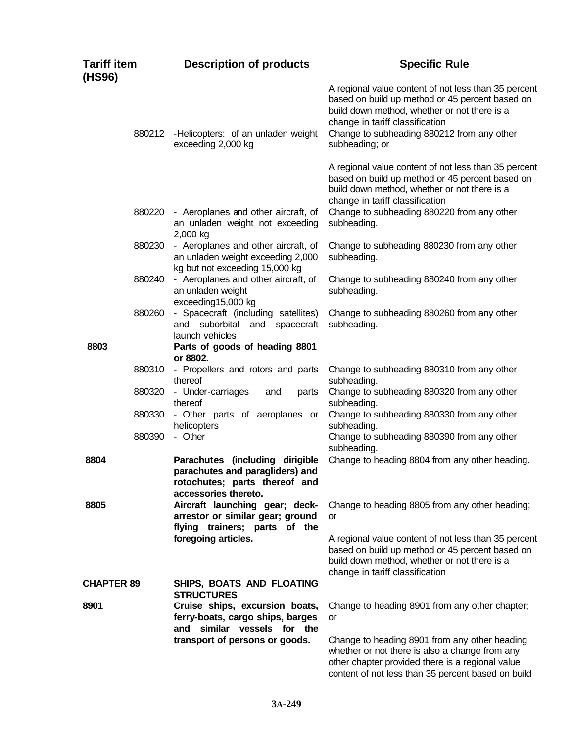| <b>Tariff item</b><br>(HS96) | <b>Description of products</b>                                                                                              | <b>Specific Rule</b>                                                                                                                                                                                                                                       |
|------------------------------|-----------------------------------------------------------------------------------------------------------------------------|------------------------------------------------------------------------------------------------------------------------------------------------------------------------------------------------------------------------------------------------------------|
| 880212                       | -Helicopters: of an unladen weight<br>exceeding 2,000 kg                                                                    | A regional value content of not less than 35 percent<br>based on build up method or 45 percent based on<br>build down method, whether or not there is a<br>change in tariff classification<br>Change to subheading 880212 from any other<br>subheading; or |
|                              |                                                                                                                             | A regional value content of not less than 35 percent<br>based on build up method or 45 percent based on<br>build down method, whether or not there is a<br>change in tariff classification                                                                 |
| 880220                       | - Aeroplanes and other aircraft, of<br>an unladen weight not exceeding<br>2,000 kg                                          | Change to subheading 880220 from any other<br>subheading.                                                                                                                                                                                                  |
| 880230                       | - Aeroplanes and other aircraft, of<br>an unladen weight exceeding 2,000<br>kg but not exceeding 15,000 kg                  | Change to subheading 880230 from any other<br>subheading.                                                                                                                                                                                                  |
| 880240                       | - Aeroplanes and other aircraft, of<br>an unladen weight<br>exceeding15,000 kg                                              | Change to subheading 880240 from any other<br>subheading.                                                                                                                                                                                                  |
| 880260                       | - Spacecraft (including satellites)<br>and<br>suborbital<br>and<br>spacecraft<br>launch vehicles                            | Change to subheading 880260 from any other<br>subheading.                                                                                                                                                                                                  |
| 8803                         | Parts of goods of heading 8801<br>or 8802.                                                                                  |                                                                                                                                                                                                                                                            |
| 880310                       | - Propellers and rotors and parts<br>thereof                                                                                | Change to subheading 880310 from any other<br>subheading.                                                                                                                                                                                                  |
| 880320                       | - Under-carriages<br>and<br>parts<br>thereof                                                                                | Change to subheading 880320 from any other<br>subheading.                                                                                                                                                                                                  |
| 880330                       | - Other parts of aeroplanes or<br>helicopters                                                                               | Change to subheading 880330 from any other<br>subheading.                                                                                                                                                                                                  |
| 880390                       | - Other                                                                                                                     | Change to subheading 880390 from any other<br>subheading.                                                                                                                                                                                                  |
| 8804                         | Parachutes (including dirigible<br>parachutes and paragliders) and<br>rotochutes; parts thereof and<br>accessories thereto. | Change to heading 8804 from any other heading.                                                                                                                                                                                                             |
| 8805                         | Aircraft launching gear; deck-<br>arrestor or similar gear; ground<br>flying trainers; parts of the                         | Change to heading 8805 from any other heading;<br>or                                                                                                                                                                                                       |
|                              | foregoing articles.                                                                                                         | A regional value content of not less than 35 percent<br>based on build up method or 45 percent based on<br>build down method, whether or not there is a<br>change in tariff classification                                                                 |
| <b>CHAPTER 89</b>            | SHIPS, BOATS AND FLOATING<br><b>STRUCTURES</b>                                                                              |                                                                                                                                                                                                                                                            |
| 8901                         | Cruise ships, excursion boats,<br>ferry-boats, cargo ships, barges<br>and similar vessels for the                           | Change to heading 8901 from any other chapter;<br>or                                                                                                                                                                                                       |
|                              | transport of persons or goods.                                                                                              | Change to heading 8901 from any other heading<br>whether or not there is also a change from any<br>other chapter provided there is a regional value<br>content of not less than 35 percent based on build                                                  |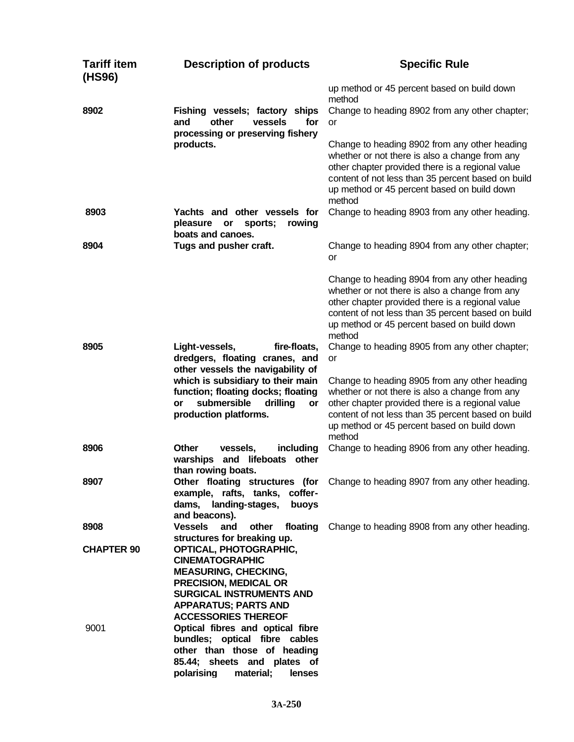| <b>Tariff item</b><br>(HS96) | <b>Description of products</b>                                                                                                                                                                                                          | <b>Specific Rule</b>                                                                                                                                                                                                                                               |
|------------------------------|-----------------------------------------------------------------------------------------------------------------------------------------------------------------------------------------------------------------------------------------|--------------------------------------------------------------------------------------------------------------------------------------------------------------------------------------------------------------------------------------------------------------------|
|                              |                                                                                                                                                                                                                                         | up method or 45 percent based on build down<br>method                                                                                                                                                                                                              |
| 8902                         | Fishing vessels; factory ships<br>other<br>for<br>and<br>vessels<br>processing or preserving fishery                                                                                                                                    | Change to heading 8902 from any other chapter;<br>or                                                                                                                                                                                                               |
|                              | products.                                                                                                                                                                                                                               | Change to heading 8902 from any other heading<br>whether or not there is also a change from any<br>other chapter provided there is a regional value<br>content of not less than 35 percent based on build<br>up method or 45 percent based on build down<br>method |
| 8903                         | Yachts and other vessels for<br>pleasure<br>or<br>sports;<br>rowing<br>boats and canoes.                                                                                                                                                | Change to heading 8903 from any other heading.                                                                                                                                                                                                                     |
| 8904                         | Tugs and pusher craft.                                                                                                                                                                                                                  | Change to heading 8904 from any other chapter;<br>or                                                                                                                                                                                                               |
|                              |                                                                                                                                                                                                                                         | Change to heading 8904 from any other heading<br>whether or not there is also a change from any<br>other chapter provided there is a regional value<br>content of not less than 35 percent based on build<br>up method or 45 percent based on build down<br>method |
| 8905                         | Light-vessels,<br>fire-floats,<br>dredgers, floating cranes, and<br>other vessels the navigability of                                                                                                                                   | Change to heading 8905 from any other chapter;<br>or                                                                                                                                                                                                               |
|                              | which is subsidiary to their main<br>function; floating docks; floating<br>submersible<br>drilling<br>or<br>or<br>production platforms.                                                                                                 | Change to heading 8905 from any other heading<br>whether or not there is also a change from any<br>other chapter provided there is a regional value<br>content of not less than 35 percent based on build<br>up method or 45 percent based on build down<br>method |
| 8906                         | <b>Other</b><br>including<br>vessels,<br>warships<br>and lifeboats<br>other<br>than rowing boats.                                                                                                                                       | Change to heading 8906 from any other heading.                                                                                                                                                                                                                     |
| 8907                         | Other floating structures (for<br>example, rafts, tanks, coffer-<br>dams,<br>landing-stages,<br>buoys<br>and beacons).                                                                                                                  | Change to heading 8907 from any other heading.                                                                                                                                                                                                                     |
| 8908                         | <b>Vessels</b><br>and<br>other<br>floating                                                                                                                                                                                              | Change to heading 8908 from any other heading.                                                                                                                                                                                                                     |
| <b>CHAPTER 90</b>            | structures for breaking up.<br>OPTICAL, PHOTOGRAPHIC,<br><b>CINEMATOGRAPHIC</b><br><b>MEASURING, CHECKING,</b><br>PRECISION, MEDICAL OR<br><b>SURGICAL INSTRUMENTS AND</b><br><b>APPARATUS; PARTS AND</b><br><b>ACCESSORIES THEREOF</b> |                                                                                                                                                                                                                                                                    |
| 9001                         | Optical fibres and optical fibre<br>bundles; optical fibre cables<br>other than those of heading<br>85.44; sheets and plates of<br>polarising<br>material;<br>lenses                                                                    |                                                                                                                                                                                                                                                                    |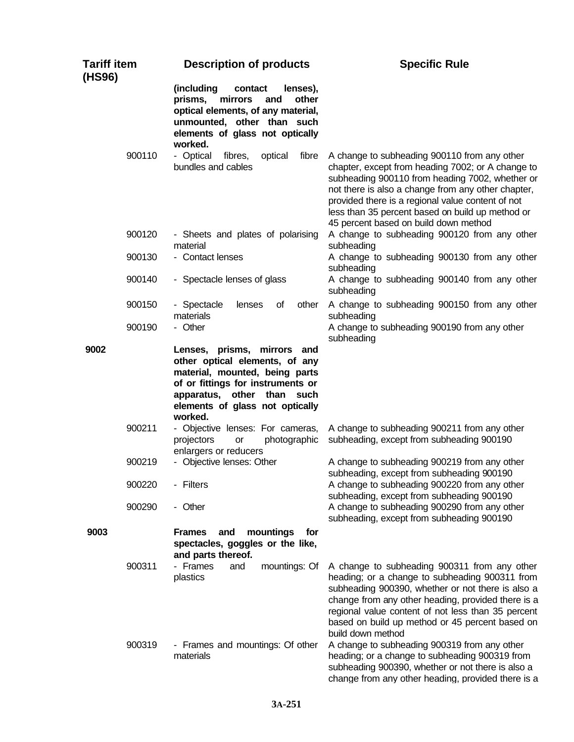| <b>Tariff item</b><br>(HS96) |                  | <b>Description of products</b>                                                                                                                                                                                      | <b>Specific Rule</b>                                                                                                                                                                                                                                                                                                                                         |
|------------------------------|------------------|---------------------------------------------------------------------------------------------------------------------------------------------------------------------------------------------------------------------|--------------------------------------------------------------------------------------------------------------------------------------------------------------------------------------------------------------------------------------------------------------------------------------------------------------------------------------------------------------|
|                              |                  | (including<br>contact<br>lenses),<br>mirrors<br>other<br>prisms,<br>and<br>optical elements, of any material,<br>unmounted, other than such<br>elements of glass not optically<br>worked.                           |                                                                                                                                                                                                                                                                                                                                                              |
|                              | 900110           | - Optical<br>fibres,<br>optical<br>fibre<br>bundles and cables                                                                                                                                                      | A change to subheading 900110 from any other<br>chapter, except from heading 7002; or A change to<br>subheading 900110 from heading 7002, whether or<br>not there is also a change from any other chapter,<br>provided there is a regional value content of not<br>less than 35 percent based on build up method or<br>45 percent based on build down method |
|                              | 900120           | - Sheets and plates of polarising<br>material                                                                                                                                                                       | A change to subheading 900120 from any other<br>subheading                                                                                                                                                                                                                                                                                                   |
|                              | 900130           | - Contact lenses                                                                                                                                                                                                    | A change to subheading 900130 from any other<br>subheading                                                                                                                                                                                                                                                                                                   |
|                              | 900140           | - Spectacle lenses of glass                                                                                                                                                                                         | A change to subheading 900140 from any other<br>subheading                                                                                                                                                                                                                                                                                                   |
|                              | 900150           | - Spectacle<br>lenses<br>0f<br>other<br>materials                                                                                                                                                                   | A change to subheading 900150 from any other<br>subheading                                                                                                                                                                                                                                                                                                   |
|                              | 900190           | - Other                                                                                                                                                                                                             | A change to subheading 900190 from any other<br>subheading                                                                                                                                                                                                                                                                                                   |
| 9002                         |                  | Lenses, prisms, mirrors and<br>other optical elements, of any<br>material, mounted, being parts<br>of or fittings for instruments or<br>apparatus, other than<br>such<br>elements of glass not optically<br>worked. |                                                                                                                                                                                                                                                                                                                                                              |
|                              | 900211           | - Objective lenses: For cameras,<br>projectors<br>photographic<br>or<br>enlargers or reducers                                                                                                                       | A change to subheading 900211 from any other<br>subheading, except from subheading 900190                                                                                                                                                                                                                                                                    |
|                              | 900219<br>900220 | - Objective lenses: Other<br>- Filters                                                                                                                                                                              | A change to subheading 900219 from any other<br>subheading, except from subheading 900190<br>A change to subheading 900220 from any other                                                                                                                                                                                                                    |
|                              | 900290           | - Other                                                                                                                                                                                                             | subheading, except from subheading 900190<br>A change to subheading 900290 from any other<br>subheading, except from subheading 900190                                                                                                                                                                                                                       |
| 9003                         |                  | <b>Frames</b><br>mountings<br>for<br>and<br>spectacles, goggles or the like,<br>and parts thereof.                                                                                                                  |                                                                                                                                                                                                                                                                                                                                                              |
|                              | 900311           | - Frames<br>mountings: Of<br>and<br>plastics                                                                                                                                                                        | A change to subheading 900311 from any other<br>heading; or a change to subheading 900311 from<br>subheading 900390, whether or not there is also a<br>change from any other heading, provided there is a<br>regional value content of not less than 35 percent<br>based on build up method or 45 percent based on<br>build down method                      |
|                              | 900319           | - Frames and mountings: Of other<br>materials                                                                                                                                                                       | A change to subheading 900319 from any other<br>heading; or a change to subheading 900319 from<br>subheading 900390, whether or not there is also a<br>change from any other heading, provided there is a                                                                                                                                                    |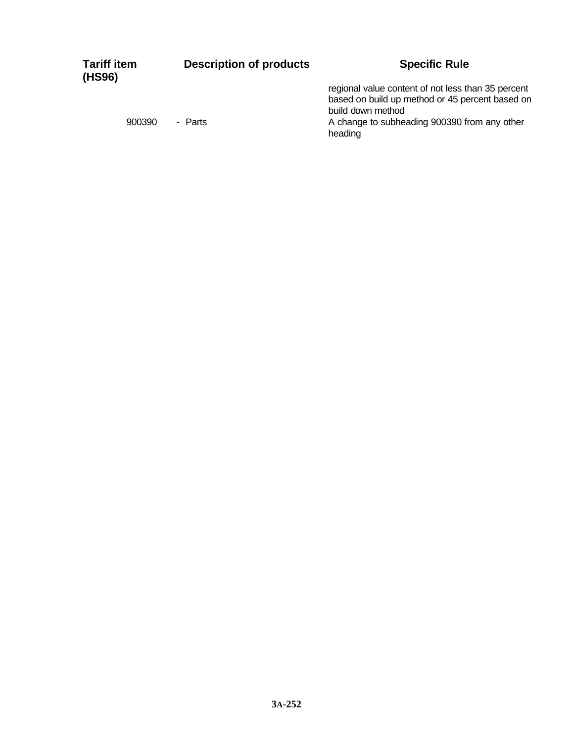| <b>Tariff item</b><br>(HS96) | <b>Description of products</b> | <b>Specific Rule</b>                                                                                                       |
|------------------------------|--------------------------------|----------------------------------------------------------------------------------------------------------------------------|
|                              |                                | regional value content of not less than 35 percent<br>based on build up method or 45 percent based on<br>build down method |
| 900390                       | - Parts                        | A change to subheading 900390 from any other<br>heading                                                                    |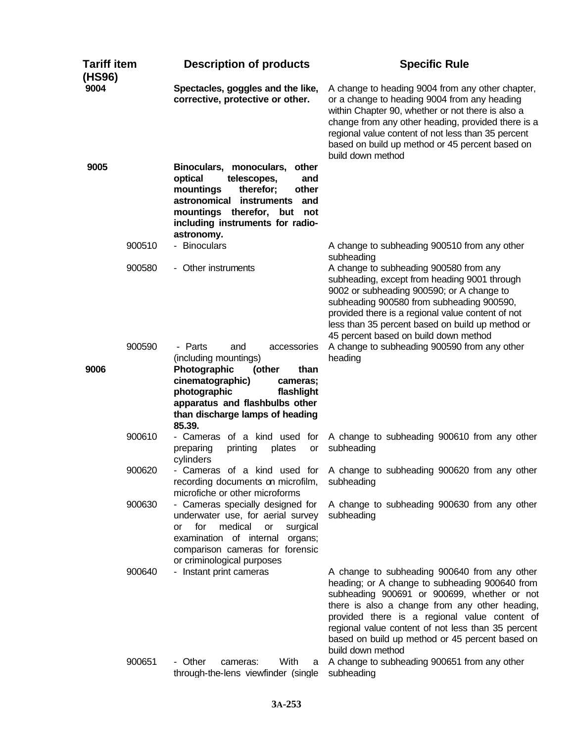| <b>Tariff item</b><br>(HS96) |        | <b>Description of products</b>                                                                                                                                                                                                     | <b>Specific Rule</b>                                                                                                                                                                                                                                                                                                                                                           |  |
|------------------------------|--------|------------------------------------------------------------------------------------------------------------------------------------------------------------------------------------------------------------------------------------|--------------------------------------------------------------------------------------------------------------------------------------------------------------------------------------------------------------------------------------------------------------------------------------------------------------------------------------------------------------------------------|--|
| 9004                         |        | Spectacles, goggles and the like,<br>corrective, protective or other.                                                                                                                                                              | A change to heading 9004 from any other chapter,<br>or a change to heading 9004 from any heading<br>within Chapter 90, whether or not there is also a<br>change from any other heading, provided there is a<br>regional value content of not less than 35 percent<br>based on build up method or 45 percent based on<br>build down method                                      |  |
| 9005                         |        | Binoculars, monoculars, other<br>optical<br>telescopes,<br>and<br>mountings<br>therefor;<br>other<br>astronomical<br><b>instruments</b><br>and<br>mountings therefor, but<br>not<br>including instruments for radio-<br>astronomy. |                                                                                                                                                                                                                                                                                                                                                                                |  |
|                              | 900510 | - Binoculars                                                                                                                                                                                                                       | A change to subheading 900510 from any other<br>subheading                                                                                                                                                                                                                                                                                                                     |  |
|                              | 900580 | - Other instruments                                                                                                                                                                                                                | A change to subheading 900580 from any<br>subheading, except from heading 9001 through<br>9002 or subheading 900590; or A change to<br>subheading 900580 from subheading 900590,<br>provided there is a regional value content of not<br>less than 35 percent based on build up method or<br>45 percent based on build down method                                             |  |
|                              | 900590 | - Parts<br>and<br>accessories<br>(including mountings)                                                                                                                                                                             | A change to subheading 900590 from any other<br>heading                                                                                                                                                                                                                                                                                                                        |  |
| 9006                         |        | Photographic<br>(other<br>than<br>cinematographic)<br>cameras;<br>photographic<br>flashlight<br>apparatus and flashbulbs other<br>than discharge lamps of heading<br>85.39.                                                        |                                                                                                                                                                                                                                                                                                                                                                                |  |
|                              | 900610 | - Cameras of a kind used for<br>printing<br>plates<br>preparing<br>or<br>cylinders                                                                                                                                                 | A change to subheading 900610 from any other<br>subheading                                                                                                                                                                                                                                                                                                                     |  |
|                              | 900620 | recording documents on microfilm,<br>microfiche or other microforms                                                                                                                                                                | - Cameras of a kind used for A change to subheading 900620 from any other<br>subheading                                                                                                                                                                                                                                                                                        |  |
|                              | 900630 | - Cameras specially designed for<br>underwater use, for aerial survey<br>for<br>medical<br>surgical<br>or<br>or<br>examination of internal organs;<br>comparison cameras for forensic<br>or criminological purposes                | A change to subheading 900630 from any other<br>subheading                                                                                                                                                                                                                                                                                                                     |  |
|                              | 900640 | - Instant print cameras                                                                                                                                                                                                            | A change to subheading 900640 from any other<br>heading; or A change to subheading 900640 from<br>subheading 900691 or 900699, whether or not<br>there is also a change from any other heading,<br>provided there is a regional value content of<br>regional value content of not less than 35 percent<br>based on build up method or 45 percent based on<br>build down method |  |
|                              | 900651 | With<br>- Other<br>cameras:<br>a<br>through-the-lens viewfinder (single                                                                                                                                                            | A change to subheading 900651 from any other<br>subheading                                                                                                                                                                                                                                                                                                                     |  |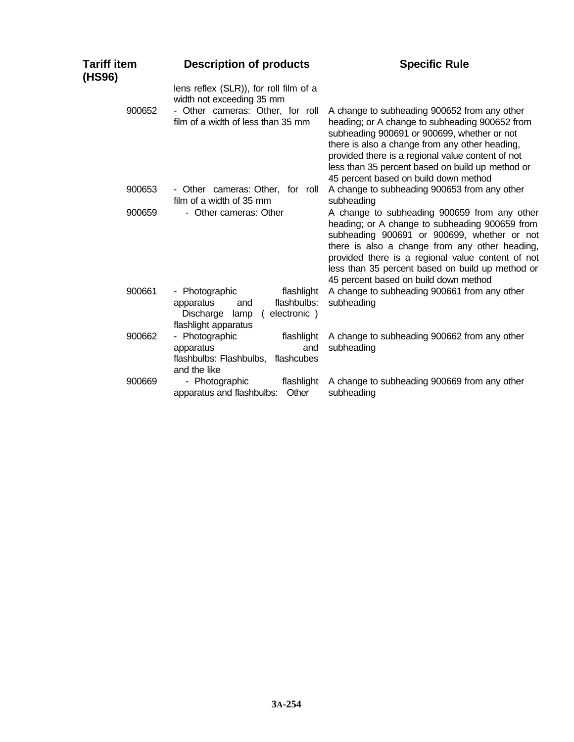| Tariff item<br>(HS96) | <b>Description of products</b>                                                                                                                | <b>Specific Rule</b>                                                                                                                                                                                                                                                                                                                              |  |
|-----------------------|-----------------------------------------------------------------------------------------------------------------------------------------------|---------------------------------------------------------------------------------------------------------------------------------------------------------------------------------------------------------------------------------------------------------------------------------------------------------------------------------------------------|--|
| 900652                | lens reflex (SLR)), for roll film of a<br>width not exceeding 35 mm<br>- Other cameras: Other, for roll<br>film of a width of less than 35 mm | A change to subheading 900652 from any other<br>heading; or A change to subheading 900652 from                                                                                                                                                                                                                                                    |  |
|                       |                                                                                                                                               | subheading 900691 or 900699, whether or not<br>there is also a change from any other heading,<br>provided there is a regional value content of not<br>less than 35 percent based on build up method or<br>45 percent based on build down method                                                                                                   |  |
| 900653                | - Other cameras: Other, for roll<br>film of a width of 35 mm                                                                                  | A change to subheading 900653 from any other<br>subheading                                                                                                                                                                                                                                                                                        |  |
| 900659                | - Other cameras: Other                                                                                                                        | A change to subheading 900659 from any other<br>heading; or A change to subheading 900659 from<br>subheading 900691 or 900699, whether or not<br>there is also a change from any other heading,<br>provided there is a regional value content of not<br>less than 35 percent based on build up method or<br>45 percent based on build down method |  |
| 900661                | flashlight<br>- Photographic<br>flashbulbs:<br>apparatus<br>and<br>Discharge lamp<br>electronic)<br>(<br>flashlight apparatus                 | A change to subheading 900661 from any other<br>subheading                                                                                                                                                                                                                                                                                        |  |
| 900662                | - Photographic<br>flashlight<br>apparatus<br>and<br>flashbulbs: Flashbulbs,<br>flashcubes<br>and the like                                     | A change to subheading 900662 from any other<br>subheading                                                                                                                                                                                                                                                                                        |  |
| 900669                | - Photographic<br>flashlight<br>apparatus and flashbulbs:<br>Other                                                                            | A change to subheading 900669 from any other<br>subheading                                                                                                                                                                                                                                                                                        |  |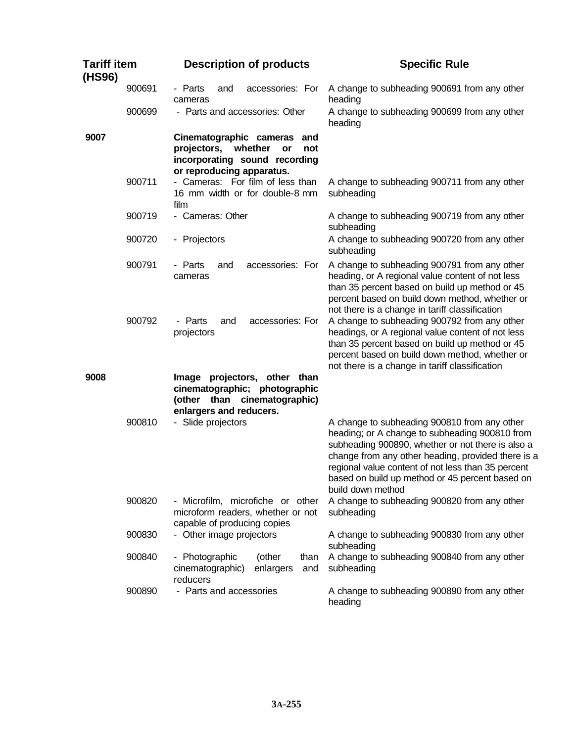| <b>Tariff item</b><br>(HS96) |        | <b>Description of products</b>                                                                                                   | <b>Specific Rule</b>                                                                                                                                                                                                                                                                                                                    |  |
|------------------------------|--------|----------------------------------------------------------------------------------------------------------------------------------|-----------------------------------------------------------------------------------------------------------------------------------------------------------------------------------------------------------------------------------------------------------------------------------------------------------------------------------------|--|
|                              | 900691 | - Parts<br>accessories: For<br>and<br>cameras                                                                                    | A change to subheading 900691 from any other<br>heading                                                                                                                                                                                                                                                                                 |  |
|                              | 900699 | - Parts and accessories: Other                                                                                                   | A change to subheading 900699 from any other<br>heading                                                                                                                                                                                                                                                                                 |  |
| 9007                         |        | Cinematographic cameras and<br>projectors,<br>whether<br>or<br>not<br>incorporating sound recording<br>or reproducing apparatus. |                                                                                                                                                                                                                                                                                                                                         |  |
|                              | 900711 | - Cameras: For film of less than<br>16 mm width or for double-8 mm<br>film                                                       | A change to subheading 900711 from any other<br>subheading                                                                                                                                                                                                                                                                              |  |
|                              | 900719 | - Cameras: Other                                                                                                                 | A change to subheading 900719 from any other<br>subheading                                                                                                                                                                                                                                                                              |  |
|                              | 900720 | - Projectors                                                                                                                     | A change to subheading 900720 from any other<br>subheading                                                                                                                                                                                                                                                                              |  |
|                              | 900791 | - Parts<br>accessories: For<br>and<br>cameras                                                                                    | A change to subheading 900791 from any other<br>heading, or A regional value content of not less<br>than 35 percent based on build up method or 45<br>percent based on build down method, whether or<br>not there is a change in tariff classification                                                                                  |  |
|                              | 900792 | accessories: For<br>- Parts<br>and<br>projectors                                                                                 | A change to subheading 900792 from any other<br>headings, or A regional value content of not less<br>than 35 percent based on build up method or 45<br>percent based on build down method, whether or<br>not there is a change in tariff classification                                                                                 |  |
| 9008                         |        | Image projectors, other than<br>cinematographic; photographic<br>(other than cinematographic)<br>enlargers and reducers.         |                                                                                                                                                                                                                                                                                                                                         |  |
|                              | 900810 | - Slide projectors                                                                                                               | A change to subheading 900810 from any other<br>heading; or A change to subheading 900810 from<br>subheading 900890, whether or not there is also a<br>change from any other heading, provided there is a<br>regional value content of not less than 35 percent<br>based on build up method or 45 percent based on<br>build down method |  |
|                              | 900820 | - Microfilm, microfiche or other<br>microform readers, whether or not<br>capable of producing copies                             | A change to subheading 900820 from any other<br>subheading                                                                                                                                                                                                                                                                              |  |
|                              | 900830 | - Other image projectors                                                                                                         | A change to subheading 900830 from any other<br>subheading                                                                                                                                                                                                                                                                              |  |
|                              | 900840 | - Photographic<br>(other<br>than<br>cinematographic)<br>enlargers<br>and<br>reducers                                             | A change to subheading 900840 from any other<br>subheading                                                                                                                                                                                                                                                                              |  |
|                              | 900890 | - Parts and accessories                                                                                                          | A change to subheading 900890 from any other<br>heading                                                                                                                                                                                                                                                                                 |  |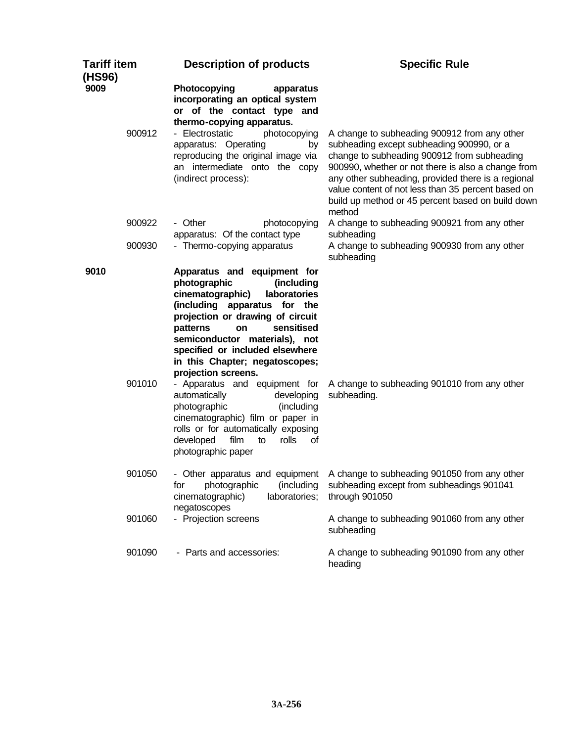| <b>Tariff item</b><br>(HS96) |        | <b>Description of products</b>                                                                                                                                                                                                                                                                                                 | <b>Specific Rule</b>                                                                                                                                                                                                                                                                                                                                                      |  |
|------------------------------|--------|--------------------------------------------------------------------------------------------------------------------------------------------------------------------------------------------------------------------------------------------------------------------------------------------------------------------------------|---------------------------------------------------------------------------------------------------------------------------------------------------------------------------------------------------------------------------------------------------------------------------------------------------------------------------------------------------------------------------|--|
| 9009                         | 900912 | Photocopying<br>apparatus<br>incorporating an optical system<br>or of the contact type and<br>thermo-copying apparatus.<br>- Electrostatic<br>photocopying<br>apparatus: Operating<br>by<br>reproducing the original image via<br>an intermediate onto the copy<br>(indirect process):                                         | A change to subheading 900912 from any other<br>subheading except subheading 900990, or a<br>change to subheading 900912 from subheading<br>900990, whether or not there is also a change from<br>any other subheading, provided there is a regional<br>value content of not less than 35 percent based on<br>build up method or 45 percent based on build down<br>method |  |
|                              | 900922 | - Other<br>photocopying<br>apparatus: Of the contact type                                                                                                                                                                                                                                                                      | A change to subheading 900921 from any other<br>subheading                                                                                                                                                                                                                                                                                                                |  |
|                              | 900930 | - Thermo-copying apparatus                                                                                                                                                                                                                                                                                                     | A change to subheading 900930 from any other<br>subheading                                                                                                                                                                                                                                                                                                                |  |
| 9010                         |        | Apparatus and equipment for<br>photographic<br>(including<br>laboratories<br>cinematographic)<br>(including apparatus for the<br>projection or drawing of circuit<br>sensitised<br>patterns<br>on<br>semiconductor materials), not<br>specified or included elsewhere<br>in this Chapter; negatoscopes;<br>projection screens. |                                                                                                                                                                                                                                                                                                                                                                           |  |
|                              | 901010 | - Apparatus and equipment for<br>automatically<br>developing<br>photographic<br>(including<br>cinematographic) film or paper in<br>rolls or for automatically exposing<br>developed<br>film<br>rolls<br>to<br>οf<br>photographic paper                                                                                         | A change to subheading 901010 from any other<br>subheading.                                                                                                                                                                                                                                                                                                               |  |
|                              | 901050 | photographic<br>(including<br>for<br>cinematographic)<br>laboratories;<br>negatoscopes                                                                                                                                                                                                                                         | - Other apparatus and equipment A change to subheading 901050 from any other<br>subheading except from subheadings 901041<br>through 901050                                                                                                                                                                                                                               |  |
|                              | 901060 | - Projection screens                                                                                                                                                                                                                                                                                                           | A change to subheading 901060 from any other<br>subheading                                                                                                                                                                                                                                                                                                                |  |
|                              | 901090 | - Parts and accessories:                                                                                                                                                                                                                                                                                                       | A change to subheading 901090 from any other<br>heading                                                                                                                                                                                                                                                                                                                   |  |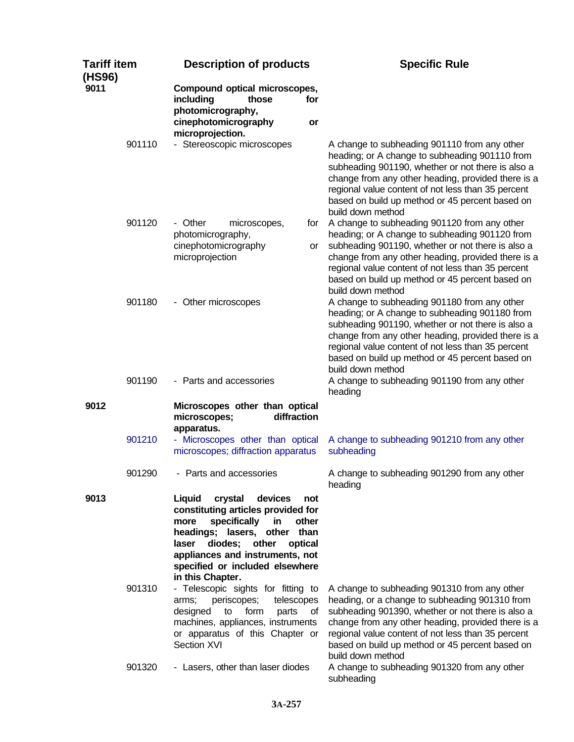| <b>Tariff item</b><br>(HS96) |        | <b>Description of products</b>                                                                                                                                                                                                                                                     | <b>Specific Rule</b>                                                                                                                                                                                                                                                                                                                    |  |
|------------------------------|--------|------------------------------------------------------------------------------------------------------------------------------------------------------------------------------------------------------------------------------------------------------------------------------------|-----------------------------------------------------------------------------------------------------------------------------------------------------------------------------------------------------------------------------------------------------------------------------------------------------------------------------------------|--|
| 9011                         |        | Compound optical microscopes,<br>including<br>those<br>for<br>photomicrography,<br>cinephotomicrography<br>or                                                                                                                                                                      |                                                                                                                                                                                                                                                                                                                                         |  |
|                              | 901110 | microprojection.<br>- Stereoscopic microscopes                                                                                                                                                                                                                                     | A change to subheading 901110 from any other<br>heading; or A change to subheading 901110 from<br>subheading 901190, whether or not there is also a<br>change from any other heading, provided there is a<br>regional value content of not less than 35 percent<br>based on build up method or 45 percent based on<br>build down method |  |
|                              | 901120 | - Other<br>microscopes,<br>for<br>photomicrography,<br>cinephotomicrography<br>or<br>microprojection                                                                                                                                                                               | A change to subheading 901120 from any other<br>heading; or A change to subheading 901120 from<br>subheading 901190, whether or not there is also a<br>change from any other heading, provided there is a<br>regional value content of not less than 35 percent<br>based on build up method or 45 percent based on<br>build down method |  |
|                              | 901180 | - Other microscopes                                                                                                                                                                                                                                                                | A change to subheading 901180 from any other<br>heading; or A change to subheading 901180 from<br>subheading 901190, whether or not there is also a<br>change from any other heading, provided there is a<br>regional value content of not less than 35 percent<br>based on build up method or 45 percent based on<br>build down method |  |
| 9012                         | 901190 | - Parts and accessories<br>Microscopes other than optical                                                                                                                                                                                                                          | A change to subheading 901190 from any other<br>heading                                                                                                                                                                                                                                                                                 |  |
|                              |        | diffraction<br>microscopes;<br>apparatus.                                                                                                                                                                                                                                          |                                                                                                                                                                                                                                                                                                                                         |  |
|                              | 901210 | - Microscopes other than optical<br>microscopes; diffraction apparatus                                                                                                                                                                                                             | A change to subheading 901210 from any other<br>subheading                                                                                                                                                                                                                                                                              |  |
|                              | 901290 | - Parts and accessories                                                                                                                                                                                                                                                            | A change to subheading 901290 from any other<br>heading                                                                                                                                                                                                                                                                                 |  |
| 9013                         |        | Liquid<br>crystal<br>devices<br>not<br>constituting articles provided for<br>specifically<br>in<br>more<br>other<br>headings; lasers, other than<br>diodes;<br>other<br>laser<br>optical<br>appliances and instruments, not<br>specified or included elsewhere<br>in this Chapter. |                                                                                                                                                                                                                                                                                                                                         |  |
|                              | 901310 | - Telescopic sights for fitting to<br>periscopes;<br>arms;<br>telescopes<br>designed<br>to<br>form<br>parts<br>οf<br>machines, appliances, instruments<br>or apparatus of this Chapter or<br>Section XVI                                                                           | A change to subheading 901310 from any other<br>heading, or a change to subheading 901310 from<br>subheading 901390, whether or not there is also a<br>change from any other heading, provided there is a<br>regional value content of not less than 35 percent<br>based on build up method or 45 percent based on<br>build down method |  |
|                              | 901320 | - Lasers, other than laser diodes                                                                                                                                                                                                                                                  | A change to subheading 901320 from any other<br>subheading                                                                                                                                                                                                                                                                              |  |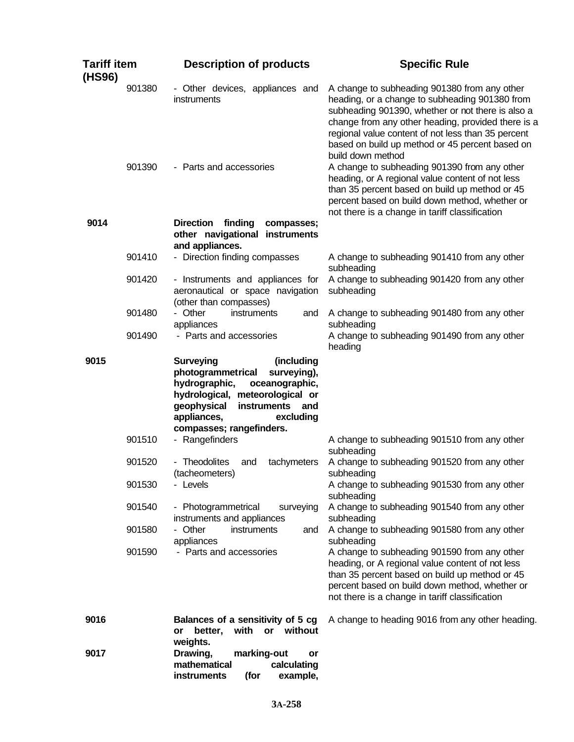| <b>Tariff item</b><br>(HS96) | <b>Description of products</b>                                                                                                                                                                                                        | <b>Specific Rule</b>                                                                                                                                                                                                                                                                                                                    |  |
|------------------------------|---------------------------------------------------------------------------------------------------------------------------------------------------------------------------------------------------------------------------------------|-----------------------------------------------------------------------------------------------------------------------------------------------------------------------------------------------------------------------------------------------------------------------------------------------------------------------------------------|--|
| 901380                       | - Other devices, appliances and<br>instruments                                                                                                                                                                                        | A change to subheading 901380 from any other<br>heading, or a change to subheading 901380 from<br>subheading 901390, whether or not there is also a<br>change from any other heading, provided there is a<br>regional value content of not less than 35 percent<br>based on build up method or 45 percent based on<br>build down method |  |
| 901390                       | - Parts and accessories                                                                                                                                                                                                               | A change to subheading 901390 from any other<br>heading, or A regional value content of not less<br>than 35 percent based on build up method or 45<br>percent based on build down method, whether or<br>not there is a change in tariff classification                                                                                  |  |
| 9014                         | finding<br><b>Direction</b><br>compasses;<br>other navigational instruments<br>and appliances.                                                                                                                                        |                                                                                                                                                                                                                                                                                                                                         |  |
| 901410                       | - Direction finding compasses                                                                                                                                                                                                         | A change to subheading 901410 from any other<br>subheading                                                                                                                                                                                                                                                                              |  |
| 901420                       | - Instruments and appliances for<br>aeronautical or space navigation<br>(other than compasses)                                                                                                                                        | A change to subheading 901420 from any other<br>subheading                                                                                                                                                                                                                                                                              |  |
| 901480                       | - Other<br>instruments<br>and<br>appliances                                                                                                                                                                                           | A change to subheading 901480 from any other<br>subheading                                                                                                                                                                                                                                                                              |  |
| 901490                       | - Parts and accessories                                                                                                                                                                                                               | A change to subheading 901490 from any other<br>heading                                                                                                                                                                                                                                                                                 |  |
| 9015                         | <b>Surveying</b><br>(including<br>photogrammetrical<br>surveying),<br>hydrographic,<br>oceanographic,<br>hydrological, meteorological or<br>geophysical<br>instruments<br>and<br>appliances,<br>excluding<br>compasses; rangefinders. |                                                                                                                                                                                                                                                                                                                                         |  |
| 901510                       | - Rangefinders                                                                                                                                                                                                                        | A change to subheading 901510 from any other<br>subheading                                                                                                                                                                                                                                                                              |  |
| 901520                       | - Theodolites<br>tachymeters<br>and<br>(tacheometers)                                                                                                                                                                                 | A change to subheading 901520 from any other<br>subheading                                                                                                                                                                                                                                                                              |  |
| 901530                       | - Levels                                                                                                                                                                                                                              | A change to subheading 901530 from any other<br>subheading                                                                                                                                                                                                                                                                              |  |
| 901540                       | - Photogrammetrical<br>surveying<br>instruments and appliances                                                                                                                                                                        | A change to subheading 901540 from any other<br>subheading                                                                                                                                                                                                                                                                              |  |
| 901580                       | - Other<br>instruments<br>and<br>appliances                                                                                                                                                                                           | A change to subheading 901580 from any other<br>subheading                                                                                                                                                                                                                                                                              |  |
| 901590                       | - Parts and accessories                                                                                                                                                                                                               | A change to subheading 901590 from any other<br>heading, or A regional value content of not less<br>than 35 percent based on build up method or 45<br>percent based on build down method, whether or<br>not there is a change in tariff classification                                                                                  |  |
| 9016                         | Balances of a sensitivity of 5 cg<br>with or without<br>better,<br>or<br>weights.                                                                                                                                                     | A change to heading 9016 from any other heading.                                                                                                                                                                                                                                                                                        |  |
| 9017                         | Drawing,<br>marking-out<br>or<br>mathematical<br>calculating<br>instruments<br>example,<br>(for                                                                                                                                       |                                                                                                                                                                                                                                                                                                                                         |  |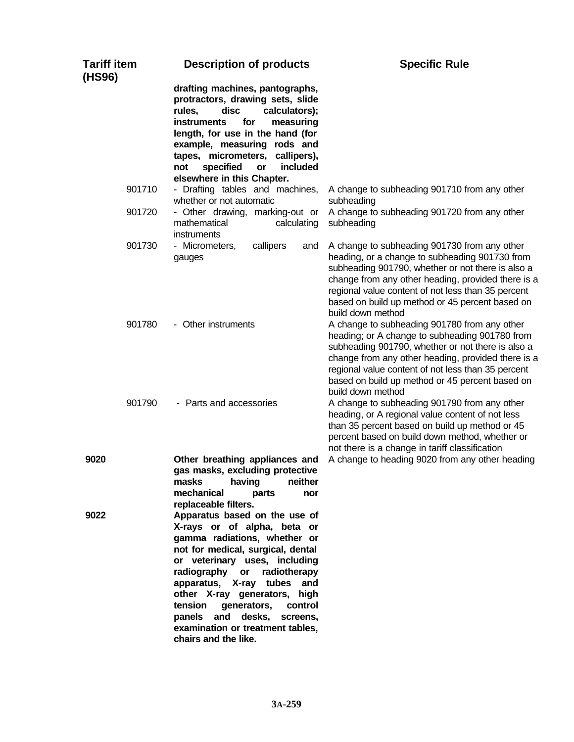| <b>Tariff item</b><br>(HS96) | <b>Description of products</b>                                                                                                                                                                                                                                                                                                                                                                       | <b>Specific Rule</b>                                                                                                                                                                                                                                                                                                                    |
|------------------------------|------------------------------------------------------------------------------------------------------------------------------------------------------------------------------------------------------------------------------------------------------------------------------------------------------------------------------------------------------------------------------------------------------|-----------------------------------------------------------------------------------------------------------------------------------------------------------------------------------------------------------------------------------------------------------------------------------------------------------------------------------------|
|                              | drafting machines, pantographs,<br>protractors, drawing sets, slide<br>rules,<br>disc<br>calculators);<br><b>instruments</b><br>measuring<br>for<br>length, for use in the hand (for<br>example, measuring rods and<br>tapes, micrometers, callipers),<br>included<br>not<br>specified<br>or<br>elsewhere in this Chapter.                                                                           |                                                                                                                                                                                                                                                                                                                                         |
| 901710                       | - Drafting tables and machines,<br>whether or not automatic                                                                                                                                                                                                                                                                                                                                          | A change to subheading 901710 from any other<br>subheading                                                                                                                                                                                                                                                                              |
| 901720                       | - Other drawing, marking-out or<br>mathematical<br>calculating<br>instruments                                                                                                                                                                                                                                                                                                                        | A change to subheading 901720 from any other<br>subheading                                                                                                                                                                                                                                                                              |
| 901730                       | - Micrometers,<br>callipers<br>and<br>gauges                                                                                                                                                                                                                                                                                                                                                         | A change to subheading 901730 from any other<br>heading, or a change to subheading 901730 from<br>subheading 901790, whether or not there is also a<br>change from any other heading, provided there is a<br>regional value content of not less than 35 percent<br>based on build up method or 45 percent based on<br>build down method |
| 901780                       | - Other instruments                                                                                                                                                                                                                                                                                                                                                                                  | A change to subheading 901780 from any other<br>heading; or A change to subheading 901780 from<br>subheading 901790, whether or not there is also a<br>change from any other heading, provided there is a<br>regional value content of not less than 35 percent<br>based on build up method or 45 percent based on<br>build down method |
| 901790                       | - Parts and accessories                                                                                                                                                                                                                                                                                                                                                                              | A change to subheading 901790 from any other<br>heading, or A regional value content of not less<br>than 35 percent based on build up method or 45<br>percent based on build down method, whether or<br>not there is a change in tariff classification                                                                                  |
| 9020                         | Other breathing appliances and<br>gas masks, excluding protective<br>masks<br>having<br>neither<br>mechanical<br>parts<br>nor<br>replaceable filters.                                                                                                                                                                                                                                                | A change to heading 9020 from any other heading                                                                                                                                                                                                                                                                                         |
| 9022                         | Apparatus based on the use of<br>X-rays or of alpha, beta or<br>gamma radiations, whether or<br>not for medical, surgical, dental<br>or veterinary uses, including<br>radiography or<br>radiotherapy<br>apparatus, X-ray tubes and<br>other X-ray generators, high<br>tension<br>generators,<br>control<br>panels and desks,<br>screens,<br>examination or treatment tables,<br>chairs and the like. |                                                                                                                                                                                                                                                                                                                                         |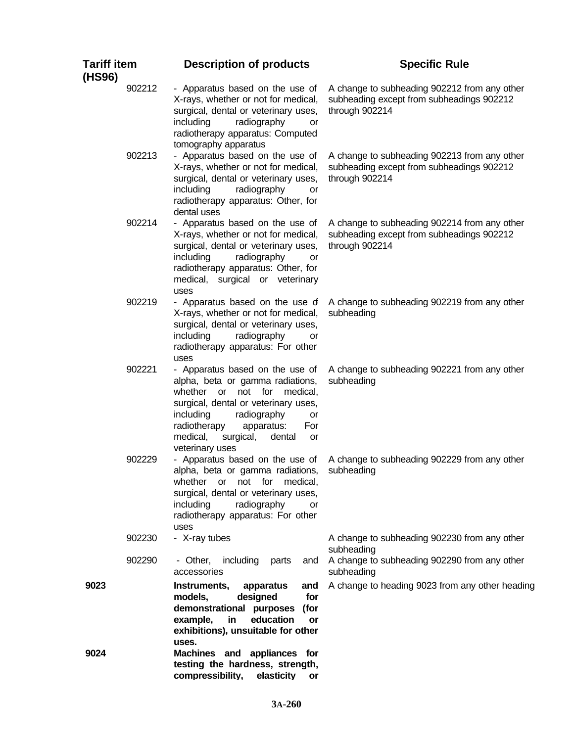| <b>Tariff item</b><br>(HS96) | <b>Description of products</b>                                                                                                                                                                                                                                                            | <b>Specific Rule</b>                                                                                        |  |  |
|------------------------------|-------------------------------------------------------------------------------------------------------------------------------------------------------------------------------------------------------------------------------------------------------------------------------------------|-------------------------------------------------------------------------------------------------------------|--|--|
| 902212                       | - Apparatus based on the use of<br>X-rays, whether or not for medical,<br>surgical, dental or veterinary uses,<br>including<br>radiography<br>or<br>radiotherapy apparatus: Computed<br>tomography apparatus                                                                              | A change to subheading 902212 from any other<br>subheading except from subheadings 902212<br>through 902214 |  |  |
| 902213                       | - Apparatus based on the use of<br>X-rays, whether or not for medical,<br>surgical, dental or veterinary uses,<br>including<br>radiography<br>or<br>radiotherapy apparatus: Other, for<br>dental uses                                                                                     | A change to subheading 902213 from any other<br>subheading except from subheadings 902212<br>through 902214 |  |  |
| 902214                       | - Apparatus based on the use of<br>X-rays, whether or not for medical,<br>surgical, dental or veterinary uses,<br>including<br>radiography<br>or<br>radiotherapy apparatus: Other, for<br>medical, surgical or veterinary<br>uses                                                         | A change to subheading 902214 from any other<br>subheading except from subheadings 902212<br>through 902214 |  |  |
| 902219                       | - Apparatus based on the use of<br>X-rays, whether or not for medical,<br>surgical, dental or veterinary uses,<br>including<br>radiography<br>or<br>radiotherapy apparatus: For other<br>uses                                                                                             | A change to subheading 902219 from any other<br>subheading                                                  |  |  |
| 902221                       | - Apparatus based on the use of<br>alpha, beta or gamma radiations,<br>not<br>for<br>whether<br>or<br>medical,<br>surgical, dental or veterinary uses,<br>radiography<br>including<br>or<br>radiotherapy<br>apparatus:<br>For<br>medical,<br>surgical,<br>dental<br>or<br>veterinary uses | A change to subheading 902221 from any other<br>subheading                                                  |  |  |
| 902229                       | - Apparatus based on the use of<br>alpha, beta or gamma radiations,<br>whether<br>not for<br>medical,<br>or<br>surgical, dental or veterinary uses,<br>including<br>radiography<br>or<br>radiotherapy apparatus: For other<br>uses                                                        | A change to subheading 902229 from any other<br>subheading                                                  |  |  |
| 902230                       | - X-ray tubes                                                                                                                                                                                                                                                                             | A change to subheading 902230 from any other<br>subheading                                                  |  |  |
| 902290                       | - Other,<br>including<br>parts<br>and<br>accessories                                                                                                                                                                                                                                      | A change to subheading 902290 from any other<br>subheading                                                  |  |  |
| 9023                         | Instruments,<br>apparatus<br>and<br>designed<br>for<br>models,<br>demonstrational purposes<br>(for<br>education<br>example,<br>in<br>or<br>exhibitions), unsuitable for other<br>uses.                                                                                                    | A change to heading 9023 from any other heading                                                             |  |  |
| 9024                         | Machines and appliances for<br>testing the hardness, strength,<br>compressibility,<br>elasticity<br>or                                                                                                                                                                                    |                                                                                                             |  |  |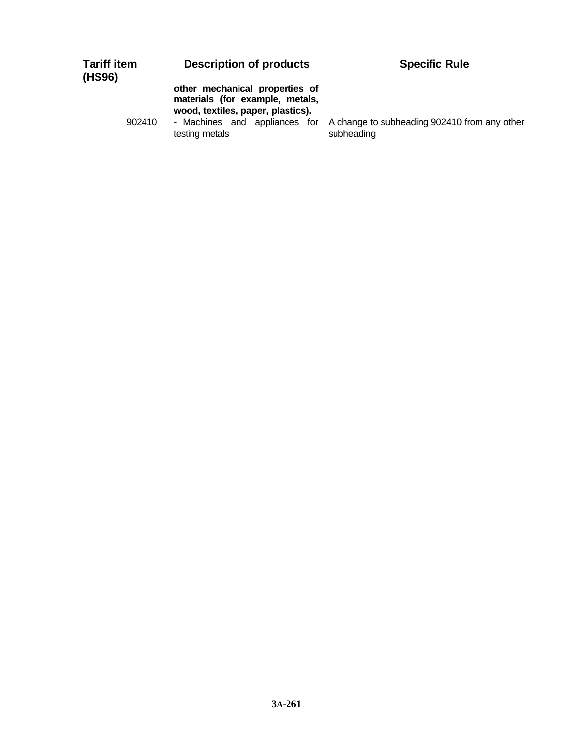## **Description of products Specific Rule**

**other mechanical properties of materials (for example, metals, wood, textiles, paper, plastics).**

testing metals

902410 - Machines and appliances for A change to subheading 902410 from any other subheading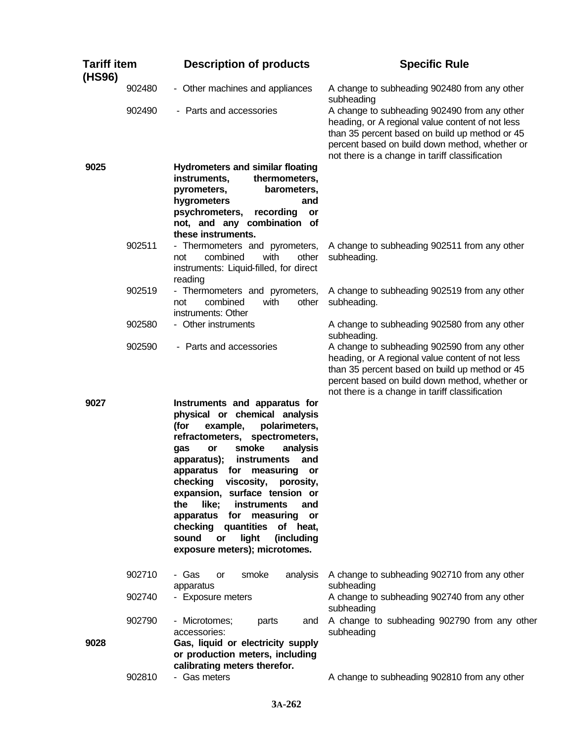| <b>Tariff item</b><br>(HS96) |        | <b>Description of products</b>                                                                                                                                                                                                                                                                                                                                                                                                                                                                                  | <b>Specific Rule</b>                                                                                                                                                                                                                                   |  |  |
|------------------------------|--------|-----------------------------------------------------------------------------------------------------------------------------------------------------------------------------------------------------------------------------------------------------------------------------------------------------------------------------------------------------------------------------------------------------------------------------------------------------------------------------------------------------------------|--------------------------------------------------------------------------------------------------------------------------------------------------------------------------------------------------------------------------------------------------------|--|--|
|                              | 902480 | - Other machines and appliances                                                                                                                                                                                                                                                                                                                                                                                                                                                                                 | A change to subheading 902480 from any other<br>subheading                                                                                                                                                                                             |  |  |
|                              | 902490 | - Parts and accessories                                                                                                                                                                                                                                                                                                                                                                                                                                                                                         | A change to subheading 902490 from any other<br>heading, or A regional value content of not less<br>than 35 percent based on build up method or 45<br>percent based on build down method, whether or<br>not there is a change in tariff classification |  |  |
| 9025                         |        | <b>Hydrometers and similar floating</b><br>thermometers,<br>instruments,<br>pyrometers,<br>barometers,<br>hygrometers<br>and<br>psychrometers,<br>recording<br>or<br>not, and any combination of                                                                                                                                                                                                                                                                                                                |                                                                                                                                                                                                                                                        |  |  |
|                              | 902511 | these instruments.<br>- Thermometers and pyrometers,<br>with<br>combined<br>other<br>not<br>instruments: Liquid-filled, for direct<br>reading                                                                                                                                                                                                                                                                                                                                                                   | A change to subheading 902511 from any other<br>subheading.                                                                                                                                                                                            |  |  |
|                              | 902519 | - Thermometers and pyrometers,<br>combined<br>with<br>other<br>not<br>instruments: Other                                                                                                                                                                                                                                                                                                                                                                                                                        | A change to subheading 902519 from any other<br>subheading.                                                                                                                                                                                            |  |  |
|                              | 902580 | - Other instruments                                                                                                                                                                                                                                                                                                                                                                                                                                                                                             | A change to subheading 902580 from any other<br>subheading.                                                                                                                                                                                            |  |  |
|                              | 902590 | - Parts and accessories                                                                                                                                                                                                                                                                                                                                                                                                                                                                                         | A change to subheading 902590 from any other<br>heading, or A regional value content of not less<br>than 35 percent based on build up method or 45<br>percent based on build down method, whether or<br>not there is a change in tariff classification |  |  |
| 9027                         |        | Instruments and apparatus for<br>physical or chemical analysis<br>polarimeters,<br>(for<br>example,<br>refractometers,<br>spectrometers,<br>smoke<br>analysis<br>gas<br>or<br>apparatus);<br>instruments<br>and<br>apparatus for<br>measuring<br>or<br>checking<br>viscosity,<br>porosity,<br>expansion, surface tension or<br>like;<br>instruments<br>the<br>and<br>apparatus for<br>measuring<br>or<br>checking quantities<br>of heat,<br>light<br>sound<br>(including<br>or<br>exposure meters); microtomes. |                                                                                                                                                                                                                                                        |  |  |
|                              | 902710 | - Gas<br>smoke<br>analysis<br><b>or</b><br>apparatus                                                                                                                                                                                                                                                                                                                                                                                                                                                            | A change to subheading 902710 from any other<br>subheading                                                                                                                                                                                             |  |  |
|                              | 902740 | - Exposure meters                                                                                                                                                                                                                                                                                                                                                                                                                                                                                               | A change to subheading 902740 from any other<br>subheading                                                                                                                                                                                             |  |  |
| 9028                         | 902790 | - Microtomes;<br>parts<br>and<br>accessories:<br>Gas, liquid or electricity supply<br>or production meters, including<br>calibrating meters therefor.                                                                                                                                                                                                                                                                                                                                                           | A change to subheading 902790 from any other<br>subheading                                                                                                                                                                                             |  |  |
|                              | 902810 | - Gas meters                                                                                                                                                                                                                                                                                                                                                                                                                                                                                                    | A change to subheading 902810 from any other                                                                                                                                                                                                           |  |  |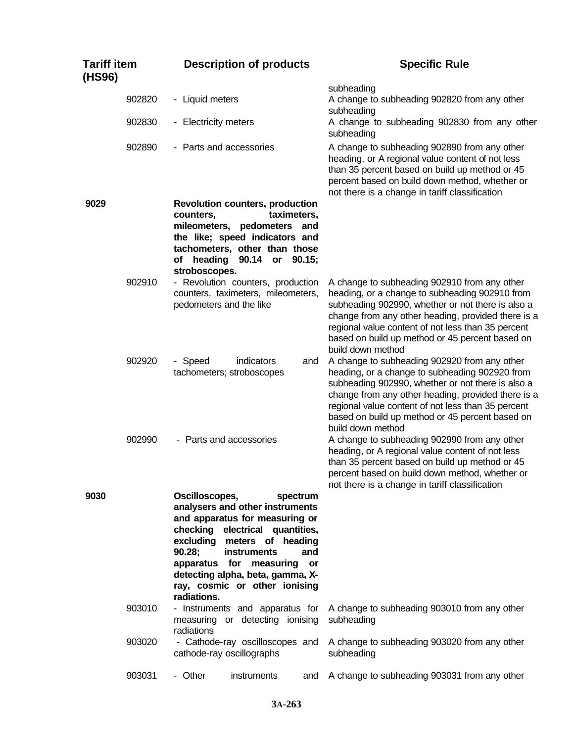| <b>Tariff item</b><br>(HS96) |        | <b>Description of products</b>                           |                                                                                                                                                                                                                                      |                       | <b>Specific Rule</b>                                                                                                                                                                                                                                                                                                                    |  |
|------------------------------|--------|----------------------------------------------------------|--------------------------------------------------------------------------------------------------------------------------------------------------------------------------------------------------------------------------------------|-----------------------|-----------------------------------------------------------------------------------------------------------------------------------------------------------------------------------------------------------------------------------------------------------------------------------------------------------------------------------------|--|
|                              | 902820 | - Liquid meters                                          |                                                                                                                                                                                                                                      |                       | subheading<br>A change to subheading 902820 from any other                                                                                                                                                                                                                                                                              |  |
|                              | 902830 | - Electricity meters                                     |                                                                                                                                                                                                                                      |                       | subheading<br>A change to subheading 902830 from any other<br>subheading                                                                                                                                                                                                                                                                |  |
|                              | 902890 |                                                          | - Parts and accessories                                                                                                                                                                                                              |                       | A change to subheading 902890 from any other<br>heading, or A regional value content of not less<br>than 35 percent based on build up method or 45<br>percent based on build down method, whether or<br>not there is a change in tariff classification                                                                                  |  |
| 9029                         |        | counters,<br>stroboscopes.                               | <b>Revolution counters, production</b><br>taximeters,<br>mileometers, pedometers and<br>the like; speed indicators and<br>tachometers, other than those<br>of heading 90.14 or 90.15;                                                |                       |                                                                                                                                                                                                                                                                                                                                         |  |
|                              | 902910 | pedometers and the like                                  | - Revolution counters, production<br>counters, taximeters, mileometers,                                                                                                                                                              |                       | A change to subheading 902910 from any other<br>heading, or a change to subheading 902910 from<br>subheading 902990, whether or not there is also a<br>change from any other heading, provided there is a<br>regional value content of not less than 35 percent<br>based on build up method or 45 percent based on<br>build down method |  |
|                              | 902920 | - Speed                                                  | indicators<br>tachometers; stroboscopes                                                                                                                                                                                              | and                   | A change to subheading 902920 from any other<br>heading, or a change to subheading 902920 from<br>subheading 902990, whether or not there is also a<br>change from any other heading, provided there is a<br>regional value content of not less than 35 percent<br>based on build up method or 45 percent based on<br>build down method |  |
|                              | 902990 |                                                          | - Parts and accessories                                                                                                                                                                                                              |                       | A change to subheading 902990 from any other<br>heading, or A regional value content of not less<br>than 35 percent based on build up method or 45<br>percent based on build down method, whether or<br>not there is a change in tariff classification                                                                                  |  |
| 9030                         |        | Oscilloscopes,<br>90.28;<br>apparatus for<br>radiations. | analysers and other instruments<br>and apparatus for measuring or<br>checking electrical quantities,<br>excluding meters of heading<br>instruments<br>measuring<br>detecting alpha, beta, gamma, X-<br>ray, cosmic or other ionising | spectrum<br>and<br>or |                                                                                                                                                                                                                                                                                                                                         |  |
|                              | 903010 | radiations                                               | - Instruments and apparatus for<br>measuring or detecting ionising                                                                                                                                                                   |                       | A change to subheading 903010 from any other<br>subheading                                                                                                                                                                                                                                                                              |  |
|                              | 903020 |                                                          | - Cathode-ray oscilloscopes and<br>cathode-ray oscillographs                                                                                                                                                                         |                       | A change to subheading 903020 from any other<br>subheading                                                                                                                                                                                                                                                                              |  |
|                              | 903031 | - Other                                                  | instruments                                                                                                                                                                                                                          | and                   | A change to subheading 903031 from any other                                                                                                                                                                                                                                                                                            |  |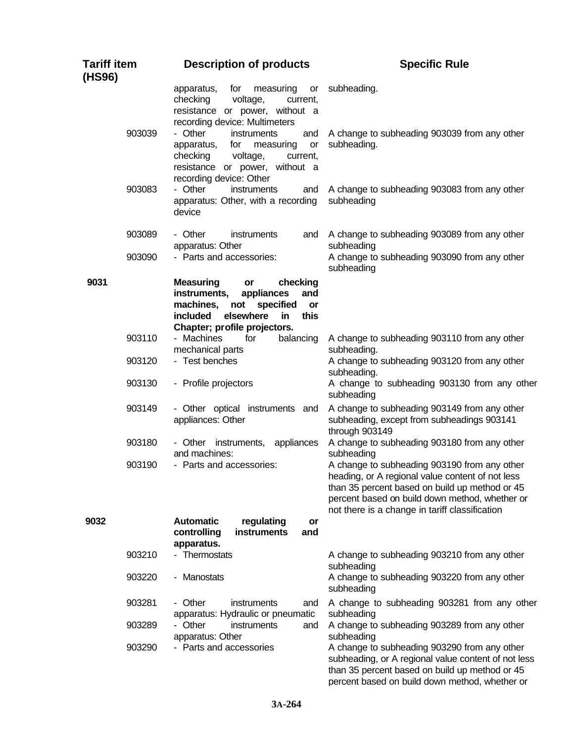| <b>Tariff item</b><br>(HS96) | <b>Description of products</b>                                                                                                                                                        | <b>Specific Rule</b>                                                                                                                                                                                                                                   |  |
|------------------------------|---------------------------------------------------------------------------------------------------------------------------------------------------------------------------------------|--------------------------------------------------------------------------------------------------------------------------------------------------------------------------------------------------------------------------------------------------------|--|
|                              | apparatus,<br>measuring<br>for<br>or<br>checking<br>voltage,<br>current,<br>resistance or power, without a<br>recording device: Multimeters                                           | subheading.                                                                                                                                                                                                                                            |  |
| 903039                       | - Other<br>instruments<br>and<br>apparatus,<br>for<br>measuring<br>or<br>checking<br>voltage,<br>current,<br>resistance or power, without a<br>recording device: Other                | A change to subheading 903039 from any other<br>subheading.                                                                                                                                                                                            |  |
| 903083                       | - Other<br>instruments<br>and<br>apparatus: Other, with a recording<br>device                                                                                                         | A change to subheading 903083 from any other<br>subheading                                                                                                                                                                                             |  |
| 903089                       | - Other<br>instruments<br>and<br>apparatus: Other                                                                                                                                     | A change to subheading 903089 from any other<br>subheading                                                                                                                                                                                             |  |
| 903090                       | - Parts and accessories:                                                                                                                                                              | A change to subheading 903090 from any other<br>subheading                                                                                                                                                                                             |  |
| 9031                         | <b>Measuring</b><br>checking<br>or<br>instruments,<br>appliances<br>and<br>machines,<br>specified<br>not<br>or<br>this<br>included<br>elsewhere<br>in<br>Chapter; profile projectors. |                                                                                                                                                                                                                                                        |  |
| 903110                       | - Machines<br>balancing<br>for<br>mechanical parts                                                                                                                                    | A change to subheading 903110 from any other<br>subheading.                                                                                                                                                                                            |  |
| 903120<br>903130             | - Test benches<br>- Profile projectors                                                                                                                                                | A change to subheading 903120 from any other<br>subheading.<br>A change to subheading 903130 from any other                                                                                                                                            |  |
| 903149                       | - Other optical instruments and<br>appliances: Other                                                                                                                                  | subheading<br>A change to subheading 903149 from any other<br>subheading, except from subheadings 903141<br>through 903149                                                                                                                             |  |
| 903180                       | - Other instruments, appliances<br>and machines:                                                                                                                                      | A change to subheading 903180 from any other<br>subheading                                                                                                                                                                                             |  |
| 903190                       | - Parts and accessories:                                                                                                                                                              | A change to subheading 903190 from any other<br>heading, or A regional value content of not less<br>than 35 percent based on build up method or 45<br>percent based on build down method, whether or<br>not there is a change in tariff classification |  |
| 9032                         | <b>Automatic</b><br>regulating<br>or<br>controlling<br>instruments<br>and<br>apparatus.                                                                                               |                                                                                                                                                                                                                                                        |  |
| 903210                       | - Thermostats                                                                                                                                                                         | A change to subheading 903210 from any other<br>subheading                                                                                                                                                                                             |  |
| 903220                       | - Manostats                                                                                                                                                                           | A change to subheading 903220 from any other<br>subheading                                                                                                                                                                                             |  |
| 903281<br>903289             | - Other<br>instruments<br>and<br>apparatus: Hydraulic or pneumatic<br>- Other<br>instruments<br>and<br>apparatus: Other                                                               | A change to subheading 903281 from any other<br>subheading<br>A change to subheading 903289 from any other<br>subheading                                                                                                                               |  |
| 903290                       | - Parts and accessories                                                                                                                                                               | A change to subheading 903290 from any other<br>subheading, or A regional value content of not less<br>than 35 percent based on build up method or 45<br>percent based on build down method, whether or                                                |  |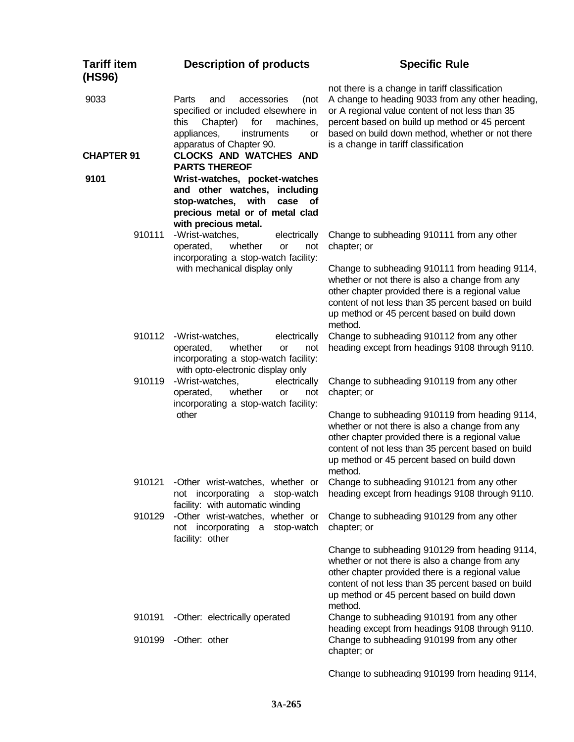| Tariff item<br>(HS96) | <b>Description of products</b>                                                                                                                                                    | <b>Specific Rule</b>                                                                                                                                                                                                                                                                                                              |  |
|-----------------------|-----------------------------------------------------------------------------------------------------------------------------------------------------------------------------------|-----------------------------------------------------------------------------------------------------------------------------------------------------------------------------------------------------------------------------------------------------------------------------------------------------------------------------------|--|
| 9033                  | Parts<br>and<br>accessories<br>(not<br>specified or included elsewhere in<br>for<br>this<br>Chapter)<br>machines,<br>appliances,<br>instruments<br>or<br>apparatus of Chapter 90. | not there is a change in tariff classification<br>A change to heading 9033 from any other heading,<br>or A regional value content of not less than 35<br>percent based on build up method or 45 percent<br>based on build down method, whether or not there<br>is a change in tariff classification                               |  |
| <b>CHAPTER 91</b>     | <b>CLOCKS AND WATCHES AND</b><br><b>PARTS THEREOF</b>                                                                                                                             |                                                                                                                                                                                                                                                                                                                                   |  |
| 9101                  | Wrist-watches, pocket-watches<br>and other watches, including<br>stop-watches, with<br>case<br>of<br>precious metal or of metal clad<br>with precious metal.                      |                                                                                                                                                                                                                                                                                                                                   |  |
| 910111                | -Wrist-watches,<br>electrically<br>whether<br>operated,<br><b>or</b><br>not<br>incorporating a stop-watch facility:                                                               | Change to subheading 910111 from any other<br>chapter; or                                                                                                                                                                                                                                                                         |  |
|                       | with mechanical display only                                                                                                                                                      | Change to subheading 910111 from heading 9114,<br>whether or not there is also a change from any<br>other chapter provided there is a regional value<br>content of not less than 35 percent based on build<br>up method or 45 percent based on build down<br>method.                                                              |  |
| 910112                | -Wrist-watches,<br>electrically<br>operated,<br>whether<br><b>or</b><br>not<br>incorporating a stop-watch facility:<br>with opto-electronic display only                          | Change to subheading 910112 from any other<br>heading except from headings 9108 through 9110.                                                                                                                                                                                                                                     |  |
| 910119                | -Wrist-watches,<br>electrically<br>whether<br>operated,<br><b>or</b><br>not<br>incorporating a stop-watch facility:<br>other                                                      | Change to subheading 910119 from any other<br>chapter; or<br>Change to subheading 910119 from heading 9114,<br>whether or not there is also a change from any<br>other chapter provided there is a regional value<br>content of not less than 35 percent based on build<br>up method or 45 percent based on build down<br>method. |  |
| 910121                | -Other wrist-watches, whether or<br>not incorporating a stop-watch<br>facility: with automatic winding                                                                            | Change to subheading 910121 from any other<br>heading except from headings 9108 through 9110.                                                                                                                                                                                                                                     |  |
| 910129                | -Other wrist-watches, whether or<br>not incorporating a stop-watch<br>facility: other                                                                                             | Change to subheading 910129 from any other<br>chapter; or<br>Change to subheading 910129 from heading 9114,<br>whether or not there is also a change from any                                                                                                                                                                     |  |
|                       |                                                                                                                                                                                   | other chapter provided there is a regional value<br>content of not less than 35 percent based on build<br>up method or 45 percent based on build down<br>method.                                                                                                                                                                  |  |
| 910191<br>910199      | -Other: electrically operated<br>-Other: other                                                                                                                                    | Change to subheading 910191 from any other<br>heading except from headings 9108 through 9110.<br>Change to subheading 910199 from any other                                                                                                                                                                                       |  |
|                       |                                                                                                                                                                                   | chapter; or<br>Change to subheading 910199 from heading 9114,                                                                                                                                                                                                                                                                     |  |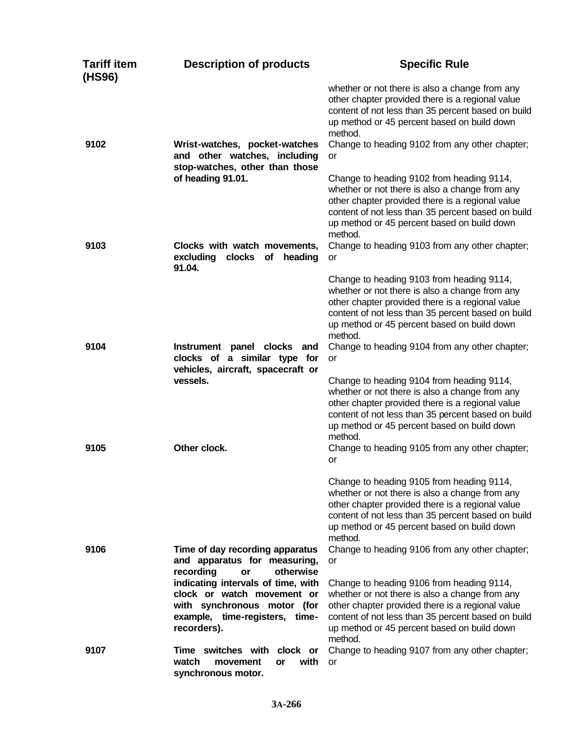| <b>Tariff item</b><br>(HS96) | <b>Description of products</b>                                                                                                                   | <b>Specific Rule</b>                                                                                                                                                                                                                                                       |
|------------------------------|--------------------------------------------------------------------------------------------------------------------------------------------------|----------------------------------------------------------------------------------------------------------------------------------------------------------------------------------------------------------------------------------------------------------------------------|
| 9102                         | Wrist-watches, pocket-watches<br>and other watches, including                                                                                    | whether or not there is also a change from any<br>other chapter provided there is a regional value<br>content of not less than 35 percent based on build<br>up method or 45 percent based on build down<br>method.<br>Change to heading 9102 from any other chapter;<br>or |
|                              | stop-watches, other than those<br>of heading 91.01.                                                                                              | Change to heading 9102 from heading 9114,<br>whether or not there is also a change from any<br>other chapter provided there is a regional value<br>content of not less than 35 percent based on build<br>up method or 45 percent based on build down<br>method.            |
| 9103                         | Clocks with watch movements,<br>excluding<br>clocks<br>of<br>heading<br>91.04.                                                                   | Change to heading 9103 from any other chapter;<br>or                                                                                                                                                                                                                       |
|                              |                                                                                                                                                  | Change to heading 9103 from heading 9114,<br>whether or not there is also a change from any<br>other chapter provided there is a regional value<br>content of not less than 35 percent based on build<br>up method or 45 percent based on build down<br>method.            |
| 9104                         | Instrument panel clocks and<br>clocks of a similar type for<br>vehicles, aircraft, spacecraft or                                                 | Change to heading 9104 from any other chapter;<br><b>or</b>                                                                                                                                                                                                                |
|                              | vessels.                                                                                                                                         | Change to heading 9104 from heading 9114,<br>whether or not there is also a change from any<br>other chapter provided there is a regional value<br>content of not less than 35 percent based on build<br>up method or 45 percent based on build down<br>method.            |
| 9105                         | Other clock.                                                                                                                                     | Change to heading 9105 from any other chapter;<br>or                                                                                                                                                                                                                       |
|                              |                                                                                                                                                  | Change to heading 9105 from heading 9114,<br>whether or not there is also a change from any<br>other chapter provided there is a regional value<br>content of not less than 35 percent based on build<br>up method or 45 percent based on build down<br>method.            |
| 9106                         | Time of day recording apparatus<br>and apparatus for measuring,<br>recording<br>otherwise<br>or                                                  | Change to heading 9106 from any other chapter;<br>or                                                                                                                                                                                                                       |
|                              | indicating intervals of time, with<br>clock or watch movement or<br>with synchronous motor (for<br>example, time-registers, time-<br>recorders). | Change to heading 9106 from heading 9114,<br>whether or not there is also a change from any<br>other chapter provided there is a regional value<br>content of not less than 35 percent based on build<br>up method or 45 percent based on build down<br>method.            |
| 9107                         | Time switches with clock or<br>watch<br>with<br>movement<br>or<br>synchronous motor.                                                             | Change to heading 9107 from any other chapter;<br>or                                                                                                                                                                                                                       |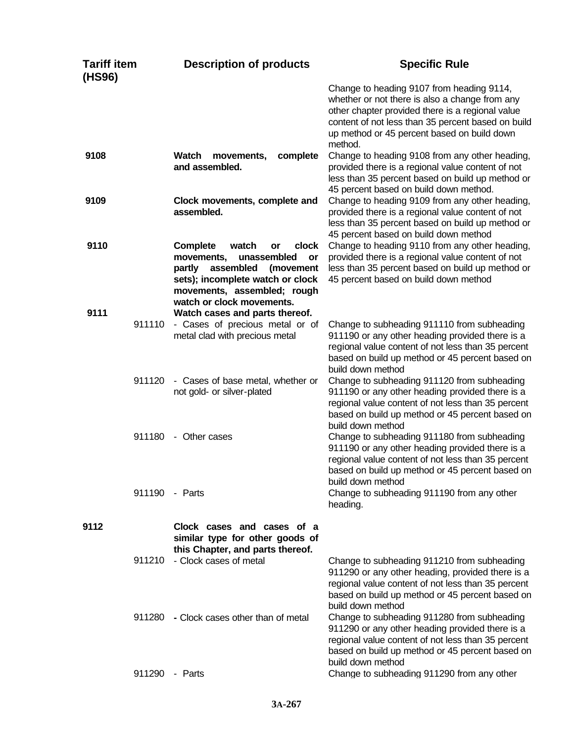| <b>Tariff item</b><br>(HS96) |                | <b>Description of products</b>                                                                                                                                                                                 | <b>Specific Rule</b>                                                                                                                                                                                                                                            |
|------------------------------|----------------|----------------------------------------------------------------------------------------------------------------------------------------------------------------------------------------------------------------|-----------------------------------------------------------------------------------------------------------------------------------------------------------------------------------------------------------------------------------------------------------------|
|                              |                |                                                                                                                                                                                                                | Change to heading 9107 from heading 9114,<br>whether or not there is also a change from any<br>other chapter provided there is a regional value<br>content of not less than 35 percent based on build<br>up method or 45 percent based on build down<br>method. |
| 9108                         |                | Watch<br>movements,<br>complete<br>and assembled.                                                                                                                                                              | Change to heading 9108 from any other heading,<br>provided there is a regional value content of not<br>less than 35 percent based on build up method or<br>45 percent based on build down method.                                                               |
| 9109                         |                | Clock movements, complete and<br>assembled.                                                                                                                                                                    | Change to heading 9109 from any other heading,<br>provided there is a regional value content of not<br>less than 35 percent based on build up method or<br>45 percent based on build down method                                                                |
| 9110                         |                | <b>Complete</b><br>watch<br>clock<br>or<br>movements,<br>unassembled<br>or<br>assembled<br>partly<br>(movement<br>sets); incomplete watch or clock<br>movements, assembled; rough<br>watch or clock movements. | Change to heading 9110 from any other heading,<br>provided there is a regional value content of not<br>less than 35 percent based on build up method or<br>45 percent based on build down method                                                                |
| 9111                         | 911110         | Watch cases and parts thereof.<br>- Cases of precious metal or of<br>metal clad with precious metal                                                                                                            | Change to subheading 911110 from subheading<br>911190 or any other heading provided there is a<br>regional value content of not less than 35 percent<br>based on build up method or 45 percent based on<br>build down method                                    |
|                              | 911120         | - Cases of base metal, whether or<br>not gold- or silver-plated                                                                                                                                                | Change to subheading 911120 from subheading<br>911190 or any other heading provided there is a<br>regional value content of not less than 35 percent<br>based on build up method or 45 percent based on<br>build down method                                    |
|                              | 911180         | - Other cases                                                                                                                                                                                                  | Change to subheading 911180 from subheading<br>911190 or any other heading provided there is a<br>regional value content of not less than 35 percent<br>based on build up method or 45 percent based on<br>build down method                                    |
|                              | 911190 - Parts |                                                                                                                                                                                                                | Change to subheading 911190 from any other<br>heading.                                                                                                                                                                                                          |
| 9112                         |                | Clock cases and cases of a<br>similar type for other goods of<br>this Chapter, and parts thereof.                                                                                                              |                                                                                                                                                                                                                                                                 |
|                              | 911210         | - Clock cases of metal                                                                                                                                                                                         | Change to subheading 911210 from subheading<br>911290 or any other heading, provided there is a<br>regional value content of not less than 35 percent<br>based on build up method or 45 percent based on<br>build down method                                   |
|                              | 911280         | - Clock cases other than of metal                                                                                                                                                                              | Change to subheading 911280 from subheading<br>911290 or any other heading provided there is a<br>regional value content of not less than 35 percent<br>based on build up method or 45 percent based on<br>build down method                                    |
|                              | 911290 - Parts |                                                                                                                                                                                                                | Change to subheading 911290 from any other                                                                                                                                                                                                                      |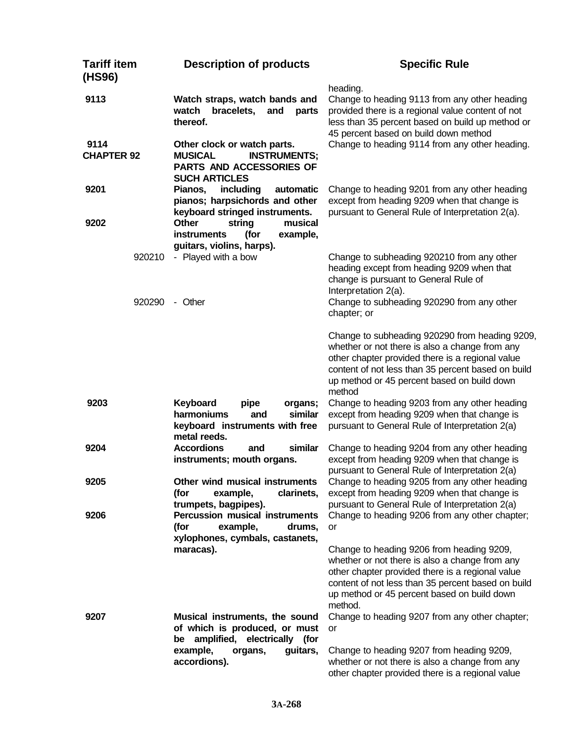| <b>Tariff item</b><br>(HS96) | <b>Description of products</b>                                                                                           | <b>Specific Rule</b>                                                                                                                                                                                                                                                |
|------------------------------|--------------------------------------------------------------------------------------------------------------------------|---------------------------------------------------------------------------------------------------------------------------------------------------------------------------------------------------------------------------------------------------------------------|
| 9113<br>9114                 | Watch straps, watch bands and<br>bracelets,<br>watch<br>and<br>parts<br>thereof.                                         | heading.<br>Change to heading 9113 from any other heading<br>provided there is a regional value content of not<br>less than 35 percent based on build up method or<br>45 percent based on build down method<br>Change to heading 9114 from any other heading.       |
| <b>CHAPTER 92</b>            | Other clock or watch parts.<br><b>MUSICAL</b><br><b>INSTRUMENTS;</b><br>PARTS AND ACCESSORIES OF<br><b>SUCH ARTICLES</b> |                                                                                                                                                                                                                                                                     |
| 9201                         | including<br>Pianos,<br>automatic<br>pianos; harpsichords and other<br>keyboard stringed instruments.                    | Change to heading 9201 from any other heading<br>except from heading 9209 when that change is<br>pursuant to General Rule of Interpretation 2(a).                                                                                                                   |
| 9202                         | <b>Other</b><br>musical<br>string<br>example,<br>instruments<br>(for<br>guitars, violins, harps).                        |                                                                                                                                                                                                                                                                     |
| 920210                       | - Played with a bow                                                                                                      | Change to subheading 920210 from any other<br>heading except from heading 9209 when that<br>change is pursuant to General Rule of<br>Interpretation 2(a).                                                                                                           |
| 920290                       | - Other                                                                                                                  | Change to subheading 920290 from any other<br>chapter; or                                                                                                                                                                                                           |
|                              |                                                                                                                          | Change to subheading 920290 from heading 9209,<br>whether or not there is also a change from any<br>other chapter provided there is a regional value<br>content of not less than 35 percent based on build<br>up method or 45 percent based on build down<br>method |
| 9203                         | Keyboard<br>pipe<br>organs;<br>harmoniums<br>similar<br>and<br>keyboard instruments with free<br>metal reeds.            | Change to heading 9203 from any other heading<br>except from heading 9209 when that change is<br>pursuant to General Rule of Interpretation 2(a)                                                                                                                    |
| 9204                         | <b>Accordions</b><br>similar<br>and<br>instruments; mouth organs.                                                        | Change to heading 9204 from any other heading<br>except from heading 9209 when that change is<br>pursuant to General Rule of Interpretation 2(a)                                                                                                                    |
| 9205                         | Other wind musical instruments<br>(for<br>clarinets,<br>example,<br>trumpets, bagpipes).                                 | Change to heading 9205 from any other heading<br>except from heading 9209 when that change is<br>pursuant to General Rule of Interpretation 2(a)                                                                                                                    |
| 9206                         | <b>Percussion musical instruments</b><br>example,<br>(for<br>drums,<br>xylophones, cymbals, castanets,                   | Change to heading 9206 from any other chapter;<br>or                                                                                                                                                                                                                |
|                              | maracas).                                                                                                                | Change to heading 9206 from heading 9209,<br>whether or not there is also a change from any<br>other chapter provided there is a regional value<br>content of not less than 35 percent based on build<br>up method or 45 percent based on build down<br>method.     |
| 9207                         | Musical instruments, the sound<br>of which is produced, or must<br>amplified, electrically (for<br>be                    | Change to heading 9207 from any other chapter;<br>or                                                                                                                                                                                                                |
|                              | example,<br>guitars,<br>organs,<br>accordions).                                                                          | Change to heading 9207 from heading 9209,<br>whether or not there is also a change from any<br>other chapter provided there is a regional value                                                                                                                     |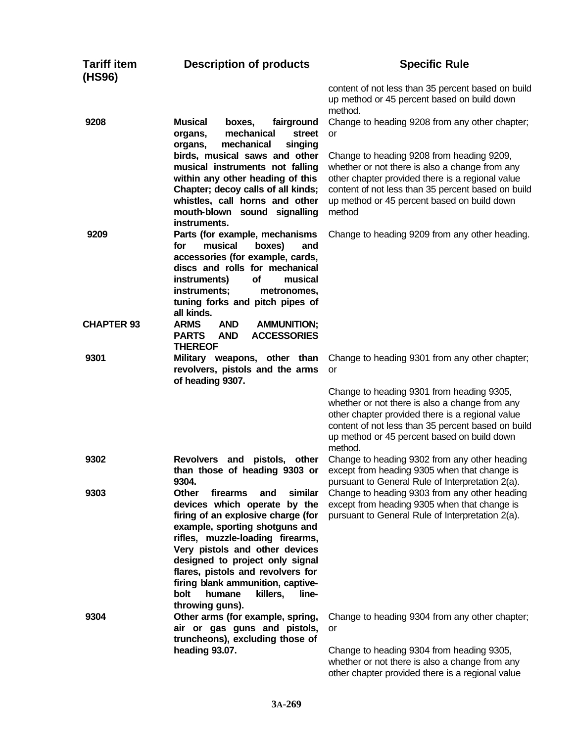| <b>Tariff item</b><br>(HS96) | <b>Description of products</b>                                                                                                                                                                                                                                                                                                                                                           | <b>Specific Rule</b>                                                                                                                                                                                                                                            |
|------------------------------|------------------------------------------------------------------------------------------------------------------------------------------------------------------------------------------------------------------------------------------------------------------------------------------------------------------------------------------------------------------------------------------|-----------------------------------------------------------------------------------------------------------------------------------------------------------------------------------------------------------------------------------------------------------------|
|                              |                                                                                                                                                                                                                                                                                                                                                                                          | content of not less than 35 percent based on build<br>up method or 45 percent based on build down<br>method.                                                                                                                                                    |
| 9208                         | <b>Musical</b><br>fairground<br>boxes,<br>mechanical<br>organs,<br>street<br>mechanical<br>singing<br>organs,                                                                                                                                                                                                                                                                            | Change to heading 9208 from any other chapter;<br>or                                                                                                                                                                                                            |
|                              | birds, musical saws and other<br>musical instruments not falling<br>within any other heading of this<br>Chapter; decoy calls of all kinds;<br>whistles, call horns and other<br>mouth-blown sound signalling<br>instruments.                                                                                                                                                             | Change to heading 9208 from heading 9209,<br>whether or not there is also a change from any<br>other chapter provided there is a regional value<br>content of not less than 35 percent based on build<br>up method or 45 percent based on build down<br>method  |
| 9209                         | Parts (for example, mechanisms<br>musical<br>boxes)<br>for<br>and<br>accessories (for example, cards,<br>discs and rolls for mechanical<br>of<br>instruments)<br>musical<br>instruments;<br>metronomes,<br>tuning forks and pitch pipes of<br>all kinds.                                                                                                                                 | Change to heading 9209 from any other heading.                                                                                                                                                                                                                  |
| <b>CHAPTER 93</b>            | <b>ARMS</b><br><b>AND</b><br><b>AMMUNITION;</b><br><b>ACCESSORIES</b><br><b>PARTS</b><br><b>AND</b><br><b>THEREOF</b>                                                                                                                                                                                                                                                                    |                                                                                                                                                                                                                                                                 |
| 9301                         | Military weapons, other than<br>revolvers, pistols and the arms<br>of heading 9307.                                                                                                                                                                                                                                                                                                      | Change to heading 9301 from any other chapter;<br>or                                                                                                                                                                                                            |
|                              |                                                                                                                                                                                                                                                                                                                                                                                          | Change to heading 9301 from heading 9305,<br>whether or not there is also a change from any<br>other chapter provided there is a regional value<br>content of not less than 35 percent based on build<br>up method or 45 percent based on build down<br>method. |
| 9302                         | <b>Revolvers</b><br>and<br>pistols, other<br>than those of heading 9303 or<br>9304.                                                                                                                                                                                                                                                                                                      | Change to heading 9302 from any other heading<br>except from heading 9305 when that change is<br>pursuant to General Rule of Interpretation 2(a).                                                                                                               |
| 9303                         | similar<br>Other<br>firearms<br>and<br>devices which operate by the<br>firing of an explosive charge (for<br>example, sporting shotguns and<br>rifles, muzzle-loading firearms,<br>Very pistols and other devices<br>designed to project only signal<br>flares, pistols and revolvers for<br>firing blank ammunition, captive-<br>bolt<br>humane<br>killers,<br>line-<br>throwing guns). | Change to heading 9303 from any other heading<br>except from heading 9305 when that change is<br>pursuant to General Rule of Interpretation 2(a).                                                                                                               |
| 9304                         | Other arms (for example, spring,<br>air or gas guns and pistols,<br>truncheons), excluding those of                                                                                                                                                                                                                                                                                      | Change to heading 9304 from any other chapter;<br>or                                                                                                                                                                                                            |
|                              | heading 93.07.                                                                                                                                                                                                                                                                                                                                                                           | Change to heading 9304 from heading 9305,<br>whether or not there is also a change from any<br>other chapter provided there is a regional value                                                                                                                 |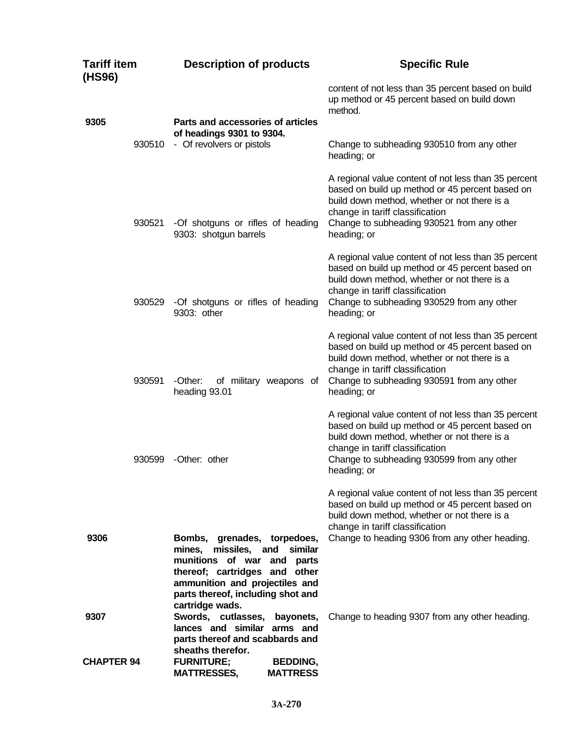| <b>Tariff item</b><br>(HS96) | <b>Description of products</b>                                                                                                                                                                                                                                                                                                     | <b>Specific Rule</b>                                                                                                                                                                                                                                    |
|------------------------------|------------------------------------------------------------------------------------------------------------------------------------------------------------------------------------------------------------------------------------------------------------------------------------------------------------------------------------|---------------------------------------------------------------------------------------------------------------------------------------------------------------------------------------------------------------------------------------------------------|
| 9305                         | Parts and accessories of articles                                                                                                                                                                                                                                                                                                  | content of not less than 35 percent based on build<br>up method or 45 percent based on build down<br>method.                                                                                                                                            |
| 930510                       | of headings 9301 to 9304.<br>- Of revolvers or pistols                                                                                                                                                                                                                                                                             | Change to subheading 930510 from any other<br>heading; or                                                                                                                                                                                               |
| 930521                       | -Of shotguns or rifles of heading<br>9303: shotgun barrels                                                                                                                                                                                                                                                                         | A regional value content of not less than 35 percent<br>based on build up method or 45 percent based on<br>build down method, whether or not there is a<br>change in tariff classification<br>Change to subheading 930521 from any other<br>heading; or |
| 930529                       | -Of shotguns or rifles of heading<br>9303: other                                                                                                                                                                                                                                                                                   | A regional value content of not less than 35 percent<br>based on build up method or 45 percent based on<br>build down method, whether or not there is a<br>change in tariff classification<br>Change to subheading 930529 from any other<br>heading; or |
| 930591                       | -Other:<br>of military weapons of<br>heading 93.01                                                                                                                                                                                                                                                                                 | A regional value content of not less than 35 percent<br>based on build up method or 45 percent based on<br>build down method, whether or not there is a<br>change in tariff classification<br>Change to subheading 930591 from any other<br>heading; or |
| 930599                       | -Other: other                                                                                                                                                                                                                                                                                                                      | A regional value content of not less than 35 percent<br>based on build up method or 45 percent based on<br>build down method, whether or not there is a<br>change in tariff classification<br>Change to subheading 930599 from any other<br>heading; or |
| 9306                         | Bombs, grenades, torpedoes,<br>mines,<br>missiles,<br>similar<br>and<br>munitions of war and parts                                                                                                                                                                                                                                 | A regional value content of not less than 35 percent<br>based on build up method or 45 percent based on<br>build down method, whether or not there is a<br>change in tariff classification<br>Change to heading 9306 from any other heading.            |
| 9307<br><b>CHAPTER 94</b>    | thereof; cartridges and other<br>ammunition and projectiles and<br>parts thereof, including shot and<br>cartridge wads.<br>Swords, cutlasses,<br>bayonets,<br>lances and similar arms and<br>parts thereof and scabbards and<br>sheaths therefor.<br><b>FURNITURE;</b><br><b>BEDDING,</b><br><b>MATTRESS</b><br><b>MATTRESSES,</b> | Change to heading 9307 from any other heading.                                                                                                                                                                                                          |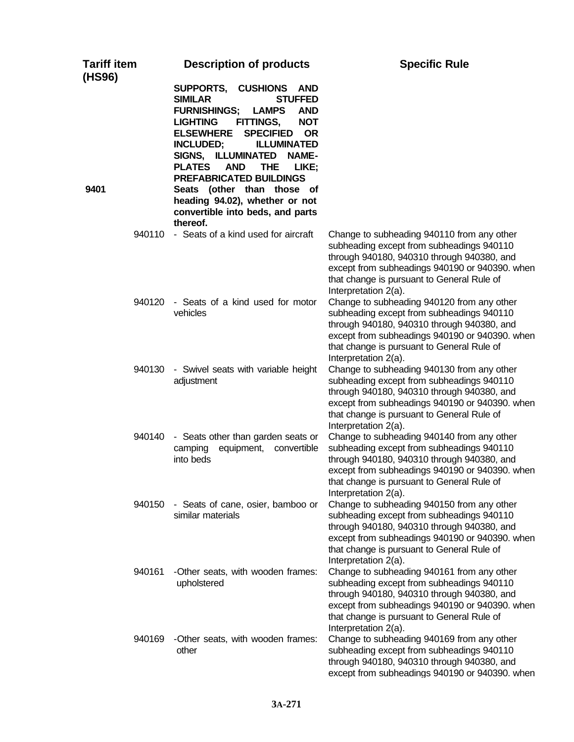| <b>Tariff item</b><br>(HS96) | <b>Description of products</b>                                                                                                                                                                                                                                                                                                                                                                                                                                                                           | <b>Specific Rule</b>                                                                                                                                                                                                                                          |
|------------------------------|----------------------------------------------------------------------------------------------------------------------------------------------------------------------------------------------------------------------------------------------------------------------------------------------------------------------------------------------------------------------------------------------------------------------------------------------------------------------------------------------------------|---------------------------------------------------------------------------------------------------------------------------------------------------------------------------------------------------------------------------------------------------------------|
| 9401                         | SUPPORTS, CUSHIONS<br><b>AND</b><br><b>SIMILAR</b><br><b>STUFFED</b><br><b>FURNISHINGS;</b><br><b>LAMPS</b><br><b>AND</b><br>FITTINGS,<br><b>NOT</b><br><b>LIGHTING</b><br><b>ELSEWHERE</b><br><b>SPECIFIED</b><br><b>OR</b><br><b>INCLUDED;</b><br><b>ILLUMINATED</b><br>SIGNS, ILLUMINATED<br><b>NAME-</b><br><b>PLATES</b><br><b>AND</b><br><b>THE</b><br>LIKE;<br><b>PREFABRICATED BUILDINGS</b><br>Seats (other than those of<br>heading 94.02), whether or not<br>convertible into beds, and parts |                                                                                                                                                                                                                                                               |
| 940110                       | thereof.<br>- Seats of a kind used for aircraft                                                                                                                                                                                                                                                                                                                                                                                                                                                          | Change to subheading 940110 from any other                                                                                                                                                                                                                    |
|                              |                                                                                                                                                                                                                                                                                                                                                                                                                                                                                                          | subheading except from subheadings 940110<br>through 940180, 940310 through 940380, and<br>except from subheadings 940190 or 940390. when<br>that change is pursuant to General Rule of<br>Interpretation 2(a).                                               |
| 940120                       | - Seats of a kind used for motor<br>vehicles                                                                                                                                                                                                                                                                                                                                                                                                                                                             | Change to subheading 940120 from any other<br>subheading except from subheadings 940110<br>through 940180, 940310 through 940380, and<br>except from subheadings 940190 or 940390. when<br>that change is pursuant to General Rule of<br>Interpretation 2(a). |
| 940130                       | - Swivel seats with variable height<br>adjustment                                                                                                                                                                                                                                                                                                                                                                                                                                                        | Change to subheading 940130 from any other<br>subheading except from subheadings 940110<br>through 940180, 940310 through 940380, and<br>except from subheadings 940190 or 940390. when<br>that change is pursuant to General Rule of<br>Interpretation 2(a). |
| 940140                       | - Seats other than garden seats or<br>equipment,<br>camping<br>convertible<br>into beds                                                                                                                                                                                                                                                                                                                                                                                                                  | Change to subheading 940140 from any other<br>subheading except from subheadings 940110<br>through 940180, 940310 through 940380, and<br>except from subheadings 940190 or 940390. when<br>that change is pursuant to General Rule of<br>Interpretation 2(a). |
| 940150                       | - Seats of cane, osier, bamboo or<br>similar materials                                                                                                                                                                                                                                                                                                                                                                                                                                                   | Change to subheading 940150 from any other<br>subheading except from subheadings 940110<br>through 940180, 940310 through 940380, and<br>except from subheadings 940190 or 940390. when<br>that change is pursuant to General Rule of<br>Interpretation 2(a). |
| 940161                       | -Other seats, with wooden frames:<br>upholstered                                                                                                                                                                                                                                                                                                                                                                                                                                                         | Change to subheading 940161 from any other<br>subheading except from subheadings 940110<br>through 940180, 940310 through 940380, and<br>except from subheadings 940190 or 940390. when<br>that change is pursuant to General Rule of<br>Interpretation 2(a). |
| 940169                       | -Other seats, with wooden frames:<br>other                                                                                                                                                                                                                                                                                                                                                                                                                                                               | Change to subheading 940169 from any other<br>subheading except from subheadings 940110<br>through 940180, 940310 through 940380, and<br>except from subheadings 940190 or 940390. when                                                                       |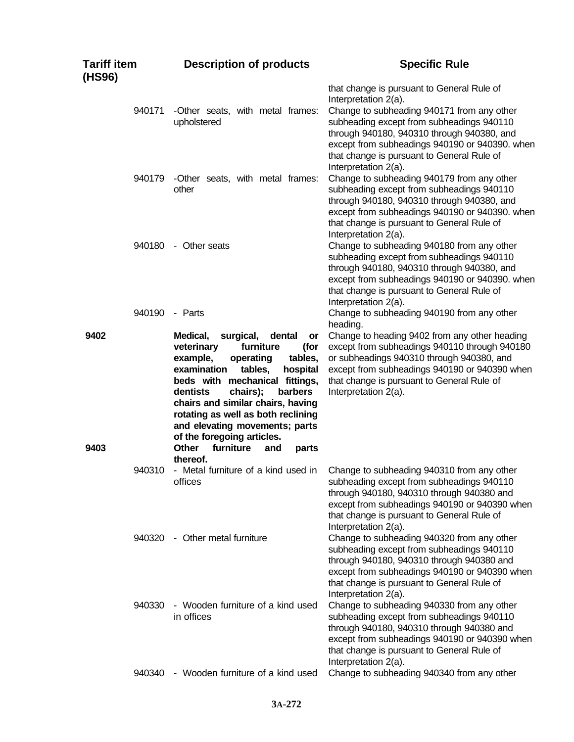| <b>Tariff item</b><br>(HS96) | <b>Description of products</b>                                                                                                                                                                                                                                                                                                                                                                                              | <b>Specific Rule</b>                                                                                                                                                                                                                                                                                                                |
|------------------------------|-----------------------------------------------------------------------------------------------------------------------------------------------------------------------------------------------------------------------------------------------------------------------------------------------------------------------------------------------------------------------------------------------------------------------------|-------------------------------------------------------------------------------------------------------------------------------------------------------------------------------------------------------------------------------------------------------------------------------------------------------------------------------------|
| 940171                       | -Other seats, with metal frames:<br>upholstered                                                                                                                                                                                                                                                                                                                                                                             | that change is pursuant to General Rule of<br>Interpretation 2(a).<br>Change to subheading 940171 from any other<br>subheading except from subheadings 940110<br>through 940180, 940310 through 940380, and<br>except from subheadings 940190 or 940390. when<br>that change is pursuant to General Rule of<br>Interpretation 2(a). |
| 940179                       | -Other seats, with metal frames:<br>other                                                                                                                                                                                                                                                                                                                                                                                   | Change to subheading 940179 from any other<br>subheading except from subheadings 940110<br>through 940180, 940310 through 940380, and<br>except from subheadings 940190 or 940390. when<br>that change is pursuant to General Rule of<br>Interpretation 2(a).                                                                       |
| 940180                       | - Other seats                                                                                                                                                                                                                                                                                                                                                                                                               | Change to subheading 940180 from any other<br>subheading except from subheadings 940110<br>through 940180, 940310 through 940380, and<br>except from subheadings 940190 or 940390. when<br>that change is pursuant to General Rule of<br>Interpretation 2(a).                                                                       |
| 940190                       | - Parts                                                                                                                                                                                                                                                                                                                                                                                                                     | Change to subheading 940190 from any other<br>heading.                                                                                                                                                                                                                                                                              |
| 9402<br>9403                 | Medical,<br>surgical,<br>dental<br>or<br>veterinary<br>furniture<br>(for<br>example,<br>operating<br>tables,<br>examination<br>tables,<br>hospital<br>beds with mechanical fittings,<br>chairs);<br>barbers<br>dentists<br>chairs and similar chairs, having<br>rotating as well as both reclining<br>and elevating movements; parts<br>of the foregoing articles.<br>furniture<br><b>Other</b><br>and<br>parts<br>thereof. | Change to heading 9402 from any other heading<br>except from subheadings 940110 through 940180<br>or subheadings 940310 through 940380, and<br>except from subheadings 940190 or 940390 when<br>that change is pursuant to General Rule of<br>Interpretation 2(a).                                                                  |
| 940310                       | - Metal furniture of a kind used in<br>offices                                                                                                                                                                                                                                                                                                                                                                              | Change to subheading 940310 from any other<br>subheading except from subheadings 940110<br>through 940180, 940310 through 940380 and<br>except from subheadings 940190 or 940390 when<br>that change is pursuant to General Rule of<br>Interpretation 2(a).                                                                         |
| 940320                       | - Other metal furniture                                                                                                                                                                                                                                                                                                                                                                                                     | Change to subheading 940320 from any other<br>subheading except from subheadings 940110<br>through 940180, 940310 through 940380 and<br>except from subheadings 940190 or 940390 when<br>that change is pursuant to General Rule of<br>Interpretation 2(a).                                                                         |
| 940330                       | - Wooden furniture of a kind used<br>in offices                                                                                                                                                                                                                                                                                                                                                                             | Change to subheading 940330 from any other<br>subheading except from subheadings 940110<br>through 940180, 940310 through 940380 and<br>except from subheadings 940190 or 940390 when<br>that change is pursuant to General Rule of<br>Interpretation 2(a).                                                                         |
| 940340                       | - Wooden furniture of a kind used                                                                                                                                                                                                                                                                                                                                                                                           | Change to subheading 940340 from any other                                                                                                                                                                                                                                                                                          |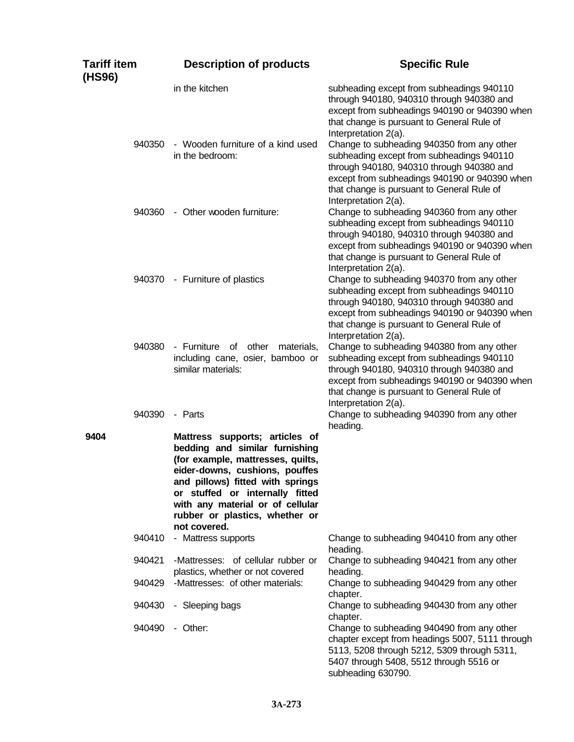| Tariff item<br>(HS96) |        | <b>Description of products</b>                                                                                                                                                                                                                                                                       | <b>Specific Rule</b>                                                                                                                                                                                                                                        |
|-----------------------|--------|------------------------------------------------------------------------------------------------------------------------------------------------------------------------------------------------------------------------------------------------------------------------------------------------------|-------------------------------------------------------------------------------------------------------------------------------------------------------------------------------------------------------------------------------------------------------------|
|                       |        | in the kitchen                                                                                                                                                                                                                                                                                       | subheading except from subheadings 940110<br>through 940180, 940310 through 940380 and<br>except from subheadings 940190 or 940390 when<br>that change is pursuant to General Rule of<br>Interpretation 2(a).                                               |
|                       | 940350 | - Wooden furniture of a kind used<br>in the bedroom:                                                                                                                                                                                                                                                 | Change to subheading 940350 from any other<br>subheading except from subheadings 940110<br>through 940180, 940310 through 940380 and<br>except from subheadings 940190 or 940390 when<br>that change is pursuant to General Rule of<br>Interpretation 2(a). |
|                       | 940360 | - Other wooden furniture:                                                                                                                                                                                                                                                                            | Change to subheading 940360 from any other<br>subheading except from subheadings 940110<br>through 940180, 940310 through 940380 and<br>except from subheadings 940190 or 940390 when<br>that change is pursuant to General Rule of<br>Interpretation 2(a). |
|                       | 940370 | - Furniture of plastics                                                                                                                                                                                                                                                                              | Change to subheading 940370 from any other<br>subheading except from subheadings 940110<br>through 940180, 940310 through 940380 and<br>except from subheadings 940190 or 940390 when<br>that change is pursuant to General Rule of<br>Interpretation 2(a). |
|                       | 940380 | - Furniture<br>of other<br>materials,<br>including cane, osier, bamboo or<br>similar materials:                                                                                                                                                                                                      | Change to subheading 940380 from any other<br>subheading except from subheadings 940110<br>through 940180, 940310 through 940380 and<br>except from subheadings 940190 or 940390 when<br>that change is pursuant to General Rule of<br>Interpretation 2(a). |
|                       | 940390 | - Parts                                                                                                                                                                                                                                                                                              | Change to subheading 940390 from any other<br>heading.                                                                                                                                                                                                      |
| 9404                  |        | Mattress supports; articles of<br>bedding and similar furnishing<br>(for example, mattresses, quilts,<br>eider-downs, cushions, pouffes<br>and pillows) fitted with springs<br>or stuffed or internally fitted<br>with any material or of cellular<br>rubber or plastics, whether or<br>not covered. |                                                                                                                                                                                                                                                             |
|                       | 940410 | - Mattress supports                                                                                                                                                                                                                                                                                  | Change to subheading 940410 from any other<br>heading.                                                                                                                                                                                                      |
|                       | 940421 | -Mattresses: of cellular rubber or<br>plastics, whether or not covered                                                                                                                                                                                                                               | Change to subheading 940421 from any other<br>heading.                                                                                                                                                                                                      |
|                       | 940429 | -Mattresses: of other materials:                                                                                                                                                                                                                                                                     | Change to subheading 940429 from any other<br>chapter.                                                                                                                                                                                                      |
|                       | 940430 | - Sleeping bags                                                                                                                                                                                                                                                                                      | Change to subheading 940430 from any other<br>chapter.                                                                                                                                                                                                      |
|                       | 940490 | - Other:                                                                                                                                                                                                                                                                                             | Change to subheading 940490 from any other<br>chapter except from headings 5007, 5111 through<br>5113, 5208 through 5212, 5309 through 5311,<br>5407 through 5408, 5512 through 5516 or<br>subheading 630790.                                               |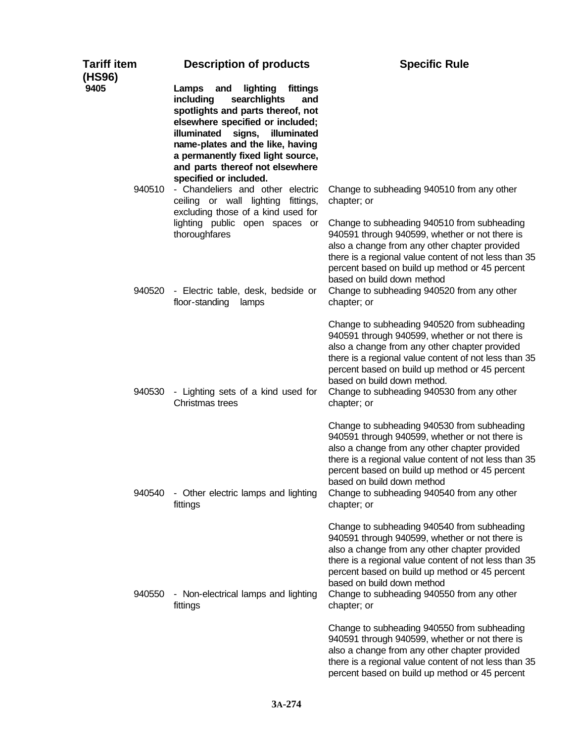| <b>Tariff item</b><br>(HS96) | <b>Description of products</b>                                                                                                                                                                                                                                                                                                  | <b>Specific Rule</b>                                                                                                                                                                                                                                                                                                                                  |
|------------------------------|---------------------------------------------------------------------------------------------------------------------------------------------------------------------------------------------------------------------------------------------------------------------------------------------------------------------------------|-------------------------------------------------------------------------------------------------------------------------------------------------------------------------------------------------------------------------------------------------------------------------------------------------------------------------------------------------------|
| 9405                         | Lamps<br>and<br>lighting<br>fittings<br>searchlights<br>including<br>and<br>spotlights and parts thereof, not<br>elsewhere specified or included;<br>illuminated<br>signs,<br>illuminated<br>name-plates and the like, having<br>a permanently fixed light source,<br>and parts thereof not elsewhere<br>specified or included. |                                                                                                                                                                                                                                                                                                                                                       |
| 940510                       | - Chandeliers and other electric<br>ceiling or wall lighting<br>fittings,<br>excluding those of a kind used for                                                                                                                                                                                                                 | Change to subheading 940510 from any other<br>chapter; or                                                                                                                                                                                                                                                                                             |
| 940520                       | lighting public open spaces or<br>thoroughfares<br>- Electric table, desk, bedside or<br>floor-standing<br>lamps                                                                                                                                                                                                                | Change to subheading 940510 from subheading<br>940591 through 940599, whether or not there is<br>also a change from any other chapter provided<br>there is a regional value content of not less than 35<br>percent based on build up method or 45 percent<br>based on build down method<br>Change to subheading 940520 from any other<br>chapter; or  |
| 940530                       | - Lighting sets of a kind used for<br>Christmas trees                                                                                                                                                                                                                                                                           | Change to subheading 940520 from subheading<br>940591 through 940599, whether or not there is<br>also a change from any other chapter provided<br>there is a regional value content of not less than 35<br>percent based on build up method or 45 percent<br>based on build down method.<br>Change to subheading 940530 from any other<br>chapter; or |
| 940540                       | - Other electric lamps and lighting<br>fittings                                                                                                                                                                                                                                                                                 | Change to subheading 940530 from subheading<br>940591 through 940599, whether or not there is<br>also a change from any other chapter provided<br>there is a regional value content of not less than 35<br>percent based on build up method or 45 percent<br>based on build down method<br>Change to subheading 940540 from any other<br>chapter; or  |
| 940550                       | - Non-electrical lamps and lighting<br>fittings                                                                                                                                                                                                                                                                                 | Change to subheading 940540 from subheading<br>940591 through 940599, whether or not there is<br>also a change from any other chapter provided<br>there is a regional value content of not less than 35<br>percent based on build up method or 45 percent<br>based on build down method<br>Change to subheading 940550 from any other<br>chapter; or  |
|                              |                                                                                                                                                                                                                                                                                                                                 | Change to subheading 940550 from subheading<br>940591 through 940599, whether or not there is<br>also a change from any other chapter provided<br>there is a regional value content of not less than 35<br>percent based on build up method or 45 percent                                                                                             |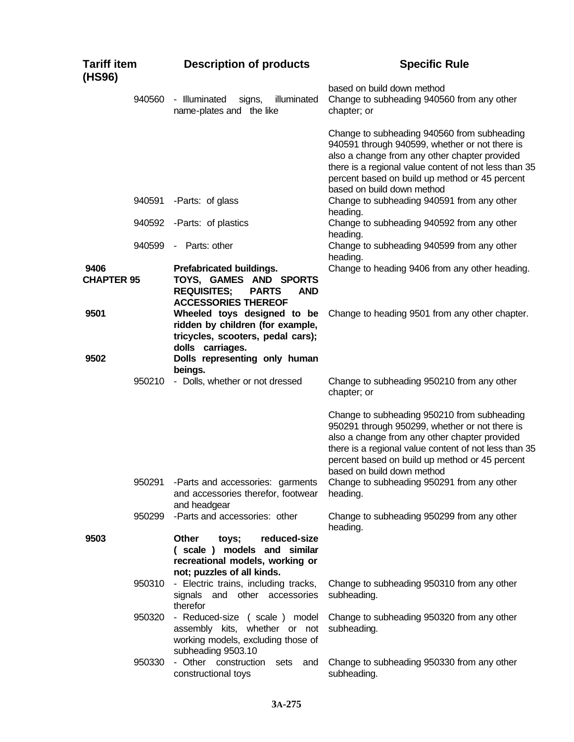| <b>Tariff item</b><br>(HS96) |        | <b>Description of products</b>                                                                                                       | <b>Specific Rule</b>                                                                                                                                                                                                                                                                    |
|------------------------------|--------|--------------------------------------------------------------------------------------------------------------------------------------|-----------------------------------------------------------------------------------------------------------------------------------------------------------------------------------------------------------------------------------------------------------------------------------------|
|                              | 940560 | - Illuminated<br>illuminated<br>signs,<br>name-plates and the like                                                                   | based on build down method<br>Change to subheading 940560 from any other<br>chapter; or                                                                                                                                                                                                 |
|                              |        |                                                                                                                                      | Change to subheading 940560 from subheading<br>940591 through 940599, whether or not there is<br>also a change from any other chapter provided<br>there is a regional value content of not less than 35<br>percent based on build up method or 45 percent<br>based on build down method |
|                              | 940591 | -Parts: of glass                                                                                                                     | Change to subheading 940591 from any other<br>heading.                                                                                                                                                                                                                                  |
|                              | 940592 | -Parts: of plastics                                                                                                                  | Change to subheading 940592 from any other<br>heading.                                                                                                                                                                                                                                  |
|                              | 940599 | - Parts: other                                                                                                                       | Change to subheading 940599 from any other<br>heading.                                                                                                                                                                                                                                  |
| 9406<br><b>CHAPTER 95</b>    |        | Prefabricated buildings.<br>TOYS, GAMES AND SPORTS<br><b>REQUISITES:</b><br><b>PARTS</b><br><b>AND</b><br><b>ACCESSORIES THEREOF</b> | Change to heading 9406 from any other heading.                                                                                                                                                                                                                                          |
| 9501                         |        | Wheeled toys designed to be<br>ridden by children (for example,<br>tricycles, scooters, pedal cars);<br>dolls carriages.             | Change to heading 9501 from any other chapter.                                                                                                                                                                                                                                          |
| 9502                         |        | Dolls representing only human<br>beings.                                                                                             |                                                                                                                                                                                                                                                                                         |
|                              | 950210 | - Dolls, whether or not dressed                                                                                                      | Change to subheading 950210 from any other<br>chapter; or                                                                                                                                                                                                                               |
|                              |        |                                                                                                                                      | Change to subheading 950210 from subheading<br>950291 through 950299, whether or not there is<br>also a change from any other chapter provided<br>there is a regional value content of not less than 35<br>percent based on build up method or 45 percent<br>based on build down method |
|                              | 950291 | -Parts and accessories: garments<br>and accessories therefor, footwear<br>and headgear                                               | Change to subheading 950291 from any other<br>heading.                                                                                                                                                                                                                                  |
|                              | 950299 | -Parts and accessories: other                                                                                                        | Change to subheading 950299 from any other<br>heading.                                                                                                                                                                                                                                  |
| 9503                         |        | Other<br>reduced-size<br>toys;<br>(scale) models and similar<br>recreational models, working or<br>not; puzzles of all kinds.        |                                                                                                                                                                                                                                                                                         |
|                              | 950310 | - Electric trains, including tracks,<br>signals and other accessories<br>therefor                                                    | Change to subheading 950310 from any other<br>subheading.                                                                                                                                                                                                                               |
|                              | 950320 | - Reduced-size (scale) model<br>assembly kits, whether or not<br>working models, excluding those of<br>subheading 9503.10            | Change to subheading 950320 from any other<br>subheading.                                                                                                                                                                                                                               |
|                              | 950330 | - Other construction<br>sets<br>and<br>constructional toys                                                                           | Change to subheading 950330 from any other<br>subheading.                                                                                                                                                                                                                               |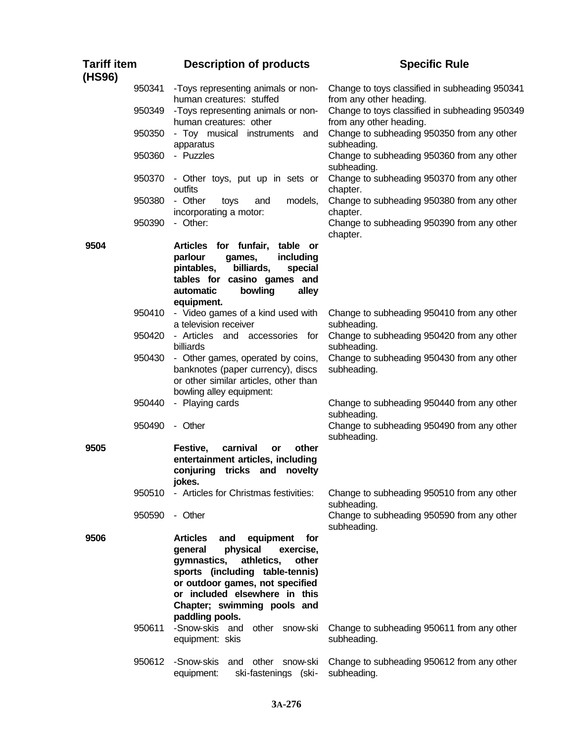| Tariff item<br>(HS96) |        | <b>Description of products</b>                                                                                                                                                                                                                                                | <b>Specific Rule</b>                                                      |
|-----------------------|--------|-------------------------------------------------------------------------------------------------------------------------------------------------------------------------------------------------------------------------------------------------------------------------------|---------------------------------------------------------------------------|
|                       | 950341 | -Toys representing animals or non-<br>human creatures: stuffed                                                                                                                                                                                                                | Change to toys classified in subheading 950341<br>from any other heading. |
|                       | 950349 | -Toys representing animals or non-<br>human creatures: other                                                                                                                                                                                                                  | Change to toys classified in subheading 950349<br>from any other heading. |
|                       | 950350 | - Toy musical instruments and<br>apparatus                                                                                                                                                                                                                                    | Change to subheading 950350 from any other<br>subheading.                 |
|                       | 950360 | - Puzzles                                                                                                                                                                                                                                                                     | Change to subheading 950360 from any other<br>subheading.                 |
|                       | 950370 | - Other toys, put up in sets or<br>outfits                                                                                                                                                                                                                                    | Change to subheading 950370 from any other<br>chapter.                    |
|                       | 950380 | - Other<br>models,<br>toys<br>and<br>incorporating a motor:                                                                                                                                                                                                                   | Change to subheading 950380 from any other<br>chapter.                    |
|                       | 950390 | - Other:                                                                                                                                                                                                                                                                      | Change to subheading 950390 from any other<br>chapter.                    |
| 9504                  |        | Articles for funfair,<br>table or<br>parlour<br>including<br>games,<br>billiards,<br>pintables,<br>special<br>tables for casino games and<br>automatic<br>bowling<br>alley<br>equipment.                                                                                      |                                                                           |
|                       | 950410 | - Video games of a kind used with<br>a television receiver                                                                                                                                                                                                                    | Change to subheading 950410 from any other<br>subheading.                 |
|                       | 950420 | - Articles and accessories for<br>billiards                                                                                                                                                                                                                                   | Change to subheading 950420 from any other<br>subheading.                 |
|                       | 950430 | - Other games, operated by coins,<br>banknotes (paper currency), discs<br>or other similar articles, other than<br>bowling alley equipment:                                                                                                                                   | Change to subheading 950430 from any other<br>subheading.                 |
|                       | 950440 | - Playing cards                                                                                                                                                                                                                                                               | Change to subheading 950440 from any other<br>subheading.                 |
|                       | 950490 | - Other                                                                                                                                                                                                                                                                       | Change to subheading 950490 from any other<br>subheading.                 |
| 9505                  |        | Festive,<br>carnival<br>other<br>or<br>entertainment articles, including<br>tricks and<br>conjuring<br>novelty<br>jokes.                                                                                                                                                      |                                                                           |
|                       | 950510 | - Articles for Christmas festivities:                                                                                                                                                                                                                                         | Change to subheading 950510 from any other<br>subheading.                 |
|                       | 950590 | - Other                                                                                                                                                                                                                                                                       | Change to subheading 950590 from any other<br>subheading.                 |
| 9506                  |        | <b>Articles</b><br>equipment<br>and<br>for<br>physical<br>exercise,<br>general<br>athletics,<br>gymnastics,<br>other<br>sports (including table-tennis)<br>or outdoor games, not specified<br>or included elsewhere in this<br>Chapter; swimming pools and<br>paddling pools. |                                                                           |
|                       | 950611 | -Snow-skis and other snow-ski<br>equipment: skis                                                                                                                                                                                                                              | Change to subheading 950611 from any other<br>subheading.                 |
|                       | 950612 | -Snow-skis<br>and other snow-ski<br>ski-fastenings (ski-<br>equipment:                                                                                                                                                                                                        | Change to subheading 950612 from any other<br>subheading.                 |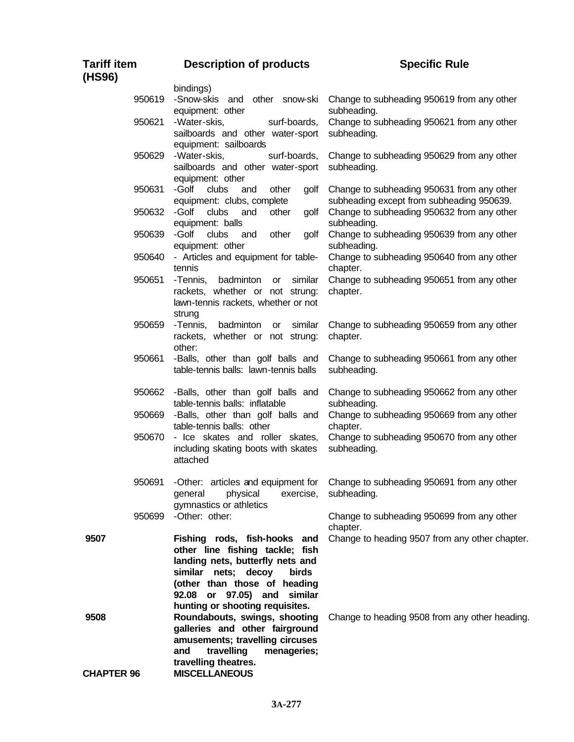| <b>Tariff item</b><br>(HS96) | <b>Description of products</b>                                                                                                                                                                                                        | <b>Specific Rule</b>                                                                    |
|------------------------------|---------------------------------------------------------------------------------------------------------------------------------------------------------------------------------------------------------------------------------------|-----------------------------------------------------------------------------------------|
|                              | bindings)                                                                                                                                                                                                                             |                                                                                         |
| 950619                       | other snow-ski<br>-Snow-skis<br>and<br>equipment: other                                                                                                                                                                               | Change to subheading 950619 from any other<br>subheading.                               |
| 950621                       | -Water-skis,<br>surf-boards,<br>sailboards and other water-sport                                                                                                                                                                      | Change to subheading 950621 from any other<br>subheading.                               |
| 950629                       | equipment: sailboards<br>-Water-skis,<br>surf-boards,<br>sailboards and other water-sport<br>equipment: other                                                                                                                         | Change to subheading 950629 from any other<br>subheading.                               |
| 950631                       | -Golf<br>clubs<br>other<br>golf<br>and<br>equipment: clubs, complete                                                                                                                                                                  | Change to subheading 950631 from any other<br>subheading except from subheading 950639. |
| 950632                       | -Golf<br>clubs<br>and<br>other<br>golf<br>equipment: balls                                                                                                                                                                            | Change to subheading 950632 from any other<br>subheading.                               |
| 950639                       | -Golf<br>clubs<br>other<br>golf<br>and<br>equipment: other                                                                                                                                                                            | Change to subheading 950639 from any other<br>subheading.                               |
| 950640                       | - Articles and equipment for table-<br>tennis                                                                                                                                                                                         | Change to subheading 950640 from any other<br>chapter.                                  |
| 950651                       | -Tennis,<br>badminton<br>similar<br>or<br>rackets, whether or not strung:<br>lawn-tennis rackets, whether or not<br>strung                                                                                                            | Change to subheading 950651 from any other<br>chapter.                                  |
| 950659                       | -Tennis,<br>badminton<br>similar<br>or<br>rackets, whether or not strung:<br>other:                                                                                                                                                   | Change to subheading 950659 from any other<br>chapter.                                  |
| 950661                       | -Balls, other than golf balls and<br>table-tennis balls: lawn-tennis balls                                                                                                                                                            | Change to subheading 950661 from any other<br>subheading.                               |
| 950662                       | -Balls, other than golf balls and<br>table-tennis balls: inflatable                                                                                                                                                                   | Change to subheading 950662 from any other<br>subheading.                               |
| 950669                       | -Balls, other than golf balls and<br>table-tennis balls: other                                                                                                                                                                        | Change to subheading 950669 from any other<br>chapter.                                  |
| 950670                       | - Ice skates and roller skates,<br>including skating boots with skates<br>attached                                                                                                                                                    | Change to subheading 950670 from any other<br>subheading.                               |
| 950691                       | -Other: articles and equipment for<br>physical<br>general<br>exercise,<br>gymnastics or athletics                                                                                                                                     | Change to subheading 950691 from any other<br>subheading.                               |
| 950699                       | -Other: other:                                                                                                                                                                                                                        | Change to subheading 950699 from any other<br>chapter.                                  |
| 9507                         | Fishing rods, fish-hooks and<br>other line fishing tackle; fish<br>landing nets, butterfly nets and<br>similar nets; decoy<br>birds<br>(other than those of heading<br>92.08 or 97.05) and similar<br>hunting or shooting requisites. | Change to heading 9507 from any other chapter.                                          |
| 9508<br><b>CHAPTER 96</b>    | Roundabouts, swings, shooting<br>galleries and other fairground<br>amusements; travelling circuses<br>travelling<br>menageries;<br>and<br>travelling theatres.<br><b>MISCELLANEOUS</b>                                                | Change to heading 9508 from any other heading.                                          |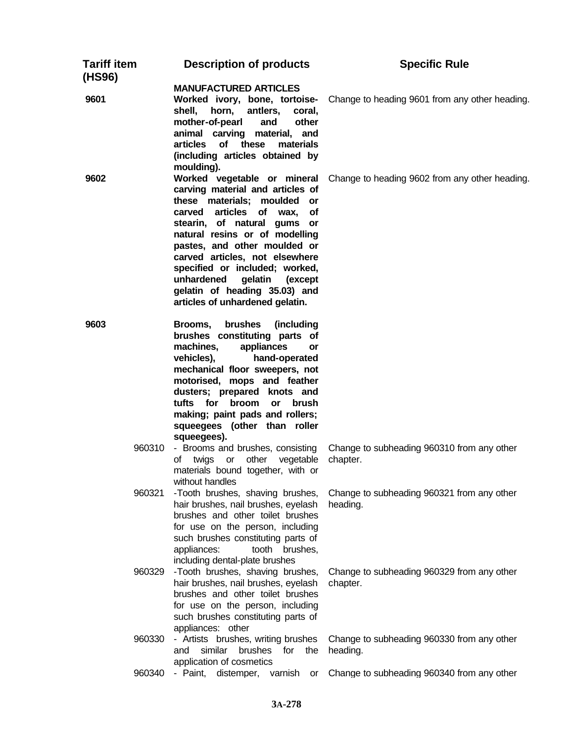| <b>Tariff item</b><br>(HS96) | <b>Description of products</b>                                                                                                                                                                                                                                                                                                                                                                                         | <b>Specific Rule</b>                                   |
|------------------------------|------------------------------------------------------------------------------------------------------------------------------------------------------------------------------------------------------------------------------------------------------------------------------------------------------------------------------------------------------------------------------------------------------------------------|--------------------------------------------------------|
| 9601                         | <b>MANUFACTURED ARTICLES</b><br>Worked ivory, bone, tortoise-<br>antlers,<br>horn,<br>shell,<br>coral,<br>mother-of-pearl<br>other<br>and<br>animal carving material, and<br>of<br>articles<br>these<br>materials<br>(including articles obtained by<br>moulding).                                                                                                                                                     | Change to heading 9601 from any other heading.         |
| 9602                         | Worked vegetable or mineral<br>carving material and articles of<br>these materials; moulded<br>or<br>articles<br>carved<br>of wax,<br>οf<br>stearin, of natural gums or<br>natural resins or of modelling<br>pastes, and other moulded or<br>carved articles, not elsewhere<br>specified or included; worked,<br>unhardened<br>gelatin<br>(except)<br>gelatin of heading 35.03) and<br>articles of unhardened gelatin. | Change to heading 9602 from any other heading.         |
| 9603                         | brushes<br>(including<br>Brooms,<br>brushes constituting parts of<br>appliances<br>machines,<br>or<br>hand-operated<br>vehicles),<br>mechanical floor sweepers, not<br>motorised, mops and feather<br>dusters; prepared knots and<br>tufts for broom<br>brush<br><b>or</b><br>making; paint pads and rollers;<br>squeegees (other than roller<br>squeegees).                                                           |                                                        |
| 960310                       | - Brooms and brushes, consisting<br>other<br>vegetable<br>twias<br>or<br>ot<br>materials bound together, with or<br>without handles                                                                                                                                                                                                                                                                                    | Change to subheading 960310 from any other<br>chapter. |
| 960321                       | -Tooth brushes, shaving brushes,<br>hair brushes, nail brushes, eyelash<br>brushes and other toilet brushes<br>for use on the person, including<br>such brushes constituting parts of<br>tooth<br>brushes,<br>appliances:<br>including dental-plate brushes                                                                                                                                                            | Change to subheading 960321 from any other<br>heading. |
| 960329                       | -Tooth brushes, shaving brushes,<br>hair brushes, nail brushes, eyelash<br>brushes and other toilet brushes<br>for use on the person, including<br>such brushes constituting parts of<br>appliances: other                                                                                                                                                                                                             | Change to subheading 960329 from any other<br>chapter. |
| 960330                       | - Artists brushes, writing brushes<br>similar<br>brushes<br>and<br>for<br>the<br>application of cosmetics                                                                                                                                                                                                                                                                                                              | Change to subheading 960330 from any other<br>heading. |
| 960340                       | - Paint,<br>distemper,<br>varnish<br>or                                                                                                                                                                                                                                                                                                                                                                                | Change to subheading 960340 from any other             |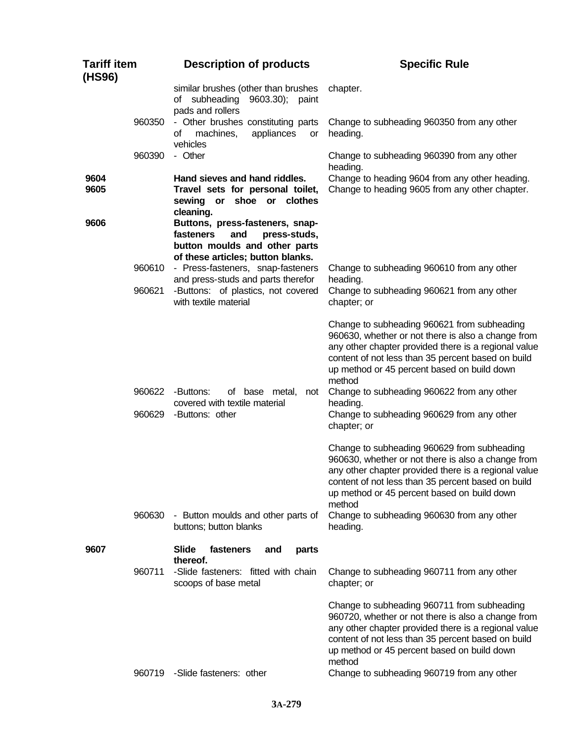| <b>Tariff item</b><br>(HS96) |                  | <b>Description of products</b>                                                                                                            | <b>Specific Rule</b>                                                                                                                                                                                                                                                     |
|------------------------------|------------------|-------------------------------------------------------------------------------------------------------------------------------------------|--------------------------------------------------------------------------------------------------------------------------------------------------------------------------------------------------------------------------------------------------------------------------|
|                              |                  | similar brushes (other than brushes<br>of subheading 9603.30); paint<br>pads and rollers                                                  | chapter.                                                                                                                                                                                                                                                                 |
|                              | 960350           | - Other brushes constituting parts<br>machines,<br>appliances<br>of<br>or<br>vehicles                                                     | Change to subheading 960350 from any other<br>heading.                                                                                                                                                                                                                   |
|                              | 960390           | - Other                                                                                                                                   | Change to subheading 960390 from any other<br>heading.                                                                                                                                                                                                                   |
| 9604<br>9605                 |                  | Hand sieves and hand riddles.<br>Travel sets for personal toilet,<br>sewing or shoe or clothes<br>cleaning.                               | Change to heading 9604 from any other heading.<br>Change to heading 9605 from any other chapter.                                                                                                                                                                         |
| 9606                         |                  | Buttons, press-fasteners, snap-<br>press-studs,<br>fasteners<br>and<br>button moulds and other parts<br>of these articles; button blanks. |                                                                                                                                                                                                                                                                          |
|                              | 960610           | - Press-fasteners, snap-fasteners<br>and press-studs and parts therefor                                                                   | Change to subheading 960610 from any other<br>heading.                                                                                                                                                                                                                   |
|                              | 960621           | -Buttons: of plastics, not covered<br>with textile material                                                                               | Change to subheading 960621 from any other<br>chapter; or                                                                                                                                                                                                                |
|                              |                  |                                                                                                                                           | Change to subheading 960621 from subheading<br>960630, whether or not there is also a change from<br>any other chapter provided there is a regional value<br>content of not less than 35 percent based on build<br>up method or 45 percent based on build down<br>method |
|                              | 960622<br>960629 | -Buttons:<br>of base metal,<br>not<br>covered with textile material<br>-Buttons: other                                                    | Change to subheading 960622 from any other<br>heading.<br>Change to subheading 960629 from any other<br>chapter; or                                                                                                                                                      |
|                              |                  |                                                                                                                                           | Change to subheading 960629 from subheading<br>960630, whether or not there is also a change from<br>any other chapter provided there is a regional value<br>content of not less than 35 percent based on build<br>up method or 45 percent based on build down<br>method |
|                              | 960630           | - Button moulds and other parts of<br>buttons; button blanks                                                                              | Change to subheading 960630 from any other<br>heading.                                                                                                                                                                                                                   |
| 9607                         |                  | <b>Slide</b><br>fasteners<br>and<br>parts<br>thereof.                                                                                     |                                                                                                                                                                                                                                                                          |
|                              | 960711           | -Slide fasteners: fitted with chain<br>scoops of base metal                                                                               | Change to subheading 960711 from any other<br>chapter; or                                                                                                                                                                                                                |
|                              |                  |                                                                                                                                           | Change to subheading 960711 from subheading<br>960720, whether or not there is also a change from<br>any other chapter provided there is a regional value<br>content of not less than 35 percent based on build<br>up method or 45 percent based on build down<br>method |
|                              | 960719           | -Slide fasteners: other                                                                                                                   | Change to subheading 960719 from any other                                                                                                                                                                                                                               |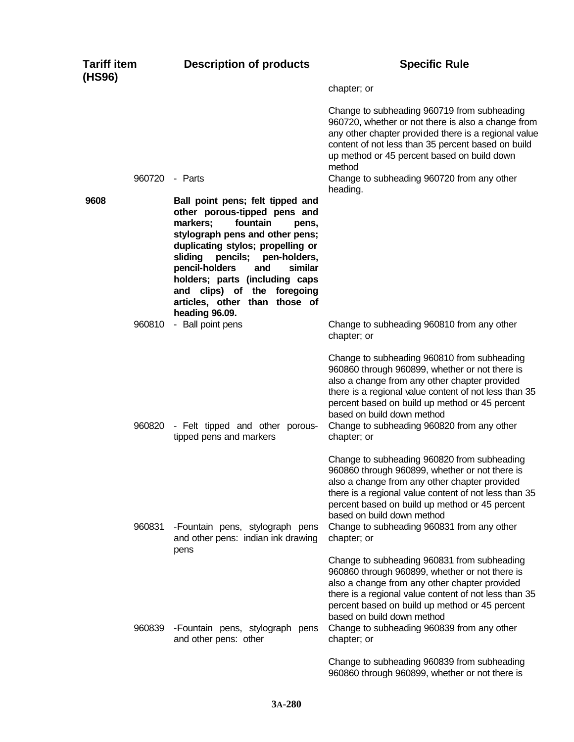| <b>Tariff item</b><br>(HS96) |        | <b>Description of products</b>                                                                                                                                                                                                                                                                                                    | <b>Specific Rule</b>                                                                                                                                                                                                                                                                                                                                 |
|------------------------------|--------|-----------------------------------------------------------------------------------------------------------------------------------------------------------------------------------------------------------------------------------------------------------------------------------------------------------------------------------|------------------------------------------------------------------------------------------------------------------------------------------------------------------------------------------------------------------------------------------------------------------------------------------------------------------------------------------------------|
|                              |        |                                                                                                                                                                                                                                                                                                                                   | chapter; or                                                                                                                                                                                                                                                                                                                                          |
|                              | 960720 | - Parts                                                                                                                                                                                                                                                                                                                           | Change to subheading 960719 from subheading<br>960720, whether or not there is also a change from<br>any other chapter provided there is a regional value<br>content of not less than 35 percent based on build<br>up method or 45 percent based on build down<br>method<br>Change to subheading 960720 from any other                               |
| 9608                         |        | Ball point pens; felt tipped and                                                                                                                                                                                                                                                                                                  | heading.                                                                                                                                                                                                                                                                                                                                             |
|                              |        | other porous-tipped pens and<br>fountain<br>markers;<br>pens,<br>stylograph pens and other pens;<br>duplicating stylos; propelling or<br>sliding<br>pencils; pen-holders,<br>pencil-holders<br>and<br>similar<br>holders; parts (including caps<br>and clips) of the foregoing<br>articles, other than those of<br>heading 96.09. |                                                                                                                                                                                                                                                                                                                                                      |
|                              | 960810 | - Ball point pens                                                                                                                                                                                                                                                                                                                 | Change to subheading 960810 from any other<br>chapter; or                                                                                                                                                                                                                                                                                            |
|                              | 960820 | - Felt tipped and other porous-<br>tipped pens and markers                                                                                                                                                                                                                                                                        | Change to subheading 960810 from subheading<br>960860 through 960899, whether or not there is<br>also a change from any other chapter provided<br>there is a regional value content of not less than 35<br>percent based on build up method or 45 percent<br>based on build down method<br>Change to subheading 960820 from any other<br>chapter; or |
|                              | 960831 | -Fountain pens, stylograph pens<br>and other pens: indian ink drawing                                                                                                                                                                                                                                                             | Change to subheading 960820 from subheading<br>960860 through 960899, whether or not there is<br>also a change from any other chapter provided<br>there is a regional value content of not less than 35<br>percent based on build up method or 45 percent<br>based on build down method<br>Change to subheading 960831 from any other<br>chapter; or |
|                              | 960839 | pens<br>-Fountain pens, stylograph pens<br>and other pens: other                                                                                                                                                                                                                                                                  | Change to subheading 960831 from subheading<br>960860 through 960899, whether or not there is<br>also a change from any other chapter provided<br>there is a regional value content of not less than 35<br>percent based on build up method or 45 percent<br>based on build down method<br>Change to subheading 960839 from any other<br>chapter; or |
|                              |        |                                                                                                                                                                                                                                                                                                                                   | Change to subheading 960839 from subheading<br>960860 through 960899, whether or not there is                                                                                                                                                                                                                                                        |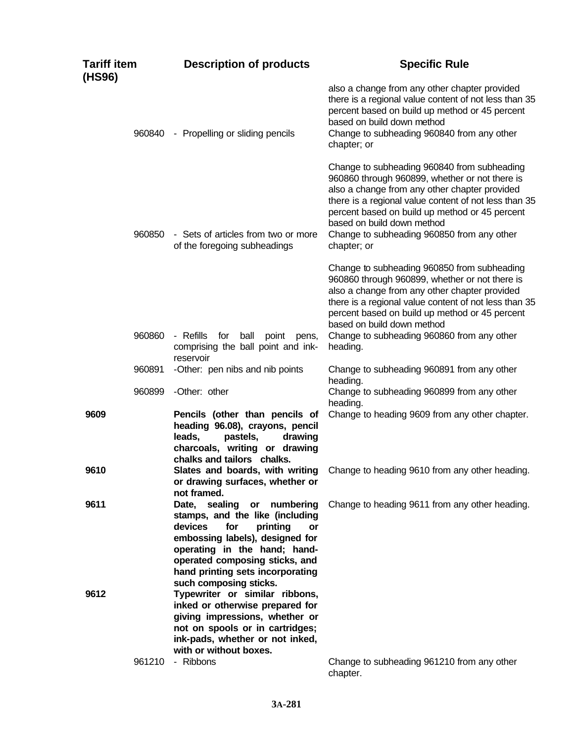| <b>Tariff item</b><br>(HS96) |        | <b>Description of products</b>                                                                                                                                                                                                                | <b>Specific Rule</b>                                                                                                                                                                                                                                                                                                                                 |
|------------------------------|--------|-----------------------------------------------------------------------------------------------------------------------------------------------------------------------------------------------------------------------------------------------|------------------------------------------------------------------------------------------------------------------------------------------------------------------------------------------------------------------------------------------------------------------------------------------------------------------------------------------------------|
|                              | 960840 | - Propelling or sliding pencils                                                                                                                                                                                                               | also a change from any other chapter provided<br>there is a regional value content of not less than 35<br>percent based on build up method or 45 percent<br>based on build down method<br>Change to subheading 960840 from any other<br>chapter; or                                                                                                  |
|                              | 960850 | - Sets of articles from two or more<br>of the foregoing subheadings                                                                                                                                                                           | Change to subheading 960840 from subheading<br>960860 through 960899, whether or not there is<br>also a change from any other chapter provided<br>there is a regional value content of not less than 35<br>percent based on build up method or 45 percent<br>based on build down method<br>Change to subheading 960850 from any other<br>chapter; or |
|                              |        |                                                                                                                                                                                                                                               | Change to subheading 960850 from subheading<br>960860 through 960899, whether or not there is<br>also a change from any other chapter provided<br>there is a regional value content of not less than 35<br>percent based on build up method or 45 percent<br>based on build down method                                                              |
|                              | 960860 | - Refills<br>ball<br>for<br>point<br>pens,<br>comprising the ball point and ink-<br>reservoir                                                                                                                                                 | Change to subheading 960860 from any other<br>heading.                                                                                                                                                                                                                                                                                               |
|                              | 960891 | -Other: pen nibs and nib points                                                                                                                                                                                                               | Change to subheading 960891 from any other<br>heading.                                                                                                                                                                                                                                                                                               |
|                              | 960899 | -Other: other                                                                                                                                                                                                                                 | Change to subheading 960899 from any other<br>heading.                                                                                                                                                                                                                                                                                               |
| 9609                         |        | Pencils (other than pencils of<br>heading 96.08), crayons, pencil<br>leads,<br>pastels,<br>drawing<br>charcoals, writing or drawing<br>chalks and tailors chalks.                                                                             | Change to heading 9609 from any other chapter.                                                                                                                                                                                                                                                                                                       |
| 9610                         |        | Slates and boards, with writing<br>or drawing surfaces, whether or<br>not framed.                                                                                                                                                             | Change to heading 9610 from any other heading.                                                                                                                                                                                                                                                                                                       |
| 9611                         |        | Date, sealing<br>or numbering<br>stamps, and the like (including<br>devices<br>for<br>printing<br>or<br>embossing labels), designed for<br>operating in the hand; hand-<br>operated composing sticks, and<br>hand printing sets incorporating | Change to heading 9611 from any other heading.                                                                                                                                                                                                                                                                                                       |
| 9612                         |        | such composing sticks.<br>Typewriter or similar ribbons,<br>inked or otherwise prepared for<br>giving impressions, whether or<br>not on spools or in cartridges;<br>ink-pads, whether or not inked,<br>with or without boxes.                 |                                                                                                                                                                                                                                                                                                                                                      |
|                              | 961210 | - Ribbons                                                                                                                                                                                                                                     | Change to subheading 961210 from any other<br>chapter.                                                                                                                                                                                                                                                                                               |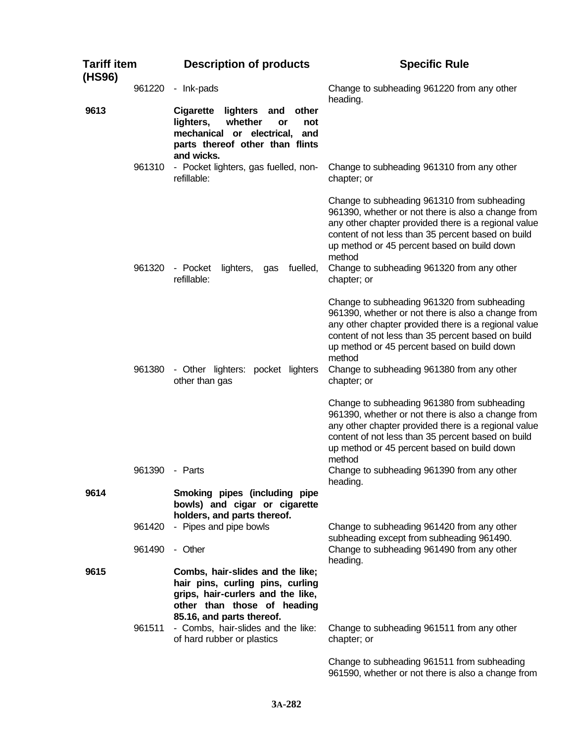| <b>Tariff item</b><br>(HS96) |                  | <b>Description of products</b>                                                                                                                                         | <b>Specific Rule</b>                                                                                                                                                                                                                                                                                                                  |
|------------------------------|------------------|------------------------------------------------------------------------------------------------------------------------------------------------------------------------|---------------------------------------------------------------------------------------------------------------------------------------------------------------------------------------------------------------------------------------------------------------------------------------------------------------------------------------|
|                              | 961220           | - Ink-pads                                                                                                                                                             | Change to subheading 961220 from any other<br>heading.                                                                                                                                                                                                                                                                                |
| 9613                         |                  | <b>Cigarette</b><br>lighters<br>other<br>and<br>lighters,<br>whether<br>or<br>not<br>mechanical or electrical,<br>and<br>parts thereof other than flints<br>and wicks. |                                                                                                                                                                                                                                                                                                                                       |
|                              | 961310           | - Pocket lighters, gas fuelled, non-<br>refillable:                                                                                                                    | Change to subheading 961310 from any other<br>chapter; or                                                                                                                                                                                                                                                                             |
|                              | 961320           | fuelled,<br>- Pocket<br>lighters,<br>gas<br>refillable:                                                                                                                | Change to subheading 961310 from subheading<br>961390, whether or not there is also a change from<br>any other chapter provided there is a regional value<br>content of not less than 35 percent based on build<br>up method or 45 percent based on build down<br>method<br>Change to subheading 961320 from any other<br>chapter; or |
|                              | 961380           | - Other lighters: pocket lighters<br>other than gas                                                                                                                    | Change to subheading 961320 from subheading<br>961390, whether or not there is also a change from<br>any other chapter provided there is a regional value<br>content of not less than 35 percent based on build<br>up method or 45 percent based on build down<br>method<br>Change to subheading 961380 from any other<br>chapter; or |
|                              | 961390           | - Parts                                                                                                                                                                | Change to subheading 961380 from subheading<br>961390, whether or not there is also a change from<br>any other chapter provided there is a regional value<br>content of not less than 35 percent based on build<br>up method or 45 percent based on build down<br>method<br>Change to subheading 961390 from any other<br>heading.    |
| 9614                         |                  | Smoking pipes (including pipe<br>bowls) and cigar or cigarette<br>holders, and parts thereof.                                                                          |                                                                                                                                                                                                                                                                                                                                       |
|                              | 961420<br>961490 | - Pipes and pipe bowls<br>- Other                                                                                                                                      | Change to subheading 961420 from any other<br>subheading except from subheading 961490.<br>Change to subheading 961490 from any other                                                                                                                                                                                                 |
| 9615                         |                  | Combs, hair-slides and the like;<br>hair pins, curling pins, curling<br>grips, hair-curlers and the like,<br>other than those of heading<br>85.16, and parts thereof.  | heading.                                                                                                                                                                                                                                                                                                                              |
|                              | 961511           | - Combs, hair-slides and the like:<br>of hard rubber or plastics                                                                                                       | Change to subheading 961511 from any other<br>chapter; or                                                                                                                                                                                                                                                                             |
|                              |                  |                                                                                                                                                                        | Change to subheading 961511 from subheading<br>961590, whether or not there is also a change from                                                                                                                                                                                                                                     |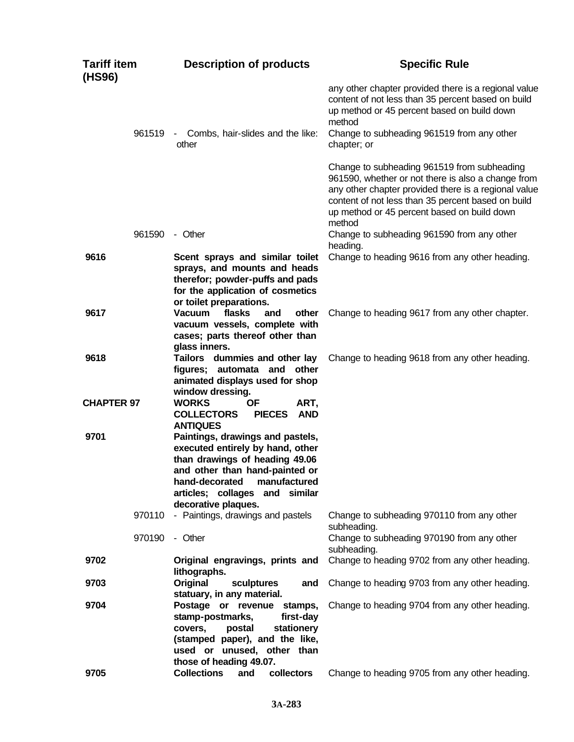| <b>Tariff item</b><br>(HS96) | <b>Description of products</b>                                                                                                                                                                                                            | <b>Specific Rule</b>                                                                                                                                                                                                                                                     |
|------------------------------|-------------------------------------------------------------------------------------------------------------------------------------------------------------------------------------------------------------------------------------------|--------------------------------------------------------------------------------------------------------------------------------------------------------------------------------------------------------------------------------------------------------------------------|
|                              |                                                                                                                                                                                                                                           | any other chapter provided there is a regional value<br>content of not less than 35 percent based on build<br>up method or 45 percent based on build down<br>method                                                                                                      |
| 961519                       | - Combs, hair-slides and the like:<br>other                                                                                                                                                                                               | Change to subheading 961519 from any other<br>chapter; or                                                                                                                                                                                                                |
|                              |                                                                                                                                                                                                                                           | Change to subheading 961519 from subheading<br>961590, whether or not there is also a change from<br>any other chapter provided there is a regional value<br>content of not less than 35 percent based on build<br>up method or 45 percent based on build down<br>method |
| 961590                       | - Other                                                                                                                                                                                                                                   | Change to subheading 961590 from any other<br>heading.                                                                                                                                                                                                                   |
| 9616                         | Scent sprays and similar toilet<br>sprays, and mounts and heads<br>therefor; powder-puffs and pads<br>for the application of cosmetics<br>or toilet preparations.                                                                         | Change to heading 9616 from any other heading.                                                                                                                                                                                                                           |
| 9617                         | flasks<br><b>Vacuum</b><br>other<br>and<br>vacuum vessels, complete with<br>cases; parts thereof other than<br>glass inners.                                                                                                              | Change to heading 9617 from any other chapter.                                                                                                                                                                                                                           |
| 9618                         | Tailors dummies and other lay<br>figures; automata and other<br>animated displays used for shop<br>window dressing.                                                                                                                       | Change to heading 9618 from any other heading.                                                                                                                                                                                                                           |
| <b>CHAPTER 97</b>            | <b>WORKS</b><br>ΟF<br>ART,<br><b>AND</b><br><b>COLLECTORS</b><br><b>PIECES</b><br><b>ANTIQUES</b>                                                                                                                                         |                                                                                                                                                                                                                                                                          |
| 9701                         | Paintings, drawings and pastels,<br>executed entirely by hand, other<br>than drawings of heading 49.06<br>and other than hand-painted or<br>hand-decorated<br>manufactured<br>articles; collages<br>and<br>similar<br>decorative plaques. |                                                                                                                                                                                                                                                                          |
| 970110                       | - Paintings, drawings and pastels                                                                                                                                                                                                         | Change to subheading 970110 from any other<br>subheading.                                                                                                                                                                                                                |
| 970190                       | - Other                                                                                                                                                                                                                                   | Change to subheading 970190 from any other<br>subheading.                                                                                                                                                                                                                |
| 9702                         | Original engravings, prints and<br>lithographs.                                                                                                                                                                                           | Change to heading 9702 from any other heading.                                                                                                                                                                                                                           |
| 9703                         | Original<br>sculptures<br>and<br>statuary, in any material.                                                                                                                                                                               | Change to heading 9703 from any other heading.                                                                                                                                                                                                                           |
| 9704                         | Postage or revenue stamps,<br>stamp-postmarks,<br>first-day<br>stationery<br>covers,<br>postal<br>(stamped paper), and the like,<br>used or unused, other than<br>those of heading 49.07.                                                 | Change to heading 9704 from any other heading.                                                                                                                                                                                                                           |
| 9705                         | <b>Collections</b><br>collectors<br>and                                                                                                                                                                                                   | Change to heading 9705 from any other heading.                                                                                                                                                                                                                           |